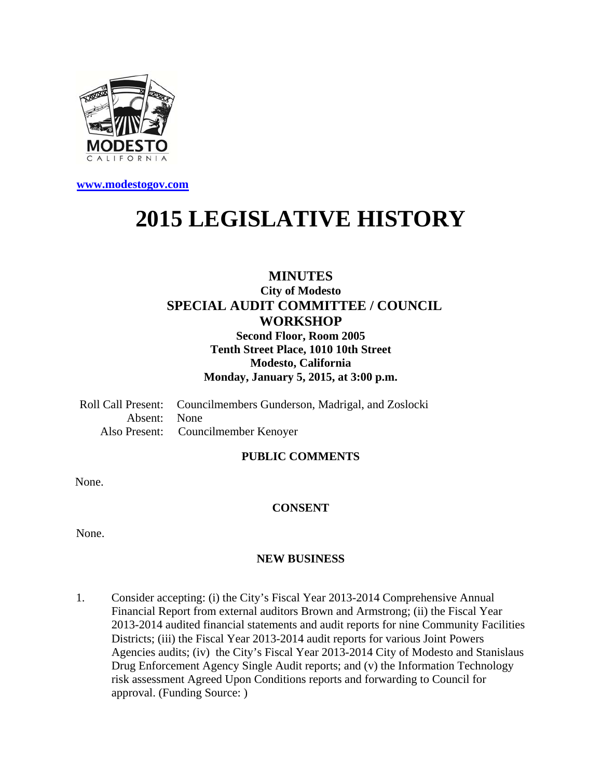

**www.modestogov.com**

# **2015 LEGISLATIVE HISTORY**

# **MINUTES City of Modesto SPECIAL AUDIT COMMITTEE / COUNCIL WORKSHOP**

**Second Floor, Room 2005 Tenth Street Place, 1010 10th Street Modesto, California Monday, January 5, 2015, at 3:00 p.m.** 

Roll Call Present: Councilmembers Gunderson, Madrigal, and Zoslocki Absent: None Also Present: Councilmember Kenoyer

# **PUBLIC COMMENTS**

None.

# **CONSENT**

None.

### **NEW BUSINESS**

1. Consider accepting: (i) the City's Fiscal Year 2013-2014 Comprehensive Annual Financial Report from external auditors Brown and Armstrong; (ii) the Fiscal Year 2013-2014 audited financial statements and audit reports for nine Community Facilities Districts; (iii) the Fiscal Year 2013-2014 audit reports for various Joint Powers Agencies audits; (iv) the City's Fiscal Year 2013-2014 City of Modesto and Stanislaus Drug Enforcement Agency Single Audit reports; and (v) the Information Technology risk assessment Agreed Upon Conditions reports and forwarding to Council for approval. (Funding Source: )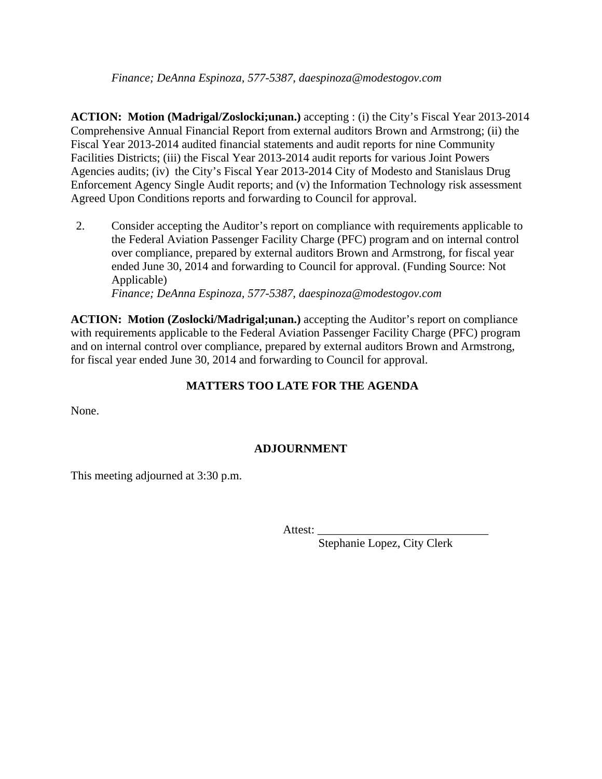**ACTION: Motion (Madrigal/Zoslocki;unan.)** accepting : (i) the City's Fiscal Year 2013-2014 Comprehensive Annual Financial Report from external auditors Brown and Armstrong; (ii) the Fiscal Year 2013-2014 audited financial statements and audit reports for nine Community Facilities Districts; (iii) the Fiscal Year 2013-2014 audit reports for various Joint Powers Agencies audits; (iv) the City's Fiscal Year 2013-2014 City of Modesto and Stanislaus Drug Enforcement Agency Single Audit reports; and (v) the Information Technology risk assessment Agreed Upon Conditions reports and forwarding to Council for approval.

2. Consider accepting the Auditor's report on compliance with requirements applicable to the Federal Aviation Passenger Facility Charge (PFC) program and on internal control over compliance, prepared by external auditors Brown and Armstrong, for fiscal year ended June 30, 2014 and forwarding to Council for approval. (Funding Source: Not Applicable)

 *Finance; DeAnna Espinoza, 577-5387, daespinoza@modestogov.com* 

**ACTION: Motion (Zoslocki/Madrigal;unan.)** accepting the Auditor's report on compliance with requirements applicable to the Federal Aviation Passenger Facility Charge (PFC) program and on internal control over compliance, prepared by external auditors Brown and Armstrong, for fiscal year ended June 30, 2014 and forwarding to Council for approval.

# **MATTERS TOO LATE FOR THE AGENDA**

None.

# **ADJOURNMENT**

This meeting adjourned at 3:30 p.m.

Attest:  $\mathcal{L}$ 

Stephanie Lopez, City Clerk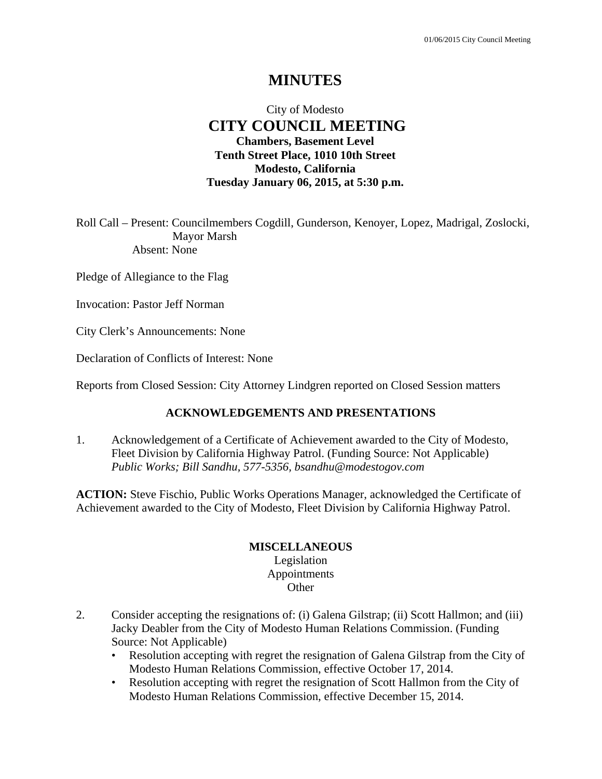# **MINUTES**

# City of Modesto  **CITY COUNCIL MEETING Chambers, Basement Level Tenth Street Place, 1010 10th Street Modesto, California Tuesday January 06, 2015, at 5:30 p.m.**

Roll Call – Present: Councilmembers Cogdill, Gunderson, Kenoyer, Lopez, Madrigal, Zoslocki, Mayor Marsh Absent: None

Pledge of Allegiance to the Flag

Invocation: Pastor Jeff Norman

City Clerk's Announcements: None

Declaration of Conflicts of Interest: None

Reports from Closed Session: City Attorney Lindgren reported on Closed Session matters

#### **ACKNOWLEDGEMENTS AND PRESENTATIONS**

1. Acknowledgement of a Certificate of Achievement awarded to the City of Modesto, Fleet Division by California Highway Patrol. (Funding Source: Not Applicable)  *Public Works; Bill Sandhu, 577-5356, bsandhu@modestogov.com* 

**ACTION:** Steve Fischio, Public Works Operations Manager, acknowledged the Certificate of Achievement awarded to the City of Modesto, Fleet Division by California Highway Patrol.

#### **MISCELLANEOUS**

Legislation Appointments **Other** 

- 2. Consider accepting the resignations of: (i) Galena Gilstrap; (ii) Scott Hallmon; and (iii) Jacky Deabler from the City of Modesto Human Relations Commission. (Funding Source: Not Applicable)
	- Resolution accepting with regret the resignation of Galena Gilstrap from the City of Modesto Human Relations Commission, effective October 17, 2014.
	- Resolution accepting with regret the resignation of Scott Hallmon from the City of Modesto Human Relations Commission, effective December 15, 2014.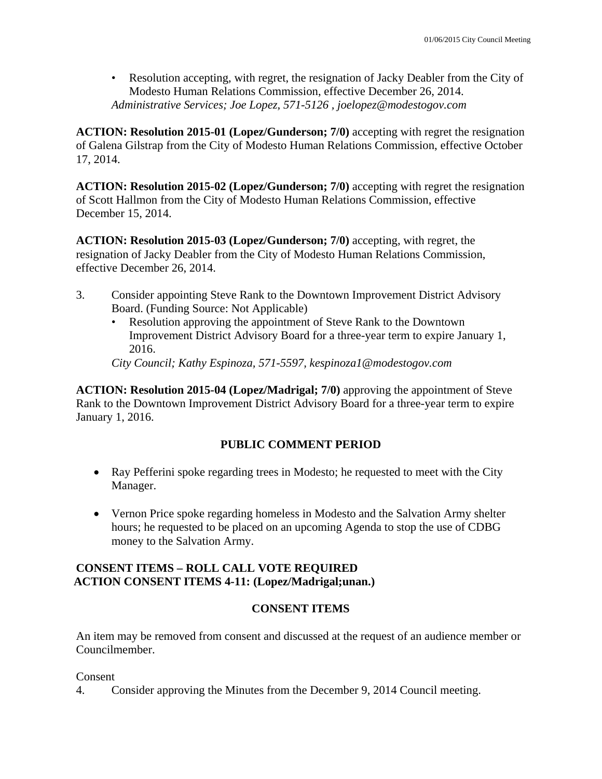• Resolution accepting, with regret, the resignation of Jacky Deabler from the City of Modesto Human Relations Commission, effective December 26, 2014. *Administrative Services; Joe Lopez, 571-5126 , joelopez@modestogov.com* 

**ACTION: Resolution 2015-01 (Lopez/Gunderson; 7/0)** accepting with regret the resignation of Galena Gilstrap from the City of Modesto Human Relations Commission, effective October 17, 2014.

**ACTION: Resolution 2015-02 (Lopez/Gunderson; 7/0)** accepting with regret the resignation of Scott Hallmon from the City of Modesto Human Relations Commission, effective December 15, 2014.

**ACTION: Resolution 2015-03 (Lopez/Gunderson; 7/0)** accepting, with regret, the resignation of Jacky Deabler from the City of Modesto Human Relations Commission, effective December 26, 2014.

- 3. Consider appointing Steve Rank to the Downtown Improvement District Advisory Board. (Funding Source: Not Applicable)
	- Resolution approving the appointment of Steve Rank to the Downtown Improvement District Advisory Board for a three-year term to expire January 1, 2016.

*City Council; Kathy Espinoza, 571-5597, kespinoza1@modestogov.com* 

**ACTION: Resolution 2015-04 (Lopez/Madrigal; 7/0)** approving the appointment of Steve Rank to the Downtown Improvement District Advisory Board for a three-year term to expire January 1, 2016.

# **PUBLIC COMMENT PERIOD**

- Ray Pefferini spoke regarding trees in Modesto; he requested to meet with the City Manager.
- Vernon Price spoke regarding homeless in Modesto and the Salvation Army shelter hours; he requested to be placed on an upcoming Agenda to stop the use of CDBG money to the Salvation Army.

# **CONSENT ITEMS – ROLL CALL VOTE REQUIRED ACTION CONSENT ITEMS 4-11: (Lopez/Madrigal;unan.)**

# **CONSENT ITEMS**

An item may be removed from consent and discussed at the request of an audience member or Councilmember.

Consent

4. Consider approving the Minutes from the December 9, 2014 Council meeting.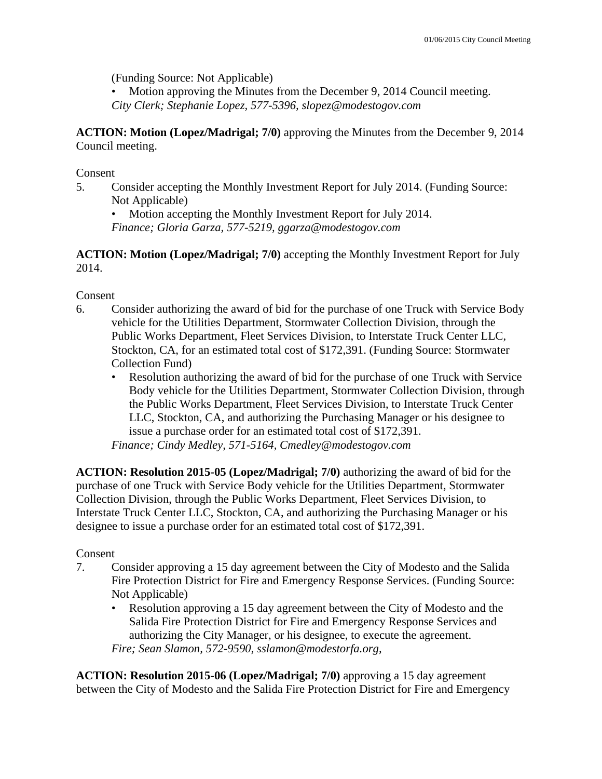(Funding Source: Not Applicable)

Motion approving the Minutes from the December 9, 2014 Council meeting. *City Clerk; Stephanie Lopez, 577-5396, slopez@modestogov.com* 

**ACTION: Motion (Lopez/Madrigal; 7/0)** approving the Minutes from the December 9, 2014 Council meeting.

Consent

- 5. Consider accepting the Monthly Investment Report for July 2014. (Funding Source: Not Applicable)
	- Motion accepting the Monthly Investment Report for July 2014.

*Finance; Gloria Garza, 577-5219, ggarza@modestogov.com* 

**ACTION: Motion (Lopez/Madrigal; 7/0)** accepting the Monthly Investment Report for July 2014.

### Consent

- 6. Consider authorizing the award of bid for the purchase of one Truck with Service Body vehicle for the Utilities Department, Stormwater Collection Division, through the Public Works Department, Fleet Services Division, to Interstate Truck Center LLC, Stockton, CA, for an estimated total cost of \$172,391. (Funding Source: Stormwater Collection Fund)
	- Resolution authorizing the award of bid for the purchase of one Truck with Service Body vehicle for the Utilities Department, Stormwater Collection Division, through the Public Works Department, Fleet Services Division, to Interstate Truck Center LLC, Stockton, CA, and authorizing the Purchasing Manager or his designee to issue a purchase order for an estimated total cost of \$172,391.

*Finance; Cindy Medley, 571-5164, Cmedley@modestogov.com* 

**ACTION: Resolution 2015-05 (Lopez/Madrigal; 7/0)** authorizing the award of bid for the purchase of one Truck with Service Body vehicle for the Utilities Department, Stormwater Collection Division, through the Public Works Department, Fleet Services Division, to Interstate Truck Center LLC, Stockton, CA, and authorizing the Purchasing Manager or his designee to issue a purchase order for an estimated total cost of \$172,391.

# Consent

- 7. Consider approving a 15 day agreement between the City of Modesto and the Salida Fire Protection District for Fire and Emergency Response Services. (Funding Source: Not Applicable)
	- Resolution approving a 15 day agreement between the City of Modesto and the Salida Fire Protection District for Fire and Emergency Response Services and authorizing the City Manager, or his designee, to execute the agreement. *Fire; Sean Slamon, 572-9590, sslamon@modestorfa.org,*

**ACTION: Resolution 2015-06 (Lopez/Madrigal; 7/0)** approving a 15 day agreement between the City of Modesto and the Salida Fire Protection District for Fire and Emergency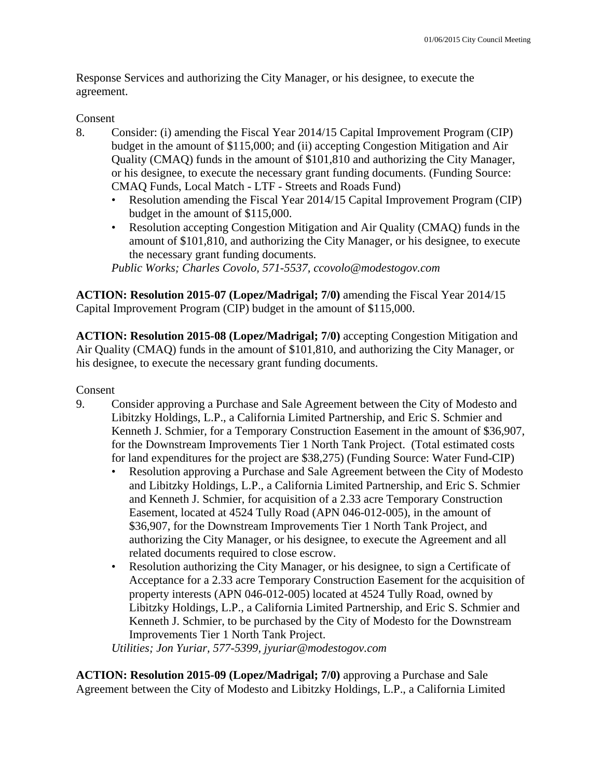Response Services and authorizing the City Manager, or his designee, to execute the agreement.

# Consent

- 8. Consider: (i) amending the Fiscal Year 2014/15 Capital Improvement Program (CIP) budget in the amount of \$115,000; and (ii) accepting Congestion Mitigation and Air Quality (CMAQ) funds in the amount of \$101,810 and authorizing the City Manager, or his designee, to execute the necessary grant funding documents. (Funding Source: CMAQ Funds, Local Match - LTF - Streets and Roads Fund)
	- Resolution amending the Fiscal Year 2014/15 Capital Improvement Program (CIP) budget in the amount of \$115,000.
	- Resolution accepting Congestion Mitigation and Air Quality (CMAQ) funds in the amount of \$101,810, and authorizing the City Manager, or his designee, to execute the necessary grant funding documents.

*Public Works; Charles Covolo, 571-5537, ccovolo@modestogov.com* 

**ACTION: Resolution 2015-07 (Lopez/Madrigal; 7/0)** amending the Fiscal Year 2014/15 Capital Improvement Program (CIP) budget in the amount of \$115,000.

**ACTION: Resolution 2015-08 (Lopez/Madrigal; 7/0)** accepting Congestion Mitigation and Air Quality (CMAQ) funds in the amount of \$101,810, and authorizing the City Manager, or his designee, to execute the necessary grant funding documents.

Consent

- 9. Consider approving a Purchase and Sale Agreement between the City of Modesto and Libitzky Holdings, L.P., a California Limited Partnership, and Eric S. Schmier and Kenneth J. Schmier, for a Temporary Construction Easement in the amount of \$36,907, for the Downstream Improvements Tier 1 North Tank Project. (Total estimated costs for land expenditures for the project are \$38,275) (Funding Source: Water Fund-CIP)
	- Resolution approving a Purchase and Sale Agreement between the City of Modesto and Libitzky Holdings, L.P., a California Limited Partnership, and Eric S. Schmier and Kenneth J. Schmier, for acquisition of a 2.33 acre Temporary Construction Easement, located at 4524 Tully Road (APN 046-012-005), in the amount of \$36,907, for the Downstream Improvements Tier 1 North Tank Project, and authorizing the City Manager, or his designee, to execute the Agreement and all related documents required to close escrow.
	- Resolution authorizing the City Manager, or his designee, to sign a Certificate of Acceptance for a 2.33 acre Temporary Construction Easement for the acquisition of property interests (APN 046-012-005) located at 4524 Tully Road, owned by Libitzky Holdings, L.P., a California Limited Partnership, and Eric S. Schmier and Kenneth J. Schmier, to be purchased by the City of Modesto for the Downstream Improvements Tier 1 North Tank Project.

*Utilities; Jon Yuriar, 577-5399, jyuriar@modestogov.com* 

**ACTION: Resolution 2015-09 (Lopez/Madrigal; 7/0)** approving a Purchase and Sale Agreement between the City of Modesto and Libitzky Holdings, L.P., a California Limited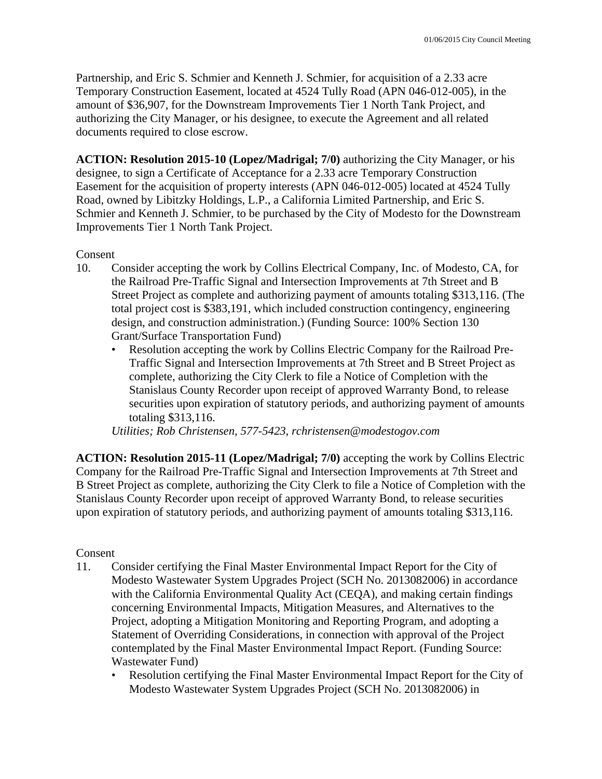Partnership, and Eric S. Schmier and Kenneth J. Schmier, for acquisition of a 2.33 acre Temporary Construction Easement, located at 4524 Tully Road (APN 046-012-005), in the amount of \$36,907, for the Downstream Improvements Tier 1 North Tank Project, and authorizing the City Manager, or his designee, to execute the Agreement and all related documents required to close escrow.

**ACTION: Resolution 2015-10 (Lopez/Madrigal; 7/0)** authorizing the City Manager, or his designee, to sign a Certificate of Acceptance for a 2.33 acre Temporary Construction Easement for the acquisition of property interests (APN 046-012-005) located at 4524 Tully Road, owned by Libitzky Holdings, L.P., a California Limited Partnership, and Eric S. Schmier and Kenneth J. Schmier, to be purchased by the City of Modesto for the Downstream Improvements Tier 1 North Tank Project.

### Consent

- 10. Consider accepting the work by Collins Electrical Company, Inc. of Modesto, CA, for the Railroad Pre-Traffic Signal and Intersection Improvements at 7th Street and B Street Project as complete and authorizing payment of amounts totaling \$313,116. (The total project cost is \$383,191, which included construction contingency, engineering design, and construction administration.) (Funding Source: 100% Section 130 Grant/Surface Transportation Fund)
	- Resolution accepting the work by Collins Electric Company for the Railroad Pre-Traffic Signal and Intersection Improvements at 7th Street and B Street Project as complete, authorizing the City Clerk to file a Notice of Completion with the Stanislaus County Recorder upon receipt of approved Warranty Bond, to release securities upon expiration of statutory periods, and authorizing payment of amounts totaling \$313,116.

*Utilities; Rob Christensen, 577-5423, rchristensen@modestogov.com* 

**ACTION: Resolution 2015-11 (Lopez/Madrigal; 7/0)** accepting the work by Collins Electric Company for the Railroad Pre-Traffic Signal and Intersection Improvements at 7th Street and B Street Project as complete, authorizing the City Clerk to file a Notice of Completion with the Stanislaus County Recorder upon receipt of approved Warranty Bond, to release securities upon expiration of statutory periods, and authorizing payment of amounts totaling \$313,116.

### Consent

- 11. Consider certifying the Final Master Environmental Impact Report for the City of Modesto Wastewater System Upgrades Project (SCH No. 2013082006) in accordance with the California Environmental Quality Act (CEQA), and making certain findings concerning Environmental Impacts, Mitigation Measures, and Alternatives to the Project, adopting a Mitigation Monitoring and Reporting Program, and adopting a Statement of Overriding Considerations, in connection with approval of the Project contemplated by the Final Master Environmental Impact Report. (Funding Source: Wastewater Fund)
	- Resolution certifying the Final Master Environmental Impact Report for the City of Modesto Wastewater System Upgrades Project (SCH No. 2013082006) in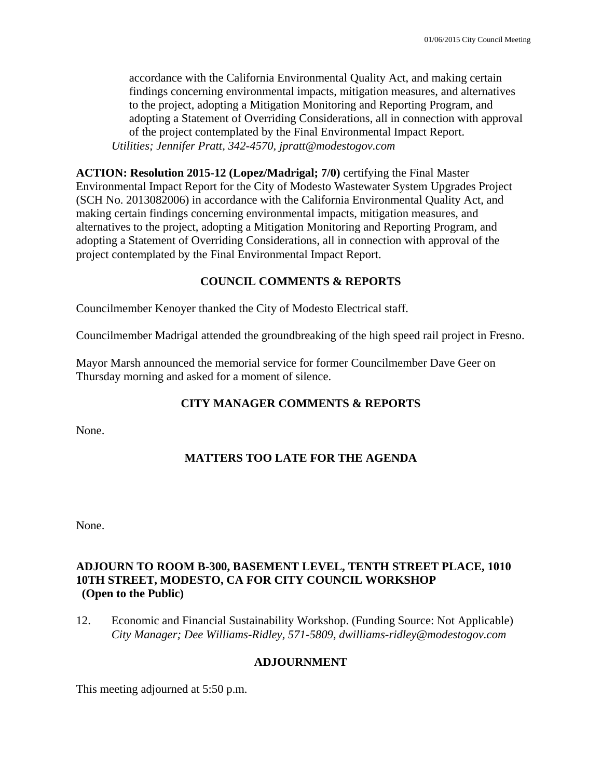accordance with the California Environmental Quality Act, and making certain findings concerning environmental impacts, mitigation measures, and alternatives to the project, adopting a Mitigation Monitoring and Reporting Program, and adopting a Statement of Overriding Considerations, all in connection with approval of the project contemplated by the Final Environmental Impact Report. *Utilities; Jennifer Pratt, 342-4570, jpratt@modestogov.com* 

**ACTION: Resolution 2015-12 (Lopez/Madrigal; 7/0)** certifying the Final Master Environmental Impact Report for the City of Modesto Wastewater System Upgrades Project (SCH No. 2013082006) in accordance with the California Environmental Quality Act, and making certain findings concerning environmental impacts, mitigation measures, and alternatives to the project, adopting a Mitigation Monitoring and Reporting Program, and adopting a Statement of Overriding Considerations, all in connection with approval of the project contemplated by the Final Environmental Impact Report.

# **COUNCIL COMMENTS & REPORTS**

Councilmember Kenoyer thanked the City of Modesto Electrical staff.

Councilmember Madrigal attended the groundbreaking of the high speed rail project in Fresno.

Mayor Marsh announced the memorial service for former Councilmember Dave Geer on Thursday morning and asked for a moment of silence.

# **CITY MANAGER COMMENTS & REPORTS**

None.

# **MATTERS TOO LATE FOR THE AGENDA**

None.

# **ADJOURN TO ROOM B-300, BASEMENT LEVEL, TENTH STREET PLACE, 1010 10TH STREET, MODESTO, CA FOR CITY COUNCIL WORKSHOP (Open to the Public)**

12. Economic and Financial Sustainability Workshop. (Funding Source: Not Applicable)  *City Manager; Dee Williams-Ridley, 571-5809, dwilliams-ridley@modestogov.com* 

# **ADJOURNMENT**

This meeting adjourned at 5:50 p.m.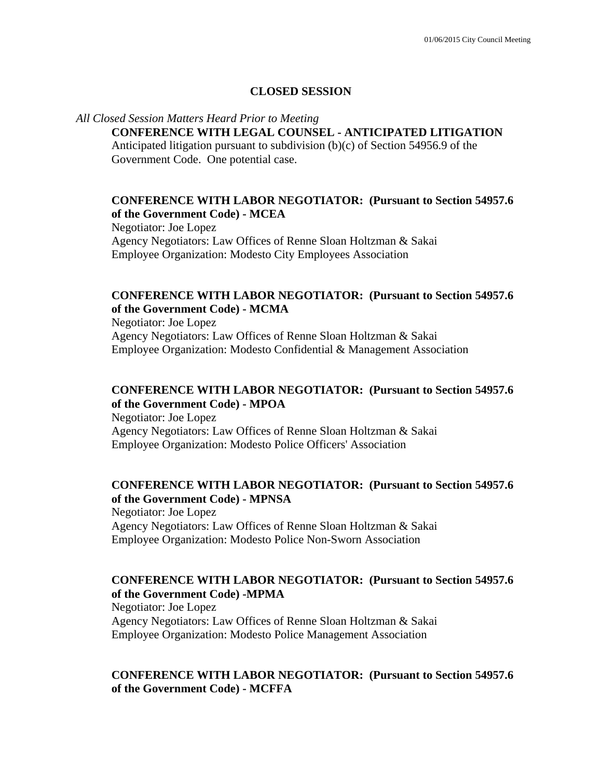#### **CLOSED SESSION**

#### *All Closed Session Matters Heard Prior to Meeting*

### **CONFERENCE WITH LEGAL COUNSEL - ANTICIPATED LITIGATION**

Anticipated litigation pursuant to subdivision (b)(c) of Section 54956.9 of the Government Code. One potential case.

#### **CONFERENCE WITH LABOR NEGOTIATOR: (Pursuant to Section 54957.6 of the Government Code) - MCEA**

Negotiator: Joe Lopez Agency Negotiators: Law Offices of Renne Sloan Holtzman & Sakai Employee Organization: Modesto City Employees Association

# **CONFERENCE WITH LABOR NEGOTIATOR: (Pursuant to Section 54957.6 of the Government Code) - MCMA**

Negotiator: Joe Lopez Agency Negotiators: Law Offices of Renne Sloan Holtzman & Sakai Employee Organization: Modesto Confidential & Management Association

# **CONFERENCE WITH LABOR NEGOTIATOR: (Pursuant to Section 54957.6 of the Government Code) - MPOA**

Negotiator: Joe Lopez Agency Negotiators: Law Offices of Renne Sloan Holtzman & Sakai Employee Organization: Modesto Police Officers' Association

### **CONFERENCE WITH LABOR NEGOTIATOR: (Pursuant to Section 54957.6 of the Government Code) - MPNSA**

Negotiator: Joe Lopez Agency Negotiators: Law Offices of Renne Sloan Holtzman & Sakai Employee Organization: Modesto Police Non-Sworn Association

### **CONFERENCE WITH LABOR NEGOTIATOR: (Pursuant to Section 54957.6 of the Government Code) -MPMA**

Negotiator: Joe Lopez Agency Negotiators: Law Offices of Renne Sloan Holtzman & Sakai Employee Organization: Modesto Police Management Association

### **CONFERENCE WITH LABOR NEGOTIATOR: (Pursuant to Section 54957.6 of the Government Code) - MCFFA**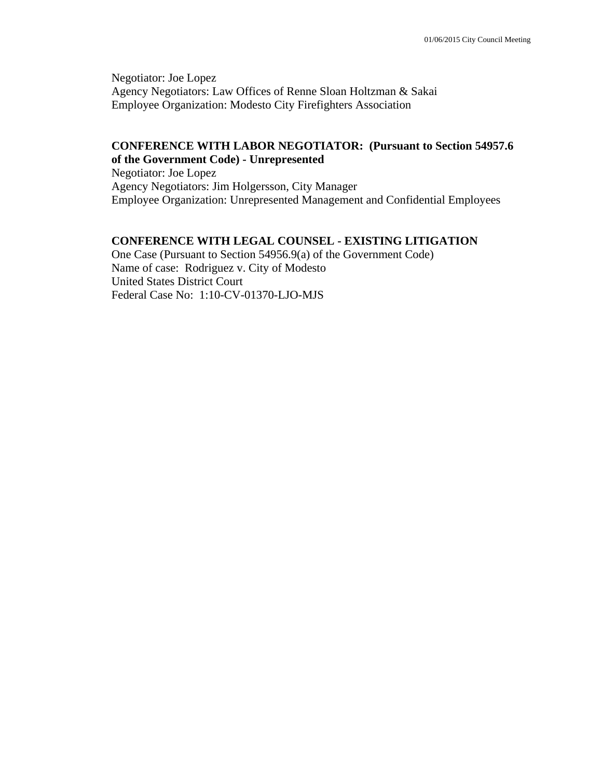Negotiator: Joe Lopez Agency Negotiators: Law Offices of Renne Sloan Holtzman & Sakai Employee Organization: Modesto City Firefighters Association

#### **CONFERENCE WITH LABOR NEGOTIATOR: (Pursuant to Section 54957.6 of the Government Code) - Unrepresented**

Negotiator: Joe Lopez Agency Negotiators: Jim Holgersson, City Manager Employee Organization: Unrepresented Management and Confidential Employees

### **CONFERENCE WITH LEGAL COUNSEL - EXISTING LITIGATION**

One Case (Pursuant to Section 54956.9(a) of the Government Code) Name of case: Rodriguez v. City of Modesto United States District Court Federal Case No: 1:10-CV-01370-LJO-MJS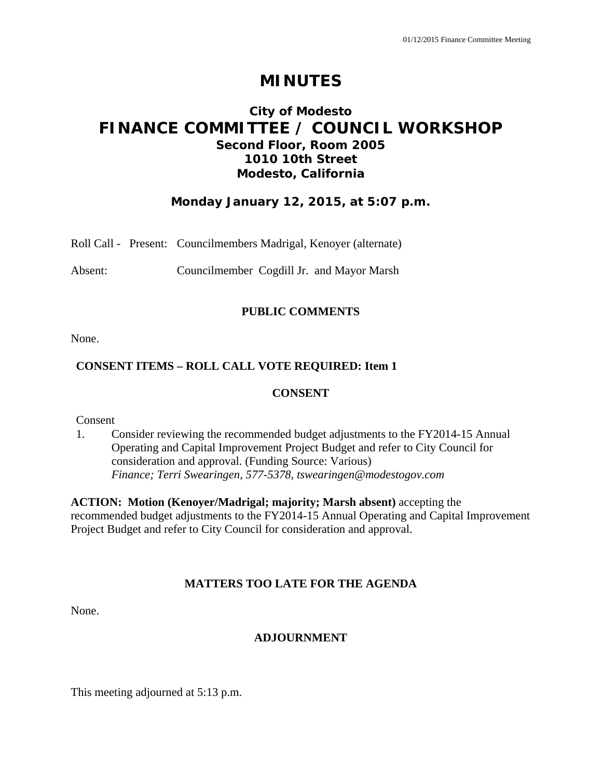# **MINUTES**

# **City of Modesto FINANCE COMMITTEE / COUNCIL WORKSHOP Second Floor, Room 2005 1010 10th Street Modesto, California**

# **Monday January 12, 2015, at 5:07 p.m.**

|  |  | Roll Call - Present: Councilmembers Madrigal, Kenoyer (alternate) |  |  |  |
|--|--|-------------------------------------------------------------------|--|--|--|
|--|--|-------------------------------------------------------------------|--|--|--|

Absent: Councilmember Cogdill Jr. and Mayor Marsh

### **PUBLIC COMMENTS**

None.

# **CONSENT ITEMS – ROLL CALL VOTE REQUIRED: Item 1**

#### **CONSENT**

Consent

1. Consider reviewing the recommended budget adjustments to the FY2014-15 Annual Operating and Capital Improvement Project Budget and refer to City Council for consideration and approval. (Funding Source: Various)  *Finance; Terri Swearingen, 577-5378, tswearingen@modestogov.com* 

**ACTION: Motion (Kenoyer/Madrigal; majority; Marsh absent)** accepting the recommended budget adjustments to the FY2014-15 Annual Operating and Capital Improvement Project Budget and refer to City Council for consideration and approval.

### **MATTERS TOO LATE FOR THE AGENDA**

None.

### **ADJOURNMENT**

This meeting adjourned at 5:13 p.m.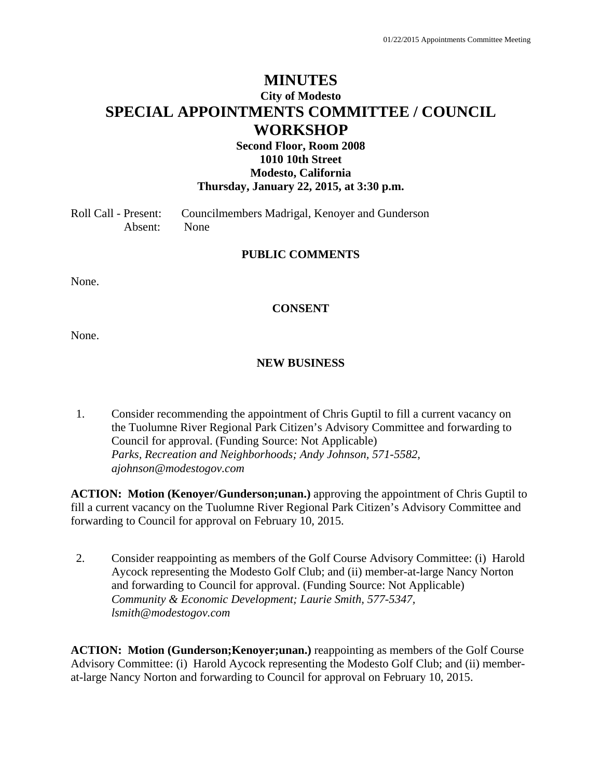# **MINUTES City of Modesto SPECIAL APPOINTMENTS COMMITTEE / COUNCIL WORKSHOP**

# **Second Floor, Room 2008 1010 10th Street Modesto, California Thursday, January 22, 2015, at 3:30 p.m.**

Roll Call - Present: Councilmembers Madrigal, Kenoyer and Gunderson Absent: None

#### **PUBLIC COMMENTS**

None.

#### **CONSENT**

None.

#### **NEW BUSINESS**

1. Consider recommending the appointment of Chris Guptil to fill a current vacancy on the Tuolumne River Regional Park Citizen's Advisory Committee and forwarding to Council for approval. (Funding Source: Not Applicable)  *Parks, Recreation and Neighborhoods; Andy Johnson, 571-5582, ajohnson@modestogov.com* 

**ACTION: Motion (Kenoyer/Gunderson;unan.)** approving the appointment of Chris Guptil to fill a current vacancy on the Tuolumne River Regional Park Citizen's Advisory Committee and forwarding to Council for approval on February 10, 2015.

2. Consider reappointing as members of the Golf Course Advisory Committee: (i) Harold Aycock representing the Modesto Golf Club; and (ii) member-at-large Nancy Norton and forwarding to Council for approval. (Funding Source: Not Applicable)  *Community & Economic Development; Laurie Smith, 577-5347, lsmith@modestogov.com* 

**ACTION: Motion (Gunderson;Kenoyer;unan.)** reappointing as members of the Golf Course Advisory Committee: (i) Harold Aycock representing the Modesto Golf Club; and (ii) memberat-large Nancy Norton and forwarding to Council for approval on February 10, 2015.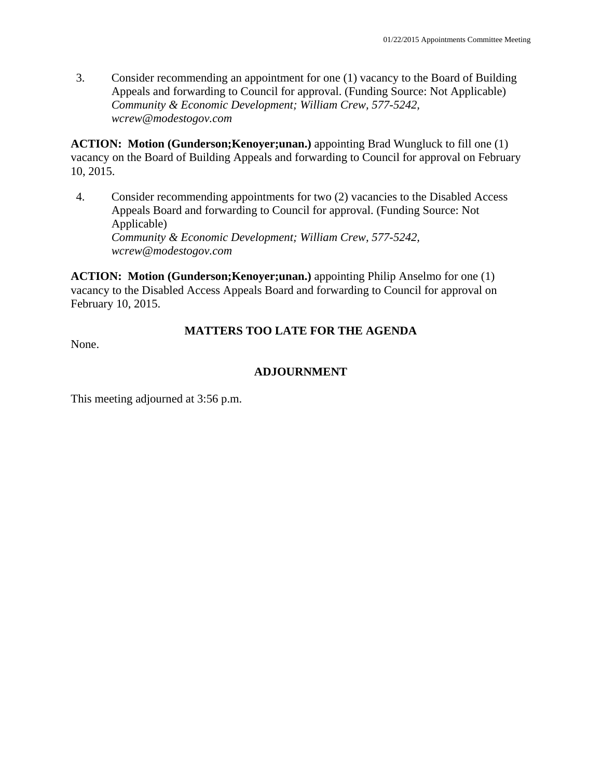3. Consider recommending an appointment for one (1) vacancy to the Board of Building Appeals and forwarding to Council for approval. (Funding Source: Not Applicable)  *Community & Economic Development; William Crew, 577-5242, wcrew@modestogov.com* 

**ACTION: Motion (Gunderson;Kenoyer;unan.)** appointing Brad Wungluck to fill one (1) vacancy on the Board of Building Appeals and forwarding to Council for approval on February 10, 2015.

4. Consider recommending appointments for two (2) vacancies to the Disabled Access Appeals Board and forwarding to Council for approval. (Funding Source: Not Applicable)  *Community & Economic Development; William Crew, 577-5242, wcrew@modestogov.com* 

**ACTION: Motion (Gunderson;Kenoyer;unan.)** appointing Philip Anselmo for one (1) vacancy to the Disabled Access Appeals Board and forwarding to Council for approval on February 10, 2015.

# **MATTERS TOO LATE FOR THE AGENDA**

None.

# **ADJOURNMENT**

This meeting adjourned at 3:56 p.m.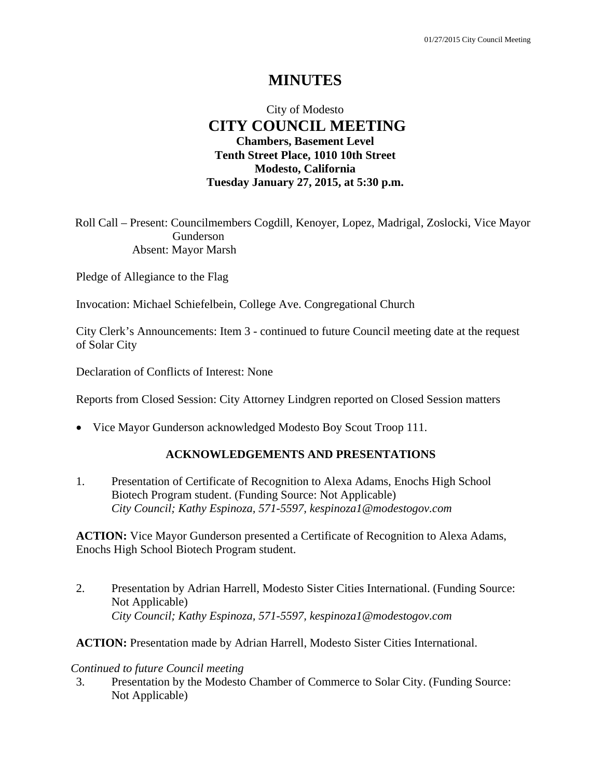# **MINUTES**

# City of Modesto  **CITY COUNCIL MEETING Chambers, Basement Level Tenth Street Place, 1010 10th Street Modesto, California Tuesday January 27, 2015, at 5:30 p.m.**

Roll Call – Present: Councilmembers Cogdill, Kenoyer, Lopez, Madrigal, Zoslocki, Vice Mayor Gunderson Absent: Mayor Marsh

Pledge of Allegiance to the Flag

Invocation: Michael Schiefelbein, College Ave. Congregational Church

City Clerk's Announcements: Item 3 - continued to future Council meeting date at the request of Solar City

Declaration of Conflicts of Interest: None

Reports from Closed Session: City Attorney Lindgren reported on Closed Session matters

• Vice Mayor Gunderson acknowledged Modesto Boy Scout Troop 111.

# **ACKNOWLEDGEMENTS AND PRESENTATIONS**

1. Presentation of Certificate of Recognition to Alexa Adams, Enochs High School Biotech Program student. (Funding Source: Not Applicable)  *City Council; Kathy Espinoza, 571-5597, kespinoza1@modestogov.com* 

**ACTION:** Vice Mayor Gunderson presented a Certificate of Recognition to Alexa Adams, Enochs High School Biotech Program student.

2. Presentation by Adrian Harrell, Modesto Sister Cities International. (Funding Source: Not Applicable)  *City Council; Kathy Espinoza, 571-5597, kespinoza1@modestogov.com* 

**ACTION:** Presentation made by Adrian Harrell, Modesto Sister Cities International.

#### *Continued to future Council meeting*

3. Presentation by the Modesto Chamber of Commerce to Solar City. (Funding Source: Not Applicable)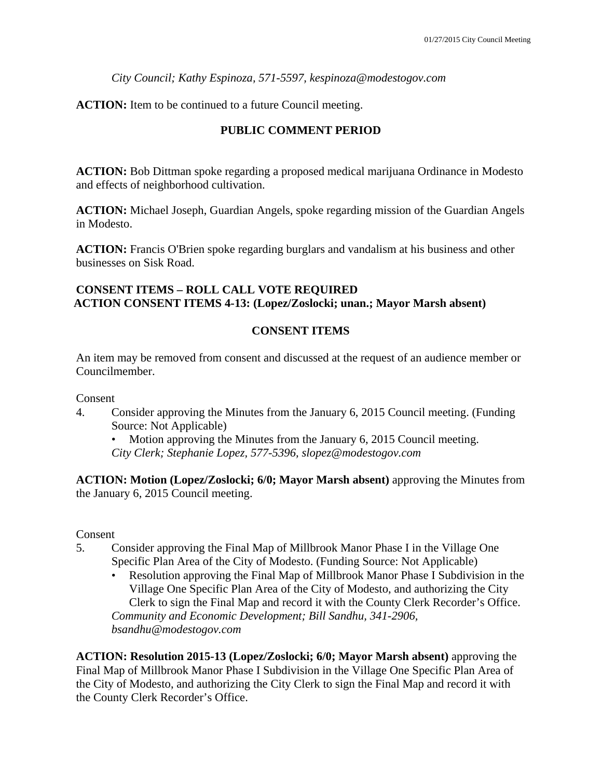*City Council; Kathy Espinoza, 571-5597, kespinoza@modestogov.com* 

**ACTION:** Item to be continued to a future Council meeting.

# **PUBLIC COMMENT PERIOD**

**ACTION:** Bob Dittman spoke regarding a proposed medical marijuana Ordinance in Modesto and effects of neighborhood cultivation.

**ACTION:** Michael Joseph, Guardian Angels, spoke regarding mission of the Guardian Angels in Modesto.

**ACTION:** Francis O'Brien spoke regarding burglars and vandalism at his business and other businesses on Sisk Road.

# **CONSENT ITEMS – ROLL CALL VOTE REQUIRED ACTION CONSENT ITEMS 4-13: (Lopez/Zoslocki; unan.; Mayor Marsh absent)**

# **CONSENT ITEMS**

An item may be removed from consent and discussed at the request of an audience member or Councilmember.

Consent

4. Consider approving the Minutes from the January 6, 2015 Council meeting. (Funding Source: Not Applicable)

Motion approving the Minutes from the January 6, 2015 Council meeting. *City Clerk; Stephanie Lopez, 577-5396, slopez@modestogov.com* 

**ACTION: Motion (Lopez/Zoslocki; 6/0; Mayor Marsh absent)** approving the Minutes from the January 6, 2015 Council meeting.

Consent

- 5. Consider approving the Final Map of Millbrook Manor Phase I in the Village One Specific Plan Area of the City of Modesto. (Funding Source: Not Applicable)
	- Resolution approving the Final Map of Millbrook Manor Phase I Subdivision in the Village One Specific Plan Area of the City of Modesto, and authorizing the City Clerk to sign the Final Map and record it with the County Clerk Recorder's Office. *Community and Economic Development; Bill Sandhu, 341-2906, bsandhu@modestogov.com*

**ACTION: Resolution 2015-13 (Lopez/Zoslocki; 6/0; Mayor Marsh absent)** approving the Final Map of Millbrook Manor Phase I Subdivision in the Village One Specific Plan Area of the City of Modesto, and authorizing the City Clerk to sign the Final Map and record it with the County Clerk Recorder's Office.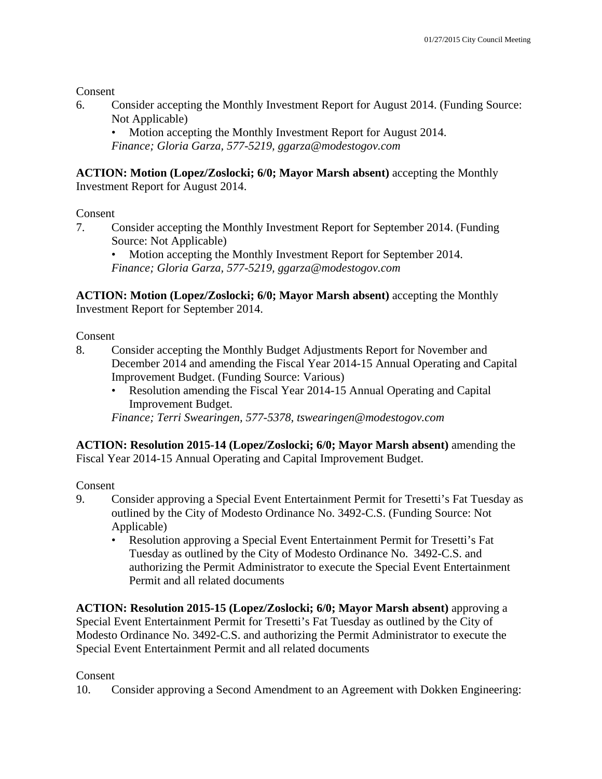Consent

6. Consider accepting the Monthly Investment Report for August 2014. (Funding Source: Not Applicable)

• Motion accepting the Monthly Investment Report for August 2014. *Finance; Gloria Garza, 577-5219, ggarza@modestogov.com* 

**ACTION: Motion (Lopez/Zoslocki; 6/0; Mayor Marsh absent)** accepting the Monthly Investment Report for August 2014.

# Consent

7. Consider accepting the Monthly Investment Report for September 2014. (Funding Source: Not Applicable)

• Motion accepting the Monthly Investment Report for September 2014. *Finance; Gloria Garza, 577-5219, ggarza@modestogov.com* 

**ACTION: Motion (Lopez/Zoslocki; 6/0; Mayor Marsh absent)** accepting the Monthly Investment Report for September 2014.

Consent

- 8. Consider accepting the Monthly Budget Adjustments Report for November and December 2014 and amending the Fiscal Year 2014-15 Annual Operating and Capital Improvement Budget. (Funding Source: Various)
	- Resolution amending the Fiscal Year 2014-15 Annual Operating and Capital Improvement Budget.

*Finance; Terri Swearingen, 577-5378, tswearingen@modestogov.com* 

**ACTION: Resolution 2015-14 (Lopez/Zoslocki; 6/0; Mayor Marsh absent)** amending the Fiscal Year 2014-15 Annual Operating and Capital Improvement Budget.

Consent

- 9. Consider approving a Special Event Entertainment Permit for Tresetti's Fat Tuesday as outlined by the City of Modesto Ordinance No. 3492-C.S. (Funding Source: Not Applicable)
	- Resolution approving a Special Event Entertainment Permit for Tresetti's Fat Tuesday as outlined by the City of Modesto Ordinance No. 3492-C.S. and authorizing the Permit Administrator to execute the Special Event Entertainment Permit and all related documents

**ACTION: Resolution 2015-15 (Lopez/Zoslocki; 6/0; Mayor Marsh absent)** approving a Special Event Entertainment Permit for Tresetti's Fat Tuesday as outlined by the City of Modesto Ordinance No. 3492-C.S. and authorizing the Permit Administrator to execute the Special Event Entertainment Permit and all related documents

# **Consent**

10. Consider approving a Second Amendment to an Agreement with Dokken Engineering: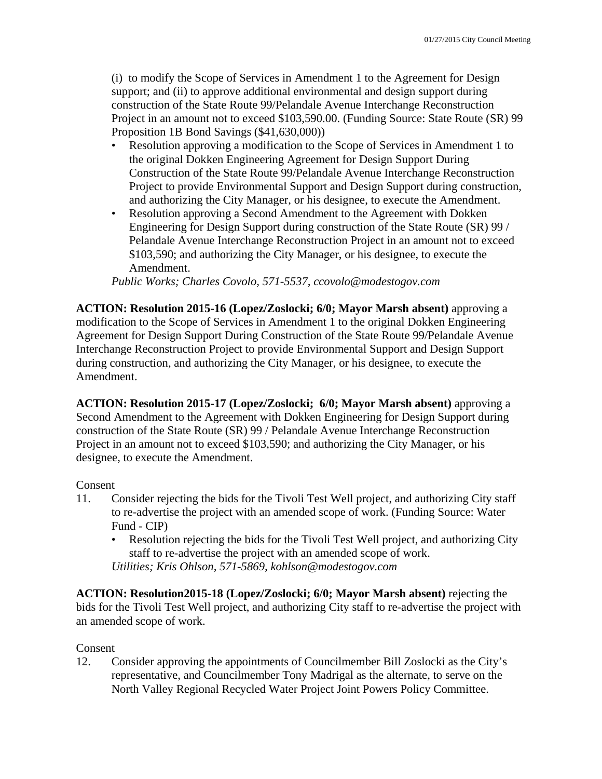(i) to modify the Scope of Services in Amendment 1 to the Agreement for Design support; and (ii) to approve additional environmental and design support during construction of the State Route 99/Pelandale Avenue Interchange Reconstruction Project in an amount not to exceed \$103,590.00. (Funding Source: State Route (SR) 99 Proposition 1B Bond Savings (\$41,630,000))

- Resolution approving a modification to the Scope of Services in Amendment 1 to the original Dokken Engineering Agreement for Design Support During Construction of the State Route 99/Pelandale Avenue Interchange Reconstruction Project to provide Environmental Support and Design Support during construction, and authorizing the City Manager, or his designee, to execute the Amendment.
- Resolution approving a Second Amendment to the Agreement with Dokken Engineering for Design Support during construction of the State Route (SR) 99 / Pelandale Avenue Interchange Reconstruction Project in an amount not to exceed \$103,590; and authorizing the City Manager, or his designee, to execute the Amendment.

*Public Works; Charles Covolo, 571-5537, ccovolo@modestogov.com* 

**ACTION: Resolution 2015-16 (Lopez/Zoslocki; 6/0; Mayor Marsh absent)** approving a modification to the Scope of Services in Amendment 1 to the original Dokken Engineering Agreement for Design Support During Construction of the State Route 99/Pelandale Avenue Interchange Reconstruction Project to provide Environmental Support and Design Support during construction, and authorizing the City Manager, or his designee, to execute the Amendment.

**ACTION: Resolution 2015-17 (Lopez/Zoslocki; 6/0; Mayor Marsh absent)** approving a Second Amendment to the Agreement with Dokken Engineering for Design Support during construction of the State Route (SR) 99 / Pelandale Avenue Interchange Reconstruction Project in an amount not to exceed \$103,590; and authorizing the City Manager, or his designee, to execute the Amendment.

### Consent

- 11. Consider rejecting the bids for the Tivoli Test Well project, and authorizing City staff to re-advertise the project with an amended scope of work. (Funding Source: Water Fund - CIP)
	- Resolution rejecting the bids for the Tivoli Test Well project, and authorizing City staff to re-advertise the project with an amended scope of work. *Utilities; Kris Ohlson, 571-5869, kohlson@modestogov.com*

**ACTION: Resolution2015-18 (Lopez/Zoslocki; 6/0; Mayor Marsh absent)** rejecting the bids for the Tivoli Test Well project, and authorizing City staff to re-advertise the project with an amended scope of work.

### Consent

12. Consider approving the appointments of Councilmember Bill Zoslocki as the City's representative, and Councilmember Tony Madrigal as the alternate, to serve on the North Valley Regional Recycled Water Project Joint Powers Policy Committee.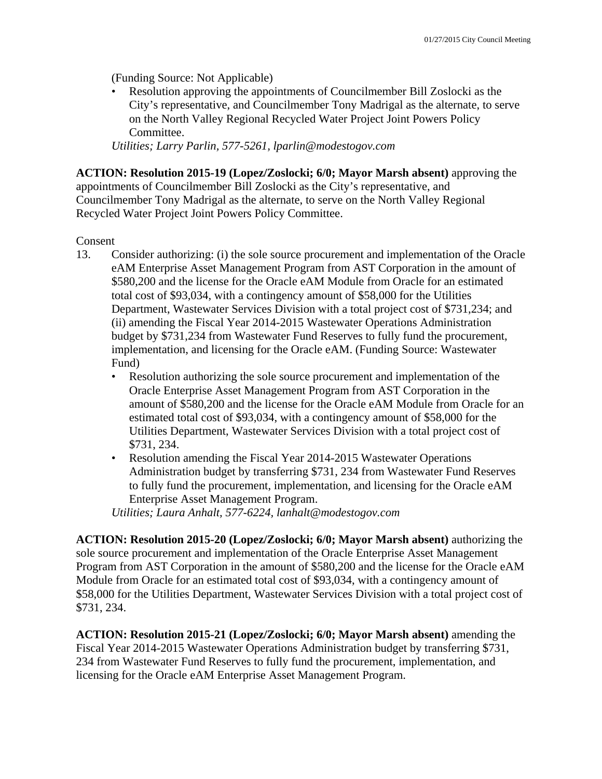(Funding Source: Not Applicable)

• Resolution approving the appointments of Councilmember Bill Zoslocki as the City's representative, and Councilmember Tony Madrigal as the alternate, to serve on the North Valley Regional Recycled Water Project Joint Powers Policy Committee.

*Utilities; Larry Parlin, 577-5261, lparlin@modestogov.com* 

**ACTION: Resolution 2015-19 (Lopez/Zoslocki; 6/0; Mayor Marsh absent)** approving the appointments of Councilmember Bill Zoslocki as the City's representative, and Councilmember Tony Madrigal as the alternate, to serve on the North Valley Regional Recycled Water Project Joint Powers Policy Committee.

Consent

- 13. Consider authorizing: (i) the sole source procurement and implementation of the Oracle eAM Enterprise Asset Management Program from AST Corporation in the amount of \$580,200 and the license for the Oracle eAM Module from Oracle for an estimated total cost of \$93,034, with a contingency amount of \$58,000 for the Utilities Department, Wastewater Services Division with a total project cost of \$731,234; and (ii) amending the Fiscal Year 2014-2015 Wastewater Operations Administration budget by \$731,234 from Wastewater Fund Reserves to fully fund the procurement, implementation, and licensing for the Oracle eAM. (Funding Source: Wastewater Fund)
	- Resolution authorizing the sole source procurement and implementation of the Oracle Enterprise Asset Management Program from AST Corporation in the amount of \$580,200 and the license for the Oracle eAM Module from Oracle for an estimated total cost of \$93,034, with a contingency amount of \$58,000 for the Utilities Department, Wastewater Services Division with a total project cost of \$731, 234.
	- Resolution amending the Fiscal Year 2014-2015 Wastewater Operations Administration budget by transferring \$731, 234 from Wastewater Fund Reserves to fully fund the procurement, implementation, and licensing for the Oracle eAM Enterprise Asset Management Program.

*Utilities; Laura Anhalt, 577-6224, lanhalt@modestogov.com* 

**ACTION: Resolution 2015-20 (Lopez/Zoslocki; 6/0; Mayor Marsh absent)** authorizing the sole source procurement and implementation of the Oracle Enterprise Asset Management Program from AST Corporation in the amount of \$580,200 and the license for the Oracle eAM Module from Oracle for an estimated total cost of \$93,034, with a contingency amount of \$58,000 for the Utilities Department, Wastewater Services Division with a total project cost of \$731, 234.

**ACTION: Resolution 2015-21 (Lopez/Zoslocki; 6/0; Mayor Marsh absent)** amending the Fiscal Year 2014-2015 Wastewater Operations Administration budget by transferring \$731, 234 from Wastewater Fund Reserves to fully fund the procurement, implementation, and licensing for the Oracle eAM Enterprise Asset Management Program.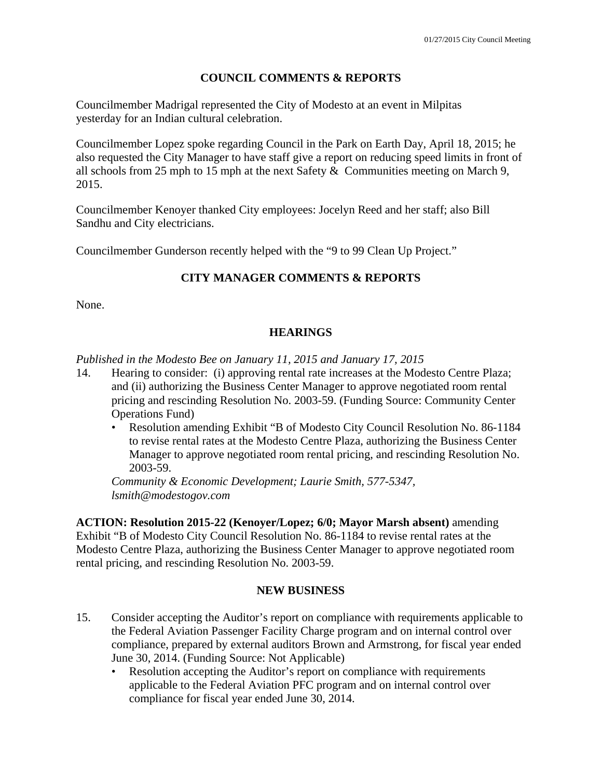# **COUNCIL COMMENTS & REPORTS**

Councilmember Madrigal represented the City of Modesto at an event in Milpitas yesterday for an Indian cultural celebration.

Councilmember Lopez spoke regarding Council in the Park on Earth Day, April 18, 2015; he also requested the City Manager to have staff give a report on reducing speed limits in front of all schools from 25 mph to 15 mph at the next Safety & Communities meeting on March 9, 2015.

Councilmember Kenoyer thanked City employees: Jocelyn Reed and her staff; also Bill Sandhu and City electricians.

Councilmember Gunderson recently helped with the "9 to 99 Clean Up Project."

# **CITY MANAGER COMMENTS & REPORTS**

None.

# **HEARINGS**

*Published in the Modesto Bee on January 11, 2015 and January 17, 2015* 

- 14. Hearing to consider: (i) approving rental rate increases at the Modesto Centre Plaza; and (ii) authorizing the Business Center Manager to approve negotiated room rental pricing and rescinding Resolution No. 2003-59. (Funding Source: Community Center Operations Fund)
	- Resolution amending Exhibit "B of Modesto City Council Resolution No. 86-1184 to revise rental rates at the Modesto Centre Plaza, authorizing the Business Center Manager to approve negotiated room rental pricing, and rescinding Resolution No. 2003-59.

*Community & Economic Development; Laurie Smith, 577-5347, lsmith@modestogov.com* 

**ACTION: Resolution 2015-22 (Kenoyer/Lopez; 6/0; Mayor Marsh absent)** amending Exhibit "B of Modesto City Council Resolution No. 86-1184 to revise rental rates at the Modesto Centre Plaza, authorizing the Business Center Manager to approve negotiated room rental pricing, and rescinding Resolution No. 2003-59.

### **NEW BUSINESS**

- 15. Consider accepting the Auditor's report on compliance with requirements applicable to the Federal Aviation Passenger Facility Charge program and on internal control over compliance, prepared by external auditors Brown and Armstrong, for fiscal year ended June 30, 2014. (Funding Source: Not Applicable)
	- Resolution accepting the Auditor's report on compliance with requirements applicable to the Federal Aviation PFC program and on internal control over compliance for fiscal year ended June 30, 2014.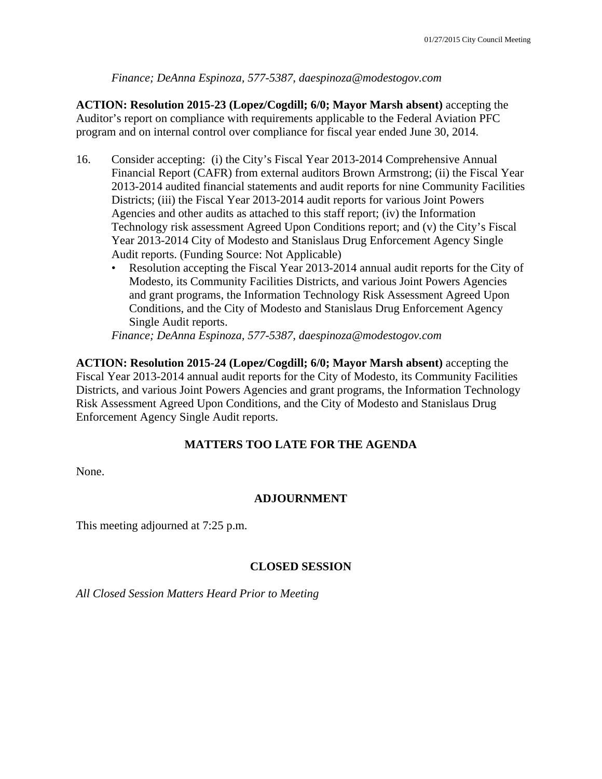# *Finance; DeAnna Espinoza, 577-5387, daespinoza@modestogov.com*

**ACTION: Resolution 2015-23 (Lopez/Cogdill; 6/0; Mayor Marsh absent)** accepting the Auditor's report on compliance with requirements applicable to the Federal Aviation PFC program and on internal control over compliance for fiscal year ended June 30, 2014.

- 16. Consider accepting: (i) the City's Fiscal Year 2013-2014 Comprehensive Annual Financial Report (CAFR) from external auditors Brown Armstrong; (ii) the Fiscal Year 2013-2014 audited financial statements and audit reports for nine Community Facilities Districts; (iii) the Fiscal Year 2013-2014 audit reports for various Joint Powers Agencies and other audits as attached to this staff report; (iv) the Information Technology risk assessment Agreed Upon Conditions report; and (v) the City's Fiscal Year 2013-2014 City of Modesto and Stanislaus Drug Enforcement Agency Single Audit reports. (Funding Source: Not Applicable)
	- Resolution accepting the Fiscal Year 2013-2014 annual audit reports for the City of Modesto, its Community Facilities Districts, and various Joint Powers Agencies and grant programs, the Information Technology Risk Assessment Agreed Upon Conditions, and the City of Modesto and Stanislaus Drug Enforcement Agency Single Audit reports.

*Finance; DeAnna Espinoza, 577-5387, daespinoza@modestogov.com* 

**ACTION: Resolution 2015-24 (Lopez/Cogdill; 6/0; Mayor Marsh absent)** accepting the Fiscal Year 2013-2014 annual audit reports for the City of Modesto, its Community Facilities Districts, and various Joint Powers Agencies and grant programs, the Information Technology Risk Assessment Agreed Upon Conditions, and the City of Modesto and Stanislaus Drug Enforcement Agency Single Audit reports.

# **MATTERS TOO LATE FOR THE AGENDA**

None.

# **ADJOURNMENT**

This meeting adjourned at 7:25 p.m.

# **CLOSED SESSION**

*All Closed Session Matters Heard Prior to Meeting*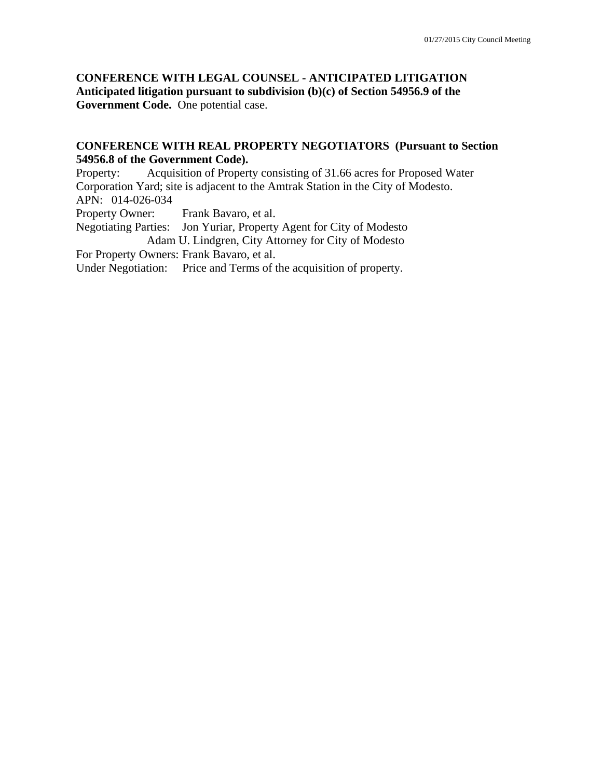**CONFERENCE WITH LEGAL COUNSEL - ANTICIPATED LITIGATION Anticipated litigation pursuant to subdivision (b)(c) of Section 54956.9 of the Government Code.** One potential case.

### **CONFERENCE WITH REAL PROPERTY NEGOTIATORS (Pursuant to Section 54956.8 of the Government Code).**

Property: Acquisition of Property consisting of 31.66 acres for Proposed Water Corporation Yard; site is adjacent to the Amtrak Station in the City of Modesto. APN: 014-026-034 Property Owner: Frank Bavaro, et al. Negotiating Parties: Jon Yuriar, Property Agent for City of Modesto Adam U. Lindgren, City Attorney for City of Modesto For Property Owners: Frank Bavaro, et al.

Under Negotiation: Price and Terms of the acquisition of property.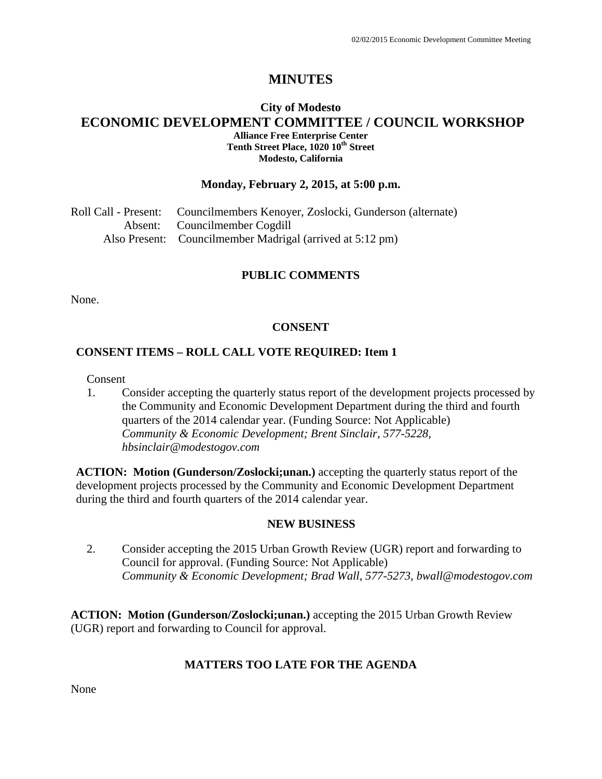# **MINUTES**

### **City of Modesto ECONOMIC DEVELOPMENT COMMITTEE / COUNCIL WORKSHOP Alliance Free Enterprise Center**  Tenth Street Place, 1020 10<sup>th</sup> Street **Modesto, California**

### **Monday, February 2, 2015, at 5:00 p.m.**

| Roll Call - Present: Councilmembers Kenoyer, Zoslocki, Gunderson (alternate) |
|------------------------------------------------------------------------------|
| Absent: Councilmember Cogdill                                                |
| Also Present: Councilmember Madrigal (arrived at 5:12 pm)                    |

#### **PUBLIC COMMENTS**

None.

# **CONSENT**

### **CONSENT ITEMS – ROLL CALL VOTE REQUIRED: Item 1**

Consent

1. Consider accepting the quarterly status report of the development projects processed by the Community and Economic Development Department during the third and fourth quarters of the 2014 calendar year. (Funding Source: Not Applicable)  *Community & Economic Development; Brent Sinclair, 577-5228, hbsinclair@modestogov.com* 

**ACTION: Motion (Gunderson/Zoslocki;unan.)** accepting the quarterly status report of the development projects processed by the Community and Economic Development Department during the third and fourth quarters of the 2014 calendar year.

#### **NEW BUSINESS**

2. Consider accepting the 2015 Urban Growth Review (UGR) report and forwarding to Council for approval. (Funding Source: Not Applicable)  *Community & Economic Development; Brad Wall, 577-5273, bwall@modestogov.com* 

**ACTION: Motion (Gunderson/Zoslocki;unan.)** accepting the 2015 Urban Growth Review (UGR) report and forwarding to Council for approval.

### **MATTERS TOO LATE FOR THE AGENDA**

None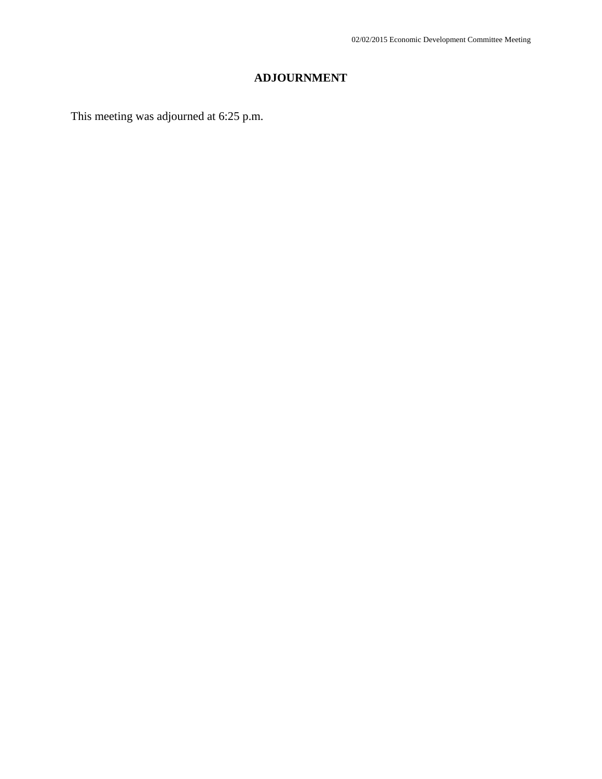# **ADJOURNMENT**

This meeting was adjourned at 6:25 p.m.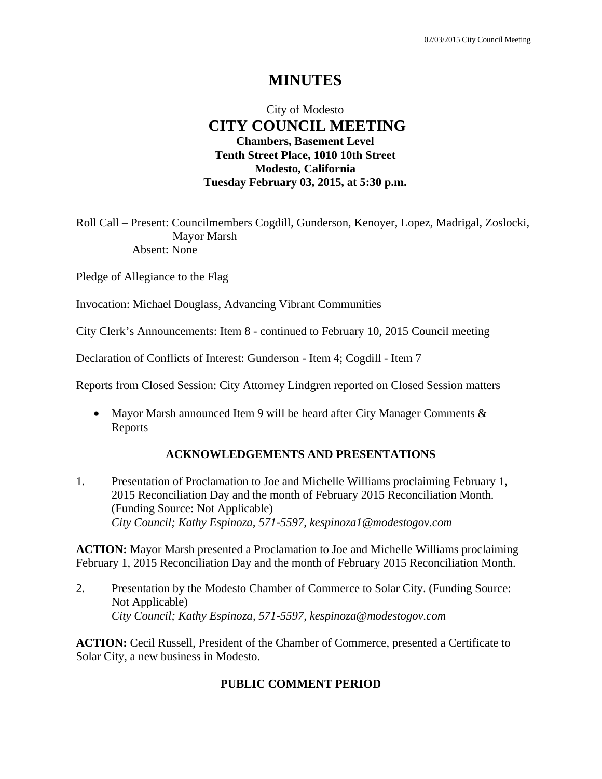# **MINUTES**

# City of Modesto  **CITY COUNCIL MEETING Chambers, Basement Level Tenth Street Place, 1010 10th Street Modesto, California Tuesday February 03, 2015, at 5:30 p.m.**

Roll Call – Present: Councilmembers Cogdill, Gunderson, Kenoyer, Lopez, Madrigal, Zoslocki, Mayor Marsh Absent: None

Pledge of Allegiance to the Flag

Invocation: Michael Douglass, Advancing Vibrant Communities

City Clerk's Announcements: Item 8 - continued to February 10, 2015 Council meeting

Declaration of Conflicts of Interest: Gunderson - Item 4; Cogdill - Item 7

Reports from Closed Session: City Attorney Lindgren reported on Closed Session matters

• Mayor Marsh announced Item 9 will be heard after City Manager Comments & Reports

### **ACKNOWLEDGEMENTS AND PRESENTATIONS**

1. Presentation of Proclamation to Joe and Michelle Williams proclaiming February 1, 2015 Reconciliation Day and the month of February 2015 Reconciliation Month. (Funding Source: Not Applicable)  *City Council; Kathy Espinoza, 571-5597, kespinoza1@modestogov.com* 

**ACTION:** Mayor Marsh presented a Proclamation to Joe and Michelle Williams proclaiming February 1, 2015 Reconciliation Day and the month of February 2015 Reconciliation Month.

2. Presentation by the Modesto Chamber of Commerce to Solar City. (Funding Source: Not Applicable)  *City Council; Kathy Espinoza, 571-5597, kespinoza@modestogov.com* 

**ACTION:** Cecil Russell, President of the Chamber of Commerce, presented a Certificate to Solar City, a new business in Modesto.

### **PUBLIC COMMENT PERIOD**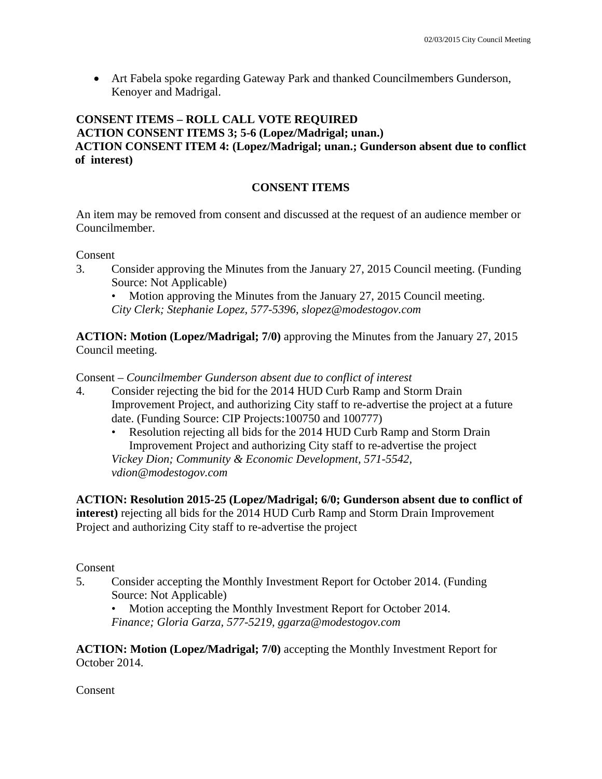Art Fabela spoke regarding Gateway Park and thanked Councilmembers Gunderson, Kenoyer and Madrigal.

# **CONSENT ITEMS – ROLL CALL VOTE REQUIRED ACTION CONSENT ITEMS 3; 5-6 (Lopez/Madrigal; unan.) ACTION CONSENT ITEM 4: (Lopez/Madrigal; unan.; Gunderson absent due to conflict of interest)**

# **CONSENT ITEMS**

An item may be removed from consent and discussed at the request of an audience member or Councilmember.

Consent

3. Consider approving the Minutes from the January 27, 2015 Council meeting. (Funding Source: Not Applicable)

Motion approving the Minutes from the January 27, 2015 Council meeting.

*City Clerk; Stephanie Lopez, 577-5396, slopez@modestogov.com* 

**ACTION: Motion (Lopez/Madrigal; 7/0)** approving the Minutes from the January 27, 2015 Council meeting.

Consent – *Councilmember Gunderson absent due to conflict of interest* 

- 4. Consider rejecting the bid for the 2014 HUD Curb Ramp and Storm Drain Improvement Project, and authorizing City staff to re-advertise the project at a future date. (Funding Source: CIP Projects:100750 and 100777)
	- Resolution rejecting all bids for the 2014 HUD Curb Ramp and Storm Drain Improvement Project and authorizing City staff to re-advertise the project *Vickey Dion; Community & Economic Development, 571-5542, vdion@modestogov.com*

**ACTION: Resolution 2015-25 (Lopez/Madrigal; 6/0; Gunderson absent due to conflict of interest)** rejecting all bids for the 2014 HUD Curb Ramp and Storm Drain Improvement Project and authorizing City staff to re-advertise the project

Consent

- 5. Consider accepting the Monthly Investment Report for October 2014. (Funding Source: Not Applicable)
	- Motion accepting the Monthly Investment Report for October 2014.

*Finance; Gloria Garza, 577-5219, ggarza@modestogov.com* 

**ACTION: Motion (Lopez/Madrigal; 7/0)** accepting the Monthly Investment Report for October 2014.

Consent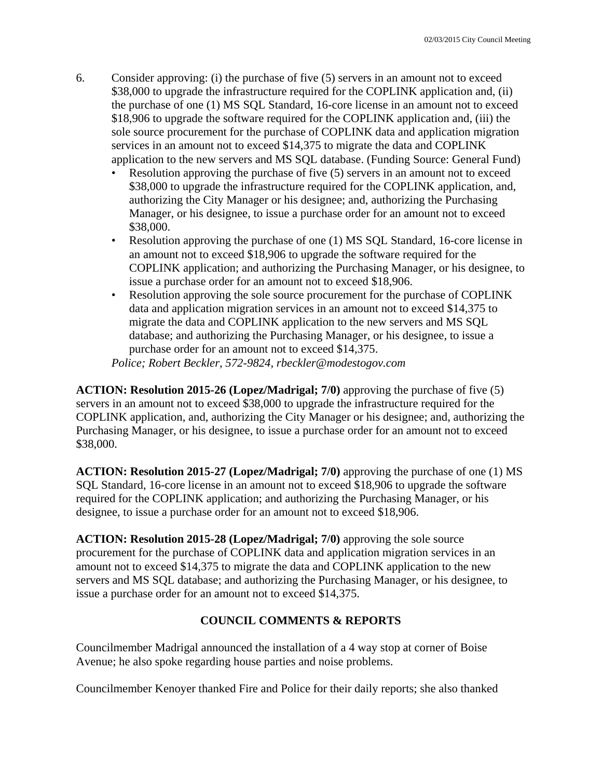- 6. Consider approving: (i) the purchase of five (5) servers in an amount not to exceed \$38,000 to upgrade the infrastructure required for the COPLINK application and, (ii) the purchase of one (1) MS SQL Standard, 16-core license in an amount not to exceed \$18,906 to upgrade the software required for the COPLINK application and, (iii) the sole source procurement for the purchase of COPLINK data and application migration services in an amount not to exceed \$14,375 to migrate the data and COPLINK application to the new servers and MS SQL database. (Funding Source: General Fund)
	- Resolution approving the purchase of five (5) servers in an amount not to exceed \$38,000 to upgrade the infrastructure required for the COPLINK application, and, authorizing the City Manager or his designee; and, authorizing the Purchasing Manager, or his designee, to issue a purchase order for an amount not to exceed \$38,000.
	- Resolution approving the purchase of one (1) MS SQL Standard, 16-core license in an amount not to exceed \$18,906 to upgrade the software required for the COPLINK application; and authorizing the Purchasing Manager, or his designee, to issue a purchase order for an amount not to exceed \$18,906.
	- Resolution approving the sole source procurement for the purchase of COPLINK data and application migration services in an amount not to exceed \$14,375 to migrate the data and COPLINK application to the new servers and MS SQL database; and authorizing the Purchasing Manager, or his designee, to issue a purchase order for an amount not to exceed \$14,375.

*Police; Robert Beckler, 572-9824, rbeckler@modestogov.com* 

**ACTION: Resolution 2015-26 (Lopez/Madrigal; 7/0)** approving the purchase of five (5) servers in an amount not to exceed \$38,000 to upgrade the infrastructure required for the COPLINK application, and, authorizing the City Manager or his designee; and, authorizing the Purchasing Manager, or his designee, to issue a purchase order for an amount not to exceed \$38,000.

**ACTION: Resolution 2015-27 (Lopez/Madrigal; 7/0)** approving the purchase of one (1) MS SQL Standard, 16-core license in an amount not to exceed \$18,906 to upgrade the software required for the COPLINK application; and authorizing the Purchasing Manager, or his designee, to issue a purchase order for an amount not to exceed \$18,906.

**ACTION: Resolution 2015-28 (Lopez/Madrigal; 7/0)** approving the sole source procurement for the purchase of COPLINK data and application migration services in an amount not to exceed \$14,375 to migrate the data and COPLINK application to the new servers and MS SQL database; and authorizing the Purchasing Manager, or his designee, to issue a purchase order for an amount not to exceed \$14,375.

### **COUNCIL COMMENTS & REPORTS**

Councilmember Madrigal announced the installation of a 4 way stop at corner of Boise Avenue; he also spoke regarding house parties and noise problems.

Councilmember Kenoyer thanked Fire and Police for their daily reports; she also thanked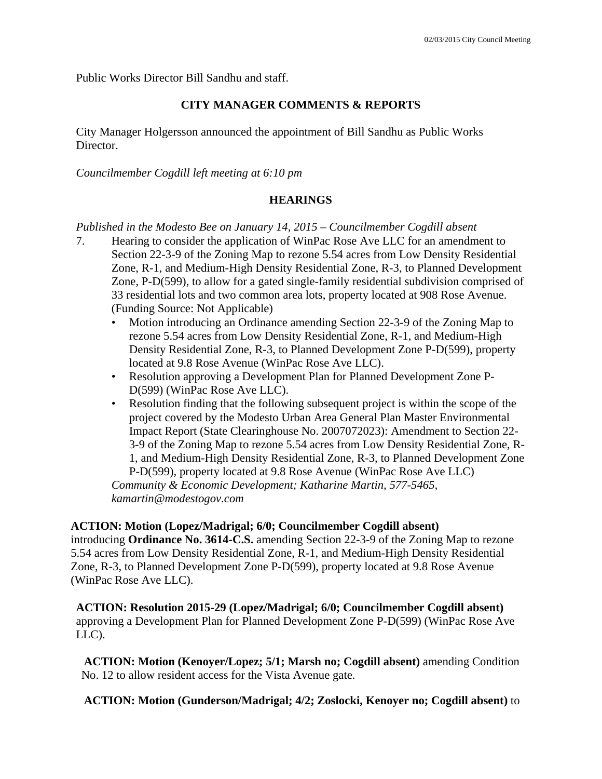Public Works Director Bill Sandhu and staff.

#### **CITY MANAGER COMMENTS & REPORTS**

City Manager Holgersson announced the appointment of Bill Sandhu as Public Works Director.

*Councilmember Cogdill left meeting at 6:10 pm* 

#### **HEARINGS**

*Published in the Modesto Bee on January 14, 2015 – Councilmember Cogdill absent* 

- 7. Hearing to consider the application of WinPac Rose Ave LLC for an amendment to Section 22-3-9 of the Zoning Map to rezone 5.54 acres from Low Density Residential Zone, R-1, and Medium-High Density Residential Zone, R-3, to Planned Development Zone, P-D(599), to allow for a gated single-family residential subdivision comprised of 33 residential lots and two common area lots, property located at 908 Rose Avenue. (Funding Source: Not Applicable)
	- Motion introducing an Ordinance amending Section 22-3-9 of the Zoning Map to rezone 5.54 acres from Low Density Residential Zone, R-1, and Medium-High Density Residential Zone, R-3, to Planned Development Zone P-D(599), property located at 9.8 Rose Avenue (WinPac Rose Ave LLC).
	- Resolution approving a Development Plan for Planned Development Zone P-D(599) (WinPac Rose Ave LLC).
	- Resolution finding that the following subsequent project is within the scope of the project covered by the Modesto Urban Area General Plan Master Environmental Impact Report (State Clearinghouse No. 2007072023): Amendment to Section 22- 3-9 of the Zoning Map to rezone 5.54 acres from Low Density Residential Zone, R-1, and Medium-High Density Residential Zone, R-3, to Planned Development Zone P-D(599), property located at 9.8 Rose Avenue (WinPac Rose Ave LLC)

*Community & Economic Development; Katharine Martin, 577-5465, kamartin@modestogov.com* 

#### **ACTION: Motion (Lopez/Madrigal; 6/0; Councilmember Cogdill absent)**

introducing **Ordinance No. 3614-C.S.** amending Section 22-3-9 of the Zoning Map to rezone 5.54 acres from Low Density Residential Zone, R-1, and Medium-High Density Residential Zone, R-3, to Planned Development Zone P-D(599), property located at 9.8 Rose Avenue (WinPac Rose Ave LLC).

**ACTION: Resolution 2015-29 (Lopez/Madrigal; 6/0; Councilmember Cogdill absent)** approving a Development Plan for Planned Development Zone P-D(599) (WinPac Rose Ave LLC).

**ACTION: Motion (Kenoyer/Lopez; 5/1; Marsh no; Cogdill absent)** amending Condition No. 12 to allow resident access for the Vista Avenue gate.

**ACTION: Motion (Gunderson/Madrigal; 4/2; Zoslocki, Kenoyer no; Cogdill absent)** to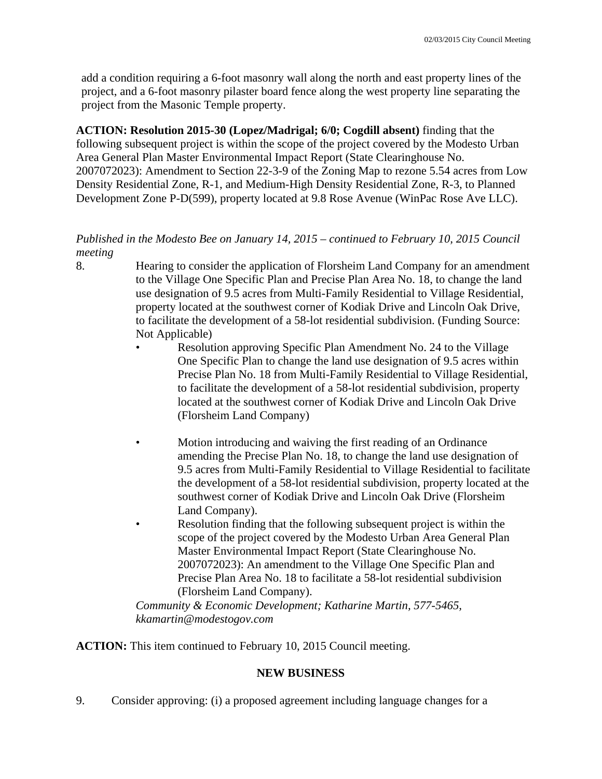add a condition requiring a 6-foot masonry wall along the north and east property lines of the project, and a 6-foot masonry pilaster board fence along the west property line separating the project from the Masonic Temple property.

**ACTION: Resolution 2015-30 (Lopez/Madrigal; 6/0; Cogdill absent)** finding that the following subsequent project is within the scope of the project covered by the Modesto Urban Area General Plan Master Environmental Impact Report (State Clearinghouse No. 2007072023): Amendment to Section 22-3-9 of the Zoning Map to rezone 5.54 acres from Low Density Residential Zone, R-1, and Medium-High Density Residential Zone, R-3, to Planned Development Zone P-D(599), property located at 9.8 Rose Avenue (WinPac Rose Ave LLC).

# *Published in the Modesto Bee on January 14, 2015 – continued to February 10, 2015 Council meeting*

8. Hearing to consider the application of Florsheim Land Company for an amendment to the Village One Specific Plan and Precise Plan Area No. 18, to change the land use designation of 9.5 acres from Multi-Family Residential to Village Residential, property located at the southwest corner of Kodiak Drive and Lincoln Oak Drive, to facilitate the development of a 58-lot residential subdivision. (Funding Source: Not Applicable)

- Resolution approving Specific Plan Amendment No. 24 to the Village One Specific Plan to change the land use designation of 9.5 acres within Precise Plan No. 18 from Multi-Family Residential to Village Residential, to facilitate the development of a 58-lot residential subdivision, property located at the southwest corner of Kodiak Drive and Lincoln Oak Drive (Florsheim Land Company)
- Motion introducing and waiving the first reading of an Ordinance amending the Precise Plan No. 18, to change the land use designation of 9.5 acres from Multi-Family Residential to Village Residential to facilitate the development of a 58-lot residential subdivision, property located at the southwest corner of Kodiak Drive and Lincoln Oak Drive (Florsheim Land Company).
	- Resolution finding that the following subsequent project is within the scope of the project covered by the Modesto Urban Area General Plan Master Environmental Impact Report (State Clearinghouse No. 2007072023): An amendment to the Village One Specific Plan and Precise Plan Area No. 18 to facilitate a 58-lot residential subdivision (Florsheim Land Company).

*Community & Economic Development; Katharine Martin, 577-5465, kkamartin@modestogov.com* 

**ACTION:** This item continued to February 10, 2015 Council meeting.

# **NEW BUSINESS**

9. Consider approving: (i) a proposed agreement including language changes for a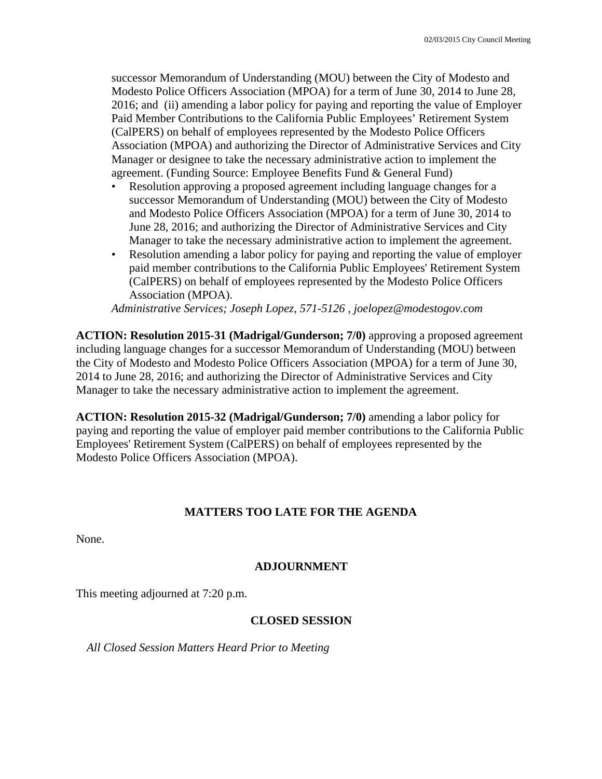successor Memorandum of Understanding (MOU) between the City of Modesto and Modesto Police Officers Association (MPOA) for a term of June 30, 2014 to June 28, 2016; and (ii) amending a labor policy for paying and reporting the value of Employer Paid Member Contributions to the California Public Employees' Retirement System (CalPERS) on behalf of employees represented by the Modesto Police Officers Association (MPOA) and authorizing the Director of Administrative Services and City Manager or designee to take the necessary administrative action to implement the agreement. (Funding Source: Employee Benefits Fund & General Fund)

- Resolution approving a proposed agreement including language changes for a successor Memorandum of Understanding (MOU) between the City of Modesto and Modesto Police Officers Association (MPOA) for a term of June 30, 2014 to June 28, 2016; and authorizing the Director of Administrative Services and City Manager to take the necessary administrative action to implement the agreement.
- Resolution amending a labor policy for paying and reporting the value of employer paid member contributions to the California Public Employees' Retirement System (CalPERS) on behalf of employees represented by the Modesto Police Officers Association (MPOA).

*Administrative Services; Joseph Lopez, 571-5126 , joelopez@modestogov.com* 

**ACTION: Resolution 2015-31 (Madrigal/Gunderson; 7/0)** approving a proposed agreement including language changes for a successor Memorandum of Understanding (MOU) between the City of Modesto and Modesto Police Officers Association (MPOA) for a term of June 30, 2014 to June 28, 2016; and authorizing the Director of Administrative Services and City Manager to take the necessary administrative action to implement the agreement.

**ACTION: Resolution 2015-32 (Madrigal/Gunderson; 7/0)** amending a labor policy for paying and reporting the value of employer paid member contributions to the California Public Employees' Retirement System (CalPERS) on behalf of employees represented by the Modesto Police Officers Association (MPOA).

### **MATTERS TOO LATE FOR THE AGENDA**

None.

### **ADJOURNMENT**

This meeting adjourned at 7:20 p.m.

### **CLOSED SESSION**

*All Closed Session Matters Heard Prior to Meeting*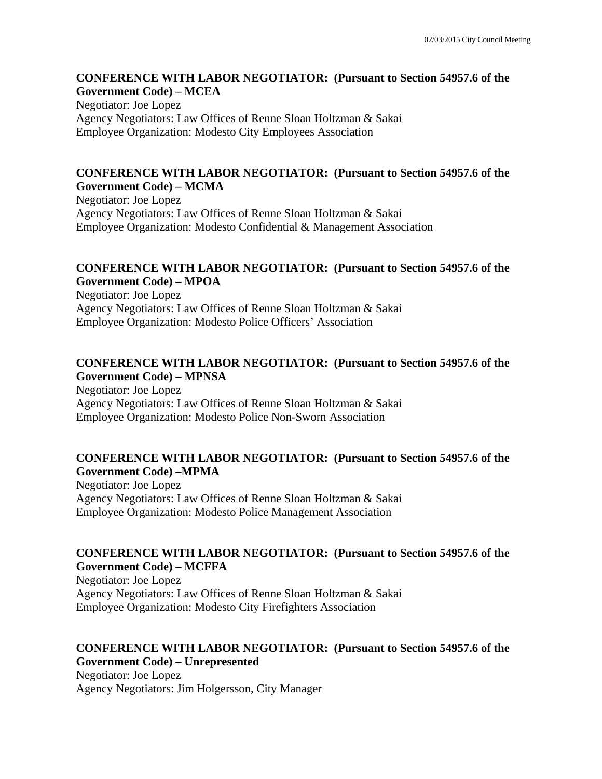#### **CONFERENCE WITH LABOR NEGOTIATOR: (Pursuant to Section 54957.6 of the Government Code) – MCEA**

Negotiator: Joe Lopez Agency Negotiators: Law Offices of Renne Sloan Holtzman & Sakai Employee Organization: Modesto City Employees Association

### **CONFERENCE WITH LABOR NEGOTIATOR: (Pursuant to Section 54957.6 of the Government Code) – MCMA**

Negotiator: Joe Lopez Agency Negotiators: Law Offices of Renne Sloan Holtzman & Sakai Employee Organization: Modesto Confidential & Management Association

# **CONFERENCE WITH LABOR NEGOTIATOR: (Pursuant to Section 54957.6 of the Government Code) – MPOA**

Negotiator: Joe Lopez Agency Negotiators: Law Offices of Renne Sloan Holtzman & Sakai Employee Organization: Modesto Police Officers' Association

# **CONFERENCE WITH LABOR NEGOTIATOR: (Pursuant to Section 54957.6 of the Government Code) – MPNSA**

Negotiator: Joe Lopez Agency Negotiators: Law Offices of Renne Sloan Holtzman & Sakai Employee Organization: Modesto Police Non-Sworn Association

# **CONFERENCE WITH LABOR NEGOTIATOR: (Pursuant to Section 54957.6 of the Government Code) –MPMA**

Negotiator: Joe Lopez Agency Negotiators: Law Offices of Renne Sloan Holtzman & Sakai Employee Organization: Modesto Police Management Association

# **CONFERENCE WITH LABOR NEGOTIATOR: (Pursuant to Section 54957.6 of the Government Code) – MCFFA**

Negotiator: Joe Lopez Agency Negotiators: Law Offices of Renne Sloan Holtzman & Sakai Employee Organization: Modesto City Firefighters Association

# **CONFERENCE WITH LABOR NEGOTIATOR: (Pursuant to Section 54957.6 of the Government Code) – Unrepresented**

Negotiator: Joe Lopez Agency Negotiators: Jim Holgersson, City Manager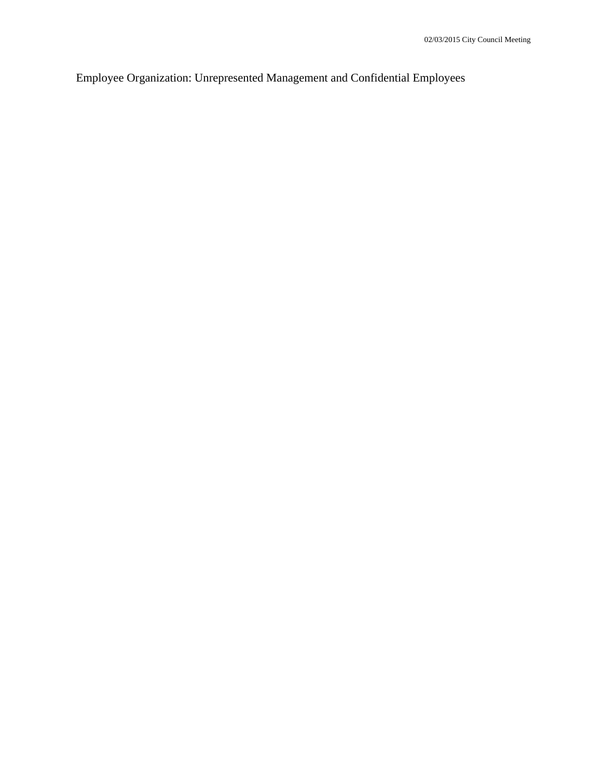Employee Organization: Unrepresented Management and Confidential Employees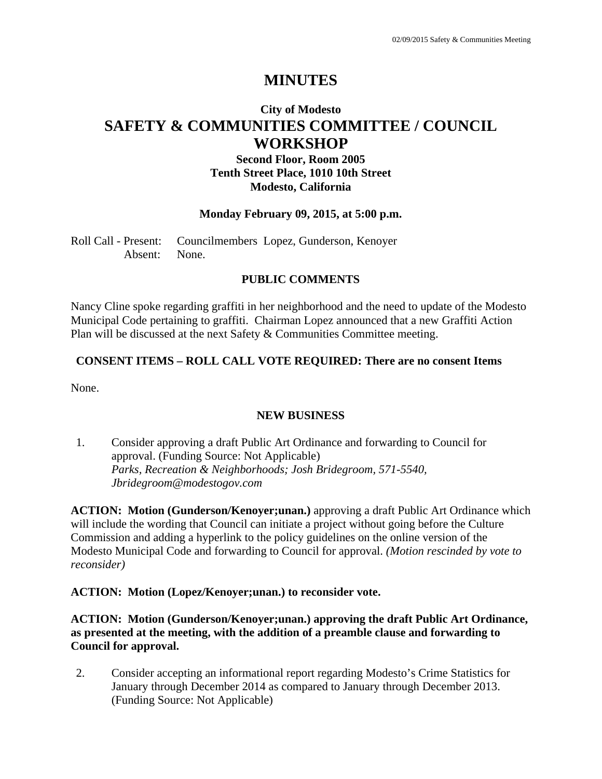# **MINUTES**

# **City of Modesto SAFETY & COMMUNITIES COMMITTEE / COUNCIL WORKSHOP**

# **Second Floor, Room 2005 Tenth Street Place, 1010 10th Street Modesto, California**

#### **Monday February 09, 2015, at 5:00 p.m.**

Roll Call - Present: Councilmembers Lopez, Gunderson, Kenoyer Absent: None.

#### **PUBLIC COMMENTS**

Nancy Cline spoke regarding graffiti in her neighborhood and the need to update of the Modesto Municipal Code pertaining to graffiti. Chairman Lopez announced that a new Graffiti Action Plan will be discussed at the next Safety & Communities Committee meeting.

#### **CONSENT ITEMS – ROLL CALL VOTE REQUIRED: There are no consent Items**

None.

### **NEW BUSINESS**

1. Consider approving a draft Public Art Ordinance and forwarding to Council for approval. (Funding Source: Not Applicable)  *Parks, Recreation & Neighborhoods; Josh Bridegroom, 571-5540, Jbridegroom@modestogov.com* 

**ACTION: Motion (Gunderson/Kenoyer;unan.)** approving a draft Public Art Ordinance which will include the wording that Council can initiate a project without going before the Culture Commission and adding a hyperlink to the policy guidelines on the online version of the Modesto Municipal Code and forwarding to Council for approval. *(Motion rescinded by vote to reconsider)* 

#### **ACTION: Motion (Lopez/Kenoyer;unan.) to reconsider vote.**

**ACTION: Motion (Gunderson/Kenoyer;unan.) approving the draft Public Art Ordinance, as presented at the meeting, with the addition of a preamble clause and forwarding to Council for approval.** 

2. Consider accepting an informational report regarding Modesto's Crime Statistics for January through December 2014 as compared to January through December 2013. (Funding Source: Not Applicable)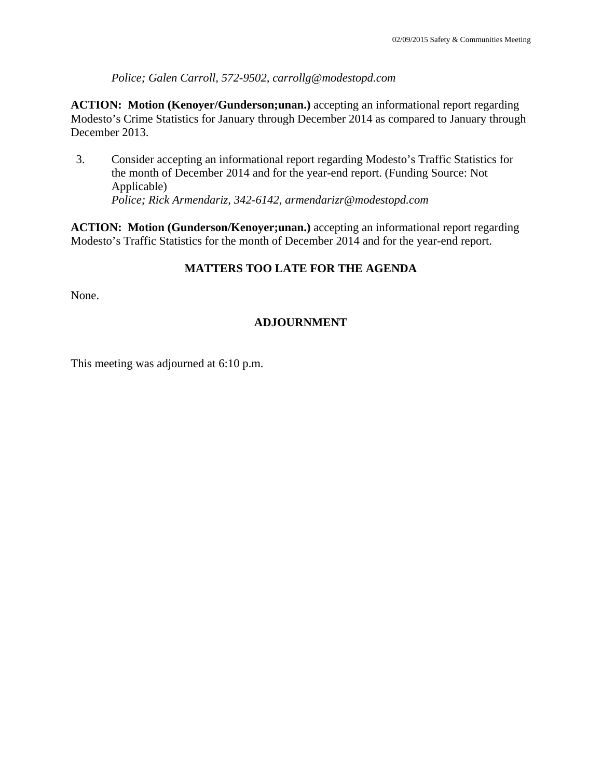*Police; Galen Carroll, 572-9502, carrollg@modestopd.com* 

**ACTION: Motion (Kenoyer/Gunderson;unan.)** accepting an informational report regarding Modesto's Crime Statistics for January through December 2014 as compared to January through December 2013.

3. Consider accepting an informational report regarding Modesto's Traffic Statistics for the month of December 2014 and for the year-end report. (Funding Source: Not Applicable)  *Police; Rick Armendariz, 342-6142, armendarizr@modestopd.com* 

**ACTION: Motion (Gunderson/Kenoyer;unan.)** accepting an informational report regarding Modesto's Traffic Statistics for the month of December 2014 and for the year-end report.

# **MATTERS TOO LATE FOR THE AGENDA**

None.

# **ADJOURNMENT**

This meeting was adjourned at 6:10 p.m.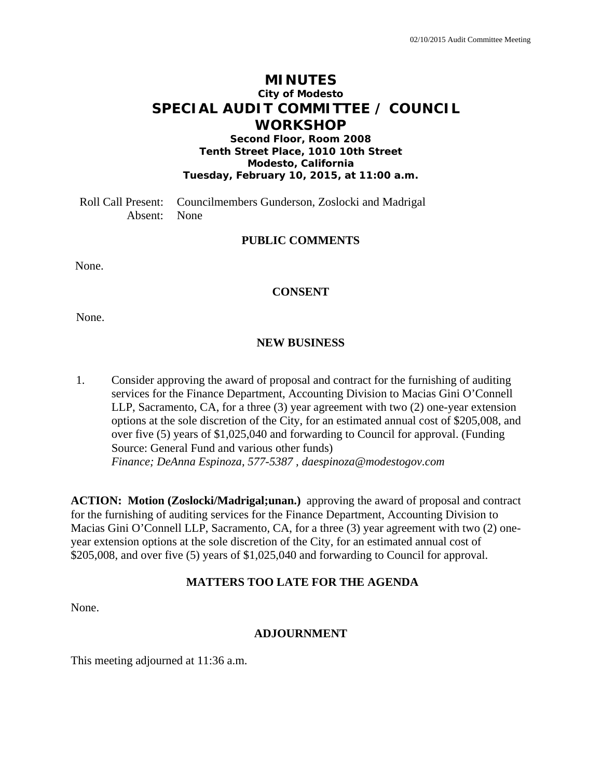# **MINUTES City of Modesto SPECIAL AUDIT COMMITTEE / COUNCIL WORKSHOP**

**Second Floor, Room 2008 Tenth Street Place, 1010 10th Street Modesto, California Tuesday, February 10, 2015, at 11:00 a.m.** 

Roll Call Present: Councilmembers Gunderson, Zoslocki and Madrigal Absent: None

# **PUBLIC COMMENTS**

None.

### **CONSENT**

None.

#### **NEW BUSINESS**

1. Consider approving the award of proposal and contract for the furnishing of auditing services for the Finance Department, Accounting Division to Macias Gini O'Connell LLP, Sacramento, CA, for a three (3) year agreement with two (2) one-year extension options at the sole discretion of the City, for an estimated annual cost of \$205,008, and over five (5) years of \$1,025,040 and forwarding to Council for approval. (Funding Source: General Fund and various other funds)  *Finance; DeAnna Espinoza, 577-5387 , daespinoza@modestogov.com* 

**ACTION: Motion (Zoslocki/Madrigal;unan.)** approving the award of proposal and contract for the furnishing of auditing services for the Finance Department, Accounting Division to Macias Gini O'Connell LLP, Sacramento, CA, for a three (3) year agreement with two (2) oneyear extension options at the sole discretion of the City, for an estimated annual cost of \$205,008, and over five (5) years of \$1,025,040 and forwarding to Council for approval.

### **MATTERS TOO LATE FOR THE AGENDA**

None.

#### **ADJOURNMENT**

This meeting adjourned at 11:36 a.m.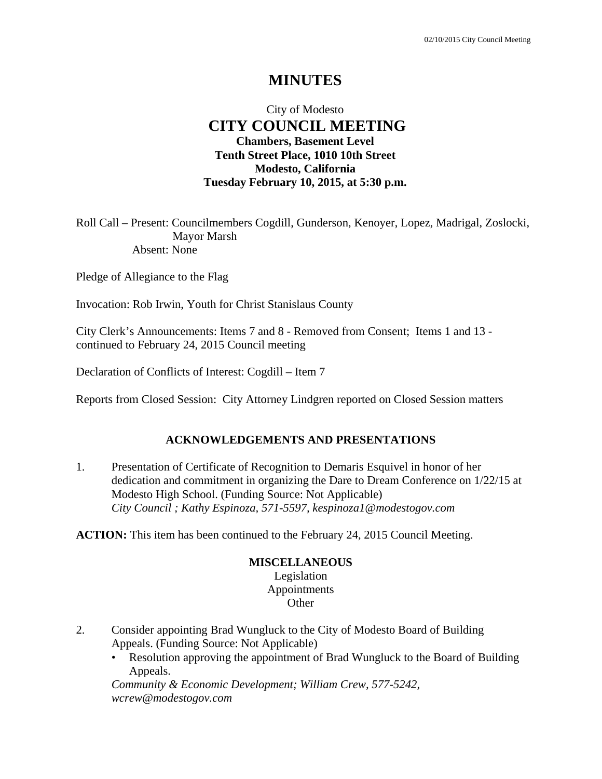# **MINUTES**

# City of Modesto  **CITY COUNCIL MEETING Chambers, Basement Level Tenth Street Place, 1010 10th Street Modesto, California Tuesday February 10, 2015, at 5:30 p.m.**

Roll Call – Present: Councilmembers Cogdill, Gunderson, Kenoyer, Lopez, Madrigal, Zoslocki, Mayor Marsh Absent: None

Pledge of Allegiance to the Flag

Invocation: Rob Irwin, Youth for Christ Stanislaus County

City Clerk's Announcements: Items 7 and 8 - Removed from Consent; Items 1 and 13 continued to February 24, 2015 Council meeting

Declaration of Conflicts of Interest: Cogdill – Item 7

Reports from Closed Session: City Attorney Lindgren reported on Closed Session matters

#### **ACKNOWLEDGEMENTS AND PRESENTATIONS**

1. Presentation of Certificate of Recognition to Demaris Esquivel in honor of her dedication and commitment in organizing the Dare to Dream Conference on 1/22/15 at Modesto High School. (Funding Source: Not Applicable)  *City Council ; Kathy Espinoza, 571-5597, kespinoza1@modestogov.com* 

**ACTION:** This item has been continued to the February 24, 2015 Council Meeting.

### **MISCELLANEOUS**

Legislation Appointments **Other** 

- 2. Consider appointing Brad Wungluck to the City of Modesto Board of Building Appeals. (Funding Source: Not Applicable)
	- Resolution approving the appointment of Brad Wungluck to the Board of Building Appeals.

*Community & Economic Development; William Crew, 577-5242, wcrew@modestogov.com*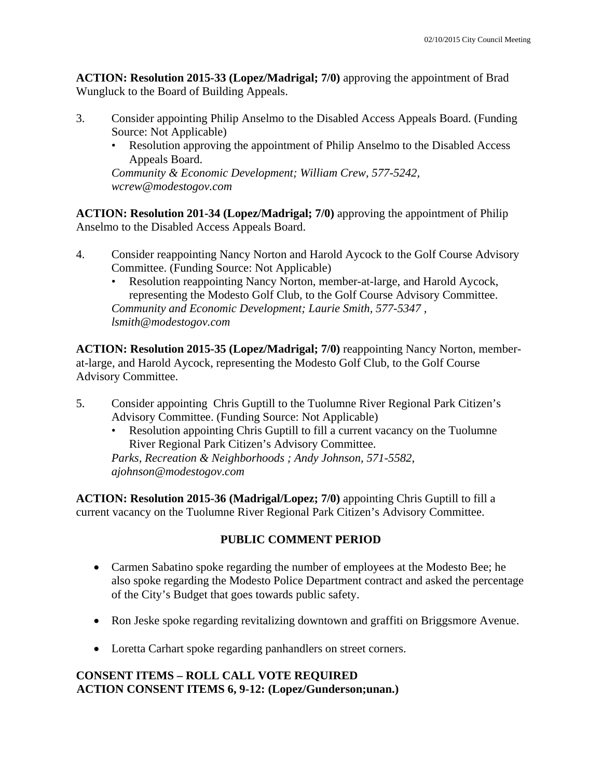**ACTION: Resolution 2015-33 (Lopez/Madrigal; 7/0)** approving the appointment of Brad Wungluck to the Board of Building Appeals.

- 3. Consider appointing Philip Anselmo to the Disabled Access Appeals Board. (Funding Source: Not Applicable)
	- Resolution approving the appointment of Philip Anselmo to the Disabled Access Appeals Board.

*Community & Economic Development; William Crew, 577-5242, wcrew@modestogov.com* 

**ACTION: Resolution 201-34 (Lopez/Madrigal; 7/0)** approving the appointment of Philip Anselmo to the Disabled Access Appeals Board.

- 4. Consider reappointing Nancy Norton and Harold Aycock to the Golf Course Advisory Committee. (Funding Source: Not Applicable)
	- Resolution reappointing Nancy Norton, member-at-large, and Harold Aycock, representing the Modesto Golf Club, to the Golf Course Advisory Committee. *Community and Economic Development; Laurie Smith, 577-5347 , lsmith@modestogov.com*

**ACTION: Resolution 2015-35 (Lopez/Madrigal; 7/0)** reappointing Nancy Norton, memberat-large, and Harold Aycock, representing the Modesto Golf Club, to the Golf Course Advisory Committee.

- 5. Consider appointing Chris Guptill to the Tuolumne River Regional Park Citizen's Advisory Committee. (Funding Source: Not Applicable)
	- Resolution appointing Chris Guptill to fill a current vacancy on the Tuolumne River Regional Park Citizen's Advisory Committee.

*Parks, Recreation & Neighborhoods ; Andy Johnson, 571-5582, ajohnson@modestogov.com* 

**ACTION: Resolution 2015-36 (Madrigal/Lopez; 7/0)** appointing Chris Guptill to fill a current vacancy on the Tuolumne River Regional Park Citizen's Advisory Committee.

# **PUBLIC COMMENT PERIOD**

- Carmen Sabatino spoke regarding the number of employees at the Modesto Bee; he also spoke regarding the Modesto Police Department contract and asked the percentage of the City's Budget that goes towards public safety.
- Ron Jeske spoke regarding revitalizing downtown and graffiti on Briggsmore Avenue.
- Loretta Carhart spoke regarding panhandlers on street corners.

# **CONSENT ITEMS – ROLL CALL VOTE REQUIRED ACTION CONSENT ITEMS 6, 9-12: (Lopez/Gunderson;unan.)**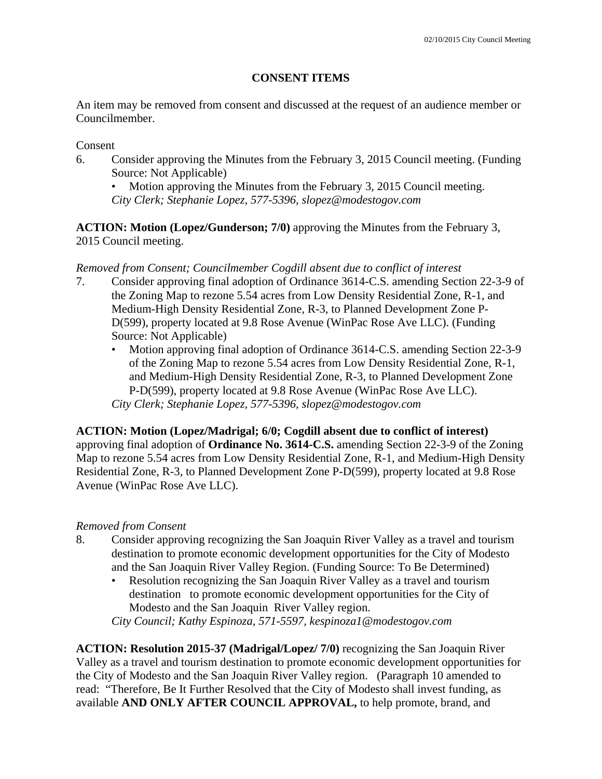## **CONSENT ITEMS**

An item may be removed from consent and discussed at the request of an audience member or Councilmember.

### Consent

- 6. Consider approving the Minutes from the February 3, 2015 Council meeting. (Funding Source: Not Applicable)
	- Motion approving the Minutes from the February 3, 2015 Council meeting. *City Clerk; Stephanie Lopez, 577-5396, slopez@modestogov.com*

**ACTION: Motion (Lopez/Gunderson; 7/0)** approving the Minutes from the February 3, 2015 Council meeting.

## *Removed from Consent; Councilmember Cogdill absent due to conflict of interest*

- 7. Consider approving final adoption of Ordinance 3614-C.S. amending Section 22-3-9 of the Zoning Map to rezone 5.54 acres from Low Density Residential Zone, R-1, and Medium-High Density Residential Zone, R-3, to Planned Development Zone P-D(599), property located at 9.8 Rose Avenue (WinPac Rose Ave LLC). (Funding Source: Not Applicable)
	- Motion approving final adoption of Ordinance 3614-C.S. amending Section 22-3-9 of the Zoning Map to rezone 5.54 acres from Low Density Residential Zone, R-1, and Medium-High Density Residential Zone, R-3, to Planned Development Zone P-D(599), property located at 9.8 Rose Avenue (WinPac Rose Ave LLC). *City Clerk; Stephanie Lopez, 577-5396, slopez@modestogov.com*

## **ACTION: Motion (Lopez/Madrigal; 6/0; Cogdill absent due to conflict of interest)**

approving final adoption of **Ordinance No. 3614-C.S.** amending Section 22-3-9 of the Zoning Map to rezone 5.54 acres from Low Density Residential Zone, R-1, and Medium-High Density Residential Zone, R-3, to Planned Development Zone P-D(599), property located at 9.8 Rose Avenue (WinPac Rose Ave LLC).

## *Removed from Consent*

- 8. Consider approving recognizing the San Joaquin River Valley as a travel and tourism destination to promote economic development opportunities for the City of Modesto and the San Joaquin River Valley Region. (Funding Source: To Be Determined)
	- Resolution recognizing the San Joaquin River Valley as a travel and tourism destination to promote economic development opportunities for the City of Modesto and the San Joaquin River Valley region.

*City Council; Kathy Espinoza, 571-5597, kespinoza1@modestogov.com* 

**ACTION: Resolution 2015-37 (Madrigal/Lopez/ 7/0)** recognizing the San Joaquin River Valley as a travel and tourism destination to promote economic development opportunities for the City of Modesto and the San Joaquin River Valley region. (Paragraph 10 amended to read: "Therefore, Be It Further Resolved that the City of Modesto shall invest funding, as available **AND ONLY AFTER COUNCIL APPROVAL,** to help promote, brand, and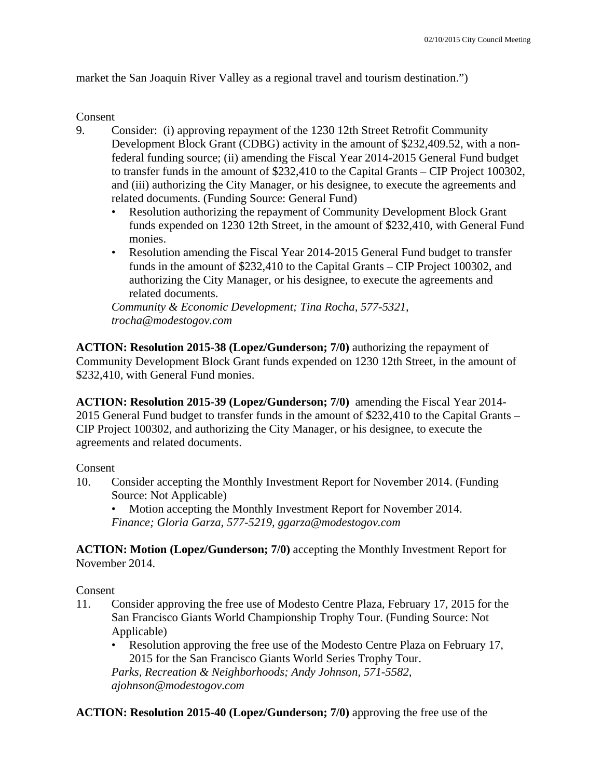market the San Joaquin River Valley as a regional travel and tourism destination.")

### Consent

- 9. Consider: (i) approving repayment of the 1230 12th Street Retrofit Community Development Block Grant (CDBG) activity in the amount of \$232,409.52, with a nonfederal funding source; (ii) amending the Fiscal Year 2014-2015 General Fund budget to transfer funds in the amount of \$232,410 to the Capital Grants – CIP Project 100302, and (iii) authorizing the City Manager, or his designee, to execute the agreements and related documents. (Funding Source: General Fund)
	- Resolution authorizing the repayment of Community Development Block Grant funds expended on 1230 12th Street, in the amount of \$232,410, with General Fund monies.
	- Resolution amending the Fiscal Year 2014-2015 General Fund budget to transfer funds in the amount of \$232,410 to the Capital Grants – CIP Project 100302, and authorizing the City Manager, or his designee, to execute the agreements and related documents.

*Community & Economic Development; Tina Rocha, 577-5321, trocha@modestogov.com* 

**ACTION: Resolution 2015-38 (Lopez/Gunderson; 7/0)** authorizing the repayment of Community Development Block Grant funds expended on 1230 12th Street, in the amount of \$232,410, with General Fund monies.

**ACTION: Resolution 2015-39 (Lopez/Gunderson; 7/0)** amending the Fiscal Year 2014- 2015 General Fund budget to transfer funds in the amount of \$232,410 to the Capital Grants – CIP Project 100302, and authorizing the City Manager, or his designee, to execute the agreements and related documents.

Consent

10. Consider accepting the Monthly Investment Report for November 2014. (Funding Source: Not Applicable)

• Motion accepting the Monthly Investment Report for November 2014. *Finance; Gloria Garza, 577-5219, ggarza@modestogov.com* 

**ACTION: Motion (Lopez/Gunderson; 7/0)** accepting the Monthly Investment Report for November 2014.

Consent

- 11. Consider approving the free use of Modesto Centre Plaza, February 17, 2015 for the San Francisco Giants World Championship Trophy Tour. (Funding Source: Not Applicable)
	- Resolution approving the free use of the Modesto Centre Plaza on February 17, 2015 for the San Francisco Giants World Series Trophy Tour. *Parks, Recreation & Neighborhoods; Andy Johnson, 571-5582, ajohnson@modestogov.com*

**ACTION: Resolution 2015-40 (Lopez/Gunderson; 7/0)** approving the free use of the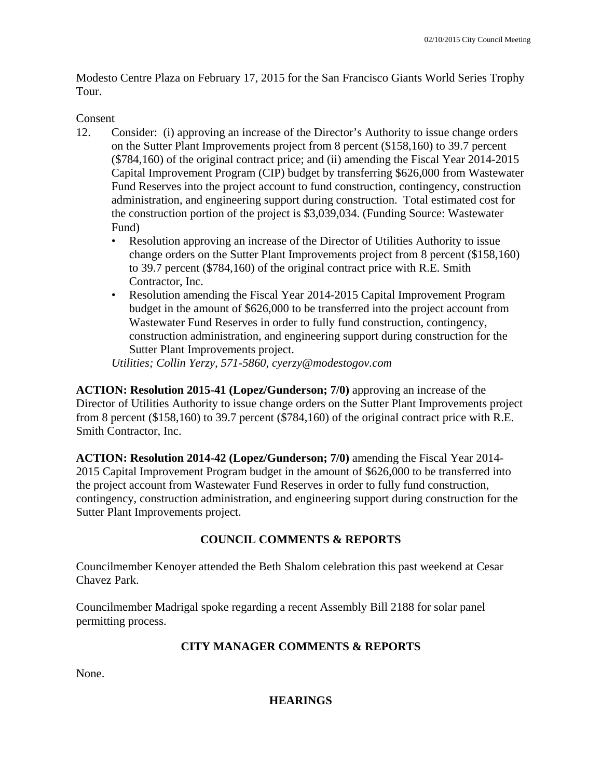Modesto Centre Plaza on February 17, 2015 for the San Francisco Giants World Series Trophy Tour.

## Consent

- 12. Consider: (i) approving an increase of the Director's Authority to issue change orders on the Sutter Plant Improvements project from 8 percent (\$158,160) to 39.7 percent (\$784,160) of the original contract price; and (ii) amending the Fiscal Year 2014-2015 Capital Improvement Program (CIP) budget by transferring \$626,000 from Wastewater Fund Reserves into the project account to fund construction, contingency, construction administration, and engineering support during construction. Total estimated cost for the construction portion of the project is \$3,039,034. (Funding Source: Wastewater Fund)
	- Resolution approving an increase of the Director of Utilities Authority to issue change orders on the Sutter Plant Improvements project from 8 percent (\$158,160) to 39.7 percent (\$784,160) of the original contract price with R.E. Smith Contractor, Inc.
	- Resolution amending the Fiscal Year 2014-2015 Capital Improvement Program budget in the amount of \$626,000 to be transferred into the project account from Wastewater Fund Reserves in order to fully fund construction, contingency, construction administration, and engineering support during construction for the Sutter Plant Improvements project.

*Utilities; Collin Yerzy, 571-5860, cyerzy@modestogov.com* 

**ACTION: Resolution 2015-41 (Lopez/Gunderson; 7/0)** approving an increase of the Director of Utilities Authority to issue change orders on the Sutter Plant Improvements project from 8 percent (\$158,160) to 39.7 percent (\$784,160) of the original contract price with R.E. Smith Contractor, Inc.

**ACTION: Resolution 2014-42 (Lopez/Gunderson; 7/0)** amending the Fiscal Year 2014- 2015 Capital Improvement Program budget in the amount of \$626,000 to be transferred into the project account from Wastewater Fund Reserves in order to fully fund construction, contingency, construction administration, and engineering support during construction for the Sutter Plant Improvements project.

## **COUNCIL COMMENTS & REPORTS**

Councilmember Kenoyer attended the Beth Shalom celebration this past weekend at Cesar Chavez Park.

Councilmember Madrigal spoke regarding a recent Assembly Bill 2188 for solar panel permitting process.

## **CITY MANAGER COMMENTS & REPORTS**

None.

### **HEARINGS**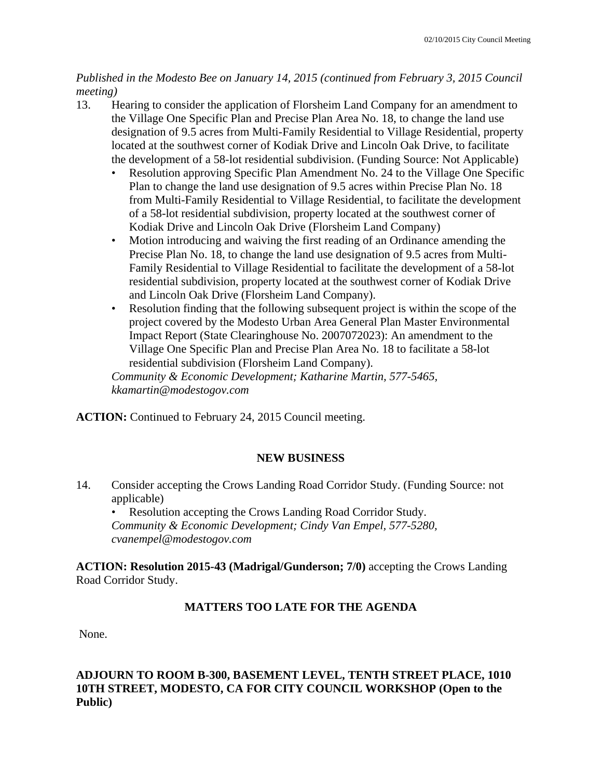## *Published in the Modesto Bee on January 14, 2015 (continued from February 3, 2015 Council meeting)*

- 13. Hearing to consider the application of Florsheim Land Company for an amendment to the Village One Specific Plan and Precise Plan Area No. 18, to change the land use designation of 9.5 acres from Multi-Family Residential to Village Residential, property located at the southwest corner of Kodiak Drive and Lincoln Oak Drive, to facilitate the development of a 58-lot residential subdivision. (Funding Source: Not Applicable)
	- Resolution approving Specific Plan Amendment No. 24 to the Village One Specific Plan to change the land use designation of 9.5 acres within Precise Plan No. 18 from Multi-Family Residential to Village Residential, to facilitate the development of a 58-lot residential subdivision, property located at the southwest corner of Kodiak Drive and Lincoln Oak Drive (Florsheim Land Company)
	- Motion introducing and waiving the first reading of an Ordinance amending the Precise Plan No. 18, to change the land use designation of 9.5 acres from Multi-Family Residential to Village Residential to facilitate the development of a 58-lot residential subdivision, property located at the southwest corner of Kodiak Drive and Lincoln Oak Drive (Florsheim Land Company).
	- Resolution finding that the following subsequent project is within the scope of the project covered by the Modesto Urban Area General Plan Master Environmental Impact Report (State Clearinghouse No. 2007072023): An amendment to the Village One Specific Plan and Precise Plan Area No. 18 to facilitate a 58-lot residential subdivision (Florsheim Land Company).

*Community & Economic Development; Katharine Martin, 577-5465, kkamartin@modestogov.com* 

**ACTION:** Continued to February 24, 2015 Council meeting.

## **NEW BUSINESS**

14. Consider accepting the Crows Landing Road Corridor Study. (Funding Source: not applicable)

Resolution accepting the Crows Landing Road Corridor Study. *Community & Economic Development; Cindy Van Empel, 577-5280, cvanempel@modestogov.com* 

**ACTION: Resolution 2015-43 (Madrigal/Gunderson; 7/0)** accepting the Crows Landing Road Corridor Study.

## **MATTERS TOO LATE FOR THE AGENDA**

None.

## **ADJOURN TO ROOM B-300, BASEMENT LEVEL, TENTH STREET PLACE, 1010 10TH STREET, MODESTO, CA FOR CITY COUNCIL WORKSHOP (Open to the Public)**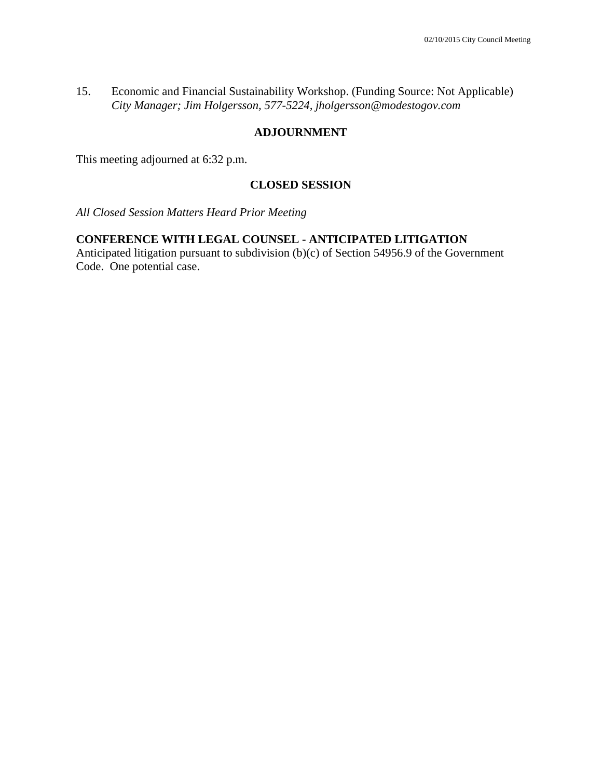15. Economic and Financial Sustainability Workshop. (Funding Source: Not Applicable)  *City Manager; Jim Holgersson, 577-5224, jholgersson@modestogov.com* 

### **ADJOURNMENT**

This meeting adjourned at 6:32 p.m.

### **CLOSED SESSION**

*All Closed Session Matters Heard Prior Meeting* 

## **CONFERENCE WITH LEGAL COUNSEL - ANTICIPATED LITIGATION**

Anticipated litigation pursuant to subdivision (b)(c) of Section 54956.9 of the Government Code. One potential case.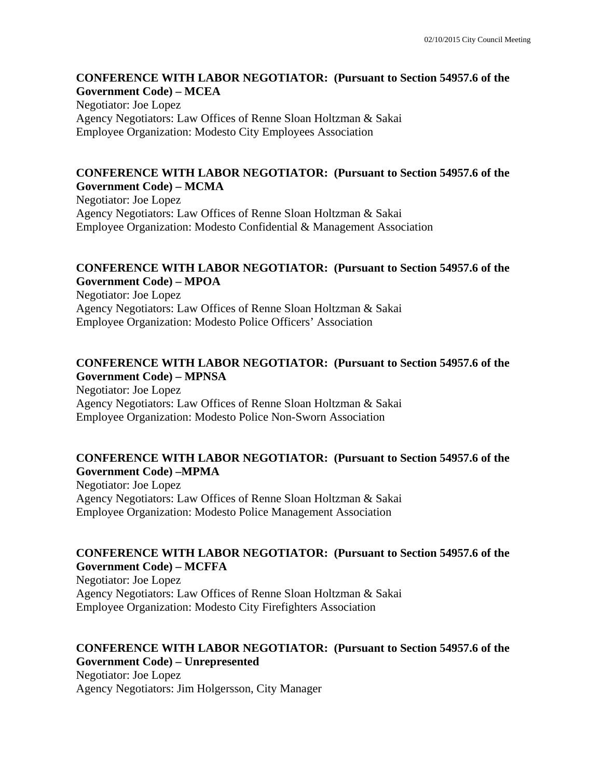#### **CONFERENCE WITH LABOR NEGOTIATOR: (Pursuant to Section 54957.6 of the Government Code) – MCEA**

Negotiator: Joe Lopez Agency Negotiators: Law Offices of Renne Sloan Holtzman & Sakai Employee Organization: Modesto City Employees Association

### **CONFERENCE WITH LABOR NEGOTIATOR: (Pursuant to Section 54957.6 of the Government Code) – MCMA**

Negotiator: Joe Lopez Agency Negotiators: Law Offices of Renne Sloan Holtzman & Sakai Employee Organization: Modesto Confidential & Management Association

### **CONFERENCE WITH LABOR NEGOTIATOR: (Pursuant to Section 54957.6 of the Government Code) – MPOA**

Negotiator: Joe Lopez Agency Negotiators: Law Offices of Renne Sloan Holtzman & Sakai Employee Organization: Modesto Police Officers' Association

### **CONFERENCE WITH LABOR NEGOTIATOR: (Pursuant to Section 54957.6 of the Government Code) – MPNSA**

Negotiator: Joe Lopez Agency Negotiators: Law Offices of Renne Sloan Holtzman & Sakai Employee Organization: Modesto Police Non-Sworn Association

## **CONFERENCE WITH LABOR NEGOTIATOR: (Pursuant to Section 54957.6 of the Government Code) –MPMA**

Negotiator: Joe Lopez Agency Negotiators: Law Offices of Renne Sloan Holtzman & Sakai Employee Organization: Modesto Police Management Association

## **CONFERENCE WITH LABOR NEGOTIATOR: (Pursuant to Section 54957.6 of the Government Code) – MCFFA**

Negotiator: Joe Lopez Agency Negotiators: Law Offices of Renne Sloan Holtzman & Sakai Employee Organization: Modesto City Firefighters Association

### **CONFERENCE WITH LABOR NEGOTIATOR: (Pursuant to Section 54957.6 of the Government Code) – Unrepresented**  Negotiator: Joe Lopez

Agency Negotiators: Jim Holgersson, City Manager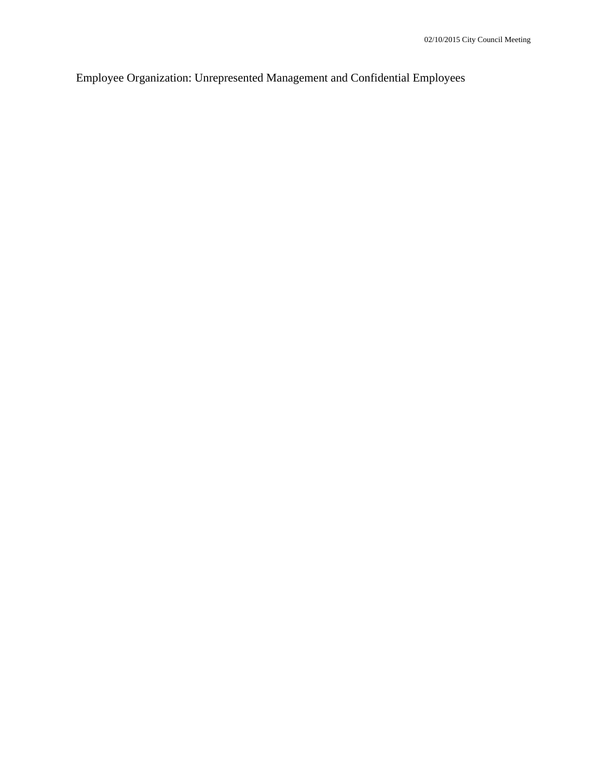Employee Organization: Unrepresented Management and Confidential Employees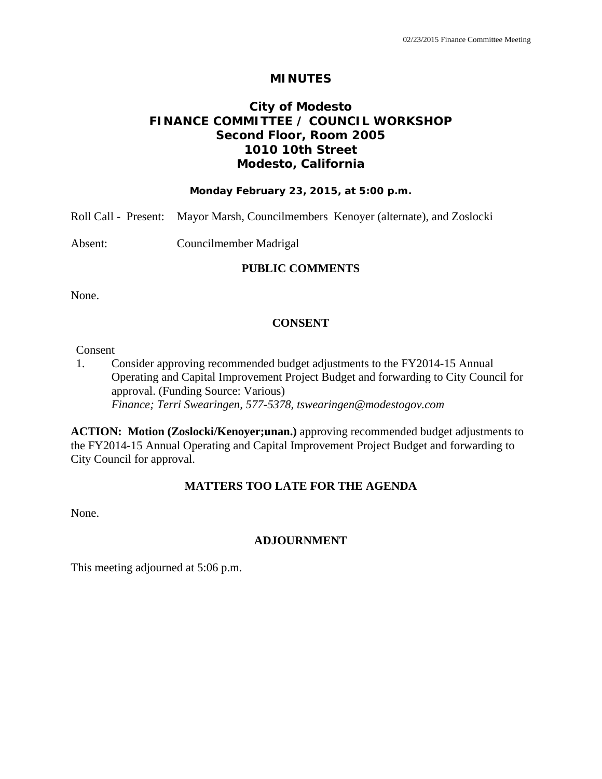## **City of Modesto FINANCE COMMITTEE / COUNCIL WORKSHOP Second Floor, Room 2005 1010 10th Street Modesto, California**

#### **Monday February 23, 2015, at 5:00 p.m.**

| Roll Call - Present: Mayor Marsh, Councilmembers Kenoyer (alternate), and Zoslocki |  |
|------------------------------------------------------------------------------------|--|
|------------------------------------------------------------------------------------|--|

Absent: Councilmember Madrigal

### **PUBLIC COMMENTS**

None.

### **CONSENT**

#### Consent

1. Consider approving recommended budget adjustments to the FY2014-15 Annual Operating and Capital Improvement Project Budget and forwarding to City Council for approval. (Funding Source: Various)  *Finance; Terri Swearingen, 577-5378, tswearingen@modestogov.com* 

**ACTION: Motion (Zoslocki/Kenoyer;unan.)** approving recommended budget adjustments to the FY2014-15 Annual Operating and Capital Improvement Project Budget and forwarding to City Council for approval.

### **MATTERS TOO LATE FOR THE AGENDA**

None.

## **ADJOURNMENT**

This meeting adjourned at 5:06 p.m.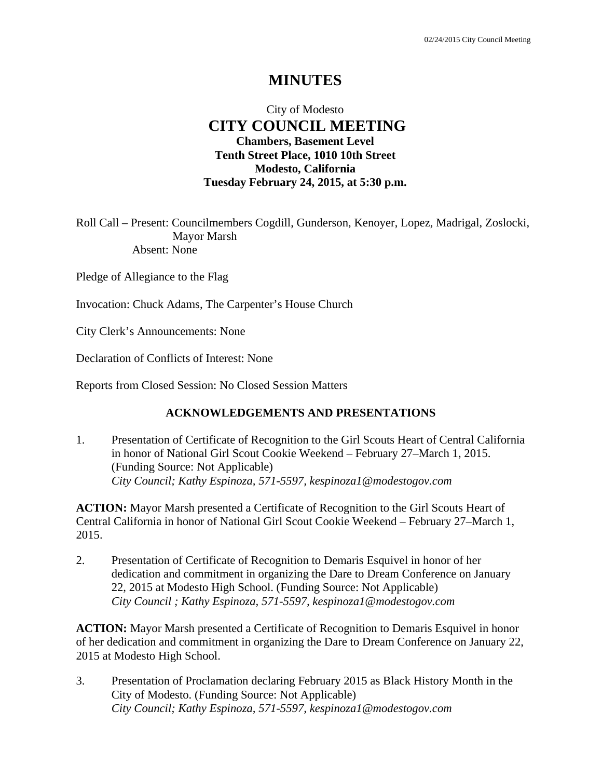## City of Modesto  **CITY COUNCIL MEETING Chambers, Basement Level Tenth Street Place, 1010 10th Street Modesto, California Tuesday February 24, 2015, at 5:30 p.m.**

Roll Call – Present: Councilmembers Cogdill, Gunderson, Kenoyer, Lopez, Madrigal, Zoslocki, Mayor Marsh Absent: None

Pledge of Allegiance to the Flag

Invocation: Chuck Adams, The Carpenter's House Church

City Clerk's Announcements: None

Declaration of Conflicts of Interest: None

Reports from Closed Session: No Closed Session Matters

### **ACKNOWLEDGEMENTS AND PRESENTATIONS**

1. Presentation of Certificate of Recognition to the Girl Scouts Heart of Central California in honor of National Girl Scout Cookie Weekend – February 27–March 1, 2015. (Funding Source: Not Applicable)  *City Council; Kathy Espinoza, 571-5597, kespinoza1@modestogov.com* 

**ACTION:** Mayor Marsh presented a Certificate of Recognition to the Girl Scouts Heart of Central California in honor of National Girl Scout Cookie Weekend – February 27–March 1, 2015.

2. Presentation of Certificate of Recognition to Demaris Esquivel in honor of her dedication and commitment in organizing the Dare to Dream Conference on January 22, 2015 at Modesto High School. (Funding Source: Not Applicable)  *City Council ; Kathy Espinoza, 571-5597, kespinoza1@modestogov.com* 

**ACTION:** Mayor Marsh presented a Certificate of Recognition to Demaris Esquivel in honor of her dedication and commitment in organizing the Dare to Dream Conference on January 22, 2015 at Modesto High School.

3. Presentation of Proclamation declaring February 2015 as Black History Month in the City of Modesto. (Funding Source: Not Applicable)  *City Council; Kathy Espinoza, 571-5597, kespinoza1@modestogov.com*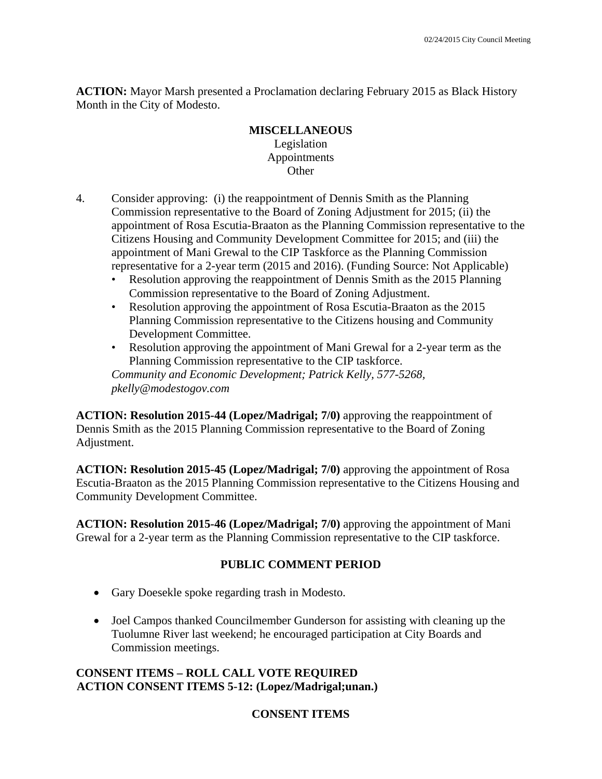**ACTION:** Mayor Marsh presented a Proclamation declaring February 2015 as Black History Month in the City of Modesto.

### **MISCELLANEOUS**  Legislation Appointments **Other**

- 4. Consider approving: (i) the reappointment of Dennis Smith as the Planning Commission representative to the Board of Zoning Adjustment for 2015; (ii) the appointment of Rosa Escutia-Braaton as the Planning Commission representative to the Citizens Housing and Community Development Committee for 2015; and (iii) the appointment of Mani Grewal to the CIP Taskforce as the Planning Commission representative for a 2-year term (2015 and 2016). (Funding Source: Not Applicable)
	- Resolution approving the reappointment of Dennis Smith as the 2015 Planning Commission representative to the Board of Zoning Adjustment.
	- Resolution approving the appointment of Rosa Escutia-Braaton as the 2015 Planning Commission representative to the Citizens housing and Community Development Committee.
	- Resolution approving the appointment of Mani Grewal for a 2-year term as the Planning Commission representative to the CIP taskforce.

*Community and Economic Development; Patrick Kelly, 577-5268, pkelly@modestogov.com* 

**ACTION: Resolution 2015-44 (Lopez/Madrigal; 7/0)** approving the reappointment of Dennis Smith as the 2015 Planning Commission representative to the Board of Zoning Adjustment.

**ACTION: Resolution 2015-45 (Lopez/Madrigal; 7/0)** approving the appointment of Rosa Escutia-Braaton as the 2015 Planning Commission representative to the Citizens Housing and Community Development Committee.

**ACTION: Resolution 2015-46 (Lopez/Madrigal; 7/0)** approving the appointment of Mani Grewal for a 2-year term as the Planning Commission representative to the CIP taskforce.

## **PUBLIC COMMENT PERIOD**

- Gary Doesekle spoke regarding trash in Modesto.
- Joel Campos thanked Councilmember Gunderson for assisting with cleaning up the Tuolumne River last weekend; he encouraged participation at City Boards and Commission meetings.

## **CONSENT ITEMS – ROLL CALL VOTE REQUIRED ACTION CONSENT ITEMS 5-12: (Lopez/Madrigal;unan.)**

## **CONSENT ITEMS**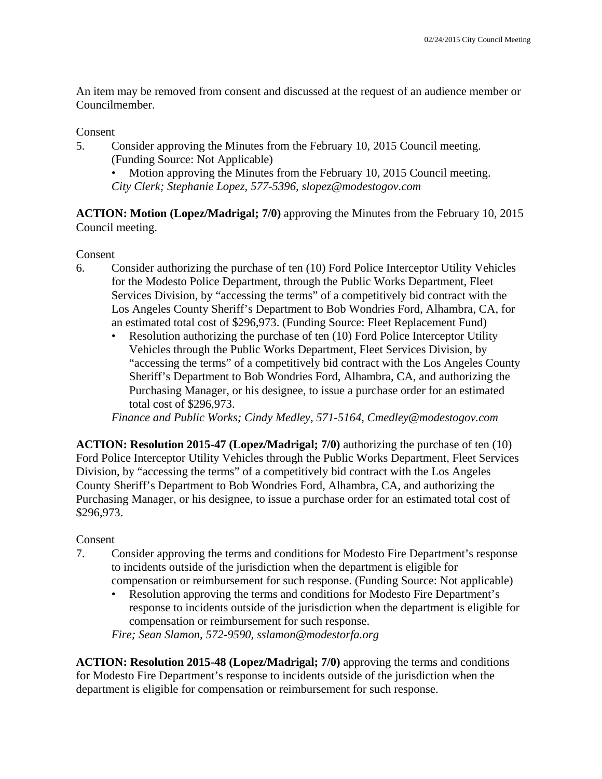An item may be removed from consent and discussed at the request of an audience member or Councilmember.

## Consent

5. Consider approving the Minutes from the February 10, 2015 Council meeting. (Funding Source: Not Applicable)

• Motion approving the Minutes from the February 10, 2015 Council meeting. *City Clerk; Stephanie Lopez, 577-5396, slopez@modestogov.com* 

**ACTION: Motion (Lopez/Madrigal; 7/0)** approving the Minutes from the February 10, 2015 Council meeting.

## Consent

- 6. Consider authorizing the purchase of ten (10) Ford Police Interceptor Utility Vehicles for the Modesto Police Department, through the Public Works Department, Fleet Services Division, by "accessing the terms" of a competitively bid contract with the Los Angeles County Sheriff's Department to Bob Wondries Ford, Alhambra, CA, for an estimated total cost of \$296,973. (Funding Source: Fleet Replacement Fund)
	- Resolution authorizing the purchase of ten (10) Ford Police Interceptor Utility Vehicles through the Public Works Department, Fleet Services Division, by "accessing the terms" of a competitively bid contract with the Los Angeles County Sheriff's Department to Bob Wondries Ford, Alhambra, CA, and authorizing the Purchasing Manager, or his designee, to issue a purchase order for an estimated total cost of \$296,973.

*Finance and Public Works; Cindy Medley, 571-5164, Cmedley@modestogov.com* 

**ACTION: Resolution 2015-47 (Lopez/Madrigal; 7/0)** authorizing the purchase of ten (10) Ford Police Interceptor Utility Vehicles through the Public Works Department, Fleet Services Division, by "accessing the terms" of a competitively bid contract with the Los Angeles County Sheriff's Department to Bob Wondries Ford, Alhambra, CA, and authorizing the Purchasing Manager, or his designee, to issue a purchase order for an estimated total cost of \$296,973.

## Consent

- 7. Consider approving the terms and conditions for Modesto Fire Department's response to incidents outside of the jurisdiction when the department is eligible for compensation or reimbursement for such response. (Funding Source: Not applicable)
	- Resolution approving the terms and conditions for Modesto Fire Department's response to incidents outside of the jurisdiction when the department is eligible for compensation or reimbursement for such response.

*Fire; Sean Slamon, 572-9590, sslamon@modestorfa.org* 

**ACTION: Resolution 2015-48 (Lopez/Madrigal; 7/0)** approving the terms and conditions for Modesto Fire Department's response to incidents outside of the jurisdiction when the department is eligible for compensation or reimbursement for such response.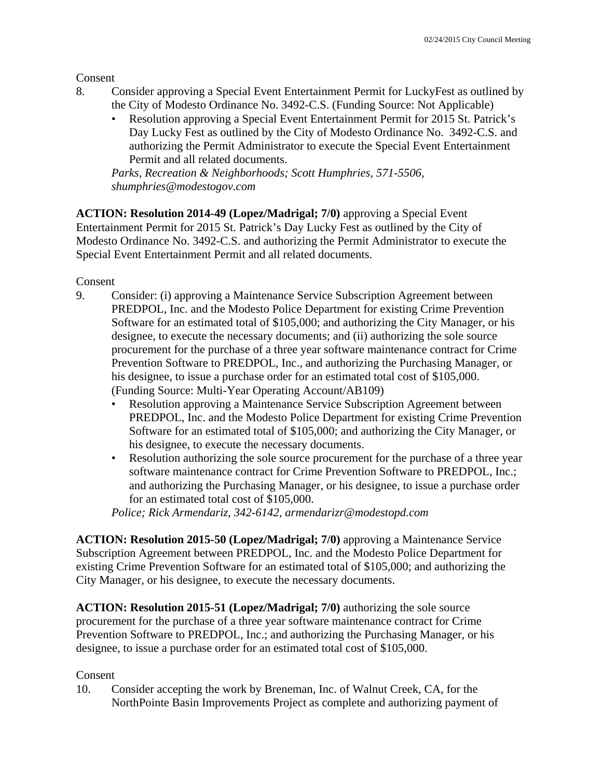Consent

- 8. Consider approving a Special Event Entertainment Permit for LuckyFest as outlined by the City of Modesto Ordinance No. 3492-C.S. (Funding Source: Not Applicable)
	- Resolution approving a Special Event Entertainment Permit for 2015 St. Patrick's Day Lucky Fest as outlined by the City of Modesto Ordinance No. 3492-C.S. and authorizing the Permit Administrator to execute the Special Event Entertainment Permit and all related documents.

*Parks, Recreation & Neighborhoods; Scott Humphries, 571-5506, shumphries@modestogov.com* 

**ACTION: Resolution 2014-49 (Lopez/Madrigal; 7/0)** approving a Special Event Entertainment Permit for 2015 St. Patrick's Day Lucky Fest as outlined by the City of Modesto Ordinance No. 3492-C.S. and authorizing the Permit Administrator to execute the Special Event Entertainment Permit and all related documents.

Consent

- 9. Consider: (i) approving a Maintenance Service Subscription Agreement between PREDPOL, Inc. and the Modesto Police Department for existing Crime Prevention Software for an estimated total of \$105,000; and authorizing the City Manager, or his designee, to execute the necessary documents; and (ii) authorizing the sole source procurement for the purchase of a three year software maintenance contract for Crime Prevention Software to PREDPOL, Inc., and authorizing the Purchasing Manager, or his designee, to issue a purchase order for an estimated total cost of \$105,000. (Funding Source: Multi-Year Operating Account/AB109)
	- Resolution approving a Maintenance Service Subscription Agreement between PREDPOL, Inc. and the Modesto Police Department for existing Crime Prevention Software for an estimated total of \$105,000; and authorizing the City Manager, or his designee, to execute the necessary documents.
	- Resolution authorizing the sole source procurement for the purchase of a three year software maintenance contract for Crime Prevention Software to PREDPOL, Inc.; and authorizing the Purchasing Manager, or his designee, to issue a purchase order for an estimated total cost of \$105,000.

*Police; Rick Armendariz, 342-6142, armendarizr@modestopd.com* 

**ACTION: Resolution 2015-50 (Lopez/Madrigal; 7/0)** approving a Maintenance Service Subscription Agreement between PREDPOL, Inc. and the Modesto Police Department for existing Crime Prevention Software for an estimated total of \$105,000; and authorizing the City Manager, or his designee, to execute the necessary documents.

**ACTION: Resolution 2015-51 (Lopez/Madrigal; 7/0)** authorizing the sole source procurement for the purchase of a three year software maintenance contract for Crime Prevention Software to PREDPOL, Inc.; and authorizing the Purchasing Manager, or his designee, to issue a purchase order for an estimated total cost of \$105,000.

## Consent

10. Consider accepting the work by Breneman, Inc. of Walnut Creek, CA, for the NorthPointe Basin Improvements Project as complete and authorizing payment of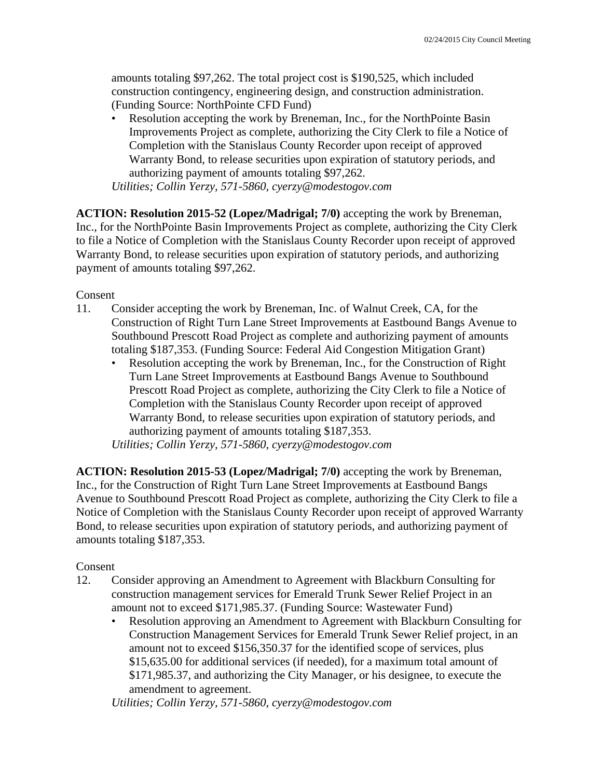amounts totaling \$97,262. The total project cost is \$190,525, which included construction contingency, engineering design, and construction administration. (Funding Source: NorthPointe CFD Fund)

• Resolution accepting the work by Breneman, Inc., for the NorthPointe Basin Improvements Project as complete, authorizing the City Clerk to file a Notice of Completion with the Stanislaus County Recorder upon receipt of approved Warranty Bond, to release securities upon expiration of statutory periods, and authorizing payment of amounts totaling \$97,262.

*Utilities; Collin Yerzy, 571-5860, cyerzy@modestogov.com* 

**ACTION: Resolution 2015-52 (Lopez/Madrigal; 7/0)** accepting the work by Breneman, Inc., for the NorthPointe Basin Improvements Project as complete, authorizing the City Clerk to file a Notice of Completion with the Stanislaus County Recorder upon receipt of approved Warranty Bond, to release securities upon expiration of statutory periods, and authorizing payment of amounts totaling \$97,262.

### Consent

- 11. Consider accepting the work by Breneman, Inc. of Walnut Creek, CA, for the Construction of Right Turn Lane Street Improvements at Eastbound Bangs Avenue to Southbound Prescott Road Project as complete and authorizing payment of amounts totaling \$187,353. (Funding Source: Federal Aid Congestion Mitigation Grant)
	- Resolution accepting the work by Breneman, Inc., for the Construction of Right Turn Lane Street Improvements at Eastbound Bangs Avenue to Southbound Prescott Road Project as complete, authorizing the City Clerk to file a Notice of Completion with the Stanislaus County Recorder upon receipt of approved Warranty Bond, to release securities upon expiration of statutory periods, and authorizing payment of amounts totaling \$187,353.

*Utilities; Collin Yerzy, 571-5860, cyerzy@modestogov.com* 

**ACTION: Resolution 2015-53 (Lopez/Madrigal; 7/0)** accepting the work by Breneman, Inc., for the Construction of Right Turn Lane Street Improvements at Eastbound Bangs Avenue to Southbound Prescott Road Project as complete, authorizing the City Clerk to file a Notice of Completion with the Stanislaus County Recorder upon receipt of approved Warranty Bond, to release securities upon expiration of statutory periods, and authorizing payment of amounts totaling \$187,353.

## Consent

- 12. Consider approving an Amendment to Agreement with Blackburn Consulting for construction management services for Emerald Trunk Sewer Relief Project in an amount not to exceed \$171,985.37. (Funding Source: Wastewater Fund)
	- Resolution approving an Amendment to Agreement with Blackburn Consulting for Construction Management Services for Emerald Trunk Sewer Relief project, in an amount not to exceed \$156,350.37 for the identified scope of services, plus \$15,635.00 for additional services (if needed), for a maximum total amount of \$171,985.37, and authorizing the City Manager, or his designee, to execute the amendment to agreement.

*Utilities; Collin Yerzy, 571-5860, cyerzy@modestogov.com*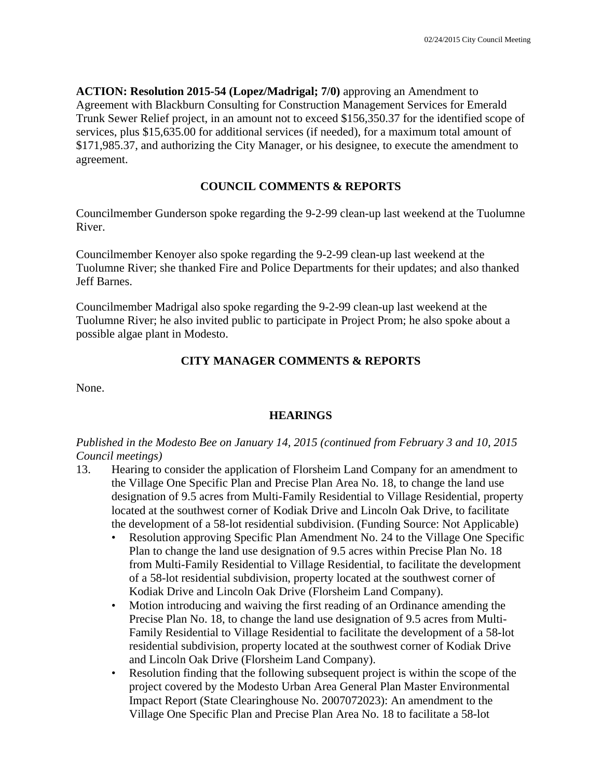**ACTION: Resolution 2015-54 (Lopez/Madrigal; 7/0)** approving an Amendment to Agreement with Blackburn Consulting for Construction Management Services for Emerald Trunk Sewer Relief project, in an amount not to exceed \$156,350.37 for the identified scope of services, plus \$15,635.00 for additional services (if needed), for a maximum total amount of \$171,985.37, and authorizing the City Manager, or his designee, to execute the amendment to agreement.

## **COUNCIL COMMENTS & REPORTS**

Councilmember Gunderson spoke regarding the 9-2-99 clean-up last weekend at the Tuolumne River.

Councilmember Kenoyer also spoke regarding the 9-2-99 clean-up last weekend at the Tuolumne River; she thanked Fire and Police Departments for their updates; and also thanked Jeff Barnes.

Councilmember Madrigal also spoke regarding the 9-2-99 clean-up last weekend at the Tuolumne River; he also invited public to participate in Project Prom; he also spoke about a possible algae plant in Modesto.

## **CITY MANAGER COMMENTS & REPORTS**

None.

## **HEARINGS**

*Published in the Modesto Bee on January 14, 2015 (continued from February 3 and 10, 2015 Council meetings)* 

- 13. Hearing to consider the application of Florsheim Land Company for an amendment to the Village One Specific Plan and Precise Plan Area No. 18, to change the land use designation of 9.5 acres from Multi-Family Residential to Village Residential, property located at the southwest corner of Kodiak Drive and Lincoln Oak Drive, to facilitate the development of a 58-lot residential subdivision. (Funding Source: Not Applicable)
	- Resolution approving Specific Plan Amendment No. 24 to the Village One Specific Plan to change the land use designation of 9.5 acres within Precise Plan No. 18 from Multi-Family Residential to Village Residential, to facilitate the development of a 58-lot residential subdivision, property located at the southwest corner of Kodiak Drive and Lincoln Oak Drive (Florsheim Land Company).
	- Motion introducing and waiving the first reading of an Ordinance amending the Precise Plan No. 18, to change the land use designation of 9.5 acres from Multi-Family Residential to Village Residential to facilitate the development of a 58-lot residential subdivision, property located at the southwest corner of Kodiak Drive and Lincoln Oak Drive (Florsheim Land Company).
	- Resolution finding that the following subsequent project is within the scope of the project covered by the Modesto Urban Area General Plan Master Environmental Impact Report (State Clearinghouse No. 2007072023): An amendment to the Village One Specific Plan and Precise Plan Area No. 18 to facilitate a 58-lot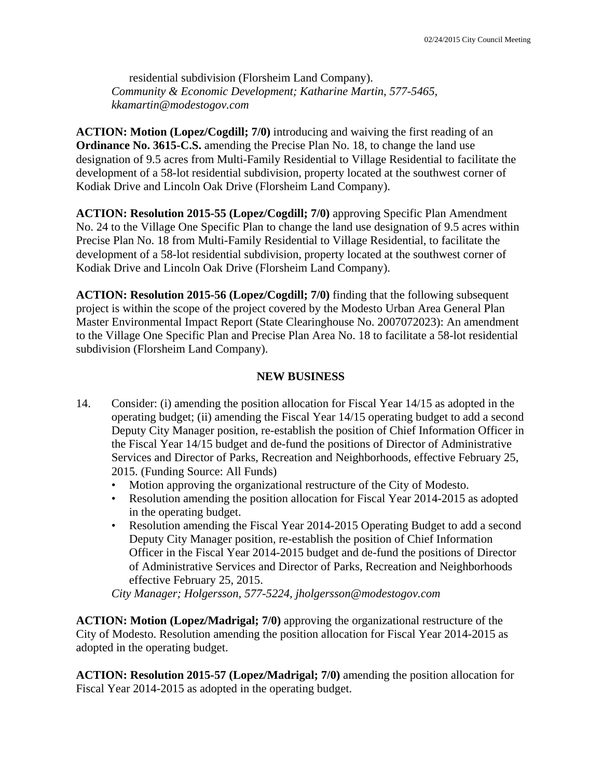residential subdivision (Florsheim Land Company). *Community & Economic Development; Katharine Martin, 577-5465, kkamartin@modestogov.com* 

**ACTION: Motion (Lopez/Cogdill; 7/0)** introducing and waiving the first reading of an **Ordinance No. 3615-C.S.** amending the Precise Plan No. 18, to change the land use designation of 9.5 acres from Multi-Family Residential to Village Residential to facilitate the development of a 58-lot residential subdivision, property located at the southwest corner of Kodiak Drive and Lincoln Oak Drive (Florsheim Land Company).

**ACTION: Resolution 2015-55 (Lopez/Cogdill; 7/0)** approving Specific Plan Amendment No. 24 to the Village One Specific Plan to change the land use designation of 9.5 acres within Precise Plan No. 18 from Multi-Family Residential to Village Residential, to facilitate the development of a 58-lot residential subdivision, property located at the southwest corner of Kodiak Drive and Lincoln Oak Drive (Florsheim Land Company).

**ACTION: Resolution 2015-56 (Lopez/Cogdill; 7/0)** finding that the following subsequent project is within the scope of the project covered by the Modesto Urban Area General Plan Master Environmental Impact Report (State Clearinghouse No. 2007072023): An amendment to the Village One Specific Plan and Precise Plan Area No. 18 to facilitate a 58-lot residential subdivision (Florsheim Land Company).

### **NEW BUSINESS**

- 14. Consider: (i) amending the position allocation for Fiscal Year 14/15 as adopted in the operating budget; (ii) amending the Fiscal Year 14/15 operating budget to add a second Deputy City Manager position, re-establish the position of Chief Information Officer in the Fiscal Year 14/15 budget and de-fund the positions of Director of Administrative Services and Director of Parks, Recreation and Neighborhoods, effective February 25, 2015. (Funding Source: All Funds)
	- Motion approving the organizational restructure of the City of Modesto.
	- Resolution amending the position allocation for Fiscal Year 2014-2015 as adopted in the operating budget.
	- Resolution amending the Fiscal Year 2014-2015 Operating Budget to add a second Deputy City Manager position, re-establish the position of Chief Information Officer in the Fiscal Year 2014-2015 budget and de-fund the positions of Director of Administrative Services and Director of Parks, Recreation and Neighborhoods effective February 25, 2015.

*City Manager; Holgersson, 577-5224, jholgersson@modestogov.com* 

**ACTION: Motion (Lopez/Madrigal; 7/0)** approving the organizational restructure of the City of Modesto. Resolution amending the position allocation for Fiscal Year 2014-2015 as adopted in the operating budget.

**ACTION: Resolution 2015-57 (Lopez/Madrigal; 7/0)** amending the position allocation for Fiscal Year 2014-2015 as adopted in the operating budget.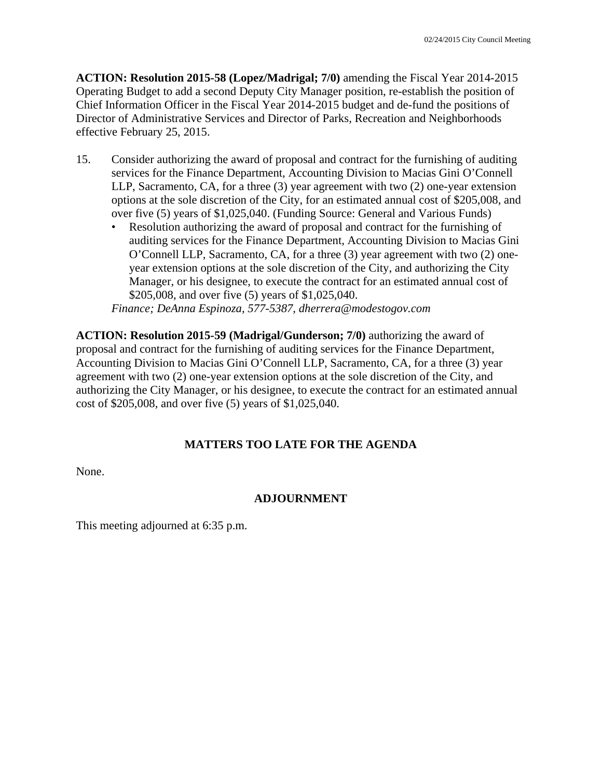**ACTION: Resolution 2015-58 (Lopez/Madrigal; 7/0)** amending the Fiscal Year 2014-2015 Operating Budget to add a second Deputy City Manager position, re-establish the position of Chief Information Officer in the Fiscal Year 2014-2015 budget and de-fund the positions of Director of Administrative Services and Director of Parks, Recreation and Neighborhoods effective February 25, 2015.

- 15. Consider authorizing the award of proposal and contract for the furnishing of auditing services for the Finance Department, Accounting Division to Macias Gini O'Connell LLP, Sacramento, CA, for a three (3) year agreement with two (2) one-year extension options at the sole discretion of the City, for an estimated annual cost of \$205,008, and over five (5) years of \$1,025,040. (Funding Source: General and Various Funds)
	- Resolution authorizing the award of proposal and contract for the furnishing of auditing services for the Finance Department, Accounting Division to Macias Gini O'Connell LLP, Sacramento, CA, for a three (3) year agreement with two (2) oneyear extension options at the sole discretion of the City, and authorizing the City Manager, or his designee, to execute the contract for an estimated annual cost of \$205,008, and over five (5) years of \$1,025,040.

*Finance; DeAnna Espinoza, 577-5387, dherrera@modestogov.com* 

**ACTION: Resolution 2015-59 (Madrigal/Gunderson; 7/0)** authorizing the award of proposal and contract for the furnishing of auditing services for the Finance Department, Accounting Division to Macias Gini O'Connell LLP, Sacramento, CA, for a three (3) year agreement with two (2) one-year extension options at the sole discretion of the City, and authorizing the City Manager, or his designee, to execute the contract for an estimated annual cost of \$205,008, and over five (5) years of \$1,025,040.

## **MATTERS TOO LATE FOR THE AGENDA**

None.

## **ADJOURNMENT**

This meeting adjourned at 6:35 p.m.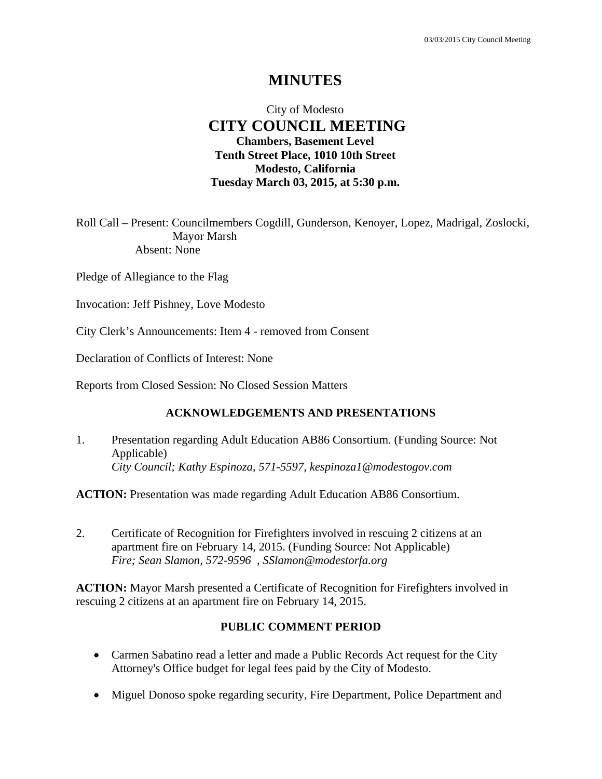## City of Modesto  **CITY COUNCIL MEETING Chambers, Basement Level Tenth Street Place, 1010 10th Street Modesto, California Tuesday March 03, 2015, at 5:30 p.m.**

Roll Call – Present: Councilmembers Cogdill, Gunderson, Kenoyer, Lopez, Madrigal, Zoslocki, Mayor Marsh Absent: None

Pledge of Allegiance to the Flag

Invocation: Jeff Pishney, Love Modesto

City Clerk's Announcements: Item 4 - removed from Consent

Declaration of Conflicts of Interest: None

Reports from Closed Session: No Closed Session Matters

### **ACKNOWLEDGEMENTS AND PRESENTATIONS**

1. Presentation regarding Adult Education AB86 Consortium. (Funding Source: Not Applicable)  *City Council; Kathy Espinoza, 571-5597, kespinoza1@modestogov.com* 

**ACTION:** Presentation was made regarding Adult Education AB86 Consortium.

2. Certificate of Recognition for Firefighters involved in rescuing 2 citizens at an apartment fire on February 14, 2015. (Funding Source: Not Applicable)  *Fire; Sean Slamon, 572-9596 , SSlamon@modestorfa.org* 

**ACTION:** Mayor Marsh presented a Certificate of Recognition for Firefighters involved in rescuing 2 citizens at an apartment fire on February 14, 2015.

### **PUBLIC COMMENT PERIOD**

- Carmen Sabatino read a letter and made a Public Records Act request for the City Attorney's Office budget for legal fees paid by the City of Modesto.
- Miguel Donoso spoke regarding security, Fire Department, Police Department and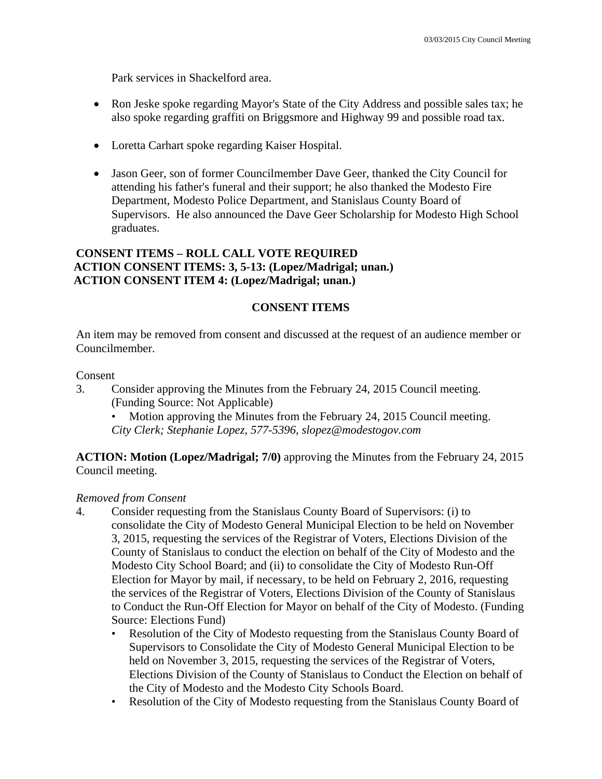Park services in Shackelford area.

- Ron Jeske spoke regarding Mayor's State of the City Address and possible sales tax; he also spoke regarding graffiti on Briggsmore and Highway 99 and possible road tax.
- Loretta Carhart spoke regarding Kaiser Hospital.
- Jason Geer, son of former Councilmember Dave Geer, thanked the City Council for attending his father's funeral and their support; he also thanked the Modesto Fire Department, Modesto Police Department, and Stanislaus County Board of Supervisors. He also announced the Dave Geer Scholarship for Modesto High School graduates.

## **CONSENT ITEMS – ROLL CALL VOTE REQUIRED ACTION CONSENT ITEMS: 3, 5-13: (Lopez/Madrigal; unan.) ACTION CONSENT ITEM 4: (Lopez/Madrigal; unan.)**

## **CONSENT ITEMS**

An item may be removed from consent and discussed at the request of an audience member or Councilmember.

### Consent

3. Consider approving the Minutes from the February 24, 2015 Council meeting. (Funding Source: Not Applicable)

Motion approving the Minutes from the February 24, 2015 Council meeting. *City Clerk; Stephanie Lopez, 577-5396, slopez@modestogov.com* 

**ACTION: Motion (Lopez/Madrigal; 7/0)** approving the Minutes from the February 24, 2015 Council meeting.

## *Removed from Consent*

- 4. Consider requesting from the Stanislaus County Board of Supervisors: (i) to consolidate the City of Modesto General Municipal Election to be held on November 3, 2015, requesting the services of the Registrar of Voters, Elections Division of the County of Stanislaus to conduct the election on behalf of the City of Modesto and the Modesto City School Board; and (ii) to consolidate the City of Modesto Run-Off Election for Mayor by mail, if necessary, to be held on February 2, 2016, requesting the services of the Registrar of Voters, Elections Division of the County of Stanislaus to Conduct the Run-Off Election for Mayor on behalf of the City of Modesto. (Funding Source: Elections Fund)
	- Resolution of the City of Modesto requesting from the Stanislaus County Board of Supervisors to Consolidate the City of Modesto General Municipal Election to be held on November 3, 2015, requesting the services of the Registrar of Voters, Elections Division of the County of Stanislaus to Conduct the Election on behalf of the City of Modesto and the Modesto City Schools Board.
	- Resolution of the City of Modesto requesting from the Stanislaus County Board of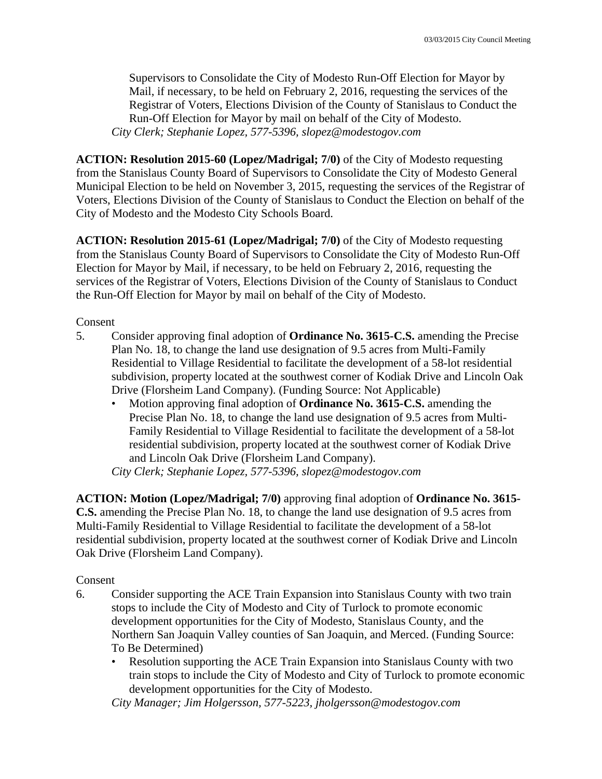Supervisors to Consolidate the City of Modesto Run-Off Election for Mayor by Mail, if necessary, to be held on February 2, 2016, requesting the services of the Registrar of Voters, Elections Division of the County of Stanislaus to Conduct the Run-Off Election for Mayor by mail on behalf of the City of Modesto. *City Clerk; Stephanie Lopez, 577-5396, slopez@modestogov.com* 

**ACTION: Resolution 2015-60 (Lopez/Madrigal; 7/0)** of the City of Modesto requesting from the Stanislaus County Board of Supervisors to Consolidate the City of Modesto General Municipal Election to be held on November 3, 2015, requesting the services of the Registrar of Voters, Elections Division of the County of Stanislaus to Conduct the Election on behalf of the City of Modesto and the Modesto City Schools Board.

**ACTION: Resolution 2015-61 (Lopez/Madrigal; 7/0)** of the City of Modesto requesting from the Stanislaus County Board of Supervisors to Consolidate the City of Modesto Run-Off Election for Mayor by Mail, if necessary, to be held on February 2, 2016, requesting the services of the Registrar of Voters, Elections Division of the County of Stanislaus to Conduct the Run-Off Election for Mayor by mail on behalf of the City of Modesto.

Consent

- 5. Consider approving final adoption of **Ordinance No. 3615-C.S.** amending the Precise Plan No. 18, to change the land use designation of 9.5 acres from Multi-Family Residential to Village Residential to facilitate the development of a 58-lot residential subdivision, property located at the southwest corner of Kodiak Drive and Lincoln Oak Drive (Florsheim Land Company). (Funding Source: Not Applicable)
	- Motion approving final adoption of **Ordinance No. 3615-C.S.** amending the Precise Plan No. 18, to change the land use designation of 9.5 acres from Multi-Family Residential to Village Residential to facilitate the development of a 58-lot residential subdivision, property located at the southwest corner of Kodiak Drive and Lincoln Oak Drive (Florsheim Land Company).

*City Clerk; Stephanie Lopez, 577-5396, slopez@modestogov.com* 

**ACTION: Motion (Lopez/Madrigal; 7/0)** approving final adoption of **Ordinance No. 3615- C.S.** amending the Precise Plan No. 18, to change the land use designation of 9.5 acres from Multi-Family Residential to Village Residential to facilitate the development of a 58-lot residential subdivision, property located at the southwest corner of Kodiak Drive and Lincoln Oak Drive (Florsheim Land Company).

## Consent

- 6. Consider supporting the ACE Train Expansion into Stanislaus County with two train stops to include the City of Modesto and City of Turlock to promote economic development opportunities for the City of Modesto, Stanislaus County, and the Northern San Joaquin Valley counties of San Joaquin, and Merced. (Funding Source: To Be Determined)
	- Resolution supporting the ACE Train Expansion into Stanislaus County with two train stops to include the City of Modesto and City of Turlock to promote economic development opportunities for the City of Modesto.

*City Manager; Jim Holgersson, 577-5223, jholgersson@modestogov.com*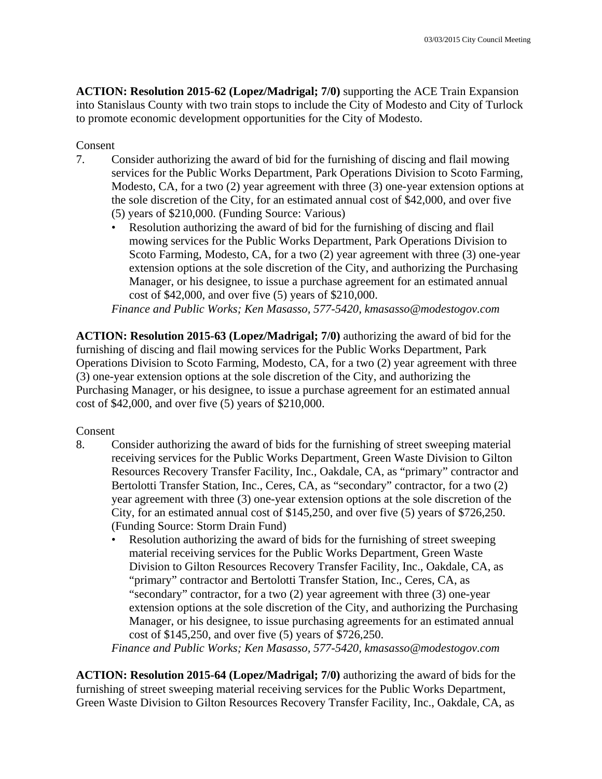**ACTION: Resolution 2015-62 (Lopez/Madrigal; 7/0)** supporting the ACE Train Expansion into Stanislaus County with two train stops to include the City of Modesto and City of Turlock to promote economic development opportunities for the City of Modesto.

### Consent

- 7. Consider authorizing the award of bid for the furnishing of discing and flail mowing services for the Public Works Department, Park Operations Division to Scoto Farming, Modesto, CA, for a two (2) year agreement with three (3) one-year extension options at the sole discretion of the City, for an estimated annual cost of \$42,000, and over five (5) years of \$210,000. (Funding Source: Various)
	- Resolution authorizing the award of bid for the furnishing of discing and flail mowing services for the Public Works Department, Park Operations Division to Scoto Farming, Modesto, CA, for a two (2) year agreement with three (3) one-year extension options at the sole discretion of the City, and authorizing the Purchasing Manager, or his designee, to issue a purchase agreement for an estimated annual cost of \$42,000, and over five (5) years of \$210,000.

*Finance and Public Works; Ken Masasso, 577-5420, kmasasso@modestogov.com* 

**ACTION: Resolution 2015-63 (Lopez/Madrigal; 7/0)** authorizing the award of bid for the furnishing of discing and flail mowing services for the Public Works Department, Park Operations Division to Scoto Farming, Modesto, CA, for a two (2) year agreement with three (3) one-year extension options at the sole discretion of the City, and authorizing the Purchasing Manager, or his designee, to issue a purchase agreement for an estimated annual cost of \$42,000, and over five (5) years of \$210,000.

### Consent

- 8. Consider authorizing the award of bids for the furnishing of street sweeping material receiving services for the Public Works Department, Green Waste Division to Gilton Resources Recovery Transfer Facility, Inc., Oakdale, CA, as "primary" contractor and Bertolotti Transfer Station, Inc., Ceres, CA, as "secondary" contractor, for a two (2) year agreement with three (3) one-year extension options at the sole discretion of the City, for an estimated annual cost of \$145,250, and over five (5) years of \$726,250. (Funding Source: Storm Drain Fund)
	- Resolution authorizing the award of bids for the furnishing of street sweeping material receiving services for the Public Works Department, Green Waste Division to Gilton Resources Recovery Transfer Facility, Inc., Oakdale, CA, as "primary" contractor and Bertolotti Transfer Station, Inc., Ceres, CA, as "secondary" contractor, for a two (2) year agreement with three (3) one-year extension options at the sole discretion of the City, and authorizing the Purchasing Manager, or his designee, to issue purchasing agreements for an estimated annual cost of \$145,250, and over five (5) years of \$726,250.

*Finance and Public Works; Ken Masasso, 577-5420, kmasasso@modestogov.com* 

**ACTION: Resolution 2015-64 (Lopez/Madrigal; 7/0)** authorizing the award of bids for the furnishing of street sweeping material receiving services for the Public Works Department, Green Waste Division to Gilton Resources Recovery Transfer Facility, Inc., Oakdale, CA, as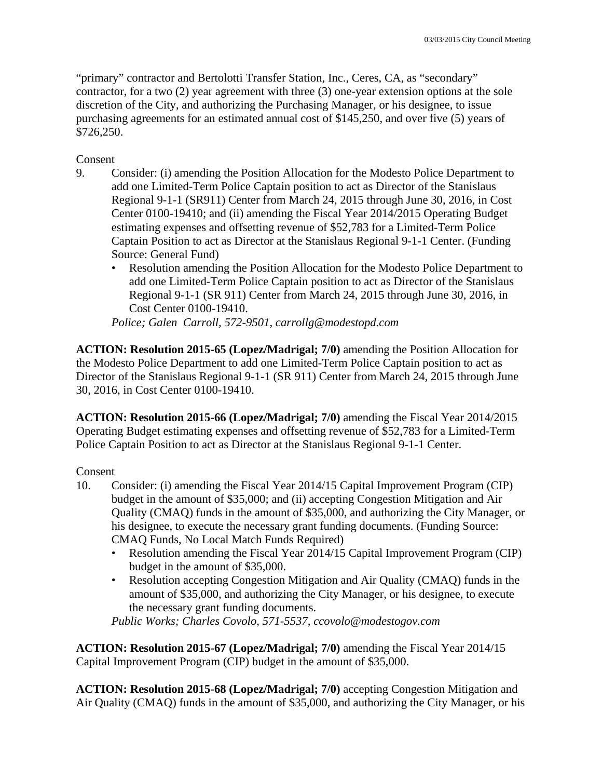"primary" contractor and Bertolotti Transfer Station, Inc., Ceres, CA, as "secondary" contractor, for a two (2) year agreement with three (3) one-year extension options at the sole discretion of the City, and authorizing the Purchasing Manager, or his designee, to issue purchasing agreements for an estimated annual cost of \$145,250, and over five (5) years of \$726,250.

Consent

- 9. Consider: (i) amending the Position Allocation for the Modesto Police Department to add one Limited-Term Police Captain position to act as Director of the Stanislaus Regional 9-1-1 (SR911) Center from March 24, 2015 through June 30, 2016, in Cost Center 0100-19410; and (ii) amending the Fiscal Year 2014/2015 Operating Budget estimating expenses and offsetting revenue of \$52,783 for a Limited-Term Police Captain Position to act as Director at the Stanislaus Regional 9-1-1 Center. (Funding Source: General Fund)
	- Resolution amending the Position Allocation for the Modesto Police Department to add one Limited-Term Police Captain position to act as Director of the Stanislaus Regional 9-1-1 (SR 911) Center from March 24, 2015 through June 30, 2016, in Cost Center 0100-19410.

*Police; Galen Carroll, 572-9501, carrollg@modestopd.com* 

**ACTION: Resolution 2015-65 (Lopez/Madrigal; 7/0)** amending the Position Allocation for the Modesto Police Department to add one Limited-Term Police Captain position to act as Director of the Stanislaus Regional 9-1-1 (SR 911) Center from March 24, 2015 through June 30, 2016, in Cost Center 0100-19410.

**ACTION: Resolution 2015-66 (Lopez/Madrigal; 7/0)** amending the Fiscal Year 2014/2015 Operating Budget estimating expenses and offsetting revenue of \$52,783 for a Limited-Term Police Captain Position to act as Director at the Stanislaus Regional 9-1-1 Center.

## Consent

- 10. Consider: (i) amending the Fiscal Year 2014/15 Capital Improvement Program (CIP) budget in the amount of \$35,000; and (ii) accepting Congestion Mitigation and Air Quality (CMAQ) funds in the amount of \$35,000, and authorizing the City Manager, or his designee, to execute the necessary grant funding documents. (Funding Source: CMAQ Funds, No Local Match Funds Required)
	- Resolution amending the Fiscal Year 2014/15 Capital Improvement Program (CIP) budget in the amount of \$35,000.
	- Resolution accepting Congestion Mitigation and Air Quality (CMAQ) funds in the amount of \$35,000, and authorizing the City Manager, or his designee, to execute the necessary grant funding documents.

*Public Works; Charles Covolo, 571-5537, ccovolo@modestogov.com* 

**ACTION: Resolution 2015-67 (Lopez/Madrigal; 7/0)** amending the Fiscal Year 2014/15 Capital Improvement Program (CIP) budget in the amount of \$35,000.

**ACTION: Resolution 2015-68 (Lopez/Madrigal; 7/0)** accepting Congestion Mitigation and Air Quality (CMAQ) funds in the amount of \$35,000, and authorizing the City Manager, or his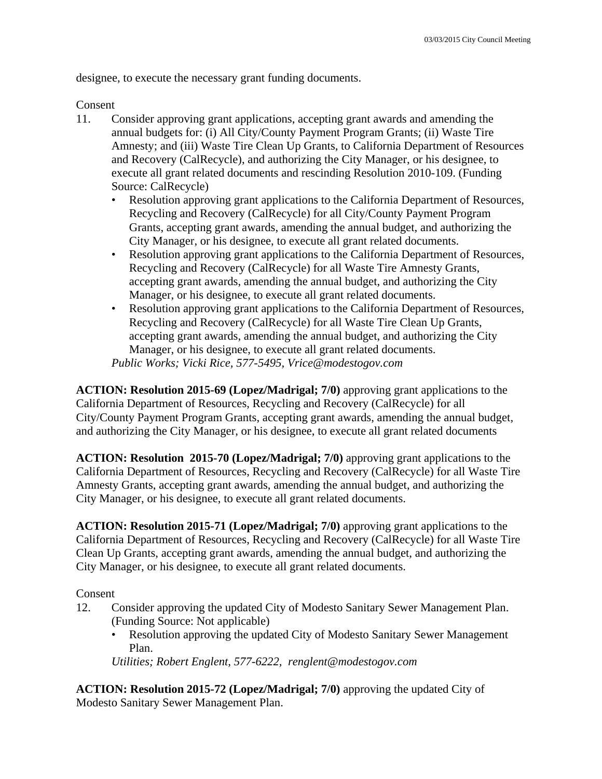designee, to execute the necessary grant funding documents.

### Consent

- 11. Consider approving grant applications, accepting grant awards and amending the annual budgets for: (i) All City/County Payment Program Grants; (ii) Waste Tire Amnesty; and (iii) Waste Tire Clean Up Grants, to California Department of Resources and Recovery (CalRecycle), and authorizing the City Manager, or his designee, to execute all grant related documents and rescinding Resolution 2010-109. (Funding Source: CalRecycle)
	- Resolution approving grant applications to the California Department of Resources, Recycling and Recovery (CalRecycle) for all City/County Payment Program Grants, accepting grant awards, amending the annual budget, and authorizing the City Manager, or his designee, to execute all grant related documents.
	- Resolution approving grant applications to the California Department of Resources, Recycling and Recovery (CalRecycle) for all Waste Tire Amnesty Grants, accepting grant awards, amending the annual budget, and authorizing the City Manager, or his designee, to execute all grant related documents.
	- Resolution approving grant applications to the California Department of Resources, Recycling and Recovery (CalRecycle) for all Waste Tire Clean Up Grants, accepting grant awards, amending the annual budget, and authorizing the City Manager, or his designee, to execute all grant related documents. *Public Works; Vicki Rice, 577-5495, Vrice@modestogov.com*

**ACTION: Resolution 2015-69 (Lopez/Madrigal; 7/0)** approving grant applications to the California Department of Resources, Recycling and Recovery (CalRecycle) for all City/County Payment Program Grants, accepting grant awards, amending the annual budget, and authorizing the City Manager, or his designee, to execute all grant related documents

**ACTION: Resolution 2015-70 (Lopez/Madrigal; 7/0)** approving grant applications to the California Department of Resources, Recycling and Recovery (CalRecycle) for all Waste Tire Amnesty Grants, accepting grant awards, amending the annual budget, and authorizing the City Manager, or his designee, to execute all grant related documents.

**ACTION: Resolution 2015-71 (Lopez/Madrigal; 7/0)** approving grant applications to the California Department of Resources, Recycling and Recovery (CalRecycle) for all Waste Tire Clean Up Grants, accepting grant awards, amending the annual budget, and authorizing the City Manager, or his designee, to execute all grant related documents.

Consent

- 12. Consider approving the updated City of Modesto Sanitary Sewer Management Plan. (Funding Source: Not applicable)
	- Resolution approving the updated City of Modesto Sanitary Sewer Management Plan.

*Utilities; Robert Englent, 577-6222, renglent@modestogov.com* 

**ACTION: Resolution 2015-72 (Lopez/Madrigal; 7/0)** approving the updated City of Modesto Sanitary Sewer Management Plan.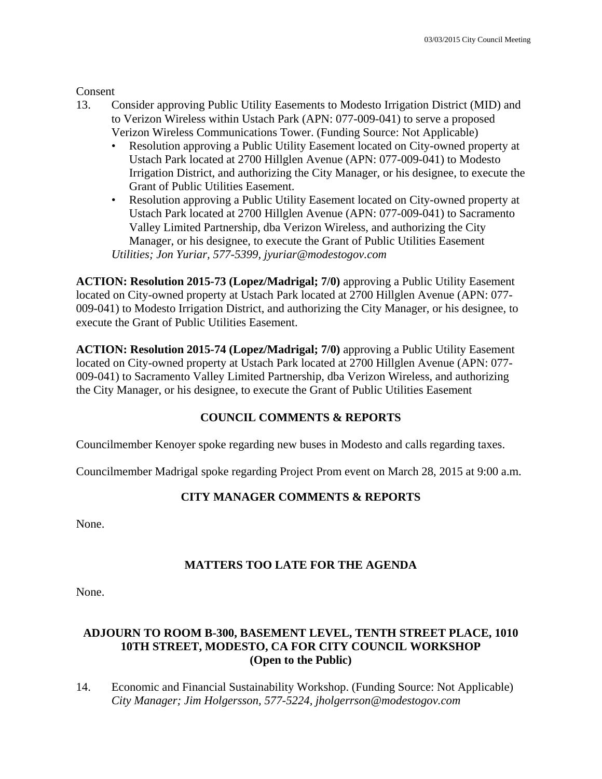Consent

- 13. Consider approving Public Utility Easements to Modesto Irrigation District (MID) and to Verizon Wireless within Ustach Park (APN: 077-009-041) to serve a proposed Verizon Wireless Communications Tower. (Funding Source: Not Applicable)
	- Resolution approving a Public Utility Easement located on City-owned property at Ustach Park located at 2700 Hillglen Avenue (APN: 077-009-041) to Modesto Irrigation District, and authorizing the City Manager, or his designee, to execute the Grant of Public Utilities Easement.
	- Resolution approving a Public Utility Easement located on City-owned property at Ustach Park located at 2700 Hillglen Avenue (APN: 077-009-041) to Sacramento Valley Limited Partnership, dba Verizon Wireless, and authorizing the City Manager, or his designee, to execute the Grant of Public Utilities Easement *Utilities; Jon Yuriar, 577-5399, jyuriar@modestogov.com*

**ACTION: Resolution 2015-73 (Lopez/Madrigal; 7/0)** approving a Public Utility Easement located on City-owned property at Ustach Park located at 2700 Hillglen Avenue (APN: 077- 009-041) to Modesto Irrigation District, and authorizing the City Manager, or his designee, to execute the Grant of Public Utilities Easement.

**ACTION: Resolution 2015-74 (Lopez/Madrigal; 7/0)** approving a Public Utility Easement located on City-owned property at Ustach Park located at 2700 Hillglen Avenue (APN: 077- 009-041) to Sacramento Valley Limited Partnership, dba Verizon Wireless, and authorizing the City Manager, or his designee, to execute the Grant of Public Utilities Easement

## **COUNCIL COMMENTS & REPORTS**

Councilmember Kenoyer spoke regarding new buses in Modesto and calls regarding taxes.

Councilmember Madrigal spoke regarding Project Prom event on March 28, 2015 at 9:00 a.m.

## **CITY MANAGER COMMENTS & REPORTS**

None.

## **MATTERS TOO LATE FOR THE AGENDA**

None.

## **ADJOURN TO ROOM B-300, BASEMENT LEVEL, TENTH STREET PLACE, 1010 10TH STREET, MODESTO, CA FOR CITY COUNCIL WORKSHOP (Open to the Public)**

14. Economic and Financial Sustainability Workshop. (Funding Source: Not Applicable)  *City Manager; Jim Holgersson, 577-5224, jholgerrson@modestogov.com*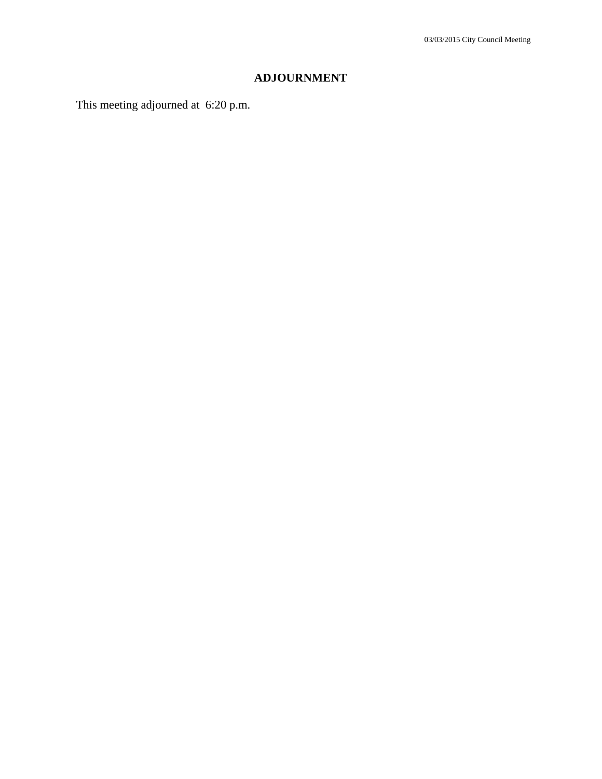## **ADJOURNMENT**

This meeting adjourned at 6:20 p.m.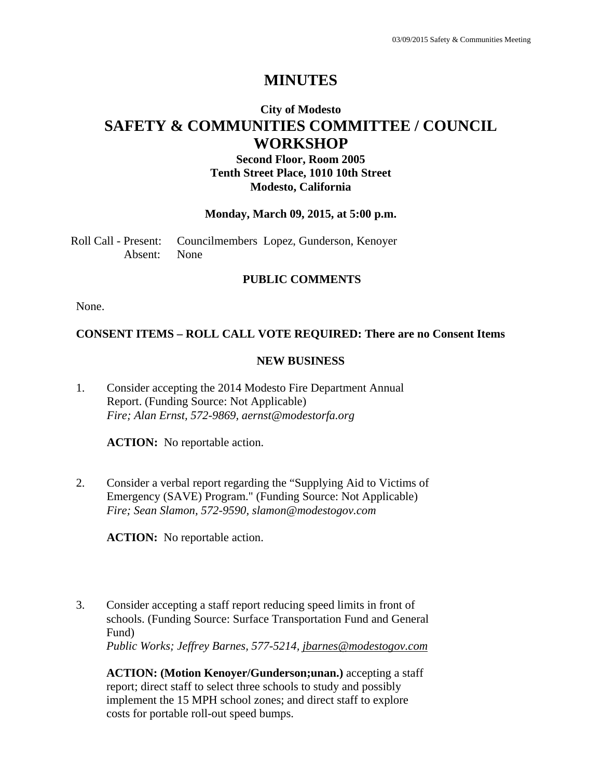## **City of Modesto SAFETY & COMMUNITIES COMMITTEE / COUNCIL WORKSHOP**

## **Second Floor, Room 2005 Tenth Street Place, 1010 10th Street Modesto, California**

#### **Monday, March 09, 2015, at 5:00 p.m.**

Roll Call - Present: Councilmembers Lopez, Gunderson, Kenoyer Absent: None

#### **PUBLIC COMMENTS**

None.

#### **CONSENT ITEMS – ROLL CALL VOTE REQUIRED: There are no Consent Items**

#### **NEW BUSINESS**

1. Consider accepting the 2014 Modesto Fire Department Annual Report. (Funding Source: Not Applicable) *Fire; Alan Ernst, 572-9869, aernst@modestorfa.org* 

**ACTION:** No reportable action.

2. Consider a verbal report regarding the "Supplying Aid to Victims of Emergency (SAVE) Program." (Funding Source: Not Applicable) *Fire; Sean Slamon, 572-9590, slamon@modestogov.com* 

**ACTION:** No reportable action.

3. Consider accepting a staff report reducing speed limits in front of schools. (Funding Source: Surface Transportation Fund and General Fund) *Public Works; Jeffrey Barnes, 577-5214, jbarnes@modestogov.com* 

**ACTION: (Motion Kenoyer/Gunderson;unan.)** accepting a staff report; direct staff to select three schools to study and possibly implement the 15 MPH school zones; and direct staff to explore costs for portable roll-out speed bumps.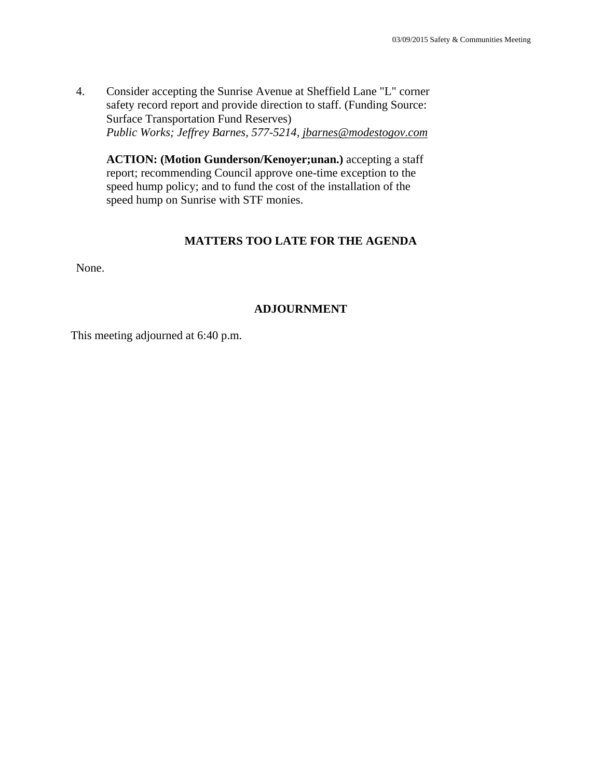4. Consider accepting the Sunrise Avenue at Sheffield Lane "L" corner safety record report and provide direction to staff. (Funding Source: Surface Transportation Fund Reserves) *Public Works; Jeffrey Barnes, 577-5214, jbarnes@modestogov.com* 

**ACTION: (Motion Gunderson/Kenoyer;unan.)** accepting a staff report; recommending Council approve one-time exception to the speed hump policy; and to fund the cost of the installation of the speed hump on Sunrise with STF monies.

#### **MATTERS TOO LATE FOR THE AGENDA**

None.

### **ADJOURNMENT**

This meeting adjourned at 6:40 p.m.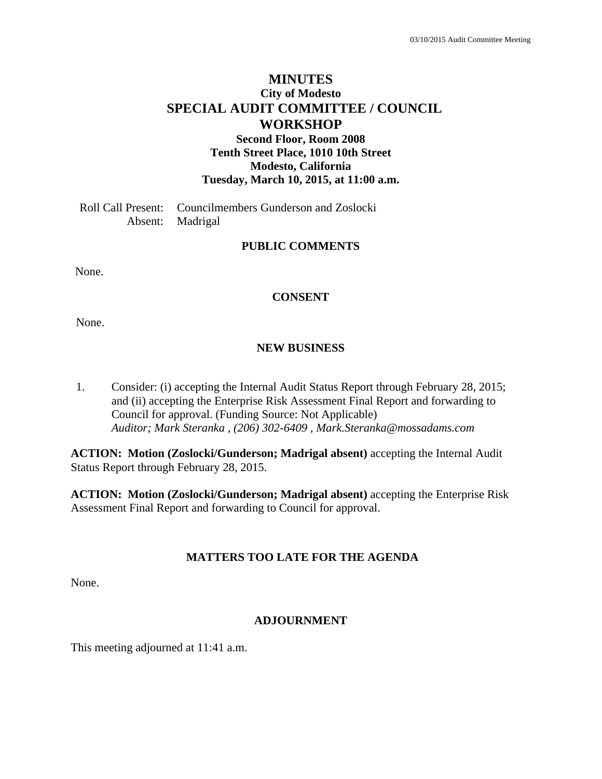## **MINUTES City of Modesto SPECIAL AUDIT COMMITTEE / COUNCIL WORKSHOP Second Floor, Room 2008**

**Tenth Street Place, 1010 10th Street Modesto, California Tuesday, March 10, 2015, at 11:00 a.m.** 

Roll Call Present: Councilmembers Gunderson and Zoslocki Absent: Madrigal

### **PUBLIC COMMENTS**

None.

#### **CONSENT**

None.

#### **NEW BUSINESS**

1. Consider: (i) accepting the Internal Audit Status Report through February 28, 2015; and (ii) accepting the Enterprise Risk Assessment Final Report and forwarding to Council for approval. (Funding Source: Not Applicable)  *Auditor; Mark Steranka , (206) 302-6409 , Mark.Steranka@mossadams.com* 

**ACTION: Motion (Zoslocki/Gunderson; Madrigal absent)** accepting the Internal Audit Status Report through February 28, 2015.

**ACTION: Motion (Zoslocki/Gunderson; Madrigal absent)** accepting the Enterprise Risk Assessment Final Report and forwarding to Council for approval.

### **MATTERS TOO LATE FOR THE AGENDA**

None.

#### **ADJOURNMENT**

This meeting adjourned at 11:41 a.m.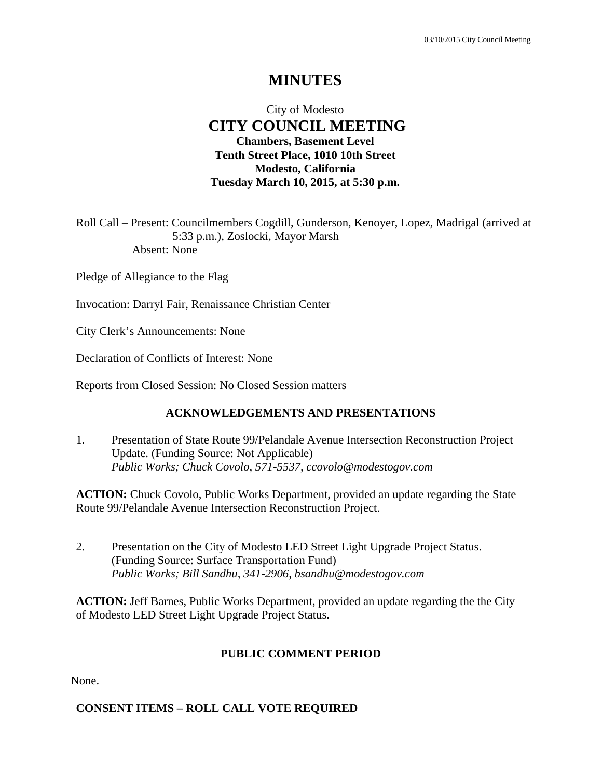## City of Modesto  **CITY COUNCIL MEETING Chambers, Basement Level Tenth Street Place, 1010 10th Street Modesto, California Tuesday March 10, 2015, at 5:30 p.m.**

Roll Call – Present: Councilmembers Cogdill, Gunderson, Kenoyer, Lopez, Madrigal (arrived at 5:33 p.m.), Zoslocki, Mayor Marsh Absent: None

Pledge of Allegiance to the Flag

Invocation: Darryl Fair, Renaissance Christian Center

City Clerk's Announcements: None

Declaration of Conflicts of Interest: None

Reports from Closed Session: No Closed Session matters

### **ACKNOWLEDGEMENTS AND PRESENTATIONS**

1. Presentation of State Route 99/Pelandale Avenue Intersection Reconstruction Project Update. (Funding Source: Not Applicable)  *Public Works; Chuck Covolo, 571-5537, ccovolo@modestogov.com* 

ACTION: Chuck Covolo, Public Works Department, provided an update regarding the State Route 99/Pelandale Avenue Intersection Reconstruction Project.

2. Presentation on the City of Modesto LED Street Light Upgrade Project Status. (Funding Source: Surface Transportation Fund)  *Public Works; Bill Sandhu, 341-2906, bsandhu@modestogov.com* 

**ACTION:** Jeff Barnes, Public Works Department, provided an update regarding the the City of Modesto LED Street Light Upgrade Project Status.

#### **PUBLIC COMMENT PERIOD**

None.

### **CONSENT ITEMS – ROLL CALL VOTE REQUIRED**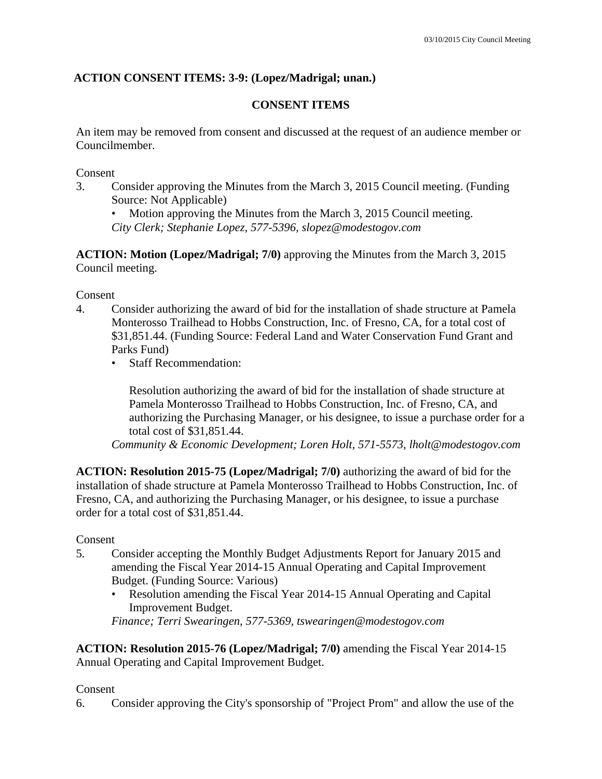## **ACTION CONSENT ITEMS: 3-9: (Lopez/Madrigal; unan.)**

## **CONSENT ITEMS**

An item may be removed from consent and discussed at the request of an audience member or Councilmember.

Consent

- 3. Consider approving the Minutes from the March 3, 2015 Council meeting. (Funding Source: Not Applicable)
	- Motion approving the Minutes from the March 3, 2015 Council meeting.

*City Clerk; Stephanie Lopez, 577-5396, slopez@modestogov.com* 

**ACTION: Motion (Lopez/Madrigal; 7/0)** approving the Minutes from the March 3, 2015 Council meeting.

Consent

- 4. Consider authorizing the award of bid for the installation of shade structure at Pamela Monterosso Trailhead to Hobbs Construction, Inc. of Fresno, CA, for a total cost of \$31,851.44. (Funding Source: Federal Land and Water Conservation Fund Grant and Parks Fund)
	- Staff Recommendation:

Resolution authorizing the award of bid for the installation of shade structure at Pamela Monterosso Trailhead to Hobbs Construction, Inc. of Fresno, CA, and authorizing the Purchasing Manager, or his designee, to issue a purchase order for a total cost of \$31,851.44.

*Community & Economic Development; Loren Holt, 571-5573, lholt@modestogov.com* 

**ACTION: Resolution 2015-75 (Lopez/Madrigal; 7/0)** authorizing the award of bid for the installation of shade structure at Pamela Monterosso Trailhead to Hobbs Construction, Inc. of Fresno, CA, and authorizing the Purchasing Manager, or his designee, to issue a purchase order for a total cost of \$31,851.44.

### Consent

- 5. Consider accepting the Monthly Budget Adjustments Report for January 2015 and amending the Fiscal Year 2014-15 Annual Operating and Capital Improvement Budget. (Funding Source: Various)
	- Resolution amending the Fiscal Year 2014-15 Annual Operating and Capital Improvement Budget.

*Finance; Terri Swearingen, 577-5369, tswearingen@modestogov.com* 

**ACTION: Resolution 2015-76 (Lopez/Madrigal; 7/0)** amending the Fiscal Year 2014-15 Annual Operating and Capital Improvement Budget.

## Consent

6. Consider approving the City's sponsorship of "Project Prom" and allow the use of the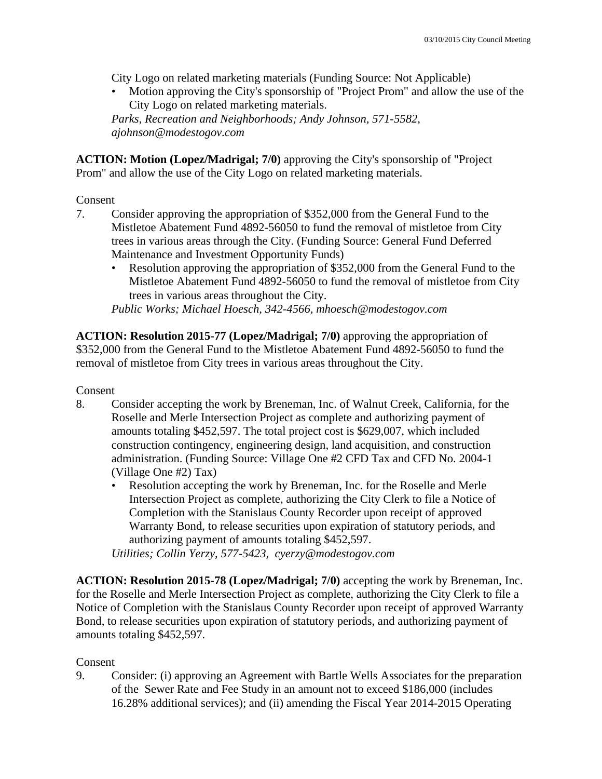City Logo on related marketing materials (Funding Source: Not Applicable)

• Motion approving the City's sponsorship of "Project Prom" and allow the use of the City Logo on related marketing materials. *Parks, Recreation and Neighborhoods; Andy Johnson, 571-5582,* 

*ajohnson@modestogov.com* 

**ACTION: Motion (Lopez/Madrigal; 7/0)** approving the City's sponsorship of "Project Prom" and allow the use of the City Logo on related marketing materials.

### Consent

- 7. Consider approving the appropriation of \$352,000 from the General Fund to the Mistletoe Abatement Fund 4892-56050 to fund the removal of mistletoe from City trees in various areas through the City. (Funding Source: General Fund Deferred Maintenance and Investment Opportunity Funds)
	- Resolution approving the appropriation of \$352,000 from the General Fund to the Mistletoe Abatement Fund 4892-56050 to fund the removal of mistletoe from City trees in various areas throughout the City.

*Public Works; Michael Hoesch, 342-4566, mhoesch@modestogov.com* 

**ACTION: Resolution 2015-77 (Lopez/Madrigal; 7/0)** approving the appropriation of \$352,000 from the General Fund to the Mistletoe Abatement Fund 4892-56050 to fund the removal of mistletoe from City trees in various areas throughout the City.

Consent

- 8. Consider accepting the work by Breneman, Inc. of Walnut Creek, California, for the Roselle and Merle Intersection Project as complete and authorizing payment of amounts totaling \$452,597. The total project cost is \$629,007, which included construction contingency, engineering design, land acquisition, and construction administration. (Funding Source: Village One #2 CFD Tax and CFD No. 2004-1 (Village One #2) Tax)
	- Resolution accepting the work by Breneman, Inc. for the Roselle and Merle Intersection Project as complete, authorizing the City Clerk to file a Notice of Completion with the Stanislaus County Recorder upon receipt of approved Warranty Bond, to release securities upon expiration of statutory periods, and authorizing payment of amounts totaling \$452,597.

*Utilities; Collin Yerzy, 577-5423, cyerzy@modestogov.com* 

**ACTION: Resolution 2015-78 (Lopez/Madrigal; 7/0)** accepting the work by Breneman, Inc. for the Roselle and Merle Intersection Project as complete, authorizing the City Clerk to file a Notice of Completion with the Stanislaus County Recorder upon receipt of approved Warranty Bond, to release securities upon expiration of statutory periods, and authorizing payment of amounts totaling \$452,597.

## Consent

9. Consider: (i) approving an Agreement with Bartle Wells Associates for the preparation of the Sewer Rate and Fee Study in an amount not to exceed \$186,000 (includes 16.28% additional services); and (ii) amending the Fiscal Year 2014-2015 Operating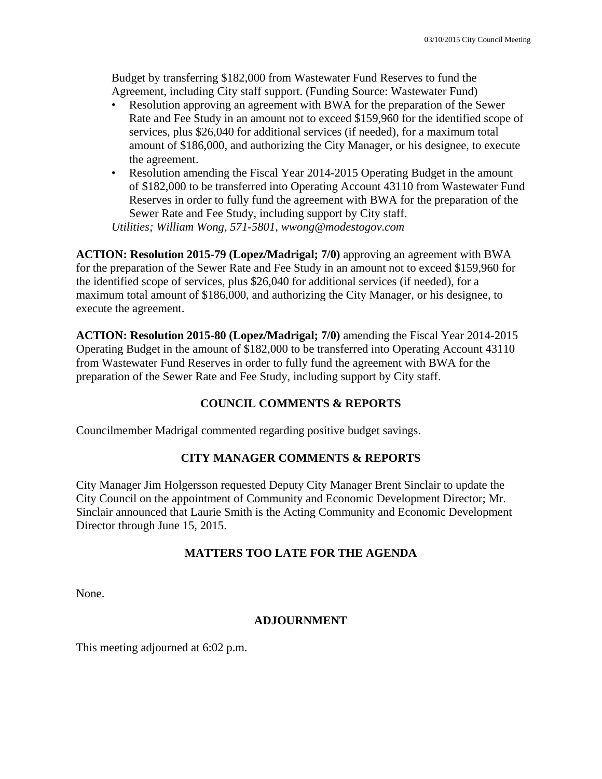Budget by transferring \$182,000 from Wastewater Fund Reserves to fund the Agreement, including City staff support. (Funding Source: Wastewater Fund)

- Resolution approving an agreement with BWA for the preparation of the Sewer Rate and Fee Study in an amount not to exceed \$159,960 for the identified scope of services, plus \$26,040 for additional services (if needed), for a maximum total amount of \$186,000, and authorizing the City Manager, or his designee, to execute the agreement.
- Resolution amending the Fiscal Year 2014-2015 Operating Budget in the amount of \$182,000 to be transferred into Operating Account 43110 from Wastewater Fund Reserves in order to fully fund the agreement with BWA for the preparation of the Sewer Rate and Fee Study, including support by City staff.

*Utilities; William Wong, 571-5801, wwong@modestogov.com* 

**ACTION: Resolution 2015-79 (Lopez/Madrigal; 7/0)** approving an agreement with BWA for the preparation of the Sewer Rate and Fee Study in an amount not to exceed \$159,960 for the identified scope of services, plus \$26,040 for additional services (if needed), for a maximum total amount of \$186,000, and authorizing the City Manager, or his designee, to execute the agreement.

**ACTION: Resolution 2015-80 (Lopez/Madrigal; 7/0)** amending the Fiscal Year 2014-2015 Operating Budget in the amount of \$182,000 to be transferred into Operating Account 43110 from Wastewater Fund Reserves in order to fully fund the agreement with BWA for the preparation of the Sewer Rate and Fee Study, including support by City staff.

### **COUNCIL COMMENTS & REPORTS**

Councilmember Madrigal commented regarding positive budget savings.

## **CITY MANAGER COMMENTS & REPORTS**

City Manager Jim Holgersson requested Deputy City Manager Brent Sinclair to update the City Council on the appointment of Community and Economic Development Director; Mr. Sinclair announced that Laurie Smith is the Acting Community and Economic Development Director through June 15, 2015.

## **MATTERS TOO LATE FOR THE AGENDA**

None.

### **ADJOURNMENT**

This meeting adjourned at 6:02 p.m.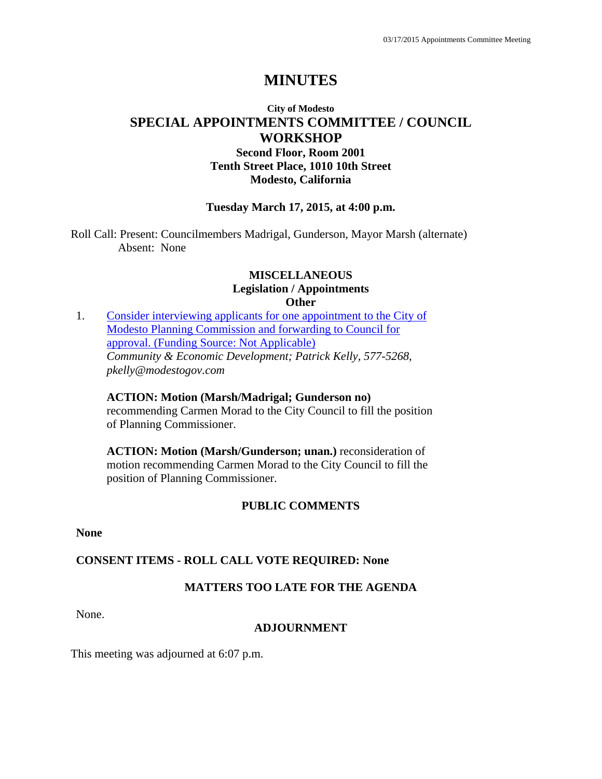## **City of Modesto SPECIAL APPOINTMENTS COMMITTEE / COUNCIL WORKSHOP**

**Second Floor, Room 2001 Tenth Street Place, 1010 10th Street Modesto, California**

### **Tuesday March 17, 2015, at 4:00 p.m.**

Roll Call: Present: Councilmembers Madrigal, Gunderson, Mayor Marsh (alternate) Absent: None

#### **MISCELLANEOUS Legislation / Appointments Other**

1. Consider interviewing applicants for one appointment to the City of Modesto Planning Commission and forwarding to Council for approval. (Funding Source: Not Applicable) *Community & Economic Development; Patrick Kelly, 577-5268, pkelly@modestogov.com* 

**ACTION: Motion (Marsh/Madrigal; Gunderson no)**  recommending Carmen Morad to the City Council to fill the position of Planning Commissioner.

**ACTION: Motion (Marsh/Gunderson; unan.)** reconsideration of motion recommending Carmen Morad to the City Council to fill the position of Planning Commissioner.

## **PUBLIC COMMENTS**

**None** 

### **CONSENT ITEMS - ROLL CALL VOTE REQUIRED: None**

## **MATTERS TOO LATE FOR THE AGENDA**

None.

### **ADJOURNMENT**

This meeting was adjourned at 6:07 p.m.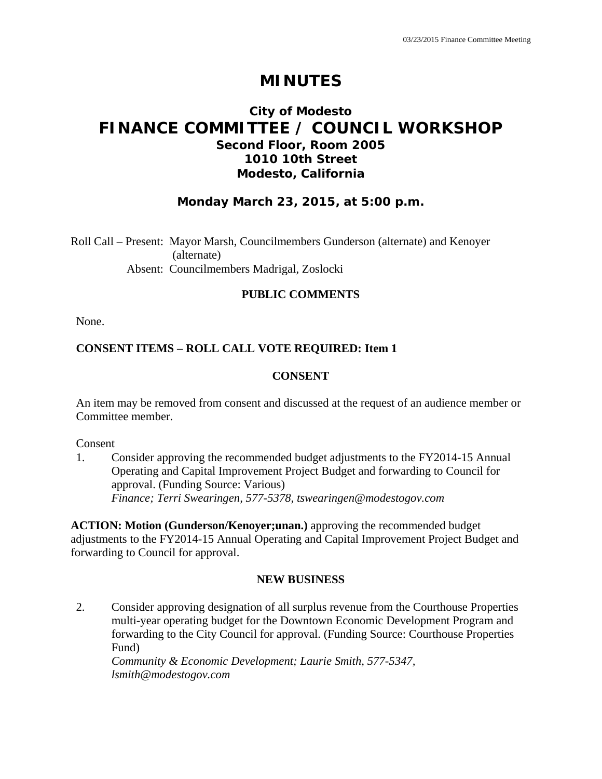## **City of Modesto FINANCE COMMITTEE / COUNCIL WORKSHOP Second Floor, Room 2005 1010 10th Street Modesto, California**

## **Monday March 23, 2015, at 5:00 p.m.**

Roll Call – Present: Mayor Marsh, Councilmembers Gunderson (alternate) and Kenoyer (alternate) Absent: Councilmembers Madrigal, Zoslocki

### **PUBLIC COMMENTS**

None.

## **CONSENT ITEMS – ROLL CALL VOTE REQUIRED: Item 1**

### **CONSENT**

An item may be removed from consent and discussed at the request of an audience member or Committee member.

Consent

1. Consider approving the recommended budget adjustments to the FY2014-15 Annual Operating and Capital Improvement Project Budget and forwarding to Council for approval. (Funding Source: Various)  *Finance; Terri Swearingen, 577-5378, tswearingen@modestogov.com* 

**ACTION: Motion (Gunderson/Kenoyer;unan.)** approving the recommended budget adjustments to the FY2014-15 Annual Operating and Capital Improvement Project Budget and forwarding to Council for approval.

### **NEW BUSINESS**

2. Consider approving designation of all surplus revenue from the Courthouse Properties multi-year operating budget for the Downtown Economic Development Program and forwarding to the City Council for approval. (Funding Source: Courthouse Properties Fund)

 *Community & Economic Development; Laurie Smith, 577-5347, lsmith@modestogov.com*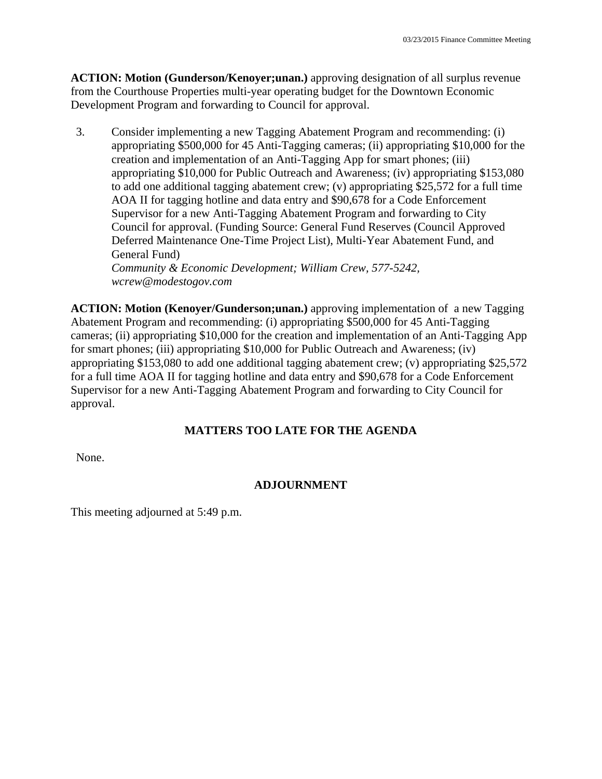**ACTION: Motion (Gunderson/Kenoyer;unan.)** approving designation of all surplus revenue from the Courthouse Properties multi-year operating budget for the Downtown Economic Development Program and forwarding to Council for approval.

3. Consider implementing a new Tagging Abatement Program and recommending: (i) appropriating \$500,000 for 45 Anti-Tagging cameras; (ii) appropriating \$10,000 for the creation and implementation of an Anti-Tagging App for smart phones; (iii) appropriating \$10,000 for Public Outreach and Awareness; (iv) appropriating \$153,080 to add one additional tagging abatement crew; (v) appropriating \$25,572 for a full time AOA II for tagging hotline and data entry and \$90,678 for a Code Enforcement Supervisor for a new Anti-Tagging Abatement Program and forwarding to City Council for approval. (Funding Source: General Fund Reserves (Council Approved Deferred Maintenance One-Time Project List), Multi-Year Abatement Fund, and General Fund)  *Community & Economic Development; William Crew, 577-5242,* 

*wcrew@modestogov.com* 

**ACTION: Motion (Kenoyer/Gunderson;unan.)** approving implementation of a new Tagging Abatement Program and recommending: (i) appropriating \$500,000 for 45 Anti-Tagging cameras; (ii) appropriating \$10,000 for the creation and implementation of an Anti-Tagging App for smart phones; (iii) appropriating \$10,000 for Public Outreach and Awareness; (iv) appropriating \$153,080 to add one additional tagging abatement crew; (v) appropriating \$25,572 for a full time AOA II for tagging hotline and data entry and \$90,678 for a Code Enforcement Supervisor for a new Anti-Tagging Abatement Program and forwarding to City Council for approval.

## **MATTERS TOO LATE FOR THE AGENDA**

None.

## **ADJOURNMENT**

This meeting adjourned at 5:49 p.m.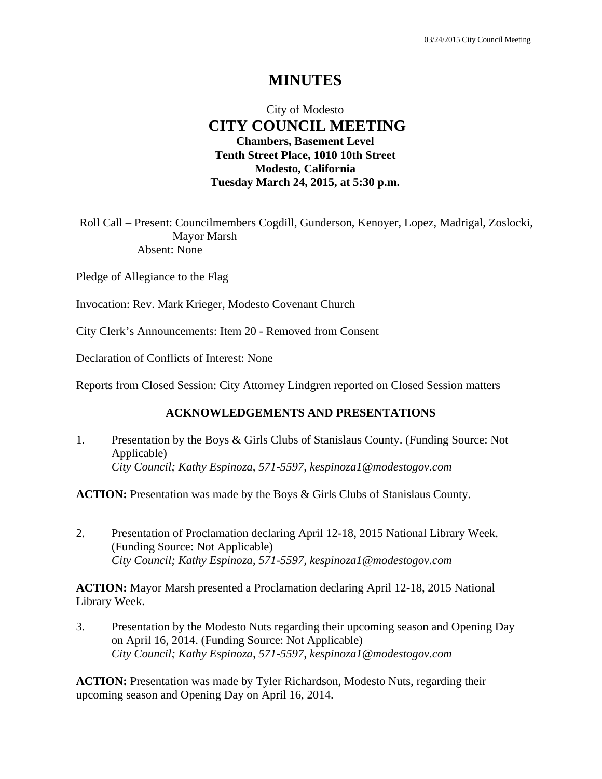## City of Modesto  **CITY COUNCIL MEETING Chambers, Basement Level Tenth Street Place, 1010 10th Street Modesto, California Tuesday March 24, 2015, at 5:30 p.m.**

Roll Call – Present: Councilmembers Cogdill, Gunderson, Kenoyer, Lopez, Madrigal, Zoslocki, Mayor Marsh Absent: None

Pledge of Allegiance to the Flag

Invocation: Rev. Mark Krieger, Modesto Covenant Church

City Clerk's Announcements: Item 20 - Removed from Consent

Declaration of Conflicts of Interest: None

Reports from Closed Session: City Attorney Lindgren reported on Closed Session matters

### **ACKNOWLEDGEMENTS AND PRESENTATIONS**

1. Presentation by the Boys & Girls Clubs of Stanislaus County. (Funding Source: Not Applicable)  *City Council; Kathy Espinoza, 571-5597, kespinoza1@modestogov.com* 

**ACTION:** Presentation was made by the Boys & Girls Clubs of Stanislaus County.

2. Presentation of Proclamation declaring April 12-18, 2015 National Library Week. (Funding Source: Not Applicable)  *City Council; Kathy Espinoza, 571-5597, kespinoza1@modestogov.com* 

**ACTION:** Mayor Marsh presented a Proclamation declaring April 12-18, 2015 National Library Week.

3. Presentation by the Modesto Nuts regarding their upcoming season and Opening Day on April 16, 2014. (Funding Source: Not Applicable)  *City Council; Kathy Espinoza, 571-5597, kespinoza1@modestogov.com* 

**ACTION:** Presentation was made by Tyler Richardson, Modesto Nuts, regarding their upcoming season and Opening Day on April 16, 2014.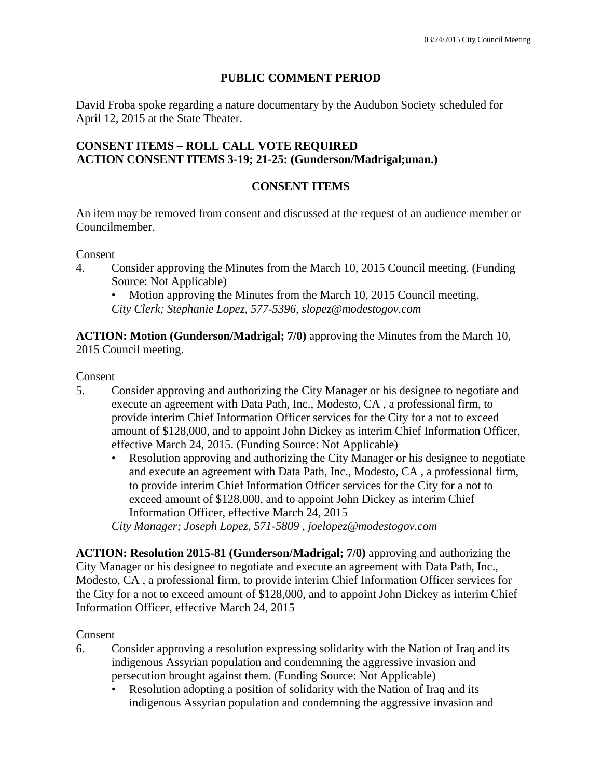## **PUBLIC COMMENT PERIOD**

David Froba spoke regarding a nature documentary by the Audubon Society scheduled for April 12, 2015 at the State Theater.

### **CONSENT ITEMS – ROLL CALL VOTE REQUIRED ACTION CONSENT ITEMS 3-19; 21-25: (Gunderson/Madrigal;unan.)**

## **CONSENT ITEMS**

An item may be removed from consent and discussed at the request of an audience member or Councilmember.

Consent

4. Consider approving the Minutes from the March 10, 2015 Council meeting. (Funding Source: Not Applicable)

Motion approving the Minutes from the March 10, 2015 Council meeting.

*City Clerk; Stephanie Lopez, 577-5396, slopez@modestogov.com* 

**ACTION: Motion (Gunderson/Madrigal; 7/0)** approving the Minutes from the March 10, 2015 Council meeting.

Consent

- 5. Consider approving and authorizing the City Manager or his designee to negotiate and execute an agreement with Data Path, Inc., Modesto, CA , a professional firm, to provide interim Chief Information Officer services for the City for a not to exceed amount of \$128,000, and to appoint John Dickey as interim Chief Information Officer, effective March 24, 2015. (Funding Source: Not Applicable)
	- Resolution approving and authorizing the City Manager or his designee to negotiate and execute an agreement with Data Path, Inc., Modesto, CA , a professional firm, to provide interim Chief Information Officer services for the City for a not to exceed amount of \$128,000, and to appoint John Dickey as interim Chief Information Officer, effective March 24, 2015 *City Manager; Joseph Lopez, 571-5809 , joelopez@modestogov.com*

**ACTION: Resolution 2015-81 (Gunderson/Madrigal; 7/0)** approving and authorizing the City Manager or his designee to negotiate and execute an agreement with Data Path, Inc.,

Modesto, CA , a professional firm, to provide interim Chief Information Officer services for the City for a not to exceed amount of \$128,000, and to appoint John Dickey as interim Chief Information Officer, effective March 24, 2015

Consent

- 6. Consider approving a resolution expressing solidarity with the Nation of Iraq and its indigenous Assyrian population and condemning the aggressive invasion and persecution brought against them. (Funding Source: Not Applicable)
	- Resolution adopting a position of solidarity with the Nation of Iraq and its indigenous Assyrian population and condemning the aggressive invasion and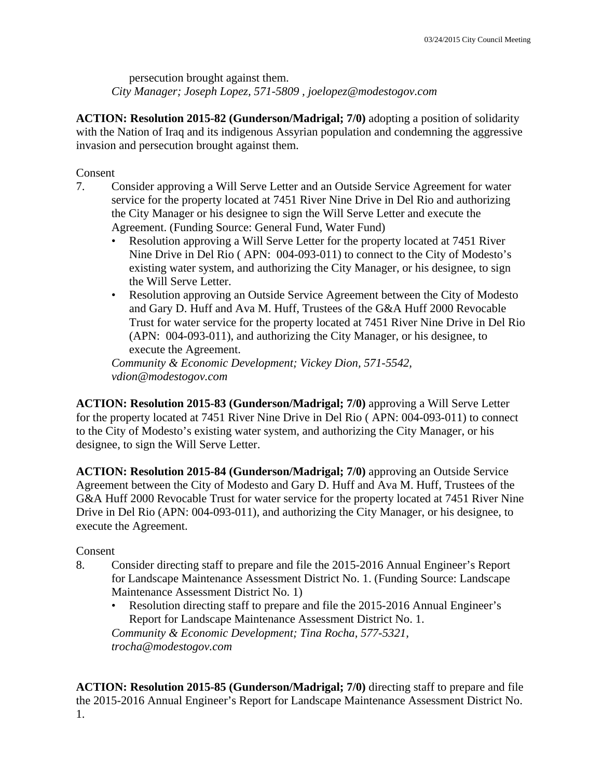persecution brought against them. *City Manager; Joseph Lopez, 571-5809 , joelopez@modestogov.com* 

**ACTION: Resolution 2015-82 (Gunderson/Madrigal; 7/0)** adopting a position of solidarity with the Nation of Iraq and its indigenous Assyrian population and condemning the aggressive invasion and persecution brought against them.

Consent

- 7. Consider approving a Will Serve Letter and an Outside Service Agreement for water service for the property located at 7451 River Nine Drive in Del Rio and authorizing the City Manager or his designee to sign the Will Serve Letter and execute the Agreement. (Funding Source: General Fund, Water Fund)
	- Resolution approving a Will Serve Letter for the property located at 7451 River Nine Drive in Del Rio ( APN: 004-093-011) to connect to the City of Modesto's existing water system, and authorizing the City Manager, or his designee, to sign the Will Serve Letter.
	- Resolution approving an Outside Service Agreement between the City of Modesto and Gary D. Huff and Ava M. Huff, Trustees of the G&A Huff 2000 Revocable Trust for water service for the property located at 7451 River Nine Drive in Del Rio (APN: 004-093-011), and authorizing the City Manager, or his designee, to execute the Agreement.

*Community & Economic Development; Vickey Dion, 571-5542, vdion@modestogov.com* 

**ACTION: Resolution 2015-83 (Gunderson/Madrigal; 7/0)** approving a Will Serve Letter for the property located at 7451 River Nine Drive in Del Rio ( APN: 004-093-011) to connect to the City of Modesto's existing water system, and authorizing the City Manager, or his designee, to sign the Will Serve Letter.

**ACTION: Resolution 2015-84 (Gunderson/Madrigal; 7/0)** approving an Outside Service Agreement between the City of Modesto and Gary D. Huff and Ava M. Huff, Trustees of the G&A Huff 2000 Revocable Trust for water service for the property located at 7451 River Nine Drive in Del Rio (APN: 004-093-011), and authorizing the City Manager, or his designee, to execute the Agreement.

### Consent

- 8. Consider directing staff to prepare and file the 2015-2016 Annual Engineer's Report for Landscape Maintenance Assessment District No. 1. (Funding Source: Landscape Maintenance Assessment District No. 1)
	- Resolution directing staff to prepare and file the 2015-2016 Annual Engineer's Report for Landscape Maintenance Assessment District No. 1.

*Community & Economic Development; Tina Rocha, 577-5321, trocha@modestogov.com* 

**ACTION: Resolution 2015-85 (Gunderson/Madrigal; 7/0)** directing staff to prepare and file the 2015-2016 Annual Engineer's Report for Landscape Maintenance Assessment District No. 1.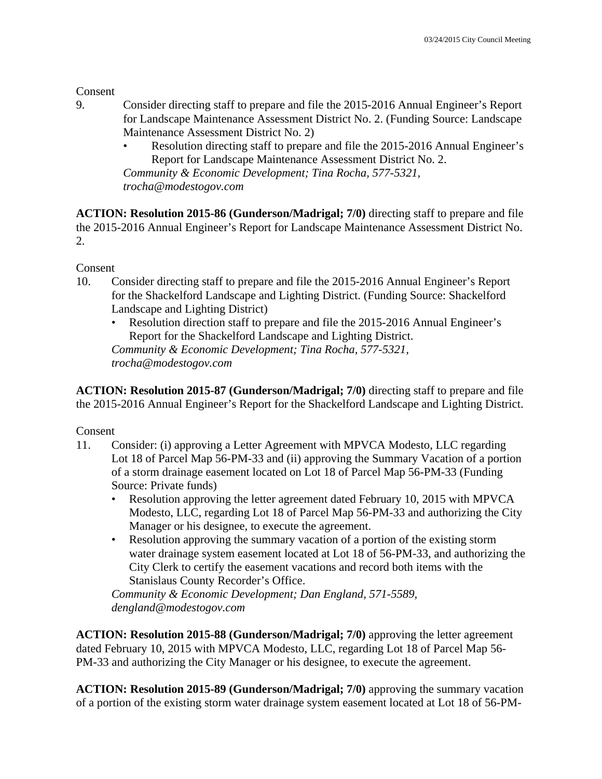Consent

- 9. Consider directing staff to prepare and file the 2015-2016 Annual Engineer's Report for Landscape Maintenance Assessment District No. 2. (Funding Source: Landscape Maintenance Assessment District No. 2)
	- Resolution directing staff to prepare and file the 2015-2016 Annual Engineer's Report for Landscape Maintenance Assessment District No. 2.

*Community & Economic Development; Tina Rocha, 577-5321, trocha@modestogov.com* 

**ACTION: Resolution 2015-86 (Gunderson/Madrigal; 7/0)** directing staff to prepare and file the 2015-2016 Annual Engineer's Report for Landscape Maintenance Assessment District No. 2.

Consent

- 10. Consider directing staff to prepare and file the 2015-2016 Annual Engineer's Report for the Shackelford Landscape and Lighting District. (Funding Source: Shackelford Landscape and Lighting District)
	- Resolution direction staff to prepare and file the 2015-2016 Annual Engineer's Report for the Shackelford Landscape and Lighting District. *Community & Economic Development; Tina Rocha, 577-5321, trocha@modestogov.com*

**ACTION: Resolution 2015-87 (Gunderson/Madrigal; 7/0)** directing staff to prepare and file the 2015-2016 Annual Engineer's Report for the Shackelford Landscape and Lighting District.

Consent

- 11. Consider: (i) approving a Letter Agreement with MPVCA Modesto, LLC regarding Lot 18 of Parcel Map 56-PM-33 and (ii) approving the Summary Vacation of a portion of a storm drainage easement located on Lot 18 of Parcel Map 56-PM-33 (Funding Source: Private funds)
	- Resolution approving the letter agreement dated February 10, 2015 with MPVCA Modesto, LLC, regarding Lot 18 of Parcel Map 56-PM-33 and authorizing the City Manager or his designee, to execute the agreement.
	- Resolution approving the summary vacation of a portion of the existing storm water drainage system easement located at Lot 18 of 56-PM-33, and authorizing the City Clerk to certify the easement vacations and record both items with the Stanislaus County Recorder's Office.

*Community & Economic Development; Dan England, 571-5589, dengland@modestogov.com* 

**ACTION: Resolution 2015-88 (Gunderson/Madrigal; 7/0)** approving the letter agreement dated February 10, 2015 with MPVCA Modesto, LLC, regarding Lot 18 of Parcel Map 56- PM-33 and authorizing the City Manager or his designee, to execute the agreement.

**ACTION: Resolution 2015-89 (Gunderson/Madrigal; 7/0)** approving the summary vacation of a portion of the existing storm water drainage system easement located at Lot 18 of 56-PM-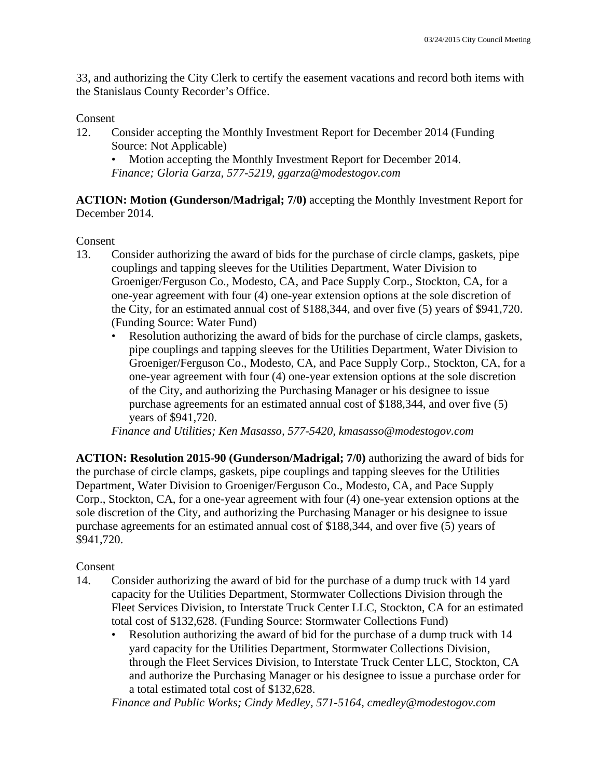33, and authorizing the City Clerk to certify the easement vacations and record both items with the Stanislaus County Recorder's Office.

#### Consent

12. Consider accepting the Monthly Investment Report for December 2014 (Funding Source: Not Applicable)

• Motion accepting the Monthly Investment Report for December 2014. *Finance; Gloria Garza, 577-5219, ggarza@modestogov.com* 

**ACTION: Motion (Gunderson/Madrigal; 7/0)** accepting the Monthly Investment Report for December 2014.

### Consent

- 13. Consider authorizing the award of bids for the purchase of circle clamps, gaskets, pipe couplings and tapping sleeves for the Utilities Department, Water Division to Groeniger/Ferguson Co., Modesto, CA, and Pace Supply Corp., Stockton, CA, for a one-year agreement with four (4) one-year extension options at the sole discretion of the City, for an estimated annual cost of \$188,344, and over five (5) years of \$941,720. (Funding Source: Water Fund)
	- Resolution authorizing the award of bids for the purchase of circle clamps, gaskets, pipe couplings and tapping sleeves for the Utilities Department, Water Division to Groeniger/Ferguson Co., Modesto, CA, and Pace Supply Corp., Stockton, CA, for a one-year agreement with four (4) one-year extension options at the sole discretion of the City, and authorizing the Purchasing Manager or his designee to issue purchase agreements for an estimated annual cost of \$188,344, and over five (5) years of \$941,720.

*Finance and Utilities; Ken Masasso, 577-5420, kmasasso@modestogov.com* 

**ACTION: Resolution 2015-90 (Gunderson/Madrigal; 7/0)** authorizing the award of bids for the purchase of circle clamps, gaskets, pipe couplings and tapping sleeves for the Utilities Department, Water Division to Groeniger/Ferguson Co., Modesto, CA, and Pace Supply Corp., Stockton, CA, for a one-year agreement with four (4) one-year extension options at the sole discretion of the City, and authorizing the Purchasing Manager or his designee to issue purchase agreements for an estimated annual cost of \$188,344, and over five (5) years of \$941,720.

### Consent

- 14. Consider authorizing the award of bid for the purchase of a dump truck with 14 yard capacity for the Utilities Department, Stormwater Collections Division through the Fleet Services Division, to Interstate Truck Center LLC, Stockton, CA for an estimated total cost of \$132,628. (Funding Source: Stormwater Collections Fund)
	- Resolution authorizing the award of bid for the purchase of a dump truck with 14 yard capacity for the Utilities Department, Stormwater Collections Division, through the Fleet Services Division, to Interstate Truck Center LLC, Stockton, CA and authorize the Purchasing Manager or his designee to issue a purchase order for a total estimated total cost of \$132,628.

*Finance and Public Works; Cindy Medley, 571-5164, cmedley@modestogov.com*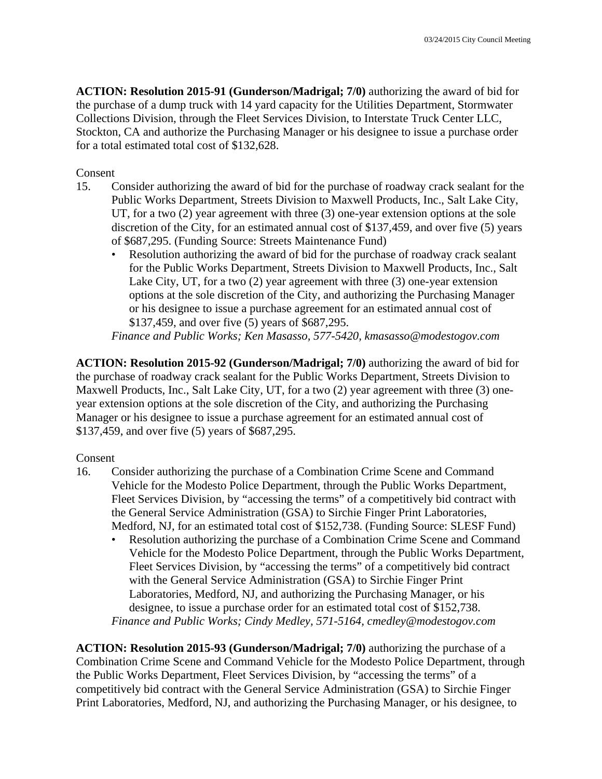**ACTION: Resolution 2015-91 (Gunderson/Madrigal; 7/0)** authorizing the award of bid for the purchase of a dump truck with 14 yard capacity for the Utilities Department, Stormwater Collections Division, through the Fleet Services Division, to Interstate Truck Center LLC, Stockton, CA and authorize the Purchasing Manager or his designee to issue a purchase order for a total estimated total cost of \$132,628.

#### Consent

- 15. Consider authorizing the award of bid for the purchase of roadway crack sealant for the Public Works Department, Streets Division to Maxwell Products, Inc., Salt Lake City, UT, for a two (2) year agreement with three (3) one-year extension options at the sole discretion of the City, for an estimated annual cost of \$137,459, and over five (5) years of \$687,295. (Funding Source: Streets Maintenance Fund)
	- Resolution authorizing the award of bid for the purchase of roadway crack sealant for the Public Works Department, Streets Division to Maxwell Products, Inc., Salt Lake City, UT, for a two (2) year agreement with three (3) one-year extension options at the sole discretion of the City, and authorizing the Purchasing Manager or his designee to issue a purchase agreement for an estimated annual cost of \$137,459, and over five (5) years of \$687,295.

*Finance and Public Works; Ken Masasso, 577-5420, kmasasso@modestogov.com* 

**ACTION: Resolution 2015-92 (Gunderson/Madrigal; 7/0)** authorizing the award of bid for the purchase of roadway crack sealant for the Public Works Department, Streets Division to Maxwell Products, Inc., Salt Lake City, UT, for a two (2) year agreement with three (3) oneyear extension options at the sole discretion of the City, and authorizing the Purchasing Manager or his designee to issue a purchase agreement for an estimated annual cost of \$137,459, and over five (5) years of \$687,295.

#### Consent

- 16. Consider authorizing the purchase of a Combination Crime Scene and Command Vehicle for the Modesto Police Department, through the Public Works Department, Fleet Services Division, by "accessing the terms" of a competitively bid contract with the General Service Administration (GSA) to Sirchie Finger Print Laboratories, Medford, NJ, for an estimated total cost of \$152,738. (Funding Source: SLESF Fund)
	- Resolution authorizing the purchase of a Combination Crime Scene and Command Vehicle for the Modesto Police Department, through the Public Works Department, Fleet Services Division, by "accessing the terms" of a competitively bid contract with the General Service Administration (GSA) to Sirchie Finger Print Laboratories, Medford, NJ, and authorizing the Purchasing Manager, or his designee, to issue a purchase order for an estimated total cost of \$152,738. *Finance and Public Works; Cindy Medley, 571-5164, cmedley@modestogov.com*

**ACTION: Resolution 2015-93 (Gunderson/Madrigal; 7/0)** authorizing the purchase of a Combination Crime Scene and Command Vehicle for the Modesto Police Department, through the Public Works Department, Fleet Services Division, by "accessing the terms" of a competitively bid contract with the General Service Administration (GSA) to Sirchie Finger Print Laboratories, Medford, NJ, and authorizing the Purchasing Manager, or his designee, to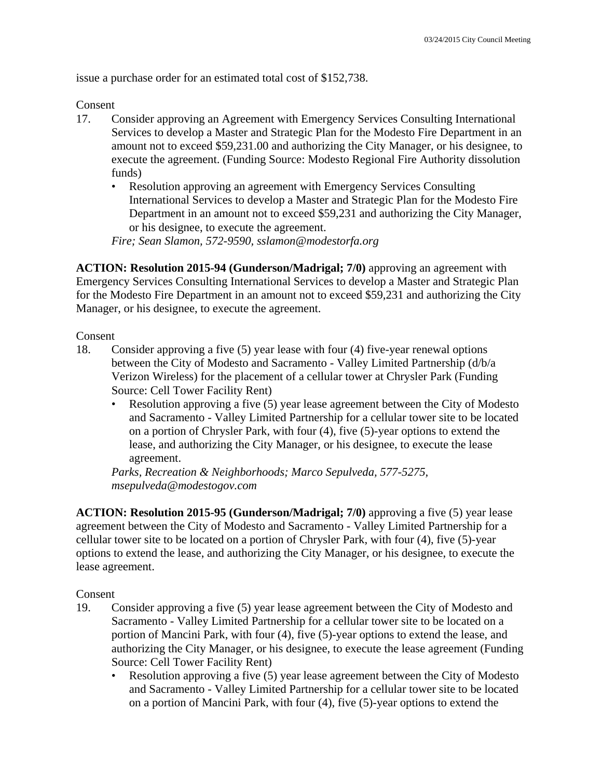issue a purchase order for an estimated total cost of \$152,738.

Consent

- 17. Consider approving an Agreement with Emergency Services Consulting International Services to develop a Master and Strategic Plan for the Modesto Fire Department in an amount not to exceed \$59,231.00 and authorizing the City Manager, or his designee, to execute the agreement. (Funding Source: Modesto Regional Fire Authority dissolution funds)
	- Resolution approving an agreement with Emergency Services Consulting International Services to develop a Master and Strategic Plan for the Modesto Fire Department in an amount not to exceed \$59,231 and authorizing the City Manager, or his designee, to execute the agreement.

*Fire; Sean Slamon, 572-9590, sslamon@modestorfa.org* 

**ACTION: Resolution 2015-94 (Gunderson/Madrigal; 7/0)** approving an agreement with Emergency Services Consulting International Services to develop a Master and Strategic Plan for the Modesto Fire Department in an amount not to exceed \$59,231 and authorizing the City Manager, or his designee, to execute the agreement.

Consent

- 18. Consider approving a five (5) year lease with four (4) five-year renewal options between the City of Modesto and Sacramento - Valley Limited Partnership (d/b/a Verizon Wireless) for the placement of a cellular tower at Chrysler Park (Funding Source: Cell Tower Facility Rent)
	- Resolution approving a five (5) year lease agreement between the City of Modesto and Sacramento - Valley Limited Partnership for a cellular tower site to be located on a portion of Chrysler Park, with four (4), five (5)-year options to extend the lease, and authorizing the City Manager, or his designee, to execute the lease agreement.

*Parks, Recreation & Neighborhoods; Marco Sepulveda, 577-5275, msepulveda@modestogov.com* 

**ACTION: Resolution 2015-95 (Gunderson/Madrigal; 7/0)** approving a five (5) year lease agreement between the City of Modesto and Sacramento - Valley Limited Partnership for a cellular tower site to be located on a portion of Chrysler Park, with four (4), five (5)-year options to extend the lease, and authorizing the City Manager, or his designee, to execute the lease agreement.

- 19. Consider approving a five (5) year lease agreement between the City of Modesto and Sacramento - Valley Limited Partnership for a cellular tower site to be located on a portion of Mancini Park, with four (4), five (5)-year options to extend the lease, and authorizing the City Manager, or his designee, to execute the lease agreement (Funding Source: Cell Tower Facility Rent)
	- Resolution approving a five (5) year lease agreement between the City of Modesto and Sacramento - Valley Limited Partnership for a cellular tower site to be located on a portion of Mancini Park, with four (4), five (5)-year options to extend the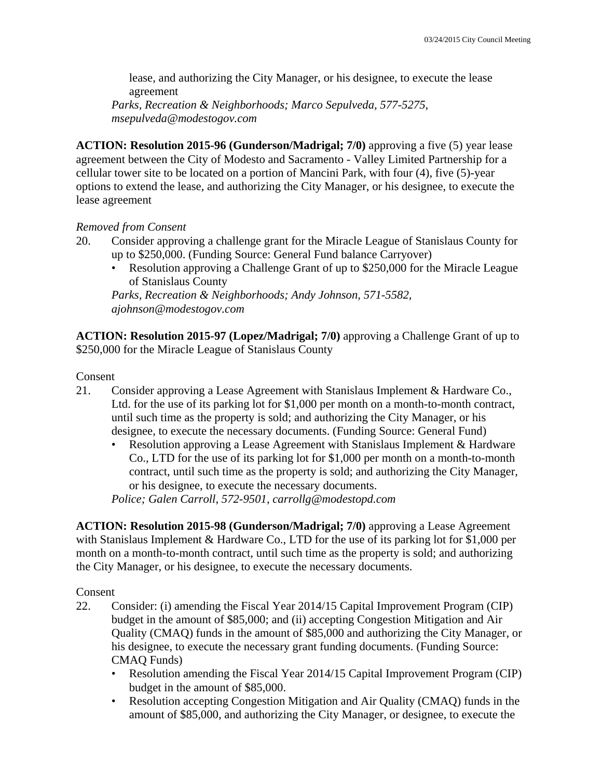lease, and authorizing the City Manager, or his designee, to execute the lease agreement

*Parks, Recreation & Neighborhoods; Marco Sepulveda, 577-5275, msepulveda@modestogov.com* 

**ACTION: Resolution 2015-96 (Gunderson/Madrigal; 7/0)** approving a five (5) year lease agreement between the City of Modesto and Sacramento - Valley Limited Partnership for a cellular tower site to be located on a portion of Mancini Park, with four (4), five (5)-year options to extend the lease, and authorizing the City Manager, or his designee, to execute the lease agreement

#### *Removed from Consent*

- 20. Consider approving a challenge grant for the Miracle League of Stanislaus County for up to \$250,000. (Funding Source: General Fund balance Carryover)
	- Resolution approving a Challenge Grant of up to \$250,000 for the Miracle League of Stanislaus County

*Parks, Recreation & Neighborhoods; Andy Johnson, 571-5582, ajohnson@modestogov.com* 

**ACTION: Resolution 2015-97 (Lopez/Madrigal; 7/0)** approving a Challenge Grant of up to \$250,000 for the Miracle League of Stanislaus County

Consent

- 21. Consider approving a Lease Agreement with Stanislaus Implement & Hardware Co., Ltd. for the use of its parking lot for \$1,000 per month on a month-to-month contract, until such time as the property is sold; and authorizing the City Manager, or his designee, to execute the necessary documents. (Funding Source: General Fund)
	- Resolution approving a Lease Agreement with Stanislaus Implement & Hardware Co., LTD for the use of its parking lot for \$1,000 per month on a month-to-month contract, until such time as the property is sold; and authorizing the City Manager, or his designee, to execute the necessary documents.

*Police; Galen Carroll, 572-9501, carrollg@modestopd.com* 

**ACTION: Resolution 2015-98 (Gunderson/Madrigal; 7/0)** approving a Lease Agreement with Stanislaus Implement & Hardware Co., LTD for the use of its parking lot for \$1,000 per month on a month-to-month contract, until such time as the property is sold; and authorizing the City Manager, or his designee, to execute the necessary documents.

- 22. Consider: (i) amending the Fiscal Year 2014/15 Capital Improvement Program (CIP) budget in the amount of \$85,000; and (ii) accepting Congestion Mitigation and Air Quality (CMAQ) funds in the amount of \$85,000 and authorizing the City Manager, or his designee, to execute the necessary grant funding documents. (Funding Source: CMAQ Funds)
	- Resolution amending the Fiscal Year 2014/15 Capital Improvement Program (CIP) budget in the amount of \$85,000.
	- Resolution accepting Congestion Mitigation and Air Quality (CMAQ) funds in the amount of \$85,000, and authorizing the City Manager, or designee, to execute the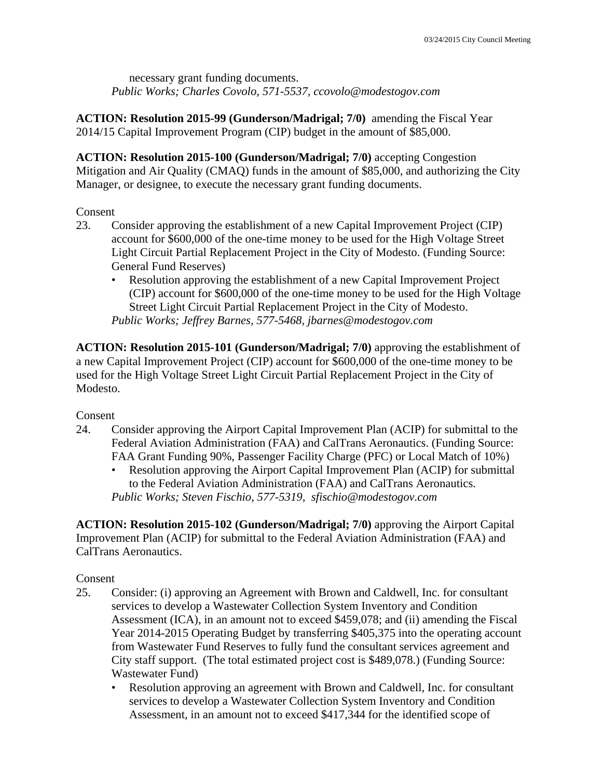necessary grant funding documents. *Public Works; Charles Covolo, 571-5537, ccovolo@modestogov.com* 

**ACTION: Resolution 2015-99 (Gunderson/Madrigal; 7/0)** amending the Fiscal Year 2014/15 Capital Improvement Program (CIP) budget in the amount of \$85,000.

**ACTION: Resolution 2015-100 (Gunderson/Madrigal; 7/0)** accepting Congestion Mitigation and Air Quality (CMAQ) funds in the amount of \$85,000, and authorizing the City Manager, or designee, to execute the necessary grant funding documents.

#### Consent

- 23. Consider approving the establishment of a new Capital Improvement Project (CIP) account for \$600,000 of the one-time money to be used for the High Voltage Street Light Circuit Partial Replacement Project in the City of Modesto. (Funding Source: General Fund Reserves)
	- Resolution approving the establishment of a new Capital Improvement Project (CIP) account for \$600,000 of the one-time money to be used for the High Voltage Street Light Circuit Partial Replacement Project in the City of Modesto. *Public Works; Jeffrey Barnes, 577-5468, jbarnes@modestogov.com*

**ACTION: Resolution 2015-101 (Gunderson/Madrigal; 7/0)** approving the establishment of a new Capital Improvement Project (CIP) account for \$600,000 of the one-time money to be used for the High Voltage Street Light Circuit Partial Replacement Project in the City of Modesto.

Consent

- 24. Consider approving the Airport Capital Improvement Plan (ACIP) for submittal to the Federal Aviation Administration (FAA) and CalTrans Aeronautics. (Funding Source: FAA Grant Funding 90%, Passenger Facility Charge (PFC) or Local Match of 10%)
	- Resolution approving the Airport Capital Improvement Plan (ACIP) for submittal to the Federal Aviation Administration (FAA) and CalTrans Aeronautics. *Public Works; Steven Fischio, 577-5319, sfischio@modestogov.com*

**ACTION: Resolution 2015-102 (Gunderson/Madrigal; 7/0)** approving the Airport Capital Improvement Plan (ACIP) for submittal to the Federal Aviation Administration (FAA) and CalTrans Aeronautics.

- 25. Consider: (i) approving an Agreement with Brown and Caldwell, Inc. for consultant services to develop a Wastewater Collection System Inventory and Condition Assessment (ICA), in an amount not to exceed \$459,078; and (ii) amending the Fiscal Year 2014-2015 Operating Budget by transferring \$405,375 into the operating account from Wastewater Fund Reserves to fully fund the consultant services agreement and City staff support. (The total estimated project cost is \$489,078.) (Funding Source: Wastewater Fund)
	- Resolution approving an agreement with Brown and Caldwell, Inc. for consultant services to develop a Wastewater Collection System Inventory and Condition Assessment, in an amount not to exceed \$417,344 for the identified scope of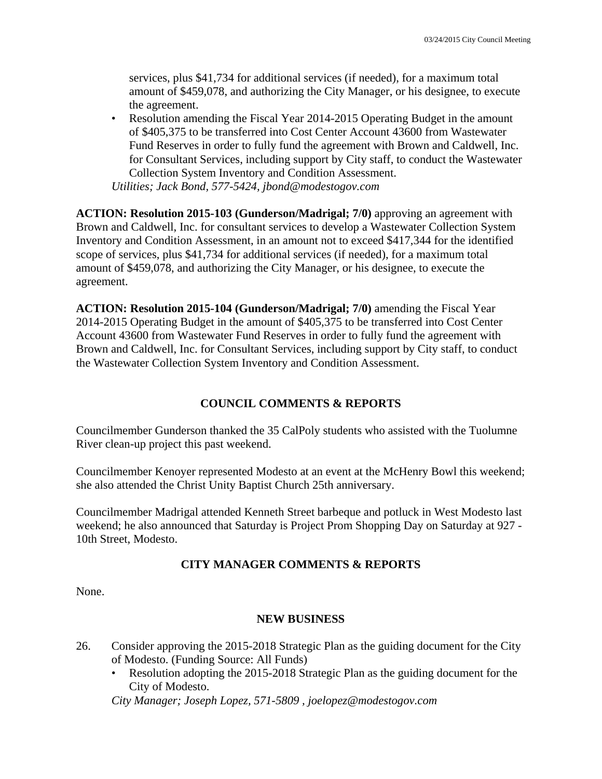services, plus \$41,734 for additional services (if needed), for a maximum total amount of \$459,078, and authorizing the City Manager, or his designee, to execute the agreement.

• Resolution amending the Fiscal Year 2014-2015 Operating Budget in the amount of \$405,375 to be transferred into Cost Center Account 43600 from Wastewater Fund Reserves in order to fully fund the agreement with Brown and Caldwell, Inc. for Consultant Services, including support by City staff, to conduct the Wastewater Collection System Inventory and Condition Assessment. *Utilities; Jack Bond, 577-5424, jbond@modestogov.com* 

**ACTION: Resolution 2015-103 (Gunderson/Madrigal; 7/0)** approving an agreement with Brown and Caldwell, Inc. for consultant services to develop a Wastewater Collection System Inventory and Condition Assessment, in an amount not to exceed \$417,344 for the identified scope of services, plus \$41,734 for additional services (if needed), for a maximum total amount of \$459,078, and authorizing the City Manager, or his designee, to execute the agreement.

**ACTION: Resolution 2015-104 (Gunderson/Madrigal; 7/0)** amending the Fiscal Year 2014-2015 Operating Budget in the amount of \$405,375 to be transferred into Cost Center Account 43600 from Wastewater Fund Reserves in order to fully fund the agreement with Brown and Caldwell, Inc. for Consultant Services, including support by City staff, to conduct the Wastewater Collection System Inventory and Condition Assessment.

# **COUNCIL COMMENTS & REPORTS**

Councilmember Gunderson thanked the 35 CalPoly students who assisted with the Tuolumne River clean-up project this past weekend.

Councilmember Kenoyer represented Modesto at an event at the McHenry Bowl this weekend; she also attended the Christ Unity Baptist Church 25th anniversary.

Councilmember Madrigal attended Kenneth Street barbeque and potluck in West Modesto last weekend; he also announced that Saturday is Project Prom Shopping Day on Saturday at 927 - 10th Street, Modesto.

# **CITY MANAGER COMMENTS & REPORTS**

None.

### **NEW BUSINESS**

- 26. Consider approving the 2015-2018 Strategic Plan as the guiding document for the City of Modesto. (Funding Source: All Funds)
	- Resolution adopting the 2015-2018 Strategic Plan as the guiding document for the City of Modesto.

*City Manager; Joseph Lopez, 571-5809 , joelopez@modestogov.com*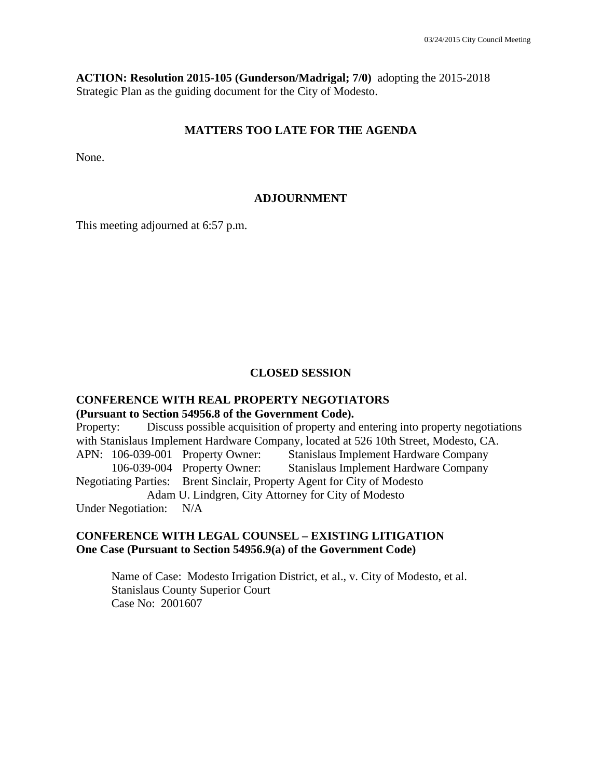**ACTION: Resolution 2015-105 (Gunderson/Madrigal; 7/0)** adopting the 2015-2018 Strategic Plan as the guiding document for the City of Modesto.

#### **MATTERS TOO LATE FOR THE AGENDA**

None.

#### **ADJOURNMENT**

This meeting adjourned at 6:57 p.m.

#### **CLOSED SESSION**

# **CONFERENCE WITH REAL PROPERTY NEGOTIATORS (Pursuant to Section 54956.8 of the Government Code).**

Property: Discuss possible acquisition of property and entering into property negotiations with Stanislaus Implement Hardware Company, located at 526 10th Street, Modesto, CA. APN: 106-039-001 Property Owner: Stanislaus Implement Hardware Company 106-039-004 Property Owner: Stanislaus Implement Hardware Company Negotiating Parties: Brent Sinclair, Property Agent for City of Modesto Adam U. Lindgren, City Attorney for City of Modesto Under Negotiation: N/A

#### **CONFERENCE WITH LEGAL COUNSEL – EXISTING LITIGATION One Case (Pursuant to Section 54956.9(a) of the Government Code)**

 Name of Case: Modesto Irrigation District, et al., v. City of Modesto, et al. Stanislaus County Superior Court Case No: 2001607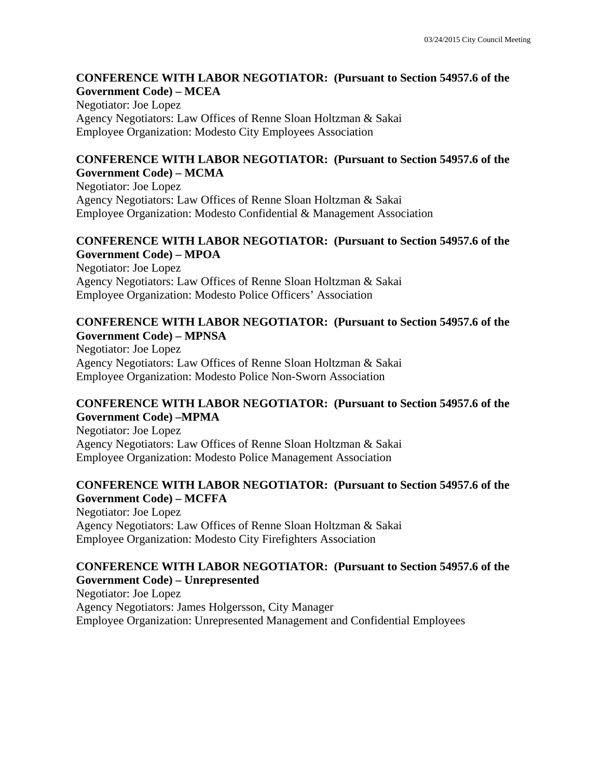#### **CONFERENCE WITH LABOR NEGOTIATOR: (Pursuant to Section 54957.6 of the Government Code) – MCEA**

Negotiator: Joe Lopez Agency Negotiators: Law Offices of Renne Sloan Holtzman & Sakai Employee Organization: Modesto City Employees Association

#### **CONFERENCE WITH LABOR NEGOTIATOR: (Pursuant to Section 54957.6 of the Government Code) – MCMA**

Negotiator: Joe Lopez Agency Negotiators: Law Offices of Renne Sloan Holtzman & Sakai Employee Organization: Modesto Confidential & Management Association

#### **CONFERENCE WITH LABOR NEGOTIATOR: (Pursuant to Section 54957.6 of the Government Code) – MPOA**

Negotiator: Joe Lopez Agency Negotiators: Law Offices of Renne Sloan Holtzman & Sakai Employee Organization: Modesto Police Officers' Association

#### **CONFERENCE WITH LABOR NEGOTIATOR: (Pursuant to Section 54957.6 of the Government Code) – MPNSA**

Negotiator: Joe Lopez Agency Negotiators: Law Offices of Renne Sloan Holtzman & Sakai Employee Organization: Modesto Police Non-Sworn Association

### **CONFERENCE WITH LABOR NEGOTIATOR: (Pursuant to Section 54957.6 of the Government Code) –MPMA**

Negotiator: Joe Lopez Agency Negotiators: Law Offices of Renne Sloan Holtzman & Sakai Employee Organization: Modesto Police Management Association

# **CONFERENCE WITH LABOR NEGOTIATOR: (Pursuant to Section 54957.6 of the Government Code) – MCFFA**

Negotiator: Joe Lopez Agency Negotiators: Law Offices of Renne Sloan Holtzman & Sakai Employee Organization: Modesto City Firefighters Association

# **CONFERENCE WITH LABOR NEGOTIATOR: (Pursuant to Section 54957.6 of the Government Code) – Unrepresented**

Negotiator: Joe Lopez Agency Negotiators: James Holgersson, City Manager Employee Organization: Unrepresented Management and Confidential Employees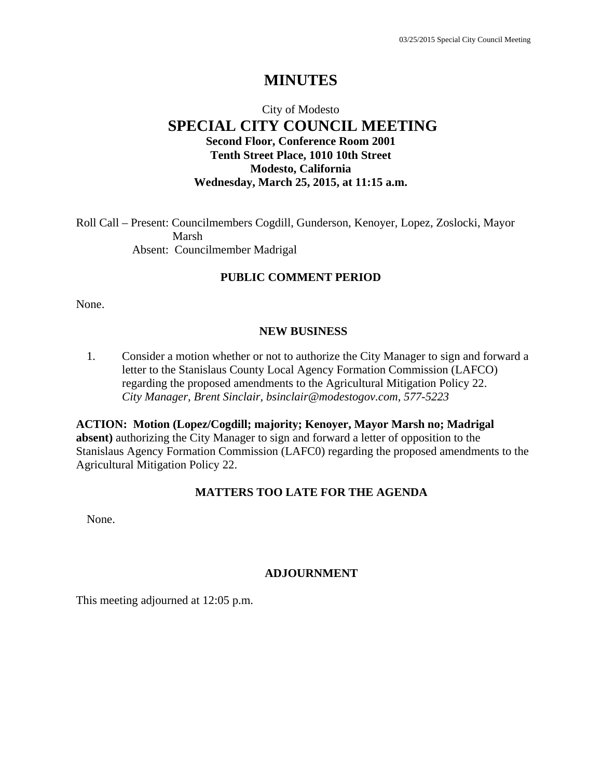# **MINUTES**

# City of Modesto  **SPECIAL CITY COUNCIL MEETING Second Floor, Conference Room 2001 Tenth Street Place, 1010 10th Street Modesto, California Wednesday, March 25, 2015, at 11:15 a.m.**

Roll Call – Present: Councilmembers Cogdill, Gunderson, Kenoyer, Lopez, Zoslocki, Mayor Marsh Absent: Councilmember Madrigal

#### **PUBLIC COMMENT PERIOD**

None.

#### **NEW BUSINESS**

1. Consider a motion whether or not to authorize the City Manager to sign and forward a letter to the Stanislaus County Local Agency Formation Commission (LAFCO) regarding the proposed amendments to the Agricultural Mitigation Policy 22. *City Manager, Brent Sinclair, bsinclair@modestogov.com, 577-5223* 

**ACTION: Motion (Lopez/Cogdill; majority; Kenoyer, Mayor Marsh no; Madrigal absent)** authorizing the City Manager to sign and forward a letter of opposition to the Stanislaus Agency Formation Commission (LAFC0) regarding the proposed amendments to the Agricultural Mitigation Policy 22.

### **MATTERS TOO LATE FOR THE AGENDA**

None.

#### **ADJOURNMENT**

This meeting adjourned at 12:05 p.m.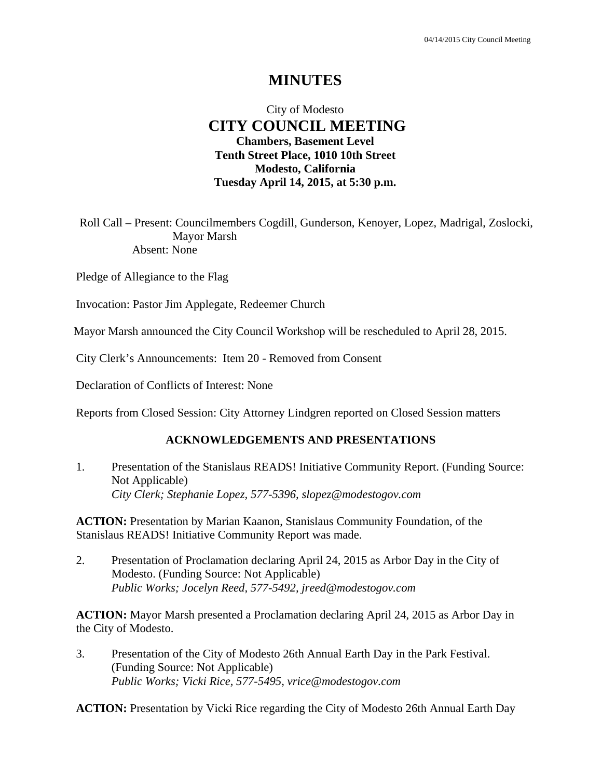# **MINUTES**

# City of Modesto  **CITY COUNCIL MEETING Chambers, Basement Level Tenth Street Place, 1010 10th Street Modesto, California Tuesday April 14, 2015, at 5:30 p.m.**

Roll Call – Present: Councilmembers Cogdill, Gunderson, Kenoyer, Lopez, Madrigal, Zoslocki, Mayor Marsh Absent: None

Pledge of Allegiance to the Flag

Invocation: Pastor Jim Applegate, Redeemer Church

Mayor Marsh announced the City Council Workshop will be rescheduled to April 28, 2015.

City Clerk's Announcements: Item 20 - Removed from Consent

Declaration of Conflicts of Interest: None

Reports from Closed Session: City Attorney Lindgren reported on Closed Session matters

#### **ACKNOWLEDGEMENTS AND PRESENTATIONS**

1. Presentation of the Stanislaus READS! Initiative Community Report. (Funding Source: Not Applicable)  *City Clerk; Stephanie Lopez, 577-5396, slopez@modestogov.com* 

**ACTION:** Presentation by Marian Kaanon, Stanislaus Community Foundation, of the Stanislaus READS! Initiative Community Report was made.

2. Presentation of Proclamation declaring April 24, 2015 as Arbor Day in the City of Modesto. (Funding Source: Not Applicable)  *Public Works; Jocelyn Reed, 577-5492, jreed@modestogov.com* 

**ACTION:** Mayor Marsh presented a Proclamation declaring April 24, 2015 as Arbor Day in the City of Modesto.

3. Presentation of the City of Modesto 26th Annual Earth Day in the Park Festival. (Funding Source: Not Applicable)  *Public Works; Vicki Rice, 577-5495, vrice@modestogov.com* 

**ACTION:** Presentation by Vicki Rice regarding the City of Modesto 26th Annual Earth Day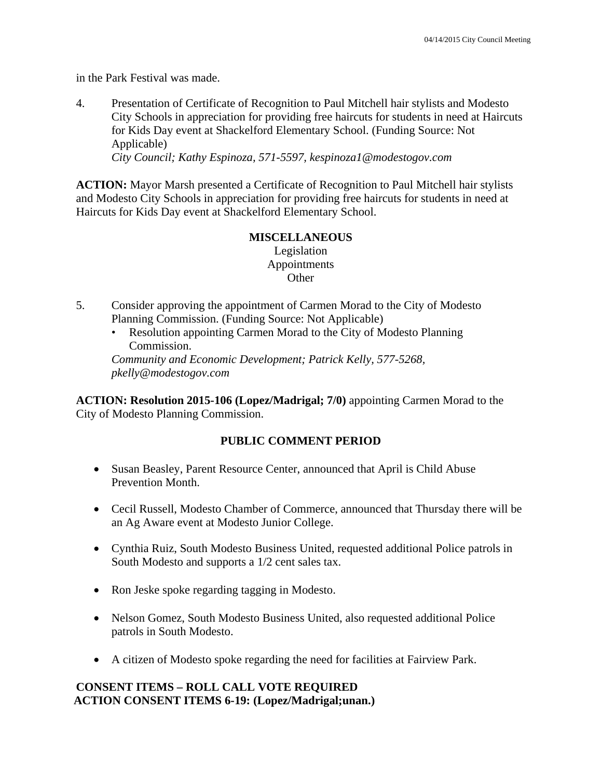in the Park Festival was made.

4. Presentation of Certificate of Recognition to Paul Mitchell hair stylists and Modesto City Schools in appreciation for providing free haircuts for students in need at Haircuts for Kids Day event at Shackelford Elementary School. (Funding Source: Not Applicable)

 *City Council; Kathy Espinoza, 571-5597, kespinoza1@modestogov.com* 

**ACTION:** Mayor Marsh presented a Certificate of Recognition to Paul Mitchell hair stylists and Modesto City Schools in appreciation for providing free haircuts for students in need at Haircuts for Kids Day event at Shackelford Elementary School.

# **MISCELLANEOUS**

Legislation Appointments **Other** 

- 5. Consider approving the appointment of Carmen Morad to the City of Modesto Planning Commission. (Funding Source: Not Applicable)
	- Resolution appointing Carmen Morad to the City of Modesto Planning Commission.

*Community and Economic Development; Patrick Kelly, 577-5268, pkelly@modestogov.com* 

**ACTION: Resolution 2015-106 (Lopez/Madrigal; 7/0)** appointing Carmen Morad to the City of Modesto Planning Commission.

# **PUBLIC COMMENT PERIOD**

- Susan Beasley, Parent Resource Center, announced that April is Child Abuse Prevention Month.
- Cecil Russell, Modesto Chamber of Commerce, announced that Thursday there will be an Ag Aware event at Modesto Junior College.
- Cynthia Ruiz, South Modesto Business United, requested additional Police patrols in South Modesto and supports a 1/2 cent sales tax.
- Ron Jeske spoke regarding tagging in Modesto.
- Nelson Gomez, South Modesto Business United, also requested additional Police patrols in South Modesto.
- A citizen of Modesto spoke regarding the need for facilities at Fairview Park.

# **CONSENT ITEMS – ROLL CALL VOTE REQUIRED ACTION CONSENT ITEMS 6-19: (Lopez/Madrigal;unan.)**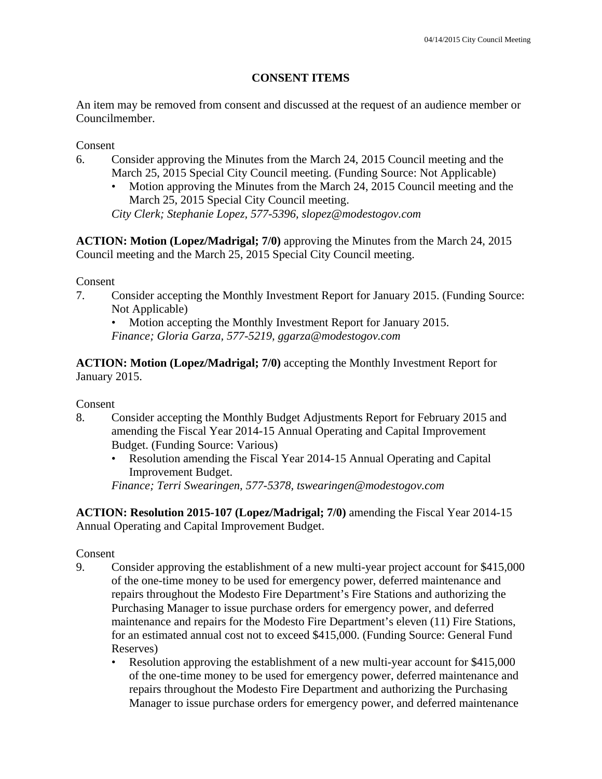# **CONSENT ITEMS**

An item may be removed from consent and discussed at the request of an audience member or Councilmember.

Consent

- 6. Consider approving the Minutes from the March 24, 2015 Council meeting and the March 25, 2015 Special City Council meeting. (Funding Source: Not Applicable)
	- Motion approving the Minutes from the March 24, 2015 Council meeting and the March 25, 2015 Special City Council meeting.

*City Clerk; Stephanie Lopez, 577-5396, slopez@modestogov.com* 

**ACTION: Motion (Lopez/Madrigal; 7/0)** approving the Minutes from the March 24, 2015 Council meeting and the March 25, 2015 Special City Council meeting.

Consent

7. Consider accepting the Monthly Investment Report for January 2015. (Funding Source: Not Applicable)

• Motion accepting the Monthly Investment Report for January 2015. *Finance; Gloria Garza, 577-5219, ggarza@modestogov.com* 

**ACTION: Motion (Lopez/Madrigal; 7/0)** accepting the Monthly Investment Report for January 2015.

Consent

- 8. Consider accepting the Monthly Budget Adjustments Report for February 2015 and amending the Fiscal Year 2014-15 Annual Operating and Capital Improvement Budget. (Funding Source: Various)
	- Resolution amending the Fiscal Year 2014-15 Annual Operating and Capital Improvement Budget.

*Finance; Terri Swearingen, 577-5378, tswearingen@modestogov.com* 

**ACTION: Resolution 2015-107 (Lopez/Madrigal; 7/0)** amending the Fiscal Year 2014-15 Annual Operating and Capital Improvement Budget.

- 9. Consider approving the establishment of a new multi-year project account for \$415,000 of the one-time money to be used for emergency power, deferred maintenance and repairs throughout the Modesto Fire Department's Fire Stations and authorizing the Purchasing Manager to issue purchase orders for emergency power, and deferred maintenance and repairs for the Modesto Fire Department's eleven (11) Fire Stations, for an estimated annual cost not to exceed \$415,000. (Funding Source: General Fund Reserves)
	- Resolution approving the establishment of a new multi-year account for \$415,000 of the one-time money to be used for emergency power, deferred maintenance and repairs throughout the Modesto Fire Department and authorizing the Purchasing Manager to issue purchase orders for emergency power, and deferred maintenance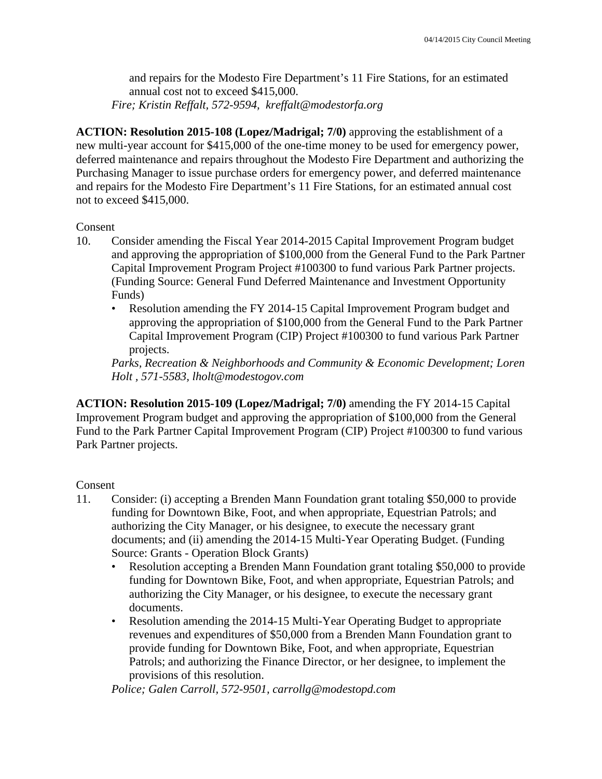and repairs for the Modesto Fire Department's 11 Fire Stations, for an estimated annual cost not to exceed \$415,000. *Fire; Kristin Reffalt, 572-9594, kreffalt@modestorfa.org* 

**ACTION: Resolution 2015-108 (Lopez/Madrigal; 7/0)** approving the establishment of a new multi-year account for \$415,000 of the one-time money to be used for emergency power, deferred maintenance and repairs throughout the Modesto Fire Department and authorizing the Purchasing Manager to issue purchase orders for emergency power, and deferred maintenance and repairs for the Modesto Fire Department's 11 Fire Stations, for an estimated annual cost not to exceed \$415,000.

#### Consent

- 10. Consider amending the Fiscal Year 2014-2015 Capital Improvement Program budget and approving the appropriation of \$100,000 from the General Fund to the Park Partner Capital Improvement Program Project #100300 to fund various Park Partner projects. (Funding Source: General Fund Deferred Maintenance and Investment Opportunity Funds)
	- Resolution amending the FY 2014-15 Capital Improvement Program budget and approving the appropriation of \$100,000 from the General Fund to the Park Partner Capital Improvement Program (CIP) Project #100300 to fund various Park Partner projects.

*Parks, Recreation & Neighborhoods and Community & Economic Development; Loren Holt , 571-5583, lholt@modestogov.com* 

**ACTION: Resolution 2015-109 (Lopez/Madrigal; 7/0)** amending the FY 2014-15 Capital Improvement Program budget and approving the appropriation of \$100,000 from the General Fund to the Park Partner Capital Improvement Program (CIP) Project #100300 to fund various Park Partner projects.

### Consent

- 11. Consider: (i) accepting a Brenden Mann Foundation grant totaling \$50,000 to provide funding for Downtown Bike, Foot, and when appropriate, Equestrian Patrols; and authorizing the City Manager, or his designee, to execute the necessary grant documents; and (ii) amending the 2014-15 Multi-Year Operating Budget. (Funding Source: Grants - Operation Block Grants)
	- Resolution accepting a Brenden Mann Foundation grant totaling \$50,000 to provide funding for Downtown Bike, Foot, and when appropriate, Equestrian Patrols; and authorizing the City Manager, or his designee, to execute the necessary grant documents.
	- Resolution amending the 2014-15 Multi-Year Operating Budget to appropriate revenues and expenditures of \$50,000 from a Brenden Mann Foundation grant to provide funding for Downtown Bike, Foot, and when appropriate, Equestrian Patrols; and authorizing the Finance Director, or her designee, to implement the provisions of this resolution.

*Police; Galen Carroll, 572-9501, carrollg@modestopd.com*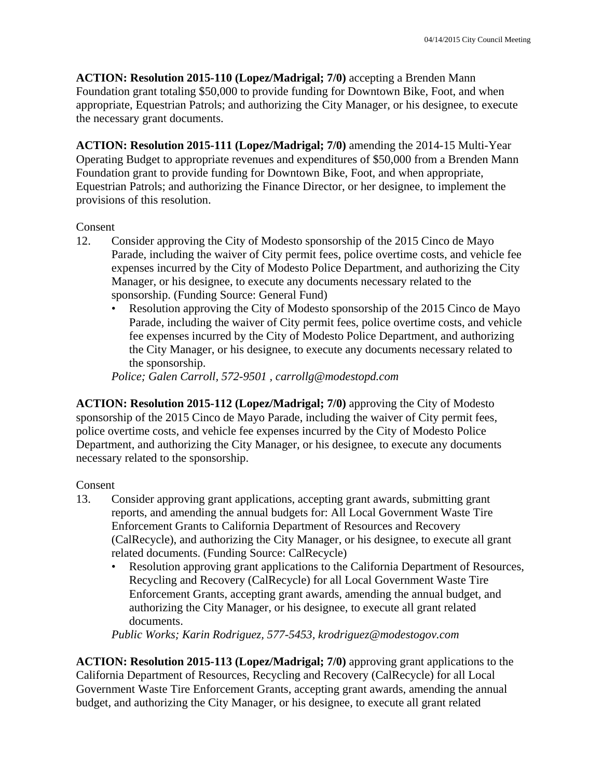**ACTION: Resolution 2015-110 (Lopez/Madrigal; 7/0)** accepting a Brenden Mann Foundation grant totaling \$50,000 to provide funding for Downtown Bike, Foot, and when appropriate, Equestrian Patrols; and authorizing the City Manager, or his designee, to execute the necessary grant documents.

**ACTION: Resolution 2015-111 (Lopez/Madrigal; 7/0)** amending the 2014-15 Multi-Year Operating Budget to appropriate revenues and expenditures of \$50,000 from a Brenden Mann Foundation grant to provide funding for Downtown Bike, Foot, and when appropriate, Equestrian Patrols; and authorizing the Finance Director, or her designee, to implement the provisions of this resolution.

#### Consent

- 12. Consider approving the City of Modesto sponsorship of the 2015 Cinco de Mayo Parade, including the waiver of City permit fees, police overtime costs, and vehicle fee expenses incurred by the City of Modesto Police Department, and authorizing the City Manager, or his designee, to execute any documents necessary related to the sponsorship. (Funding Source: General Fund)
	- Resolution approving the City of Modesto sponsorship of the 2015 Cinco de Mayo Parade, including the waiver of City permit fees, police overtime costs, and vehicle fee expenses incurred by the City of Modesto Police Department, and authorizing the City Manager, or his designee, to execute any documents necessary related to the sponsorship.

*Police; Galen Carroll, 572-9501 , carrollg@modestopd.com* 

**ACTION: Resolution 2015-112 (Lopez/Madrigal; 7/0)** approving the City of Modesto sponsorship of the 2015 Cinco de Mayo Parade, including the waiver of City permit fees, police overtime costs, and vehicle fee expenses incurred by the City of Modesto Police Department, and authorizing the City Manager, or his designee, to execute any documents necessary related to the sponsorship.

#### Consent

- 13. Consider approving grant applications, accepting grant awards, submitting grant reports, and amending the annual budgets for: All Local Government Waste Tire Enforcement Grants to California Department of Resources and Recovery (CalRecycle), and authorizing the City Manager, or his designee, to execute all grant related documents. (Funding Source: CalRecycle)
	- Resolution approving grant applications to the California Department of Resources, Recycling and Recovery (CalRecycle) for all Local Government Waste Tire Enforcement Grants, accepting grant awards, amending the annual budget, and authorizing the City Manager, or his designee, to execute all grant related documents.

*Public Works; Karin Rodriguez, 577-5453, krodriguez@modestogov.com* 

**ACTION: Resolution 2015-113 (Lopez/Madrigal; 7/0)** approving grant applications to the California Department of Resources, Recycling and Recovery (CalRecycle) for all Local Government Waste Tire Enforcement Grants, accepting grant awards, amending the annual budget, and authorizing the City Manager, or his designee, to execute all grant related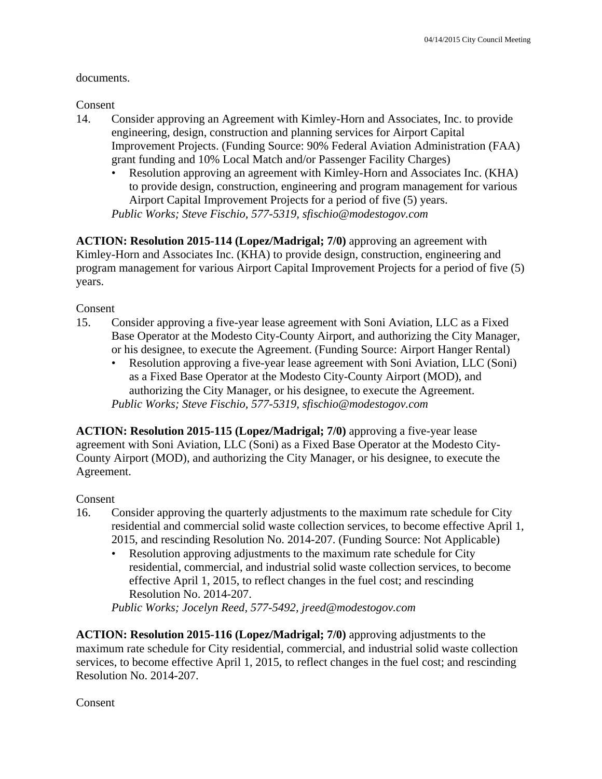#### documents.

Consent

- 14. Consider approving an Agreement with Kimley-Horn and Associates, Inc. to provide engineering, design, construction and planning services for Airport Capital Improvement Projects. (Funding Source: 90% Federal Aviation Administration (FAA) grant funding and 10% Local Match and/or Passenger Facility Charges)
	- Resolution approving an agreement with Kimley-Horn and Associates Inc. (KHA) to provide design, construction, engineering and program management for various Airport Capital Improvement Projects for a period of five (5) years.

*Public Works; Steve Fischio, 577-5319, sfischio@modestogov.com* 

**ACTION: Resolution 2015-114 (Lopez/Madrigal; 7/0)** approving an agreement with Kimley-Horn and Associates Inc. (KHA) to provide design, construction, engineering and program management for various Airport Capital Improvement Projects for a period of five (5) years.

Consent

- 15. Consider approving a five-year lease agreement with Soni Aviation, LLC as a Fixed Base Operator at the Modesto City-County Airport, and authorizing the City Manager, or his designee, to execute the Agreement. (Funding Source: Airport Hanger Rental)
	- Resolution approving a five-year lease agreement with Soni Aviation, LLC (Soni) as a Fixed Base Operator at the Modesto City-County Airport (MOD), and authorizing the City Manager, or his designee, to execute the Agreement. *Public Works; Steve Fischio, 577-5319, sfischio@modestogov.com*

**ACTION: Resolution 2015-115 (Lopez/Madrigal; 7/0)** approving a five-year lease agreement with Soni Aviation, LLC (Soni) as a Fixed Base Operator at the Modesto City-County Airport (MOD), and authorizing the City Manager, or his designee, to execute the Agreement.

### Consent

- 16. Consider approving the quarterly adjustments to the maximum rate schedule for City residential and commercial solid waste collection services, to become effective April 1, 2015, and rescinding Resolution No. 2014-207. (Funding Source: Not Applicable)
	- Resolution approving adjustments to the maximum rate schedule for City residential, commercial, and industrial solid waste collection services, to become effective April 1, 2015, to reflect changes in the fuel cost; and rescinding Resolution No. 2014-207.

*Public Works; Jocelyn Reed, 577-5492, jreed@modestogov.com* 

**ACTION: Resolution 2015-116 (Lopez/Madrigal; 7/0)** approving adjustments to the maximum rate schedule for City residential, commercial, and industrial solid waste collection services, to become effective April 1, 2015, to reflect changes in the fuel cost; and rescinding Resolution No. 2014-207.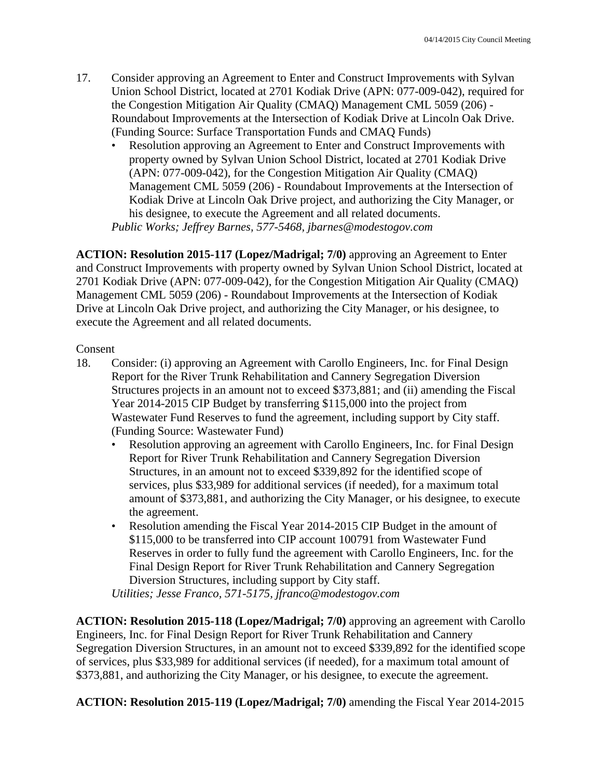- 17. Consider approving an Agreement to Enter and Construct Improvements with Sylvan Union School District, located at 2701 Kodiak Drive (APN: 077-009-042), required for the Congestion Mitigation Air Quality (CMAQ) Management CML 5059 (206) - Roundabout Improvements at the Intersection of Kodiak Drive at Lincoln Oak Drive. (Funding Source: Surface Transportation Funds and CMAQ Funds)
	- Resolution approving an Agreement to Enter and Construct Improvements with property owned by Sylvan Union School District, located at 2701 Kodiak Drive (APN: 077-009-042), for the Congestion Mitigation Air Quality (CMAQ) Management CML 5059 (206) - Roundabout Improvements at the Intersection of Kodiak Drive at Lincoln Oak Drive project, and authorizing the City Manager, or his designee, to execute the Agreement and all related documents.

*Public Works; Jeffrey Barnes, 577-5468, jbarnes@modestogov.com* 

**ACTION: Resolution 2015-117 (Lopez/Madrigal; 7/0)** approving an Agreement to Enter and Construct Improvements with property owned by Sylvan Union School District, located at 2701 Kodiak Drive (APN: 077-009-042), for the Congestion Mitigation Air Quality (CMAQ) Management CML 5059 (206) - Roundabout Improvements at the Intersection of Kodiak Drive at Lincoln Oak Drive project, and authorizing the City Manager, or his designee, to execute the Agreement and all related documents.

#### Consent

- 18. Consider: (i) approving an Agreement with Carollo Engineers, Inc. for Final Design Report for the River Trunk Rehabilitation and Cannery Segregation Diversion Structures projects in an amount not to exceed \$373,881; and (ii) amending the Fiscal Year 2014-2015 CIP Budget by transferring \$115,000 into the project from Wastewater Fund Reserves to fund the agreement, including support by City staff. (Funding Source: Wastewater Fund)
	- Resolution approving an agreement with Carollo Engineers, Inc. for Final Design Report for River Trunk Rehabilitation and Cannery Segregation Diversion Structures, in an amount not to exceed \$339,892 for the identified scope of services, plus \$33,989 for additional services (if needed), for a maximum total amount of \$373,881, and authorizing the City Manager, or his designee, to execute the agreement.
	- Resolution amending the Fiscal Year 2014-2015 CIP Budget in the amount of \$115,000 to be transferred into CIP account 100791 from Wastewater Fund Reserves in order to fully fund the agreement with Carollo Engineers, Inc. for the Final Design Report for River Trunk Rehabilitation and Cannery Segregation Diversion Structures, including support by City staff.

*Utilities; Jesse Franco, 571-5175, jfranco@modestogov.com* 

**ACTION: Resolution 2015-118 (Lopez/Madrigal; 7/0)** approving an agreement with Carollo Engineers, Inc. for Final Design Report for River Trunk Rehabilitation and Cannery Segregation Diversion Structures, in an amount not to exceed \$339,892 for the identified scope of services, plus \$33,989 for additional services (if needed), for a maximum total amount of \$373,881, and authorizing the City Manager, or his designee, to execute the agreement.

**ACTION: Resolution 2015-119 (Lopez/Madrigal; 7/0)** amending the Fiscal Year 2014-2015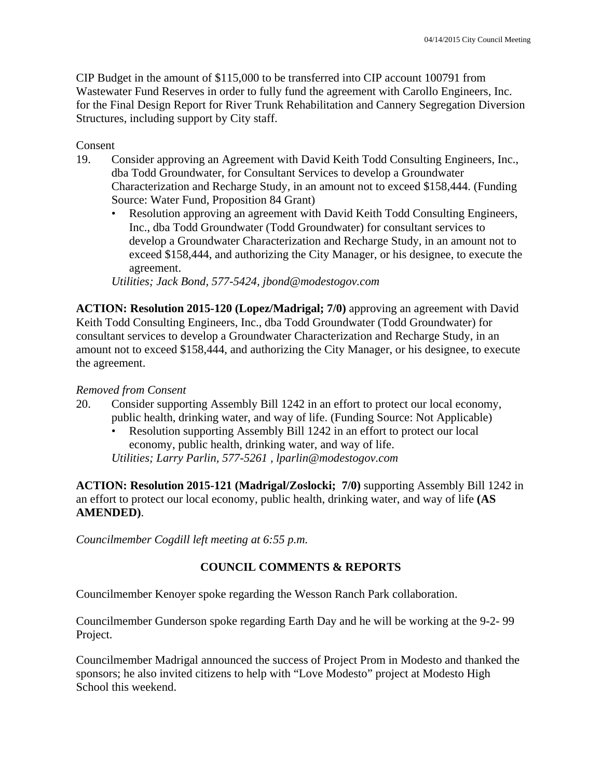CIP Budget in the amount of \$115,000 to be transferred into CIP account 100791 from Wastewater Fund Reserves in order to fully fund the agreement with Carollo Engineers, Inc. for the Final Design Report for River Trunk Rehabilitation and Cannery Segregation Diversion Structures, including support by City staff.

#### Consent

- 19. Consider approving an Agreement with David Keith Todd Consulting Engineers, Inc., dba Todd Groundwater, for Consultant Services to develop a Groundwater Characterization and Recharge Study, in an amount not to exceed \$158,444. (Funding Source: Water Fund, Proposition 84 Grant)
	- Resolution approving an agreement with David Keith Todd Consulting Engineers, Inc., dba Todd Groundwater (Todd Groundwater) for consultant services to develop a Groundwater Characterization and Recharge Study, in an amount not to exceed \$158,444, and authorizing the City Manager, or his designee, to execute the agreement.

*Utilities; Jack Bond, 577-5424, jbond@modestogov.com* 

**ACTION: Resolution 2015-120 (Lopez/Madrigal; 7/0)** approving an agreement with David Keith Todd Consulting Engineers, Inc., dba Todd Groundwater (Todd Groundwater) for consultant services to develop a Groundwater Characterization and Recharge Study, in an amount not to exceed \$158,444, and authorizing the City Manager, or his designee, to execute the agreement.

#### *Removed from Consent*

- 20. Consider supporting Assembly Bill 1242 in an effort to protect our local economy, public health, drinking water, and way of life. (Funding Source: Not Applicable)
	- Resolution supporting Assembly Bill 1242 in an effort to protect our local economy, public health, drinking water, and way of life. *Utilities; Larry Parlin, 577-5261 , lparlin@modestogov.com*

**ACTION: Resolution 2015-121 (Madrigal/Zoslocki; 7/0)** supporting Assembly Bill 1242 in an effort to protect our local economy, public health, drinking water, and way of life **(AS AMENDED)**.

*Councilmember Cogdill left meeting at 6:55 p.m.* 

### **COUNCIL COMMENTS & REPORTS**

Councilmember Kenoyer spoke regarding the Wesson Ranch Park collaboration.

Councilmember Gunderson spoke regarding Earth Day and he will be working at the 9-2- 99 Project.

Councilmember Madrigal announced the success of Project Prom in Modesto and thanked the sponsors; he also invited citizens to help with "Love Modesto" project at Modesto High School this weekend.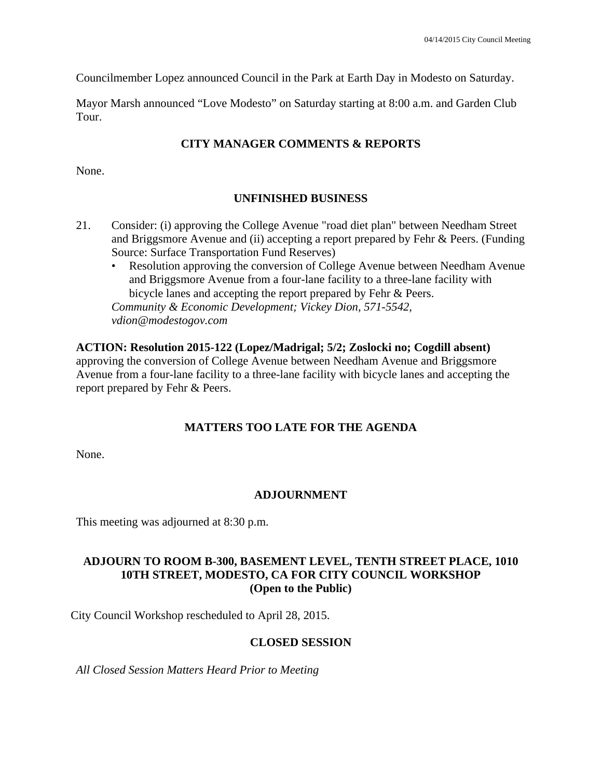Councilmember Lopez announced Council in the Park at Earth Day in Modesto on Saturday.

Mayor Marsh announced "Love Modesto" on Saturday starting at 8:00 a.m. and Garden Club Tour.

# **CITY MANAGER COMMENTS & REPORTS**

None.

# **UNFINISHED BUSINESS**

- 21. Consider: (i) approving the College Avenue "road diet plan" between Needham Street and Briggsmore Avenue and (ii) accepting a report prepared by Fehr & Peers. (Funding Source: Surface Transportation Fund Reserves)
	- Resolution approving the conversion of College Avenue between Needham Avenue and Briggsmore Avenue from a four-lane facility to a three-lane facility with bicycle lanes and accepting the report prepared by Fehr & Peers.

*Community & Economic Development; Vickey Dion, 571-5542, vdion@modestogov.com* 

# **ACTION: Resolution 2015-122 (Lopez/Madrigal; 5/2; Zoslocki no; Cogdill absent)**

approving the conversion of College Avenue between Needham Avenue and Briggsmore Avenue from a four-lane facility to a three-lane facility with bicycle lanes and accepting the report prepared by Fehr & Peers.

# **MATTERS TOO LATE FOR THE AGENDA**

None.

# **ADJOURNMENT**

This meeting was adjourned at 8:30 p.m.

### **ADJOURN TO ROOM B-300, BASEMENT LEVEL, TENTH STREET PLACE, 1010 10TH STREET, MODESTO, CA FOR CITY COUNCIL WORKSHOP (Open to the Public)**

City Council Workshop rescheduled to April 28, 2015.

### **CLOSED SESSION**

*All Closed Session Matters Heard Prior to Meeting*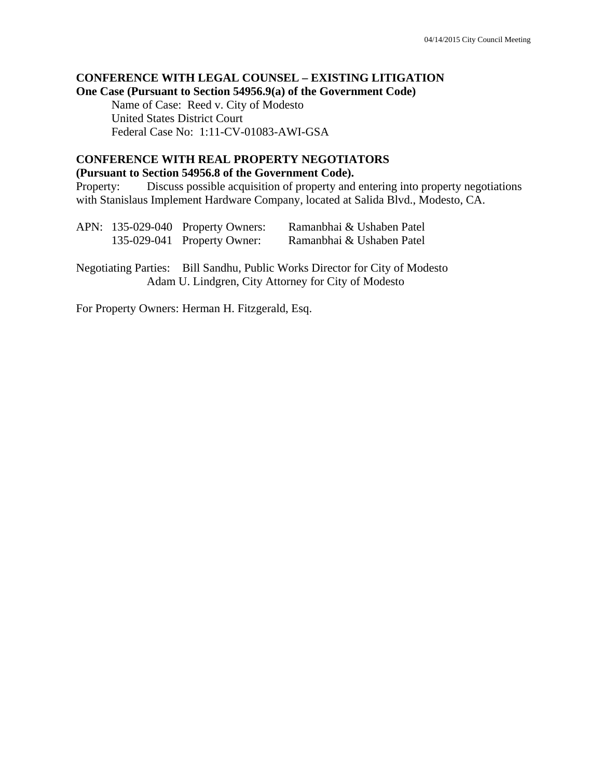### **CONFERENCE WITH LEGAL COUNSEL – EXISTING LITIGATION One Case (Pursuant to Section 54956.9(a) of the Government Code)**

 Name of Case: Reed v. City of Modesto United States District Court Federal Case No: 1:11-CV-01083-AWI-GSA

#### **CONFERENCE WITH REAL PROPERTY NEGOTIATORS (Pursuant to Section 54956.8 of the Government Code).**

Property: Discuss possible acquisition of property and entering into property negotiations with Stanislaus Implement Hardware Company, located at Salida Blvd., Modesto, CA.

|  | APN: 135-029-040 Property Owners:<br>135-029-041 Property Owner: | Ramanbhai & Ushaben Patel<br>Ramanbhai & Ushaben Patel                                                                             |
|--|------------------------------------------------------------------|------------------------------------------------------------------------------------------------------------------------------------|
|  |                                                                  | Negotiating Parties: Bill Sandhu, Public Works Director for City of Modesto<br>Adam U. Lindgren, City Attorney for City of Modesto |

For Property Owners: Herman H. Fitzgerald, Esq.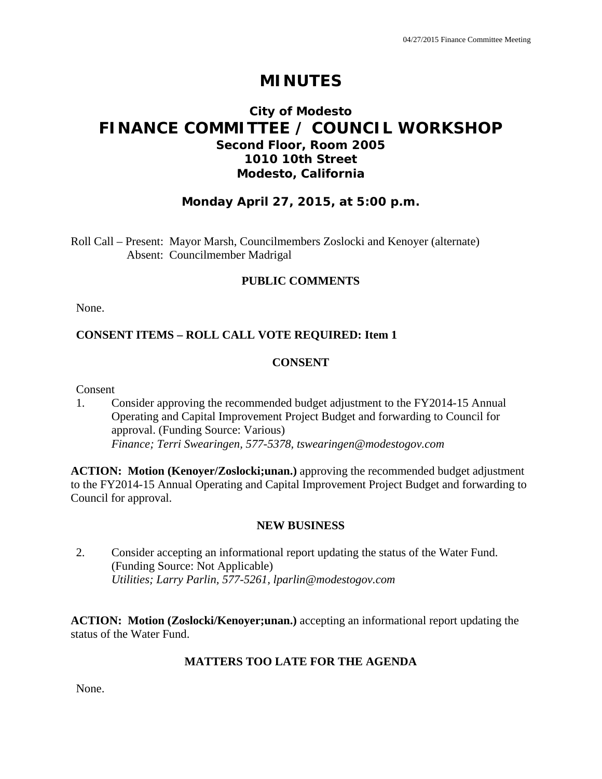# **MINUTES**

# **City of Modesto FINANCE COMMITTEE / COUNCIL WORKSHOP Second Floor, Room 2005 1010 10th Street Modesto, California**

# **Monday April 27, 2015, at 5:00 p.m.**

Roll Call – Present: Mayor Marsh, Councilmembers Zoslocki and Kenoyer (alternate) Absent: Councilmember Madrigal

#### **PUBLIC COMMENTS**

None.

### **CONSENT ITEMS – ROLL CALL VOTE REQUIRED: Item 1**

#### **CONSENT**

Consent

1. Consider approving the recommended budget adjustment to the FY2014-15 Annual Operating and Capital Improvement Project Budget and forwarding to Council for approval. (Funding Source: Various)  *Finance; Terri Swearingen, 577-5378, tswearingen@modestogov.com* 

**ACTION: Motion (Kenoyer/Zoslocki;unan.)** approving the recommended budget adjustment to the FY2014-15 Annual Operating and Capital Improvement Project Budget and forwarding to Council for approval.

#### **NEW BUSINESS**

2. Consider accepting an informational report updating the status of the Water Fund. (Funding Source: Not Applicable)  *Utilities; Larry Parlin, 577-5261, lparlin@modestogov.com* 

**ACTION: Motion (Zoslocki/Kenoyer;unan.)** accepting an informational report updating the status of the Water Fund.

#### **MATTERS TOO LATE FOR THE AGENDA**

None.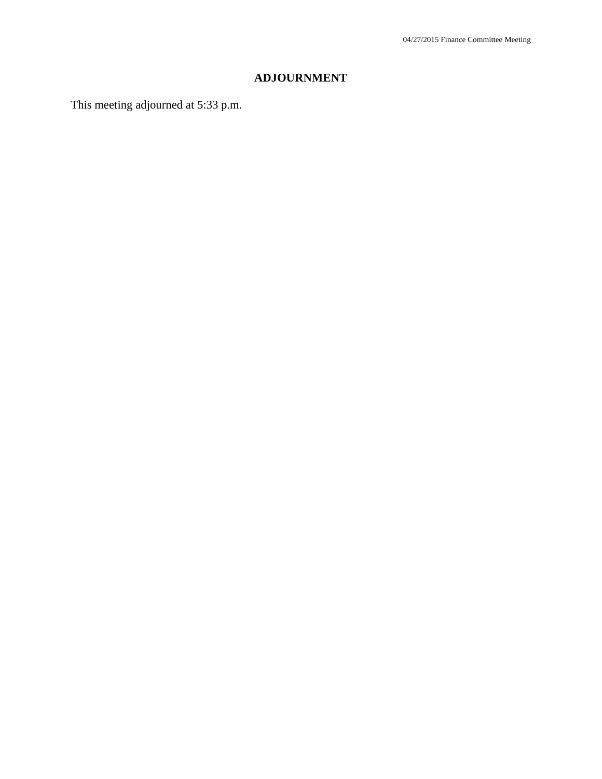# **ADJOURNMENT**

This meeting adjourned at 5:33 p.m.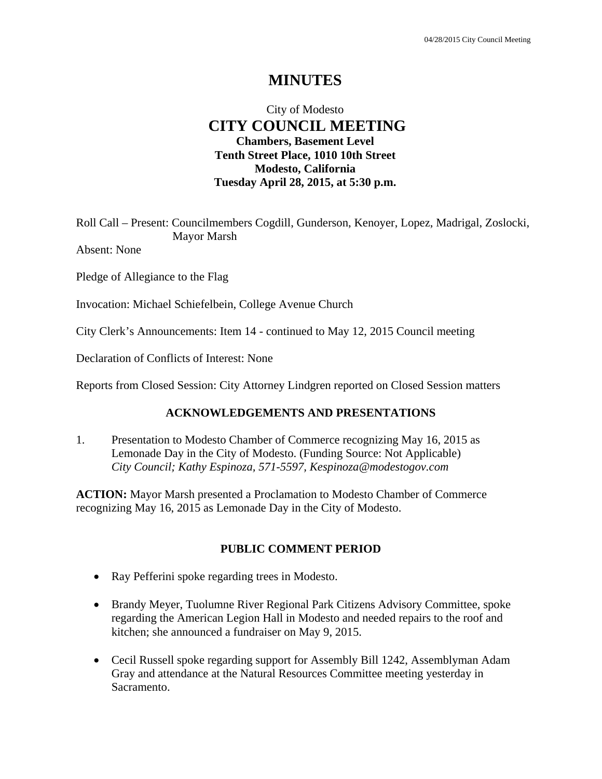# **MINUTES**

# City of Modesto  **CITY COUNCIL MEETING Chambers, Basement Level Tenth Street Place, 1010 10th Street Modesto, California Tuesday April 28, 2015, at 5:30 p.m.**

Roll Call – Present: Councilmembers Cogdill, Gunderson, Kenoyer, Lopez, Madrigal, Zoslocki, Mayor Marsh

Absent: None

Pledge of Allegiance to the Flag

Invocation: Michael Schiefelbein, College Avenue Church

City Clerk's Announcements: Item 14 - continued to May 12, 2015 Council meeting

Declaration of Conflicts of Interest: None

Reports from Closed Session: City Attorney Lindgren reported on Closed Session matters

#### **ACKNOWLEDGEMENTS AND PRESENTATIONS**

1. Presentation to Modesto Chamber of Commerce recognizing May 16, 2015 as Lemonade Day in the City of Modesto. (Funding Source: Not Applicable)  *City Council; Kathy Espinoza, 571-5597, Kespinoza@modestogov.com* 

**ACTION:** Mayor Marsh presented a Proclamation to Modesto Chamber of Commerce recognizing May 16, 2015 as Lemonade Day in the City of Modesto.

#### **PUBLIC COMMENT PERIOD**

- Ray Pefferini spoke regarding trees in Modesto.
- Brandy Meyer, Tuolumne River Regional Park Citizens Advisory Committee, spoke regarding the American Legion Hall in Modesto and needed repairs to the roof and kitchen; she announced a fundraiser on May 9, 2015.
- Cecil Russell spoke regarding support for Assembly Bill 1242, Assemblyman Adam Gray and attendance at the Natural Resources Committee meeting yesterday in Sacramento.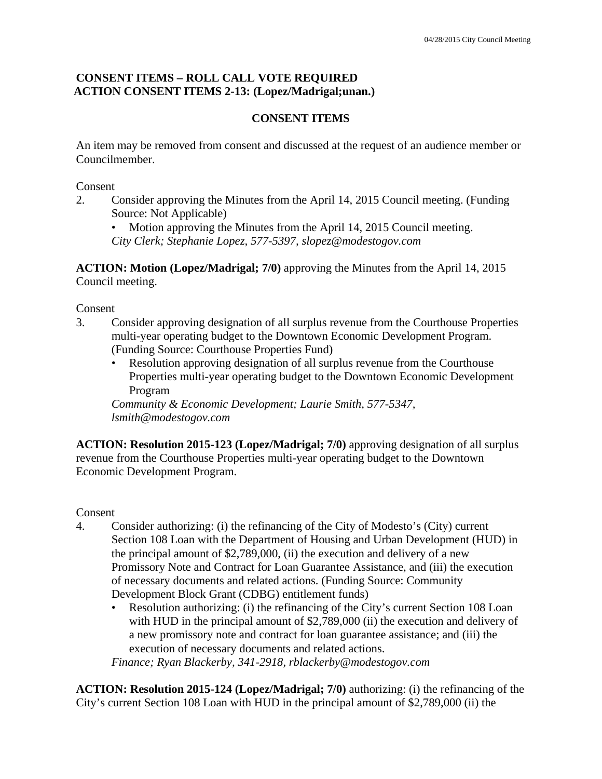### **CONSENT ITEMS – ROLL CALL VOTE REQUIRED ACTION CONSENT ITEMS 2-13: (Lopez/Madrigal;unan.)**

# **CONSENT ITEMS**

An item may be removed from consent and discussed at the request of an audience member or Councilmember.

Consent

2. Consider approving the Minutes from the April 14, 2015 Council meeting. (Funding Source: Not Applicable)

Motion approving the Minutes from the April 14, 2015 Council meeting. *City Clerk; Stephanie Lopez, 577-5397, slopez@modestogov.com* 

**ACTION: Motion (Lopez/Madrigal; 7/0)** approving the Minutes from the April 14, 2015 Council meeting.

Consent

- 3. Consider approving designation of all surplus revenue from the Courthouse Properties multi-year operating budget to the Downtown Economic Development Program. (Funding Source: Courthouse Properties Fund)
	- Resolution approving designation of all surplus revenue from the Courthouse Properties multi-year operating budget to the Downtown Economic Development Program

*Community & Economic Development; Laurie Smith, 577-5347, lsmith@modestogov.com* 

**ACTION: Resolution 2015-123 (Lopez/Madrigal; 7/0)** approving designation of all surplus revenue from the Courthouse Properties multi-year operating budget to the Downtown Economic Development Program.

Consent

- 4. Consider authorizing: (i) the refinancing of the City of Modesto's (City) current Section 108 Loan with the Department of Housing and Urban Development (HUD) in the principal amount of  $$2,789,000$ , (ii) the execution and delivery of a new Promissory Note and Contract for Loan Guarantee Assistance, and (iii) the execution of necessary documents and related actions. (Funding Source: Community Development Block Grant (CDBG) entitlement funds)
	- Resolution authorizing: (i) the refinancing of the City's current Section 108 Loan with HUD in the principal amount of \$2,789,000 (ii) the execution and delivery of a new promissory note and contract for loan guarantee assistance; and (iii) the execution of necessary documents and related actions.

*Finance; Ryan Blackerby, 341-2918, rblackerby@modestogov.com* 

**ACTION: Resolution 2015-124 (Lopez/Madrigal; 7/0)** authorizing: (i) the refinancing of the City's current Section 108 Loan with HUD in the principal amount of \$2,789,000 (ii) the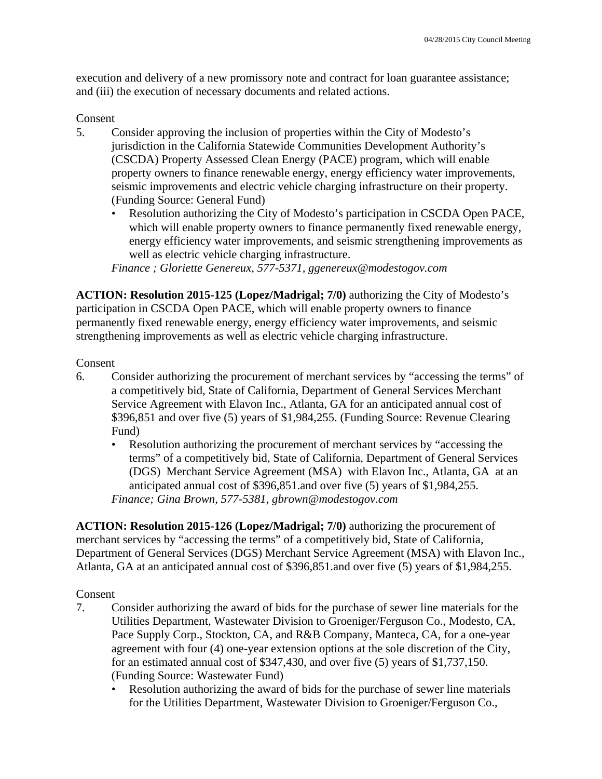execution and delivery of a new promissory note and contract for loan guarantee assistance; and (iii) the execution of necessary documents and related actions.

#### Consent

- 5. Consider approving the inclusion of properties within the City of Modesto's jurisdiction in the California Statewide Communities Development Authority's (CSCDA) Property Assessed Clean Energy (PACE) program, which will enable property owners to finance renewable energy, energy efficiency water improvements, seismic improvements and electric vehicle charging infrastructure on their property. (Funding Source: General Fund)
	- Resolution authorizing the City of Modesto's participation in CSCDA Open PACE, which will enable property owners to finance permanently fixed renewable energy, energy efficiency water improvements, and seismic strengthening improvements as well as electric vehicle charging infrastructure.

*Finance ; Gloriette Genereux, 577-5371, ggenereux@modestogov.com* 

**ACTION: Resolution 2015-125 (Lopez/Madrigal; 7/0)** authorizing the City of Modesto's participation in CSCDA Open PACE, which will enable property owners to finance permanently fixed renewable energy, energy efficiency water improvements, and seismic strengthening improvements as well as electric vehicle charging infrastructure.

#### Consent

- 6. Consider authorizing the procurement of merchant services by "accessing the terms" of a competitively bid, State of California, Department of General Services Merchant Service Agreement with Elavon Inc., Atlanta, GA for an anticipated annual cost of \$396,851 and over five (5) years of \$1,984,255. (Funding Source: Revenue Clearing Fund)
	- Resolution authorizing the procurement of merchant services by "accessing the terms" of a competitively bid, State of California, Department of General Services (DGS) Merchant Service Agreement (MSA) with Elavon Inc., Atlanta, GA at an anticipated annual cost of \$396,851.and over five (5) years of \$1,984,255. *Finance; Gina Brown, 577-5381, gbrown@modestogov.com*

**ACTION: Resolution 2015-126 (Lopez/Madrigal; 7/0)** authorizing the procurement of merchant services by "accessing the terms" of a competitively bid, State of California, Department of General Services (DGS) Merchant Service Agreement (MSA) with Elavon Inc., Atlanta, GA at an anticipated annual cost of \$396,851.and over five (5) years of \$1,984,255.

- 7. Consider authorizing the award of bids for the purchase of sewer line materials for the Utilities Department, Wastewater Division to Groeniger/Ferguson Co., Modesto, CA, Pace Supply Corp., Stockton, CA, and R&B Company, Manteca, CA, for a one-year agreement with four (4) one-year extension options at the sole discretion of the City, for an estimated annual cost of \$347,430, and over five (5) years of \$1,737,150. (Funding Source: Wastewater Fund)
	- Resolution authorizing the award of bids for the purchase of sewer line materials for the Utilities Department, Wastewater Division to Groeniger/Ferguson Co.,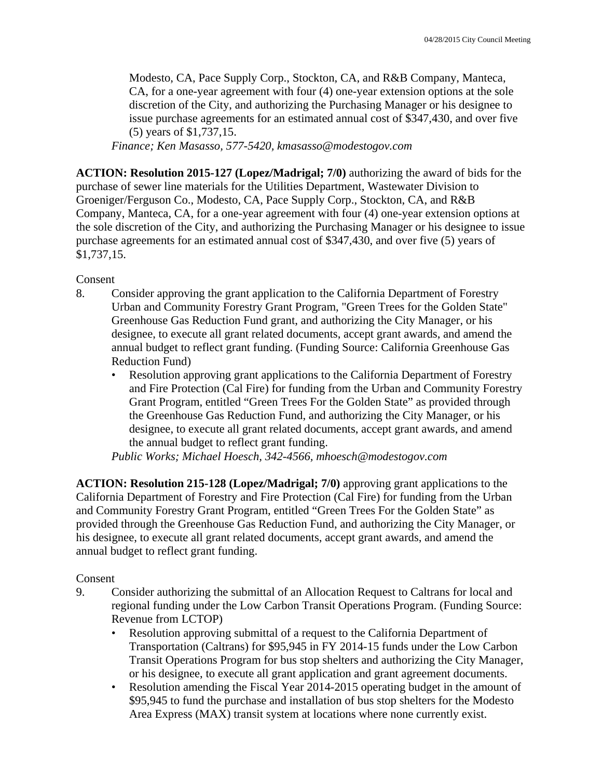Modesto, CA, Pace Supply Corp., Stockton, CA, and R&B Company, Manteca, CA, for a one-year agreement with four (4) one-year extension options at the sole discretion of the City, and authorizing the Purchasing Manager or his designee to issue purchase agreements for an estimated annual cost of \$347,430, and over five (5) years of \$1,737,15.

*Finance; Ken Masasso, 577-5420, kmasasso@modestogov.com* 

**ACTION: Resolution 2015-127 (Lopez/Madrigal; 7/0)** authorizing the award of bids for the purchase of sewer line materials for the Utilities Department, Wastewater Division to Groeniger/Ferguson Co., Modesto, CA, Pace Supply Corp., Stockton, CA, and R&B Company, Manteca, CA, for a one-year agreement with four (4) one-year extension options at the sole discretion of the City, and authorizing the Purchasing Manager or his designee to issue purchase agreements for an estimated annual cost of \$347,430, and over five (5) years of \$1,737,15.

#### Consent

- 8. Consider approving the grant application to the California Department of Forestry Urban and Community Forestry Grant Program, "Green Trees for the Golden State" Greenhouse Gas Reduction Fund grant, and authorizing the City Manager, or his designee, to execute all grant related documents, accept grant awards, and amend the annual budget to reflect grant funding. (Funding Source: California Greenhouse Gas Reduction Fund)
	- Resolution approving grant applications to the California Department of Forestry and Fire Protection (Cal Fire) for funding from the Urban and Community Forestry Grant Program, entitled "Green Trees For the Golden State" as provided through the Greenhouse Gas Reduction Fund, and authorizing the City Manager, or his designee, to execute all grant related documents, accept grant awards, and amend the annual budget to reflect grant funding.

*Public Works; Michael Hoesch, 342-4566, mhoesch@modestogov.com* 

**ACTION: Resolution 215-128 (Lopez/Madrigal; 7/0)** approving grant applications to the California Department of Forestry and Fire Protection (Cal Fire) for funding from the Urban and Community Forestry Grant Program, entitled "Green Trees For the Golden State" as provided through the Greenhouse Gas Reduction Fund, and authorizing the City Manager, or his designee, to execute all grant related documents, accept grant awards, and amend the annual budget to reflect grant funding.

- 9. Consider authorizing the submittal of an Allocation Request to Caltrans for local and regional funding under the Low Carbon Transit Operations Program. (Funding Source: Revenue from LCTOP)
	- Resolution approving submittal of a request to the California Department of Transportation (Caltrans) for \$95,945 in FY 2014-15 funds under the Low Carbon Transit Operations Program for bus stop shelters and authorizing the City Manager, or his designee, to execute all grant application and grant agreement documents.
	- Resolution amending the Fiscal Year 2014-2015 operating budget in the amount of \$95,945 to fund the purchase and installation of bus stop shelters for the Modesto Area Express (MAX) transit system at locations where none currently exist.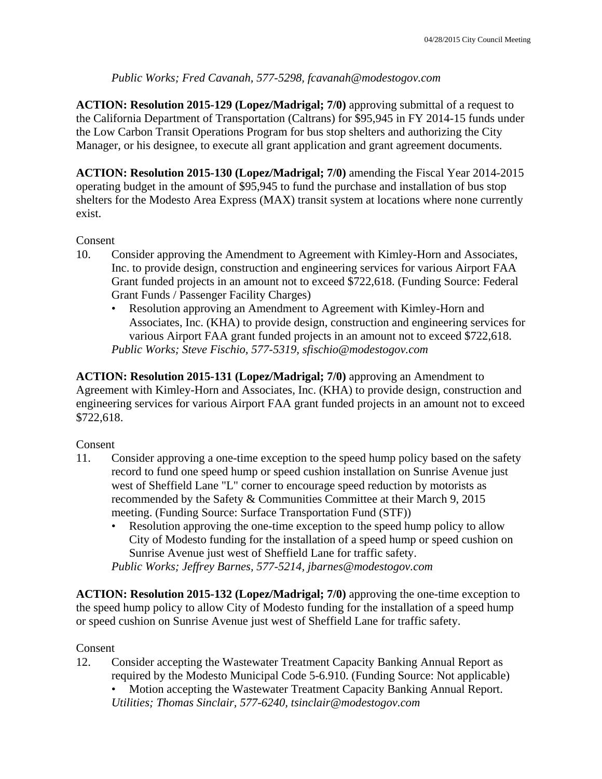### *Public Works; Fred Cavanah, 577-5298, fcavanah@modestogov.com*

**ACTION: Resolution 2015-129 (Lopez/Madrigal; 7/0)** approving submittal of a request to the California Department of Transportation (Caltrans) for \$95,945 in FY 2014-15 funds under the Low Carbon Transit Operations Program for bus stop shelters and authorizing the City Manager, or his designee, to execute all grant application and grant agreement documents.

**ACTION: Resolution 2015-130 (Lopez/Madrigal; 7/0)** amending the Fiscal Year 2014-2015 operating budget in the amount of \$95,945 to fund the purchase and installation of bus stop shelters for the Modesto Area Express (MAX) transit system at locations where none currently exist.

### Consent

- 10. Consider approving the Amendment to Agreement with Kimley-Horn and Associates, Inc. to provide design, construction and engineering services for various Airport FAA Grant funded projects in an amount not to exceed \$722,618. (Funding Source: Federal Grant Funds / Passenger Facility Charges)
	- Resolution approving an Amendment to Agreement with Kimley-Horn and Associates, Inc. (KHA) to provide design, construction and engineering services for various Airport FAA grant funded projects in an amount not to exceed \$722,618. *Public Works; Steve Fischio, 577-5319, sfischio@modestogov.com*

**ACTION: Resolution 2015-131 (Lopez/Madrigal; 7/0)** approving an Amendment to Agreement with Kimley-Horn and Associates, Inc. (KHA) to provide design, construction and engineering services for various Airport FAA grant funded projects in an amount not to exceed \$722,618.

### Consent

- 11. Consider approving a one-time exception to the speed hump policy based on the safety record to fund one speed hump or speed cushion installation on Sunrise Avenue just west of Sheffield Lane "L" corner to encourage speed reduction by motorists as recommended by the Safety & Communities Committee at their March 9, 2015 meeting. (Funding Source: Surface Transportation Fund (STF))
	- Resolution approving the one-time exception to the speed hump policy to allow City of Modesto funding for the installation of a speed hump or speed cushion on Sunrise Avenue just west of Sheffield Lane for traffic safety.

*Public Works; Jeffrey Barnes, 577-5214, jbarnes@modestogov.com* 

**ACTION: Resolution 2015-132 (Lopez/Madrigal; 7/0)** approving the one-time exception to the speed hump policy to allow City of Modesto funding for the installation of a speed hump or speed cushion on Sunrise Avenue just west of Sheffield Lane for traffic safety.

### Consent

12. Consider accepting the Wastewater Treatment Capacity Banking Annual Report as required by the Modesto Municipal Code 5-6.910. (Funding Source: Not applicable)

• Motion accepting the Wastewater Treatment Capacity Banking Annual Report. *Utilities; Thomas Sinclair, 577-6240, tsinclair@modestogov.com*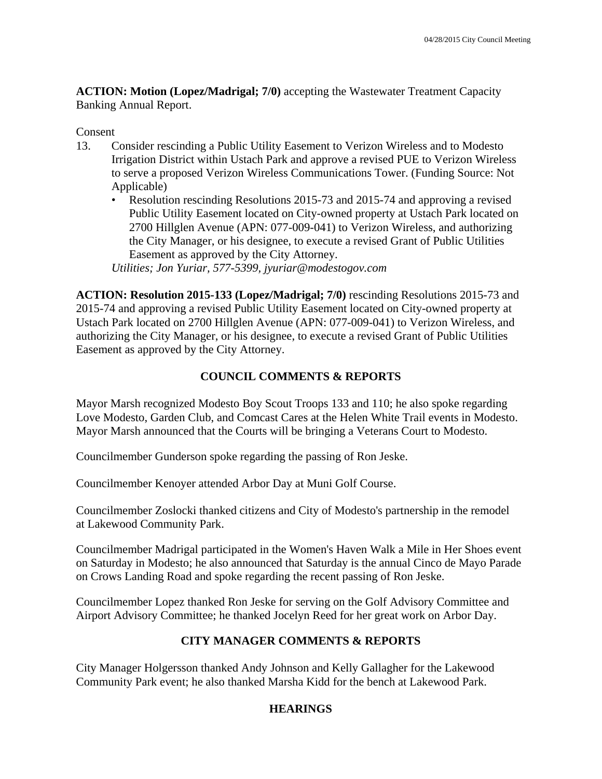**ACTION: Motion (Lopez/Madrigal; 7/0)** accepting the Wastewater Treatment Capacity Banking Annual Report.

#### Consent

- 13. Consider rescinding a Public Utility Easement to Verizon Wireless and to Modesto Irrigation District within Ustach Park and approve a revised PUE to Verizon Wireless to serve a proposed Verizon Wireless Communications Tower. (Funding Source: Not Applicable)
	- Resolution rescinding Resolutions 2015-73 and 2015-74 and approving a revised Public Utility Easement located on City-owned property at Ustach Park located on 2700 Hillglen Avenue (APN: 077-009-041) to Verizon Wireless, and authorizing the City Manager, or his designee, to execute a revised Grant of Public Utilities Easement as approved by the City Attorney. *Utilities; Jon Yuriar, 577-5399, jyuriar@modestogov.com*

**ACTION: Resolution 2015-133 (Lopez/Madrigal; 7/0)** rescinding Resolutions 2015-73 and 2015-74 and approving a revised Public Utility Easement located on City-owned property at Ustach Park located on 2700 Hillglen Avenue (APN: 077-009-041) to Verizon Wireless, and authorizing the City Manager, or his designee, to execute a revised Grant of Public Utilities Easement as approved by the City Attorney.

# **COUNCIL COMMENTS & REPORTS**

Mayor Marsh recognized Modesto Boy Scout Troops 133 and 110; he also spoke regarding Love Modesto, Garden Club, and Comcast Cares at the Helen White Trail events in Modesto. Mayor Marsh announced that the Courts will be bringing a Veterans Court to Modesto.

Councilmember Gunderson spoke regarding the passing of Ron Jeske.

Councilmember Kenoyer attended Arbor Day at Muni Golf Course.

Councilmember Zoslocki thanked citizens and City of Modesto's partnership in the remodel at Lakewood Community Park.

Councilmember Madrigal participated in the Women's Haven Walk a Mile in Her Shoes event on Saturday in Modesto; he also announced that Saturday is the annual Cinco de Mayo Parade on Crows Landing Road and spoke regarding the recent passing of Ron Jeske.

Councilmember Lopez thanked Ron Jeske for serving on the Golf Advisory Committee and Airport Advisory Committee; he thanked Jocelyn Reed for her great work on Arbor Day.

# **CITY MANAGER COMMENTS & REPORTS**

City Manager Holgersson thanked Andy Johnson and Kelly Gallagher for the Lakewood Community Park event; he also thanked Marsha Kidd for the bench at Lakewood Park.

# **HEARINGS**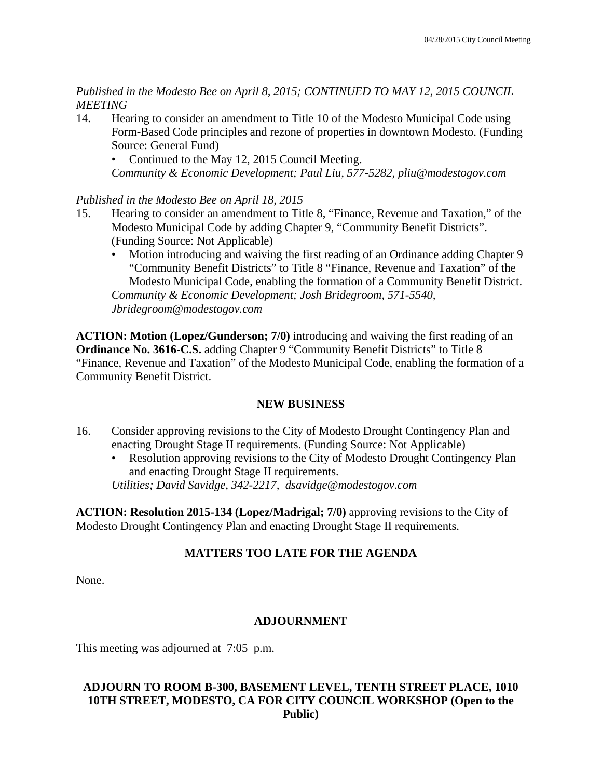*Published in the Modesto Bee on April 8, 2015; CONTINUED TO MAY 12, 2015 COUNCIL MEETING* 

14. Hearing to consider an amendment to Title 10 of the Modesto Municipal Code using Form-Based Code principles and rezone of properties in downtown Modesto. (Funding Source: General Fund)

• Continued to the May 12, 2015 Council Meeting. *Community & Economic Development; Paul Liu, 577-5282, pliu@modestogov.com* 

*Published in the Modesto Bee on April 18, 2015* 

- 15. Hearing to consider an amendment to Title 8, "Finance, Revenue and Taxation," of the Modesto Municipal Code by adding Chapter 9, "Community Benefit Districts". (Funding Source: Not Applicable)
	- Motion introducing and waiving the first reading of an Ordinance adding Chapter 9 "Community Benefit Districts" to Title 8 "Finance, Revenue and Taxation" of the Modesto Municipal Code, enabling the formation of a Community Benefit District. *Community & Economic Development; Josh Bridegroom, 571-5540, Jbridegroom@modestogov.com*

**ACTION: Motion (Lopez/Gunderson; 7/0)** introducing and waiving the first reading of an **Ordinance No. 3616-C.S.** adding Chapter 9 "Community Benefit Districts" to Title 8 "Finance, Revenue and Taxation" of the Modesto Municipal Code, enabling the formation of a Community Benefit District.

### **NEW BUSINESS**

- 16. Consider approving revisions to the City of Modesto Drought Contingency Plan and enacting Drought Stage II requirements. (Funding Source: Not Applicable)
	- Resolution approving revisions to the City of Modesto Drought Contingency Plan and enacting Drought Stage II requirements.

*Utilities; David Savidge, 342-2217, dsavidge@modestogov.com* 

**ACTION: Resolution 2015-134 (Lopez/Madrigal; 7/0)** approving revisions to the City of Modesto Drought Contingency Plan and enacting Drought Stage II requirements.

### **MATTERS TOO LATE FOR THE AGENDA**

None.

### **ADJOURNMENT**

This meeting was adjourned at 7:05 p.m.

#### **ADJOURN TO ROOM B-300, BASEMENT LEVEL, TENTH STREET PLACE, 1010 10TH STREET, MODESTO, CA FOR CITY COUNCIL WORKSHOP (Open to the Public)**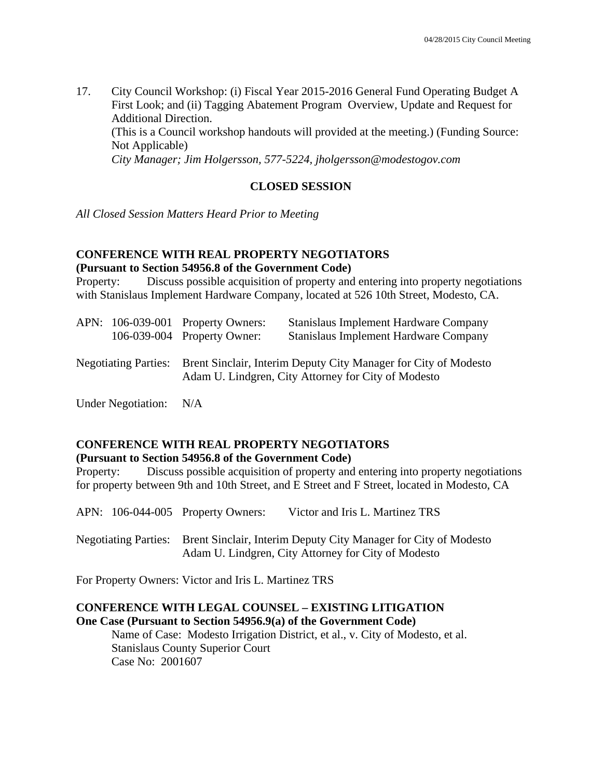17. City Council Workshop: (i) Fiscal Year 2015-2016 General Fund Operating Budget A First Look; and (ii) Tagging Abatement Program Overview, Update and Request for Additional Direction. (This is a Council workshop handouts will provided at the meeting.) (Funding Source: Not Applicable)  *City Manager; Jim Holgersson, 577-5224, jholgersson@modestogov.com* 

#### **CLOSED SESSION**

*All Closed Session Matters Heard Prior to Meeting* 

### **CONFERENCE WITH REAL PROPERTY NEGOTIATORS (Pursuant to Section 54956.8 of the Government Code)**

Property: Discuss possible acquisition of property and entering into property negotiations with Stanislaus Implement Hardware Company, located at 526 10th Street, Modesto, CA.

|                             | APN: 106-039-001 Property Owners: | Stanislaus Implement Hardware Company                                                                                  |
|-----------------------------|-----------------------------------|------------------------------------------------------------------------------------------------------------------------|
|                             | 106-039-004 Property Owner:       | Stanislaus Implement Hardware Company                                                                                  |
| <b>Negotiating Parties:</b> |                                   | Brent Sinclair, Interim Deputy City Manager for City of Modesto<br>Adam U. Lindgren, City Attorney for City of Modesto |
|                             |                                   |                                                                                                                        |

Under Negotiation: N/A

#### **CONFERENCE WITH REAL PROPERTY NEGOTIATORS (Pursuant to Section 54956.8 of the Government Code)**

Property: Discuss possible acquisition of property and entering into property negotiations for property between 9th and 10th Street, and E Street and F Street, located in Modesto, CA

APN: 106-044-005 Property Owners: Victor and Iris L. Martinez TRS

Negotiating Parties: Brent Sinclair, Interim Deputy City Manager for City of Modesto Adam U. Lindgren, City Attorney for City of Modesto

For Property Owners: Victor and Iris L. Martinez TRS

#### **CONFERENCE WITH LEGAL COUNSEL – EXISTING LITIGATION One Case (Pursuant to Section 54956.9(a) of the Government Code)**

 Name of Case: Modesto Irrigation District, et al., v. City of Modesto, et al. Stanislaus County Superior Court Case No: 2001607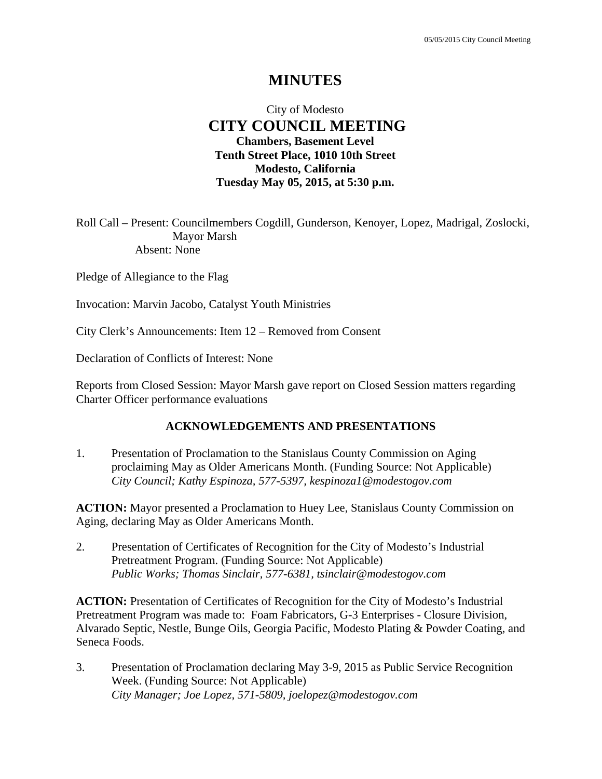# **MINUTES**

# City of Modesto  **CITY COUNCIL MEETING Chambers, Basement Level Tenth Street Place, 1010 10th Street Modesto, California Tuesday May 05, 2015, at 5:30 p.m.**

Roll Call – Present: Councilmembers Cogdill, Gunderson, Kenoyer, Lopez, Madrigal, Zoslocki, Mayor Marsh Absent: None

Pledge of Allegiance to the Flag

Invocation: Marvin Jacobo, Catalyst Youth Ministries

City Clerk's Announcements: Item 12 – Removed from Consent

Declaration of Conflicts of Interest: None

Reports from Closed Session: Mayor Marsh gave report on Closed Session matters regarding Charter Officer performance evaluations

#### **ACKNOWLEDGEMENTS AND PRESENTATIONS**

1. Presentation of Proclamation to the Stanislaus County Commission on Aging proclaiming May as Older Americans Month. (Funding Source: Not Applicable)  *City Council; Kathy Espinoza, 577-5397, kespinoza1@modestogov.com* 

**ACTION:** Mayor presented a Proclamation to Huey Lee, Stanislaus County Commission on Aging, declaring May as Older Americans Month.

2. Presentation of Certificates of Recognition for the City of Modesto's Industrial Pretreatment Program. (Funding Source: Not Applicable)  *Public Works; Thomas Sinclair, 577-6381, tsinclair@modestogov.com* 

**ACTION:** Presentation of Certificates of Recognition for the City of Modesto's Industrial Pretreatment Program was made to: Foam Fabricators, G-3 Enterprises - Closure Division, Alvarado Septic, Nestle, Bunge Oils, Georgia Pacific, Modesto Plating & Powder Coating, and Seneca Foods.

3. Presentation of Proclamation declaring May 3-9, 2015 as Public Service Recognition Week. (Funding Source: Not Applicable)  *City Manager; Joe Lopez, 571-5809, joelopez@modestogov.com*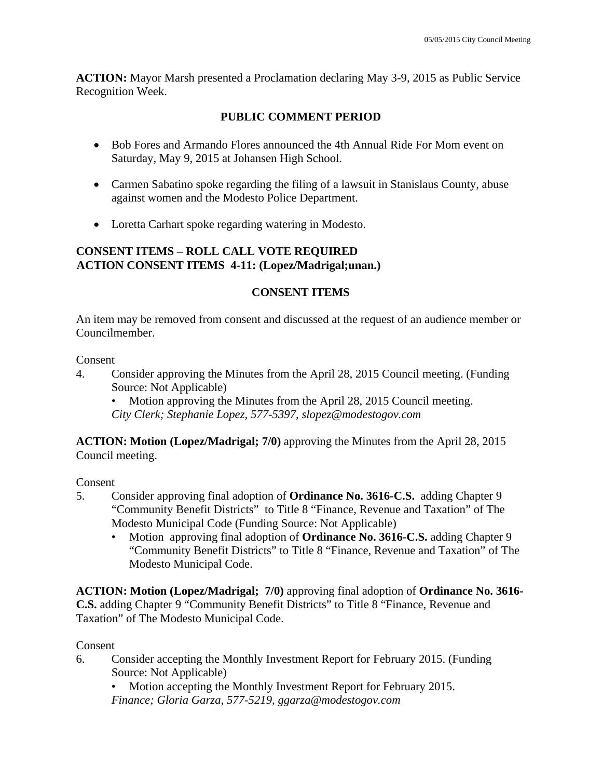**ACTION:** Mayor Marsh presented a Proclamation declaring May 3-9, 2015 as Public Service Recognition Week.

# **PUBLIC COMMENT PERIOD**

- Bob Fores and Armando Flores announced the 4th Annual Ride For Mom event on Saturday, May 9, 2015 at Johansen High School.
- Carmen Sabatino spoke regarding the filing of a lawsuit in Stanislaus County, abuse against women and the Modesto Police Department.
- Loretta Carhart spoke regarding watering in Modesto.

#### **CONSENT ITEMS – ROLL CALL VOTE REQUIRED ACTION CONSENT ITEMS 4-11: (Lopez/Madrigal;unan.)**

### **CONSENT ITEMS**

An item may be removed from consent and discussed at the request of an audience member or Councilmember.

#### Consent

4. Consider approving the Minutes from the April 28, 2015 Council meeting. (Funding Source: Not Applicable)

• Motion approving the Minutes from the April 28, 2015 Council meeting. *City Clerk; Stephanie Lopez, 577-5397, slopez@modestogov.com* 

**ACTION: Motion (Lopez/Madrigal; 7/0)** approving the Minutes from the April 28, 2015 Council meeting.

### Consent

- 5. Consider approving final adoption of **Ordinance No. 3616-C.S.** adding Chapter 9 "Community Benefit Districts" to Title 8 "Finance, Revenue and Taxation" of The Modesto Municipal Code (Funding Source: Not Applicable)
	- Motion approving final adoption of **Ordinance No. 3616-C.S.** adding Chapter 9 "Community Benefit Districts" to Title 8 "Finance, Revenue and Taxation" of The Modesto Municipal Code.

**ACTION: Motion (Lopez/Madrigal; 7/0)** approving final adoption of **Ordinance No. 3616- C.S.** adding Chapter 9 "Community Benefit Districts" to Title 8 "Finance, Revenue and Taxation" of The Modesto Municipal Code.

Consent

6. Consider accepting the Monthly Investment Report for February 2015. (Funding Source: Not Applicable)

• Motion accepting the Monthly Investment Report for February 2015. *Finance; Gloria Garza, 577-5219, ggarza@modestogov.com*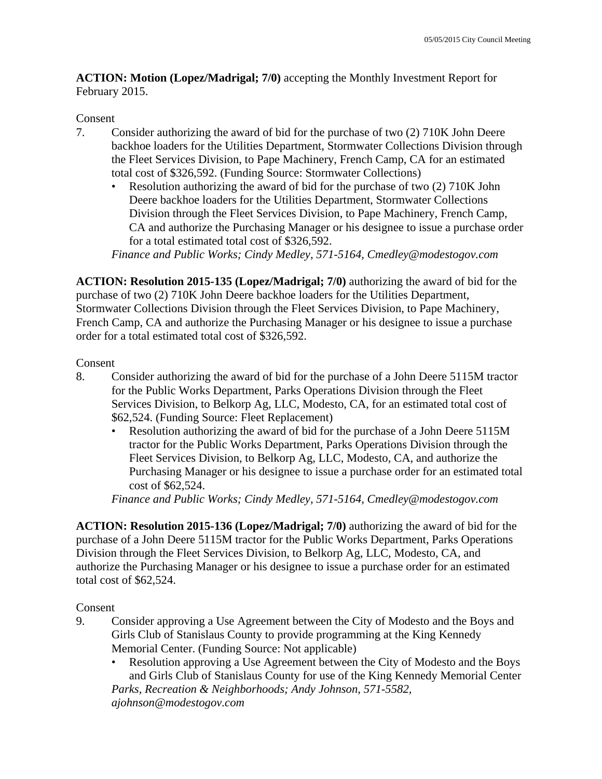**ACTION: Motion (Lopez/Madrigal; 7/0)** accepting the Monthly Investment Report for February 2015.

### Consent

- 7. Consider authorizing the award of bid for the purchase of two (2) 710K John Deere backhoe loaders for the Utilities Department, Stormwater Collections Division through the Fleet Services Division, to Pape Machinery, French Camp, CA for an estimated total cost of \$326,592. (Funding Source: Stormwater Collections)
	- Resolution authorizing the award of bid for the purchase of two (2) 710K John Deere backhoe loaders for the Utilities Department, Stormwater Collections Division through the Fleet Services Division, to Pape Machinery, French Camp, CA and authorize the Purchasing Manager or his designee to issue a purchase order for a total estimated total cost of \$326,592.

*Finance and Public Works; Cindy Medley, 571-5164, Cmedley@modestogov.com* 

**ACTION: Resolution 2015-135 (Lopez/Madrigal; 7/0)** authorizing the award of bid for the purchase of two (2) 710K John Deere backhoe loaders for the Utilities Department, Stormwater Collections Division through the Fleet Services Division, to Pape Machinery, French Camp, CA and authorize the Purchasing Manager or his designee to issue a purchase order for a total estimated total cost of \$326,592.

### Consent

- 8. Consider authorizing the award of bid for the purchase of a John Deere 5115M tractor for the Public Works Department, Parks Operations Division through the Fleet Services Division, to Belkorp Ag, LLC, Modesto, CA, for an estimated total cost of \$62,524. (Funding Source: Fleet Replacement)
	- Resolution authorizing the award of bid for the purchase of a John Deere 5115M tractor for the Public Works Department, Parks Operations Division through the Fleet Services Division, to Belkorp Ag, LLC, Modesto, CA, and authorize the Purchasing Manager or his designee to issue a purchase order for an estimated total cost of \$62,524.

*Finance and Public Works; Cindy Medley, 571-5164, Cmedley@modestogov.com* 

**ACTION: Resolution 2015-136 (Lopez/Madrigal; 7/0)** authorizing the award of bid for the purchase of a John Deere 5115M tractor for the Public Works Department, Parks Operations Division through the Fleet Services Division, to Belkorp Ag, LLC, Modesto, CA, and authorize the Purchasing Manager or his designee to issue a purchase order for an estimated total cost of \$62,524.

- 9. Consider approving a Use Agreement between the City of Modesto and the Boys and Girls Club of Stanislaus County to provide programming at the King Kennedy Memorial Center. (Funding Source: Not applicable)
	- Resolution approving a Use Agreement between the City of Modesto and the Boys and Girls Club of Stanislaus County for use of the King Kennedy Memorial Center *Parks, Recreation & Neighborhoods; Andy Johnson, 571-5582, ajohnson@modestogov.com*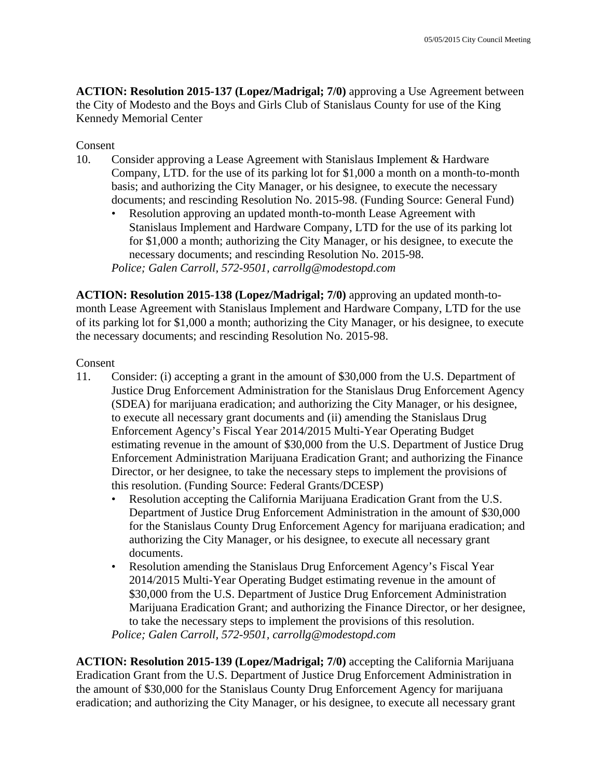**ACTION: Resolution 2015-137 (Lopez/Madrigal; 7/0)** approving a Use Agreement between the City of Modesto and the Boys and Girls Club of Stanislaus County for use of the King Kennedy Memorial Center

#### Consent

- 10. Consider approving a Lease Agreement with Stanislaus Implement & Hardware Company, LTD. for the use of its parking lot for \$1,000 a month on a month-to-month basis; and authorizing the City Manager, or his designee, to execute the necessary documents; and rescinding Resolution No. 2015-98. (Funding Source: General Fund)
	- Resolution approving an updated month-to-month Lease Agreement with Stanislaus Implement and Hardware Company, LTD for the use of its parking lot for \$1,000 a month; authorizing the City Manager, or his designee, to execute the necessary documents; and rescinding Resolution No. 2015-98. *Police; Galen Carroll, 572-9501, carrollg@modestopd.com*

**ACTION: Resolution 2015-138 (Lopez/Madrigal; 7/0)** approving an updated month-tomonth Lease Agreement with Stanislaus Implement and Hardware Company, LTD for the use of its parking lot for \$1,000 a month; authorizing the City Manager, or his designee, to execute the necessary documents; and rescinding Resolution No. 2015-98.

#### Consent

- 11. Consider: (i) accepting a grant in the amount of \$30,000 from the U.S. Department of Justice Drug Enforcement Administration for the Stanislaus Drug Enforcement Agency (SDEA) for marijuana eradication; and authorizing the City Manager, or his designee, to execute all necessary grant documents and (ii) amending the Stanislaus Drug Enforcement Agency's Fiscal Year 2014/2015 Multi-Year Operating Budget estimating revenue in the amount of \$30,000 from the U.S. Department of Justice Drug Enforcement Administration Marijuana Eradication Grant; and authorizing the Finance Director, or her designee, to take the necessary steps to implement the provisions of this resolution. (Funding Source: Federal Grants/DCESP)
	- Resolution accepting the California Marijuana Eradication Grant from the U.S. Department of Justice Drug Enforcement Administration in the amount of \$30,000 for the Stanislaus County Drug Enforcement Agency for marijuana eradication; and authorizing the City Manager, or his designee, to execute all necessary grant documents.
	- Resolution amending the Stanislaus Drug Enforcement Agency's Fiscal Year 2014/2015 Multi-Year Operating Budget estimating revenue in the amount of \$30,000 from the U.S. Department of Justice Drug Enforcement Administration Marijuana Eradication Grant; and authorizing the Finance Director, or her designee, to take the necessary steps to implement the provisions of this resolution. *Police; Galen Carroll, 572-9501, carrollg@modestopd.com*

**ACTION: Resolution 2015-139 (Lopez/Madrigal; 7/0)** accepting the California Marijuana Eradication Grant from the U.S. Department of Justice Drug Enforcement Administration in the amount of \$30,000 for the Stanislaus County Drug Enforcement Agency for marijuana eradication; and authorizing the City Manager, or his designee, to execute all necessary grant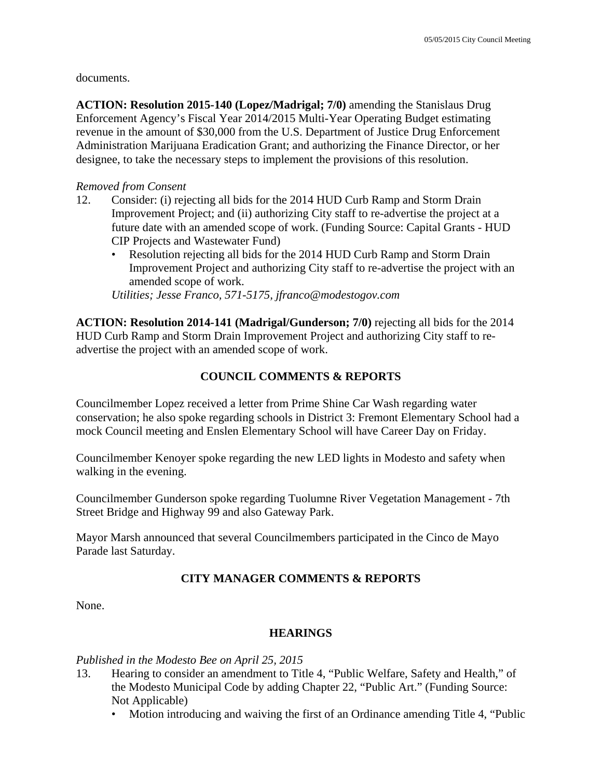documents.

**ACTION: Resolution 2015-140 (Lopez/Madrigal; 7/0)** amending the Stanislaus Drug Enforcement Agency's Fiscal Year 2014/2015 Multi-Year Operating Budget estimating revenue in the amount of \$30,000 from the U.S. Department of Justice Drug Enforcement Administration Marijuana Eradication Grant; and authorizing the Finance Director, or her designee, to take the necessary steps to implement the provisions of this resolution.

#### *Removed from Consent*

- 12. Consider: (i) rejecting all bids for the 2014 HUD Curb Ramp and Storm Drain Improvement Project; and (ii) authorizing City staff to re-advertise the project at a future date with an amended scope of work. (Funding Source: Capital Grants - HUD CIP Projects and Wastewater Fund)
	- Resolution rejecting all bids for the 2014 HUD Curb Ramp and Storm Drain Improvement Project and authorizing City staff to re-advertise the project with an amended scope of work.

*Utilities; Jesse Franco, 571-5175, jfranco@modestogov.com* 

**ACTION: Resolution 2014-141 (Madrigal/Gunderson; 7/0)** rejecting all bids for the 2014 HUD Curb Ramp and Storm Drain Improvement Project and authorizing City staff to readvertise the project with an amended scope of work.

#### **COUNCIL COMMENTS & REPORTS**

Councilmember Lopez received a letter from Prime Shine Car Wash regarding water conservation; he also spoke regarding schools in District 3: Fremont Elementary School had a mock Council meeting and Enslen Elementary School will have Career Day on Friday.

Councilmember Kenoyer spoke regarding the new LED lights in Modesto and safety when walking in the evening.

Councilmember Gunderson spoke regarding Tuolumne River Vegetation Management - 7th Street Bridge and Highway 99 and also Gateway Park.

Mayor Marsh announced that several Councilmembers participated in the Cinco de Mayo Parade last Saturday.

### **CITY MANAGER COMMENTS & REPORTS**

None.

### **HEARINGS**

*Published in the Modesto Bee on April 25, 2015* 

- 13. Hearing to consider an amendment to Title 4, "Public Welfare, Safety and Health," of the Modesto Municipal Code by adding Chapter 22, "Public Art." (Funding Source: Not Applicable)
	- Motion introducing and waiving the first of an Ordinance amending Title 4, "Public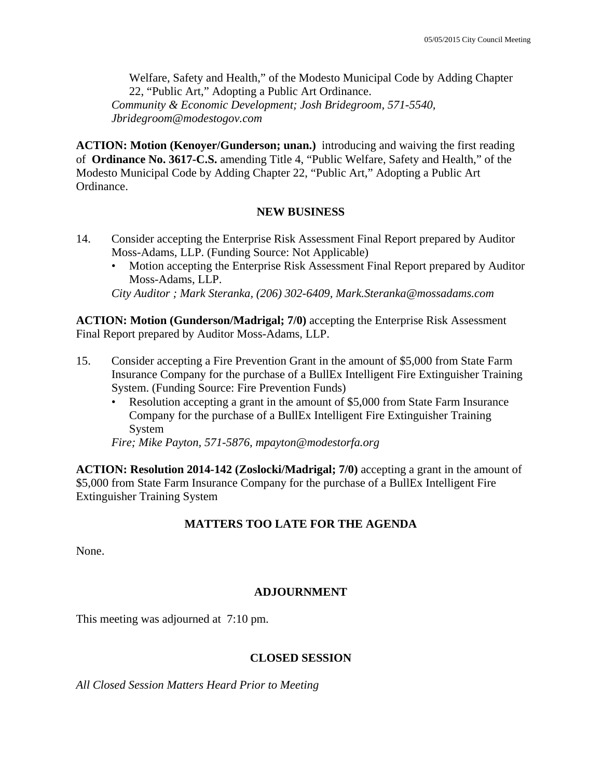Welfare, Safety and Health," of the Modesto Municipal Code by Adding Chapter 22, "Public Art," Adopting a Public Art Ordinance. *Community & Economic Development; Josh Bridegroom, 571-5540, Jbridegroom@modestogov.com* 

**ACTION: Motion (Kenoyer/Gunderson; unan.)** introducing and waiving the first reading of **Ordinance No. 3617-C.S.** amending Title 4, "Public Welfare, Safety and Health," of the Modesto Municipal Code by Adding Chapter 22, "Public Art," Adopting a Public Art Ordinance.

### **NEW BUSINESS**

- 14. Consider accepting the Enterprise Risk Assessment Final Report prepared by Auditor Moss-Adams, LLP. (Funding Source: Not Applicable)
	- Motion accepting the Enterprise Risk Assessment Final Report prepared by Auditor Moss-Adams, LLP.

*City Auditor ; Mark Steranka, (206) 302-6409, Mark.Steranka@mossadams.com* 

**ACTION: Motion (Gunderson/Madrigal; 7/0)** accepting the Enterprise Risk Assessment Final Report prepared by Auditor Moss-Adams, LLP.

- 15. Consider accepting a Fire Prevention Grant in the amount of \$5,000 from State Farm Insurance Company for the purchase of a BullEx Intelligent Fire Extinguisher Training System. (Funding Source: Fire Prevention Funds)
	- Resolution accepting a grant in the amount of \$5,000 from State Farm Insurance Company for the purchase of a BullEx Intelligent Fire Extinguisher Training System

*Fire; Mike Payton, 571-5876, mpayton@modestorfa.org* 

**ACTION: Resolution 2014-142 (Zoslocki/Madrigal; 7/0)** accepting a grant in the amount of \$5,000 from State Farm Insurance Company for the purchase of a BullEx Intelligent Fire Extinguisher Training System

### **MATTERS TOO LATE FOR THE AGENDA**

None.

### **ADJOURNMENT**

This meeting was adjourned at 7:10 pm.

### **CLOSED SESSION**

*All Closed Session Matters Heard Prior to Meeting*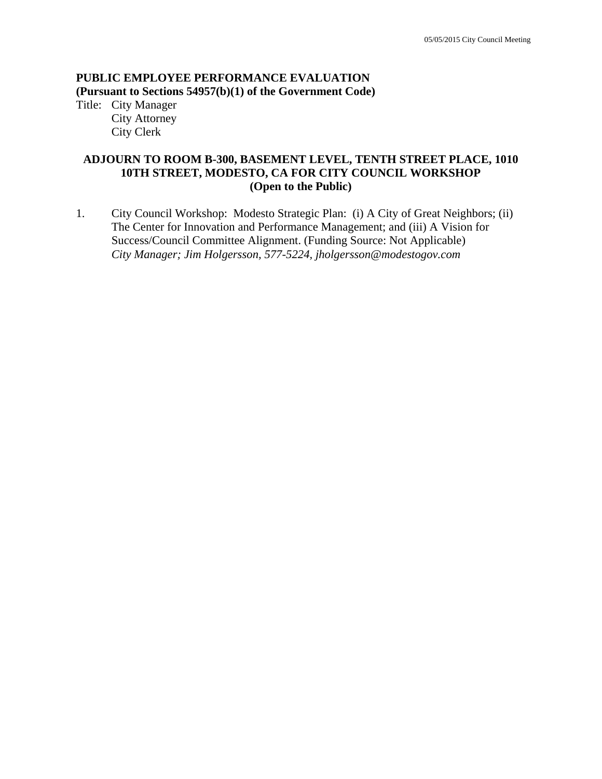#### **PUBLIC EMPLOYEE PERFORMANCE EVALUATION (Pursuant to Sections 54957(b)(1) of the Government Code)**

Title: City Manager City Attorney City Clerk

### **ADJOURN TO ROOM B-300, BASEMENT LEVEL, TENTH STREET PLACE, 1010 10TH STREET, MODESTO, CA FOR CITY COUNCIL WORKSHOP (Open to the Public)**

1. City Council Workshop: Modesto Strategic Plan: (i) A City of Great Neighbors; (ii) The Center for Innovation and Performance Management; and (iii) A Vision for Success/Council Committee Alignment. (Funding Source: Not Applicable)  *City Manager; Jim Holgersson, 577-5224, jholgersson@modestogov.com*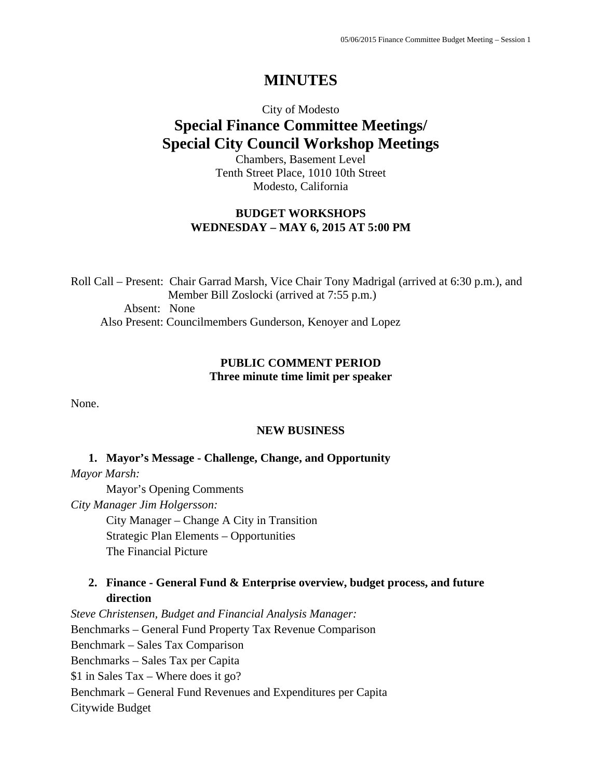# **MINUTES**

# City of Modesto **Special Finance Committee Meetings/ Special City Council Workshop Meetings**

Chambers, Basement Level Tenth Street Place, 1010 10th Street Modesto, California

### **BUDGET WORKSHOPS WEDNESDAY – MAY 6, 2015 AT 5:00 PM**

Roll Call – Present: Chair Garrad Marsh, Vice Chair Tony Madrigal (arrived at 6:30 p.m.), and Member Bill Zoslocki (arrived at 7:55 p.m.) Absent: None Also Present: Councilmembers Gunderson, Kenoyer and Lopez

#### **PUBLIC COMMENT PERIOD Three minute time limit per speaker**

None.

#### **NEW BUSINESS**

#### **1. Mayor's Message - Challenge, Change, and Opportunity**

*Mayor Marsh:*

Mayor's Opening Comments

*City Manager Jim Holgersson:* 

City Manager – Change A City in Transition Strategic Plan Elements – Opportunities The Financial Picture

### **2. Finance - General Fund & Enterprise overview, budget process, and future direction**

*Steve Christensen, Budget and Financial Analysis Manager:*  Benchmarks – General Fund Property Tax Revenue Comparison Benchmark – Sales Tax Comparison Benchmarks – Sales Tax per Capita \$1 in Sales Tax – Where does it go? Benchmark – General Fund Revenues and Expenditures per Capita Citywide Budget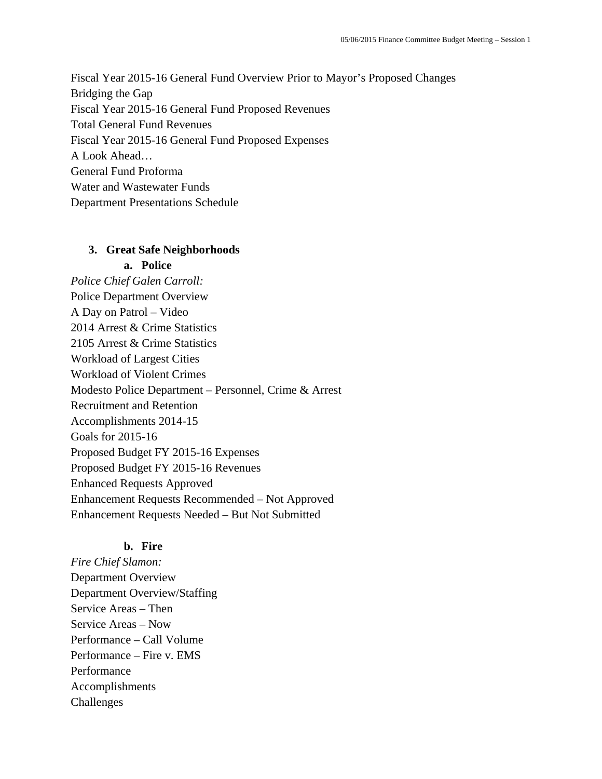Fiscal Year 2015-16 General Fund Overview Prior to Mayor's Proposed Changes Bridging the Gap Fiscal Year 2015-16 General Fund Proposed Revenues Total General Fund Revenues Fiscal Year 2015-16 General Fund Proposed Expenses A Look Ahead… General Fund Proforma Water and Wastewater Funds Department Presentations Schedule

#### **3. Great Safe Neighborhoods**

#### **a. Police**

*Police Chief Galen Carroll:*  Police Department Overview A Day on Patrol – Video 2014 Arrest & Crime Statistics 2105 Arrest & Crime Statistics Workload of Largest Cities Workload of Violent Crimes Modesto Police Department – Personnel, Crime & Arrest Recruitment and Retention Accomplishments 2014-15 Goals for 2015-16 Proposed Budget FY 2015-16 Expenses Proposed Budget FY 2015-16 Revenues Enhanced Requests Approved Enhancement Requests Recommended – Not Approved Enhancement Requests Needed – But Not Submitted

#### **b. Fire**

*Fire Chief Slamon:*  Department Overview Department Overview/Staffing Service Areas – Then Service Areas – Now Performance – Call Volume Performance – Fire v. EMS Performance Accomplishments Challenges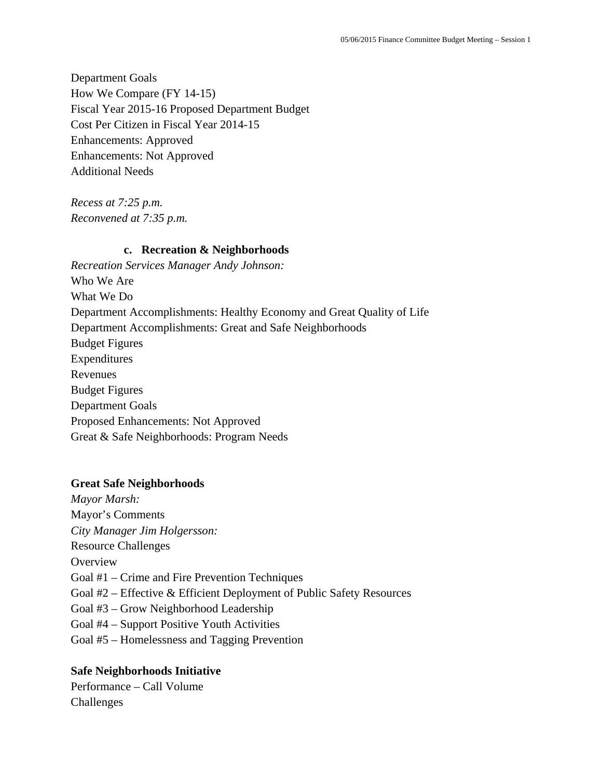Department Goals How We Compare (FY 14-15) Fiscal Year 2015-16 Proposed Department Budget Cost Per Citizen in Fiscal Year 2014-15 Enhancements: Approved Enhancements: Not Approved Additional Needs

*Recess at 7:25 p.m. Reconvened at 7:35 p.m.* 

#### **c. Recreation & Neighborhoods**

*Recreation Services Manager Andy Johnson:*  Who We Are What We Do Department Accomplishments: Healthy Economy and Great Quality of Life Department Accomplishments: Great and Safe Neighborhoods Budget Figures Expenditures Revenues Budget Figures Department Goals Proposed Enhancements: Not Approved Great & Safe Neighborhoods: Program Needs

#### **Great Safe Neighborhoods**

*Mayor Marsh:* Mayor's Comments *City Manager Jim Holgersson:* Resource Challenges **Overview** Goal #1 – Crime and Fire Prevention Techniques Goal #2 – Effective & Efficient Deployment of Public Safety Resources Goal #3 – Grow Neighborhood Leadership Goal #4 – Support Positive Youth Activities Goal #5 – Homelessness and Tagging Prevention

#### **Safe Neighborhoods Initiative**

Performance – Call Volume Challenges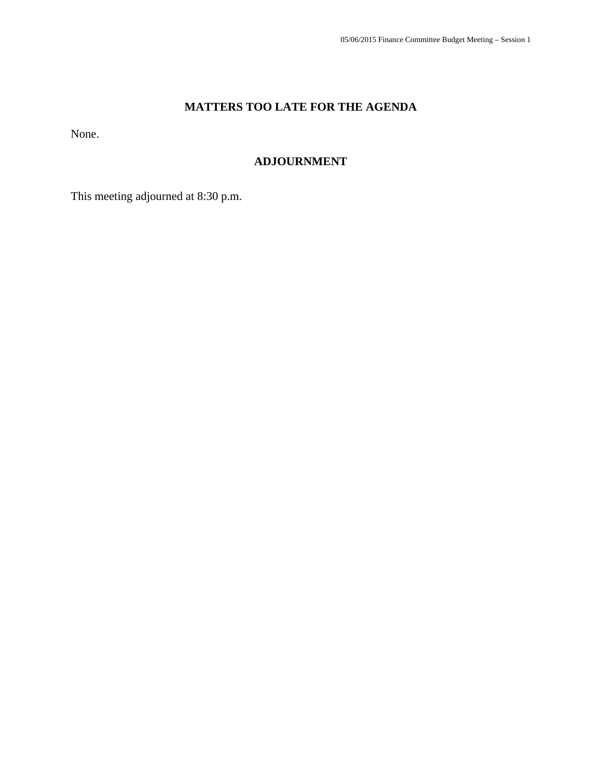## **MATTERS TOO LATE FOR THE AGENDA**

None.

### **ADJOURNMENT**

This meeting adjourned at 8:30 p.m.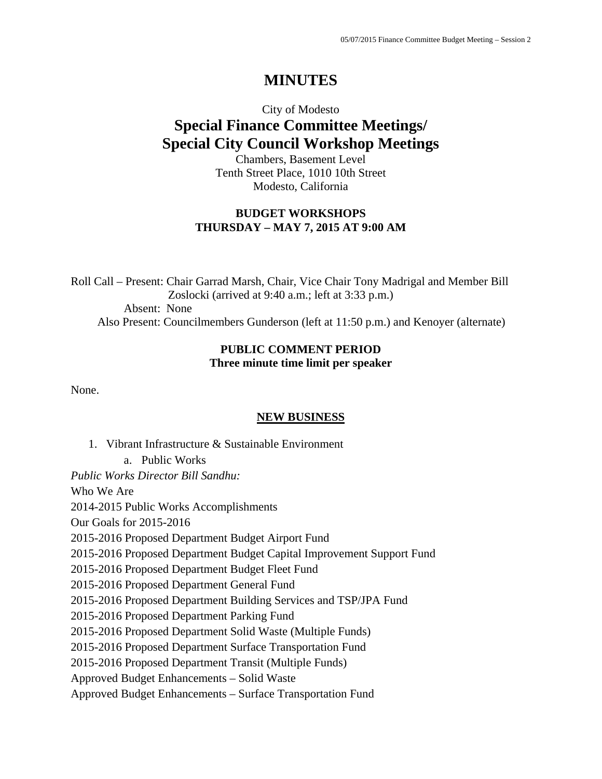# **MINUTES**

# City of Modesto **Special Finance Committee Meetings/ Special City Council Workshop Meetings**

Chambers, Basement Level Tenth Street Place, 1010 10th Street Modesto, California

### **BUDGET WORKSHOPS THURSDAY – MAY 7, 2015 AT 9:00 AM**

Roll Call – Present: Chair Garrad Marsh, Chair, Vice Chair Tony Madrigal and Member Bill Zoslocki (arrived at 9:40 a.m.; left at 3:33 p.m.) Absent: None Also Present: Councilmembers Gunderson (left at 11:50 p.m.) and Kenoyer (alternate)

#### **PUBLIC COMMENT PERIOD Three minute time limit per speaker**

None.

#### **NEW BUSINESS**

1. Vibrant Infrastructure & Sustainable Environment a. Public Works *Public Works Director Bill Sandhu:*  Who We Are 2014-2015 Public Works Accomplishments Our Goals for 2015-2016 2015-2016 Proposed Department Budget Airport Fund 2015-2016 Proposed Department Budget Capital Improvement Support Fund 2015-2016 Proposed Department Budget Fleet Fund 2015-2016 Proposed Department General Fund 2015-2016 Proposed Department Building Services and TSP/JPA Fund 2015-2016 Proposed Department Parking Fund 2015-2016 Proposed Department Solid Waste (Multiple Funds) 2015-2016 Proposed Department Surface Transportation Fund 2015-2016 Proposed Department Transit (Multiple Funds) Approved Budget Enhancements – Solid Waste Approved Budget Enhancements – Surface Transportation Fund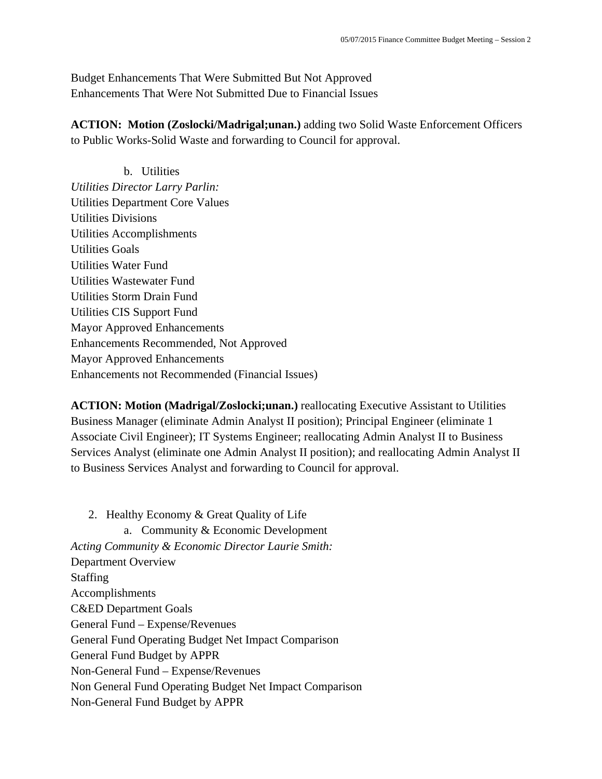Budget Enhancements That Were Submitted But Not Approved Enhancements That Were Not Submitted Due to Financial Issues

**ACTION: Motion (Zoslocki/Madrigal;unan.)** adding two Solid Waste Enforcement Officers to Public Works-Solid Waste and forwarding to Council for approval.

b. Utilities *Utilities Director Larry Parlin:*  Utilities Department Core Values Utilities Divisions Utilities Accomplishments Utilities Goals Utilities Water Fund Utilities Wastewater Fund Utilities Storm Drain Fund Utilities CIS Support Fund Mayor Approved Enhancements Enhancements Recommended, Not Approved Mayor Approved Enhancements Enhancements not Recommended (Financial Issues)

**ACTION: Motion (Madrigal/Zoslocki;unan.)** reallocating Executive Assistant to Utilities Business Manager (eliminate Admin Analyst II position); Principal Engineer (eliminate 1 Associate Civil Engineer); IT Systems Engineer; reallocating Admin Analyst II to Business Services Analyst (eliminate one Admin Analyst II position); and reallocating Admin Analyst II to Business Services Analyst and forwarding to Council for approval.

2. Healthy Economy & Great Quality of Life a. Community & Economic Development *Acting Community & Economic Director Laurie Smith:*  Department Overview Staffing Accomplishments C&ED Department Goals General Fund – Expense/Revenues General Fund Operating Budget Net Impact Comparison General Fund Budget by APPR Non-General Fund – Expense/Revenues Non General Fund Operating Budget Net Impact Comparison Non-General Fund Budget by APPR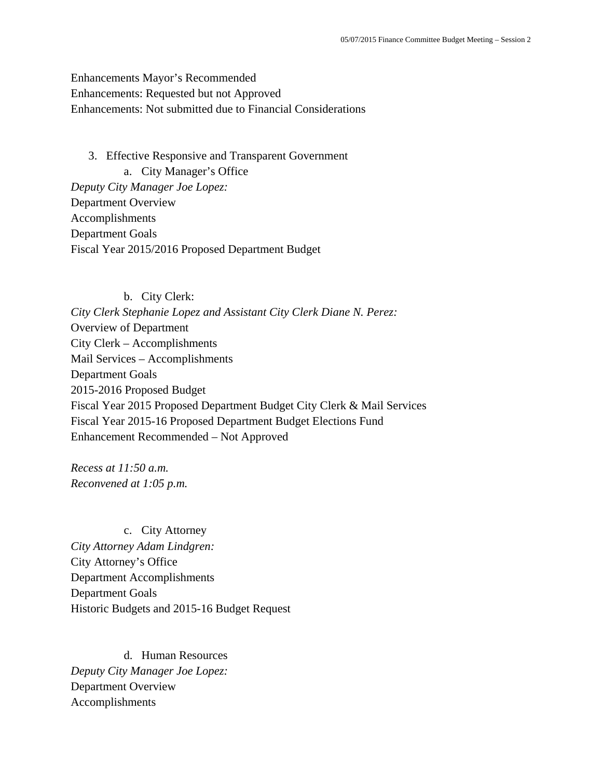### Enhancements Mayor's Recommended Enhancements: Requested but not Approved Enhancements: Not submitted due to Financial Considerations

3. Effective Responsive and Transparent Government a. City Manager's Office *Deputy City Manager Joe Lopez:*  Department Overview Accomplishments Department Goals Fiscal Year 2015/2016 Proposed Department Budget

#### b. City Clerk:

*City Clerk Stephanie Lopez and Assistant City Clerk Diane N. Perez:*  Overview of Department City Clerk – Accomplishments Mail Services – Accomplishments Department Goals 2015-2016 Proposed Budget Fiscal Year 2015 Proposed Department Budget City Clerk & Mail Services Fiscal Year 2015-16 Proposed Department Budget Elections Fund Enhancement Recommended – Not Approved

*Recess at 11:50 a.m. Reconvened at 1:05 p.m.* 

c. City Attorney *City Attorney Adam Lindgren:*  City Attorney's Office Department Accomplishments Department Goals Historic Budgets and 2015-16 Budget Request

d. Human Resources *Deputy City Manager Joe Lopez:*  Department Overview Accomplishments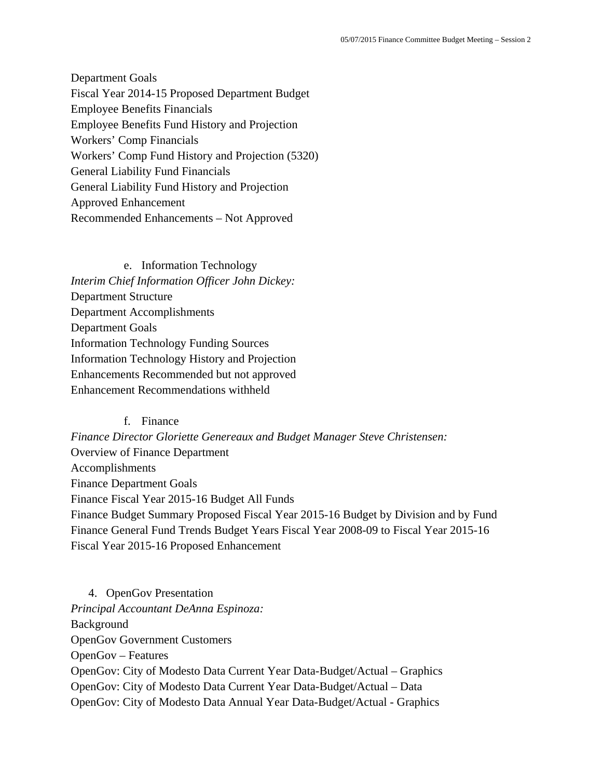Department Goals Fiscal Year 2014-15 Proposed Department Budget Employee Benefits Financials Employee Benefits Fund History and Projection Workers' Comp Financials Workers' Comp Fund History and Projection (5320) General Liability Fund Financials General Liability Fund History and Projection Approved Enhancement Recommended Enhancements – Not Approved

e. Information Technology *Interim Chief Information Officer John Dickey:*  Department Structure Department Accomplishments Department Goals Information Technology Funding Sources Information Technology History and Projection Enhancements Recommended but not approved Enhancement Recommendations withheld

#### f. Finance

*Finance Director Gloriette Genereaux and Budget Manager Steve Christensen:*  Overview of Finance Department Accomplishments Finance Department Goals Finance Fiscal Year 2015-16 Budget All Funds Finance Budget Summary Proposed Fiscal Year 2015-16 Budget by Division and by Fund Finance General Fund Trends Budget Years Fiscal Year 2008-09 to Fiscal Year 2015-16 Fiscal Year 2015-16 Proposed Enhancement

4. OpenGov Presentation *Principal Accountant DeAnna Espinoza:*  Background OpenGov Government Customers OpenGov – Features OpenGov: City of Modesto Data Current Year Data-Budget/Actual – Graphics OpenGov: City of Modesto Data Current Year Data-Budget/Actual – Data OpenGov: City of Modesto Data Annual Year Data-Budget/Actual - Graphics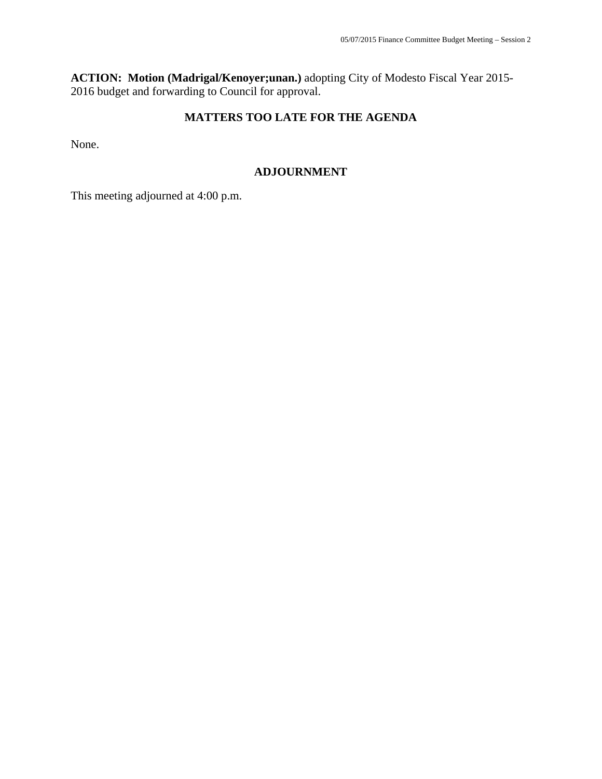**ACTION: Motion (Madrigal/Kenoyer;unan.)** adopting City of Modesto Fiscal Year 2015- 2016 budget and forwarding to Council for approval.

### **MATTERS TOO LATE FOR THE AGENDA**

None.

#### **ADJOURNMENT**

This meeting adjourned at 4:00 p.m.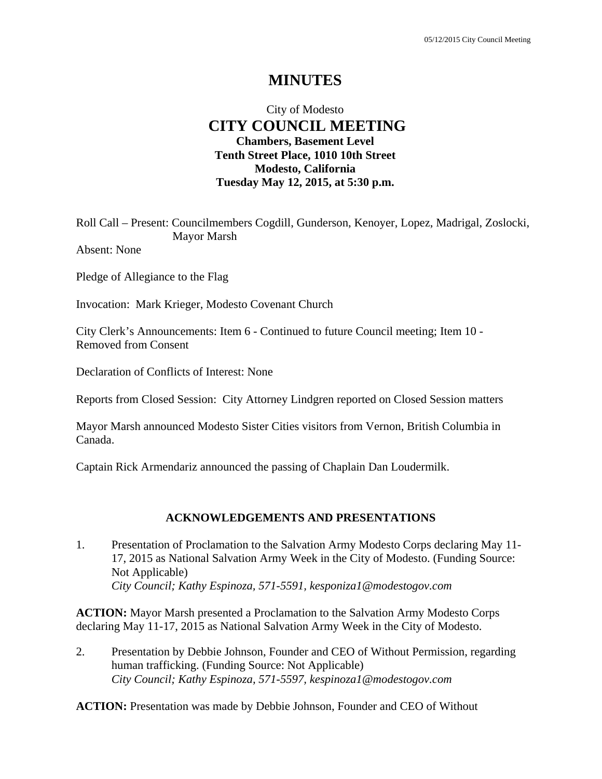# **MINUTES**

### City of Modesto  **CITY COUNCIL MEETING Chambers, Basement Level Tenth Street Place, 1010 10th Street Modesto, California Tuesday May 12, 2015, at 5:30 p.m.**

Roll Call – Present: Councilmembers Cogdill, Gunderson, Kenoyer, Lopez, Madrigal, Zoslocki, Mayor Marsh

Absent: None

Pledge of Allegiance to the Flag

Invocation: Mark Krieger, Modesto Covenant Church

City Clerk's Announcements: Item 6 - Continued to future Council meeting; Item 10 - Removed from Consent

Declaration of Conflicts of Interest: None

Reports from Closed Session: City Attorney Lindgren reported on Closed Session matters

Mayor Marsh announced Modesto Sister Cities visitors from Vernon, British Columbia in Canada.

Captain Rick Armendariz announced the passing of Chaplain Dan Loudermilk.

#### **ACKNOWLEDGEMENTS AND PRESENTATIONS**

1. Presentation of Proclamation to the Salvation Army Modesto Corps declaring May 11- 17, 2015 as National Salvation Army Week in the City of Modesto. (Funding Source: Not Applicable)  *City Council; Kathy Espinoza, 571-5591, kesponiza1@modestogov.com* 

**ACTION:** Mayor Marsh presented a Proclamation to the Salvation Army Modesto Corps declaring May 11-17, 2015 as National Salvation Army Week in the City of Modesto.

2. Presentation by Debbie Johnson, Founder and CEO of Without Permission, regarding human trafficking. (Funding Source: Not Applicable)  *City Council; Kathy Espinoza, 571-5597, kespinoza1@modestogov.com* 

**ACTION:** Presentation was made by Debbie Johnson, Founder and CEO of Without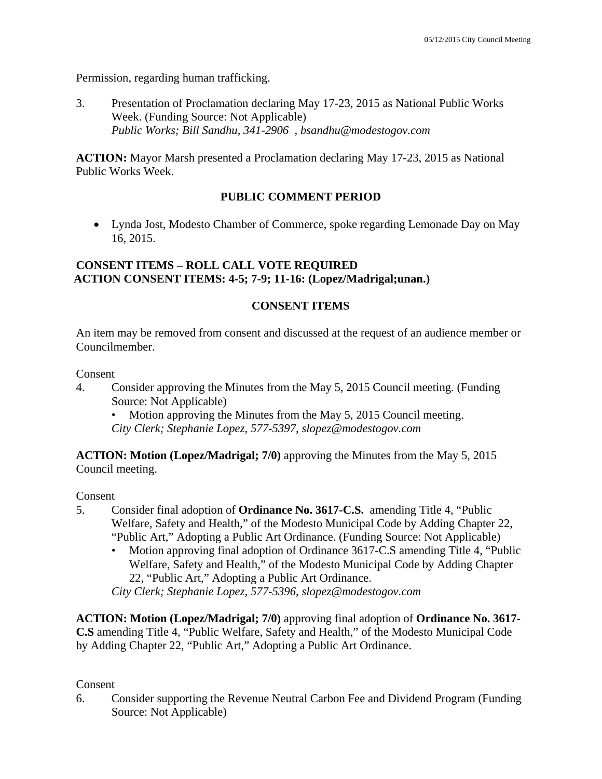Permission, regarding human trafficking.

3. Presentation of Proclamation declaring May 17-23, 2015 as National Public Works Week. (Funding Source: Not Applicable)  *Public Works; Bill Sandhu, 341-2906 , bsandhu@modestogov.com* 

**ACTION:** Mayor Marsh presented a Proclamation declaring May 17-23, 2015 as National Public Works Week.

### **PUBLIC COMMENT PERIOD**

 Lynda Jost, Modesto Chamber of Commerce, spoke regarding Lemonade Day on May 16, 2015.

### **CONSENT ITEMS – ROLL CALL VOTE REQUIRED ACTION CONSENT ITEMS: 4-5; 7-9; 11-16: (Lopez/Madrigal;unan.)**

### **CONSENT ITEMS**

An item may be removed from consent and discussed at the request of an audience member or Councilmember.

Consent

4. Consider approving the Minutes from the May 5, 2015 Council meeting. (Funding Source: Not Applicable)

Motion approving the Minutes from the May 5, 2015 Council meeting. *City Clerk; Stephanie Lopez, 577-5397, slopez@modestogov.com* 

**ACTION: Motion (Lopez/Madrigal; 7/0)** approving the Minutes from the May 5, 2015 Council meeting.

Consent

- 5. Consider final adoption of **Ordinance No. 3617-C.S.** amending Title 4, "Public Welfare, Safety and Health," of the Modesto Municipal Code by Adding Chapter 22, "Public Art," Adopting a Public Art Ordinance. (Funding Source: Not Applicable)
	- Motion approving final adoption of Ordinance 3617-C.S amending Title 4, "Public Welfare, Safety and Health," of the Modesto Municipal Code by Adding Chapter 22, "Public Art," Adopting a Public Art Ordinance.

*City Clerk; Stephanie Lopez, 577-5396, slopez@modestogov.com* 

**ACTION: Motion (Lopez/Madrigal; 7/0)** approving final adoption of **Ordinance No. 3617- C.S** amending Title 4, "Public Welfare, Safety and Health," of the Modesto Municipal Code by Adding Chapter 22, "Public Art," Adopting a Public Art Ordinance.

### Consent

6. Consider supporting the Revenue Neutral Carbon Fee and Dividend Program (Funding Source: Not Applicable)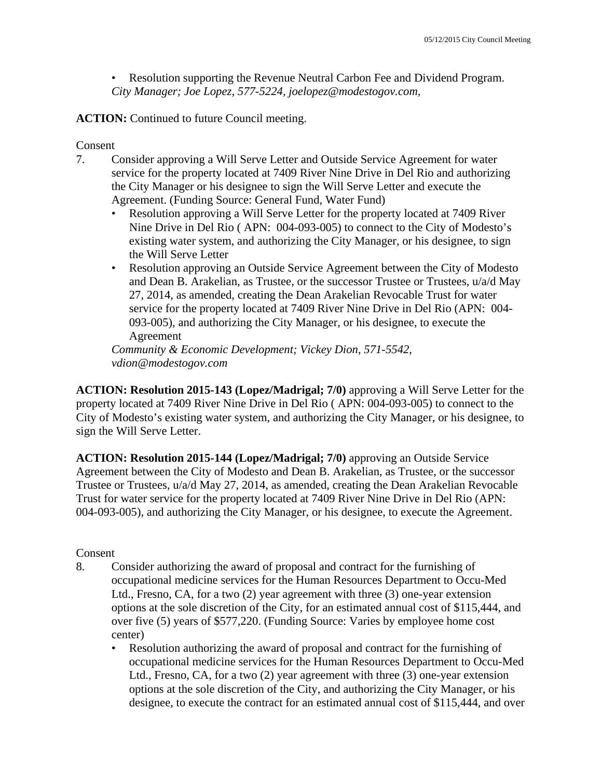• Resolution supporting the Revenue Neutral Carbon Fee and Dividend Program. *City Manager; Joe Lopez, 577-5224, joelopez@modestogov.com,* 

**ACTION:** Continued to future Council meeting.

#### Consent

- 7. Consider approving a Will Serve Letter and Outside Service Agreement for water service for the property located at 7409 River Nine Drive in Del Rio and authorizing the City Manager or his designee to sign the Will Serve Letter and execute the Agreement. (Funding Source: General Fund, Water Fund)
	- Resolution approving a Will Serve Letter for the property located at 7409 River Nine Drive in Del Rio ( APN: 004-093-005) to connect to the City of Modesto's existing water system, and authorizing the City Manager, or his designee, to sign the Will Serve Letter
	- Resolution approving an Outside Service Agreement between the City of Modesto and Dean B. Arakelian, as Trustee, or the successor Trustee or Trustees, u/a/d May 27, 2014, as amended, creating the Dean Arakelian Revocable Trust for water service for the property located at 7409 River Nine Drive in Del Rio (APN: 004- 093-005), and authorizing the City Manager, or his designee, to execute the Agreement

*Community & Economic Development; Vickey Dion, 571-5542, vdion@modestogov.com* 

**ACTION: Resolution 2015-143 (Lopez/Madrigal; 7/0)** approving a Will Serve Letter for the property located at 7409 River Nine Drive in Del Rio ( APN: 004-093-005) to connect to the City of Modesto's existing water system, and authorizing the City Manager, or his designee, to sign the Will Serve Letter.

**ACTION: Resolution 2015-144 (Lopez/Madrigal; 7/0)** approving an Outside Service Agreement between the City of Modesto and Dean B. Arakelian, as Trustee, or the successor Trustee or Trustees, u/a/d May 27, 2014, as amended, creating the Dean Arakelian Revocable Trust for water service for the property located at 7409 River Nine Drive in Del Rio (APN: 004-093-005), and authorizing the City Manager, or his designee, to execute the Agreement.

#### Consent

- 8. Consider authorizing the award of proposal and contract for the furnishing of occupational medicine services for the Human Resources Department to Occu-Med Ltd., Fresno, CA, for a two (2) year agreement with three (3) one-year extension options at the sole discretion of the City, for an estimated annual cost of \$115,444, and over five (5) years of \$577,220. (Funding Source: Varies by employee home cost center)
	- Resolution authorizing the award of proposal and contract for the furnishing of occupational medicine services for the Human Resources Department to Occu-Med Ltd., Fresno, CA, for a two (2) year agreement with three (3) one-year extension options at the sole discretion of the City, and authorizing the City Manager, or his designee, to execute the contract for an estimated annual cost of \$115,444, and over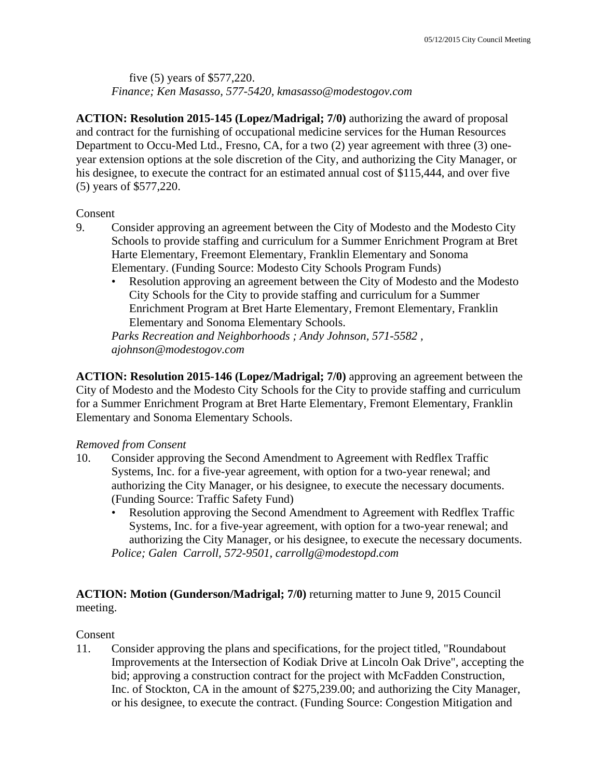### five (5) years of \$577,220. *Finance; Ken Masasso, 577-5420, kmasasso@modestogov.com*

**ACTION: Resolution 2015-145 (Lopez/Madrigal; 7/0)** authorizing the award of proposal and contract for the furnishing of occupational medicine services for the Human Resources Department to Occu-Med Ltd., Fresno, CA, for a two (2) year agreement with three (3) oneyear extension options at the sole discretion of the City, and authorizing the City Manager, or his designee, to execute the contract for an estimated annual cost of \$115,444, and over five (5) years of \$577,220.

### Consent

- 9. Consider approving an agreement between the City of Modesto and the Modesto City Schools to provide staffing and curriculum for a Summer Enrichment Program at Bret Harte Elementary, Freemont Elementary, Franklin Elementary and Sonoma Elementary. (Funding Source: Modesto City Schools Program Funds)
	- Resolution approving an agreement between the City of Modesto and the Modesto City Schools for the City to provide staffing and curriculum for a Summer Enrichment Program at Bret Harte Elementary, Fremont Elementary, Franklin Elementary and Sonoma Elementary Schools.

*Parks Recreation and Neighborhoods ; Andy Johnson, 571-5582 , ajohnson@modestogov.com* 

**ACTION: Resolution 2015-146 (Lopez/Madrigal; 7/0)** approving an agreement between the City of Modesto and the Modesto City Schools for the City to provide staffing and curriculum for a Summer Enrichment Program at Bret Harte Elementary, Fremont Elementary, Franklin Elementary and Sonoma Elementary Schools.

### *Removed from Consent*

- 10. Consider approving the Second Amendment to Agreement with Redflex Traffic Systems, Inc. for a five-year agreement, with option for a two-year renewal; and authorizing the City Manager, or his designee, to execute the necessary documents. (Funding Source: Traffic Safety Fund)
	- Resolution approving the Second Amendment to Agreement with Redflex Traffic Systems, Inc. for a five-year agreement, with option for a two-year renewal; and authorizing the City Manager, or his designee, to execute the necessary documents. *Police; Galen Carroll, 572-9501, carrollg@modestopd.com*

### **ACTION: Motion (Gunderson/Madrigal; 7/0)** returning matter to June 9, 2015 Council meeting.

#### Consent

11. Consider approving the plans and specifications, for the project titled, "Roundabout Improvements at the Intersection of Kodiak Drive at Lincoln Oak Drive", accepting the bid; approving a construction contract for the project with McFadden Construction, Inc. of Stockton, CA in the amount of \$275,239.00; and authorizing the City Manager, or his designee, to execute the contract. (Funding Source: Congestion Mitigation and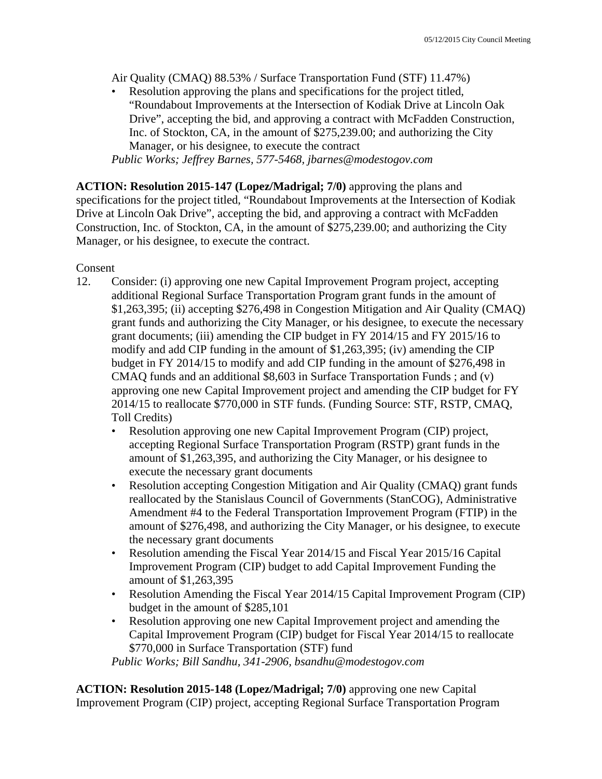Air Quality (CMAQ) 88.53% / Surface Transportation Fund (STF) 11.47%)

Resolution approving the plans and specifications for the project titled, "Roundabout Improvements at the Intersection of Kodiak Drive at Lincoln Oak Drive", accepting the bid, and approving a contract with McFadden Construction, Inc. of Stockton, CA, in the amount of \$275,239.00; and authorizing the City Manager, or his designee, to execute the contract

*Public Works; Jeffrey Barnes, 577-5468, jbarnes@modestogov.com* 

**ACTION: Resolution 2015-147 (Lopez/Madrigal; 7/0)** approving the plans and specifications for the project titled, "Roundabout Improvements at the Intersection of Kodiak Drive at Lincoln Oak Drive", accepting the bid, and approving a contract with McFadden Construction, Inc. of Stockton, CA, in the amount of \$275,239.00; and authorizing the City Manager, or his designee, to execute the contract.

Consent

- 12. Consider: (i) approving one new Capital Improvement Program project, accepting additional Regional Surface Transportation Program grant funds in the amount of \$1,263,395; (ii) accepting \$276,498 in Congestion Mitigation and Air Quality (CMAQ) grant funds and authorizing the City Manager, or his designee, to execute the necessary grant documents; (iii) amending the CIP budget in FY 2014/15 and FY 2015/16 to modify and add CIP funding in the amount of \$1,263,395; (iv) amending the CIP budget in FY 2014/15 to modify and add CIP funding in the amount of \$276,498 in CMAQ funds and an additional \$8,603 in Surface Transportation Funds ; and (v) approving one new Capital Improvement project and amending the CIP budget for FY 2014/15 to reallocate \$770,000 in STF funds. (Funding Source: STF, RSTP, CMAQ, Toll Credits)
	- Resolution approving one new Capital Improvement Program (CIP) project, accepting Regional Surface Transportation Program (RSTP) grant funds in the amount of \$1,263,395, and authorizing the City Manager, or his designee to execute the necessary grant documents
	- Resolution accepting Congestion Mitigation and Air Quality (CMAQ) grant funds reallocated by the Stanislaus Council of Governments (StanCOG), Administrative Amendment #4 to the Federal Transportation Improvement Program (FTIP) in the amount of \$276,498, and authorizing the City Manager, or his designee, to execute the necessary grant documents
	- Resolution amending the Fiscal Year 2014/15 and Fiscal Year 2015/16 Capital Improvement Program (CIP) budget to add Capital Improvement Funding the amount of \$1,263,395
	- Resolution Amending the Fiscal Year 2014/15 Capital Improvement Program (CIP) budget in the amount of \$285,101
	- Resolution approving one new Capital Improvement project and amending the Capital Improvement Program (CIP) budget for Fiscal Year 2014/15 to reallocate \$770,000 in Surface Transportation (STF) fund

*Public Works; Bill Sandhu, 341-2906, bsandhu@modestogov.com* 

**ACTION: Resolution 2015-148 (Lopez/Madrigal; 7/0)** approving one new Capital Improvement Program (CIP) project, accepting Regional Surface Transportation Program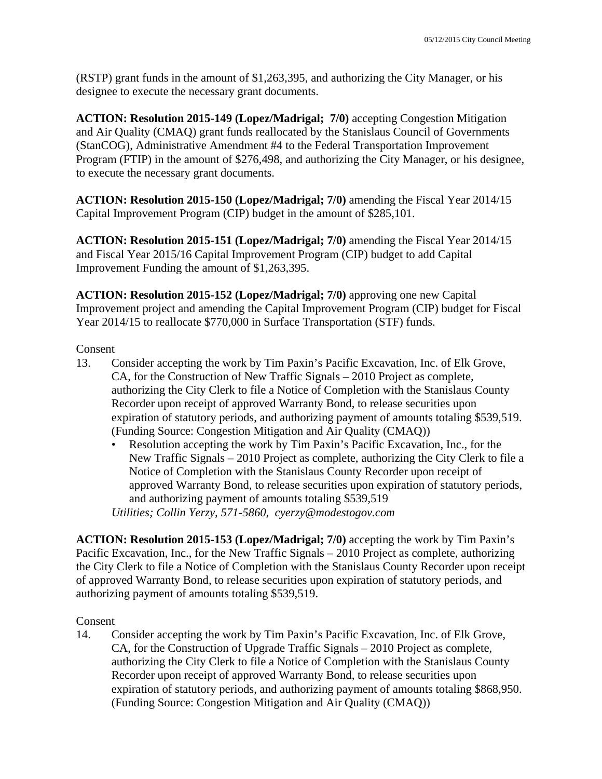(RSTP) grant funds in the amount of \$1,263,395, and authorizing the City Manager, or his designee to execute the necessary grant documents.

**ACTION: Resolution 2015-149 (Lopez/Madrigal; 7/0)** accepting Congestion Mitigation and Air Quality (CMAQ) grant funds reallocated by the Stanislaus Council of Governments (StanCOG), Administrative Amendment #4 to the Federal Transportation Improvement Program (FTIP) in the amount of \$276,498, and authorizing the City Manager, or his designee, to execute the necessary grant documents.

**ACTION: Resolution 2015-150 (Lopez/Madrigal; 7/0)** amending the Fiscal Year 2014/15 Capital Improvement Program (CIP) budget in the amount of \$285,101.

**ACTION: Resolution 2015-151 (Lopez/Madrigal; 7/0)** amending the Fiscal Year 2014/15 and Fiscal Year 2015/16 Capital Improvement Program (CIP) budget to add Capital Improvement Funding the amount of \$1,263,395.

**ACTION: Resolution 2015-152 (Lopez/Madrigal; 7/0)** approving one new Capital Improvement project and amending the Capital Improvement Program (CIP) budget for Fiscal Year 2014/15 to reallocate \$770,000 in Surface Transportation (STF) funds.

#### Consent

- 13. Consider accepting the work by Tim Paxin's Pacific Excavation, Inc. of Elk Grove, CA, for the Construction of New Traffic Signals – 2010 Project as complete, authorizing the City Clerk to file a Notice of Completion with the Stanislaus County Recorder upon receipt of approved Warranty Bond, to release securities upon expiration of statutory periods, and authorizing payment of amounts totaling \$539,519. (Funding Source: Congestion Mitigation and Air Quality (CMAQ))
	- Resolution accepting the work by Tim Paxin's Pacific Excavation, Inc., for the New Traffic Signals – 2010 Project as complete, authorizing the City Clerk to file a Notice of Completion with the Stanislaus County Recorder upon receipt of approved Warranty Bond, to release securities upon expiration of statutory periods, and authorizing payment of amounts totaling \$539,519

*Utilities; Collin Yerzy, 571-5860, cyerzy@modestogov.com* 

**ACTION: Resolution 2015-153 (Lopez/Madrigal; 7/0)** accepting the work by Tim Paxin's Pacific Excavation, Inc., for the New Traffic Signals – 2010 Project as complete, authorizing the City Clerk to file a Notice of Completion with the Stanislaus County Recorder upon receipt of approved Warranty Bond, to release securities upon expiration of statutory periods, and authorizing payment of amounts totaling \$539,519.

#### Consent

14. Consider accepting the work by Tim Paxin's Pacific Excavation, Inc. of Elk Grove, CA, for the Construction of Upgrade Traffic Signals – 2010 Project as complete, authorizing the City Clerk to file a Notice of Completion with the Stanislaus County Recorder upon receipt of approved Warranty Bond, to release securities upon expiration of statutory periods, and authorizing payment of amounts totaling \$868,950. (Funding Source: Congestion Mitigation and Air Quality (CMAQ))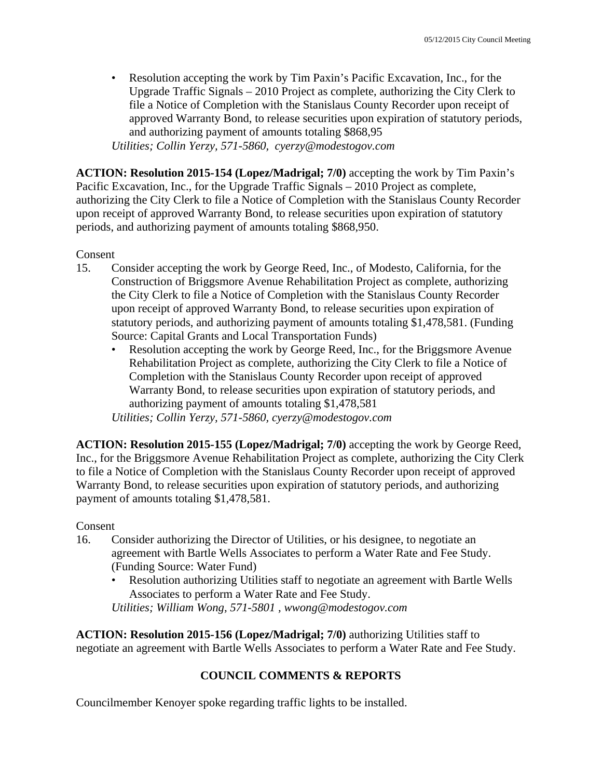• Resolution accepting the work by Tim Paxin's Pacific Excavation, Inc., for the Upgrade Traffic Signals – 2010 Project as complete, authorizing the City Clerk to file a Notice of Completion with the Stanislaus County Recorder upon receipt of approved Warranty Bond, to release securities upon expiration of statutory periods, and authorizing payment of amounts totaling \$868,95

*Utilities; Collin Yerzy, 571-5860, cyerzy@modestogov.com* 

**ACTION: Resolution 2015-154 (Lopez/Madrigal; 7/0)** accepting the work by Tim Paxin's Pacific Excavation, Inc., for the Upgrade Traffic Signals – 2010 Project as complete, authorizing the City Clerk to file a Notice of Completion with the Stanislaus County Recorder upon receipt of approved Warranty Bond, to release securities upon expiration of statutory periods, and authorizing payment of amounts totaling \$868,950.

#### Consent

- 15. Consider accepting the work by George Reed, Inc., of Modesto, California, for the Construction of Briggsmore Avenue Rehabilitation Project as complete, authorizing the City Clerk to file a Notice of Completion with the Stanislaus County Recorder upon receipt of approved Warranty Bond, to release securities upon expiration of statutory periods, and authorizing payment of amounts totaling \$1,478,581. (Funding Source: Capital Grants and Local Transportation Funds)
	- Resolution accepting the work by George Reed, Inc., for the Briggsmore Avenue Rehabilitation Project as complete, authorizing the City Clerk to file a Notice of Completion with the Stanislaus County Recorder upon receipt of approved Warranty Bond, to release securities upon expiration of statutory periods, and authorizing payment of amounts totaling \$1,478,581

*Utilities; Collin Yerzy, 571-5860, cyerzy@modestogov.com* 

**ACTION: Resolution 2015-155 (Lopez/Madrigal; 7/0)** accepting the work by George Reed, Inc., for the Briggsmore Avenue Rehabilitation Project as complete, authorizing the City Clerk to file a Notice of Completion with the Stanislaus County Recorder upon receipt of approved Warranty Bond, to release securities upon expiration of statutory periods, and authorizing payment of amounts totaling \$1,478,581.

#### Consent

- 16. Consider authorizing the Director of Utilities, or his designee, to negotiate an agreement with Bartle Wells Associates to perform a Water Rate and Fee Study. (Funding Source: Water Fund)
	- Resolution authorizing Utilities staff to negotiate an agreement with Bartle Wells Associates to perform a Water Rate and Fee Study. *Utilities; William Wong, 571-5801 , wwong@modestogov.com*

**ACTION: Resolution 2015-156 (Lopez/Madrigal; 7/0)** authorizing Utilities staff to negotiate an agreement with Bartle Wells Associates to perform a Water Rate and Fee Study.

### **COUNCIL COMMENTS & REPORTS**

Councilmember Kenoyer spoke regarding traffic lights to be installed.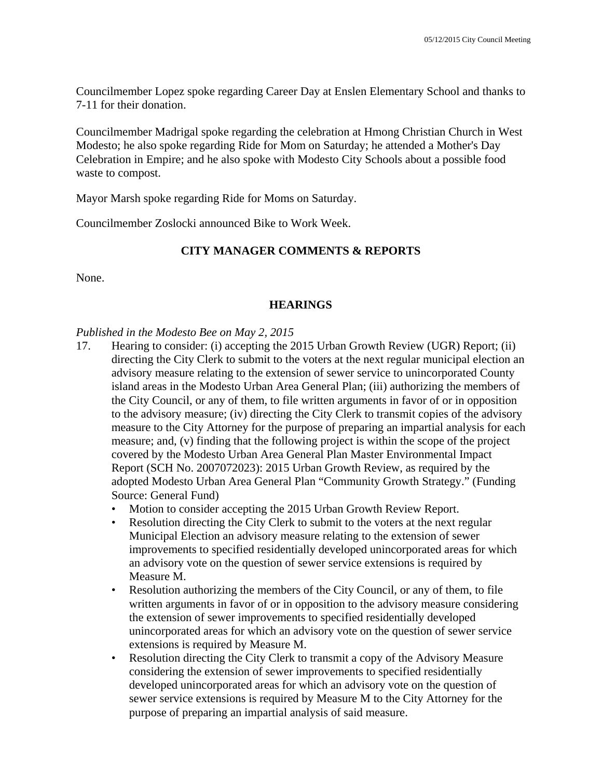Councilmember Lopez spoke regarding Career Day at Enslen Elementary School and thanks to 7-11 for their donation.

Councilmember Madrigal spoke regarding the celebration at Hmong Christian Church in West Modesto; he also spoke regarding Ride for Mom on Saturday; he attended a Mother's Day Celebration in Empire; and he also spoke with Modesto City Schools about a possible food waste to compost.

Mayor Marsh spoke regarding Ride for Moms on Saturday.

Councilmember Zoslocki announced Bike to Work Week.

#### **CITY MANAGER COMMENTS & REPORTS**

None.

#### **HEARINGS**

#### *Published in the Modesto Bee on May 2, 2015*

- 17. Hearing to consider: (i) accepting the 2015 Urban Growth Review (UGR) Report; (ii) directing the City Clerk to submit to the voters at the next regular municipal election an advisory measure relating to the extension of sewer service to unincorporated County island areas in the Modesto Urban Area General Plan; (iii) authorizing the members of the City Council, or any of them, to file written arguments in favor of or in opposition to the advisory measure; (iv) directing the City Clerk to transmit copies of the advisory measure to the City Attorney for the purpose of preparing an impartial analysis for each measure; and, (v) finding that the following project is within the scope of the project covered by the Modesto Urban Area General Plan Master Environmental Impact Report (SCH No. 2007072023): 2015 Urban Growth Review, as required by the adopted Modesto Urban Area General Plan "Community Growth Strategy." (Funding Source: General Fund)
	- Motion to consider accepting the 2015 Urban Growth Review Report.
	- Resolution directing the City Clerk to submit to the voters at the next regular Municipal Election an advisory measure relating to the extension of sewer improvements to specified residentially developed unincorporated areas for which an advisory vote on the question of sewer service extensions is required by Measure M.
	- Resolution authorizing the members of the City Council, or any of them, to file written arguments in favor of or in opposition to the advisory measure considering the extension of sewer improvements to specified residentially developed unincorporated areas for which an advisory vote on the question of sewer service extensions is required by Measure M.
	- Resolution directing the City Clerk to transmit a copy of the Advisory Measure considering the extension of sewer improvements to specified residentially developed unincorporated areas for which an advisory vote on the question of sewer service extensions is required by Measure M to the City Attorney for the purpose of preparing an impartial analysis of said measure.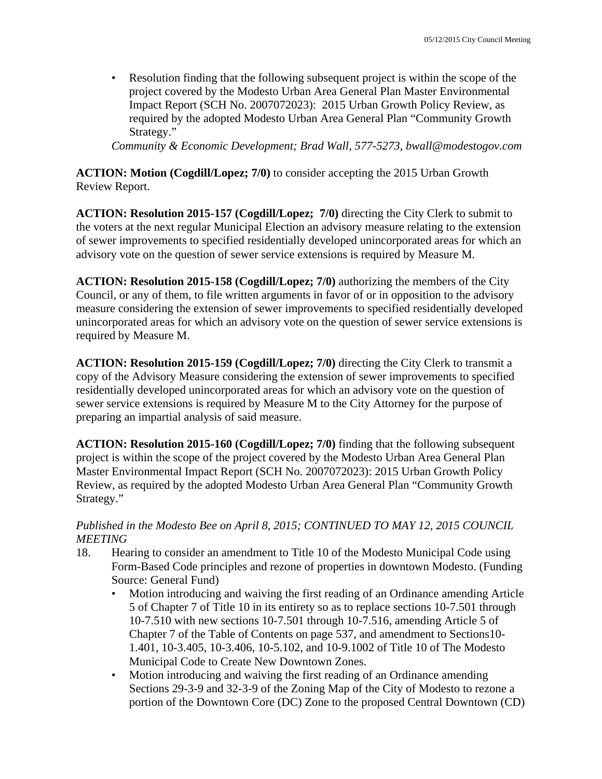• Resolution finding that the following subsequent project is within the scope of the project covered by the Modesto Urban Area General Plan Master Environmental Impact Report (SCH No. 2007072023): 2015 Urban Growth Policy Review, as required by the adopted Modesto Urban Area General Plan "Community Growth Strategy."

*Community & Economic Development; Brad Wall, 577-5273, bwall@modestogov.com* 

**ACTION: Motion (Cogdill/Lopez; 7/0)** to consider accepting the 2015 Urban Growth Review Report.

**ACTION: Resolution 2015-157 (Cogdill/Lopez; 7/0)** directing the City Clerk to submit to the voters at the next regular Municipal Election an advisory measure relating to the extension of sewer improvements to specified residentially developed unincorporated areas for which an advisory vote on the question of sewer service extensions is required by Measure M.

**ACTION: Resolution 2015-158 (Cogdill/Lopez; 7/0)** authorizing the members of the City Council, or any of them, to file written arguments in favor of or in opposition to the advisory measure considering the extension of sewer improvements to specified residentially developed unincorporated areas for which an advisory vote on the question of sewer service extensions is required by Measure M.

**ACTION: Resolution 2015-159 (Cogdill/Lopez; 7/0)** directing the City Clerk to transmit a copy of the Advisory Measure considering the extension of sewer improvements to specified residentially developed unincorporated areas for which an advisory vote on the question of sewer service extensions is required by Measure M to the City Attorney for the purpose of preparing an impartial analysis of said measure.

**ACTION: Resolution 2015-160 (Cogdill/Lopez; 7/0)** finding that the following subsequent project is within the scope of the project covered by the Modesto Urban Area General Plan Master Environmental Impact Report (SCH No. 2007072023): 2015 Urban Growth Policy Review, as required by the adopted Modesto Urban Area General Plan "Community Growth Strategy."

#### *Published in the Modesto Bee on April 8, 2015; CONTINUED TO MAY 12, 2015 COUNCIL MEETING*

- 18. Hearing to consider an amendment to Title 10 of the Modesto Municipal Code using Form-Based Code principles and rezone of properties in downtown Modesto. (Funding Source: General Fund)
	- Motion introducing and waiving the first reading of an Ordinance amending Article 5 of Chapter 7 of Title 10 in its entirety so as to replace sections 10-7.501 through 10-7.510 with new sections 10-7.501 through 10-7.516, amending Article 5 of Chapter 7 of the Table of Contents on page 537, and amendment to Sections10- 1.401, 10-3.405, 10-3.406, 10-5.102, and 10-9.1002 of Title 10 of The Modesto Municipal Code to Create New Downtown Zones.
	- Motion introducing and waiving the first reading of an Ordinance amending Sections 29-3-9 and 32-3-9 of the Zoning Map of the City of Modesto to rezone a portion of the Downtown Core (DC) Zone to the proposed Central Downtown (CD)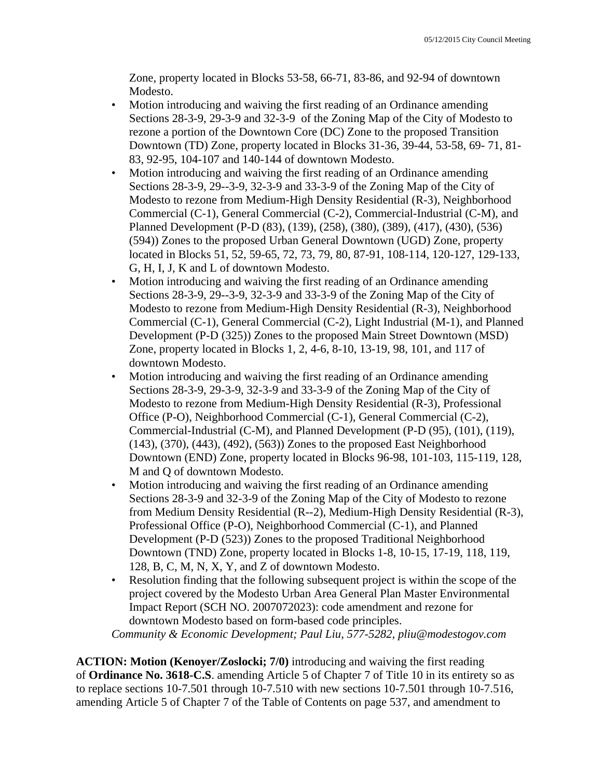Zone, property located in Blocks 53-58, 66-71, 83-86, and 92-94 of downtown Modesto.

- Motion introducing and waiving the first reading of an Ordinance amending Sections 28-3-9, 29-3-9 and 32-3-9 of the Zoning Map of the City of Modesto to rezone a portion of the Downtown Core (DC) Zone to the proposed Transition Downtown (TD) Zone, property located in Blocks 31-36, 39-44, 53-58, 69- 71, 81- 83, 92-95, 104-107 and 140-144 of downtown Modesto.
- Motion introducing and waiving the first reading of an Ordinance amending Sections 28-3-9, 29--3-9, 32-3-9 and 33-3-9 of the Zoning Map of the City of Modesto to rezone from Medium-High Density Residential (R-3), Neighborhood Commercial (C-1), General Commercial (C-2), Commercial-Industrial (C-M), and Planned Development (P-D (83), (139), (258), (380), (389), (417), (430), (536) (594)) Zones to the proposed Urban General Downtown (UGD) Zone, property located in Blocks 51, 52, 59-65, 72, 73, 79, 80, 87-91, 108-114, 120-127, 129-133, G, H, I, J, K and L of downtown Modesto.
- Motion introducing and waiving the first reading of an Ordinance amending Sections 28-3-9, 29--3-9, 32-3-9 and 33-3-9 of the Zoning Map of the City of Modesto to rezone from Medium-High Density Residential (R-3), Neighborhood Commercial (C-1), General Commercial (C-2), Light Industrial (M-1), and Planned Development (P-D (325)) Zones to the proposed Main Street Downtown (MSD) Zone, property located in Blocks 1, 2, 4-6, 8-10, 13-19, 98, 101, and 117 of downtown Modesto.
- Motion introducing and waiving the first reading of an Ordinance amending Sections 28-3-9, 29-3-9, 32-3-9 and 33-3-9 of the Zoning Map of the City of Modesto to rezone from Medium-High Density Residential (R-3), Professional Office (P-O), Neighborhood Commercial (C-1), General Commercial (C-2), Commercial-Industrial (C-M), and Planned Development (P-D (95), (101), (119), (143), (370), (443), (492), (563)) Zones to the proposed East Neighborhood Downtown (END) Zone, property located in Blocks 96-98, 101-103, 115-119, 128, M and Q of downtown Modesto.
- Motion introducing and waiving the first reading of an Ordinance amending Sections 28-3-9 and 32-3-9 of the Zoning Map of the City of Modesto to rezone from Medium Density Residential (R--2), Medium-High Density Residential (R-3), Professional Office (P-O), Neighborhood Commercial (C-1), and Planned Development (P-D (523)) Zones to the proposed Traditional Neighborhood Downtown (TND) Zone, property located in Blocks 1-8, 10-15, 17-19, 118, 119, 128, B, C, M, N, X, Y, and Z of downtown Modesto.
- Resolution finding that the following subsequent project is within the scope of the project covered by the Modesto Urban Area General Plan Master Environmental Impact Report (SCH NO. 2007072023): code amendment and rezone for downtown Modesto based on form-based code principles.

*Community & Economic Development; Paul Liu, 577-5282, pliu@modestogov.com* 

**ACTION: Motion (Kenoyer/Zoslocki; 7/0)** introducing and waiving the first reading of **Ordinance No. 3618-C.S**. amending Article 5 of Chapter 7 of Title 10 in its entirety so as to replace sections 10-7.501 through 10-7.510 with new sections 10-7.501 through 10-7.516, amending Article 5 of Chapter 7 of the Table of Contents on page 537, and amendment to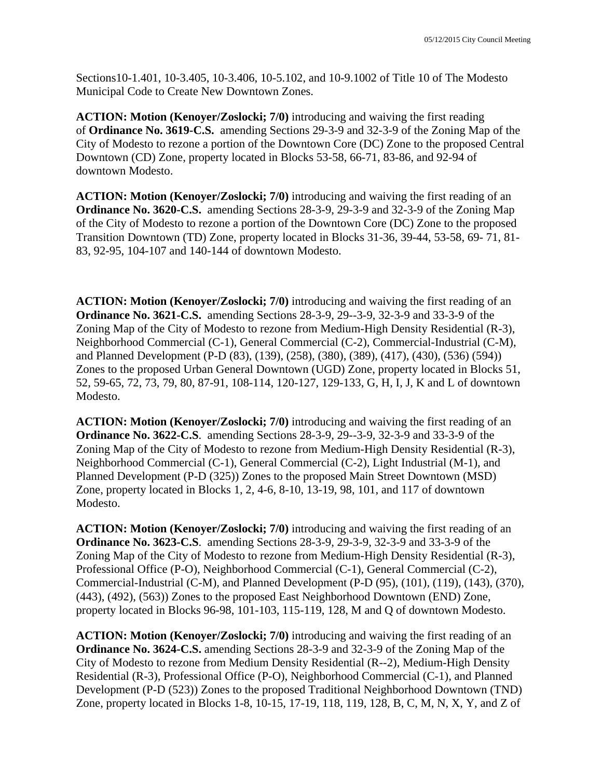Sections10-1.401, 10-3.405, 10-3.406, 10-5.102, and 10-9.1002 of Title 10 of The Modesto Municipal Code to Create New Downtown Zones.

**ACTION: Motion (Kenoyer/Zoslocki; 7/0)** introducing and waiving the first reading of **Ordinance No. 3619-C.S.** amending Sections 29-3-9 and 32-3-9 of the Zoning Map of the City of Modesto to rezone a portion of the Downtown Core (DC) Zone to the proposed Central Downtown (CD) Zone, property located in Blocks 53-58, 66-71, 83-86, and 92-94 of downtown Modesto.

**ACTION: Motion (Kenoyer/Zoslocki; 7/0)** introducing and waiving the first reading of an **Ordinance No. 3620-C.S.** amending Sections 28-3-9, 29-3-9 and 32-3-9 of the Zoning Map of the City of Modesto to rezone a portion of the Downtown Core (DC) Zone to the proposed Transition Downtown (TD) Zone, property located in Blocks 31-36, 39-44, 53-58, 69- 71, 81- 83, 92-95, 104-107 and 140-144 of downtown Modesto.

**ACTION: Motion (Kenoyer/Zoslocki; 7/0)** introducing and waiving the first reading of an **Ordinance No. 3621-C.S.** amending Sections 28-3-9, 29--3-9, 32-3-9 and 33-3-9 of the Zoning Map of the City of Modesto to rezone from Medium-High Density Residential (R-3), Neighborhood Commercial (C-1), General Commercial (C-2), Commercial-Industrial (C-M), and Planned Development (P-D (83), (139), (258), (380), (389), (417), (430), (536) (594)) Zones to the proposed Urban General Downtown (UGD) Zone, property located in Blocks 51, 52, 59-65, 72, 73, 79, 80, 87-91, 108-114, 120-127, 129-133, G, H, I, J, K and L of downtown Modesto.

**ACTION: Motion (Kenoyer/Zoslocki; 7/0)** introducing and waiving the first reading of an **Ordinance No. 3622-C.S**. amending Sections 28-3-9, 29--3-9, 32-3-9 and 33-3-9 of the Zoning Map of the City of Modesto to rezone from Medium-High Density Residential (R-3), Neighborhood Commercial (C-1), General Commercial (C-2), Light Industrial (M-1), and Planned Development (P-D (325)) Zones to the proposed Main Street Downtown (MSD) Zone, property located in Blocks 1, 2, 4-6, 8-10, 13-19, 98, 101, and 117 of downtown Modesto.

**ACTION: Motion (Kenoyer/Zoslocki; 7/0)** introducing and waiving the first reading of an **Ordinance No. 3623-C.S**. amending Sections 28-3-9, 29-3-9, 32-3-9 and 33-3-9 of the Zoning Map of the City of Modesto to rezone from Medium-High Density Residential (R-3), Professional Office (P-O), Neighborhood Commercial (C-1), General Commercial (C-2), Commercial-Industrial (C-M), and Planned Development (P-D (95), (101), (119), (143), (370), (443), (492), (563)) Zones to the proposed East Neighborhood Downtown (END) Zone, property located in Blocks 96-98, 101-103, 115-119, 128, M and Q of downtown Modesto.

**ACTION: Motion (Kenoyer/Zoslocki; 7/0)** introducing and waiving the first reading of an **Ordinance No. 3624-C.S.** amending Sections 28-3-9 and 32-3-9 of the Zoning Map of the City of Modesto to rezone from Medium Density Residential (R--2), Medium-High Density Residential (R-3), Professional Office (P-O), Neighborhood Commercial (C-1), and Planned Development (P-D (523)) Zones to the proposed Traditional Neighborhood Downtown (TND) Zone, property located in Blocks 1-8, 10-15, 17-19, 118, 119, 128, B, C, M, N, X, Y, and Z of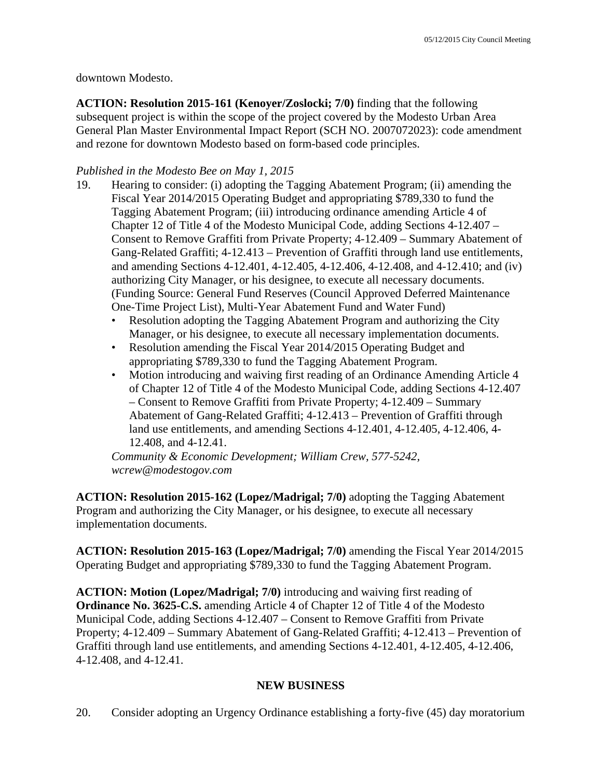downtown Modesto.

**ACTION: Resolution 2015-161 (Kenoyer/Zoslocki; 7/0)** finding that the following subsequent project is within the scope of the project covered by the Modesto Urban Area General Plan Master Environmental Impact Report (SCH NO. 2007072023): code amendment and rezone for downtown Modesto based on form-based code principles.

### *Published in the Modesto Bee on May 1, 2015*

- 19. Hearing to consider: (i) adopting the Tagging Abatement Program; (ii) amending the Fiscal Year 2014/2015 Operating Budget and appropriating \$789,330 to fund the Tagging Abatement Program; (iii) introducing ordinance amending Article 4 of Chapter 12 of Title 4 of the Modesto Municipal Code, adding Sections 4-12.407 – Consent to Remove Graffiti from Private Property; 4-12.409 – Summary Abatement of Gang-Related Graffiti; 4-12.413 – Prevention of Graffiti through land use entitlements, and amending Sections 4-12.401, 4-12.405, 4-12.406, 4-12.408, and 4-12.410; and (iv) authorizing City Manager, or his designee, to execute all necessary documents. (Funding Source: General Fund Reserves (Council Approved Deferred Maintenance One-Time Project List), Multi-Year Abatement Fund and Water Fund)
	- Resolution adopting the Tagging Abatement Program and authorizing the City Manager, or his designee, to execute all necessary implementation documents.
	- Resolution amending the Fiscal Year 2014/2015 Operating Budget and appropriating \$789,330 to fund the Tagging Abatement Program.
	- Motion introducing and waiving first reading of an Ordinance Amending Article 4 of Chapter 12 of Title 4 of the Modesto Municipal Code, adding Sections 4-12.407 – Consent to Remove Graffiti from Private Property; 4-12.409 – Summary Abatement of Gang-Related Graffiti; 4-12.413 – Prevention of Graffiti through land use entitlements, and amending Sections 4-12.401, 4-12.405, 4-12.406, 4- 12.408, and 4-12.41.

*Community & Economic Development; William Crew, 577-5242, wcrew@modestogov.com* 

**ACTION: Resolution 2015-162 (Lopez/Madrigal; 7/0)** adopting the Tagging Abatement Program and authorizing the City Manager, or his designee, to execute all necessary implementation documents.

**ACTION: Resolution 2015-163 (Lopez/Madrigal; 7/0)** amending the Fiscal Year 2014/2015 Operating Budget and appropriating \$789,330 to fund the Tagging Abatement Program.

**ACTION: Motion (Lopez/Madrigal; 7/0)** introducing and waiving first reading of **Ordinance No. 3625-C.S.** amending Article 4 of Chapter 12 of Title 4 of the Modesto Municipal Code, adding Sections 4-12.407 – Consent to Remove Graffiti from Private Property; 4-12.409 – Summary Abatement of Gang-Related Graffiti; 4-12.413 – Prevention of Graffiti through land use entitlements, and amending Sections 4-12.401, 4-12.405, 4-12.406, 4-12.408, and 4-12.41.

### **NEW BUSINESS**

20. Consider adopting an Urgency Ordinance establishing a forty-five (45) day moratorium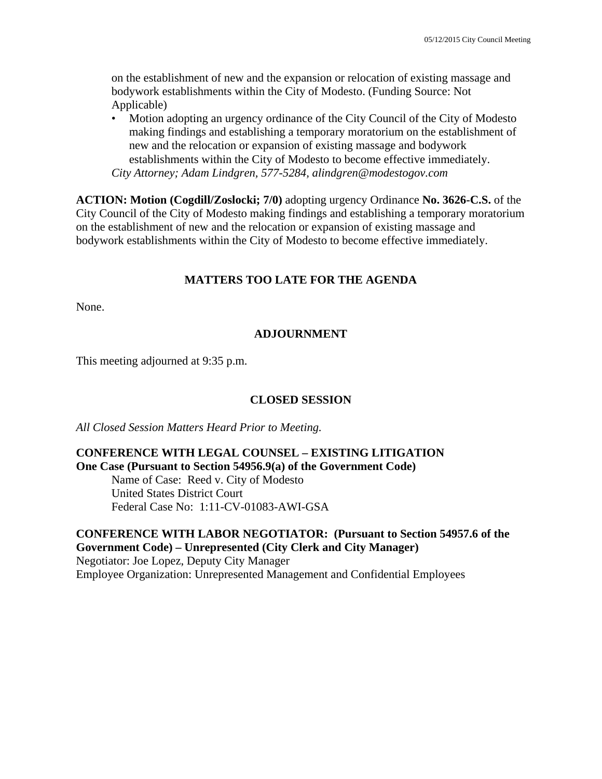on the establishment of new and the expansion or relocation of existing massage and bodywork establishments within the City of Modesto. (Funding Source: Not Applicable)

• Motion adopting an urgency ordinance of the City Council of the City of Modesto making findings and establishing a temporary moratorium on the establishment of new and the relocation or expansion of existing massage and bodywork establishments within the City of Modesto to become effective immediately. *City Attorney; Adam Lindgren, 577-5284, alindgren@modestogov.com* 

**ACTION: Motion (Cogdill/Zoslocki; 7/0)** adopting urgency Ordinance **No. 3626-C.S.** of the City Council of the City of Modesto making findings and establishing a temporary moratorium on the establishment of new and the relocation or expansion of existing massage and bodywork establishments within the City of Modesto to become effective immediately.

#### **MATTERS TOO LATE FOR THE AGENDA**

None.

#### **ADJOURNMENT**

This meeting adjourned at 9:35 p.m.

#### **CLOSED SESSION**

*All Closed Session Matters Heard Prior to Meeting.*

#### **CONFERENCE WITH LEGAL COUNSEL – EXISTING LITIGATION One Case (Pursuant to Section 54956.9(a) of the Government Code)**

 Name of Case: Reed v. City of Modesto United States District Court Federal Case No: 1:11-CV-01083-AWI-GSA

**CONFERENCE WITH LABOR NEGOTIATOR: (Pursuant to Section 54957.6 of the Government Code) – Unrepresented (City Clerk and City Manager)**  Negotiator: Joe Lopez, Deputy City Manager Employee Organization: Unrepresented Management and Confidential Employees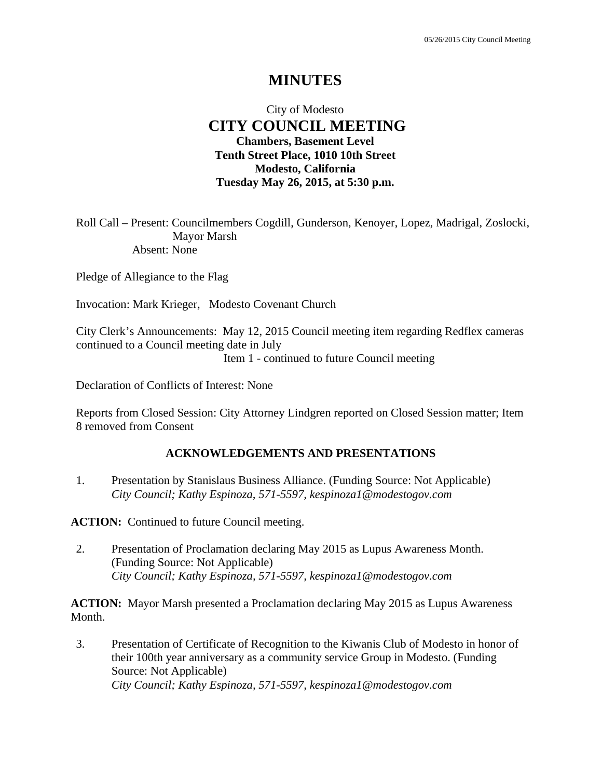# **MINUTES**

### City of Modesto  **CITY COUNCIL MEETING Chambers, Basement Level Tenth Street Place, 1010 10th Street Modesto, California Tuesday May 26, 2015, at 5:30 p.m.**

Roll Call – Present: Councilmembers Cogdill, Gunderson, Kenoyer, Lopez, Madrigal, Zoslocki, Mayor Marsh Absent: None

Pledge of Allegiance to the Flag

Invocation: Mark Krieger, Modesto Covenant Church

City Clerk's Announcements: May 12, 2015 Council meeting item regarding Redflex cameras continued to a Council meeting date in July

Item 1 - continued to future Council meeting

Declaration of Conflicts of Interest: None

Reports from Closed Session: City Attorney Lindgren reported on Closed Session matter; Item 8 removed from Consent

#### **ACKNOWLEDGEMENTS AND PRESENTATIONS**

1. Presentation by Stanislaus Business Alliance. (Funding Source: Not Applicable)  *City Council; Kathy Espinoza, 571-5597, kespinoza1@modestogov.com* 

**ACTION:** Continued to future Council meeting.

2. Presentation of Proclamation declaring May 2015 as Lupus Awareness Month. (Funding Source: Not Applicable)  *City Council; Kathy Espinoza, 571-5597, kespinoza1@modestogov.com* 

**ACTION:** Mayor Marsh presented a Proclamation declaring May 2015 as Lupus Awareness Month.

3. Presentation of Certificate of Recognition to the Kiwanis Club of Modesto in honor of their 100th year anniversary as a community service Group in Modesto. (Funding Source: Not Applicable)  *City Council; Kathy Espinoza, 571-5597, kespinoza1@modestogov.com*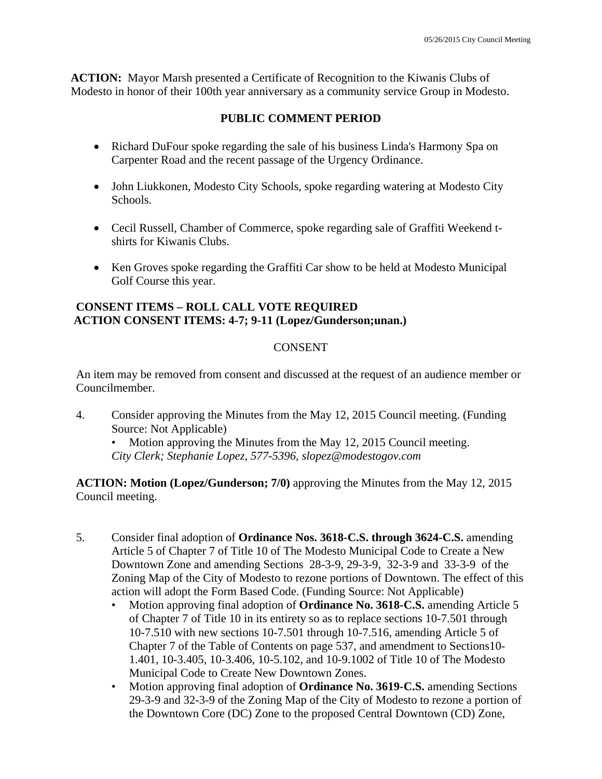**ACTION:** Mayor Marsh presented a Certificate of Recognition to the Kiwanis Clubs of Modesto in honor of their 100th year anniversary as a community service Group in Modesto.

### **PUBLIC COMMENT PERIOD**

- Richard DuFour spoke regarding the sale of his business Linda's Harmony Spa on Carpenter Road and the recent passage of the Urgency Ordinance.
- John Liukkonen, Modesto City Schools, spoke regarding watering at Modesto City Schools.
- Cecil Russell, Chamber of Commerce, spoke regarding sale of Graffiti Weekend tshirts for Kiwanis Clubs.
- Ken Groves spoke regarding the Graffiti Car show to be held at Modesto Municipal Golf Course this year.

### **CONSENT ITEMS – ROLL CALL VOTE REQUIRED ACTION CONSENT ITEMS: 4-7; 9-11 (Lopez/Gunderson;unan.)**

### **CONSENT**

An item may be removed from consent and discussed at the request of an audience member or Councilmember.

4. Consider approving the Minutes from the May 12, 2015 Council meeting. (Funding Source: Not Applicable)

• Motion approving the Minutes from the May 12, 2015 Council meeting. *City Clerk; Stephanie Lopez, 577-5396, slopez@modestogov.com* 

**ACTION: Motion (Lopez/Gunderson; 7/0)** approving the Minutes from the May 12, 2015 Council meeting.

- 5. Consider final adoption of **Ordinance Nos. 3618-C.S. through 3624-C.S.** amending Article 5 of Chapter 7 of Title 10 of The Modesto Municipal Code to Create a New Downtown Zone and amending Sections 28-3-9, 29-3-9, 32-3-9 and 33-3-9 of the Zoning Map of the City of Modesto to rezone portions of Downtown. The effect of this action will adopt the Form Based Code. (Funding Source: Not Applicable)
	- Motion approving final adoption of **Ordinance No. 3618-C.S.** amending Article 5 of Chapter 7 of Title 10 in its entirety so as to replace sections 10-7.501 through 10-7.510 with new sections 10-7.501 through 10-7.516, amending Article 5 of Chapter 7 of the Table of Contents on page 537, and amendment to Sections10- 1.401, 10-3.405, 10-3.406, 10-5.102, and 10-9.1002 of Title 10 of The Modesto Municipal Code to Create New Downtown Zones.
	- Motion approving final adoption of **Ordinance No. 3619-C.S.** amending Sections 29-3-9 and 32-3-9 of the Zoning Map of the City of Modesto to rezone a portion of the Downtown Core (DC) Zone to the proposed Central Downtown (CD) Zone,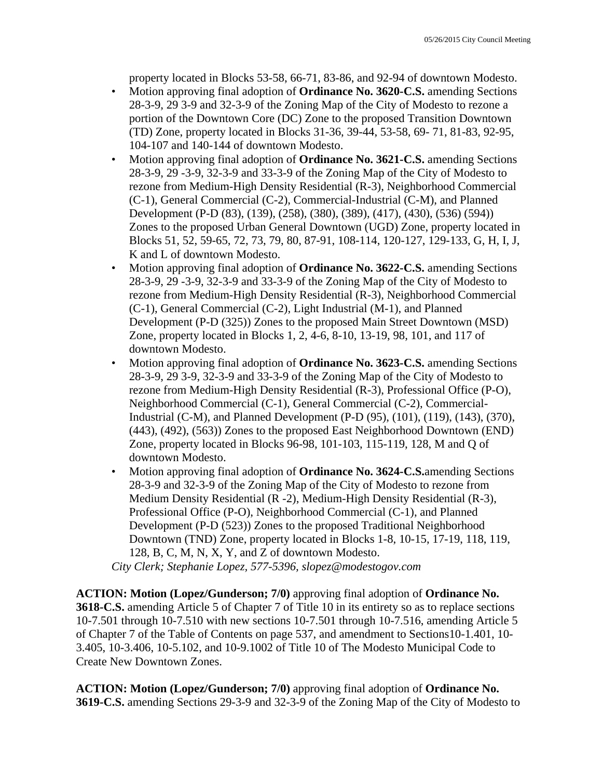property located in Blocks 53-58, 66-71, 83-86, and 92-94 of downtown Modesto.

- Motion approving final adoption of **Ordinance No. 3620-C.S.** amending Sections 28-3-9, 29 3-9 and 32-3-9 of the Zoning Map of the City of Modesto to rezone a portion of the Downtown Core (DC) Zone to the proposed Transition Downtown (TD) Zone, property located in Blocks 31-36, 39-44, 53-58, 69- 71, 81-83, 92-95, 104-107 and 140-144 of downtown Modesto.
- Motion approving final adoption of **Ordinance No. 3621-C.S.** amending Sections 28-3-9, 29 -3-9, 32-3-9 and 33-3-9 of the Zoning Map of the City of Modesto to rezone from Medium-High Density Residential (R-3), Neighborhood Commercial (C-1), General Commercial (C-2), Commercial-Industrial (C-M), and Planned Development (P-D (83), (139), (258), (380), (389), (417), (430), (536) (594)) Zones to the proposed Urban General Downtown (UGD) Zone, property located in Blocks 51, 52, 59-65, 72, 73, 79, 80, 87-91, 108-114, 120-127, 129-133, G, H, I, J, K and L of downtown Modesto.
- Motion approving final adoption of **Ordinance No. 3622-C.S.** amending Sections 28-3-9, 29 -3-9, 32-3-9 and 33-3-9 of the Zoning Map of the City of Modesto to rezone from Medium-High Density Residential (R-3), Neighborhood Commercial (C-1), General Commercial (C-2), Light Industrial (M-1), and Planned Development (P-D (325)) Zones to the proposed Main Street Downtown (MSD) Zone, property located in Blocks 1, 2, 4-6, 8-10, 13-19, 98, 101, and 117 of downtown Modesto.
- Motion approving final adoption of **Ordinance No. 3623-C.S.** amending Sections 28-3-9, 29 3-9, 32-3-9 and 33-3-9 of the Zoning Map of the City of Modesto to rezone from Medium-High Density Residential (R-3), Professional Office (P-O), Neighborhood Commercial (C-1), General Commercial (C-2), Commercial-Industrial (C-M), and Planned Development (P-D (95), (101), (119), (143), (370), (443), (492), (563)) Zones to the proposed East Neighborhood Downtown (END) Zone, property located in Blocks 96-98, 101-103, 115-119, 128, M and Q of downtown Modesto.
- Motion approving final adoption of **Ordinance No. 3624-C.S.**amending Sections 28-3-9 and 32-3-9 of the Zoning Map of the City of Modesto to rezone from Medium Density Residential (R -2), Medium-High Density Residential (R-3), Professional Office (P-O), Neighborhood Commercial (C-1), and Planned Development (P-D (523)) Zones to the proposed Traditional Neighborhood Downtown (TND) Zone, property located in Blocks 1-8, 10-15, 17-19, 118, 119, 128, B, C, M, N, X, Y, and Z of downtown Modesto.

*City Clerk; Stephanie Lopez, 577-5396, slopez@modestogov.com* 

**ACTION: Motion (Lopez/Gunderson; 7/0)** approving final adoption of **Ordinance No. 3618-C.S.** amending Article 5 of Chapter 7 of Title 10 in its entirety so as to replace sections 10-7.501 through 10-7.510 with new sections 10-7.501 through 10-7.516, amending Article 5 of Chapter 7 of the Table of Contents on page 537, and amendment to Sections10-1.401, 10- 3.405, 10-3.406, 10-5.102, and 10-9.1002 of Title 10 of The Modesto Municipal Code to Create New Downtown Zones.

**ACTION: Motion (Lopez/Gunderson; 7/0)** approving final adoption of **Ordinance No. 3619-C.S.** amending Sections 29-3-9 and 32-3-9 of the Zoning Map of the City of Modesto to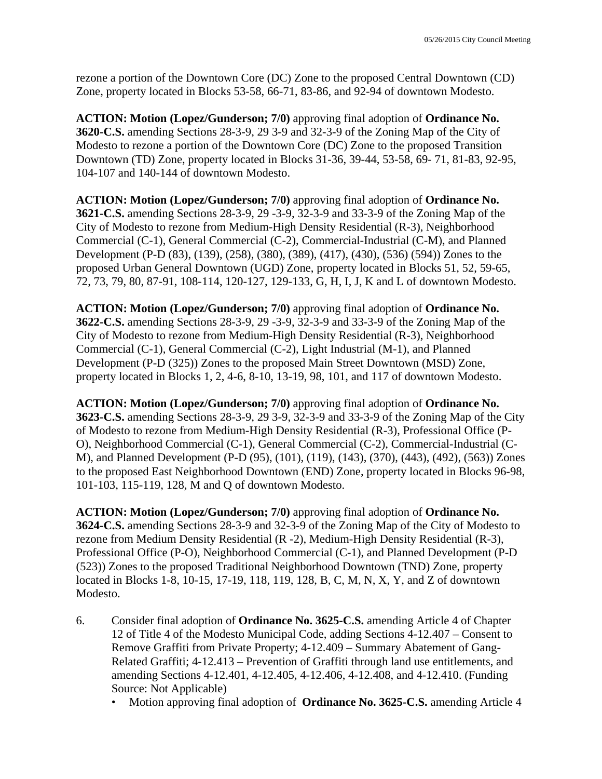rezone a portion of the Downtown Core (DC) Zone to the proposed Central Downtown (CD) Zone, property located in Blocks 53-58, 66-71, 83-86, and 92-94 of downtown Modesto.

**ACTION: Motion (Lopez/Gunderson; 7/0)** approving final adoption of **Ordinance No. 3620-C.S.** amending Sections 28-3-9, 29 3-9 and 32-3-9 of the Zoning Map of the City of Modesto to rezone a portion of the Downtown Core (DC) Zone to the proposed Transition Downtown (TD) Zone, property located in Blocks 31-36, 39-44, 53-58, 69- 71, 81-83, 92-95, 104-107 and 140-144 of downtown Modesto.

**ACTION: Motion (Lopez/Gunderson; 7/0)** approving final adoption of **Ordinance No. 3621-C.S.** amending Sections 28-3-9, 29 -3-9, 32-3-9 and 33-3-9 of the Zoning Map of the City of Modesto to rezone from Medium-High Density Residential (R-3), Neighborhood Commercial (C-1), General Commercial (C-2), Commercial-Industrial (C-M), and Planned Development (P-D (83), (139), (258), (380), (389), (417), (430), (536) (594)) Zones to the proposed Urban General Downtown (UGD) Zone, property located in Blocks 51, 52, 59-65, 72, 73, 79, 80, 87-91, 108-114, 120-127, 129-133, G, H, I, J, K and L of downtown Modesto.

**ACTION: Motion (Lopez/Gunderson; 7/0)** approving final adoption of **Ordinance No. 3622-C.S.** amending Sections 28-3-9, 29 -3-9, 32-3-9 and 33-3-9 of the Zoning Map of the City of Modesto to rezone from Medium-High Density Residential (R-3), Neighborhood Commercial (C-1), General Commercial (C-2), Light Industrial (M-1), and Planned Development (P-D (325)) Zones to the proposed Main Street Downtown (MSD) Zone, property located in Blocks 1, 2, 4-6, 8-10, 13-19, 98, 101, and 117 of downtown Modesto.

**ACTION: Motion (Lopez/Gunderson; 7/0)** approving final adoption of **Ordinance No. 3623-C.S.** amending Sections 28-3-9, 29 3-9, 32-3-9 and 33-3-9 of the Zoning Map of the City of Modesto to rezone from Medium-High Density Residential (R-3), Professional Office (P-O), Neighborhood Commercial (C-1), General Commercial (C-2), Commercial-Industrial (C-M), and Planned Development (P-D (95), (101), (119), (143), (370), (443), (492), (563)) Zones to the proposed East Neighborhood Downtown (END) Zone, property located in Blocks 96-98, 101-103, 115-119, 128, M and Q of downtown Modesto.

**ACTION: Motion (Lopez/Gunderson; 7/0)** approving final adoption of **Ordinance No. 3624-C.S.** amending Sections 28-3-9 and 32-3-9 of the Zoning Map of the City of Modesto to rezone from Medium Density Residential (R -2), Medium-High Density Residential (R-3), Professional Office (P-O), Neighborhood Commercial (C-1), and Planned Development (P-D (523)) Zones to the proposed Traditional Neighborhood Downtown (TND) Zone, property located in Blocks 1-8, 10-15, 17-19, 118, 119, 128, B, C, M, N, X, Y, and Z of downtown Modesto.

- 6. Consider final adoption of **Ordinance No. 3625-C.S.** amending Article 4 of Chapter 12 of Title 4 of the Modesto Municipal Code, adding Sections 4-12.407 – Consent to Remove Graffiti from Private Property; 4-12.409 – Summary Abatement of Gang-Related Graffiti; 4-12.413 – Prevention of Graffiti through land use entitlements, and amending Sections 4-12.401, 4-12.405, 4-12.406, 4-12.408, and 4-12.410. (Funding Source: Not Applicable)
	- Motion approving final adoption of **Ordinance No. 3625-C.S.** amending Article 4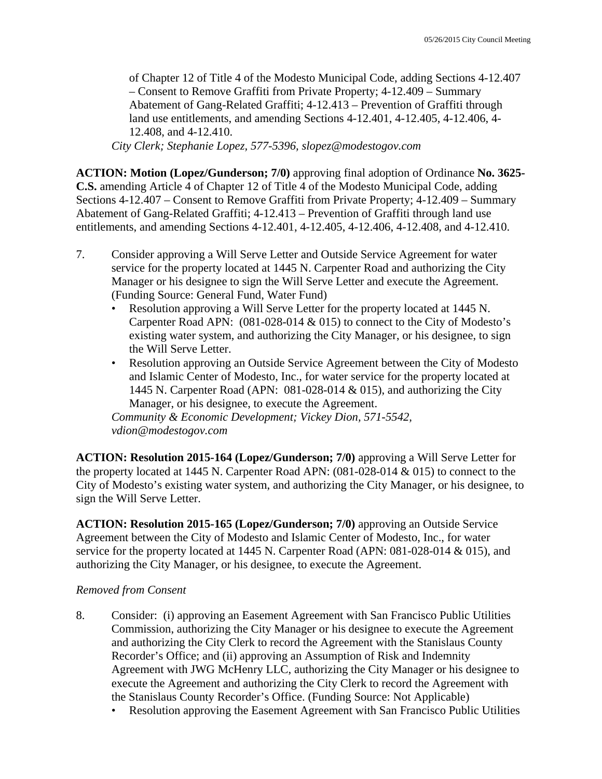of Chapter 12 of Title 4 of the Modesto Municipal Code, adding Sections 4-12.407 – Consent to Remove Graffiti from Private Property; 4-12.409 – Summary Abatement of Gang-Related Graffiti; 4-12.413 – Prevention of Graffiti through land use entitlements, and amending Sections 4-12.401, 4-12.405, 4-12.406, 4- 12.408, and 4-12.410.

*City Clerk; Stephanie Lopez, 577-5396, slopez@modestogov.com* 

**ACTION: Motion (Lopez/Gunderson; 7/0)** approving final adoption of Ordinance **No. 3625- C.S.** amending Article 4 of Chapter 12 of Title 4 of the Modesto Municipal Code, adding Sections 4-12.407 – Consent to Remove Graffiti from Private Property; 4-12.409 – Summary Abatement of Gang-Related Graffiti; 4-12.413 – Prevention of Graffiti through land use entitlements, and amending Sections 4-12.401, 4-12.405, 4-12.406, 4-12.408, and 4-12.410.

- 7. Consider approving a Will Serve Letter and Outside Service Agreement for water service for the property located at 1445 N. Carpenter Road and authorizing the City Manager or his designee to sign the Will Serve Letter and execute the Agreement. (Funding Source: General Fund, Water Fund)
	- Resolution approving a Will Serve Letter for the property located at 1445 N. Carpenter Road APN: (081-028-014 & 015) to connect to the City of Modesto's existing water system, and authorizing the City Manager, or his designee, to sign the Will Serve Letter.
	- Resolution approving an Outside Service Agreement between the City of Modesto and Islamic Center of Modesto, Inc., for water service for the property located at 1445 N. Carpenter Road (APN: 081-028-014 & 015), and authorizing the City Manager, or his designee, to execute the Agreement.

*Community & Economic Development; Vickey Dion, 571-5542, vdion@modestogov.com* 

**ACTION: Resolution 2015-164 (Lopez/Gunderson; 7/0)** approving a Will Serve Letter for the property located at 1445 N. Carpenter Road APN:  $(081-028-014 \& 015)$  to connect to the City of Modesto's existing water system, and authorizing the City Manager, or his designee, to sign the Will Serve Letter.

**ACTION: Resolution 2015-165 (Lopez/Gunderson; 7/0)** approving an Outside Service Agreement between the City of Modesto and Islamic Center of Modesto, Inc., for water service for the property located at 1445 N. Carpenter Road (APN: 081-028-014 & 015), and authorizing the City Manager, or his designee, to execute the Agreement.

### *Removed from Consent*

- 8. Consider: (i) approving an Easement Agreement with San Francisco Public Utilities Commission, authorizing the City Manager or his designee to execute the Agreement and authorizing the City Clerk to record the Agreement with the Stanislaus County Recorder's Office; and (ii) approving an Assumption of Risk and Indemnity Agreement with JWG McHenry LLC, authorizing the City Manager or his designee to execute the Agreement and authorizing the City Clerk to record the Agreement with the Stanislaus County Recorder's Office. (Funding Source: Not Applicable)
	- Resolution approving the Easement Agreement with San Francisco Public Utilities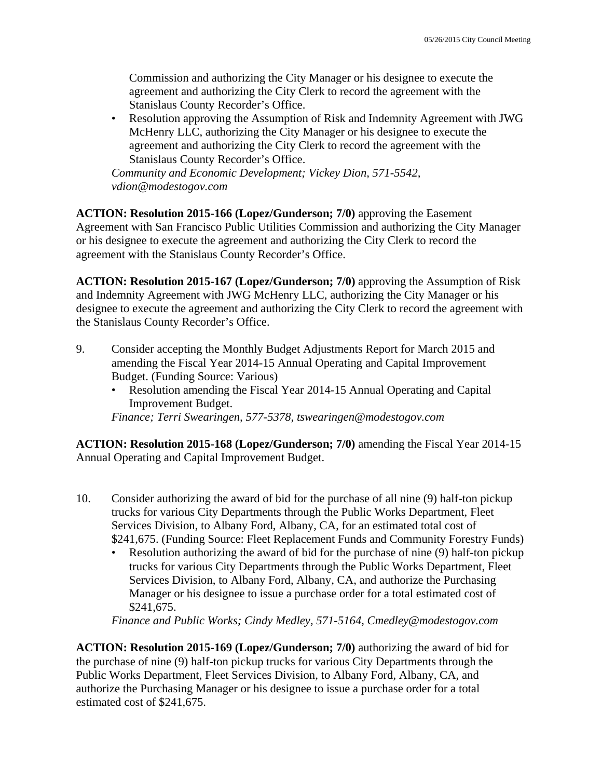Commission and authorizing the City Manager or his designee to execute the agreement and authorizing the City Clerk to record the agreement with the Stanislaus County Recorder's Office.

• Resolution approving the Assumption of Risk and Indemnity Agreement with JWG McHenry LLC, authorizing the City Manager or his designee to execute the agreement and authorizing the City Clerk to record the agreement with the Stanislaus County Recorder's Office.

*Community and Economic Development; Vickey Dion, 571-5542, vdion@modestogov.com* 

**ACTION: Resolution 2015-166 (Lopez/Gunderson; 7/0)** approving the Easement Agreement with San Francisco Public Utilities Commission and authorizing the City Manager or his designee to execute the agreement and authorizing the City Clerk to record the agreement with the Stanislaus County Recorder's Office.

**ACTION: Resolution 2015-167 (Lopez/Gunderson; 7/0)** approving the Assumption of Risk and Indemnity Agreement with JWG McHenry LLC, authorizing the City Manager or his designee to execute the agreement and authorizing the City Clerk to record the agreement with the Stanislaus County Recorder's Office.

- 9. Consider accepting the Monthly Budget Adjustments Report for March 2015 and amending the Fiscal Year 2014-15 Annual Operating and Capital Improvement Budget. (Funding Source: Various)
	- Resolution amending the Fiscal Year 2014-15 Annual Operating and Capital Improvement Budget.

*Finance; Terri Swearingen, 577-5378, tswearingen@modestogov.com* 

**ACTION: Resolution 2015-168 (Lopez/Gunderson; 7/0)** amending the Fiscal Year 2014-15 Annual Operating and Capital Improvement Budget.

- 10. Consider authorizing the award of bid for the purchase of all nine (9) half-ton pickup trucks for various City Departments through the Public Works Department, Fleet Services Division, to Albany Ford, Albany, CA, for an estimated total cost of \$241,675. (Funding Source: Fleet Replacement Funds and Community Forestry Funds)
	- Resolution authorizing the award of bid for the purchase of nine (9) half-ton pickup trucks for various City Departments through the Public Works Department, Fleet Services Division, to Albany Ford, Albany, CA, and authorize the Purchasing Manager or his designee to issue a purchase order for a total estimated cost of \$241,675.

*Finance and Public Works; Cindy Medley, 571-5164, Cmedley@modestogov.com* 

**ACTION: Resolution 2015-169 (Lopez/Gunderson; 7/0)** authorizing the award of bid for the purchase of nine (9) half-ton pickup trucks for various City Departments through the Public Works Department, Fleet Services Division, to Albany Ford, Albany, CA, and authorize the Purchasing Manager or his designee to issue a purchase order for a total estimated cost of \$241,675.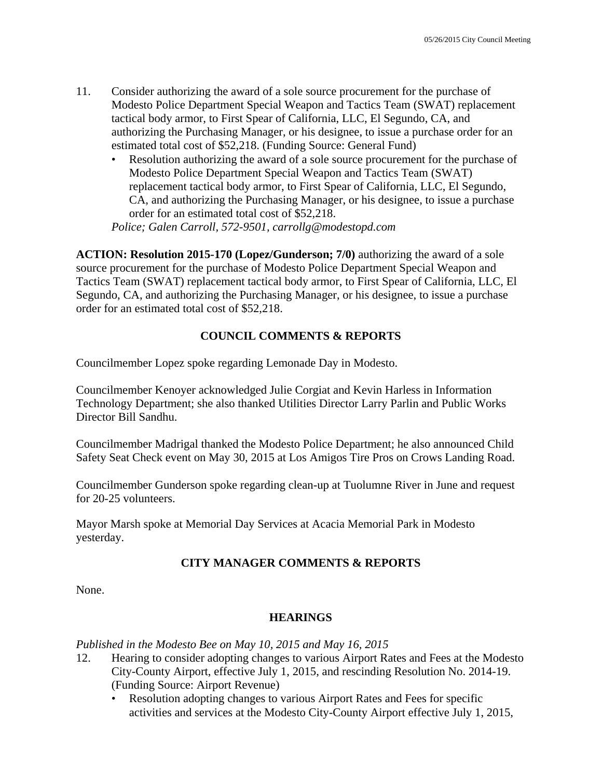- 11. Consider authorizing the award of a sole source procurement for the purchase of Modesto Police Department Special Weapon and Tactics Team (SWAT) replacement tactical body armor, to First Spear of California, LLC, El Segundo, CA, and authorizing the Purchasing Manager, or his designee, to issue a purchase order for an estimated total cost of \$52,218. (Funding Source: General Fund)
	- Resolution authorizing the award of a sole source procurement for the purchase of Modesto Police Department Special Weapon and Tactics Team (SWAT) replacement tactical body armor, to First Spear of California, LLC, El Segundo, CA, and authorizing the Purchasing Manager, or his designee, to issue a purchase order for an estimated total cost of \$52,218.

*Police; Galen Carroll, 572-9501, carrollg@modestopd.com* 

**ACTION: Resolution 2015-170 (Lopez/Gunderson; 7/0)** authorizing the award of a sole source procurement for the purchase of Modesto Police Department Special Weapon and Tactics Team (SWAT) replacement tactical body armor, to First Spear of California, LLC, El Segundo, CA, and authorizing the Purchasing Manager, or his designee, to issue a purchase order for an estimated total cost of \$52,218.

### **COUNCIL COMMENTS & REPORTS**

Councilmember Lopez spoke regarding Lemonade Day in Modesto.

Councilmember Kenoyer acknowledged Julie Corgiat and Kevin Harless in Information Technology Department; she also thanked Utilities Director Larry Parlin and Public Works Director Bill Sandhu.

Councilmember Madrigal thanked the Modesto Police Department; he also announced Child Safety Seat Check event on May 30, 2015 at Los Amigos Tire Pros on Crows Landing Road.

Councilmember Gunderson spoke regarding clean-up at Tuolumne River in June and request for 20-25 volunteers.

Mayor Marsh spoke at Memorial Day Services at Acacia Memorial Park in Modesto yesterday.

### **CITY MANAGER COMMENTS & REPORTS**

None.

### **HEARINGS**

*Published in the Modesto Bee on May 10, 2015 and May 16, 2015* 

- 12. Hearing to consider adopting changes to various Airport Rates and Fees at the Modesto City-County Airport, effective July 1, 2015, and rescinding Resolution No. 2014-19. (Funding Source: Airport Revenue)
	- Resolution adopting changes to various Airport Rates and Fees for specific activities and services at the Modesto City-County Airport effective July 1, 2015,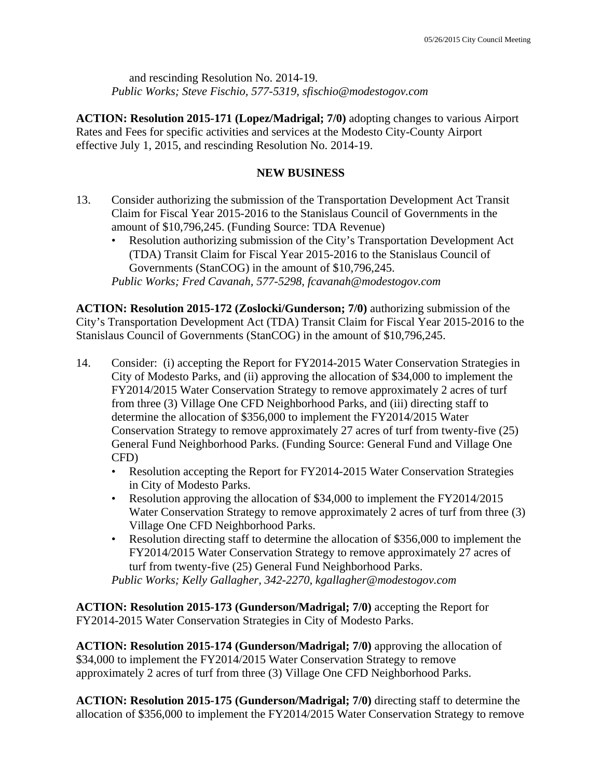and rescinding Resolution No. 2014-19. *Public Works; Steve Fischio, 577-5319, sfischio@modestogov.com* 

**ACTION: Resolution 2015-171 (Lopez/Madrigal; 7/0)** adopting changes to various Airport Rates and Fees for specific activities and services at the Modesto City-County Airport effective July 1, 2015, and rescinding Resolution No. 2014-19.

### **NEW BUSINESS**

- 13. Consider authorizing the submission of the Transportation Development Act Transit Claim for Fiscal Year 2015-2016 to the Stanislaus Council of Governments in the amount of \$10,796,245. (Funding Source: TDA Revenue)
	- Resolution authorizing submission of the City's Transportation Development Act (TDA) Transit Claim for Fiscal Year 2015-2016 to the Stanislaus Council of Governments (StanCOG) in the amount of \$10,796,245. *Public Works; Fred Cavanah, 577-5298, fcavanah@modestogov.com*

**ACTION: Resolution 2015-172 (Zoslocki/Gunderson; 7/0)** authorizing submission of the City's Transportation Development Act (TDA) Transit Claim for Fiscal Year 2015-2016 to the Stanislaus Council of Governments (StanCOG) in the amount of \$10,796,245.

- 14. Consider: (i) accepting the Report for FY2014-2015 Water Conservation Strategies in City of Modesto Parks, and (ii) approving the allocation of \$34,000 to implement the FY2014/2015 Water Conservation Strategy to remove approximately 2 acres of turf from three (3) Village One CFD Neighborhood Parks, and (iii) directing staff to determine the allocation of \$356,000 to implement the FY2014/2015 Water Conservation Strategy to remove approximately 27 acres of turf from twenty-five (25) General Fund Neighborhood Parks. (Funding Source: General Fund and Village One CFD)
	- Resolution accepting the Report for FY2014-2015 Water Conservation Strategies in City of Modesto Parks.
	- Resolution approving the allocation of \$34,000 to implement the FY2014/2015 Water Conservation Strategy to remove approximately 2 acres of turf from three (3) Village One CFD Neighborhood Parks.
	- Resolution directing staff to determine the allocation of \$356,000 to implement the FY2014/2015 Water Conservation Strategy to remove approximately 27 acres of turf from twenty-five (25) General Fund Neighborhood Parks.

*Public Works; Kelly Gallagher, 342-2270, kgallagher@modestogov.com* 

**ACTION: Resolution 2015-173 (Gunderson/Madrigal; 7/0)** accepting the Report for FY2014-2015 Water Conservation Strategies in City of Modesto Parks.

**ACTION: Resolution 2015-174 (Gunderson/Madrigal; 7/0)** approving the allocation of \$34,000 to implement the FY2014/2015 Water Conservation Strategy to remove approximately 2 acres of turf from three (3) Village One CFD Neighborhood Parks.

**ACTION: Resolution 2015-175 (Gunderson/Madrigal; 7/0)** directing staff to determine the allocation of \$356,000 to implement the FY2014/2015 Water Conservation Strategy to remove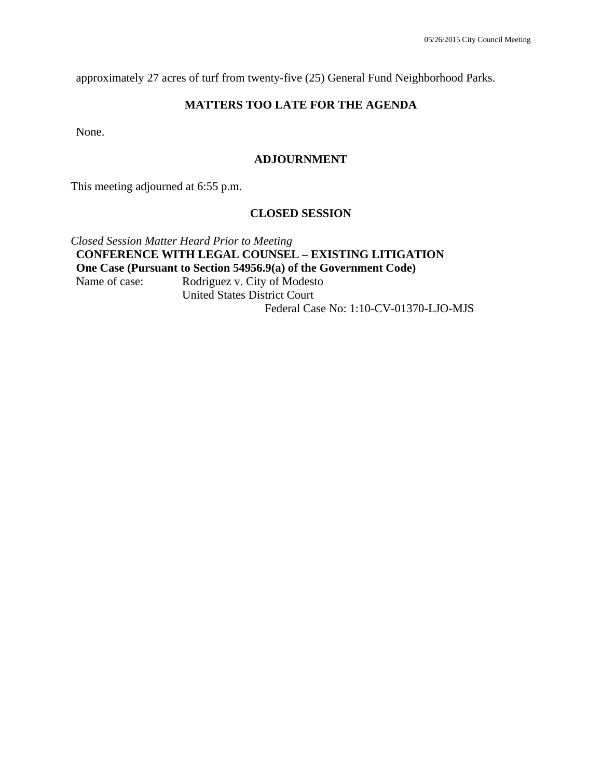approximately 27 acres of turf from twenty-five (25) General Fund Neighborhood Parks.

### **MATTERS TOO LATE FOR THE AGENDA**

None.

#### **ADJOURNMENT**

This meeting adjourned at 6:55 p.m.

#### **CLOSED SESSION**

*Closed Session Matter Heard Prior to Meeting*  **CONFERENCE WITH LEGAL COUNSEL – EXISTING LITIGATION One Case (Pursuant to Section 54956.9(a) of the Government Code)**  Name of case: Rodriguez v. City of Modesto United States District Court Federal Case No: 1:10-CV-01370-LJO-MJS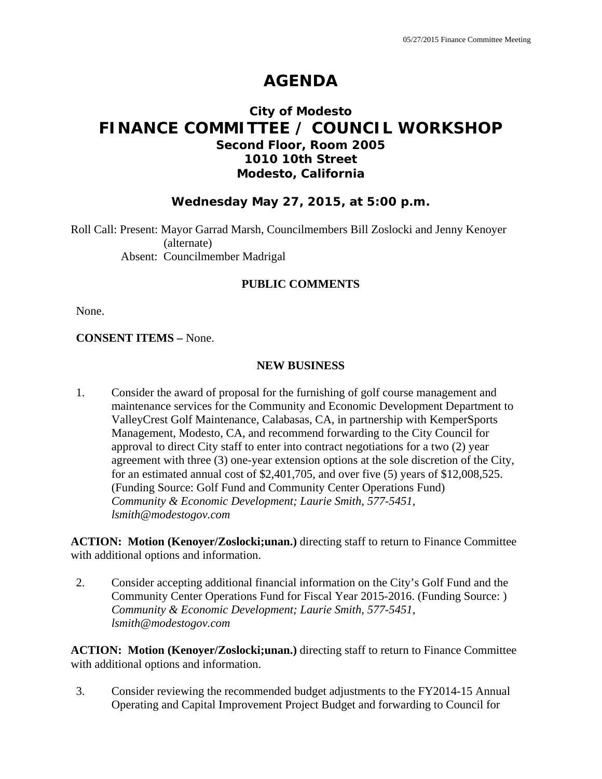# **AGENDA**

## **City of Modesto FINANCE COMMITTEE / COUNCIL WORKSHOP Second Floor, Room 2005 1010 10th Street Modesto, California**

### **Wednesday May 27, 2015, at 5:00 p.m.**

Roll Call: Present: Mayor Garrad Marsh, Councilmembers Bill Zoslocki and Jenny Kenoyer (alternate) Absent: Councilmember Madrigal

### **PUBLIC COMMENTS**

None.

#### **CONSENT ITEMS –** None.

#### **NEW BUSINESS**

1. Consider the award of proposal for the furnishing of golf course management and maintenance services for the Community and Economic Development Department to ValleyCrest Golf Maintenance, Calabasas, CA, in partnership with KemperSports Management, Modesto, CA, and recommend forwarding to the City Council for approval to direct City staff to enter into contract negotiations for a two (2) year agreement with three (3) one-year extension options at the sole discretion of the City, for an estimated annual cost of \$2,401,705, and over five (5) years of \$12,008,525. (Funding Source: Golf Fund and Community Center Operations Fund)  *Community & Economic Development; Laurie Smith, 577-5451, lsmith@modestogov.com* 

**ACTION: Motion (Kenoyer/Zoslocki;unan.)** directing staff to return to Finance Committee with additional options and information.

2. Consider accepting additional financial information on the City's Golf Fund and the Community Center Operations Fund for Fiscal Year 2015-2016. (Funding Source: )  *Community & Economic Development; Laurie Smith, 577-5451, lsmith@modestogov.com* 

**ACTION: Motion (Kenoyer/Zoslocki;unan.)** directing staff to return to Finance Committee with additional options and information.

3. Consider reviewing the recommended budget adjustments to the FY2014-15 Annual Operating and Capital Improvement Project Budget and forwarding to Council for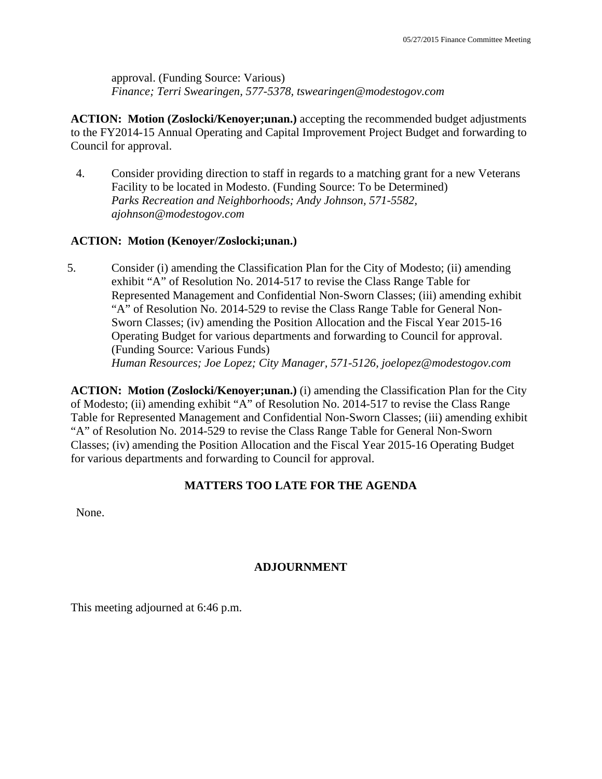approval. (Funding Source: Various)  *Finance; Terri Swearingen, 577-5378, tswearingen@modestogov.com* 

**ACTION: Motion (Zoslocki/Kenoyer;unan.)** accepting the recommended budget adjustments to the FY2014-15 Annual Operating and Capital Improvement Project Budget and forwarding to Council for approval.

4. Consider providing direction to staff in regards to a matching grant for a new Veterans Facility to be located in Modesto. (Funding Source: To be Determined)  *Parks Recreation and Neighborhoods; Andy Johnson, 571-5582, ajohnson@modestogov.com* 

### **ACTION: Motion (Kenoyer/Zoslocki;unan.)**

5. Consider (i) amending the Classification Plan for the City of Modesto; (ii) amending exhibit "A" of Resolution No. 2014-517 to revise the Class Range Table for Represented Management and Confidential Non-Sworn Classes; (iii) amending exhibit "A" of Resolution No. 2014-529 to revise the Class Range Table for General Non-Sworn Classes; (iv) amending the Position Allocation and the Fiscal Year 2015-16 Operating Budget for various departments and forwarding to Council for approval. (Funding Source: Various Funds)  *Human Resources; Joe Lopez; City Manager, 571-5126, joelopez@modestogov.com* 

**ACTION: Motion (Zoslocki/Kenoyer;unan.)** (i) amending the Classification Plan for the City of Modesto; (ii) amending exhibit "A" of Resolution No. 2014-517 to revise the Class Range Table for Represented Management and Confidential Non-Sworn Classes; (iii) amending exhibit "A" of Resolution No. 2014-529 to revise the Class Range Table for General Non-Sworn Classes; (iv) amending the Position Allocation and the Fiscal Year 2015-16 Operating Budget for various departments and forwarding to Council for approval.

### **MATTERS TOO LATE FOR THE AGENDA**

None.

### **ADJOURNMENT**

This meeting adjourned at 6:46 p.m.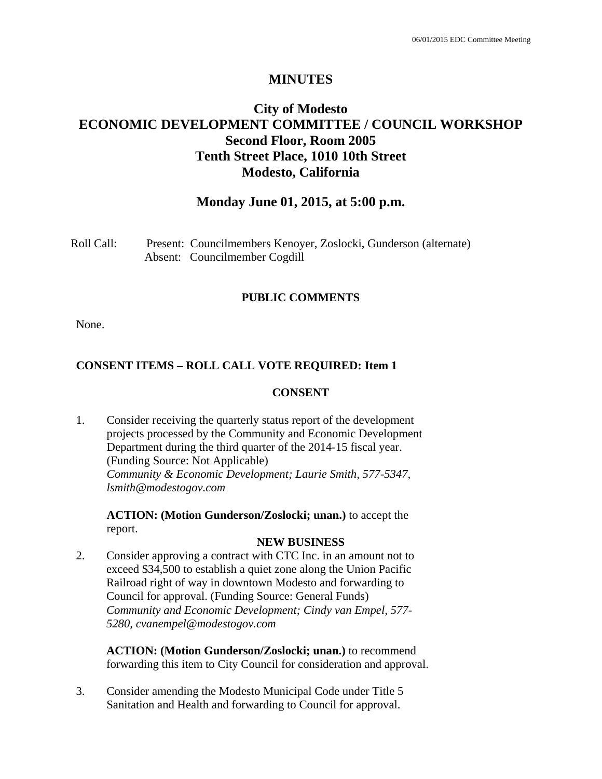## **MINUTES**

## **City of Modesto ECONOMIC DEVELOPMENT COMMITTEE / COUNCIL WORKSHOP Second Floor, Room 2005 Tenth Street Place, 1010 10th Street Modesto, California**

## **Monday June 01, 2015, at 5:00 p.m.**

| Roll Call: | Present: Councilmembers Kenoyer, Zoslocki, Gunderson (alternate) |
|------------|------------------------------------------------------------------|
|            | Absent: Councilmember Cogdill                                    |

#### **PUBLIC COMMENTS**

None.

### **CONSENT ITEMS – ROLL CALL VOTE REQUIRED: Item 1**

#### **CONSENT**

1. Consider receiving the quarterly status report of the development projects processed by the Community and Economic Development Department during the third quarter of the 2014-15 fiscal year. (Funding Source: Not Applicable) *Community & Economic Development; Laurie Smith, 577-5347, lsmith@modestogov.com* 

**ACTION: (Motion Gunderson/Zoslocki; unan.)** to accept the report.

#### **NEW BUSINESS**

2. Consider approving a contract with CTC Inc. in an amount not to exceed \$34,500 to establish a quiet zone along the Union Pacific Railroad right of way in downtown Modesto and forwarding to Council for approval. (Funding Source: General Funds) *Community and Economic Development; Cindy van Empel, 577- 5280, cvanempel@modestogov.com* 

**ACTION: (Motion Gunderson/Zoslocki; unan.)** to recommend forwarding this item to City Council for consideration and approval.

3. Consider amending the Modesto Municipal Code under Title 5 Sanitation and Health and forwarding to Council for approval.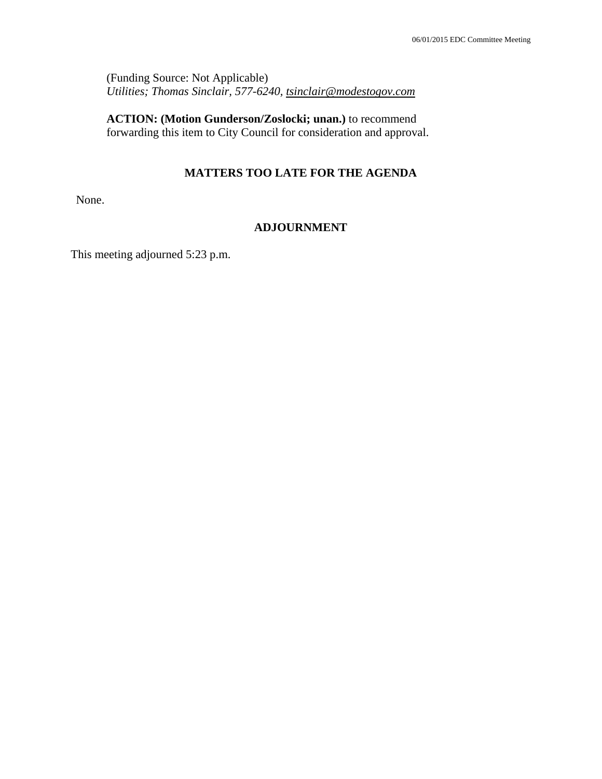(Funding Source: Not Applicable) *Utilities; Thomas Sinclair, 577-6240, tsinclair@modestogov.com* 

**ACTION: (Motion Gunderson/Zoslocki; unan.)** to recommend forwarding this item to City Council for consideration and approval.

# **MATTERS TOO LATE FOR THE AGENDA**

None.

# **ADJOURNMENT**

This meeting adjourned 5:23 p.m.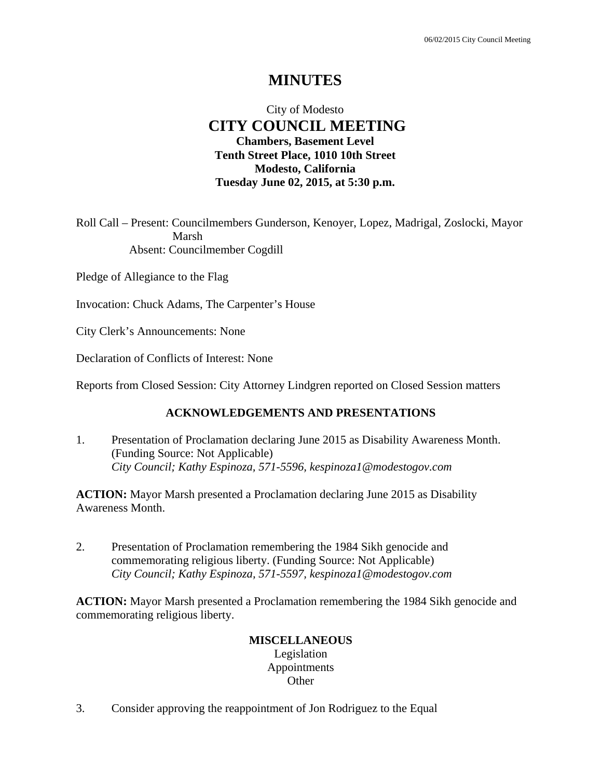# **MINUTES**

# City of Modesto  **CITY COUNCIL MEETING Chambers, Basement Level Tenth Street Place, 1010 10th Street Modesto, California Tuesday June 02, 2015, at 5:30 p.m.**

Roll Call – Present: Councilmembers Gunderson, Kenoyer, Lopez, Madrigal, Zoslocki, Mayor Marsh Absent: Councilmember Cogdill

Pledge of Allegiance to the Flag

Invocation: Chuck Adams, The Carpenter's House

City Clerk's Announcements: None

Declaration of Conflicts of Interest: None

Reports from Closed Session: City Attorney Lindgren reported on Closed Session matters

### **ACKNOWLEDGEMENTS AND PRESENTATIONS**

1. Presentation of Proclamation declaring June 2015 as Disability Awareness Month. (Funding Source: Not Applicable)  *City Council; Kathy Espinoza, 571-5596, kespinoza1@modestogov.com* 

**ACTION:** Mayor Marsh presented a Proclamation declaring June 2015 as Disability Awareness Month.

2. Presentation of Proclamation remembering the 1984 Sikh genocide and commemorating religious liberty. (Funding Source: Not Applicable)  *City Council; Kathy Espinoza, 571-5597, kespinoza1@modestogov.com* 

**ACTION:** Mayor Marsh presented a Proclamation remembering the 1984 Sikh genocide and commemorating religious liberty.

#### **MISCELLANEOUS**

Legislation Appointments **Other** 

3. Consider approving the reappointment of Jon Rodriguez to the Equal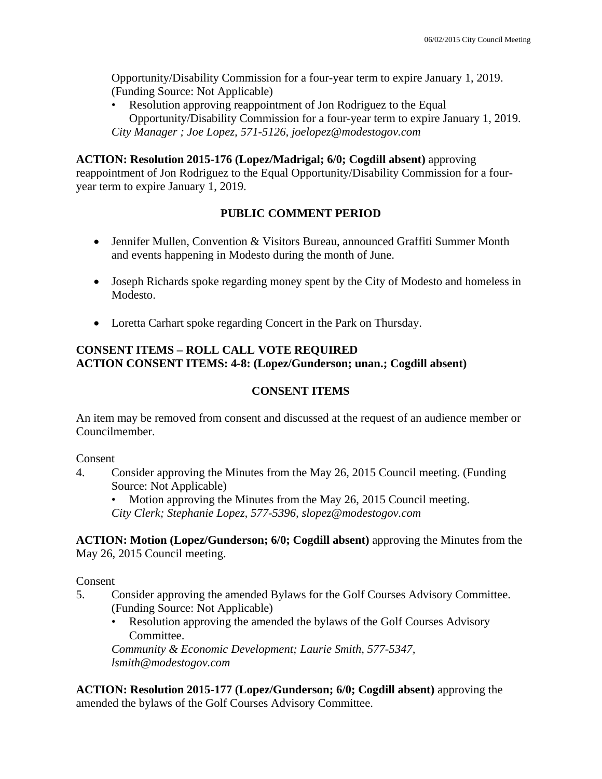Opportunity/Disability Commission for a four-year term to expire January 1, 2019. (Funding Source: Not Applicable)

• Resolution approving reappointment of Jon Rodriguez to the Equal Opportunity/Disability Commission for a four-year term to expire January 1, 2019. *City Manager ; Joe Lopez, 571-5126, joelopez@modestogov.com* 

### **ACTION: Resolution 2015-176 (Lopez/Madrigal; 6/0; Cogdill absent)** approving

reappointment of Jon Rodriguez to the Equal Opportunity/Disability Commission for a fouryear term to expire January 1, 2019.

# **PUBLIC COMMENT PERIOD**

- Jennifer Mullen, Convention & Visitors Bureau, announced Graffiti Summer Month and events happening in Modesto during the month of June.
- Joseph Richards spoke regarding money spent by the City of Modesto and homeless in Modesto.
- Loretta Carhart spoke regarding Concert in the Park on Thursday.

### **CONSENT ITEMS – ROLL CALL VOTE REQUIRED ACTION CONSENT ITEMS: 4-8: (Lopez/Gunderson; unan.; Cogdill absent)**

# **CONSENT ITEMS**

An item may be removed from consent and discussed at the request of an audience member or Councilmember.

#### Consent

4. Consider approving the Minutes from the May 26, 2015 Council meeting. (Funding Source: Not Applicable)

• Motion approving the Minutes from the May 26, 2015 Council meeting. *City Clerk; Stephanie Lopez, 577-5396, slopez@modestogov.com* 

**ACTION: Motion (Lopez/Gunderson; 6/0; Cogdill absent)** approving the Minutes from the May 26, 2015 Council meeting.

Consent

- 5. Consider approving the amended Bylaws for the Golf Courses Advisory Committee. (Funding Source: Not Applicable)
	- Resolution approving the amended the bylaws of the Golf Courses Advisory Committee.

*Community & Economic Development; Laurie Smith, 577-5347, lsmith@modestogov.com* 

**ACTION: Resolution 2015-177 (Lopez/Gunderson; 6/0; Cogdill absent)** approving the amended the bylaws of the Golf Courses Advisory Committee.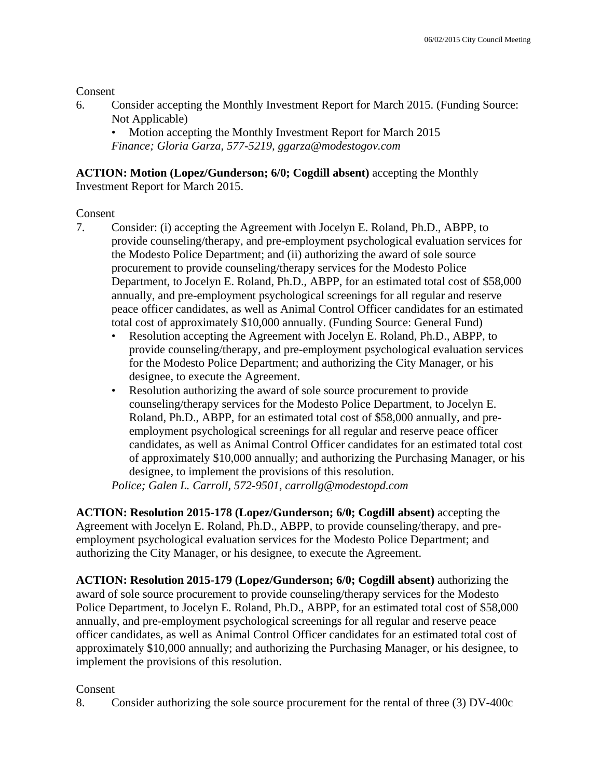**Consent** 

6. Consider accepting the Monthly Investment Report for March 2015. (Funding Source: Not Applicable)

• Motion accepting the Monthly Investment Report for March 2015 *Finance; Gloria Garza, 577-5219, ggarza@modestogov.com* 

**ACTION: Motion (Lopez/Gunderson; 6/0; Cogdill absent)** accepting the Monthly Investment Report for March 2015.

# Consent

- 7. Consider: (i) accepting the Agreement with Jocelyn E. Roland, Ph.D., ABPP, to provide counseling/therapy, and pre-employment psychological evaluation services for the Modesto Police Department; and (ii) authorizing the award of sole source procurement to provide counseling/therapy services for the Modesto Police Department, to Jocelyn E. Roland, Ph.D., ABPP, for an estimated total cost of \$58,000 annually, and pre-employment psychological screenings for all regular and reserve peace officer candidates, as well as Animal Control Officer candidates for an estimated total cost of approximately \$10,000 annually. (Funding Source: General Fund)
	- Resolution accepting the Agreement with Jocelyn E. Roland, Ph.D., ABPP, to provide counseling/therapy, and pre-employment psychological evaluation services for the Modesto Police Department; and authorizing the City Manager, or his designee, to execute the Agreement.
	- Resolution authorizing the award of sole source procurement to provide counseling/therapy services for the Modesto Police Department, to Jocelyn E. Roland, Ph.D., ABPP, for an estimated total cost of \$58,000 annually, and preemployment psychological screenings for all regular and reserve peace officer candidates, as well as Animal Control Officer candidates for an estimated total cost of approximately \$10,000 annually; and authorizing the Purchasing Manager, or his designee, to implement the provisions of this resolution.

*Police; Galen L. Carroll, 572-9501, carrollg@modestopd.com* 

**ACTION: Resolution 2015-178 (Lopez/Gunderson; 6/0; Cogdill absent)** accepting the Agreement with Jocelyn E. Roland, Ph.D., ABPP, to provide counseling/therapy, and preemployment psychological evaluation services for the Modesto Police Department; and authorizing the City Manager, or his designee, to execute the Agreement.

**ACTION: Resolution 2015-179 (Lopez/Gunderson; 6/0; Cogdill absent)** authorizing the award of sole source procurement to provide counseling/therapy services for the Modesto Police Department, to Jocelyn E. Roland, Ph.D., ABPP, for an estimated total cost of \$58,000 annually, and pre-employment psychological screenings for all regular and reserve peace officer candidates, as well as Animal Control Officer candidates for an estimated total cost of approximately \$10,000 annually; and authorizing the Purchasing Manager, or his designee, to implement the provisions of this resolution.

# Consent

8. Consider authorizing the sole source procurement for the rental of three (3) DV-400c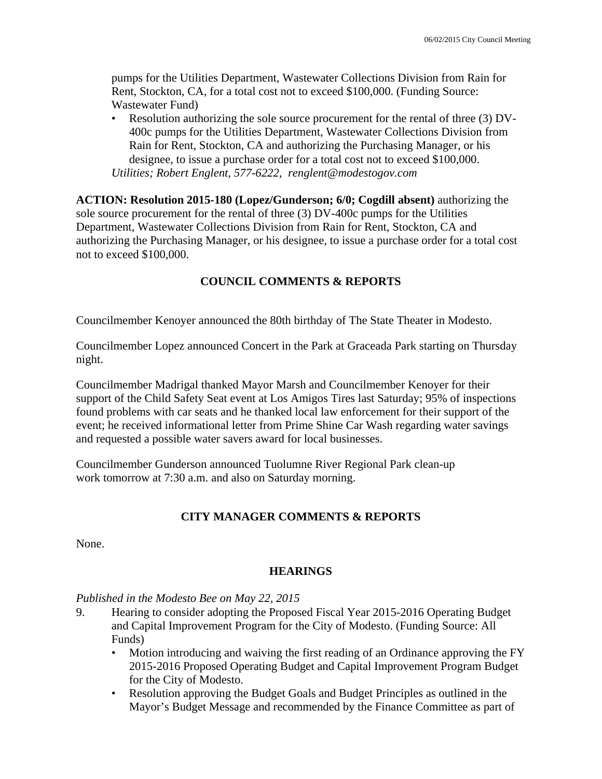pumps for the Utilities Department, Wastewater Collections Division from Rain for Rent, Stockton, CA, for a total cost not to exceed \$100,000. (Funding Source: Wastewater Fund)

• Resolution authorizing the sole source procurement for the rental of three (3) DV-400c pumps for the Utilities Department, Wastewater Collections Division from Rain for Rent, Stockton, CA and authorizing the Purchasing Manager, or his designee, to issue a purchase order for a total cost not to exceed \$100,000. *Utilities; Robert Englent, 577-6222, renglent@modestogov.com* 

**ACTION: Resolution 2015-180 (Lopez/Gunderson; 6/0; Cogdill absent)** authorizing the sole source procurement for the rental of three (3) DV-400c pumps for the Utilities Department, Wastewater Collections Division from Rain for Rent, Stockton, CA and authorizing the Purchasing Manager, or his designee, to issue a purchase order for a total cost not to exceed \$100,000.

# **COUNCIL COMMENTS & REPORTS**

Councilmember Kenoyer announced the 80th birthday of The State Theater in Modesto.

Councilmember Lopez announced Concert in the Park at Graceada Park starting on Thursday night.

Councilmember Madrigal thanked Mayor Marsh and Councilmember Kenoyer for their support of the Child Safety Seat event at Los Amigos Tires last Saturday; 95% of inspections found problems with car seats and he thanked local law enforcement for their support of the event; he received informational letter from Prime Shine Car Wash regarding water savings and requested a possible water savers award for local businesses.

Councilmember Gunderson announced Tuolumne River Regional Park clean-up work tomorrow at 7:30 a.m. and also on Saturday morning.

# **CITY MANAGER COMMENTS & REPORTS**

None.

# **HEARINGS**

# *Published in the Modesto Bee on May 22, 2015*

- 9. Hearing to consider adopting the Proposed Fiscal Year 2015-2016 Operating Budget and Capital Improvement Program for the City of Modesto. (Funding Source: All Funds)
	- Motion introducing and waiving the first reading of an Ordinance approving the FY 2015-2016 Proposed Operating Budget and Capital Improvement Program Budget for the City of Modesto.
	- Resolution approving the Budget Goals and Budget Principles as outlined in the Mayor's Budget Message and recommended by the Finance Committee as part of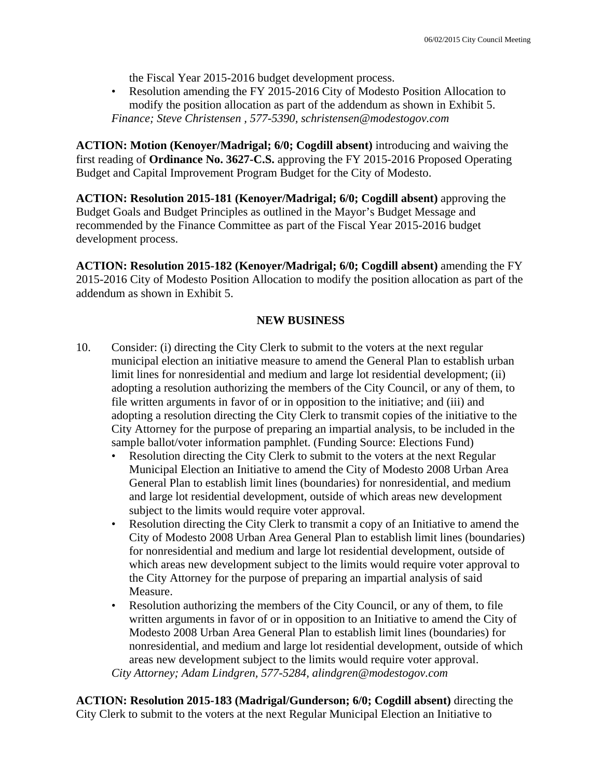the Fiscal Year 2015-2016 budget development process.

• Resolution amending the FY 2015-2016 City of Modesto Position Allocation to modify the position allocation as part of the addendum as shown in Exhibit 5. *Finance; Steve Christensen , 577-5390, schristensen@modestogov.com* 

**ACTION: Motion (Kenoyer/Madrigal; 6/0; Cogdill absent)** introducing and waiving the first reading of **Ordinance No. 3627-C.S.** approving the FY 2015-2016 Proposed Operating Budget and Capital Improvement Program Budget for the City of Modesto.

**ACTION: Resolution 2015-181 (Kenoyer/Madrigal; 6/0; Cogdill absent)** approving the Budget Goals and Budget Principles as outlined in the Mayor's Budget Message and recommended by the Finance Committee as part of the Fiscal Year 2015-2016 budget development process.

**ACTION: Resolution 2015-182 (Kenoyer/Madrigal; 6/0; Cogdill absent)** amending the FY 2015-2016 City of Modesto Position Allocation to modify the position allocation as part of the addendum as shown in Exhibit 5.

# **NEW BUSINESS**

- 10. Consider: (i) directing the City Clerk to submit to the voters at the next regular municipal election an initiative measure to amend the General Plan to establish urban limit lines for nonresidential and medium and large lot residential development; (ii) adopting a resolution authorizing the members of the City Council, or any of them, to file written arguments in favor of or in opposition to the initiative; and (iii) and adopting a resolution directing the City Clerk to transmit copies of the initiative to the City Attorney for the purpose of preparing an impartial analysis, to be included in the sample ballot/voter information pamphlet. (Funding Source: Elections Fund)
	- Resolution directing the City Clerk to submit to the voters at the next Regular Municipal Election an Initiative to amend the City of Modesto 2008 Urban Area General Plan to establish limit lines (boundaries) for nonresidential, and medium and large lot residential development, outside of which areas new development subject to the limits would require voter approval.
	- Resolution directing the City Clerk to transmit a copy of an Initiative to amend the City of Modesto 2008 Urban Area General Plan to establish limit lines (boundaries) for nonresidential and medium and large lot residential development, outside of which areas new development subject to the limits would require voter approval to the City Attorney for the purpose of preparing an impartial analysis of said Measure.
	- Resolution authorizing the members of the City Council, or any of them, to file written arguments in favor of or in opposition to an Initiative to amend the City of Modesto 2008 Urban Area General Plan to establish limit lines (boundaries) for nonresidential, and medium and large lot residential development, outside of which areas new development subject to the limits would require voter approval. *City Attorney; Adam Lindgren, 577-5284, alindgren@modestogov.com*

**ACTION: Resolution 2015-183 (Madrigal/Gunderson; 6/0; Cogdill absent)** directing the City Clerk to submit to the voters at the next Regular Municipal Election an Initiative to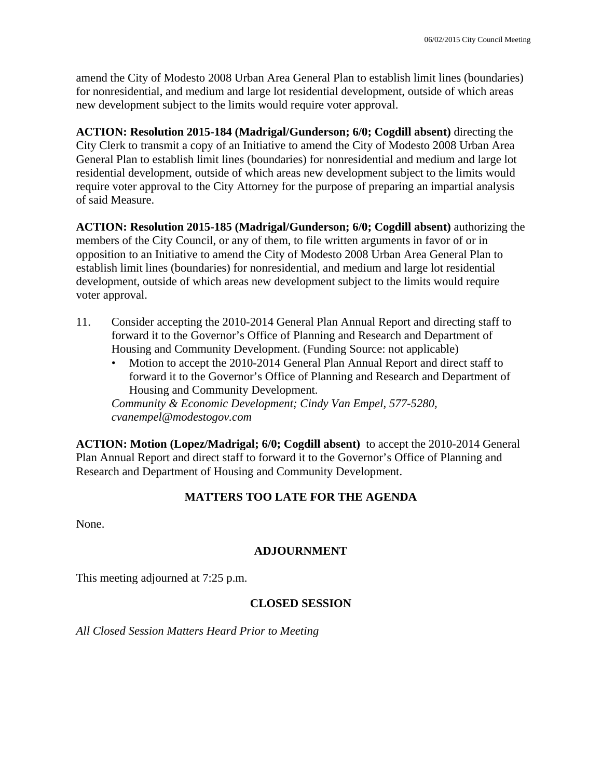amend the City of Modesto 2008 Urban Area General Plan to establish limit lines (boundaries) for nonresidential, and medium and large lot residential development, outside of which areas new development subject to the limits would require voter approval.

**ACTION: Resolution 2015-184 (Madrigal/Gunderson; 6/0; Cogdill absent)** directing the City Clerk to transmit a copy of an Initiative to amend the City of Modesto 2008 Urban Area General Plan to establish limit lines (boundaries) for nonresidential and medium and large lot residential development, outside of which areas new development subject to the limits would require voter approval to the City Attorney for the purpose of preparing an impartial analysis of said Measure.

**ACTION: Resolution 2015-185 (Madrigal/Gunderson; 6/0; Cogdill absent)** authorizing the members of the City Council, or any of them, to file written arguments in favor of or in opposition to an Initiative to amend the City of Modesto 2008 Urban Area General Plan to establish limit lines (boundaries) for nonresidential, and medium and large lot residential development, outside of which areas new development subject to the limits would require voter approval.

- 11. Consider accepting the 2010-2014 General Plan Annual Report and directing staff to forward it to the Governor's Office of Planning and Research and Department of Housing and Community Development. (Funding Source: not applicable)
	- Motion to accept the 2010-2014 General Plan Annual Report and direct staff to forward it to the Governor's Office of Planning and Research and Department of Housing and Community Development.

*Community & Economic Development; Cindy Van Empel, 577-5280, cvanempel@modestogov.com* 

**ACTION: Motion (Lopez/Madrigal; 6/0; Cogdill absent)** to accept the 2010-2014 General Plan Annual Report and direct staff to forward it to the Governor's Office of Planning and Research and Department of Housing and Community Development.

# **MATTERS TOO LATE FOR THE AGENDA**

None.

# **ADJOURNMENT**

This meeting adjourned at 7:25 p.m.

# **CLOSED SESSION**

*All Closed Session Matters Heard Prior to Meeting*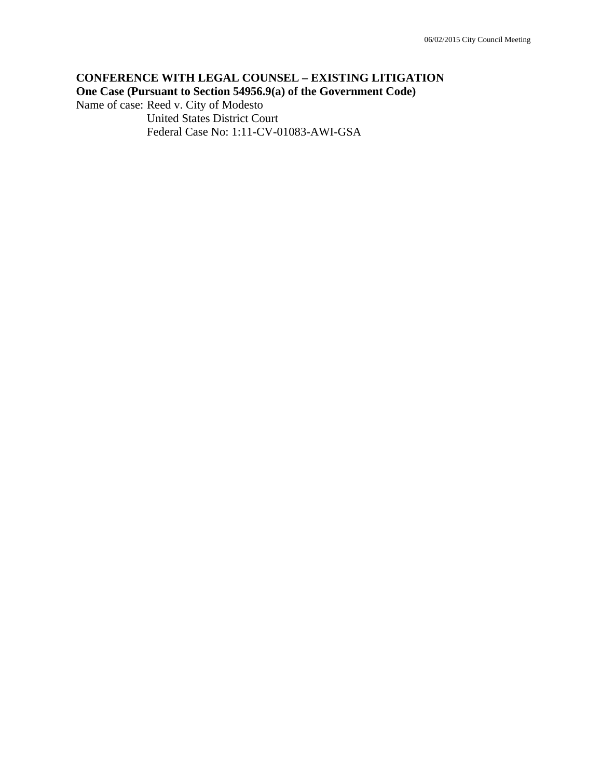# **CONFERENCE WITH LEGAL COUNSEL – EXISTING LITIGATION One Case (Pursuant to Section 54956.9(a) of the Government Code)**

Name of case: Reed v. City of Modesto United States District Court

Federal Case No: 1:11-CV-01083-AWI-GSA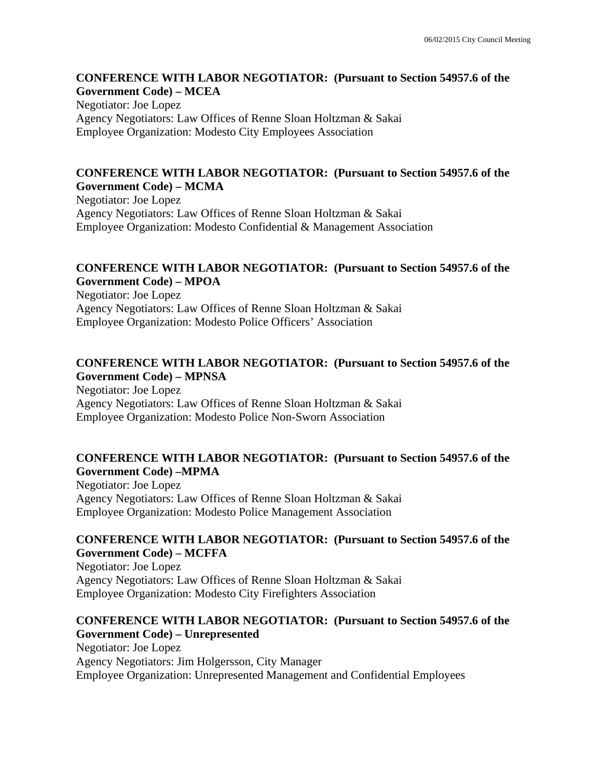#### **CONFERENCE WITH LABOR NEGOTIATOR: (Pursuant to Section 54957.6 of the Government Code) – MCEA**

Negotiator: Joe Lopez Agency Negotiators: Law Offices of Renne Sloan Holtzman & Sakai Employee Organization: Modesto City Employees Association

### **CONFERENCE WITH LABOR NEGOTIATOR: (Pursuant to Section 54957.6 of the Government Code) – MCMA**

Negotiator: Joe Lopez Agency Negotiators: Law Offices of Renne Sloan Holtzman & Sakai Employee Organization: Modesto Confidential & Management Association

### **CONFERENCE WITH LABOR NEGOTIATOR: (Pursuant to Section 54957.6 of the Government Code) – MPOA**

Negotiator: Joe Lopez Agency Negotiators: Law Offices of Renne Sloan Holtzman & Sakai Employee Organization: Modesto Police Officers' Association

### **CONFERENCE WITH LABOR NEGOTIATOR: (Pursuant to Section 54957.6 of the Government Code) – MPNSA**

Negotiator: Joe Lopez Agency Negotiators: Law Offices of Renne Sloan Holtzman & Sakai Employee Organization: Modesto Police Non-Sworn Association

# **CONFERENCE WITH LABOR NEGOTIATOR: (Pursuant to Section 54957.6 of the Government Code) –MPMA**

Negotiator: Joe Lopez Agency Negotiators: Law Offices of Renne Sloan Holtzman & Sakai Employee Organization: Modesto Police Management Association

# **CONFERENCE WITH LABOR NEGOTIATOR: (Pursuant to Section 54957.6 of the Government Code) – MCFFA**

Negotiator: Joe Lopez Agency Negotiators: Law Offices of Renne Sloan Holtzman & Sakai Employee Organization: Modesto City Firefighters Association

# **CONFERENCE WITH LABOR NEGOTIATOR: (Pursuant to Section 54957.6 of the Government Code) – Unrepresented**

Negotiator: Joe Lopez Agency Negotiators: Jim Holgersson, City Manager Employee Organization: Unrepresented Management and Confidential Employees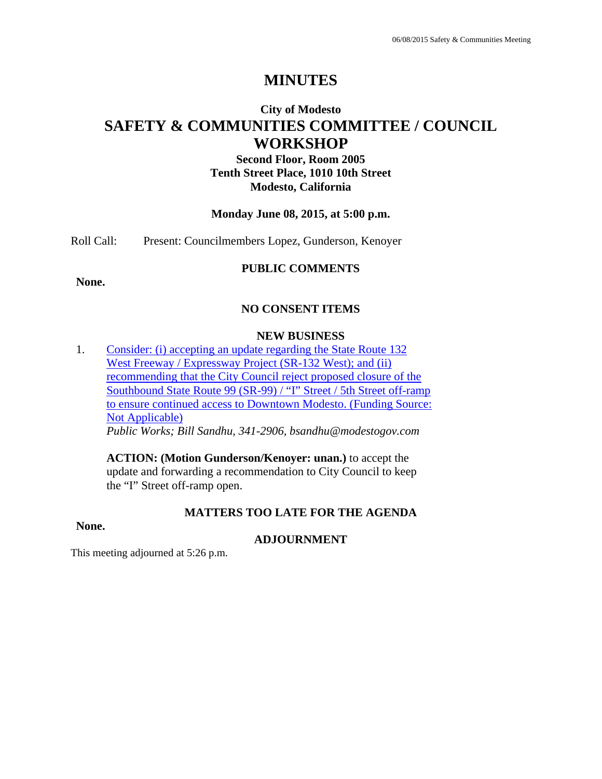# **MINUTES**

# **City of Modesto SAFETY & COMMUNITIES COMMITTEE / COUNCIL WORKSHOP**

**Second Floor, Room 2005 Tenth Street Place, 1010 10th Street Modesto, California**

#### **Monday June 08, 2015, at 5:00 p.m.**

Roll Call: Present: Councilmembers Lopez, Gunderson, Kenoyer

#### **PUBLIC COMMENTS**

**None.** 

# **NO CONSENT ITEMS**

#### **NEW BUSINESS**

1. Consider: (i) accepting an update regarding the State Route 132 West Freeway / Expressway Project (SR-132 West); and (ii) recommending that the City Council reject proposed closure of the Southbound State Route 99 (SR-99) / "I" Street / 5th Street off-ramp to ensure continued access to Downtown Modesto. (Funding Source: Not Applicable) *Public Works; Bill Sandhu, 341-2906, bsandhu@modestogov.com* 

**ACTION: (Motion Gunderson/Kenoyer: unan.)** to accept the update and forwarding a recommendation to City Council to keep the "I" Street off-ramp open.

#### **MATTERS TOO LATE FOR THE AGENDA**

#### **None.**

#### **ADJOURNMENT**

This meeting adjourned at 5:26 p.m.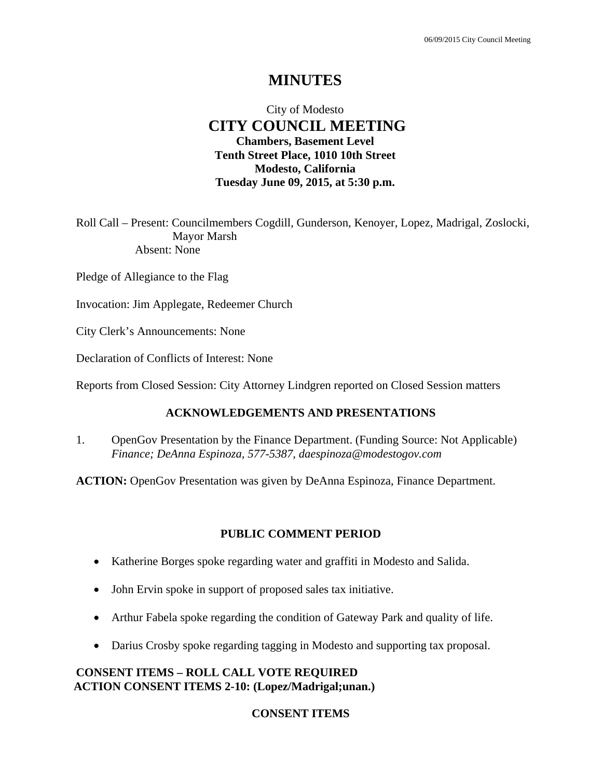# **MINUTES**

# City of Modesto  **CITY COUNCIL MEETING Chambers, Basement Level Tenth Street Place, 1010 10th Street Modesto, California Tuesday June 09, 2015, at 5:30 p.m.**

Roll Call – Present: Councilmembers Cogdill, Gunderson, Kenoyer, Lopez, Madrigal, Zoslocki, Mayor Marsh Absent: None

Pledge of Allegiance to the Flag

Invocation: Jim Applegate, Redeemer Church

City Clerk's Announcements: None

Declaration of Conflicts of Interest: None

Reports from Closed Session: City Attorney Lindgren reported on Closed Session matters

#### **ACKNOWLEDGEMENTS AND PRESENTATIONS**

1. OpenGov Presentation by the Finance Department. (Funding Source: Not Applicable)  *Finance; DeAnna Espinoza, 577-5387, daespinoza@modestogov.com* 

**ACTION:** OpenGov Presentation was given by DeAnna Espinoza, Finance Department.

#### **PUBLIC COMMENT PERIOD**

- Katherine Borges spoke regarding water and graffiti in Modesto and Salida.
- John Ervin spoke in support of proposed sales tax initiative.
- Arthur Fabela spoke regarding the condition of Gateway Park and quality of life.
- Darius Crosby spoke regarding tagging in Modesto and supporting tax proposal.

#### **CONSENT ITEMS – ROLL CALL VOTE REQUIRED ACTION CONSENT ITEMS 2-10: (Lopez/Madrigal;unan.)**

#### **CONSENT ITEMS**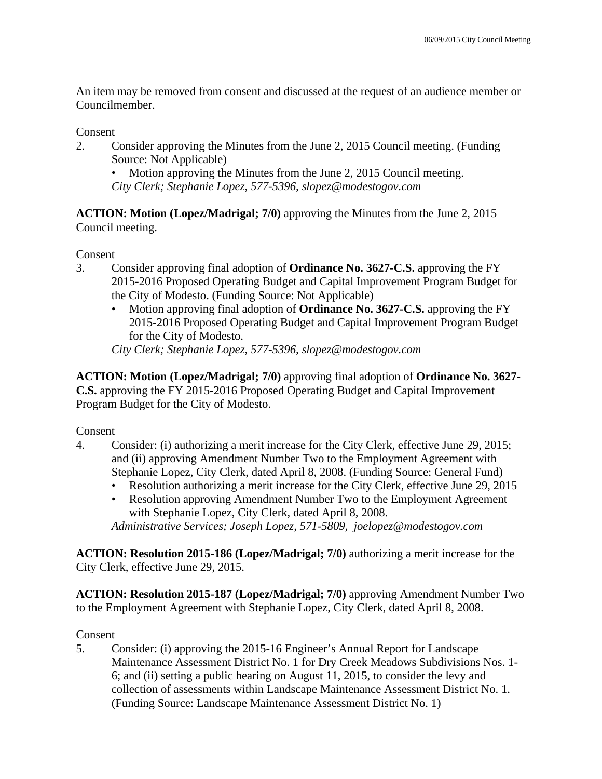An item may be removed from consent and discussed at the request of an audience member or Councilmember.

### Consent

2. Consider approving the Minutes from the June 2, 2015 Council meeting. (Funding Source: Not Applicable)

• Motion approving the Minutes from the June 2, 2015 Council meeting. *City Clerk; Stephanie Lopez, 577-5396, slopez@modestogov.com* 

**ACTION: Motion (Lopez/Madrigal; 7/0)** approving the Minutes from the June 2, 2015 Council meeting.

### Consent

- 3. Consider approving final adoption of **Ordinance No. 3627-C.S.** approving the FY 2015-2016 Proposed Operating Budget and Capital Improvement Program Budget for the City of Modesto. (Funding Source: Not Applicable)
	- Motion approving final adoption of **Ordinance No. 3627-C.S.** approving the FY 2015-2016 Proposed Operating Budget and Capital Improvement Program Budget for the City of Modesto.

*City Clerk; Stephanie Lopez, 577-5396, slopez@modestogov.com* 

**ACTION: Motion (Lopez/Madrigal; 7/0)** approving final adoption of **Ordinance No. 3627- C.S.** approving the FY 2015-2016 Proposed Operating Budget and Capital Improvement Program Budget for the City of Modesto.

Consent

- 4. Consider: (i) authorizing a merit increase for the City Clerk, effective June 29, 2015; and (ii) approving Amendment Number Two to the Employment Agreement with Stephanie Lopez, City Clerk, dated April 8, 2008. (Funding Source: General Fund)
	- Resolution authorizing a merit increase for the City Clerk, effective June 29, 2015
	- Resolution approving Amendment Number Two to the Employment Agreement with Stephanie Lopez, City Clerk, dated April 8, 2008.

*Administrative Services; Joseph Lopez, 571-5809, joelopez@modestogov.com* 

**ACTION: Resolution 2015-186 (Lopez/Madrigal; 7/0)** authorizing a merit increase for the City Clerk, effective June 29, 2015.

**ACTION: Resolution 2015-187 (Lopez/Madrigal; 7/0)** approving Amendment Number Two to the Employment Agreement with Stephanie Lopez, City Clerk, dated April 8, 2008.

# Consent

5. Consider: (i) approving the 2015-16 Engineer's Annual Report for Landscape Maintenance Assessment District No. 1 for Dry Creek Meadows Subdivisions Nos. 1- 6; and (ii) setting a public hearing on August 11, 2015, to consider the levy and collection of assessments within Landscape Maintenance Assessment District No. 1. (Funding Source: Landscape Maintenance Assessment District No. 1)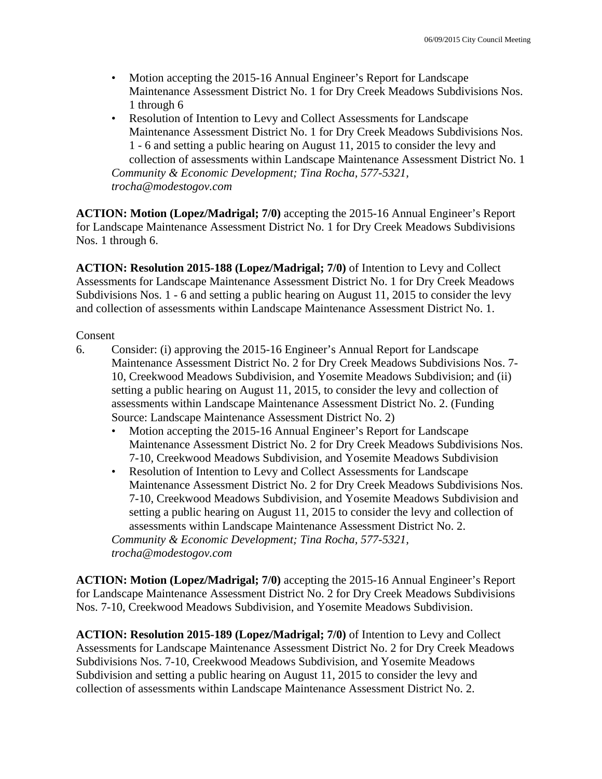- Motion accepting the 2015-16 Annual Engineer's Report for Landscape Maintenance Assessment District No. 1 for Dry Creek Meadows Subdivisions Nos. 1 through 6
- Resolution of Intention to Levy and Collect Assessments for Landscape Maintenance Assessment District No. 1 for Dry Creek Meadows Subdivisions Nos. 1 - 6 and setting a public hearing on August 11, 2015 to consider the levy and collection of assessments within Landscape Maintenance Assessment District No. 1 *Community & Economic Development; Tina Rocha, 577-5321, trocha@modestogov.com*

**ACTION: Motion (Lopez/Madrigal; 7/0)** accepting the 2015-16 Annual Engineer's Report for Landscape Maintenance Assessment District No. 1 for Dry Creek Meadows Subdivisions Nos. 1 through 6.

**ACTION: Resolution 2015-188 (Lopez/Madrigal; 7/0)** of Intention to Levy and Collect Assessments for Landscape Maintenance Assessment District No. 1 for Dry Creek Meadows Subdivisions Nos. 1 - 6 and setting a public hearing on August 11, 2015 to consider the levy and collection of assessments within Landscape Maintenance Assessment District No. 1.

### Consent

- 6. Consider: (i) approving the 2015-16 Engineer's Annual Report for Landscape Maintenance Assessment District No. 2 for Dry Creek Meadows Subdivisions Nos. 7- 10, Creekwood Meadows Subdivision, and Yosemite Meadows Subdivision; and (ii) setting a public hearing on August 11, 2015, to consider the levy and collection of assessments within Landscape Maintenance Assessment District No. 2. (Funding Source: Landscape Maintenance Assessment District No. 2)
	- Motion accepting the 2015-16 Annual Engineer's Report for Landscape Maintenance Assessment District No. 2 for Dry Creek Meadows Subdivisions Nos. 7-10, Creekwood Meadows Subdivision, and Yosemite Meadows Subdivision
	- Resolution of Intention to Levy and Collect Assessments for Landscape Maintenance Assessment District No. 2 for Dry Creek Meadows Subdivisions Nos. 7-10, Creekwood Meadows Subdivision, and Yosemite Meadows Subdivision and setting a public hearing on August 11, 2015 to consider the levy and collection of assessments within Landscape Maintenance Assessment District No. 2.

*Community & Economic Development; Tina Rocha, 577-5321, trocha@modestogov.com* 

**ACTION: Motion (Lopez/Madrigal; 7/0)** accepting the 2015-16 Annual Engineer's Report for Landscape Maintenance Assessment District No. 2 for Dry Creek Meadows Subdivisions Nos. 7-10, Creekwood Meadows Subdivision, and Yosemite Meadows Subdivision.

**ACTION: Resolution 2015-189 (Lopez/Madrigal; 7/0)** of Intention to Levy and Collect Assessments for Landscape Maintenance Assessment District No. 2 for Dry Creek Meadows Subdivisions Nos. 7-10, Creekwood Meadows Subdivision, and Yosemite Meadows Subdivision and setting a public hearing on August 11, 2015 to consider the levy and collection of assessments within Landscape Maintenance Assessment District No. 2.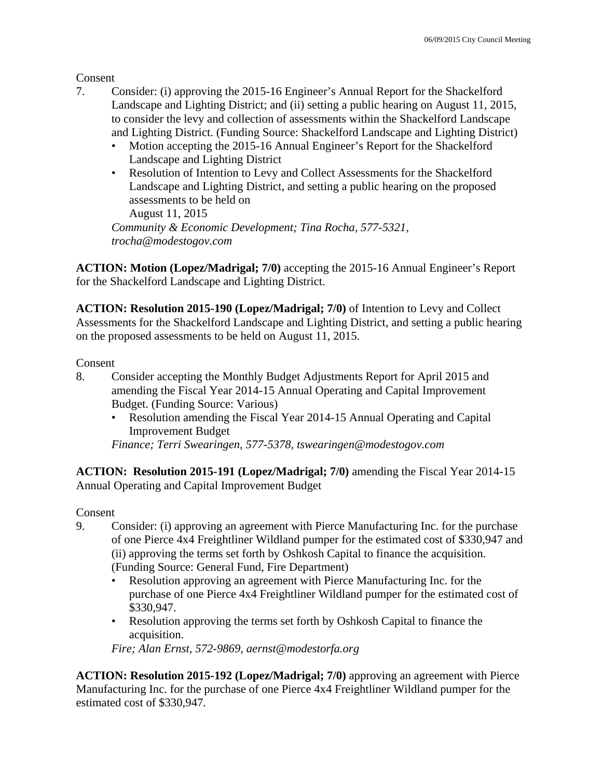Consent

- 7. Consider: (i) approving the 2015-16 Engineer's Annual Report for the Shackelford Landscape and Lighting District; and (ii) setting a public hearing on August 11, 2015, to consider the levy and collection of assessments within the Shackelford Landscape and Lighting District. (Funding Source: Shackelford Landscape and Lighting District)
	- Motion accepting the 2015-16 Annual Engineer's Report for the Shackelford Landscape and Lighting District
	- Resolution of Intention to Levy and Collect Assessments for the Shackelford Landscape and Lighting District, and setting a public hearing on the proposed assessments to be held on

August 11, 2015

*Community & Economic Development; Tina Rocha, 577-5321, trocha@modestogov.com* 

**ACTION: Motion (Lopez/Madrigal; 7/0)** accepting the 2015-16 Annual Engineer's Report for the Shackelford Landscape and Lighting District.

**ACTION: Resolution 2015-190 (Lopez/Madrigal; 7/0)** of Intention to Levy and Collect Assessments for the Shackelford Landscape and Lighting District, and setting a public hearing on the proposed assessments to be held on August 11, 2015.

Consent

- 8. Consider accepting the Monthly Budget Adjustments Report for April 2015 and amending the Fiscal Year 2014-15 Annual Operating and Capital Improvement Budget. (Funding Source: Various)
	- Resolution amending the Fiscal Year 2014-15 Annual Operating and Capital Improvement Budget

*Finance; Terri Swearingen, 577-5378, tswearingen@modestogov.com* 

**ACTION: Resolution 2015-191 (Lopez/Madrigal; 7/0)** amending the Fiscal Year 2014-15 Annual Operating and Capital Improvement Budget

Consent

- 9. Consider: (i) approving an agreement with Pierce Manufacturing Inc. for the purchase of one Pierce 4x4 Freightliner Wildland pumper for the estimated cost of \$330,947 and (ii) approving the terms set forth by Oshkosh Capital to finance the acquisition. (Funding Source: General Fund, Fire Department)
	- Resolution approving an agreement with Pierce Manufacturing Inc. for the purchase of one Pierce 4x4 Freightliner Wildland pumper for the estimated cost of \$330,947.
	- Resolution approving the terms set forth by Oshkosh Capital to finance the acquisition.

*Fire; Alan Ernst, 572-9869, aernst@modestorfa.org* 

**ACTION: Resolution 2015-192 (Lopez/Madrigal; 7/0)** approving an agreement with Pierce Manufacturing Inc. for the purchase of one Pierce 4x4 Freightliner Wildland pumper for the estimated cost of \$330,947.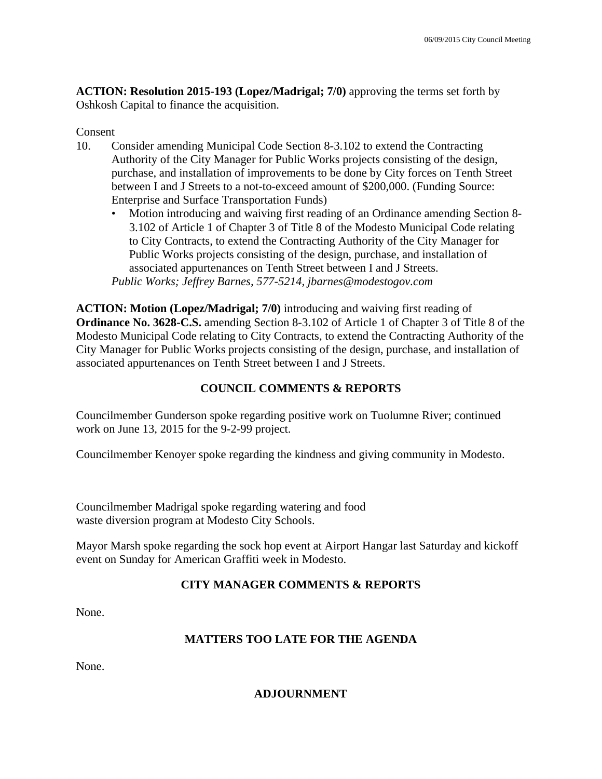**ACTION: Resolution 2015-193 (Lopez/Madrigal; 7/0)** approving the terms set forth by Oshkosh Capital to finance the acquisition.

### Consent

- 10. Consider amending Municipal Code Section 8-3.102 to extend the Contracting Authority of the City Manager for Public Works projects consisting of the design, purchase, and installation of improvements to be done by City forces on Tenth Street between I and J Streets to a not-to-exceed amount of \$200,000. (Funding Source: Enterprise and Surface Transportation Funds)
	- Motion introducing and waiving first reading of an Ordinance amending Section 8- 3.102 of Article 1 of Chapter 3 of Title 8 of the Modesto Municipal Code relating to City Contracts, to extend the Contracting Authority of the City Manager for Public Works projects consisting of the design, purchase, and installation of associated appurtenances on Tenth Street between I and J Streets. *Public Works; Jeffrey Barnes, 577-5214, jbarnes@modestogov.com*

**ACTION: Motion (Lopez/Madrigal; 7/0)** introducing and waiving first reading of **Ordinance No. 3628-C.S.** amending Section 8-3.102 of Article 1 of Chapter 3 of Title 8 of the Modesto Municipal Code relating to City Contracts, to extend the Contracting Authority of the City Manager for Public Works projects consisting of the design, purchase, and installation of associated appurtenances on Tenth Street between I and J Streets.

# **COUNCIL COMMENTS & REPORTS**

Councilmember Gunderson spoke regarding positive work on Tuolumne River; continued work on June 13, 2015 for the 9-2-99 project.

Councilmember Kenoyer spoke regarding the kindness and giving community in Modesto.

Councilmember Madrigal spoke regarding watering and food waste diversion program at Modesto City Schools.

Mayor Marsh spoke regarding the sock hop event at Airport Hangar last Saturday and kickoff event on Sunday for American Graffiti week in Modesto.

# **CITY MANAGER COMMENTS & REPORTS**

None.

# **MATTERS TOO LATE FOR THE AGENDA**

None.

# **ADJOURNMENT**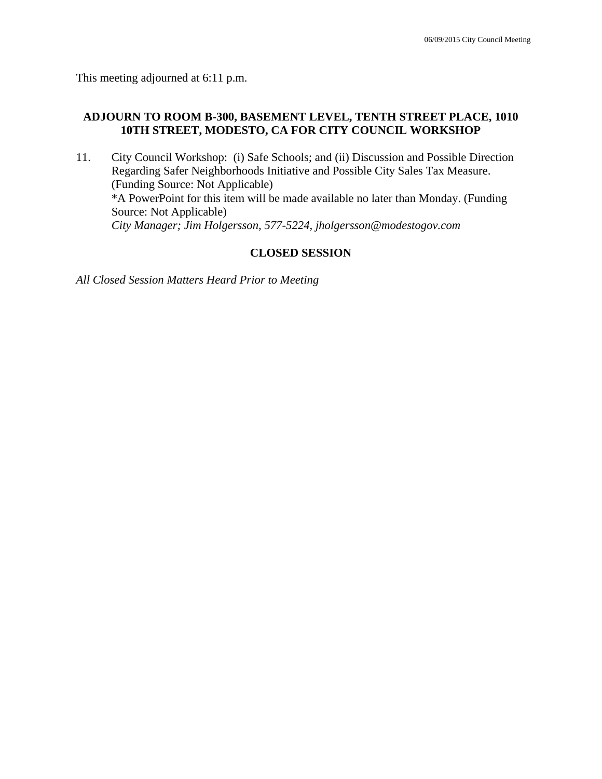This meeting adjourned at 6:11 p.m.

#### **ADJOURN TO ROOM B-300, BASEMENT LEVEL, TENTH STREET PLACE, 1010 10TH STREET, MODESTO, CA FOR CITY COUNCIL WORKSHOP**

11. City Council Workshop: (i) Safe Schools; and (ii) Discussion and Possible Direction Regarding Safer Neighborhoods Initiative and Possible City Sales Tax Measure. (Funding Source: Not Applicable) \*A PowerPoint for this item will be made available no later than Monday. (Funding Source: Not Applicable)  *City Manager; Jim Holgersson, 577-5224, jholgersson@modestogov.com* 

#### **CLOSED SESSION**

*All Closed Session Matters Heard Prior to Meeting*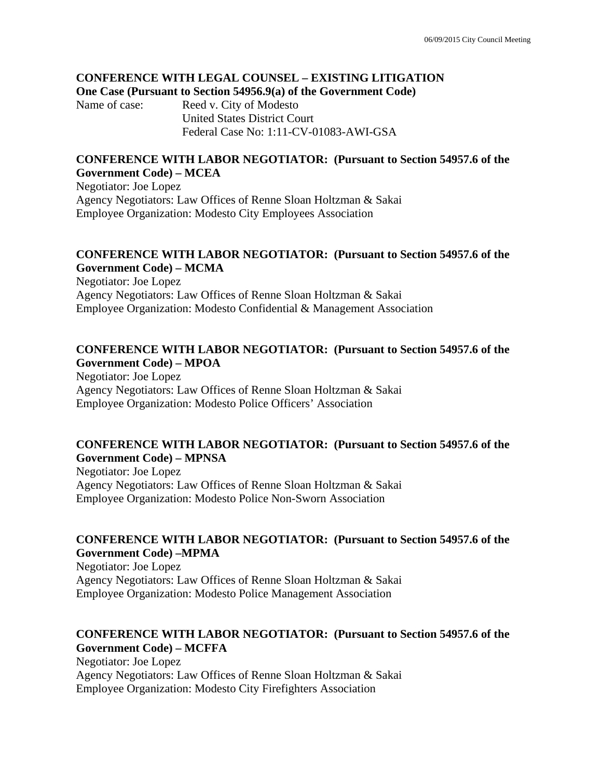#### **CONFERENCE WITH LEGAL COUNSEL – EXISTING LITIGATION One Case (Pursuant to Section 54956.9(a) of the Government Code)**

Name of case: Reed v. City of Modesto United States District Court Federal Case No: 1:11-CV-01083-AWI-GSA

#### **CONFERENCE WITH LABOR NEGOTIATOR: (Pursuant to Section 54957.6 of the Government Code) – MCEA**

Negotiator: Joe Lopez Agency Negotiators: Law Offices of Renne Sloan Holtzman & Sakai Employee Organization: Modesto City Employees Association

### **CONFERENCE WITH LABOR NEGOTIATOR: (Pursuant to Section 54957.6 of the Government Code) – MCMA**

Negotiator: Joe Lopez Agency Negotiators: Law Offices of Renne Sloan Holtzman & Sakai Employee Organization: Modesto Confidential & Management Association

#### **CONFERENCE WITH LABOR NEGOTIATOR: (Pursuant to Section 54957.6 of the Government Code) – MPOA**

Negotiator: Joe Lopez Agency Negotiators: Law Offices of Renne Sloan Holtzman & Sakai Employee Organization: Modesto Police Officers' Association

#### **CONFERENCE WITH LABOR NEGOTIATOR: (Pursuant to Section 54957.6 of the Government Code) – MPNSA**

Negotiator: Joe Lopez Agency Negotiators: Law Offices of Renne Sloan Holtzman & Sakai Employee Organization: Modesto Police Non-Sworn Association

# **CONFERENCE WITH LABOR NEGOTIATOR: (Pursuant to Section 54957.6 of the Government Code) –MPMA**

Negotiator: Joe Lopez Agency Negotiators: Law Offices of Renne Sloan Holtzman & Sakai Employee Organization: Modesto Police Management Association

# **CONFERENCE WITH LABOR NEGOTIATOR: (Pursuant to Section 54957.6 of the Government Code) – MCFFA**

Negotiator: Joe Lopez Agency Negotiators: Law Offices of Renne Sloan Holtzman & Sakai Employee Organization: Modesto City Firefighters Association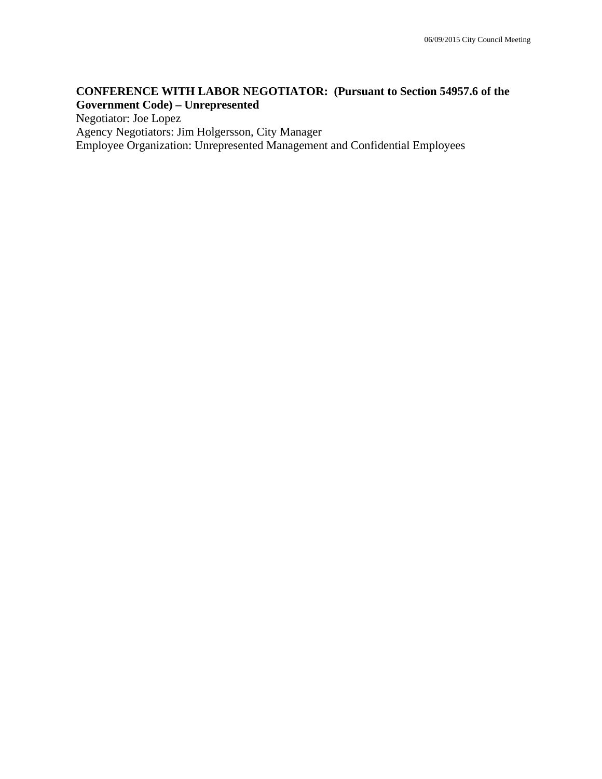# **CONFERENCE WITH LABOR NEGOTIATOR: (Pursuant to Section 54957.6 of the Government Code) – Unrepresented**

Negotiator: Joe Lopez

Agency Negotiators: Jim Holgersson, City Manager

Employee Organization: Unrepresented Management and Confidential Employees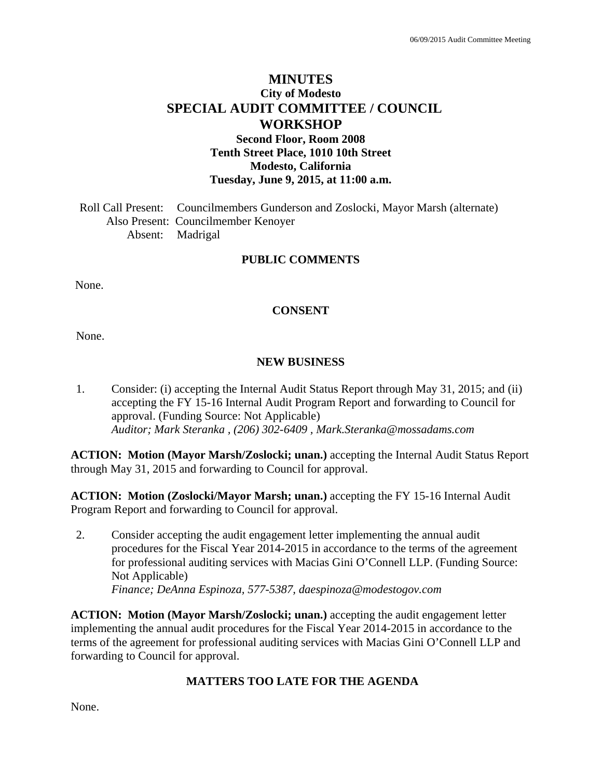# **MINUTES City of Modesto SPECIAL AUDIT COMMITTEE / COUNCIL WORKSHOP Second Floor, Room 2008 Tenth Street Place, 1010 10th Street**

**Modesto, California Tuesday, June 9, 2015, at 11:00 a.m.** 

Roll Call Present: Councilmembers Gunderson and Zoslocki, Mayor Marsh (alternate) Also Present: Councilmember Kenoyer Absent: Madrigal

#### **PUBLIC COMMENTS**

None.

#### **CONSENT**

None.

#### **NEW BUSINESS**

1. Consider: (i) accepting the Internal Audit Status Report through May 31, 2015; and (ii) accepting the FY 15-16 Internal Audit Program Report and forwarding to Council for approval. (Funding Source: Not Applicable)  *Auditor; Mark Steranka , (206) 302-6409 , Mark.Steranka@mossadams.com* 

**ACTION: Motion (Mayor Marsh/Zoslocki; unan.)** accepting the Internal Audit Status Report through May 31, 2015 and forwarding to Council for approval.

**ACTION: Motion (Zoslocki/Mayor Marsh; unan.)** accepting the FY 15-16 Internal Audit Program Report and forwarding to Council for approval.

2. Consider accepting the audit engagement letter implementing the annual audit procedures for the Fiscal Year 2014-2015 in accordance to the terms of the agreement for professional auditing services with Macias Gini O'Connell LLP. (Funding Source: Not Applicable)  *Finance; DeAnna Espinoza, 577-5387, daespinoza@modestogov.com* 

**ACTION: Motion (Mayor Marsh/Zoslocki; unan.)** accepting the audit engagement letter implementing the annual audit procedures for the Fiscal Year 2014-2015 in accordance to the terms of the agreement for professional auditing services with Macias Gini O'Connell LLP and forwarding to Council for approval.

# **MATTERS TOO LATE FOR THE AGENDA**

None.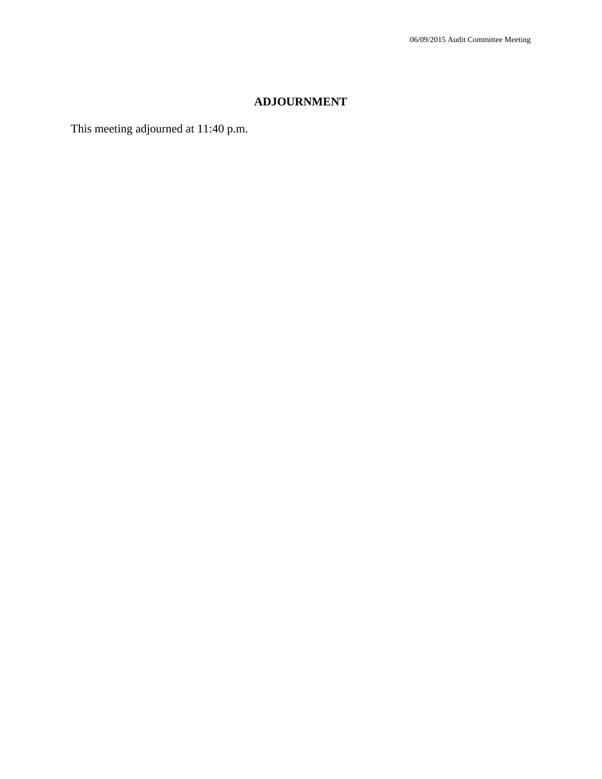# **ADJOURNMENT**

This meeting adjourned at 11:40 p.m.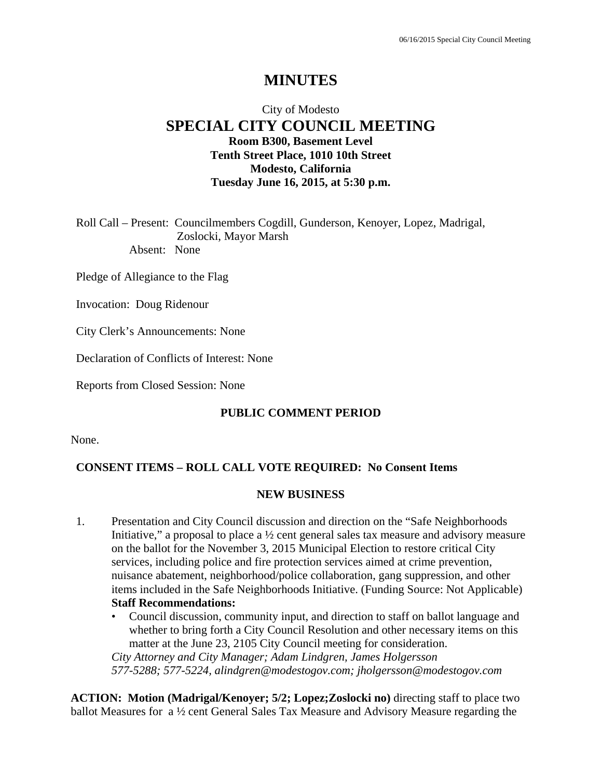# **MINUTES**

# City of Modesto **SPECIAL CITY COUNCIL MEETING Room B300, Basement Level Tenth Street Place, 1010 10th Street Modesto, California Tuesday June 16, 2015, at 5:30 p.m.**

Roll Call – Present: Councilmembers Cogdill, Gunderson, Kenoyer, Lopez, Madrigal, Zoslocki, Mayor Marsh Absent: None

Pledge of Allegiance to the Flag

Invocation: Doug Ridenour

City Clerk's Announcements: None

Declaration of Conflicts of Interest: None

Reports from Closed Session: None

#### **PUBLIC COMMENT PERIOD**

None.

#### **CONSENT ITEMS – ROLL CALL VOTE REQUIRED: No Consent Items**

#### **NEW BUSINESS**

- 1. Presentation and City Council discussion and direction on the "Safe Neighborhoods Initiative," a proposal to place a ½ cent general sales tax measure and advisory measure on the ballot for the November 3, 2015 Municipal Election to restore critical City services, including police and fire protection services aimed at crime prevention, nuisance abatement, neighborhood/police collaboration, gang suppression, and other items included in the Safe Neighborhoods Initiative. (Funding Source: Not Applicable) **Staff Recommendations:** 
	- Council discussion, community input, and direction to staff on ballot language and whether to bring forth a City Council Resolution and other necessary items on this matter at the June 23, 2105 City Council meeting for consideration. *City Attorney and City Manager; Adam Lindgren, James Holgersson 577-5288; 577-5224, alindgren@modestogov.com; jholgersson@modestogov.com*

**ACTION: Motion (Madrigal/Kenoyer; 5/2; Lopez;Zoslocki no)** directing staff to place two ballot Measures for a ½ cent General Sales Tax Measure and Advisory Measure regarding the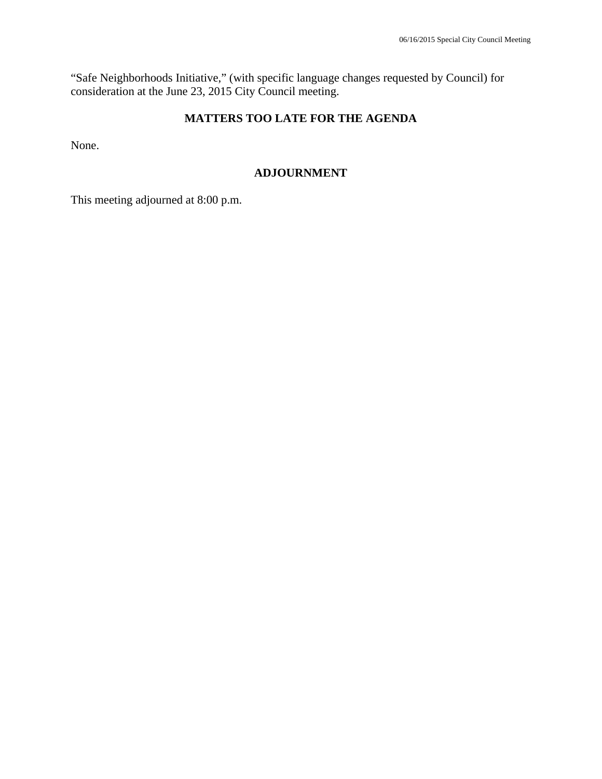"Safe Neighborhoods Initiative," (with specific language changes requested by Council) for consideration at the June 23, 2015 City Council meeting.

# **MATTERS TOO LATE FOR THE AGENDA**

None.

### **ADJOURNMENT**

This meeting adjourned at 8:00 p.m.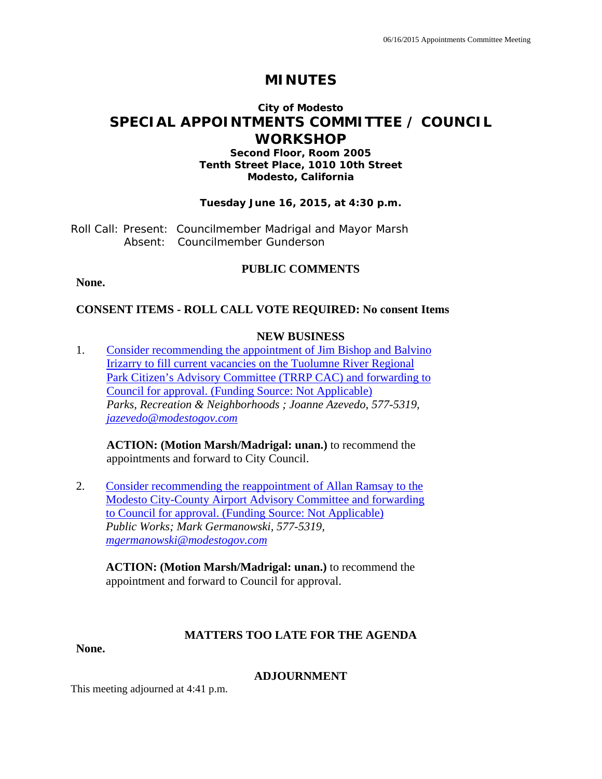# **MINUTES**

# **City of Modesto SPECIAL APPOINTMENTS COMMITTEE / COUNCIL WORKSHOP**

#### **Second Floor, Room 2005 Tenth Street Place, 1010 10th Street Modesto, California**

#### **Tuesday June 16, 2015, at 4:30 p.m.**

Roll Call: Present: Councilmember Madrigal and Mayor Marsh Absent: Councilmember Gunderson

### **PUBLIC COMMENTS**

**None.** 

### **CONSENT ITEMS - ROLL CALL VOTE REQUIRED: No consent Items**

#### **NEW BUSINESS**

1. Consider recommending the appointment of Jim Bishop and Balvino Irizarry to fill current vacancies on the Tuolumne River Regional Park Citizen's Advisory Committee (TRRP CAC) and forwarding to Council for approval. (Funding Source: Not Applicable) *Parks, Recreation & Neighborhoods ; Joanne Azevedo, 577-5319, jazevedo@modestogov.com* 

**ACTION: (Motion Marsh/Madrigal: unan.)** to recommend the appointments and forward to City Council.

2. Consider recommending the reappointment of Allan Ramsay to the Modesto City-County Airport Advisory Committee and forwarding to Council for approval. (Funding Source: Not Applicable) *Public Works; Mark Germanowski, 577-5319, mgermanowski@modestogov.com* 

**ACTION: (Motion Marsh/Madrigal: unan.)** to recommend the appointment and forward to Council for approval.

#### **MATTERS TOO LATE FOR THE AGENDA**

**None.** 

#### **ADJOURNMENT**

This meeting adjourned at 4:41 p.m.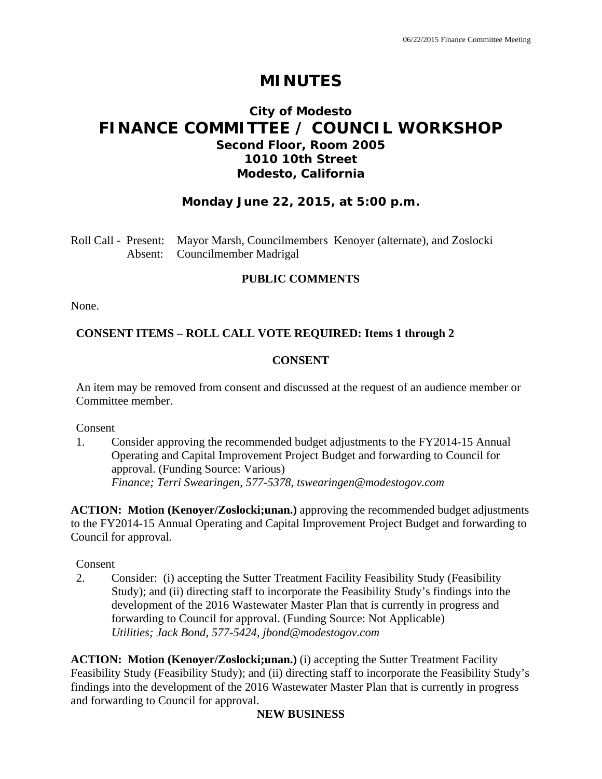# **MINUTES**

# **City of Modesto FINANCE COMMITTEE / COUNCIL WORKSHOP Second Floor, Room 2005 1010 10th Street Modesto, California**

# **Monday June 22, 2015, at 5:00 p.m.**

Roll Call - Present: Mayor Marsh, Councilmembers Kenoyer (alternate), and Zoslocki Absent: Councilmember Madrigal

### **PUBLIC COMMENTS**

None.

# **CONSENT ITEMS – ROLL CALL VOTE REQUIRED: Items 1 through 2**

### **CONSENT**

An item may be removed from consent and discussed at the request of an audience member or Committee member.

Consent

1. Consider approving the recommended budget adjustments to the FY2014-15 Annual Operating and Capital Improvement Project Budget and forwarding to Council for approval. (Funding Source: Various)  *Finance; Terri Swearingen, 577-5378, tswearingen@modestogov.com* 

**ACTION: Motion (Kenoyer/Zoslocki;unan.)** approving the recommended budget adjustments to the FY2014-15 Annual Operating and Capital Improvement Project Budget and forwarding to Council for approval.

Consent

2. Consider: (i) accepting the Sutter Treatment Facility Feasibility Study (Feasibility Study); and (ii) directing staff to incorporate the Feasibility Study's findings into the development of the 2016 Wastewater Master Plan that is currently in progress and forwarding to Council for approval. (Funding Source: Not Applicable)  *Utilities; Jack Bond, 577-5424, jbond@modestogov.com* 

**ACTION: Motion (Kenoyer/Zoslocki;unan.)** (i) accepting the Sutter Treatment Facility Feasibility Study (Feasibility Study); and (ii) directing staff to incorporate the Feasibility Study's findings into the development of the 2016 Wastewater Master Plan that is currently in progress and forwarding to Council for approval.

# **NEW BUSINESS**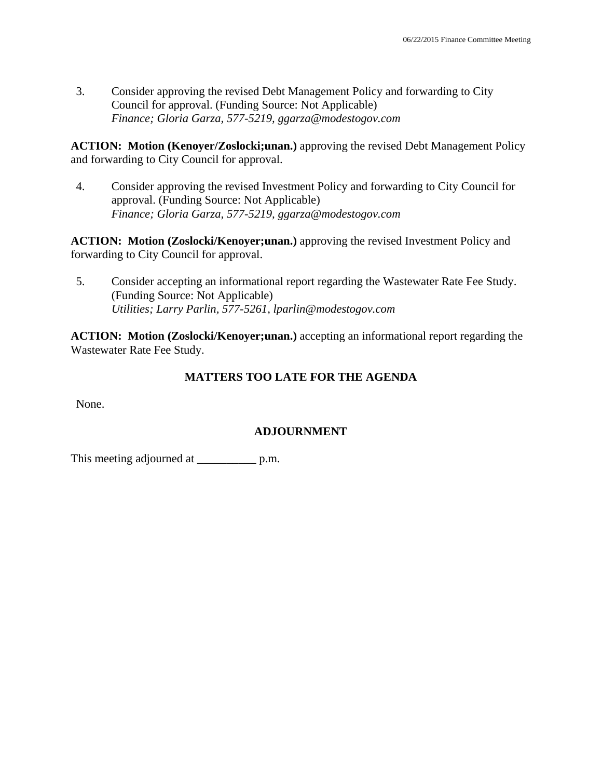3. Consider approving the revised Debt Management Policy and forwarding to City Council for approval. (Funding Source: Not Applicable)  *Finance; Gloria Garza, 577-5219, ggarza@modestogov.com* 

**ACTION: Motion (Kenoyer/Zoslocki;unan.)** approving the revised Debt Management Policy and forwarding to City Council for approval.

4. Consider approving the revised Investment Policy and forwarding to City Council for approval. (Funding Source: Not Applicable)  *Finance; Gloria Garza, 577-5219, ggarza@modestogov.com* 

**ACTION: Motion (Zoslocki/Kenoyer;unan.)** approving the revised Investment Policy and forwarding to City Council for approval.

5. Consider accepting an informational report regarding the Wastewater Rate Fee Study. (Funding Source: Not Applicable)  *Utilities; Larry Parlin, 577-5261, lparlin@modestogov.com* 

**ACTION:** Motion (Zoslocki/Kenoyer;unan.) accepting an informational report regarding the Wastewater Rate Fee Study.

# **MATTERS TOO LATE FOR THE AGENDA**

None.

# **ADJOURNMENT**

This meeting adjourned at \_\_\_\_\_\_\_\_\_\_\_\_\_\_ p.m.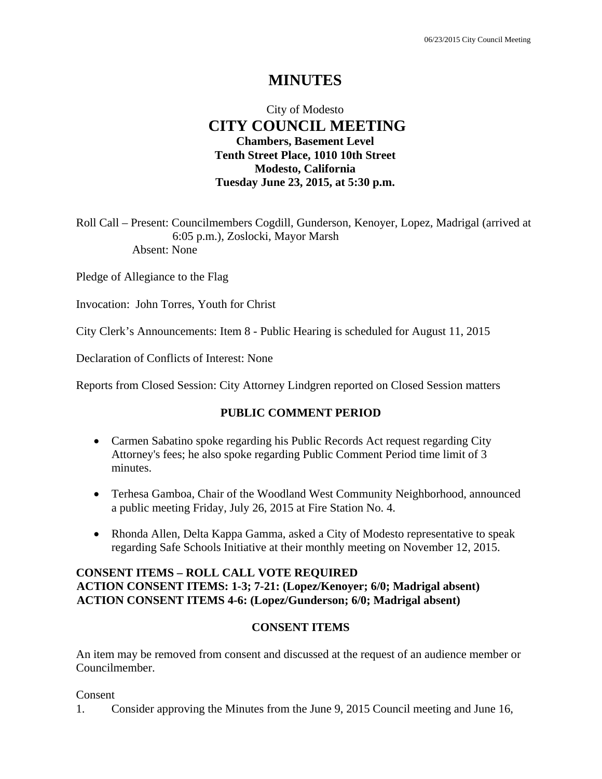# **MINUTES**

# City of Modesto  **CITY COUNCIL MEETING Chambers, Basement Level Tenth Street Place, 1010 10th Street Modesto, California Tuesday June 23, 2015, at 5:30 p.m.**

Roll Call – Present: Councilmembers Cogdill, Gunderson, Kenoyer, Lopez, Madrigal (arrived at 6:05 p.m.), Zoslocki, Mayor Marsh Absent: None

Pledge of Allegiance to the Flag

Invocation: John Torres, Youth for Christ

City Clerk's Announcements: Item 8 - Public Hearing is scheduled for August 11, 2015

Declaration of Conflicts of Interest: None

Reports from Closed Session: City Attorney Lindgren reported on Closed Session matters

### **PUBLIC COMMENT PERIOD**

- Carmen Sabatino spoke regarding his Public Records Act request regarding City Attorney's fees; he also spoke regarding Public Comment Period time limit of 3 minutes.
- Terhesa Gamboa, Chair of the Woodland West Community Neighborhood, announced a public meeting Friday, July 26, 2015 at Fire Station No. 4.
- Rhonda Allen, Delta Kappa Gamma, asked a City of Modesto representative to speak regarding Safe Schools Initiative at their monthly meeting on November 12, 2015.

# **CONSENT ITEMS – ROLL CALL VOTE REQUIRED ACTION CONSENT ITEMS: 1-3; 7-21: (Lopez/Kenoyer; 6/0; Madrigal absent) ACTION CONSENT ITEMS 4-6: (Lopez/Gunderson; 6/0; Madrigal absent)**

#### **CONSENT ITEMS**

An item may be removed from consent and discussed at the request of an audience member or Councilmember.

Consent

1. Consider approving the Minutes from the June 9, 2015 Council meeting and June 16,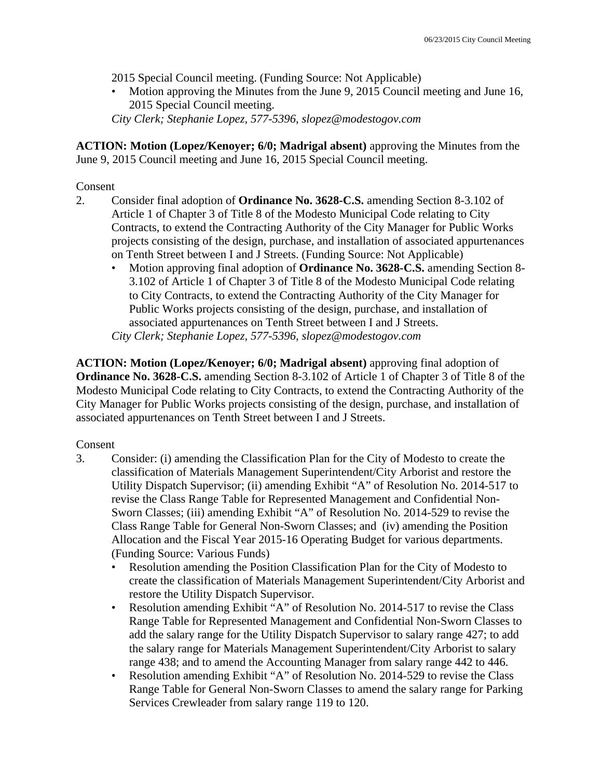2015 Special Council meeting. (Funding Source: Not Applicable)

• Motion approving the Minutes from the June 9, 2015 Council meeting and June 16, 2015 Special Council meeting.

*City Clerk; Stephanie Lopez, 577-5396, slopez@modestogov.com* 

**ACTION: Motion (Lopez/Kenoyer; 6/0; Madrigal absent)** approving the Minutes from the June 9, 2015 Council meeting and June 16, 2015 Special Council meeting.

### Consent

- 2. Consider final adoption of **Ordinance No. 3628-C.S.** amending Section 8-3.102 of Article 1 of Chapter 3 of Title 8 of the Modesto Municipal Code relating to City Contracts, to extend the Contracting Authority of the City Manager for Public Works projects consisting of the design, purchase, and installation of associated appurtenances on Tenth Street between I and J Streets. (Funding Source: Not Applicable)
	- Motion approving final adoption of **Ordinance No. 3628-C.S.** amending Section 8- 3.102 of Article 1 of Chapter 3 of Title 8 of the Modesto Municipal Code relating to City Contracts, to extend the Contracting Authority of the City Manager for Public Works projects consisting of the design, purchase, and installation of associated appurtenances on Tenth Street between I and J Streets. *City Clerk; Stephanie Lopez, 577-5396, slopez@modestogov.com*

**ACTION: Motion (Lopez/Kenoyer; 6/0; Madrigal absent)** approving final adoption of **Ordinance No. 3628-C.S.** amending Section 8-3.102 of Article 1 of Chapter 3 of Title 8 of the Modesto Municipal Code relating to City Contracts, to extend the Contracting Authority of the City Manager for Public Works projects consisting of the design, purchase, and installation of associated appurtenances on Tenth Street between I and J Streets.

# Consent

- 3. Consider: (i) amending the Classification Plan for the City of Modesto to create the classification of Materials Management Superintendent/City Arborist and restore the Utility Dispatch Supervisor; (ii) amending Exhibit "A" of Resolution No. 2014-517 to revise the Class Range Table for Represented Management and Confidential Non-Sworn Classes; (iii) amending Exhibit "A" of Resolution No. 2014-529 to revise the Class Range Table for General Non-Sworn Classes; and (iv) amending the Position Allocation and the Fiscal Year 2015-16 Operating Budget for various departments. (Funding Source: Various Funds)
	- Resolution amending the Position Classification Plan for the City of Modesto to create the classification of Materials Management Superintendent/City Arborist and restore the Utility Dispatch Supervisor.
	- Resolution amending Exhibit "A" of Resolution No. 2014-517 to revise the Class Range Table for Represented Management and Confidential Non-Sworn Classes to add the salary range for the Utility Dispatch Supervisor to salary range 427; to add the salary range for Materials Management Superintendent/City Arborist to salary range 438; and to amend the Accounting Manager from salary range 442 to 446.
	- Resolution amending Exhibit "A" of Resolution No. 2014-529 to revise the Class Range Table for General Non-Sworn Classes to amend the salary range for Parking Services Crewleader from salary range 119 to 120.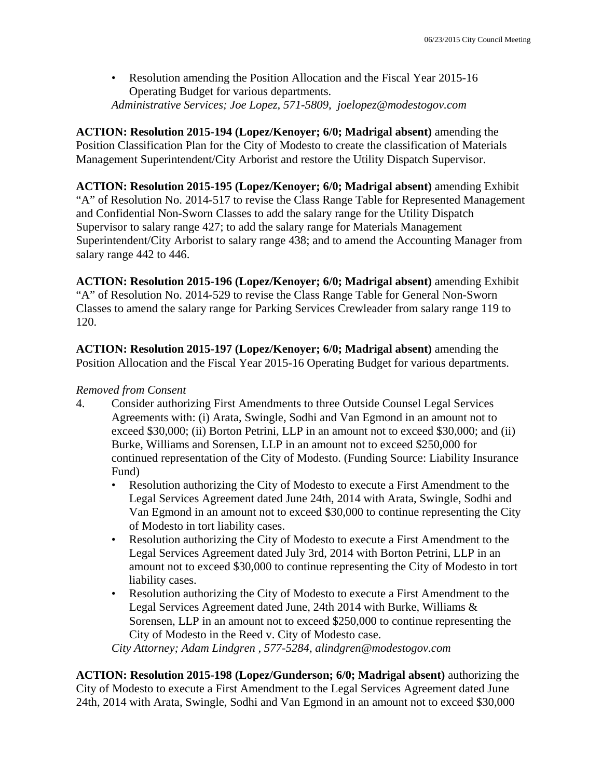• Resolution amending the Position Allocation and the Fiscal Year 2015-16 Operating Budget for various departments. *Administrative Services; Joe Lopez, 571-5809, joelopez@modestogov.com* 

**ACTION: Resolution 2015-194 (Lopez/Kenoyer; 6/0; Madrigal absent)** amending the Position Classification Plan for the City of Modesto to create the classification of Materials Management Superintendent/City Arborist and restore the Utility Dispatch Supervisor.

**ACTION: Resolution 2015-195 (Lopez/Kenoyer; 6/0; Madrigal absent)** amending Exhibit "A" of Resolution No. 2014-517 to revise the Class Range Table for Represented Management and Confidential Non-Sworn Classes to add the salary range for the Utility Dispatch Supervisor to salary range 427; to add the salary range for Materials Management Superintendent/City Arborist to salary range 438; and to amend the Accounting Manager from salary range 442 to 446.

**ACTION: Resolution 2015-196 (Lopez/Kenoyer; 6/0; Madrigal absent)** amending Exhibit "A" of Resolution No. 2014-529 to revise the Class Range Table for General Non-Sworn Classes to amend the salary range for Parking Services Crewleader from salary range 119 to 120.

**ACTION: Resolution 2015-197 (Lopez/Kenoyer; 6/0; Madrigal absent)** amending the Position Allocation and the Fiscal Year 2015-16 Operating Budget for various departments.

### *Removed from Consent*

- 4. Consider authorizing First Amendments to three Outside Counsel Legal Services Agreements with: (i) Arata, Swingle, Sodhi and Van Egmond in an amount not to exceed \$30,000; (ii) Borton Petrini, LLP in an amount not to exceed \$30,000; and (ii) Burke, Williams and Sorensen, LLP in an amount not to exceed \$250,000 for continued representation of the City of Modesto. (Funding Source: Liability Insurance Fund)
	- Resolution authorizing the City of Modesto to execute a First Amendment to the Legal Services Agreement dated June 24th, 2014 with Arata, Swingle, Sodhi and Van Egmond in an amount not to exceed \$30,000 to continue representing the City of Modesto in tort liability cases.
	- Resolution authorizing the City of Modesto to execute a First Amendment to the Legal Services Agreement dated July 3rd, 2014 with Borton Petrini, LLP in an amount not to exceed \$30,000 to continue representing the City of Modesto in tort liability cases.
	- Resolution authorizing the City of Modesto to execute a First Amendment to the Legal Services Agreement dated June, 24th 2014 with Burke, Williams & Sorensen, LLP in an amount not to exceed \$250,000 to continue representing the City of Modesto in the Reed v. City of Modesto case.

*City Attorney; Adam Lindgren , 577-5284, alindgren@modestogov.com* 

**ACTION: Resolution 2015-198 (Lopez/Gunderson; 6/0; Madrigal absent)** authorizing the City of Modesto to execute a First Amendment to the Legal Services Agreement dated June 24th, 2014 with Arata, Swingle, Sodhi and Van Egmond in an amount not to exceed \$30,000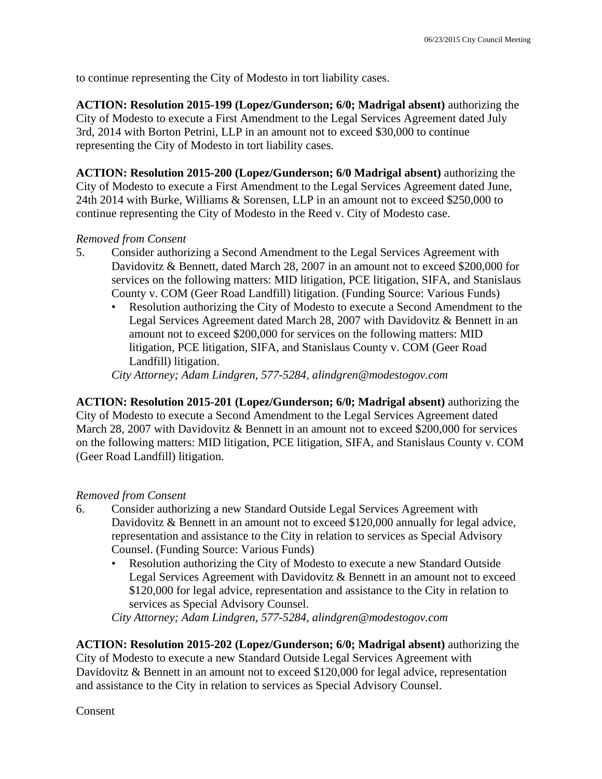to continue representing the City of Modesto in tort liability cases.

**ACTION: Resolution 2015-199 (Lopez/Gunderson; 6/0; Madrigal absent)** authorizing the City of Modesto to execute a First Amendment to the Legal Services Agreement dated July 3rd, 2014 with Borton Petrini, LLP in an amount not to exceed \$30,000 to continue representing the City of Modesto in tort liability cases.

**ACTION: Resolution 2015-200 (Lopez/Gunderson; 6/0 Madrigal absent)** authorizing the City of Modesto to execute a First Amendment to the Legal Services Agreement dated June, 24th 2014 with Burke, Williams & Sorensen, LLP in an amount not to exceed \$250,000 to continue representing the City of Modesto in the Reed v. City of Modesto case.

### *Removed from Consent*

- 5. Consider authorizing a Second Amendment to the Legal Services Agreement with Davidovitz & Bennett, dated March 28, 2007 in an amount not to exceed \$200,000 for services on the following matters: MID litigation, PCE litigation, SIFA, and Stanislaus County v. COM (Geer Road Landfill) litigation. (Funding Source: Various Funds)
	- Resolution authorizing the City of Modesto to execute a Second Amendment to the Legal Services Agreement dated March 28, 2007 with Davidovitz & Bennett in an amount not to exceed \$200,000 for services on the following matters: MID litigation, PCE litigation, SIFA, and Stanislaus County v. COM (Geer Road Landfill) litigation.

*City Attorney; Adam Lindgren, 577-5284, alindgren@modestogov.com* 

**ACTION: Resolution 2015-201 (Lopez/Gunderson; 6/0; Madrigal absent)** authorizing the City of Modesto to execute a Second Amendment to the Legal Services Agreement dated March 28, 2007 with Davidovitz & Bennett in an amount not to exceed \$200,000 for services on the following matters: MID litigation, PCE litigation, SIFA, and Stanislaus County v. COM (Geer Road Landfill) litigation.

# *Removed from Consent*

- 6. Consider authorizing a new Standard Outside Legal Services Agreement with Davidovitz & Bennett in an amount not to exceed \$120,000 annually for legal advice, representation and assistance to the City in relation to services as Special Advisory Counsel. (Funding Source: Various Funds)
	- Resolution authorizing the City of Modesto to execute a new Standard Outside Legal Services Agreement with Davidovitz & Bennett in an amount not to exceed \$120,000 for legal advice, representation and assistance to the City in relation to services as Special Advisory Counsel.

*City Attorney; Adam Lindgren, 577-5284, alindgren@modestogov.com* 

**ACTION: Resolution 2015-202 (Lopez/Gunderson; 6/0; Madrigal absent)** authorizing the City of Modesto to execute a new Standard Outside Legal Services Agreement with Davidovitz & Bennett in an amount not to exceed \$120,000 for legal advice, representation and assistance to the City in relation to services as Special Advisory Counsel.

**Consent**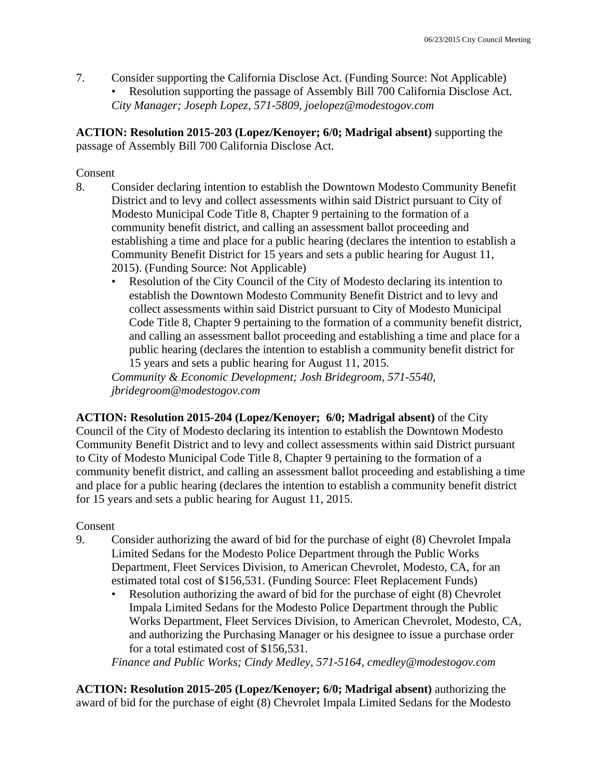7. Consider supporting the California Disclose Act. (Funding Source: Not Applicable) • Resolution supporting the passage of Assembly Bill 700 California Disclose Act. *City Manager; Joseph Lopez, 571-5809, joelopez@modestogov.com* 

**ACTION: Resolution 2015-203 (Lopez/Kenoyer; 6/0; Madrigal absent)** supporting the passage of Assembly Bill 700 California Disclose Act.

# Consent

- 8. Consider declaring intention to establish the Downtown Modesto Community Benefit District and to levy and collect assessments within said District pursuant to City of Modesto Municipal Code Title 8, Chapter 9 pertaining to the formation of a community benefit district, and calling an assessment ballot proceeding and establishing a time and place for a public hearing (declares the intention to establish a Community Benefit District for 15 years and sets a public hearing for August 11, 2015). (Funding Source: Not Applicable)
	- Resolution of the City Council of the City of Modesto declaring its intention to establish the Downtown Modesto Community Benefit District and to levy and collect assessments within said District pursuant to City of Modesto Municipal Code Title 8, Chapter 9 pertaining to the formation of a community benefit district, and calling an assessment ballot proceeding and establishing a time and place for a public hearing (declares the intention to establish a community benefit district for 15 years and sets a public hearing for August 11, 2015.

*Community & Economic Development; Josh Bridegroom, 571-5540, jbridegroom@modestogov.com* 

**ACTION: Resolution 2015-204 (Lopez/Kenoyer; 6/0; Madrigal absent)** of the City Council of the City of Modesto declaring its intention to establish the Downtown Modesto Community Benefit District and to levy and collect assessments within said District pursuant to City of Modesto Municipal Code Title 8, Chapter 9 pertaining to the formation of a community benefit district, and calling an assessment ballot proceeding and establishing a time and place for a public hearing (declares the intention to establish a community benefit district for 15 years and sets a public hearing for August 11, 2015.

# Consent

- 9. Consider authorizing the award of bid for the purchase of eight (8) Chevrolet Impala Limited Sedans for the Modesto Police Department through the Public Works Department, Fleet Services Division, to American Chevrolet, Modesto, CA, for an estimated total cost of \$156,531. (Funding Source: Fleet Replacement Funds)
	- Resolution authorizing the award of bid for the purchase of eight (8) Chevrolet Impala Limited Sedans for the Modesto Police Department through the Public Works Department, Fleet Services Division, to American Chevrolet, Modesto, CA, and authorizing the Purchasing Manager or his designee to issue a purchase order for a total estimated cost of \$156,531.

*Finance and Public Works; Cindy Medley, 571-5164, cmedley@modestogov.com* 

**ACTION: Resolution 2015-205 (Lopez/Kenoyer; 6/0; Madrigal absent)** authorizing the award of bid for the purchase of eight (8) Chevrolet Impala Limited Sedans for the Modesto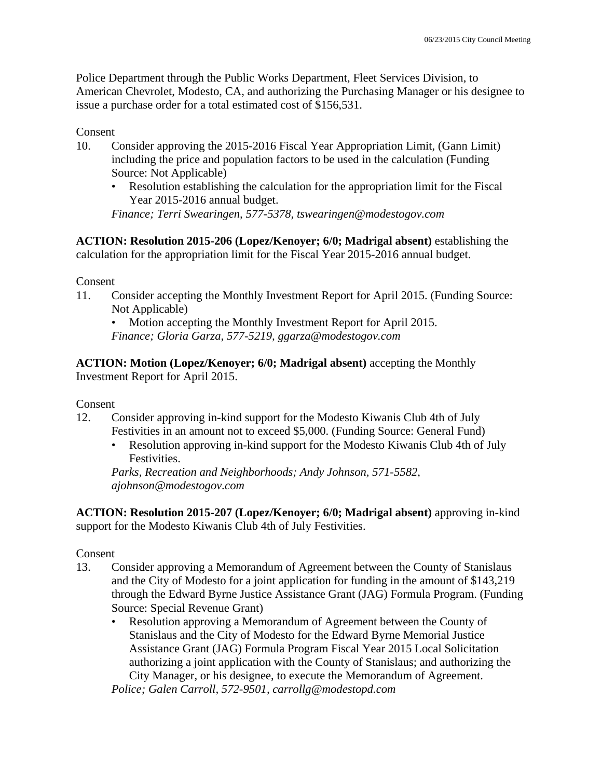Police Department through the Public Works Department, Fleet Services Division, to American Chevrolet, Modesto, CA, and authorizing the Purchasing Manager or his designee to issue a purchase order for a total estimated cost of \$156,531.

### Consent

- 10. Consider approving the 2015-2016 Fiscal Year Appropriation Limit, (Gann Limit) including the price and population factors to be used in the calculation (Funding Source: Not Applicable)
	- Resolution establishing the calculation for the appropriation limit for the Fiscal Year 2015-2016 annual budget.

*Finance; Terri Swearingen, 577-5378, tswearingen@modestogov.com* 

**ACTION: Resolution 2015-206 (Lopez/Kenoyer; 6/0; Madrigal absent)** establishing the calculation for the appropriation limit for the Fiscal Year 2015-2016 annual budget.

#### Consent

11. Consider accepting the Monthly Investment Report for April 2015. (Funding Source: Not Applicable)

• Motion accepting the Monthly Investment Report for April 2015. *Finance; Gloria Garza, 577-5219, ggarza@modestogov.com* 

**ACTION: Motion (Lopez/Kenoyer; 6/0; Madrigal absent)** accepting the Monthly Investment Report for April 2015.

#### Consent

- 12. Consider approving in-kind support for the Modesto Kiwanis Club 4th of July Festivities in an amount not to exceed \$5,000. (Funding Source: General Fund)
	- Resolution approving in-kind support for the Modesto Kiwanis Club 4th of July Festivities.

*Parks, Recreation and Neighborhoods; Andy Johnson, 571-5582, ajohnson@modestogov.com* 

**ACTION: Resolution 2015-207 (Lopez/Kenoyer; 6/0; Madrigal absent)** approving in-kind support for the Modesto Kiwanis Club 4th of July Festivities.

# Consent

- 13. Consider approving a Memorandum of Agreement between the County of Stanislaus and the City of Modesto for a joint application for funding in the amount of \$143,219 through the Edward Byrne Justice Assistance Grant (JAG) Formula Program. (Funding Source: Special Revenue Grant)
	- Resolution approving a Memorandum of Agreement between the County of Stanislaus and the City of Modesto for the Edward Byrne Memorial Justice Assistance Grant (JAG) Formula Program Fiscal Year 2015 Local Solicitation authorizing a joint application with the County of Stanislaus; and authorizing the City Manager, or his designee, to execute the Memorandum of Agreement. *Police; Galen Carroll, 572-9501, carrollg@modestopd.com*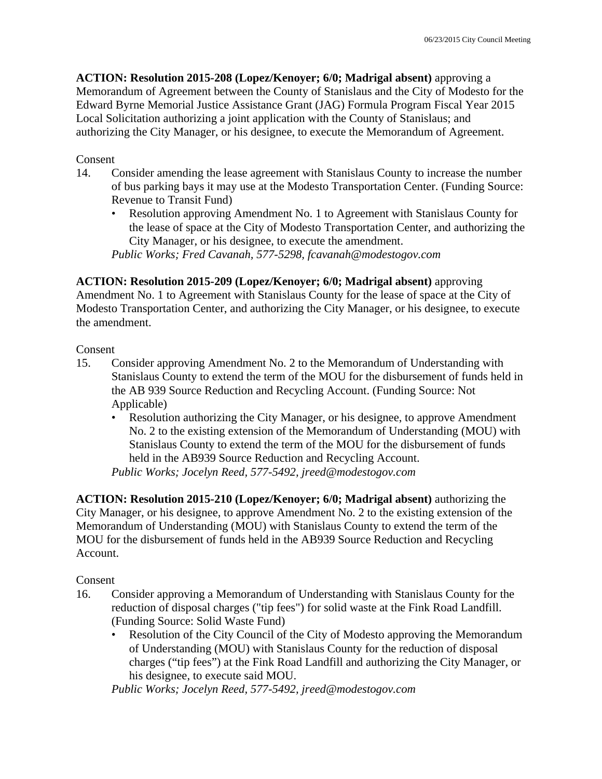**ACTION: Resolution 2015-208 (Lopez/Kenoyer; 6/0; Madrigal absent)** approving a Memorandum of Agreement between the County of Stanislaus and the City of Modesto for the Edward Byrne Memorial Justice Assistance Grant (JAG) Formula Program Fiscal Year 2015 Local Solicitation authorizing a joint application with the County of Stanislaus; and authorizing the City Manager, or his designee, to execute the Memorandum of Agreement.

# Consent

- 14. Consider amending the lease agreement with Stanislaus County to increase the number of bus parking bays it may use at the Modesto Transportation Center. (Funding Source: Revenue to Transit Fund)
	- Resolution approving Amendment No. 1 to Agreement with Stanislaus County for the lease of space at the City of Modesto Transportation Center, and authorizing the City Manager, or his designee, to execute the amendment. *Public Works; Fred Cavanah, 577-5298, fcavanah@modestogov.com*

**ACTION: Resolution 2015-209 (Lopez/Kenoyer; 6/0; Madrigal absent)** approving Amendment No. 1 to Agreement with Stanislaus County for the lease of space at the City of Modesto Transportation Center, and authorizing the City Manager, or his designee, to execute the amendment.

### Consent

- 15. Consider approving Amendment No. 2 to the Memorandum of Understanding with Stanislaus County to extend the term of the MOU for the disbursement of funds held in the AB 939 Source Reduction and Recycling Account. (Funding Source: Not Applicable)
	- Resolution authorizing the City Manager, or his designee, to approve Amendment No. 2 to the existing extension of the Memorandum of Understanding (MOU) with Stanislaus County to extend the term of the MOU for the disbursement of funds held in the AB939 Source Reduction and Recycling Account.

*Public Works; Jocelyn Reed, 577-5492, jreed@modestogov.com* 

**ACTION: Resolution 2015-210 (Lopez/Kenoyer; 6/0; Madrigal absent)** authorizing the City Manager, or his designee, to approve Amendment No. 2 to the existing extension of the Memorandum of Understanding (MOU) with Stanislaus County to extend the term of the MOU for the disbursement of funds held in the AB939 Source Reduction and Recycling Account.

Consent

- 16. Consider approving a Memorandum of Understanding with Stanislaus County for the reduction of disposal charges ("tip fees") for solid waste at the Fink Road Landfill. (Funding Source: Solid Waste Fund)
	- Resolution of the City Council of the City of Modesto approving the Memorandum of Understanding (MOU) with Stanislaus County for the reduction of disposal charges ("tip fees") at the Fink Road Landfill and authorizing the City Manager, or his designee, to execute said MOU.

*Public Works; Jocelyn Reed, 577-5492, jreed@modestogov.com*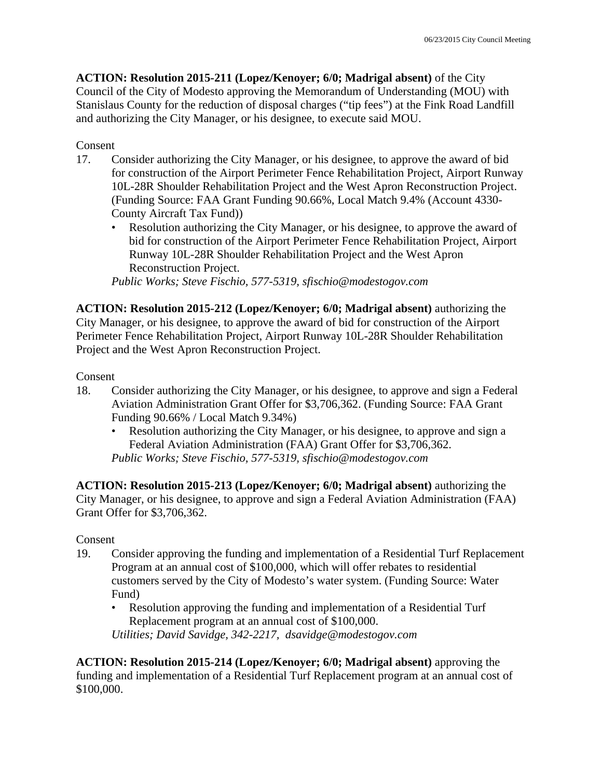**ACTION: Resolution 2015-211 (Lopez/Kenoyer; 6/0; Madrigal absent)** of the City Council of the City of Modesto approving the Memorandum of Understanding (MOU) with Stanislaus County for the reduction of disposal charges ("tip fees") at the Fink Road Landfill and authorizing the City Manager, or his designee, to execute said MOU.

### Consent

- 17. Consider authorizing the City Manager, or his designee, to approve the award of bid for construction of the Airport Perimeter Fence Rehabilitation Project, Airport Runway 10L-28R Shoulder Rehabilitation Project and the West Apron Reconstruction Project. (Funding Source: FAA Grant Funding 90.66%, Local Match 9.4% (Account 4330- County Aircraft Tax Fund))
	- Resolution authorizing the City Manager, or his designee, to approve the award of bid for construction of the Airport Perimeter Fence Rehabilitation Project, Airport Runway 10L-28R Shoulder Rehabilitation Project and the West Apron Reconstruction Project.

*Public Works; Steve Fischio, 577-5319, sfischio@modestogov.com* 

**ACTION: Resolution 2015-212 (Lopez/Kenoyer; 6/0; Madrigal absent)** authorizing the City Manager, or his designee, to approve the award of bid for construction of the Airport Perimeter Fence Rehabilitation Project, Airport Runway 10L-28R Shoulder Rehabilitation Project and the West Apron Reconstruction Project.

#### Consent

- 18. Consider authorizing the City Manager, or his designee, to approve and sign a Federal Aviation Administration Grant Offer for \$3,706,362. (Funding Source: FAA Grant Funding 90.66% / Local Match 9.34%)
	- Resolution authorizing the City Manager, or his designee, to approve and sign a Federal Aviation Administration (FAA) Grant Offer for \$3,706,362. *Public Works; Steve Fischio, 577-5319, sfischio@modestogov.com*

**ACTION: Resolution 2015-213 (Lopez/Kenoyer; 6/0; Madrigal absent)** authorizing the City Manager, or his designee, to approve and sign a Federal Aviation Administration (FAA) Grant Offer for \$3,706,362.

#### Consent

- 19. Consider approving the funding and implementation of a Residential Turf Replacement Program at an annual cost of \$100,000, which will offer rebates to residential customers served by the City of Modesto's water system. (Funding Source: Water Fund)
	- Resolution approving the funding and implementation of a Residential Turf Replacement program at an annual cost of \$100,000.

*Utilities; David Savidge, 342-2217, dsavidge@modestogov.com* 

**ACTION: Resolution 2015-214 (Lopez/Kenoyer; 6/0; Madrigal absent)** approving the funding and implementation of a Residential Turf Replacement program at an annual cost of \$100,000.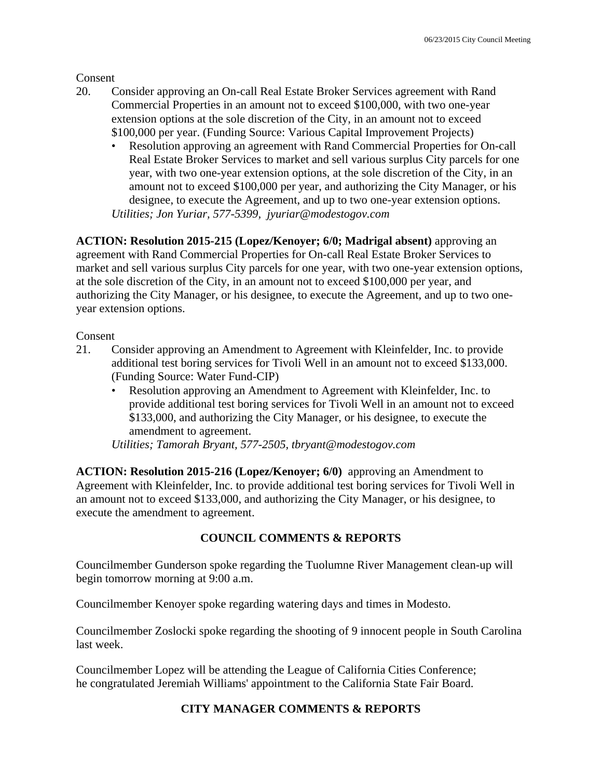Consent

- 20. Consider approving an On-call Real Estate Broker Services agreement with Rand Commercial Properties in an amount not to exceed \$100,000, with two one-year extension options at the sole discretion of the City, in an amount not to exceed \$100,000 per year. (Funding Source: Various Capital Improvement Projects)
	- Resolution approving an agreement with Rand Commercial Properties for On-call Real Estate Broker Services to market and sell various surplus City parcels for one year, with two one-year extension options, at the sole discretion of the City, in an amount not to exceed \$100,000 per year, and authorizing the City Manager, or his designee, to execute the Agreement, and up to two one-year extension options. *Utilities; Jon Yuriar, 577-5399, jyuriar@modestogov.com*

**ACTION: Resolution 2015-215 (Lopez/Kenoyer; 6/0; Madrigal absent)** approving an agreement with Rand Commercial Properties for On-call Real Estate Broker Services to market and sell various surplus City parcels for one year, with two one-year extension options, at the sole discretion of the City, in an amount not to exceed \$100,000 per year, and authorizing the City Manager, or his designee, to execute the Agreement, and up to two oneyear extension options.

Consent

- 21. Consider approving an Amendment to Agreement with Kleinfelder, Inc. to provide additional test boring services for Tivoli Well in an amount not to exceed \$133,000. (Funding Source: Water Fund-CIP)
	- Resolution approving an Amendment to Agreement with Kleinfelder, Inc. to provide additional test boring services for Tivoli Well in an amount not to exceed \$133,000, and authorizing the City Manager, or his designee, to execute the amendment to agreement.

*Utilities; Tamorah Bryant, 577-2505, tbryant@modestogov.com* 

**ACTION: Resolution 2015-216 (Lopez/Kenoyer; 6/0)** approving an Amendment to Agreement with Kleinfelder, Inc. to provide additional test boring services for Tivoli Well in an amount not to exceed \$133,000, and authorizing the City Manager, or his designee, to execute the amendment to agreement.

# **COUNCIL COMMENTS & REPORTS**

Councilmember Gunderson spoke regarding the Tuolumne River Management clean-up will begin tomorrow morning at 9:00 a.m.

Councilmember Kenoyer spoke regarding watering days and times in Modesto.

Councilmember Zoslocki spoke regarding the shooting of 9 innocent people in South Carolina last week.

Councilmember Lopez will be attending the League of California Cities Conference; he congratulated Jeremiah Williams' appointment to the California State Fair Board.

# **CITY MANAGER COMMENTS & REPORTS**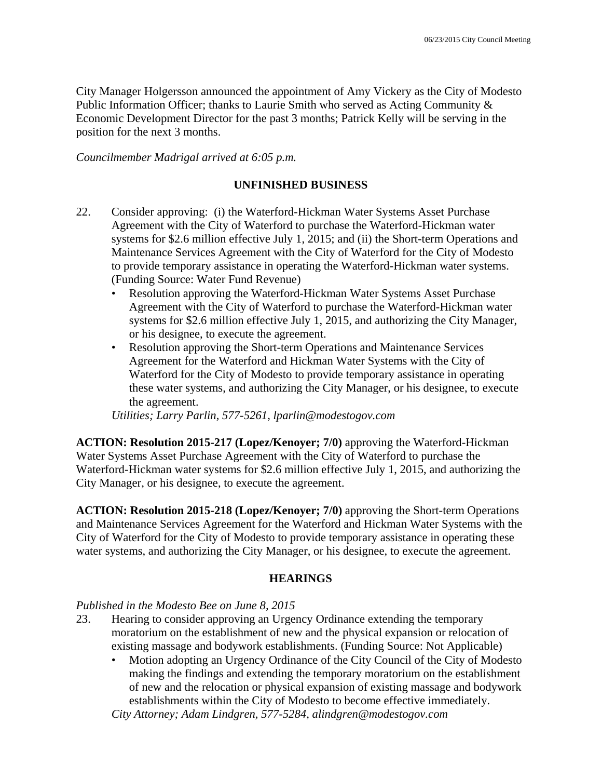City Manager Holgersson announced the appointment of Amy Vickery as the City of Modesto Public Information Officer; thanks to Laurie Smith who served as Acting Community & Economic Development Director for the past 3 months; Patrick Kelly will be serving in the position for the next 3 months.

*Councilmember Madrigal arrived at 6:05 p.m.* 

# **UNFINISHED BUSINESS**

- 22. Consider approving: (i) the Waterford-Hickman Water Systems Asset Purchase Agreement with the City of Waterford to purchase the Waterford-Hickman water systems for \$2.6 million effective July 1, 2015; and (ii) the Short-term Operations and Maintenance Services Agreement with the City of Waterford for the City of Modesto to provide temporary assistance in operating the Waterford-Hickman water systems. (Funding Source: Water Fund Revenue)
	- Resolution approving the Waterford-Hickman Water Systems Asset Purchase Agreement with the City of Waterford to purchase the Waterford-Hickman water systems for \$2.6 million effective July 1, 2015, and authorizing the City Manager, or his designee, to execute the agreement.
	- Resolution approving the Short-term Operations and Maintenance Services Agreement for the Waterford and Hickman Water Systems with the City of Waterford for the City of Modesto to provide temporary assistance in operating these water systems, and authorizing the City Manager, or his designee, to execute the agreement.

*Utilities; Larry Parlin, 577-5261, lparlin@modestogov.com* 

**ACTION: Resolution 2015-217 (Lopez/Kenoyer; 7/0)** approving the Waterford-Hickman Water Systems Asset Purchase Agreement with the City of Waterford to purchase the Waterford-Hickman water systems for \$2.6 million effective July 1, 2015, and authorizing the City Manager, or his designee, to execute the agreement.

**ACTION: Resolution 2015-218 (Lopez/Kenoyer; 7/0)** approving the Short-term Operations and Maintenance Services Agreement for the Waterford and Hickman Water Systems with the City of Waterford for the City of Modesto to provide temporary assistance in operating these water systems, and authorizing the City Manager, or his designee, to execute the agreement.

# **HEARINGS**

#### *Published in the Modesto Bee on June 8, 2015*

- 23. Hearing to consider approving an Urgency Ordinance extending the temporary moratorium on the establishment of new and the physical expansion or relocation of existing massage and bodywork establishments. (Funding Source: Not Applicable)
	- Motion adopting an Urgency Ordinance of the City Council of the City of Modesto making the findings and extending the temporary moratorium on the establishment of new and the relocation or physical expansion of existing massage and bodywork establishments within the City of Modesto to become effective immediately.

*City Attorney; Adam Lindgren, 577-5284, alindgren@modestogov.com*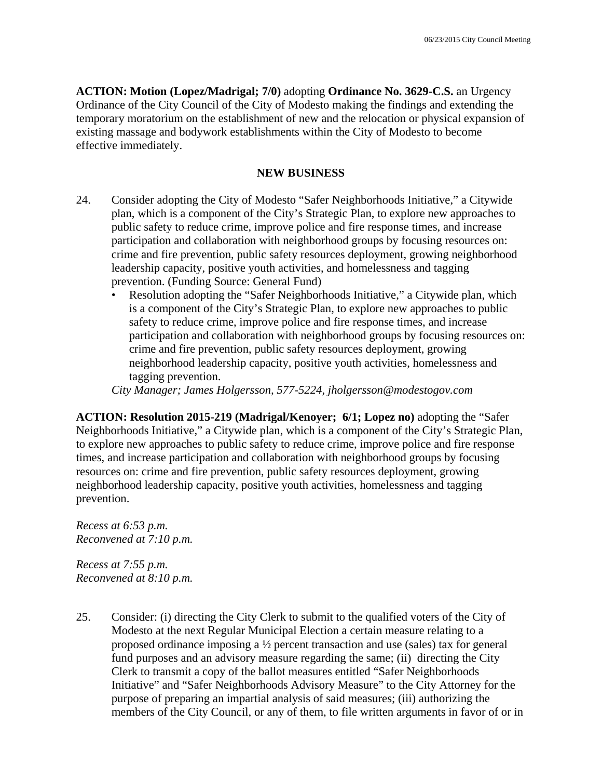**ACTION: Motion (Lopez/Madrigal; 7/0)** adopting **Ordinance No. 3629-C.S.** an Urgency Ordinance of the City Council of the City of Modesto making the findings and extending the temporary moratorium on the establishment of new and the relocation or physical expansion of existing massage and bodywork establishments within the City of Modesto to become effective immediately.

#### **NEW BUSINESS**

- 24. Consider adopting the City of Modesto "Safer Neighborhoods Initiative," a Citywide plan, which is a component of the City's Strategic Plan, to explore new approaches to public safety to reduce crime, improve police and fire response times, and increase participation and collaboration with neighborhood groups by focusing resources on: crime and fire prevention, public safety resources deployment, growing neighborhood leadership capacity, positive youth activities, and homelessness and tagging prevention. (Funding Source: General Fund)
	- Resolution adopting the "Safer Neighborhoods Initiative," a Citywide plan, which is a component of the City's Strategic Plan, to explore new approaches to public safety to reduce crime, improve police and fire response times, and increase participation and collaboration with neighborhood groups by focusing resources on: crime and fire prevention, public safety resources deployment, growing neighborhood leadership capacity, positive youth activities, homelessness and tagging prevention.

*City Manager; James Holgersson, 577-5224, jholgersson@modestogov.com* 

**ACTION: Resolution 2015-219 (Madrigal/Kenoyer; 6/1; Lopez no)** adopting the "Safer Neighborhoods Initiative," a Citywide plan, which is a component of the City's Strategic Plan, to explore new approaches to public safety to reduce crime, improve police and fire response times, and increase participation and collaboration with neighborhood groups by focusing resources on: crime and fire prevention, public safety resources deployment, growing neighborhood leadership capacity, positive youth activities, homelessness and tagging prevention.

*Recess at 6:53 p.m. Reconvened at 7:10 p.m.* 

*Recess at 7:55 p.m. Reconvened at 8:10 p.m.* 

25. Consider: (i) directing the City Clerk to submit to the qualified voters of the City of Modesto at the next Regular Municipal Election a certain measure relating to a proposed ordinance imposing a ½ percent transaction and use (sales) tax for general fund purposes and an advisory measure regarding the same; (ii) directing the City Clerk to transmit a copy of the ballot measures entitled "Safer Neighborhoods Initiative" and "Safer Neighborhoods Advisory Measure" to the City Attorney for the purpose of preparing an impartial analysis of said measures; (iii) authorizing the members of the City Council, or any of them, to file written arguments in favor of or in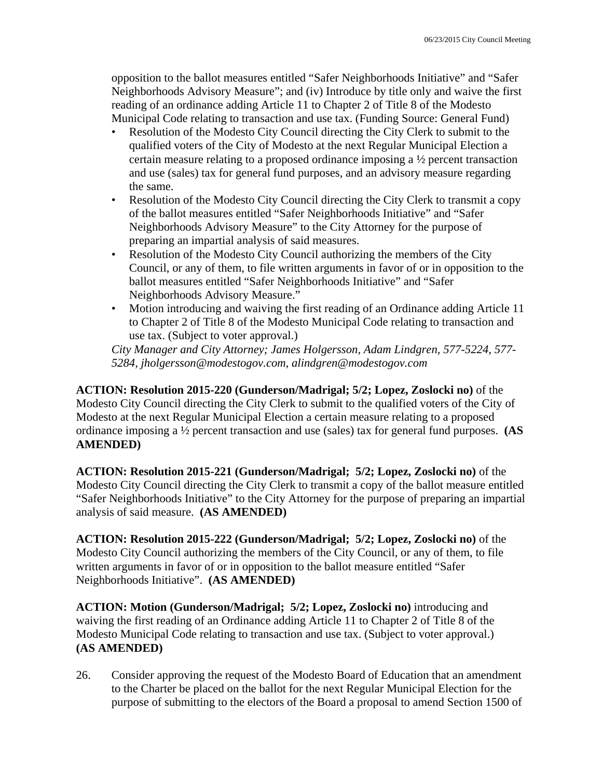opposition to the ballot measures entitled "Safer Neighborhoods Initiative" and "Safer Neighborhoods Advisory Measure"; and (iv) Introduce by title only and waive the first reading of an ordinance adding Article 11 to Chapter 2 of Title 8 of the Modesto Municipal Code relating to transaction and use tax. (Funding Source: General Fund)

- Resolution of the Modesto City Council directing the City Clerk to submit to the qualified voters of the City of Modesto at the next Regular Municipal Election a certain measure relating to a proposed ordinance imposing a ½ percent transaction and use (sales) tax for general fund purposes, and an advisory measure regarding the same.
- Resolution of the Modesto City Council directing the City Clerk to transmit a copy of the ballot measures entitled "Safer Neighborhoods Initiative" and "Safer Neighborhoods Advisory Measure" to the City Attorney for the purpose of preparing an impartial analysis of said measures.
- Resolution of the Modesto City Council authorizing the members of the City Council, or any of them, to file written arguments in favor of or in opposition to the ballot measures entitled "Safer Neighborhoods Initiative" and "Safer Neighborhoods Advisory Measure."
- Motion introducing and waiving the first reading of an Ordinance adding Article 11 to Chapter 2 of Title 8 of the Modesto Municipal Code relating to transaction and use tax. (Subject to voter approval.)

*City Manager and City Attorney; James Holgersson, Adam Lindgren, 577-5224, 577- 5284, jholgersson@modestogov.com, alindgren@modestogov.com* 

**ACTION: Resolution 2015-220 (Gunderson/Madrigal; 5/2; Lopez, Zoslocki no)** of the Modesto City Council directing the City Clerk to submit to the qualified voters of the City of Modesto at the next Regular Municipal Election a certain measure relating to a proposed ordinance imposing a ½ percent transaction and use (sales) tax for general fund purposes. **(AS AMENDED)**

**ACTION: Resolution 2015-221 (Gunderson/Madrigal; 5/2; Lopez, Zoslocki no)** of the Modesto City Council directing the City Clerk to transmit a copy of the ballot measure entitled "Safer Neighborhoods Initiative" to the City Attorney for the purpose of preparing an impartial analysis of said measure. **(AS AMENDED)**

**ACTION: Resolution 2015-222 (Gunderson/Madrigal; 5/2; Lopez, Zoslocki no)** of the Modesto City Council authorizing the members of the City Council, or any of them, to file written arguments in favor of or in opposition to the ballot measure entitled "Safer Neighborhoods Initiative". **(AS AMENDED)**

**ACTION: Motion (Gunderson/Madrigal; 5/2; Lopez, Zoslocki no)** introducing and waiving the first reading of an Ordinance adding Article 11 to Chapter 2 of Title 8 of the Modesto Municipal Code relating to transaction and use tax. (Subject to voter approval.) **(AS AMENDED)**

26. Consider approving the request of the Modesto Board of Education that an amendment to the Charter be placed on the ballot for the next Regular Municipal Election for the purpose of submitting to the electors of the Board a proposal to amend Section 1500 of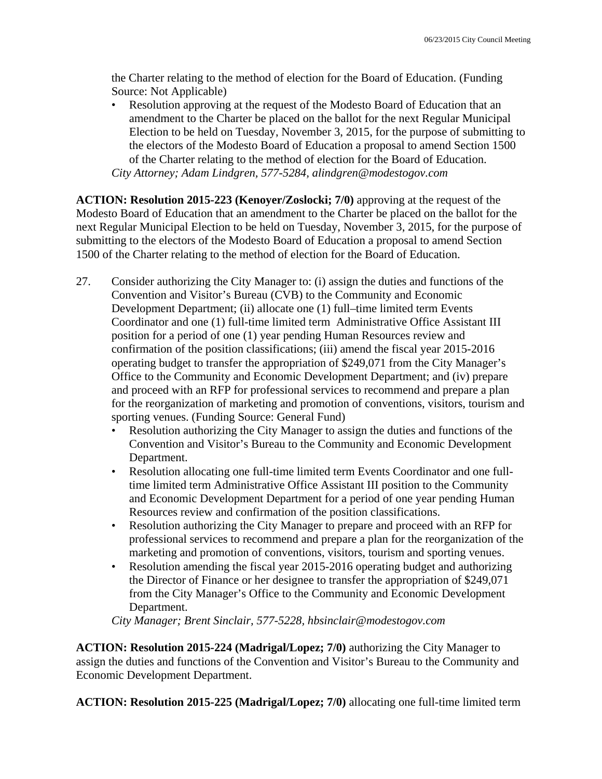the Charter relating to the method of election for the Board of Education. (Funding Source: Not Applicable)

• Resolution approving at the request of the Modesto Board of Education that an amendment to the Charter be placed on the ballot for the next Regular Municipal Election to be held on Tuesday, November 3, 2015, for the purpose of submitting to the electors of the Modesto Board of Education a proposal to amend Section 1500 of the Charter relating to the method of election for the Board of Education. *City Attorney; Adam Lindgren, 577-5284, alindgren@modestogov.com* 

**ACTION: Resolution 2015-223 (Kenoyer/Zoslocki; 7/0)** approving at the request of the Modesto Board of Education that an amendment to the Charter be placed on the ballot for the next Regular Municipal Election to be held on Tuesday, November 3, 2015, for the purpose of submitting to the electors of the Modesto Board of Education a proposal to amend Section 1500 of the Charter relating to the method of election for the Board of Education.

- 27. Consider authorizing the City Manager to: (i) assign the duties and functions of the Convention and Visitor's Bureau (CVB) to the Community and Economic Development Department; (ii) allocate one (1) full–time limited term Events Coordinator and one (1) full-time limited term Administrative Office Assistant III position for a period of one (1) year pending Human Resources review and confirmation of the position classifications; (iii) amend the fiscal year 2015-2016 operating budget to transfer the appropriation of \$249,071 from the City Manager's Office to the Community and Economic Development Department; and (iv) prepare and proceed with an RFP for professional services to recommend and prepare a plan for the reorganization of marketing and promotion of conventions, visitors, tourism and sporting venues. (Funding Source: General Fund)
	- Resolution authorizing the City Manager to assign the duties and functions of the Convention and Visitor's Bureau to the Community and Economic Development Department.
	- Resolution allocating one full-time limited term Events Coordinator and one fulltime limited term Administrative Office Assistant III position to the Community and Economic Development Department for a period of one year pending Human Resources review and confirmation of the position classifications.
	- Resolution authorizing the City Manager to prepare and proceed with an RFP for professional services to recommend and prepare a plan for the reorganization of the marketing and promotion of conventions, visitors, tourism and sporting venues.
	- Resolution amending the fiscal year 2015-2016 operating budget and authorizing the Director of Finance or her designee to transfer the appropriation of \$249,071 from the City Manager's Office to the Community and Economic Development Department.

*City Manager; Brent Sinclair, 577-5228, hbsinclair@modestogov.com* 

**ACTION: Resolution 2015-224 (Madrigal/Lopez; 7/0)** authorizing the City Manager to assign the duties and functions of the Convention and Visitor's Bureau to the Community and Economic Development Department.

**ACTION: Resolution 2015-225 (Madrigal/Lopez; 7/0)** allocating one full-time limited term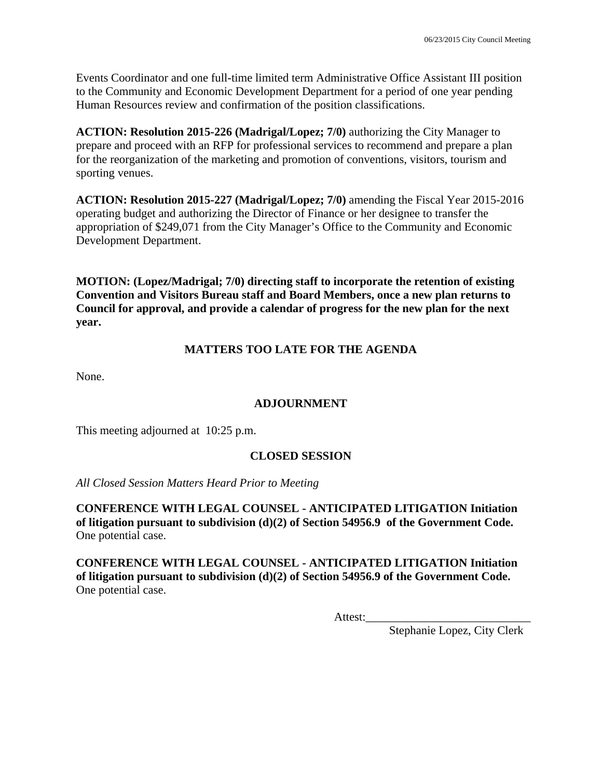Events Coordinator and one full-time limited term Administrative Office Assistant III position to the Community and Economic Development Department for a period of one year pending Human Resources review and confirmation of the position classifications.

**ACTION: Resolution 2015-226 (Madrigal/Lopez; 7/0)** authorizing the City Manager to prepare and proceed with an RFP for professional services to recommend and prepare a plan for the reorganization of the marketing and promotion of conventions, visitors, tourism and sporting venues.

**ACTION: Resolution 2015-227 (Madrigal/Lopez; 7/0)** amending the Fiscal Year 2015-2016 operating budget and authorizing the Director of Finance or her designee to transfer the appropriation of \$249,071 from the City Manager's Office to the Community and Economic Development Department.

**MOTION: (Lopez/Madrigal; 7/0) directing staff to incorporate the retention of existing Convention and Visitors Bureau staff and Board Members, once a new plan returns to Council for approval, and provide a calendar of progress for the new plan for the next year.** 

## **MATTERS TOO LATE FOR THE AGENDA**

None.

## **ADJOURNMENT**

This meeting adjourned at 10:25 p.m.

### **CLOSED SESSION**

*All Closed Session Matters Heard Prior to Meeting*

**CONFERENCE WITH LEGAL COUNSEL - ANTICIPATED LITIGATION Initiation of litigation pursuant to subdivision (d)(2) of Section 54956.9 of the Government Code.**  One potential case.

**CONFERENCE WITH LEGAL COUNSEL - ANTICIPATED LITIGATION Initiation of litigation pursuant to subdivision (d)(2) of Section 54956.9 of the Government Code.**  One potential case.

Attest:

Stephanie Lopez, City Clerk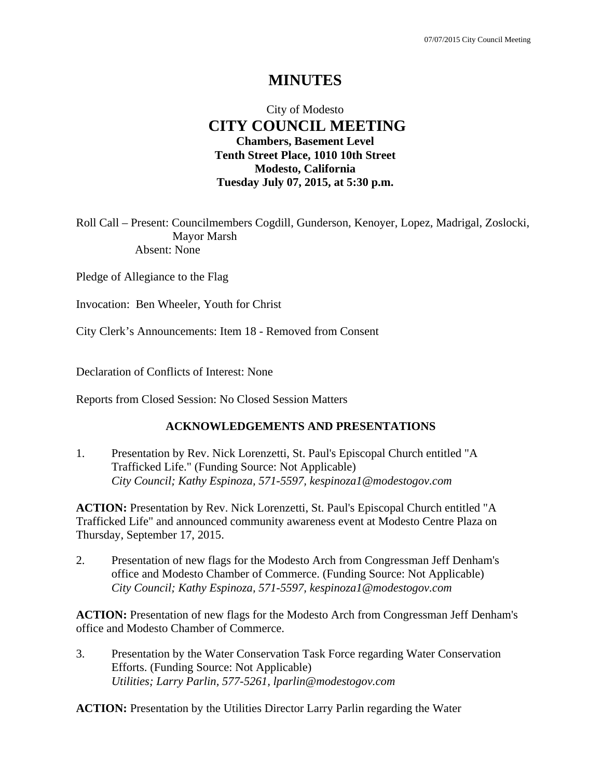# **MINUTES**

## City of Modesto  **CITY COUNCIL MEETING Chambers, Basement Level Tenth Street Place, 1010 10th Street Modesto, California Tuesday July 07, 2015, at 5:30 p.m.**

Roll Call – Present: Councilmembers Cogdill, Gunderson, Kenoyer, Lopez, Madrigal, Zoslocki, Mayor Marsh Absent: None

Pledge of Allegiance to the Flag

Invocation: Ben Wheeler, Youth for Christ

City Clerk's Announcements: Item 18 - Removed from Consent

Declaration of Conflicts of Interest: None

Reports from Closed Session: No Closed Session Matters

#### **ACKNOWLEDGEMENTS AND PRESENTATIONS**

1. Presentation by Rev. Nick Lorenzetti, St. Paul's Episcopal Church entitled "A Trafficked Life." (Funding Source: Not Applicable)  *City Council; Kathy Espinoza, 571-5597, kespinoza1@modestogov.com* 

**ACTION:** Presentation by Rev. Nick Lorenzetti, St. Paul's Episcopal Church entitled "A Trafficked Life" and announced community awareness event at Modesto Centre Plaza on Thursday, September 17, 2015.

2. Presentation of new flags for the Modesto Arch from Congressman Jeff Denham's office and Modesto Chamber of Commerce. (Funding Source: Not Applicable)  *City Council; Kathy Espinoza, 571-5597, kespinoza1@modestogov.com* 

**ACTION:** Presentation of new flags for the Modesto Arch from Congressman Jeff Denham's office and Modesto Chamber of Commerce.

3. Presentation by the Water Conservation Task Force regarding Water Conservation Efforts. (Funding Source: Not Applicable)  *Utilities; Larry Parlin, 577-5261, lparlin@modestogov.com* 

**ACTION:** Presentation by the Utilities Director Larry Parlin regarding the Water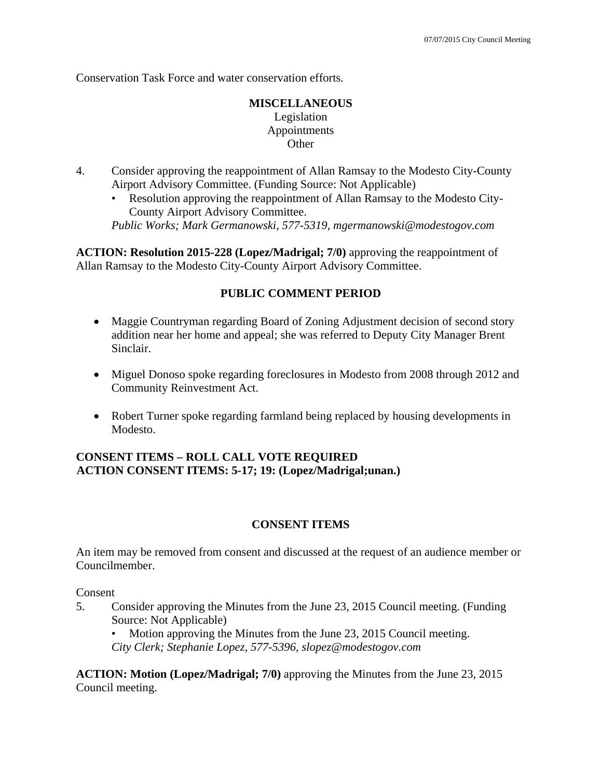Conservation Task Force and water conservation efforts.

## **MISCELLANEOUS**  Legislation Appointments **Other**

- 4. Consider approving the reappointment of Allan Ramsay to the Modesto City-County Airport Advisory Committee. (Funding Source: Not Applicable)
	- Resolution approving the reappointment of Allan Ramsay to the Modesto City-County Airport Advisory Committee.

*Public Works; Mark Germanowski, 577-5319, mgermanowski@modestogov.com* 

**ACTION: Resolution 2015-228 (Lopez/Madrigal; 7/0)** approving the reappointment of Allan Ramsay to the Modesto City-County Airport Advisory Committee.

## **PUBLIC COMMENT PERIOD**

- Maggie Countryman regarding Board of Zoning Adjustment decision of second story addition near her home and appeal; she was referred to Deputy City Manager Brent Sinclair.
- Miguel Donoso spoke regarding foreclosures in Modesto from 2008 through 2012 and Community Reinvestment Act.
- Robert Turner spoke regarding farmland being replaced by housing developments in Modesto.

## **CONSENT ITEMS – ROLL CALL VOTE REQUIRED ACTION CONSENT ITEMS: 5-17; 19: (Lopez/Madrigal;unan.)**

## **CONSENT ITEMS**

An item may be removed from consent and discussed at the request of an audience member or Councilmember.

Consent

5. Consider approving the Minutes from the June 23, 2015 Council meeting. (Funding Source: Not Applicable)

Motion approving the Minutes from the June 23, 2015 Council meeting. *City Clerk; Stephanie Lopez, 577-5396, slopez@modestogov.com* 

**ACTION: Motion (Lopez/Madrigal; 7/0)** approving the Minutes from the June 23, 2015 Council meeting.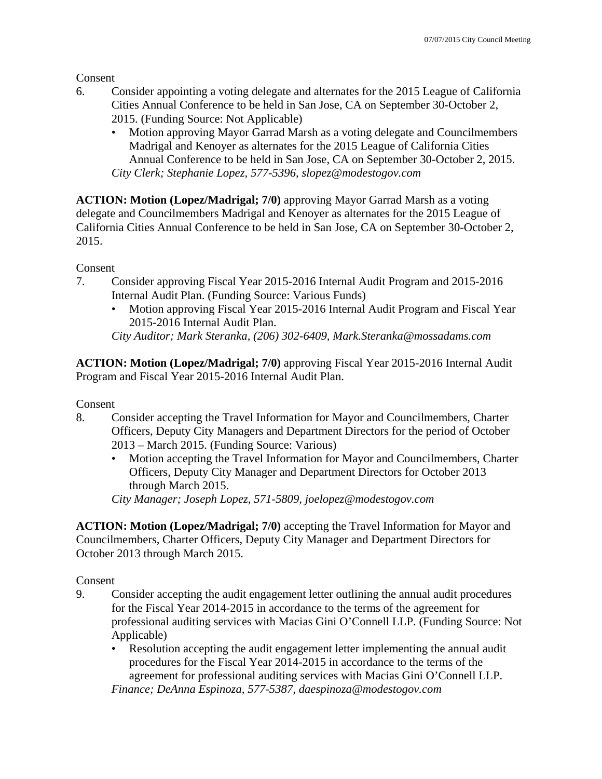Consent

- 6. Consider appointing a voting delegate and alternates for the 2015 League of California Cities Annual Conference to be held in San Jose, CA on September 30-October 2, 2015. (Funding Source: Not Applicable)
	- Motion approving Mayor Garrad Marsh as a voting delegate and Councilmembers Madrigal and Kenoyer as alternates for the 2015 League of California Cities Annual Conference to be held in San Jose, CA on September 30-October 2, 2015. *City Clerk; Stephanie Lopez, 577-5396, slopez@modestogov.com*

**ACTION: Motion (Lopez/Madrigal; 7/0)** approving Mayor Garrad Marsh as a voting delegate and Councilmembers Madrigal and Kenoyer as alternates for the 2015 League of California Cities Annual Conference to be held in San Jose, CA on September 30-October 2, 2015.

Consent

- 7. Consider approving Fiscal Year 2015-2016 Internal Audit Program and 2015-2016 Internal Audit Plan. (Funding Source: Various Funds)
	- Motion approving Fiscal Year 2015-2016 Internal Audit Program and Fiscal Year 2015-2016 Internal Audit Plan.

*City Auditor; Mark Steranka, (206) 302-6409, Mark.Steranka@mossadams.com* 

**ACTION: Motion (Lopez/Madrigal; 7/0)** approving Fiscal Year 2015-2016 Internal Audit Program and Fiscal Year 2015-2016 Internal Audit Plan.

Consent

- 8. Consider accepting the Travel Information for Mayor and Councilmembers, Charter Officers, Deputy City Managers and Department Directors for the period of October 2013 – March 2015. (Funding Source: Various)
	- Motion accepting the Travel Information for Mayor and Councilmembers, Charter Officers, Deputy City Manager and Department Directors for October 2013 through March 2015.

*City Manager; Joseph Lopez, 571-5809, joelopez@modestogov.com* 

**ACTION: Motion (Lopez/Madrigal; 7/0)** accepting the Travel Information for Mayor and Councilmembers, Charter Officers, Deputy City Manager and Department Directors for October 2013 through March 2015.

Consent

- 9. Consider accepting the audit engagement letter outlining the annual audit procedures for the Fiscal Year 2014-2015 in accordance to the terms of the agreement for professional auditing services with Macias Gini O'Connell LLP. (Funding Source: Not Applicable)
	- Resolution accepting the audit engagement letter implementing the annual audit procedures for the Fiscal Year 2014-2015 in accordance to the terms of the agreement for professional auditing services with Macias Gini O'Connell LLP. *Finance; DeAnna Espinoza, 577-5387, daespinoza@modestogov.com*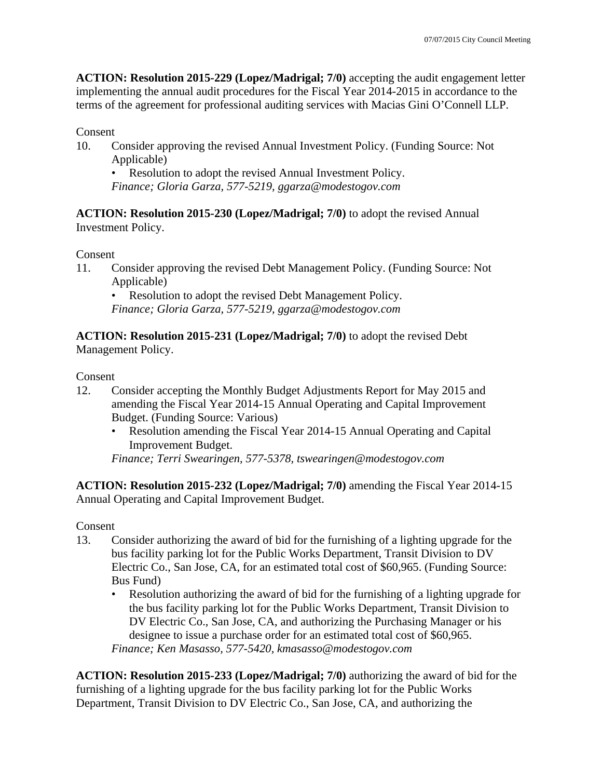**ACTION: Resolution 2015-229 (Lopez/Madrigal; 7/0)** accepting the audit engagement letter implementing the annual audit procedures for the Fiscal Year 2014-2015 in accordance to the terms of the agreement for professional auditing services with Macias Gini O'Connell LLP.

### Consent

10. Consider approving the revised Annual Investment Policy. (Funding Source: Not Applicable)

• Resolution to adopt the revised Annual Investment Policy. *Finance; Gloria Garza, 577-5219, ggarza@modestogov.com* 

**ACTION: Resolution 2015-230 (Lopez/Madrigal; 7/0)** to adopt the revised Annual Investment Policy.

Consent

11. Consider approving the revised Debt Management Policy. (Funding Source: Not Applicable)

• Resolution to adopt the revised Debt Management Policy.

*Finance; Gloria Garza, 577-5219, ggarza@modestogov.com* 

**ACTION: Resolution 2015-231 (Lopez/Madrigal; 7/0)** to adopt the revised Debt Management Policy.

Consent

- 12. Consider accepting the Monthly Budget Adjustments Report for May 2015 and amending the Fiscal Year 2014-15 Annual Operating and Capital Improvement Budget. (Funding Source: Various)
	- Resolution amending the Fiscal Year 2014-15 Annual Operating and Capital Improvement Budget.

*Finance; Terri Swearingen, 577-5378, tswearingen@modestogov.com* 

**ACTION: Resolution 2015-232 (Lopez/Madrigal; 7/0)** amending the Fiscal Year 2014-15 Annual Operating and Capital Improvement Budget.

Consent

- 13. Consider authorizing the award of bid for the furnishing of a lighting upgrade for the bus facility parking lot for the Public Works Department, Transit Division to DV Electric Co., San Jose, CA, for an estimated total cost of \$60,965. (Funding Source: Bus Fund)
	- Resolution authorizing the award of bid for the furnishing of a lighting upgrade for the bus facility parking lot for the Public Works Department, Transit Division to DV Electric Co., San Jose, CA, and authorizing the Purchasing Manager or his designee to issue a purchase order for an estimated total cost of \$60,965.

*Finance; Ken Masasso, 577-5420, kmasasso@modestogov.com* 

**ACTION: Resolution 2015-233 (Lopez/Madrigal; 7/0)** authorizing the award of bid for the furnishing of a lighting upgrade for the bus facility parking lot for the Public Works Department, Transit Division to DV Electric Co., San Jose, CA, and authorizing the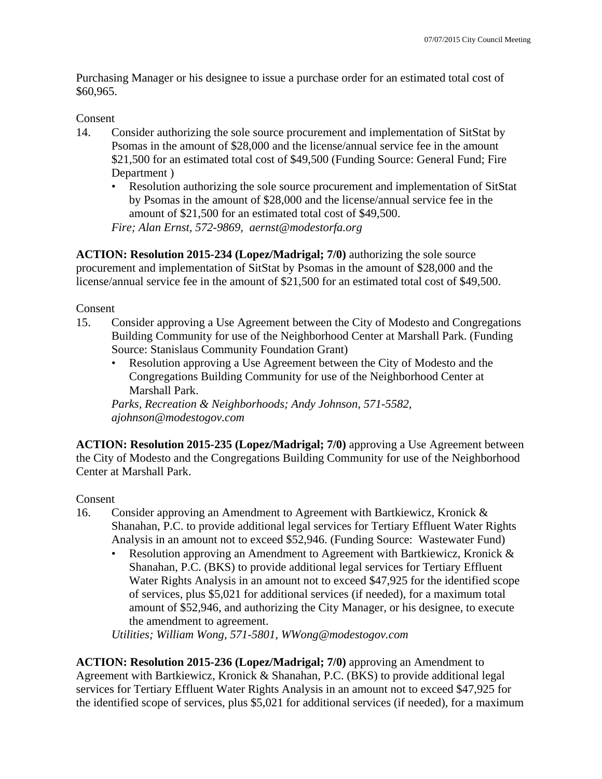Purchasing Manager or his designee to issue a purchase order for an estimated total cost of \$60,965.

### Consent

- 14. Consider authorizing the sole source procurement and implementation of SitStat by Psomas in the amount of \$28,000 and the license/annual service fee in the amount \$21,500 for an estimated total cost of \$49,500 (Funding Source: General Fund; Fire Department )
	- Resolution authorizing the sole source procurement and implementation of SitStat by Psomas in the amount of \$28,000 and the license/annual service fee in the amount of \$21,500 for an estimated total cost of \$49,500.

*Fire; Alan Ernst, 572-9869, aernst@modestorfa.org* 

**ACTION: Resolution 2015-234 (Lopez/Madrigal; 7/0)** authorizing the sole source procurement and implementation of SitStat by Psomas in the amount of \$28,000 and the license/annual service fee in the amount of \$21,500 for an estimated total cost of \$49,500.

### Consent

- 15. Consider approving a Use Agreement between the City of Modesto and Congregations Building Community for use of the Neighborhood Center at Marshall Park. (Funding Source: Stanislaus Community Foundation Grant)
	- Resolution approving a Use Agreement between the City of Modesto and the Congregations Building Community for use of the Neighborhood Center at Marshall Park.

*Parks, Recreation & Neighborhoods; Andy Johnson, 571-5582, ajohnson@modestogov.com* 

**ACTION: Resolution 2015-235 (Lopez/Madrigal; 7/0)** approving a Use Agreement between the City of Modesto and the Congregations Building Community for use of the Neighborhood Center at Marshall Park.

## Consent

- 16. Consider approving an Amendment to Agreement with Bartkiewicz, Kronick & Shanahan, P.C. to provide additional legal services for Tertiary Effluent Water Rights Analysis in an amount not to exceed \$52,946. (Funding Source: Wastewater Fund)
	- Resolution approving an Amendment to Agreement with Bartkiewicz, Kronick & Shanahan, P.C. (BKS) to provide additional legal services for Tertiary Effluent Water Rights Analysis in an amount not to exceed \$47,925 for the identified scope of services, plus \$5,021 for additional services (if needed), for a maximum total amount of \$52,946, and authorizing the City Manager, or his designee, to execute the amendment to agreement.

*Utilities; William Wong, 571-5801, WWong@modestogov.com* 

**ACTION: Resolution 2015-236 (Lopez/Madrigal; 7/0)** approving an Amendment to Agreement with Bartkiewicz, Kronick & Shanahan, P.C. (BKS) to provide additional legal services for Tertiary Effluent Water Rights Analysis in an amount not to exceed \$47,925 for the identified scope of services, plus \$5,021 for additional services (if needed), for a maximum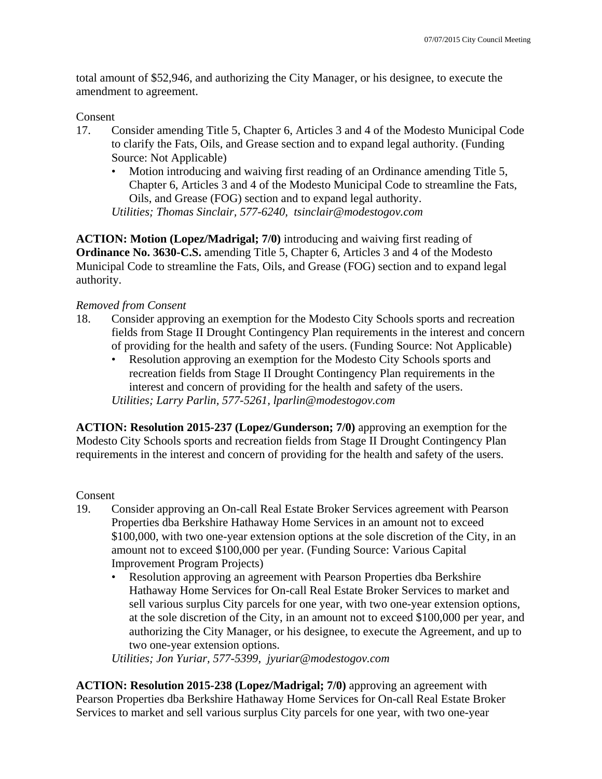total amount of \$52,946, and authorizing the City Manager, or his designee, to execute the amendment to agreement.

### Consent

- 17. Consider amending Title 5, Chapter 6, Articles 3 and 4 of the Modesto Municipal Code to clarify the Fats, Oils, and Grease section and to expand legal authority. (Funding Source: Not Applicable)
	- Motion introducing and waiving first reading of an Ordinance amending Title 5, Chapter 6, Articles 3 and 4 of the Modesto Municipal Code to streamline the Fats, Oils, and Grease (FOG) section and to expand legal authority. *Utilities; Thomas Sinclair, 577-6240, tsinclair@modestogov.com*

**ACTION: Motion (Lopez/Madrigal; 7/0)** introducing and waiving first reading of **Ordinance No. 3630-C.S.** amending Title 5, Chapter 6, Articles 3 and 4 of the Modesto Municipal Code to streamline the Fats, Oils, and Grease (FOG) section and to expand legal authority.

### *Removed from Consent*

- 18. Consider approving an exemption for the Modesto City Schools sports and recreation fields from Stage II Drought Contingency Plan requirements in the interest and concern of providing for the health and safety of the users. (Funding Source: Not Applicable)
	- Resolution approving an exemption for the Modesto City Schools sports and recreation fields from Stage II Drought Contingency Plan requirements in the interest and concern of providing for the health and safety of the users. *Utilities; Larry Parlin, 577-5261, lparlin@modestogov.com*

**ACTION: Resolution 2015-237 (Lopez/Gunderson; 7/0)** approving an exemption for the Modesto City Schools sports and recreation fields from Stage II Drought Contingency Plan requirements in the interest and concern of providing for the health and safety of the users.

### Consent

- 19. Consider approving an On-call Real Estate Broker Services agreement with Pearson Properties dba Berkshire Hathaway Home Services in an amount not to exceed \$100,000, with two one-year extension options at the sole discretion of the City, in an amount not to exceed \$100,000 per year. (Funding Source: Various Capital Improvement Program Projects)
	- Resolution approving an agreement with Pearson Properties dba Berkshire Hathaway Home Services for On-call Real Estate Broker Services to market and sell various surplus City parcels for one year, with two one-year extension options, at the sole discretion of the City, in an amount not to exceed \$100,000 per year, and authorizing the City Manager, or his designee, to execute the Agreement, and up to two one-year extension options.

*Utilities; Jon Yuriar, 577-5399, jyuriar@modestogov.com* 

**ACTION: Resolution 2015-238 (Lopez/Madrigal; 7/0)** approving an agreement with Pearson Properties dba Berkshire Hathaway Home Services for On-call Real Estate Broker Services to market and sell various surplus City parcels for one year, with two one-year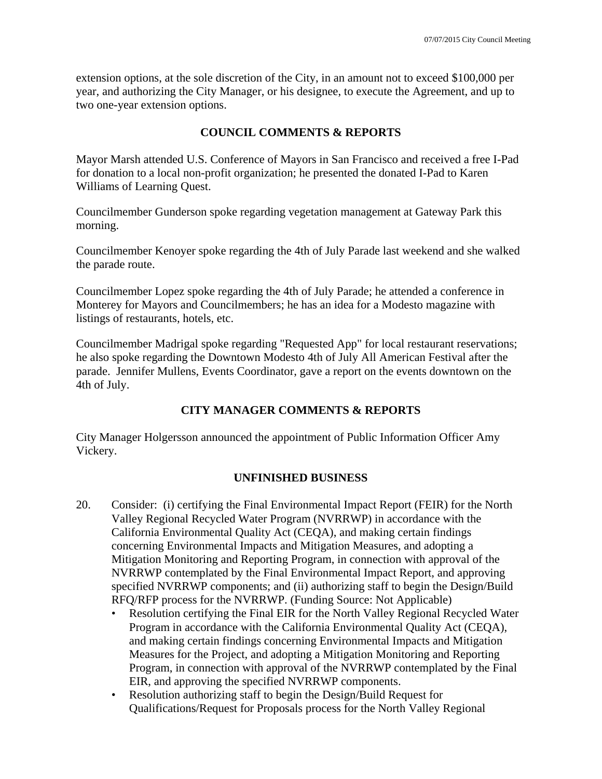extension options, at the sole discretion of the City, in an amount not to exceed \$100,000 per year, and authorizing the City Manager, or his designee, to execute the Agreement, and up to two one-year extension options.

### **COUNCIL COMMENTS & REPORTS**

Mayor Marsh attended U.S. Conference of Mayors in San Francisco and received a free I-Pad for donation to a local non-profit organization; he presented the donated I-Pad to Karen Williams of Learning Quest.

Councilmember Gunderson spoke regarding vegetation management at Gateway Park this morning.

Councilmember Kenoyer spoke regarding the 4th of July Parade last weekend and she walked the parade route.

Councilmember Lopez spoke regarding the 4th of July Parade; he attended a conference in Monterey for Mayors and Councilmembers; he has an idea for a Modesto magazine with listings of restaurants, hotels, etc.

Councilmember Madrigal spoke regarding "Requested App" for local restaurant reservations; he also spoke regarding the Downtown Modesto 4th of July All American Festival after the parade. Jennifer Mullens, Events Coordinator, gave a report on the events downtown on the 4th of July.

## **CITY MANAGER COMMENTS & REPORTS**

City Manager Holgersson announced the appointment of Public Information Officer Amy Vickery.

## **UNFINISHED BUSINESS**

- 20. Consider: (i) certifying the Final Environmental Impact Report (FEIR) for the North Valley Regional Recycled Water Program (NVRRWP) in accordance with the California Environmental Quality Act (CEQA), and making certain findings concerning Environmental Impacts and Mitigation Measures, and adopting a Mitigation Monitoring and Reporting Program, in connection with approval of the NVRRWP contemplated by the Final Environmental Impact Report, and approving specified NVRRWP components; and (ii) authorizing staff to begin the Design/Build RFQ/RFP process for the NVRRWP. (Funding Source: Not Applicable)
	- Resolution certifying the Final EIR for the North Valley Regional Recycled Water Program in accordance with the California Environmental Quality Act (CEQA), and making certain findings concerning Environmental Impacts and Mitigation Measures for the Project, and adopting a Mitigation Monitoring and Reporting Program, in connection with approval of the NVRRWP contemplated by the Final EIR, and approving the specified NVRRWP components.
	- Resolution authorizing staff to begin the Design/Build Request for Qualifications/Request for Proposals process for the North Valley Regional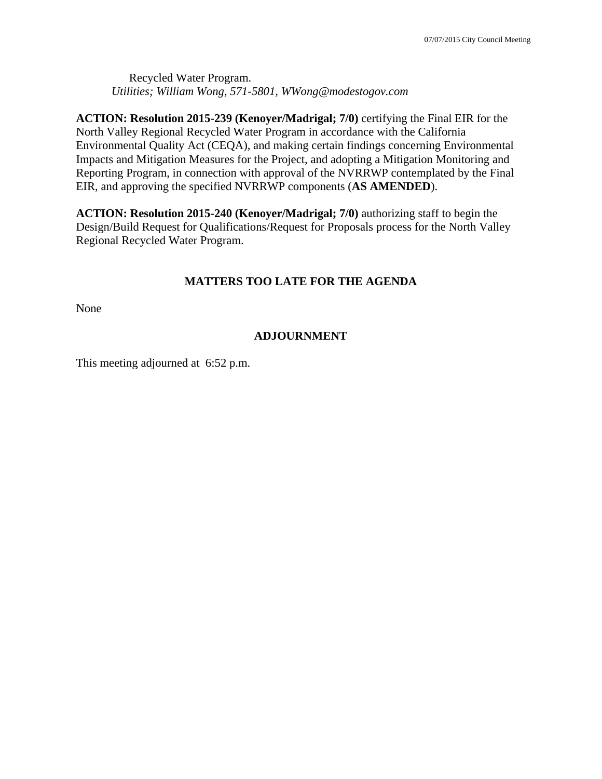Recycled Water Program. *Utilities; William Wong, 571-5801, WWong@modestogov.com* 

**ACTION: Resolution 2015-239 (Kenoyer/Madrigal; 7/0)** certifying the Final EIR for the North Valley Regional Recycled Water Program in accordance with the California Environmental Quality Act (CEQA), and making certain findings concerning Environmental Impacts and Mitigation Measures for the Project, and adopting a Mitigation Monitoring and Reporting Program, in connection with approval of the NVRRWP contemplated by the Final EIR, and approving the specified NVRRWP components (**AS AMENDED**).

**ACTION: Resolution 2015-240 (Kenoyer/Madrigal; 7/0)** authorizing staff to begin the Design/Build Request for Qualifications/Request for Proposals process for the North Valley Regional Recycled Water Program.

## **MATTERS TOO LATE FOR THE AGENDA**

None

## **ADJOURNMENT**

This meeting adjourned at 6:52 p.m.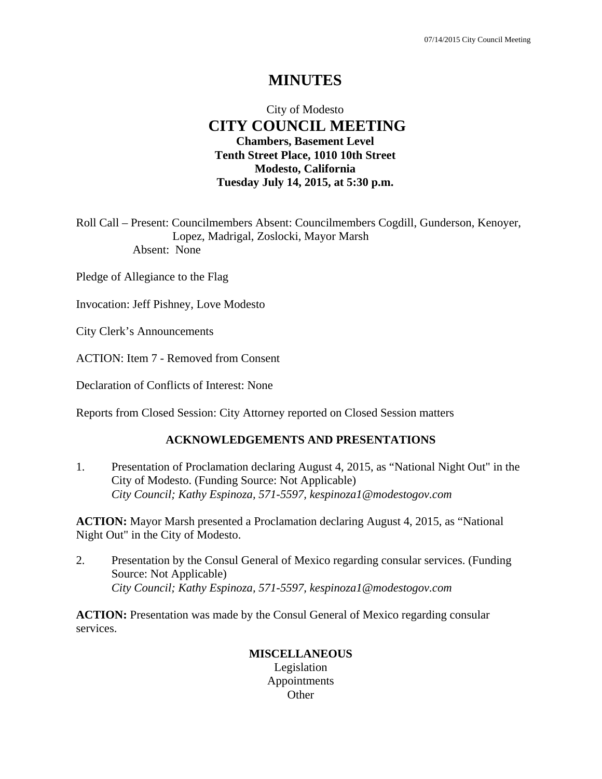# **MINUTES**

## City of Modesto  **CITY COUNCIL MEETING Chambers, Basement Level Tenth Street Place, 1010 10th Street Modesto, California Tuesday July 14, 2015, at 5:30 p.m.**

Roll Call – Present: Councilmembers Absent: Councilmembers Cogdill, Gunderson, Kenoyer, Lopez, Madrigal, Zoslocki, Mayor Marsh Absent: None

Pledge of Allegiance to the Flag

Invocation: Jeff Pishney, Love Modesto

City Clerk's Announcements

ACTION: Item 7 - Removed from Consent

Declaration of Conflicts of Interest: None

Reports from Closed Session: City Attorney reported on Closed Session matters

### **ACKNOWLEDGEMENTS AND PRESENTATIONS**

1. Presentation of Proclamation declaring August 4, 2015, as "National Night Out" in the City of Modesto. (Funding Source: Not Applicable)  *City Council; Kathy Espinoza, 571-5597, kespinoza1@modestogov.com* 

**ACTION:** Mayor Marsh presented a Proclamation declaring August 4, 2015, as "National Night Out" in the City of Modesto.

2. Presentation by the Consul General of Mexico regarding consular services. (Funding Source: Not Applicable)  *City Council; Kathy Espinoza, 571-5597, kespinoza1@modestogov.com* 

**ACTION:** Presentation was made by the Consul General of Mexico regarding consular services.

### **MISCELLANEOUS**  Legislation Appointments **Other**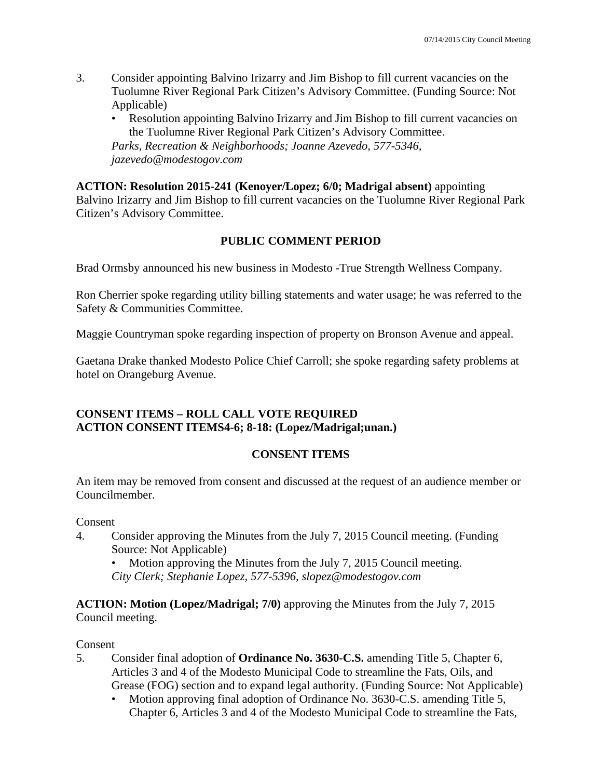- 3. Consider appointing Balvino Irizarry and Jim Bishop to fill current vacancies on the Tuolumne River Regional Park Citizen's Advisory Committee. (Funding Source: Not Applicable)
	- Resolution appointing Balvino Irizarry and Jim Bishop to fill current vacancies on the Tuolumne River Regional Park Citizen's Advisory Committee.

*Parks, Recreation & Neighborhoods; Joanne Azevedo, 577-5346, jazevedo@modestogov.com* 

**ACTION: Resolution 2015-241 (Kenoyer/Lopez; 6/0; Madrigal absent)** appointing

Balvino Irizarry and Jim Bishop to fill current vacancies on the Tuolumne River Regional Park Citizen's Advisory Committee.

## **PUBLIC COMMENT PERIOD**

Brad Ormsby announced his new business in Modesto -True Strength Wellness Company.

Ron Cherrier spoke regarding utility billing statements and water usage; he was referred to the Safety & Communities Committee.

Maggie Countryman spoke regarding inspection of property on Bronson Avenue and appeal.

Gaetana Drake thanked Modesto Police Chief Carroll; she spoke regarding safety problems at hotel on Orangeburg Avenue.

## **CONSENT ITEMS – ROLL CALL VOTE REQUIRED ACTION CONSENT ITEMS4-6; 8-18: (Lopez/Madrigal;unan.)**

# **CONSENT ITEMS**

An item may be removed from consent and discussed at the request of an audience member or Councilmember.

## Consent

4. Consider approving the Minutes from the July 7, 2015 Council meeting. (Funding Source: Not Applicable)

Motion approving the Minutes from the July 7, 2015 Council meeting. *City Clerk; Stephanie Lopez, 577-5396, slopez@modestogov.com* 

**ACTION: Motion (Lopez/Madrigal; 7/0)** approving the Minutes from the July 7, 2015 Council meeting.

## Consent

- 5. Consider final adoption of **Ordinance No. 3630-C.S.** amending Title 5, Chapter 6, Articles 3 and 4 of the Modesto Municipal Code to streamline the Fats, Oils, and Grease (FOG) section and to expand legal authority. (Funding Source: Not Applicable)
	- Motion approving final adoption of Ordinance No. 3630-C.S. amending Title 5, Chapter 6, Articles 3 and 4 of the Modesto Municipal Code to streamline the Fats,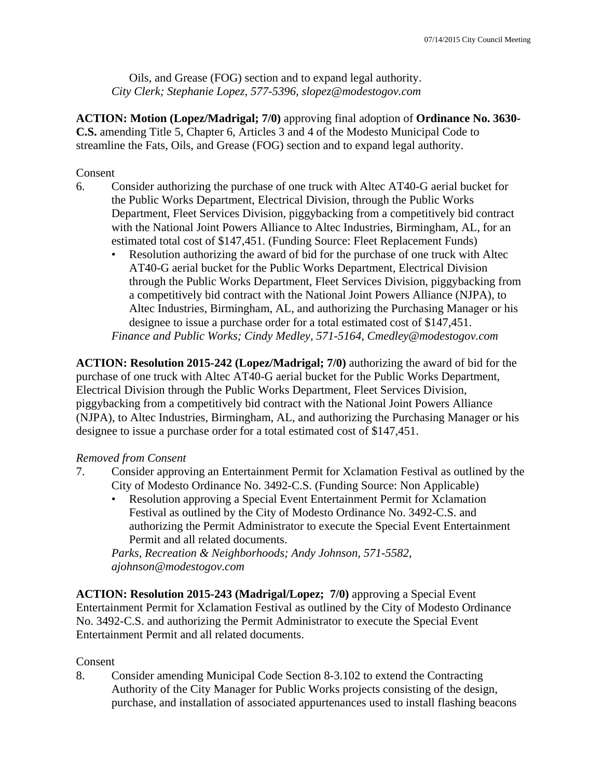Oils, and Grease (FOG) section and to expand legal authority. *City Clerk; Stephanie Lopez, 577-5396, slopez@modestogov.com* 

**ACTION: Motion (Lopez/Madrigal; 7/0)** approving final adoption of **Ordinance No. 3630- C.S.** amending Title 5, Chapter 6, Articles 3 and 4 of the Modesto Municipal Code to streamline the Fats, Oils, and Grease (FOG) section and to expand legal authority.

### Consent

- 6. Consider authorizing the purchase of one truck with Altec AT40-G aerial bucket for the Public Works Department, Electrical Division, through the Public Works Department, Fleet Services Division, piggybacking from a competitively bid contract with the National Joint Powers Alliance to Altec Industries, Birmingham, AL, for an estimated total cost of \$147,451. (Funding Source: Fleet Replacement Funds)
	- Resolution authorizing the award of bid for the purchase of one truck with Altec AT40-G aerial bucket for the Public Works Department, Electrical Division through the Public Works Department, Fleet Services Division, piggybacking from a competitively bid contract with the National Joint Powers Alliance (NJPA), to Altec Industries, Birmingham, AL, and authorizing the Purchasing Manager or his designee to issue a purchase order for a total estimated cost of \$147,451. *Finance and Public Works; Cindy Medley, 571-5164, Cmedley@modestogov.com*

**ACTION: Resolution 2015-242 (Lopez/Madrigal; 7/0)** authorizing the award of bid for the purchase of one truck with Altec AT40-G aerial bucket for the Public Works Department, Electrical Division through the Public Works Department, Fleet Services Division, piggybacking from a competitively bid contract with the National Joint Powers Alliance (NJPA), to Altec Industries, Birmingham, AL, and authorizing the Purchasing Manager or his designee to issue a purchase order for a total estimated cost of \$147,451.

## *Removed from Consent*

- 7. Consider approving an Entertainment Permit for Xclamation Festival as outlined by the City of Modesto Ordinance No. 3492-C.S. (Funding Source: Non Applicable)
	- Resolution approving a Special Event Entertainment Permit for Xclamation Festival as outlined by the City of Modesto Ordinance No. 3492-C.S. and authorizing the Permit Administrator to execute the Special Event Entertainment Permit and all related documents.

*Parks, Recreation & Neighborhoods; Andy Johnson, 571-5582, ajohnson@modestogov.com* 

**ACTION: Resolution 2015-243 (Madrigal/Lopez; 7/0)** approving a Special Event Entertainment Permit for Xclamation Festival as outlined by the City of Modesto Ordinance No. 3492-C.S. and authorizing the Permit Administrator to execute the Special Event Entertainment Permit and all related documents.

## Consent

8. Consider amending Municipal Code Section 8-3.102 to extend the Contracting Authority of the City Manager for Public Works projects consisting of the design, purchase, and installation of associated appurtenances used to install flashing beacons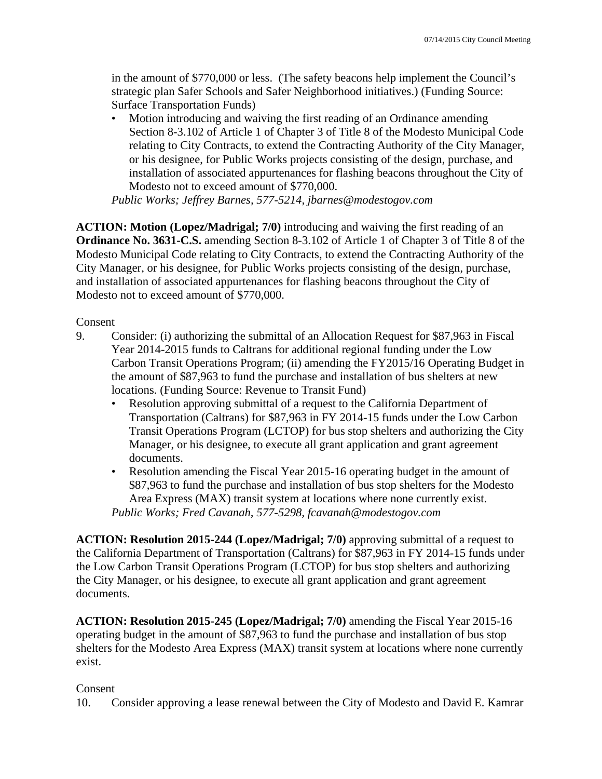in the amount of \$770,000 or less. (The safety beacons help implement the Council's strategic plan Safer Schools and Safer Neighborhood initiatives.) (Funding Source: Surface Transportation Funds)

• Motion introducing and waiving the first reading of an Ordinance amending Section 8-3.102 of Article 1 of Chapter 3 of Title 8 of the Modesto Municipal Code relating to City Contracts, to extend the Contracting Authority of the City Manager, or his designee, for Public Works projects consisting of the design, purchase, and installation of associated appurtenances for flashing beacons throughout the City of Modesto not to exceed amount of \$770,000.

*Public Works; Jeffrey Barnes, 577-5214, jbarnes@modestogov.com* 

**ACTION: Motion (Lopez/Madrigal; 7/0)** introducing and waiving the first reading of an **Ordinance No. 3631-C.S.** amending Section 8-3.102 of Article 1 of Chapter 3 of Title 8 of the Modesto Municipal Code relating to City Contracts, to extend the Contracting Authority of the City Manager, or his designee, for Public Works projects consisting of the design, purchase, and installation of associated appurtenances for flashing beacons throughout the City of Modesto not to exceed amount of \$770,000.

Consent

- 9. Consider: (i) authorizing the submittal of an Allocation Request for \$87,963 in Fiscal Year 2014-2015 funds to Caltrans for additional regional funding under the Low Carbon Transit Operations Program; (ii) amending the FY2015/16 Operating Budget in the amount of \$87,963 to fund the purchase and installation of bus shelters at new locations. (Funding Source: Revenue to Transit Fund)
	- Resolution approving submittal of a request to the California Department of Transportation (Caltrans) for \$87,963 in FY 2014-15 funds under the Low Carbon Transit Operations Program (LCTOP) for bus stop shelters and authorizing the City Manager, or his designee, to execute all grant application and grant agreement documents.
	- Resolution amending the Fiscal Year 2015-16 operating budget in the amount of \$87,963 to fund the purchase and installation of bus stop shelters for the Modesto Area Express (MAX) transit system at locations where none currently exist. *Public Works; Fred Cavanah, 577-5298, fcavanah@modestogov.com*

**ACTION: Resolution 2015-244 (Lopez/Madrigal; 7/0)** approving submittal of a request to the California Department of Transportation (Caltrans) for \$87,963 in FY 2014-15 funds under the Low Carbon Transit Operations Program (LCTOP) for bus stop shelters and authorizing the City Manager, or his designee, to execute all grant application and grant agreement documents.

**ACTION: Resolution 2015-245 (Lopez/Madrigal; 7/0)** amending the Fiscal Year 2015-16 operating budget in the amount of \$87,963 to fund the purchase and installation of bus stop shelters for the Modesto Area Express (MAX) transit system at locations where none currently exist.

## Consent

10. Consider approving a lease renewal between the City of Modesto and David E. Kamrar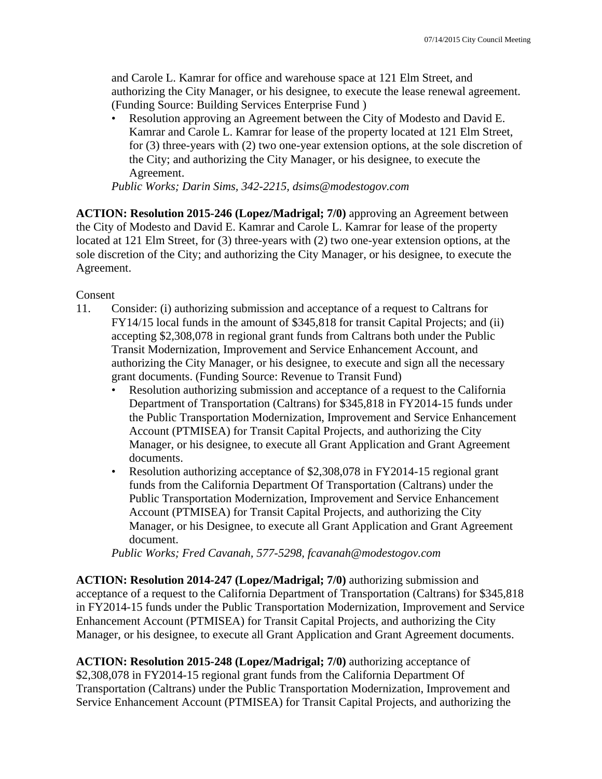and Carole L. Kamrar for office and warehouse space at 121 Elm Street, and authorizing the City Manager, or his designee, to execute the lease renewal agreement. (Funding Source: Building Services Enterprise Fund )

• Resolution approving an Agreement between the City of Modesto and David E. Kamrar and Carole L. Kamrar for lease of the property located at 121 Elm Street, for (3) three-years with (2) two one-year extension options, at the sole discretion of the City; and authorizing the City Manager, or his designee, to execute the Agreement.

*Public Works; Darin Sims, 342-2215, dsims@modestogov.com* 

**ACTION: Resolution 2015-246 (Lopez/Madrigal; 7/0)** approving an Agreement between the City of Modesto and David E. Kamrar and Carole L. Kamrar for lease of the property located at 121 Elm Street, for (3) three-years with (2) two one-year extension options, at the sole discretion of the City; and authorizing the City Manager, or his designee, to execute the Agreement.

### Consent

- 11. Consider: (i) authorizing submission and acceptance of a request to Caltrans for FY14/15 local funds in the amount of \$345,818 for transit Capital Projects; and (ii) accepting \$2,308,078 in regional grant funds from Caltrans both under the Public Transit Modernization, Improvement and Service Enhancement Account, and authorizing the City Manager, or his designee, to execute and sign all the necessary grant documents. (Funding Source: Revenue to Transit Fund)
	- Resolution authorizing submission and acceptance of a request to the California Department of Transportation (Caltrans) for \$345,818 in FY2014-15 funds under the Public Transportation Modernization, Improvement and Service Enhancement Account (PTMISEA) for Transit Capital Projects, and authorizing the City Manager, or his designee, to execute all Grant Application and Grant Agreement documents.
	- Resolution authorizing acceptance of \$2,308,078 in FY2014-15 regional grant funds from the California Department Of Transportation (Caltrans) under the Public Transportation Modernization, Improvement and Service Enhancement Account (PTMISEA) for Transit Capital Projects, and authorizing the City Manager, or his Designee, to execute all Grant Application and Grant Agreement document.

*Public Works; Fred Cavanah, 577-5298, fcavanah@modestogov.com* 

**ACTION: Resolution 2014-247 (Lopez/Madrigal; 7/0)** authorizing submission and acceptance of a request to the California Department of Transportation (Caltrans) for \$345,818 in FY2014-15 funds under the Public Transportation Modernization, Improvement and Service Enhancement Account (PTMISEA) for Transit Capital Projects, and authorizing the City Manager, or his designee, to execute all Grant Application and Grant Agreement documents.

**ACTION: Resolution 2015-248 (Lopez/Madrigal; 7/0)** authorizing acceptance of \$2,308,078 in FY2014-15 regional grant funds from the California Department Of Transportation (Caltrans) under the Public Transportation Modernization, Improvement and Service Enhancement Account (PTMISEA) for Transit Capital Projects, and authorizing the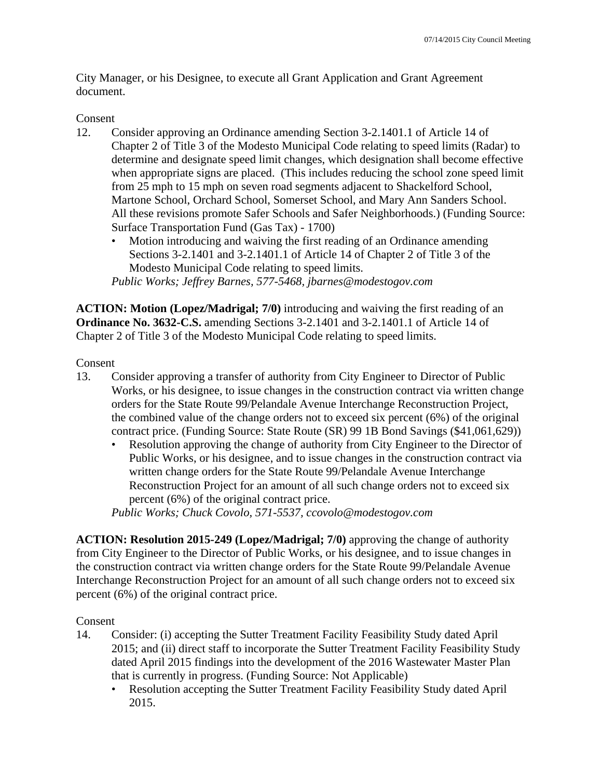City Manager, or his Designee, to execute all Grant Application and Grant Agreement document.

### Consent

- 12. Consider approving an Ordinance amending Section 3-2.1401.1 of Article 14 of Chapter 2 of Title 3 of the Modesto Municipal Code relating to speed limits (Radar) to determine and designate speed limit changes, which designation shall become effective when appropriate signs are placed. (This includes reducing the school zone speed limit from 25 mph to 15 mph on seven road segments adjacent to Shackelford School, Martone School, Orchard School, Somerset School, and Mary Ann Sanders School. All these revisions promote Safer Schools and Safer Neighborhoods.) (Funding Source: Surface Transportation Fund (Gas Tax) - 1700)
	- Motion introducing and waiving the first reading of an Ordinance amending Sections 3-2.1401 and 3-2.1401.1 of Article 14 of Chapter 2 of Title 3 of the Modesto Municipal Code relating to speed limits.

*Public Works; Jeffrey Barnes, 577-5468, jbarnes@modestogov.com* 

**ACTION: Motion (Lopez/Madrigal; 7/0)** introducing and waiving the first reading of an **Ordinance No. 3632-C.S.** amending Sections 3-2.1401 and 3-2.1401.1 of Article 14 of Chapter 2 of Title 3 of the Modesto Municipal Code relating to speed limits.

Consent

- 13. Consider approving a transfer of authority from City Engineer to Director of Public Works, or his designee, to issue changes in the construction contract via written change orders for the State Route 99/Pelandale Avenue Interchange Reconstruction Project, the combined value of the change orders not to exceed six percent (6%) of the original contract price. (Funding Source: State Route (SR) 99 1B Bond Savings (\$41,061,629))
	- Resolution approving the change of authority from City Engineer to the Director of Public Works, or his designee, and to issue changes in the construction contract via written change orders for the State Route 99/Pelandale Avenue Interchange Reconstruction Project for an amount of all such change orders not to exceed six percent (6%) of the original contract price.

*Public Works; Chuck Covolo, 571-5537, ccovolo@modestogov.com* 

**ACTION: Resolution 2015-249 (Lopez/Madrigal; 7/0)** approving the change of authority from City Engineer to the Director of Public Works, or his designee, and to issue changes in the construction contract via written change orders for the State Route 99/Pelandale Avenue Interchange Reconstruction Project for an amount of all such change orders not to exceed six percent (6%) of the original contract price.

### Consent

- 14. Consider: (i) accepting the Sutter Treatment Facility Feasibility Study dated April 2015; and (ii) direct staff to incorporate the Sutter Treatment Facility Feasibility Study dated April 2015 findings into the development of the 2016 Wastewater Master Plan that is currently in progress. (Funding Source: Not Applicable)
	- Resolution accepting the Sutter Treatment Facility Feasibility Study dated April 2015.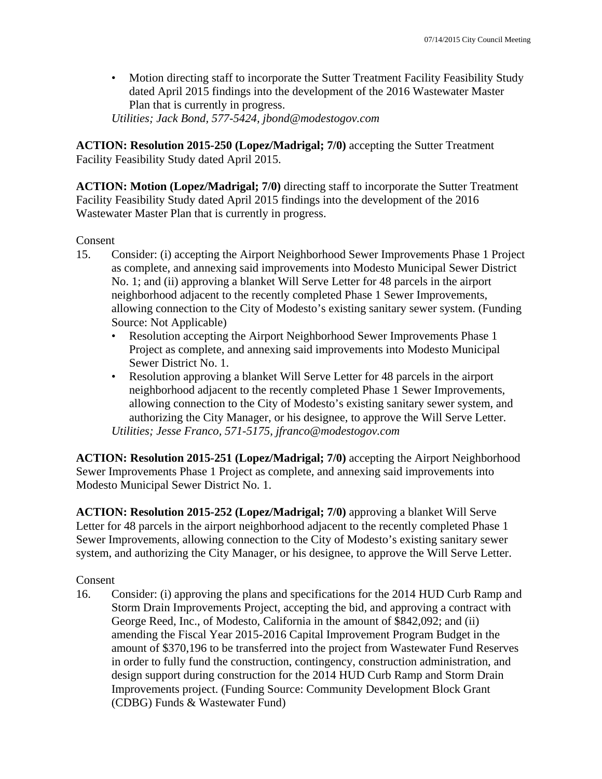• Motion directing staff to incorporate the Sutter Treatment Facility Feasibility Study dated April 2015 findings into the development of the 2016 Wastewater Master Plan that is currently in progress.

*Utilities; Jack Bond, 577-5424, jbond@modestogov.com* 

**ACTION: Resolution 2015-250 (Lopez/Madrigal; 7/0)** accepting the Sutter Treatment Facility Feasibility Study dated April 2015.

**ACTION: Motion (Lopez/Madrigal; 7/0)** directing staff to incorporate the Sutter Treatment Facility Feasibility Study dated April 2015 findings into the development of the 2016 Wastewater Master Plan that is currently in progress.

### Consent

- 15. Consider: (i) accepting the Airport Neighborhood Sewer Improvements Phase 1 Project as complete, and annexing said improvements into Modesto Municipal Sewer District No. 1; and (ii) approving a blanket Will Serve Letter for 48 parcels in the airport neighborhood adjacent to the recently completed Phase 1 Sewer Improvements, allowing connection to the City of Modesto's existing sanitary sewer system. (Funding Source: Not Applicable)
	- Resolution accepting the Airport Neighborhood Sewer Improvements Phase 1 Project as complete, and annexing said improvements into Modesto Municipal Sewer District No. 1.
	- Resolution approving a blanket Will Serve Letter for 48 parcels in the airport neighborhood adjacent to the recently completed Phase 1 Sewer Improvements, allowing connection to the City of Modesto's existing sanitary sewer system, and authorizing the City Manager, or his designee, to approve the Will Serve Letter. *Utilities; Jesse Franco, 571-5175, jfranco@modestogov.com*

**ACTION: Resolution 2015-251 (Lopez/Madrigal; 7/0)** accepting the Airport Neighborhood Sewer Improvements Phase 1 Project as complete, and annexing said improvements into Modesto Municipal Sewer District No. 1.

**ACTION: Resolution 2015-252 (Lopez/Madrigal; 7/0)** approving a blanket Will Serve Letter for 48 parcels in the airport neighborhood adjacent to the recently completed Phase 1 Sewer Improvements, allowing connection to the City of Modesto's existing sanitary sewer system, and authorizing the City Manager, or his designee, to approve the Will Serve Letter.

### Consent

16. Consider: (i) approving the plans and specifications for the 2014 HUD Curb Ramp and Storm Drain Improvements Project, accepting the bid, and approving a contract with George Reed, Inc., of Modesto, California in the amount of \$842,092; and (ii) amending the Fiscal Year 2015-2016 Capital Improvement Program Budget in the amount of \$370,196 to be transferred into the project from Wastewater Fund Reserves in order to fully fund the construction, contingency, construction administration, and design support during construction for the 2014 HUD Curb Ramp and Storm Drain Improvements project. (Funding Source: Community Development Block Grant (CDBG) Funds & Wastewater Fund)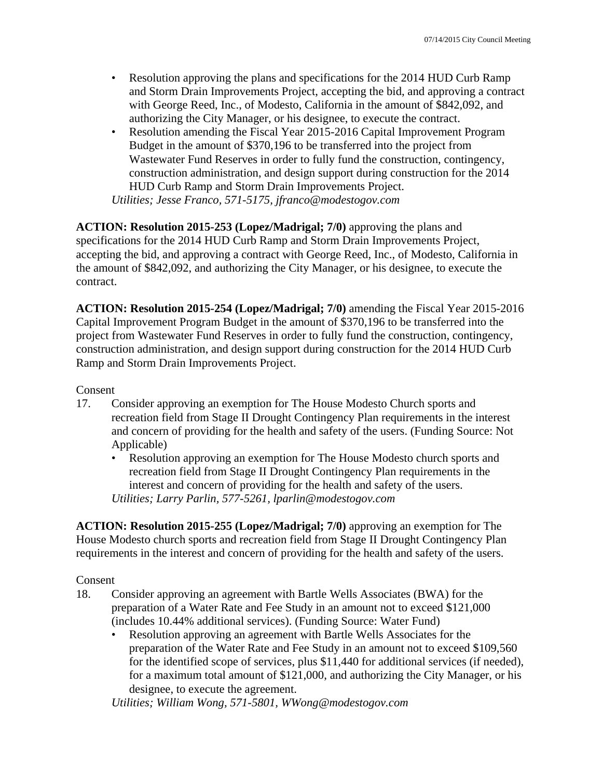- Resolution approving the plans and specifications for the 2014 HUD Curb Ramp and Storm Drain Improvements Project, accepting the bid, and approving a contract with George Reed, Inc., of Modesto, California in the amount of \$842,092, and authorizing the City Manager, or his designee, to execute the contract.
- Resolution amending the Fiscal Year 2015-2016 Capital Improvement Program Budget in the amount of \$370,196 to be transferred into the project from Wastewater Fund Reserves in order to fully fund the construction, contingency, construction administration, and design support during construction for the 2014 HUD Curb Ramp and Storm Drain Improvements Project. *Utilities; Jesse Franco, 571-5175, jfranco@modestogov.com*

**ACTION: Resolution 2015-253 (Lopez/Madrigal; 7/0)** approving the plans and specifications for the 2014 HUD Curb Ramp and Storm Drain Improvements Project, accepting the bid, and approving a contract with George Reed, Inc., of Modesto, California in the amount of \$842,092, and authorizing the City Manager, or his designee, to execute the contract.

**ACTION: Resolution 2015-254 (Lopez/Madrigal; 7/0)** amending the Fiscal Year 2015-2016 Capital Improvement Program Budget in the amount of \$370,196 to be transferred into the project from Wastewater Fund Reserves in order to fully fund the construction, contingency, construction administration, and design support during construction for the 2014 HUD Curb Ramp and Storm Drain Improvements Project.

### Consent

- 17. Consider approving an exemption for The House Modesto Church sports and recreation field from Stage II Drought Contingency Plan requirements in the interest and concern of providing for the health and safety of the users. (Funding Source: Not Applicable)
	- Resolution approving an exemption for The House Modesto church sports and recreation field from Stage II Drought Contingency Plan requirements in the interest and concern of providing for the health and safety of the users. *Utilities; Larry Parlin, 577-5261, lparlin@modestogov.com*

**ACTION: Resolution 2015-255 (Lopez/Madrigal; 7/0)** approving an exemption for The House Modesto church sports and recreation field from Stage II Drought Contingency Plan requirements in the interest and concern of providing for the health and safety of the users.

Consent

- 18. Consider approving an agreement with Bartle Wells Associates (BWA) for the preparation of a Water Rate and Fee Study in an amount not to exceed \$121,000 (includes 10.44% additional services). (Funding Source: Water Fund)
	- Resolution approving an agreement with Bartle Wells Associates for the preparation of the Water Rate and Fee Study in an amount not to exceed \$109,560 for the identified scope of services, plus \$11,440 for additional services (if needed), for a maximum total amount of \$121,000, and authorizing the City Manager, or his designee, to execute the agreement.

*Utilities; William Wong, 571-5801, WWong@modestogov.com*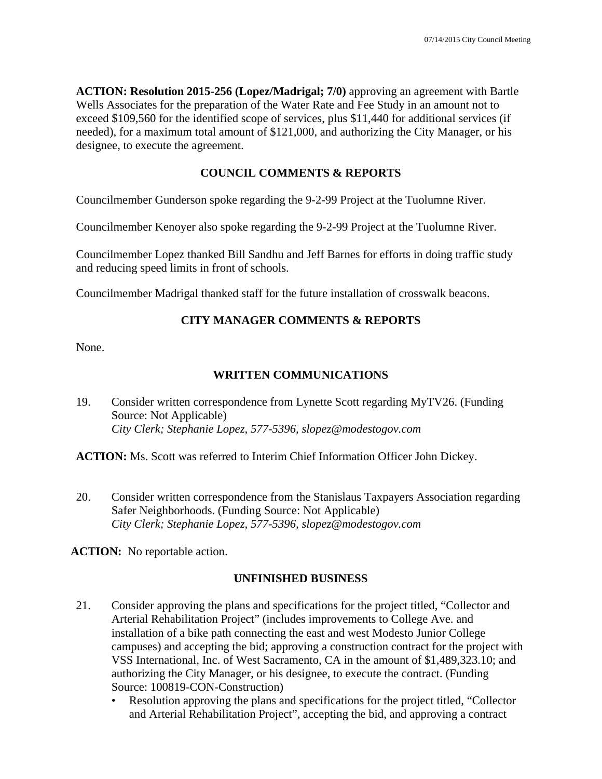**ACTION: Resolution 2015-256 (Lopez/Madrigal; 7/0)** approving an agreement with Bartle Wells Associates for the preparation of the Water Rate and Fee Study in an amount not to exceed \$109,560 for the identified scope of services, plus \$11,440 for additional services (if needed), for a maximum total amount of \$121,000, and authorizing the City Manager, or his designee, to execute the agreement.

## **COUNCIL COMMENTS & REPORTS**

Councilmember Gunderson spoke regarding the 9-2-99 Project at the Tuolumne River.

Councilmember Kenoyer also spoke regarding the 9-2-99 Project at the Tuolumne River.

Councilmember Lopez thanked Bill Sandhu and Jeff Barnes for efforts in doing traffic study and reducing speed limits in front of schools.

Councilmember Madrigal thanked staff for the future installation of crosswalk beacons.

## **CITY MANAGER COMMENTS & REPORTS**

None.

## **WRITTEN COMMUNICATIONS**

19. Consider written correspondence from Lynette Scott regarding MyTV26. (Funding Source: Not Applicable)  *City Clerk; Stephanie Lopez, 577-5396, slopez@modestogov.com* 

**ACTION:** Ms. Scott was referred to Interim Chief Information Officer John Dickey.

20. Consider written correspondence from the Stanislaus Taxpayers Association regarding Safer Neighborhoods. (Funding Source: Not Applicable)  *City Clerk; Stephanie Lopez, 577-5396, slopez@modestogov.com* 

**ACTION:** No reportable action.

## **UNFINISHED BUSINESS**

- 21. Consider approving the plans and specifications for the project titled, "Collector and Arterial Rehabilitation Project" (includes improvements to College Ave. and installation of a bike path connecting the east and west Modesto Junior College campuses) and accepting the bid; approving a construction contract for the project with VSS International, Inc. of West Sacramento, CA in the amount of \$1,489,323.10; and authorizing the City Manager, or his designee, to execute the contract. (Funding Source: 100819-CON-Construction)
	- Resolution approving the plans and specifications for the project titled, "Collector and Arterial Rehabilitation Project", accepting the bid, and approving a contract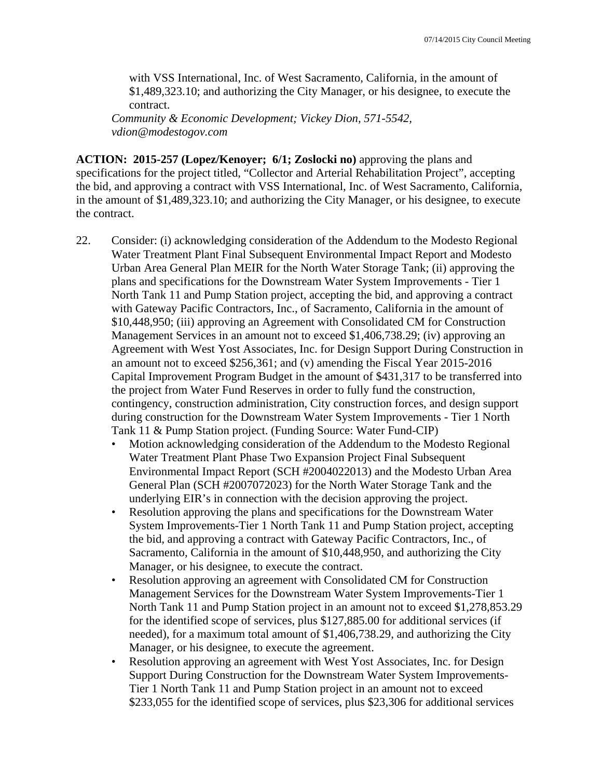with VSS International, Inc. of West Sacramento, California, in the amount of \$1,489,323.10; and authorizing the City Manager, or his designee, to execute the contract.

*Community & Economic Development; Vickey Dion, 571-5542, vdion@modestogov.com* 

**ACTION: 2015-257 (Lopez/Kenoyer; 6/1; Zoslocki no)** approving the plans and specifications for the project titled, "Collector and Arterial Rehabilitation Project", accepting the bid, and approving a contract with VSS International, Inc. of West Sacramento, California, in the amount of \$1,489,323.10; and authorizing the City Manager, or his designee, to execute the contract.

- 22. Consider: (i) acknowledging consideration of the Addendum to the Modesto Regional Water Treatment Plant Final Subsequent Environmental Impact Report and Modesto Urban Area General Plan MEIR for the North Water Storage Tank; (ii) approving the plans and specifications for the Downstream Water System Improvements - Tier 1 North Tank 11 and Pump Station project, accepting the bid, and approving a contract with Gateway Pacific Contractors, Inc., of Sacramento, California in the amount of \$10,448,950; (iii) approving an Agreement with Consolidated CM for Construction Management Services in an amount not to exceed \$1,406,738.29; (iv) approving an Agreement with West Yost Associates, Inc. for Design Support During Construction in an amount not to exceed \$256,361; and (v) amending the Fiscal Year 2015-2016 Capital Improvement Program Budget in the amount of \$431,317 to be transferred into the project from Water Fund Reserves in order to fully fund the construction, contingency, construction administration, City construction forces, and design support during construction for the Downstream Water System Improvements - Tier 1 North Tank 11 & Pump Station project. (Funding Source: Water Fund-CIP)
	- Motion acknowledging consideration of the Addendum to the Modesto Regional Water Treatment Plant Phase Two Expansion Project Final Subsequent Environmental Impact Report (SCH #2004022013) and the Modesto Urban Area General Plan (SCH #2007072023) for the North Water Storage Tank and the underlying EIR's in connection with the decision approving the project.
	- Resolution approving the plans and specifications for the Downstream Water System Improvements-Tier 1 North Tank 11 and Pump Station project, accepting the bid, and approving a contract with Gateway Pacific Contractors, Inc., of Sacramento, California in the amount of \$10,448,950, and authorizing the City Manager, or his designee, to execute the contract.
	- Resolution approving an agreement with Consolidated CM for Construction Management Services for the Downstream Water System Improvements-Tier 1 North Tank 11 and Pump Station project in an amount not to exceed \$1,278,853.29 for the identified scope of services, plus \$127,885.00 for additional services (if needed), for a maximum total amount of \$1,406,738.29, and authorizing the City Manager, or his designee, to execute the agreement.
	- Resolution approving an agreement with West Yost Associates, Inc. for Design Support During Construction for the Downstream Water System Improvements-Tier 1 North Tank 11 and Pump Station project in an amount not to exceed \$233,055 for the identified scope of services, plus \$23,306 for additional services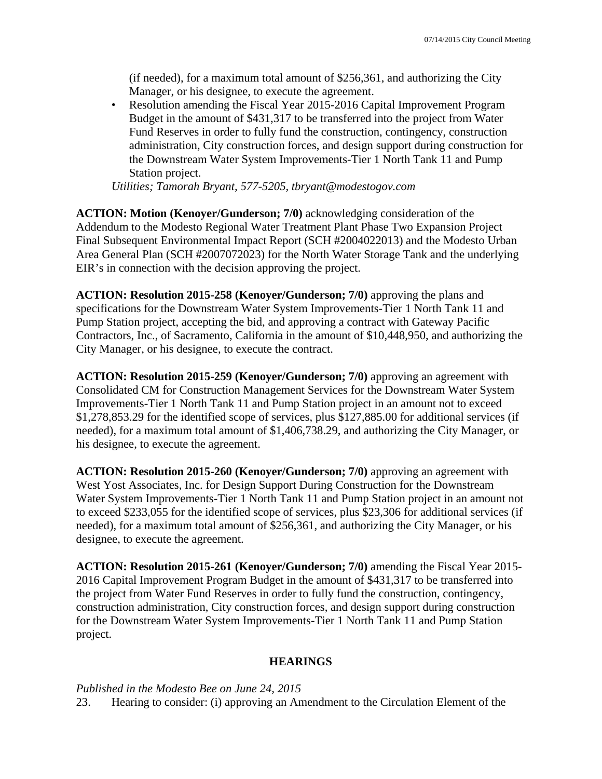(if needed), for a maximum total amount of \$256,361, and authorizing the City Manager, or his designee, to execute the agreement.

• Resolution amending the Fiscal Year 2015-2016 Capital Improvement Program Budget in the amount of \$431,317 to be transferred into the project from Water Fund Reserves in order to fully fund the construction, contingency, construction administration, City construction forces, and design support during construction for the Downstream Water System Improvements-Tier 1 North Tank 11 and Pump Station project.

*Utilities; Tamorah Bryant, 577-5205, tbryant@modestogov.com* 

**ACTION: Motion (Kenoyer/Gunderson; 7/0)** acknowledging consideration of the Addendum to the Modesto Regional Water Treatment Plant Phase Two Expansion Project Final Subsequent Environmental Impact Report (SCH #2004022013) and the Modesto Urban Area General Plan (SCH #2007072023) for the North Water Storage Tank and the underlying EIR's in connection with the decision approving the project.

**ACTION: Resolution 2015-258 (Kenoyer/Gunderson; 7/0)** approving the plans and specifications for the Downstream Water System Improvements-Tier 1 North Tank 11 and Pump Station project, accepting the bid, and approving a contract with Gateway Pacific Contractors, Inc., of Sacramento, California in the amount of \$10,448,950, and authorizing the City Manager, or his designee, to execute the contract.

**ACTION: Resolution 2015-259 (Kenoyer/Gunderson; 7/0)** approving an agreement with Consolidated CM for Construction Management Services for the Downstream Water System Improvements-Tier 1 North Tank 11 and Pump Station project in an amount not to exceed \$1,278,853.29 for the identified scope of services, plus \$127,885.00 for additional services (if needed), for a maximum total amount of \$1,406,738.29, and authorizing the City Manager, or his designee, to execute the agreement.

**ACTION: Resolution 2015-260 (Kenoyer/Gunderson; 7/0)** approving an agreement with West Yost Associates, Inc. for Design Support During Construction for the Downstream Water System Improvements-Tier 1 North Tank 11 and Pump Station project in an amount not to exceed \$233,055 for the identified scope of services, plus \$23,306 for additional services (if needed), for a maximum total amount of \$256,361, and authorizing the City Manager, or his designee, to execute the agreement.

**ACTION: Resolution 2015-261 (Kenoyer/Gunderson; 7/0)** amending the Fiscal Year 2015- 2016 Capital Improvement Program Budget in the amount of \$431,317 to be transferred into the project from Water Fund Reserves in order to fully fund the construction, contingency, construction administration, City construction forces, and design support during construction for the Downstream Water System Improvements-Tier 1 North Tank 11 and Pump Station project.

#### **HEARINGS**

*Published in the Modesto Bee on June 24, 2015* 

23. Hearing to consider: (i) approving an Amendment to the Circulation Element of the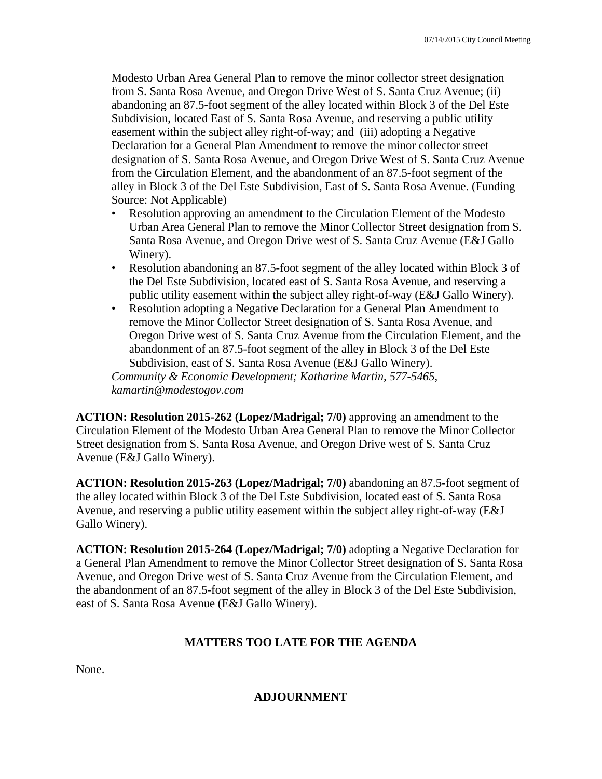Modesto Urban Area General Plan to remove the minor collector street designation from S. Santa Rosa Avenue, and Oregon Drive West of S. Santa Cruz Avenue; (ii) abandoning an 87.5-foot segment of the alley located within Block 3 of the Del Este Subdivision, located East of S. Santa Rosa Avenue, and reserving a public utility easement within the subject alley right-of-way; and (iii) adopting a Negative Declaration for a General Plan Amendment to remove the minor collector street designation of S. Santa Rosa Avenue, and Oregon Drive West of S. Santa Cruz Avenue from the Circulation Element, and the abandonment of an 87.5-foot segment of the alley in Block 3 of the Del Este Subdivision, East of S. Santa Rosa Avenue. (Funding Source: Not Applicable)

- Resolution approving an amendment to the Circulation Element of the Modesto Urban Area General Plan to remove the Minor Collector Street designation from S. Santa Rosa Avenue, and Oregon Drive west of S. Santa Cruz Avenue (E&J Gallo Winery).
- Resolution abandoning an 87.5-foot segment of the alley located within Block 3 of the Del Este Subdivision, located east of S. Santa Rosa Avenue, and reserving a public utility easement within the subject alley right-of-way (E&J Gallo Winery).
- Resolution adopting a Negative Declaration for a General Plan Amendment to remove the Minor Collector Street designation of S. Santa Rosa Avenue, and Oregon Drive west of S. Santa Cruz Avenue from the Circulation Element, and the abandonment of an 87.5-foot segment of the alley in Block 3 of the Del Este Subdivision, east of S. Santa Rosa Avenue (E&J Gallo Winery).

*Community & Economic Development; Katharine Martin, 577-5465, kamartin@modestogov.com* 

**ACTION: Resolution 2015-262 (Lopez/Madrigal; 7/0)** approving an amendment to the Circulation Element of the Modesto Urban Area General Plan to remove the Minor Collector Street designation from S. Santa Rosa Avenue, and Oregon Drive west of S. Santa Cruz Avenue (E&J Gallo Winery).

**ACTION: Resolution 2015-263 (Lopez/Madrigal; 7/0)** abandoning an 87.5-foot segment of the alley located within Block 3 of the Del Este Subdivision, located east of S. Santa Rosa Avenue, and reserving a public utility easement within the subject alley right-of-way (E&J Gallo Winery).

**ACTION: Resolution 2015-264 (Lopez/Madrigal; 7/0)** adopting a Negative Declaration for a General Plan Amendment to remove the Minor Collector Street designation of S. Santa Rosa Avenue, and Oregon Drive west of S. Santa Cruz Avenue from the Circulation Element, and the abandonment of an 87.5-foot segment of the alley in Block 3 of the Del Este Subdivision, east of S. Santa Rosa Avenue (E&J Gallo Winery).

## **MATTERS TOO LATE FOR THE AGENDA**

None.

## **ADJOURNMENT**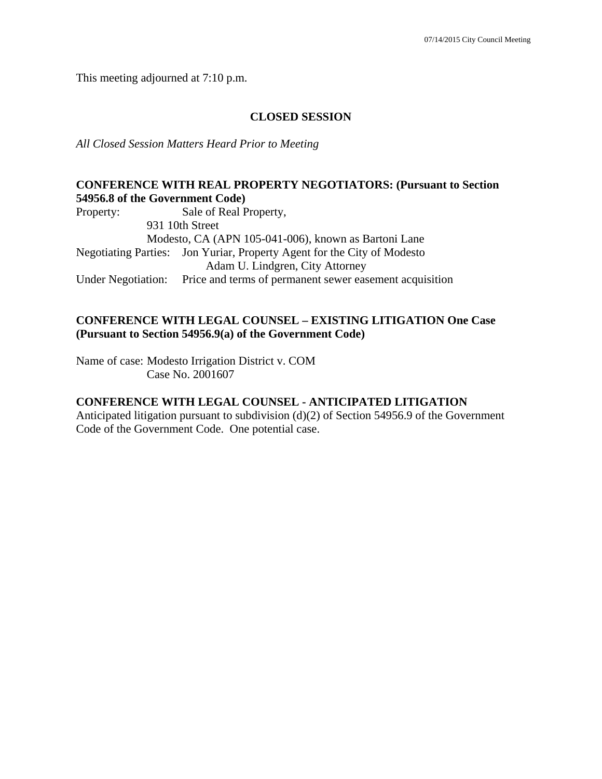This meeting adjourned at 7:10 p.m.

#### **CLOSED SESSION**

*All Closed Session Matters Heard Prior to Meeting* 

### **CONFERENCE WITH REAL PROPERTY NEGOTIATORS: (Pursuant to Section 54956.8 of the Government Code)**

Property: Sale of Real Property, 931 10th Street Modesto, CA (APN 105-041-006), known as Bartoni Lane Negotiating Parties: Jon Yuriar, Property Agent for the City of Modesto Adam U. Lindgren, City Attorney Under Negotiation: Price and terms of permanent sewer easement acquisition

### **CONFERENCE WITH LEGAL COUNSEL – EXISTING LITIGATION One Case (Pursuant to Section 54956.9(a) of the Government Code)**

Name of case: Modesto Irrigation District v. COM Case No. 2001607

### **CONFERENCE WITH LEGAL COUNSEL - ANTICIPATED LITIGATION**

Anticipated litigation pursuant to subdivision (d)(2) of Section 54956.9 of the Government Code of the Government Code. One potential case.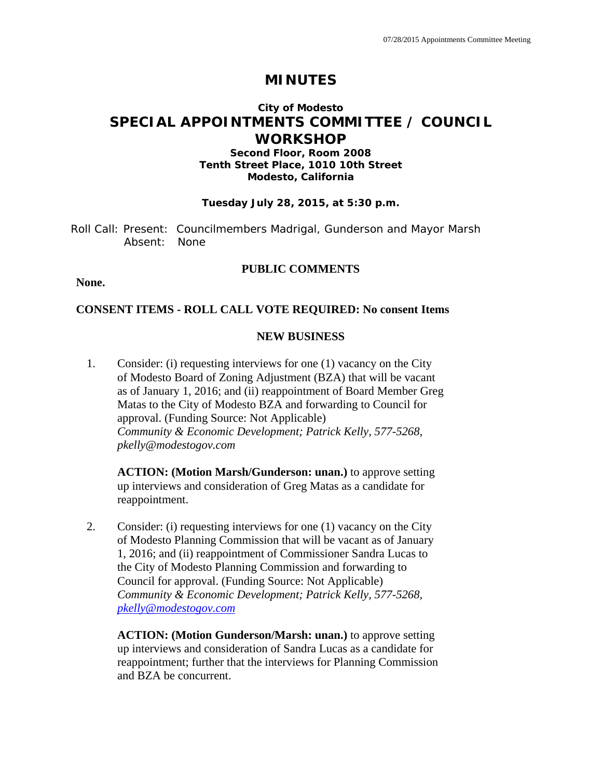# **MINUTES**

# **City of Modesto SPECIAL APPOINTMENTS COMMITTEE / COUNCIL WORKSHOP**

### **Second Floor, Room 2008 Tenth Street Place, 1010 10th Street Modesto, California**

#### **Tuesday July 28, 2015, at 5:30 p.m.**

Roll Call: Present: Councilmembers Madrigal, Gunderson and Mayor Marsh Absent: None

### **PUBLIC COMMENTS**

**None.** 

### **CONSENT ITEMS - ROLL CALL VOTE REQUIRED: No consent Items**

### **NEW BUSINESS**

1. Consider: (i) requesting interviews for one (1) vacancy on the City of Modesto Board of Zoning Adjustment (BZA) that will be vacant as of January 1, 2016; and (ii) reappointment of Board Member Greg Matas to the City of Modesto BZA and forwarding to Council for approval. (Funding Source: Not Applicable) *Community & Economic Development; Patrick Kelly, 577-5268, pkelly@modestogov.com* 

**ACTION: (Motion Marsh/Gunderson: unan.)** to approve setting up interviews and consideration of Greg Matas as a candidate for reappointment.

2. Consider: (i) requesting interviews for one (1) vacancy on the City of Modesto Planning Commission that will be vacant as of January 1, 2016; and (ii) reappointment of Commissioner Sandra Lucas to the City of Modesto Planning Commission and forwarding to Council for approval. (Funding Source: Not Applicable) *Community & Economic Development; Patrick Kelly, 577-5268, pkelly@modestogov.com* 

**ACTION: (Motion Gunderson/Marsh: unan.)** to approve setting up interviews and consideration of Sandra Lucas as a candidate for reappointment; further that the interviews for Planning Commission and BZA be concurrent.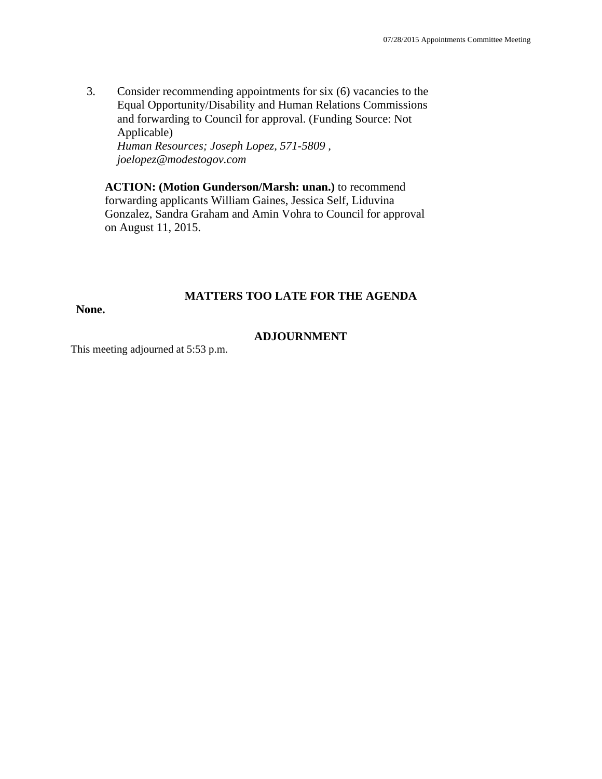3. Consider recommending appointments for six (6) vacancies to the Equal Opportunity/Disability and Human Relations Commissions and forwarding to Council for approval. (Funding Source: Not Applicable) *Human Resources; Joseph Lopez, 571-5809 , joelopez@modestogov.com* 

**ACTION: (Motion Gunderson/Marsh: unan.)** to recommend forwarding applicants William Gaines, Jessica Self, Liduvina Gonzalez, Sandra Graham and Amin Vohra to Council for approval on August 11, 2015.

### **MATTERS TOO LATE FOR THE AGENDA**

**None.** 

### **ADJOURNMENT**

This meeting adjourned at 5:53 p.m.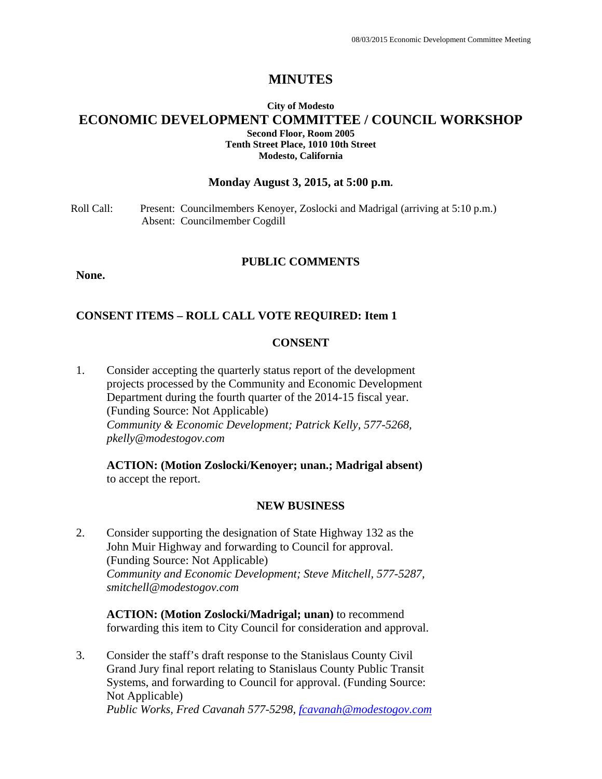## **MINUTES**

### **City of Modesto ECONOMIC DEVELOPMENT COMMITTEE / COUNCIL WORKSHOP Second Floor, Room 2005 Tenth Street Place, 1010 10th Street Modesto, California**

#### **Monday August 3, 2015, at 5:00 p.m.**

Roll Call: Present: Councilmembers Kenoyer, Zoslocki and Madrigal (arriving at 5:10 p.m.) Absent: Councilmember Cogdill

#### **PUBLIC COMMENTS**

**None.** 

#### **CONSENT ITEMS – ROLL CALL VOTE REQUIRED: Item 1**

#### **CONSENT**

1. Consider accepting the quarterly status report of the development projects processed by the Community and Economic Development Department during the fourth quarter of the 2014-15 fiscal year. (Funding Source: Not Applicable) *Community & Economic Development; Patrick Kelly, 577-5268, pkelly@modestogov.com* 

**ACTION: (Motion Zoslocki/Kenoyer; unan.; Madrigal absent)**  to accept the report.

#### **NEW BUSINESS**

2. Consider supporting the designation of State Highway 132 as the John Muir Highway and forwarding to Council for approval. (Funding Source: Not Applicable) *Community and Economic Development; Steve Mitchell, 577-5287, smitchell@modestogov.com* 

**ACTION: (Motion Zoslocki/Madrigal; unan)** to recommend forwarding this item to City Council for consideration and approval.

3. Consider the staff's draft response to the Stanislaus County Civil Grand Jury final report relating to Stanislaus County Public Transit Systems, and forwarding to Council for approval. (Funding Source: Not Applicable) *Public Works, Fred Cavanah 577-5298, fcavanah@modestogov.com*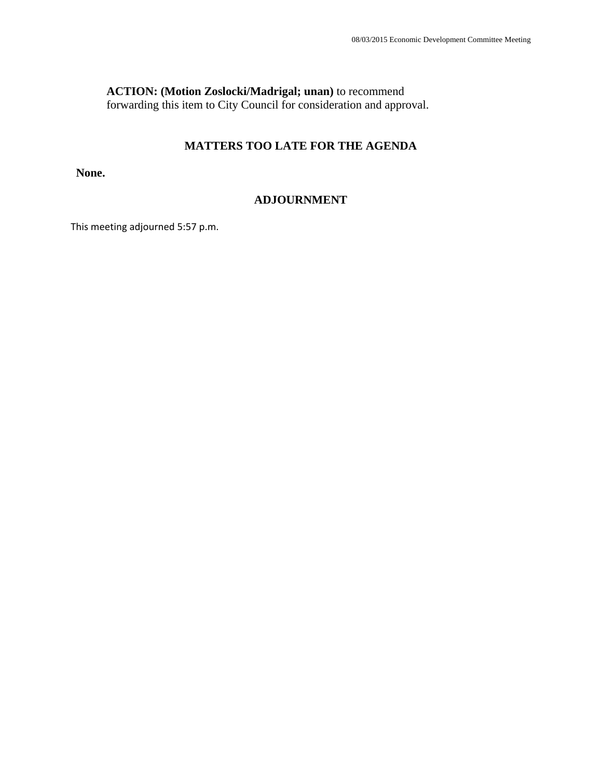### **ACTION: (Motion Zoslocki/Madrigal; unan)** to recommend

forwarding this item to City Council for consideration and approval.

## **MATTERS TOO LATE FOR THE AGENDA**

**None.** 

#### **ADJOURNMENT**

This meeting adjourned 5:57 p.m.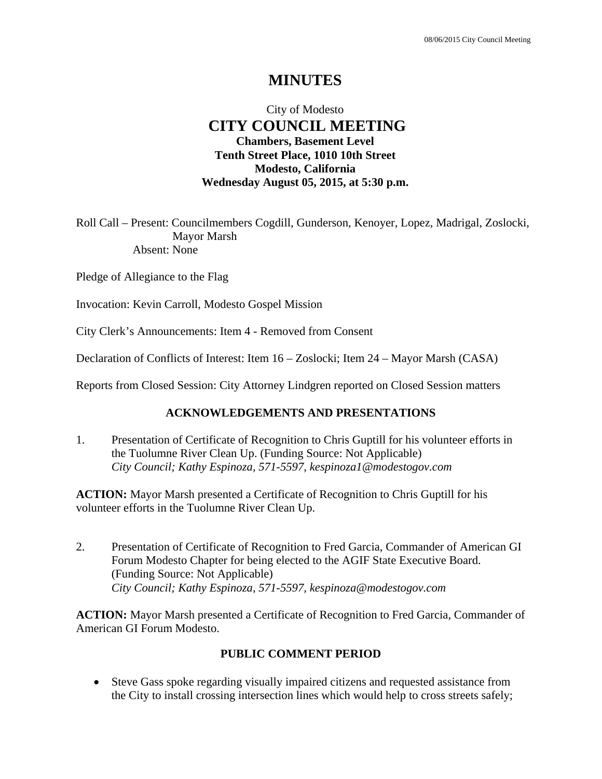# **MINUTES**

## City of Modesto  **CITY COUNCIL MEETING Chambers, Basement Level Tenth Street Place, 1010 10th Street Modesto, California Wednesday August 05, 2015, at 5:30 p.m.**

Roll Call – Present: Councilmembers Cogdill, Gunderson, Kenoyer, Lopez, Madrigal, Zoslocki, Mayor Marsh Absent: None

Pledge of Allegiance to the Flag

Invocation: Kevin Carroll, Modesto Gospel Mission

City Clerk's Announcements: Item 4 - Removed from Consent

Declaration of Conflicts of Interest: Item 16 – Zoslocki; Item 24 – Mayor Marsh (CASA)

Reports from Closed Session: City Attorney Lindgren reported on Closed Session matters

### **ACKNOWLEDGEMENTS AND PRESENTATIONS**

1. Presentation of Certificate of Recognition to Chris Guptill for his volunteer efforts in the Tuolumne River Clean Up. (Funding Source: Not Applicable)  *City Council; Kathy Espinoza, 571-5597, kespinoza1@modestogov.com* 

**ACTION:** Mayor Marsh presented a Certificate of Recognition to Chris Guptill for his volunteer efforts in the Tuolumne River Clean Up.

2. Presentation of Certificate of Recognition to Fred Garcia, Commander of American GI Forum Modesto Chapter for being elected to the AGIF State Executive Board. (Funding Source: Not Applicable)  *City Council; Kathy Espinoza, 571-5597, kespinoza@modestogov.com* 

**ACTION:** Mayor Marsh presented a Certificate of Recognition to Fred Garcia, Commander of American GI Forum Modesto.

### **PUBLIC COMMENT PERIOD**

 Steve Gass spoke regarding visually impaired citizens and requested assistance from the City to install crossing intersection lines which would help to cross streets safely;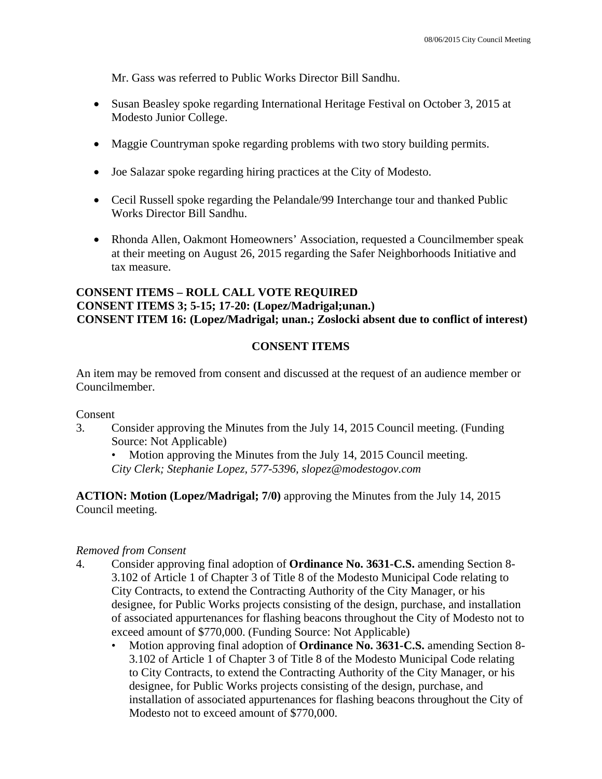Mr. Gass was referred to Public Works Director Bill Sandhu.

- Susan Beasley spoke regarding International Heritage Festival on October 3, 2015 at Modesto Junior College.
- Maggie Countryman spoke regarding problems with two story building permits.
- Joe Salazar spoke regarding hiring practices at the City of Modesto.
- Cecil Russell spoke regarding the Pelandale/99 Interchange tour and thanked Public Works Director Bill Sandhu.
- Rhonda Allen, Oakmont Homeowners' Association, requested a Councilmember speak at their meeting on August 26, 2015 regarding the Safer Neighborhoods Initiative and tax measure.

## **CONSENT ITEMS – ROLL CALL VOTE REQUIRED CONSENT ITEMS 3; 5-15; 17-20: (Lopez/Madrigal;unan.) CONSENT ITEM 16: (Lopez/Madrigal; unan.; Zoslocki absent due to conflict of interest)**

## **CONSENT ITEMS**

An item may be removed from consent and discussed at the request of an audience member or Councilmember.

Consent

3. Consider approving the Minutes from the July 14, 2015 Council meeting. (Funding Source: Not Applicable)

Motion approving the Minutes from the July 14, 2015 Council meeting. *City Clerk; Stephanie Lopez, 577-5396, slopez@modestogov.com* 

**ACTION: Motion (Lopez/Madrigal; 7/0)** approving the Minutes from the July 14, 2015 Council meeting.

## *Removed from Consent*

- 4. Consider approving final adoption of **Ordinance No. 3631-C.S.** amending Section 8- 3.102 of Article 1 of Chapter 3 of Title 8 of the Modesto Municipal Code relating to City Contracts, to extend the Contracting Authority of the City Manager, or his designee, for Public Works projects consisting of the design, purchase, and installation of associated appurtenances for flashing beacons throughout the City of Modesto not to exceed amount of \$770,000. (Funding Source: Not Applicable)
	- Motion approving final adoption of **Ordinance No. 3631-C.S.** amending Section 8- 3.102 of Article 1 of Chapter 3 of Title 8 of the Modesto Municipal Code relating to City Contracts, to extend the Contracting Authority of the City Manager, or his designee, for Public Works projects consisting of the design, purchase, and installation of associated appurtenances for flashing beacons throughout the City of Modesto not to exceed amount of \$770,000.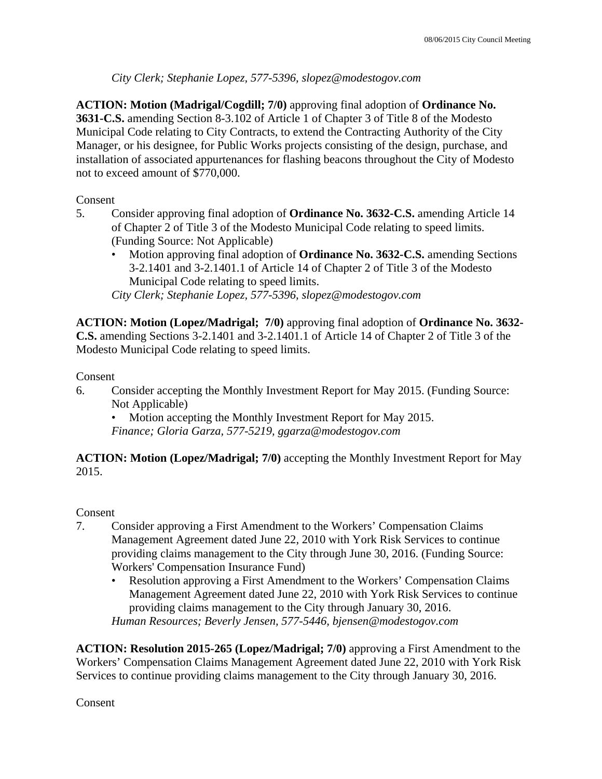*City Clerk; Stephanie Lopez, 577-5396, slopez@modestogov.com* 

**ACTION: Motion (Madrigal/Cogdill; 7/0)** approving final adoption of **Ordinance No. 3631-C.S.** amending Section 8-3.102 of Article 1 of Chapter 3 of Title 8 of the Modesto Municipal Code relating to City Contracts, to extend the Contracting Authority of the City Manager, or his designee, for Public Works projects consisting of the design, purchase, and installation of associated appurtenances for flashing beacons throughout the City of Modesto not to exceed amount of \$770,000.

## Consent

- 5. Consider approving final adoption of **Ordinance No. 3632-C.S.** amending Article 14 of Chapter 2 of Title 3 of the Modesto Municipal Code relating to speed limits. (Funding Source: Not Applicable)
	- Motion approving final adoption of **Ordinance No. 3632-C.S.** amending Sections 3-2.1401 and 3-2.1401.1 of Article 14 of Chapter 2 of Title 3 of the Modesto Municipal Code relating to speed limits.

*City Clerk; Stephanie Lopez, 577-5396, slopez@modestogov.com* 

**ACTION: Motion (Lopez/Madrigal; 7/0)** approving final adoption of **Ordinance No. 3632- C.S.** amending Sections 3-2.1401 and 3-2.1401.1 of Article 14 of Chapter 2 of Title 3 of the Modesto Municipal Code relating to speed limits.

### Consent

6. Consider accepting the Monthly Investment Report for May 2015. (Funding Source: Not Applicable)

• Motion accepting the Monthly Investment Report for May 2015. *Finance; Gloria Garza, 577-5219, ggarza@modestogov.com* 

**ACTION: Motion (Lopez/Madrigal; 7/0)** accepting the Monthly Investment Report for May 2015.

## Consent

- 7. Consider approving a First Amendment to the Workers' Compensation Claims Management Agreement dated June 22, 2010 with York Risk Services to continue providing claims management to the City through June 30, 2016. (Funding Source: Workers' Compensation Insurance Fund)
	- Resolution approving a First Amendment to the Workers' Compensation Claims Management Agreement dated June 22, 2010 with York Risk Services to continue providing claims management to the City through January 30, 2016. *Human Resources; Beverly Jensen, 577-5446, bjensen@modestogov.com*

**ACTION: Resolution 2015-265 (Lopez/Madrigal; 7/0)** approving a First Amendment to the Workers' Compensation Claims Management Agreement dated June 22, 2010 with York Risk Services to continue providing claims management to the City through January 30, 2016.

Consent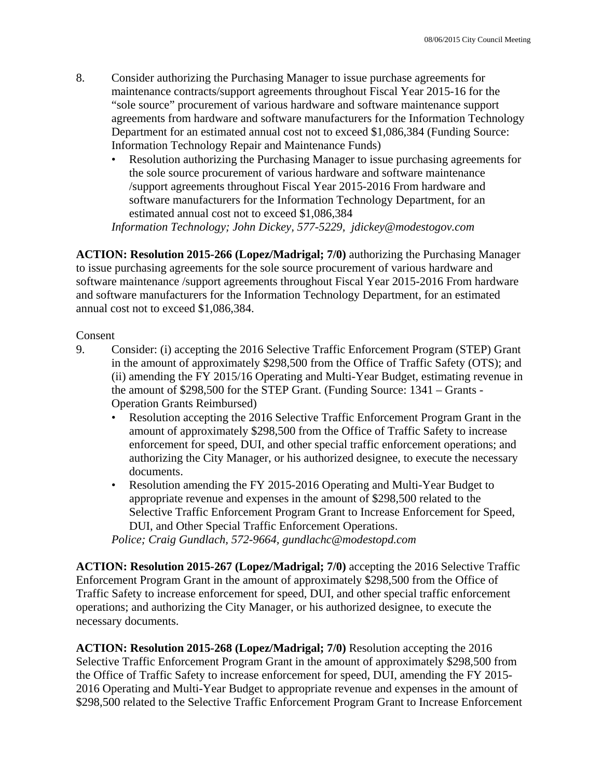- 8. Consider authorizing the Purchasing Manager to issue purchase agreements for maintenance contracts/support agreements throughout Fiscal Year 2015-16 for the "sole source" procurement of various hardware and software maintenance support agreements from hardware and software manufacturers for the Information Technology Department for an estimated annual cost not to exceed \$1,086,384 (Funding Source: Information Technology Repair and Maintenance Funds)
	- Resolution authorizing the Purchasing Manager to issue purchasing agreements for the sole source procurement of various hardware and software maintenance /support agreements throughout Fiscal Year 2015-2016 From hardware and software manufacturers for the Information Technology Department, for an estimated annual cost not to exceed \$1,086,384

*Information Technology; John Dickey, 577-5229, jdickey@modestogov.com* 

**ACTION: Resolution 2015-266 (Lopez/Madrigal; 7/0)** authorizing the Purchasing Manager to issue purchasing agreements for the sole source procurement of various hardware and software maintenance /support agreements throughout Fiscal Year 2015-2016 From hardware and software manufacturers for the Information Technology Department, for an estimated annual cost not to exceed \$1,086,384.

### **Consent**

- 9. Consider: (i) accepting the 2016 Selective Traffic Enforcement Program (STEP) Grant in the amount of approximately \$298,500 from the Office of Traffic Safety (OTS); and (ii) amending the FY 2015/16 Operating and Multi-Year Budget, estimating revenue in the amount of \$298,500 for the STEP Grant. (Funding Source: 1341 – Grants - Operation Grants Reimbursed)
	- Resolution accepting the 2016 Selective Traffic Enforcement Program Grant in the amount of approximately \$298,500 from the Office of Traffic Safety to increase enforcement for speed, DUI, and other special traffic enforcement operations; and authorizing the City Manager, or his authorized designee, to execute the necessary documents.
	- Resolution amending the FY 2015-2016 Operating and Multi-Year Budget to appropriate revenue and expenses in the amount of \$298,500 related to the Selective Traffic Enforcement Program Grant to Increase Enforcement for Speed, DUI, and Other Special Traffic Enforcement Operations.

*Police; Craig Gundlach, 572-9664, gundlachc@modestopd.com* 

**ACTION: Resolution 2015-267 (Lopez/Madrigal; 7/0)** accepting the 2016 Selective Traffic Enforcement Program Grant in the amount of approximately \$298,500 from the Office of Traffic Safety to increase enforcement for speed, DUI, and other special traffic enforcement operations; and authorizing the City Manager, or his authorized designee, to execute the necessary documents.

**ACTION: Resolution 2015-268 (Lopez/Madrigal; 7/0)** Resolution accepting the 2016 Selective Traffic Enforcement Program Grant in the amount of approximately \$298,500 from the Office of Traffic Safety to increase enforcement for speed, DUI, amending the FY 2015- 2016 Operating and Multi-Year Budget to appropriate revenue and expenses in the amount of \$298,500 related to the Selective Traffic Enforcement Program Grant to Increase Enforcement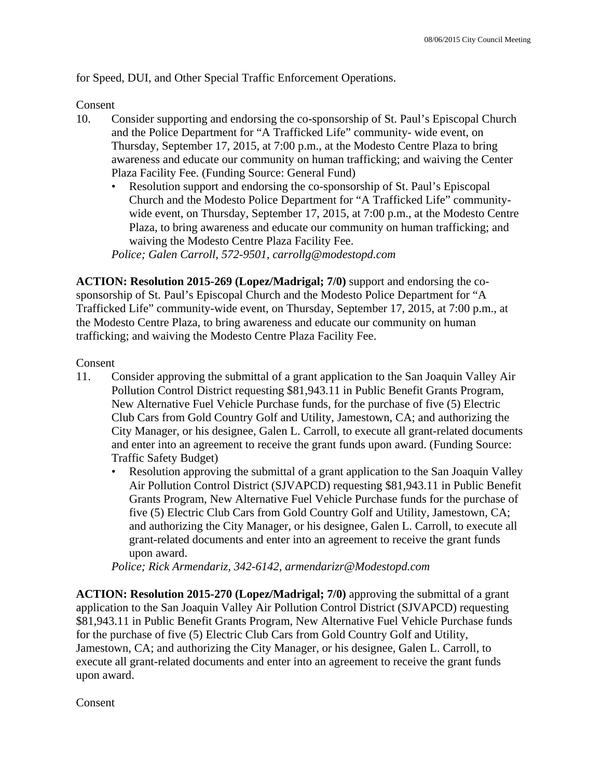for Speed, DUI, and Other Special Traffic Enforcement Operations.

Consent

- 10. Consider supporting and endorsing the co-sponsorship of St. Paul's Episcopal Church and the Police Department for "A Trafficked Life" community- wide event, on Thursday, September 17, 2015, at 7:00 p.m., at the Modesto Centre Plaza to bring awareness and educate our community on human trafficking; and waiving the Center Plaza Facility Fee. (Funding Source: General Fund)
	- Resolution support and endorsing the co-sponsorship of St. Paul's Episcopal Church and the Modesto Police Department for "A Trafficked Life" communitywide event, on Thursday, September 17, 2015, at 7:00 p.m., at the Modesto Centre Plaza, to bring awareness and educate our community on human trafficking; and waiving the Modesto Centre Plaza Facility Fee.

*Police; Galen Carroll, 572-9501, carrollg@modestopd.com* 

**ACTION: Resolution 2015-269 (Lopez/Madrigal; 7/0)** support and endorsing the cosponsorship of St. Paul's Episcopal Church and the Modesto Police Department for "A Trafficked Life" community-wide event, on Thursday, September 17, 2015, at 7:00 p.m., at the Modesto Centre Plaza, to bring awareness and educate our community on human trafficking; and waiving the Modesto Centre Plaza Facility Fee.

### Consent

- 11. Consider approving the submittal of a grant application to the San Joaquin Valley Air Pollution Control District requesting \$81,943.11 in Public Benefit Grants Program, New Alternative Fuel Vehicle Purchase funds, for the purchase of five (5) Electric Club Cars from Gold Country Golf and Utility, Jamestown, CA; and authorizing the City Manager, or his designee, Galen L. Carroll, to execute all grant-related documents and enter into an agreement to receive the grant funds upon award. (Funding Source: Traffic Safety Budget)
	- Resolution approving the submittal of a grant application to the San Joaquin Valley Air Pollution Control District (SJVAPCD) requesting \$81,943.11 in Public Benefit Grants Program, New Alternative Fuel Vehicle Purchase funds for the purchase of five (5) Electric Club Cars from Gold Country Golf and Utility, Jamestown, CA; and authorizing the City Manager, or his designee, Galen L. Carroll, to execute all grant-related documents and enter into an agreement to receive the grant funds upon award.

*Police; Rick Armendariz, 342-6142, armendarizr@Modestopd.com* 

**ACTION: Resolution 2015-270 (Lopez/Madrigal; 7/0)** approving the submittal of a grant application to the San Joaquin Valley Air Pollution Control District (SJVAPCD) requesting \$81,943.11 in Public Benefit Grants Program, New Alternative Fuel Vehicle Purchase funds for the purchase of five (5) Electric Club Cars from Gold Country Golf and Utility, Jamestown, CA; and authorizing the City Manager, or his designee, Galen L. Carroll, to execute all grant-related documents and enter into an agreement to receive the grant funds upon award.

Consent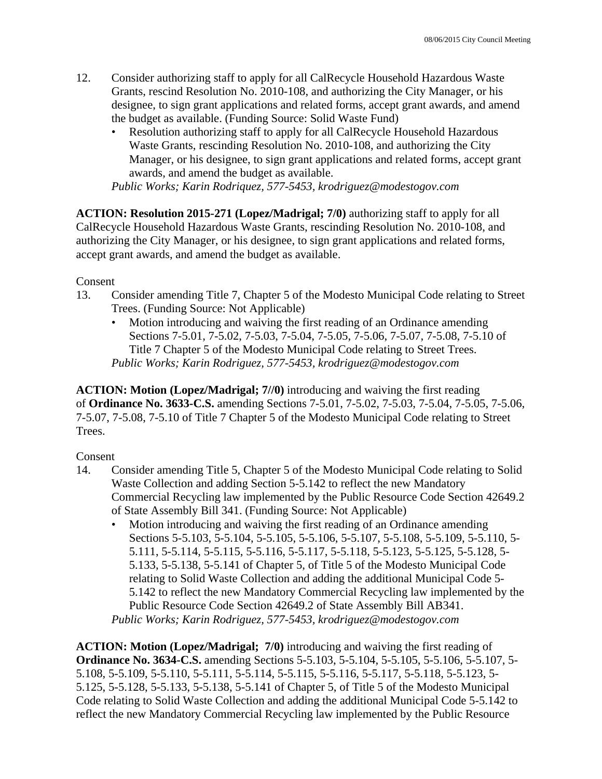- 12. Consider authorizing staff to apply for all CalRecycle Household Hazardous Waste Grants, rescind Resolution No. 2010-108, and authorizing the City Manager, or his designee, to sign grant applications and related forms, accept grant awards, and amend the budget as available. (Funding Source: Solid Waste Fund)
	- Resolution authorizing staff to apply for all CalRecycle Household Hazardous Waste Grants, rescinding Resolution No. 2010-108, and authorizing the City Manager, or his designee, to sign grant applications and related forms, accept grant awards, and amend the budget as available.

*Public Works; Karin Rodriquez, 577-5453, krodriguez@modestogov.com* 

**ACTION: Resolution 2015-271 (Lopez/Madrigal; 7/0)** authorizing staff to apply for all CalRecycle Household Hazardous Waste Grants, rescinding Resolution No. 2010-108, and authorizing the City Manager, or his designee, to sign grant applications and related forms, accept grant awards, and amend the budget as available.

Consent

- 13. Consider amending Title 7, Chapter 5 of the Modesto Municipal Code relating to Street Trees. (Funding Source: Not Applicable)
	- Motion introducing and waiving the first reading of an Ordinance amending Sections 7-5.01, 7-5.02, 7-5.03, 7-5.04, 7-5.05, 7-5.06, 7-5.07, 7-5.08, 7-5.10 of Title 7 Chapter 5 of the Modesto Municipal Code relating to Street Trees. *Public Works; Karin Rodriguez, 577-5453, krodriguez@modestogov.com*

**ACTION: Motion (Lopez/Madrigal; 7//0)** introducing and waiving the first reading of **Ordinance No. 3633-C.S.** amending Sections 7-5.01, 7-5.02, 7-5.03, 7-5.04, 7-5.05, 7-5.06, 7-5.07, 7-5.08, 7-5.10 of Title 7 Chapter 5 of the Modesto Municipal Code relating to Street Trees.

## Consent

- 14. Consider amending Title 5, Chapter 5 of the Modesto Municipal Code relating to Solid Waste Collection and adding Section 5-5.142 to reflect the new Mandatory Commercial Recycling law implemented by the Public Resource Code Section 42649.2 of State Assembly Bill 341. (Funding Source: Not Applicable)
	- Motion introducing and waiving the first reading of an Ordinance amending Sections 5-5.103, 5-5.104, 5-5.105, 5-5.106, 5-5.107, 5-5.108, 5-5.109, 5-5.110, 5- 5.111, 5-5.114, 5-5.115, 5-5.116, 5-5.117, 5-5.118, 5-5.123, 5-5.125, 5-5.128, 5- 5.133, 5-5.138, 5-5.141 of Chapter 5, of Title 5 of the Modesto Municipal Code relating to Solid Waste Collection and adding the additional Municipal Code 5- 5.142 to reflect the new Mandatory Commercial Recycling law implemented by the Public Resource Code Section 42649.2 of State Assembly Bill AB341.

*Public Works; Karin Rodriguez, 577-5453, krodriguez@modestogov.com* 

**ACTION: Motion (Lopez/Madrigal; 7/0)** introducing and waiving the first reading of **Ordinance No. 3634-C.S.** amending Sections 5-5.103, 5-5.104, 5-5.105, 5-5.106, 5-5.107, 5- 5.108, 5-5.109, 5-5.110, 5-5.111, 5-5.114, 5-5.115, 5-5.116, 5-5.117, 5-5.118, 5-5.123, 5- 5.125, 5-5.128, 5-5.133, 5-5.138, 5-5.141 of Chapter 5, of Title 5 of the Modesto Municipal Code relating to Solid Waste Collection and adding the additional Municipal Code 5-5.142 to reflect the new Mandatory Commercial Recycling law implemented by the Public Resource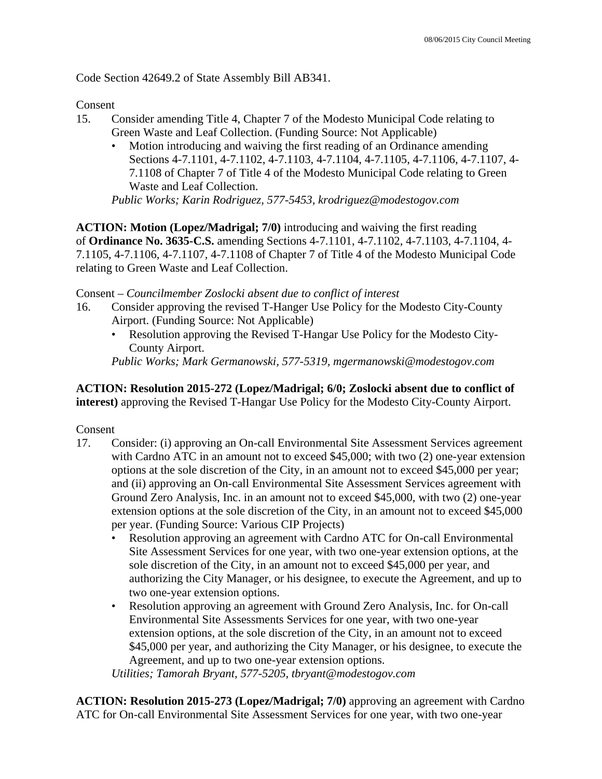Code Section 42649.2 of State Assembly Bill AB341.

Consent

- 15. Consider amending Title 4, Chapter 7 of the Modesto Municipal Code relating to Green Waste and Leaf Collection. (Funding Source: Not Applicable)
	- Motion introducing and waiving the first reading of an Ordinance amending Sections 4-7.1101, 4-7.1102, 4-7.1103, 4-7.1104, 4-7.1105, 4-7.1106, 4-7.1107, 4- 7.1108 of Chapter 7 of Title 4 of the Modesto Municipal Code relating to Green Waste and Leaf Collection.

*Public Works; Karin Rodriguez, 577-5453, krodriguez@modestogov.com* 

**ACTION: Motion (Lopez/Madrigal; 7/0)** introducing and waiving the first reading of **Ordinance No. 3635-C.S.** amending Sections 4-7.1101, 4-7.1102, 4-7.1103, 4-7.1104, 4- 7.1105, 4-7.1106, 4-7.1107, 4-7.1108 of Chapter 7 of Title 4 of the Modesto Municipal Code relating to Green Waste and Leaf Collection.

### Consent – *Councilmember Zoslocki absent due to conflict of interest*

- 16. Consider approving the revised T-Hanger Use Policy for the Modesto City-County Airport. (Funding Source: Not Applicable)
	- Resolution approving the Revised T-Hangar Use Policy for the Modesto City-County Airport.

*Public Works; Mark Germanowski, 577-5319, mgermanowski@modestogov.com* 

### **ACTION: Resolution 2015-272 (Lopez/Madrigal; 6/0; Zoslocki absent due to conflict of interest)** approving the Revised T-Hangar Use Policy for the Modesto City-County Airport.

Consent

- 17. Consider: (i) approving an On-call Environmental Site Assessment Services agreement with Cardno ATC in an amount not to exceed \$45,000; with two (2) one-year extension options at the sole discretion of the City, in an amount not to exceed \$45,000 per year; and (ii) approving an On-call Environmental Site Assessment Services agreement with Ground Zero Analysis, Inc. in an amount not to exceed \$45,000, with two (2) one-year extension options at the sole discretion of the City, in an amount not to exceed \$45,000 per year. (Funding Source: Various CIP Projects)
	- Resolution approving an agreement with Cardno ATC for On-call Environmental Site Assessment Services for one year, with two one-year extension options, at the sole discretion of the City, in an amount not to exceed \$45,000 per year, and authorizing the City Manager, or his designee, to execute the Agreement, and up to two one-year extension options.
	- Resolution approving an agreement with Ground Zero Analysis, Inc. for On-call Environmental Site Assessments Services for one year, with two one-year extension options, at the sole discretion of the City, in an amount not to exceed \$45,000 per year, and authorizing the City Manager, or his designee, to execute the Agreement, and up to two one-year extension options.

*Utilities; Tamorah Bryant, 577-5205, tbryant@modestogov.com* 

**ACTION: Resolution 2015-273 (Lopez/Madrigal; 7/0)** approving an agreement with Cardno ATC for On-call Environmental Site Assessment Services for one year, with two one-year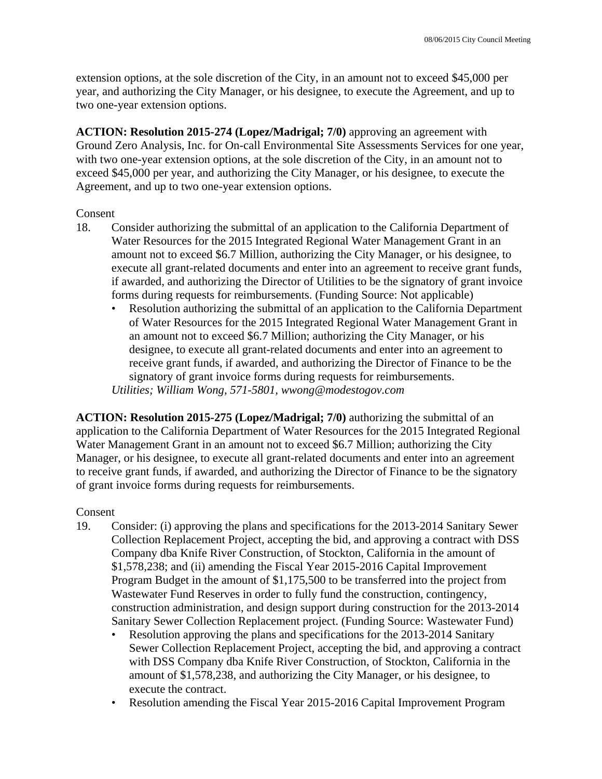extension options, at the sole discretion of the City, in an amount not to exceed \$45,000 per year, and authorizing the City Manager, or his designee, to execute the Agreement, and up to two one-year extension options.

**ACTION: Resolution 2015-274 (Lopez/Madrigal; 7/0)** approving an agreement with Ground Zero Analysis, Inc. for On-call Environmental Site Assessments Services for one year, with two one-year extension options, at the sole discretion of the City, in an amount not to exceed \$45,000 per year, and authorizing the City Manager, or his designee, to execute the Agreement, and up to two one-year extension options.

### Consent

- 18. Consider authorizing the submittal of an application to the California Department of Water Resources for the 2015 Integrated Regional Water Management Grant in an amount not to exceed \$6.7 Million, authorizing the City Manager, or his designee, to execute all grant-related documents and enter into an agreement to receive grant funds, if awarded, and authorizing the Director of Utilities to be the signatory of grant invoice forms during requests for reimbursements. (Funding Source: Not applicable)
	- Resolution authorizing the submittal of an application to the California Department of Water Resources for the 2015 Integrated Regional Water Management Grant in an amount not to exceed \$6.7 Million; authorizing the City Manager, or his designee, to execute all grant-related documents and enter into an agreement to receive grant funds, if awarded, and authorizing the Director of Finance to be the signatory of grant invoice forms during requests for reimbursements. *Utilities; William Wong, 571-5801, wwong@modestogov.com*

**ACTION: Resolution 2015-275 (Lopez/Madrigal; 7/0)** authorizing the submittal of an application to the California Department of Water Resources for the 2015 Integrated Regional Water Management Grant in an amount not to exceed \$6.7 Million; authorizing the City Manager, or his designee, to execute all grant-related documents and enter into an agreement to receive grant funds, if awarded, and authorizing the Director of Finance to be the signatory of grant invoice forms during requests for reimbursements.

## Consent

- 19. Consider: (i) approving the plans and specifications for the 2013-2014 Sanitary Sewer Collection Replacement Project, accepting the bid, and approving a contract with DSS Company dba Knife River Construction, of Stockton, California in the amount of \$1,578,238; and (ii) amending the Fiscal Year 2015-2016 Capital Improvement Program Budget in the amount of \$1,175,500 to be transferred into the project from Wastewater Fund Reserves in order to fully fund the construction, contingency, construction administration, and design support during construction for the 2013-2014 Sanitary Sewer Collection Replacement project. (Funding Source: Wastewater Fund)
	- Resolution approving the plans and specifications for the 2013-2014 Sanitary Sewer Collection Replacement Project, accepting the bid, and approving a contract with DSS Company dba Knife River Construction, of Stockton, California in the amount of \$1,578,238, and authorizing the City Manager, or his designee, to execute the contract.
	- Resolution amending the Fiscal Year 2015-2016 Capital Improvement Program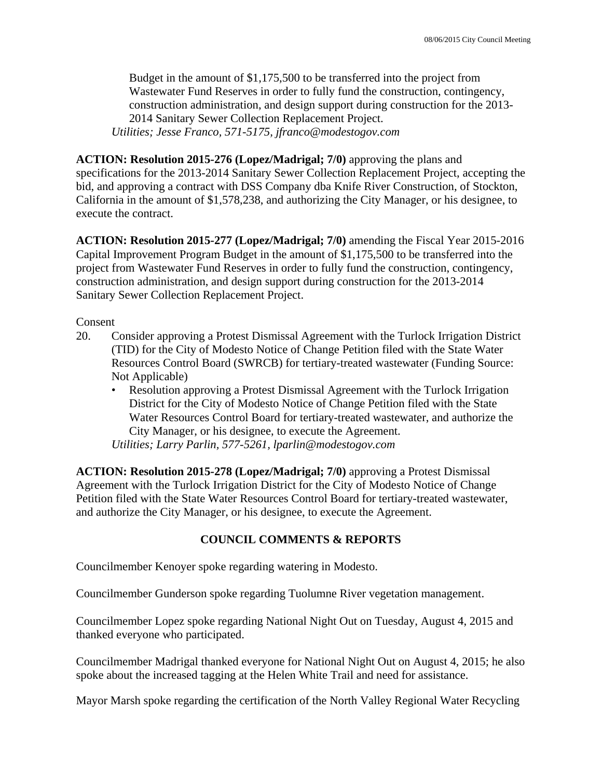Budget in the amount of \$1,175,500 to be transferred into the project from Wastewater Fund Reserves in order to fully fund the construction, contingency, construction administration, and design support during construction for the 2013- 2014 Sanitary Sewer Collection Replacement Project. *Utilities; Jesse Franco, 571-5175, jfranco@modestogov.com* 

**ACTION: Resolution 2015-276 (Lopez/Madrigal; 7/0)** approving the plans and specifications for the 2013-2014 Sanitary Sewer Collection Replacement Project, accepting the bid, and approving a contract with DSS Company dba Knife River Construction, of Stockton, California in the amount of \$1,578,238, and authorizing the City Manager, or his designee, to execute the contract.

**ACTION: Resolution 2015-277 (Lopez/Madrigal; 7/0)** amending the Fiscal Year 2015-2016 Capital Improvement Program Budget in the amount of \$1,175,500 to be transferred into the project from Wastewater Fund Reserves in order to fully fund the construction, contingency, construction administration, and design support during construction for the 2013-2014 Sanitary Sewer Collection Replacement Project.

Consent

- 20. Consider approving a Protest Dismissal Agreement with the Turlock Irrigation District (TID) for the City of Modesto Notice of Change Petition filed with the State Water Resources Control Board (SWRCB) for tertiary-treated wastewater (Funding Source: Not Applicable)
	- Resolution approving a Protest Dismissal Agreement with the Turlock Irrigation District for the City of Modesto Notice of Change Petition filed with the State Water Resources Control Board for tertiary-treated wastewater, and authorize the City Manager, or his designee, to execute the Agreement. *Utilities; Larry Parlin, 577-5261, lparlin@modestogov.com*

**ACTION: Resolution 2015-278 (Lopez/Madrigal; 7/0)** approving a Protest Dismissal Agreement with the Turlock Irrigation District for the City of Modesto Notice of Change Petition filed with the State Water Resources Control Board for tertiary-treated wastewater, and authorize the City Manager, or his designee, to execute the Agreement.

# **COUNCIL COMMENTS & REPORTS**

Councilmember Kenoyer spoke regarding watering in Modesto.

Councilmember Gunderson spoke regarding Tuolumne River vegetation management.

Councilmember Lopez spoke regarding National Night Out on Tuesday, August 4, 2015 and thanked everyone who participated.

Councilmember Madrigal thanked everyone for National Night Out on August 4, 2015; he also spoke about the increased tagging at the Helen White Trail and need for assistance.

Mayor Marsh spoke regarding the certification of the North Valley Regional Water Recycling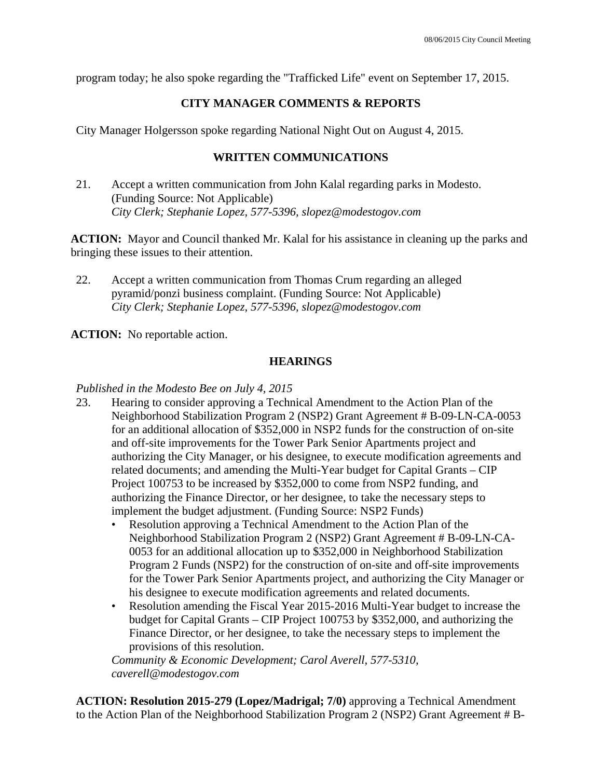program today; he also spoke regarding the "Trafficked Life" event on September 17, 2015.

# **CITY MANAGER COMMENTS & REPORTS**

City Manager Holgersson spoke regarding National Night Out on August 4, 2015.

# **WRITTEN COMMUNICATIONS**

21. Accept a written communication from John Kalal regarding parks in Modesto. (Funding Source: Not Applicable)  *City Clerk; Stephanie Lopez, 577-5396, slopez@modestogov.com* 

**ACTION:** Mayor and Council thanked Mr. Kalal for his assistance in cleaning up the parks and bringing these issues to their attention.

22. Accept a written communication from Thomas Crum regarding an alleged pyramid/ponzi business complaint. (Funding Source: Not Applicable)  *City Clerk; Stephanie Lopez, 577-5396, slopez@modestogov.com* 

**ACTION:** No reportable action.

# **HEARINGS**

# *Published in the Modesto Bee on July 4, 2015*

- 23. Hearing to consider approving a Technical Amendment to the Action Plan of the Neighborhood Stabilization Program 2 (NSP2) Grant Agreement # B-09-LN-CA-0053 for an additional allocation of \$352,000 in NSP2 funds for the construction of on-site and off-site improvements for the Tower Park Senior Apartments project and authorizing the City Manager, or his designee, to execute modification agreements and related documents; and amending the Multi-Year budget for Capital Grants – CIP Project 100753 to be increased by \$352,000 to come from NSP2 funding, and authorizing the Finance Director, or her designee, to take the necessary steps to implement the budget adjustment. (Funding Source: NSP2 Funds)
	- Resolution approving a Technical Amendment to the Action Plan of the Neighborhood Stabilization Program 2 (NSP2) Grant Agreement # B-09-LN-CA-0053 for an additional allocation up to \$352,000 in Neighborhood Stabilization Program 2 Funds (NSP2) for the construction of on-site and off-site improvements for the Tower Park Senior Apartments project, and authorizing the City Manager or his designee to execute modification agreements and related documents.
	- Resolution amending the Fiscal Year 2015-2016 Multi-Year budget to increase the budget for Capital Grants – CIP Project 100753 by \$352,000, and authorizing the Finance Director, or her designee, to take the necessary steps to implement the provisions of this resolution.

*Community & Economic Development; Carol Averell, 577-5310, caverell@modestogov.com* 

**ACTION: Resolution 2015-279 (Lopez/Madrigal; 7/0)** approving a Technical Amendment to the Action Plan of the Neighborhood Stabilization Program 2 (NSP2) Grant Agreement # B-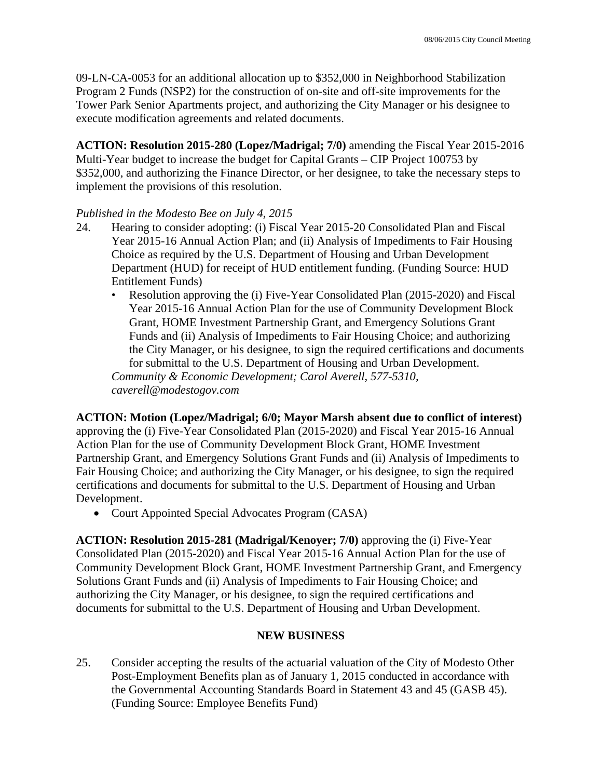09-LN-CA-0053 for an additional allocation up to \$352,000 in Neighborhood Stabilization Program 2 Funds (NSP2) for the construction of on-site and off-site improvements for the Tower Park Senior Apartments project, and authorizing the City Manager or his designee to execute modification agreements and related documents.

**ACTION: Resolution 2015-280 (Lopez/Madrigal; 7/0)** amending the Fiscal Year 2015-2016 Multi-Year budget to increase the budget for Capital Grants – CIP Project 100753 by \$352,000, and authorizing the Finance Director, or her designee, to take the necessary steps to implement the provisions of this resolution.

## *Published in the Modesto Bee on July 4, 2015*

- 24. Hearing to consider adopting: (i) Fiscal Year 2015-20 Consolidated Plan and Fiscal Year 2015-16 Annual Action Plan; and (ii) Analysis of Impediments to Fair Housing Choice as required by the U.S. Department of Housing and Urban Development Department (HUD) for receipt of HUD entitlement funding. (Funding Source: HUD Entitlement Funds)
	- Resolution approving the (i) Five-Year Consolidated Plan (2015-2020) and Fiscal Year 2015-16 Annual Action Plan for the use of Community Development Block Grant, HOME Investment Partnership Grant, and Emergency Solutions Grant Funds and (ii) Analysis of Impediments to Fair Housing Choice; and authorizing the City Manager, or his designee, to sign the required certifications and documents for submittal to the U.S. Department of Housing and Urban Development.

*Community & Economic Development; Carol Averell, 577-5310, caverell@modestogov.com* 

**ACTION: Motion (Lopez/Madrigal; 6/0; Mayor Marsh absent due to conflict of interest)** approving the (i) Five-Year Consolidated Plan (2015-2020) and Fiscal Year 2015-16 Annual Action Plan for the use of Community Development Block Grant, HOME Investment Partnership Grant, and Emergency Solutions Grant Funds and (ii) Analysis of Impediments to Fair Housing Choice; and authorizing the City Manager, or his designee, to sign the required certifications and documents for submittal to the U.S. Department of Housing and Urban Development.

• Court Appointed Special Advocates Program (CASA)

**ACTION: Resolution 2015-281 (Madrigal/Kenoyer; 7/0)** approving the (i) Five-Year Consolidated Plan (2015-2020) and Fiscal Year 2015-16 Annual Action Plan for the use of Community Development Block Grant, HOME Investment Partnership Grant, and Emergency Solutions Grant Funds and (ii) Analysis of Impediments to Fair Housing Choice; and authorizing the City Manager, or his designee, to sign the required certifications and documents for submittal to the U.S. Department of Housing and Urban Development.

# **NEW BUSINESS**

25. Consider accepting the results of the actuarial valuation of the City of Modesto Other Post-Employment Benefits plan as of January 1, 2015 conducted in accordance with the Governmental Accounting Standards Board in Statement 43 and 45 (GASB 45). (Funding Source: Employee Benefits Fund)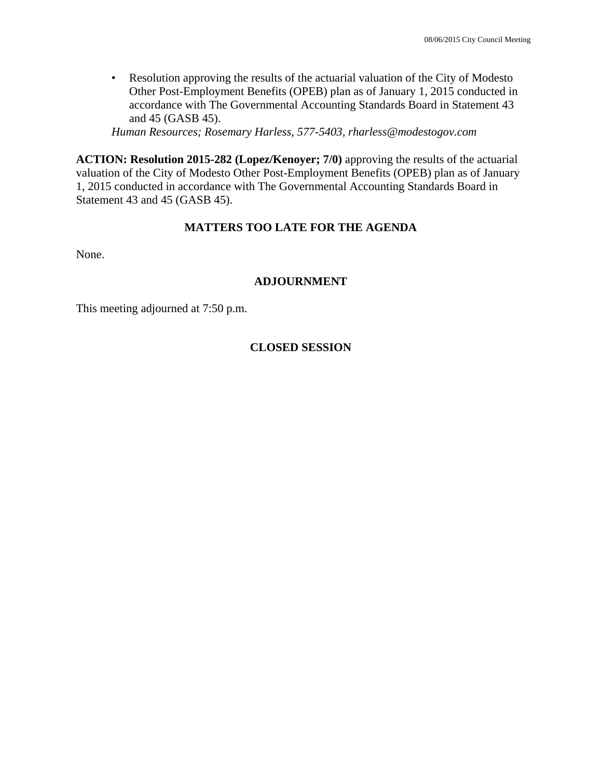• Resolution approving the results of the actuarial valuation of the City of Modesto Other Post-Employment Benefits (OPEB) plan as of January 1, 2015 conducted in accordance with The Governmental Accounting Standards Board in Statement 43 and 45 (GASB 45).

*Human Resources; Rosemary Harless, 577-5403, rharless@modestogov.com* 

**ACTION: Resolution 2015-282 (Lopez/Kenoyer; 7/0)** approving the results of the actuarial valuation of the City of Modesto Other Post-Employment Benefits (OPEB) plan as of January 1, 2015 conducted in accordance with The Governmental Accounting Standards Board in Statement 43 and 45 (GASB 45).

# **MATTERS TOO LATE FOR THE AGENDA**

None.

# **ADJOURNMENT**

This meeting adjourned at 7:50 p.m.

# **CLOSED SESSION**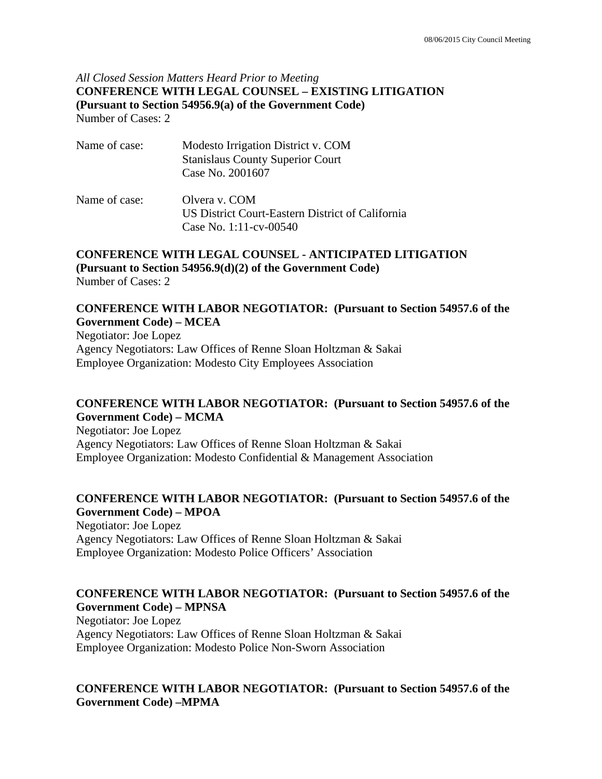## *All Closed Session Matters Heard Prior to Meeting* **CONFERENCE WITH LEGAL COUNSEL – EXISTING LITIGATION (Pursuant to Section 54956.9(a) of the Government Code)**  Number of Cases: 2

| Name of case: | Modesto Irrigation District v. COM<br><b>Stanislaus County Superior Court</b><br>Case No. 2001607 |
|---------------|---------------------------------------------------------------------------------------------------|
| Name of case: | Olvera v. COM<br>US District Court-Eastern District of California<br>Case No. 1:11-cv-00540       |

# **CONFERENCE WITH LEGAL COUNSEL - ANTICIPATED LITIGATION (Pursuant to Section 54956.9(d)(2) of the Government Code)**

Number of Cases: 2

## **CONFERENCE WITH LABOR NEGOTIATOR: (Pursuant to Section 54957.6 of the Government Code) – MCEA**

Negotiator: Joe Lopez Agency Negotiators: Law Offices of Renne Sloan Holtzman & Sakai Employee Organization: Modesto City Employees Association

### **CONFERENCE WITH LABOR NEGOTIATOR: (Pursuant to Section 54957.6 of the Government Code) – MCMA**

Negotiator: Joe Lopez Agency Negotiators: Law Offices of Renne Sloan Holtzman & Sakai Employee Organization: Modesto Confidential & Management Association

## **CONFERENCE WITH LABOR NEGOTIATOR: (Pursuant to Section 54957.6 of the Government Code) – MPOA**

Negotiator: Joe Lopez Agency Negotiators: Law Offices of Renne Sloan Holtzman & Sakai Employee Organization: Modesto Police Officers' Association

## **CONFERENCE WITH LABOR NEGOTIATOR: (Pursuant to Section 54957.6 of the Government Code) – MPNSA**

Negotiator: Joe Lopez Agency Negotiators: Law Offices of Renne Sloan Holtzman & Sakai Employee Organization: Modesto Police Non-Sworn Association

## **CONFERENCE WITH LABOR NEGOTIATOR: (Pursuant to Section 54957.6 of the Government Code) –MPMA**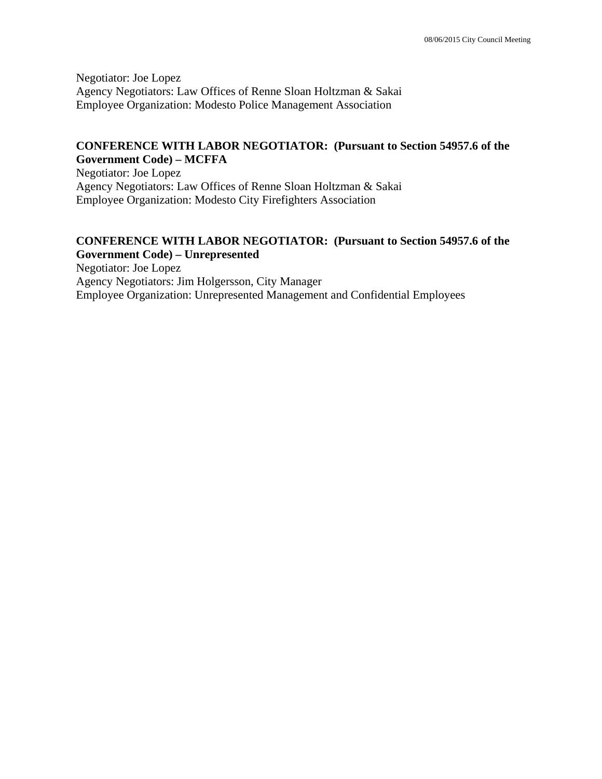Negotiator: Joe Lopez Agency Negotiators: Law Offices of Renne Sloan Holtzman & Sakai Employee Organization: Modesto Police Management Association

### **CONFERENCE WITH LABOR NEGOTIATOR: (Pursuant to Section 54957.6 of the Government Code) – MCFFA**

Negotiator: Joe Lopez Agency Negotiators: Law Offices of Renne Sloan Holtzman & Sakai Employee Organization: Modesto City Firefighters Association

## **CONFERENCE WITH LABOR NEGOTIATOR: (Pursuant to Section 54957.6 of the Government Code) – Unrepresented**

Negotiator: Joe Lopez Agency Negotiators: Jim Holgersson, City Manager Employee Organization: Unrepresented Management and Confidential Employees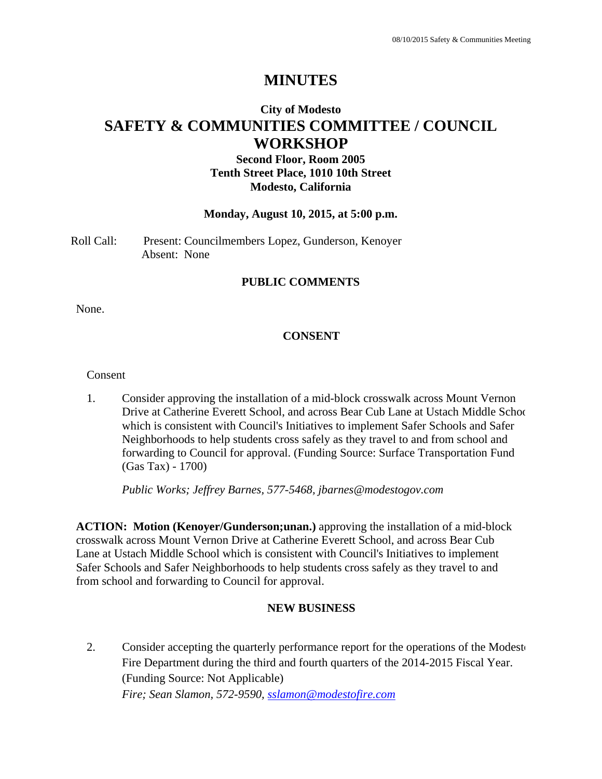# **MINUTES**

# **City of Modesto SAFETY & COMMUNITIES COMMITTEE / COUNCIL WORKSHOP**

# **Second Floor, Room 2005 Tenth Street Place, 1010 10th Street Modesto, California**

#### **Monday, August 10, 2015, at 5:00 p.m.**

Roll Call: Present: Councilmembers Lopez, Gunderson, Kenoyer Absent: None

### **PUBLIC COMMENTS**

None.

## **CONSENT**

Consent

1. Consider approving the installation of a mid-block crosswalk across Mount Vernon Drive at Catherine Everett School, and across Bear Cub Lane at Ustach Middle Schoo which is consistent with Council's Initiatives to implement Safer Schools and Safer Neighborhoods to help students cross safely as they travel to and from school and forwarding to Council for approval. (Funding Source: Surface Transportation Fund (Gas Tax) - 1700)

 *Public Works; Jeffrey Barnes, 577-5468, jbarnes@modestogov.com* 

**ACTION: Motion (Kenoyer/Gunderson;unan.)** approving the installation of a mid-block crosswalk across Mount Vernon Drive at Catherine Everett School, and across Bear Cub Lane at Ustach Middle School which is consistent with Council's Initiatives to implement Safer Schools and Safer Neighborhoods to help students cross safely as they travel to and from school and forwarding to Council for approval.

### **NEW BUSINESS**

2. Consider accepting the quarterly performance report for the operations of the Modesto Fire Department during the third and fourth quarters of the 2014-2015 Fiscal Year. (Funding Source: Not Applicable) *Fire; Sean Slamon, 572-9590, sslamon@modestofire.com*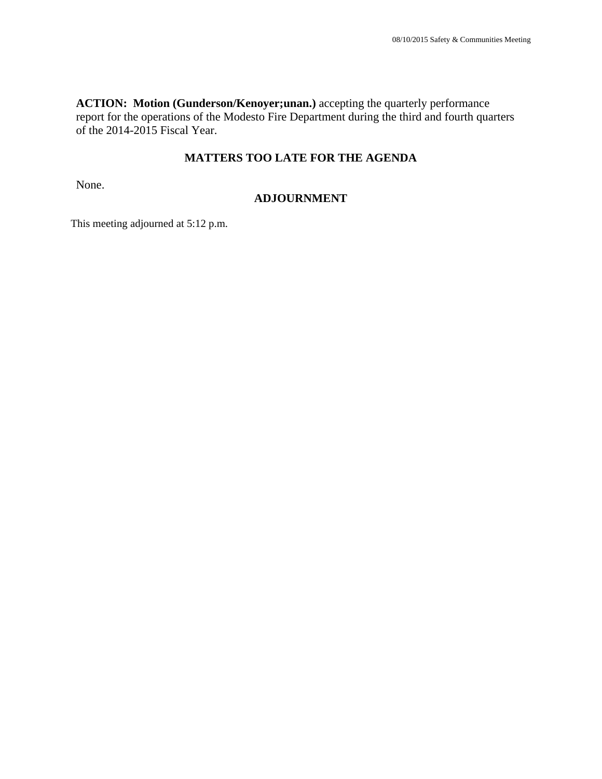**ACTION: Motion (Gunderson/Kenoyer;unan.)** accepting the quarterly performance report for the operations of the Modesto Fire Department during the third and fourth quarters of the 2014-2015 Fiscal Year.

# **MATTERS TOO LATE FOR THE AGENDA**

None.

### **ADJOURNMENT**

This meeting adjourned at 5:12 p.m.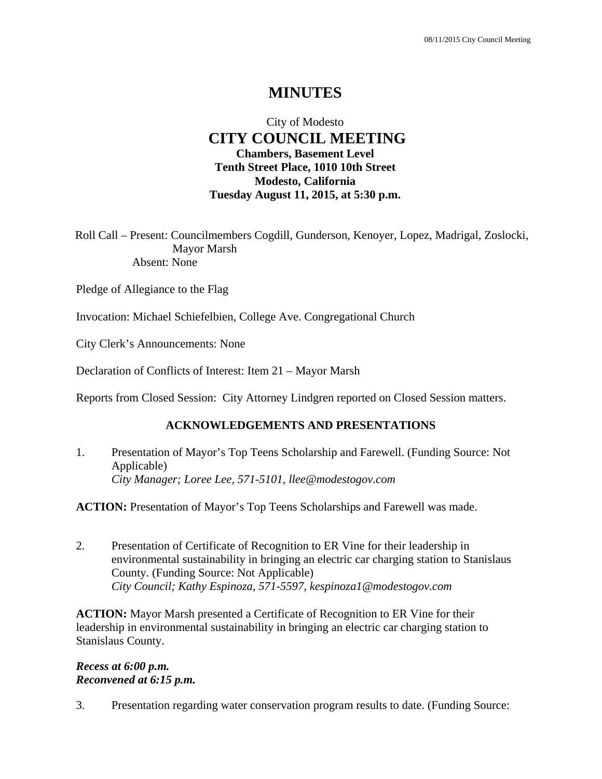# **MINUTES**

# City of Modesto  **CITY COUNCIL MEETING Chambers, Basement Level Tenth Street Place, 1010 10th Street Modesto, California Tuesday August 11, 2015, at 5:30 p.m.**

Roll Call – Present: Councilmembers Cogdill, Gunderson, Kenoyer, Lopez, Madrigal, Zoslocki, Mayor Marsh Absent: None

Pledge of Allegiance to the Flag

Invocation: Michael Schiefelbien, College Ave. Congregational Church

City Clerk's Announcements: None

Declaration of Conflicts of Interest: Item 21 – Mayor Marsh

Reports from Closed Session: City Attorney Lindgren reported on Closed Session matters.

### **ACKNOWLEDGEMENTS AND PRESENTATIONS**

1. Presentation of Mayor's Top Teens Scholarship and Farewell. (Funding Source: Not Applicable)  *City Manager; Loree Lee, 571-5101, llee@modestogov.com* 

**ACTION:** Presentation of Mayor's Top Teens Scholarships and Farewell was made.

2. Presentation of Certificate of Recognition to ER Vine for their leadership in environmental sustainability in bringing an electric car charging station to Stanislaus County. (Funding Source: Not Applicable)  *City Council; Kathy Espinoza, 571-5597, kespinoza1@modestogov.com* 

**ACTION:** Mayor Marsh presented a Certificate of Recognition to ER Vine for their leadership in environmental sustainability in bringing an electric car charging station to Stanislaus County.

### *Recess at 6:00 p.m. Reconvened at 6:15 p.m.*

3. Presentation regarding water conservation program results to date. (Funding Source: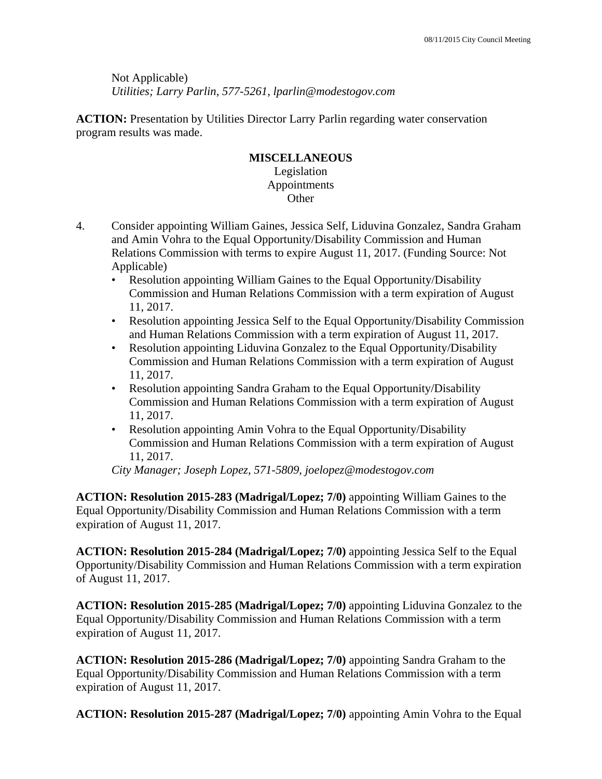Not Applicable)  *Utilities; Larry Parlin, 577-5261, lparlin@modestogov.com* 

**ACTION:** Presentation by Utilities Director Larry Parlin regarding water conservation program results was made.

## **MISCELLANEOUS**

Legislation Appointments Other

- 4. Consider appointing William Gaines, Jessica Self, Liduvina Gonzalez, Sandra Graham and Amin Vohra to the Equal Opportunity/Disability Commission and Human Relations Commission with terms to expire August 11, 2017. (Funding Source: Not Applicable)
	- Resolution appointing William Gaines to the Equal Opportunity/Disability Commission and Human Relations Commission with a term expiration of August 11, 2017.
	- Resolution appointing Jessica Self to the Equal Opportunity/Disability Commission and Human Relations Commission with a term expiration of August 11, 2017.
	- Resolution appointing Liduvina Gonzalez to the Equal Opportunity/Disability Commission and Human Relations Commission with a term expiration of August 11, 2017.
	- Resolution appointing Sandra Graham to the Equal Opportunity/Disability Commission and Human Relations Commission with a term expiration of August 11, 2017.
	- Resolution appointing Amin Vohra to the Equal Opportunity/Disability Commission and Human Relations Commission with a term expiration of August 11, 2017.

*City Manager; Joseph Lopez, 571-5809, joelopez@modestogov.com* 

**ACTION: Resolution 2015-283 (Madrigal/Lopez; 7/0)** appointing William Gaines to the Equal Opportunity/Disability Commission and Human Relations Commission with a term expiration of August 11, 2017.

**ACTION: Resolution 2015-284 (Madrigal/Lopez; 7/0)** appointing Jessica Self to the Equal Opportunity/Disability Commission and Human Relations Commission with a term expiration of August 11, 2017.

**ACTION: Resolution 2015-285 (Madrigal/Lopez; 7/0)** appointing Liduvina Gonzalez to the Equal Opportunity/Disability Commission and Human Relations Commission with a term expiration of August 11, 2017.

**ACTION: Resolution 2015-286 (Madrigal/Lopez; 7/0)** appointing Sandra Graham to the Equal Opportunity/Disability Commission and Human Relations Commission with a term expiration of August 11, 2017.

**ACTION: Resolution 2015-287 (Madrigal/Lopez; 7/0)** appointing Amin Vohra to the Equal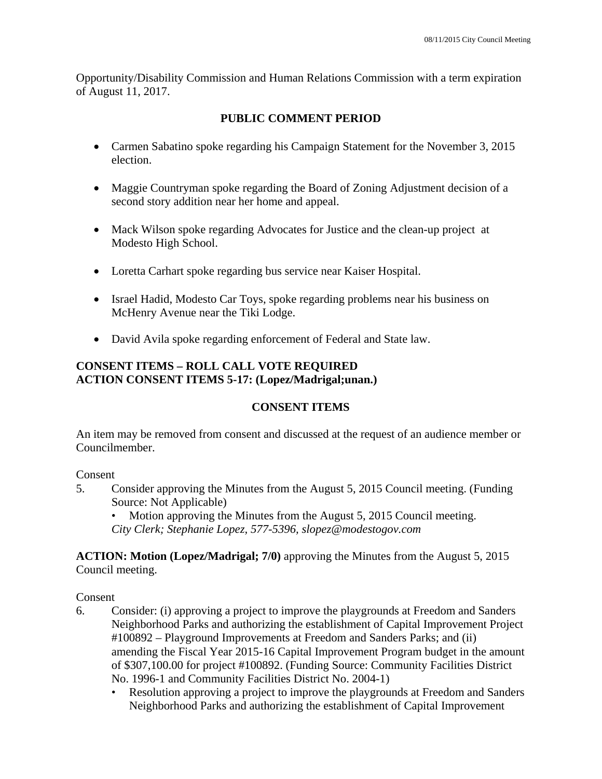Opportunity/Disability Commission and Human Relations Commission with a term expiration of August 11, 2017.

# **PUBLIC COMMENT PERIOD**

- Carmen Sabatino spoke regarding his Campaign Statement for the November 3, 2015 election.
- Maggie Countryman spoke regarding the Board of Zoning Adjustment decision of a second story addition near her home and appeal.
- Mack Wilson spoke regarding Advocates for Justice and the clean-up project at Modesto High School.
- Loretta Carhart spoke regarding bus service near Kaiser Hospital.
- Israel Hadid, Modesto Car Toys, spoke regarding problems near his business on McHenry Avenue near the Tiki Lodge.
- David Avila spoke regarding enforcement of Federal and State law.

# **CONSENT ITEMS – ROLL CALL VOTE REQUIRED ACTION CONSENT ITEMS 5-17: (Lopez/Madrigal;unan.)**

# **CONSENT ITEMS**

An item may be removed from consent and discussed at the request of an audience member or Councilmember.

### Consent

5. Consider approving the Minutes from the August 5, 2015 Council meeting. (Funding Source: Not Applicable)

• Motion approving the Minutes from the August 5, 2015 Council meeting. *City Clerk; Stephanie Lopez, 577-5396, slopez@modestogov.com* 

**ACTION: Motion (Lopez/Madrigal; 7/0)** approving the Minutes from the August 5, 2015 Council meeting.

Consent

- 6. Consider: (i) approving a project to improve the playgrounds at Freedom and Sanders Neighborhood Parks and authorizing the establishment of Capital Improvement Project #100892 – Playground Improvements at Freedom and Sanders Parks; and (ii) amending the Fiscal Year 2015-16 Capital Improvement Program budget in the amount of \$307,100.00 for project #100892. (Funding Source: Community Facilities District No. 1996-1 and Community Facilities District No. 2004-1)
	- Resolution approving a project to improve the playgrounds at Freedom and Sanders Neighborhood Parks and authorizing the establishment of Capital Improvement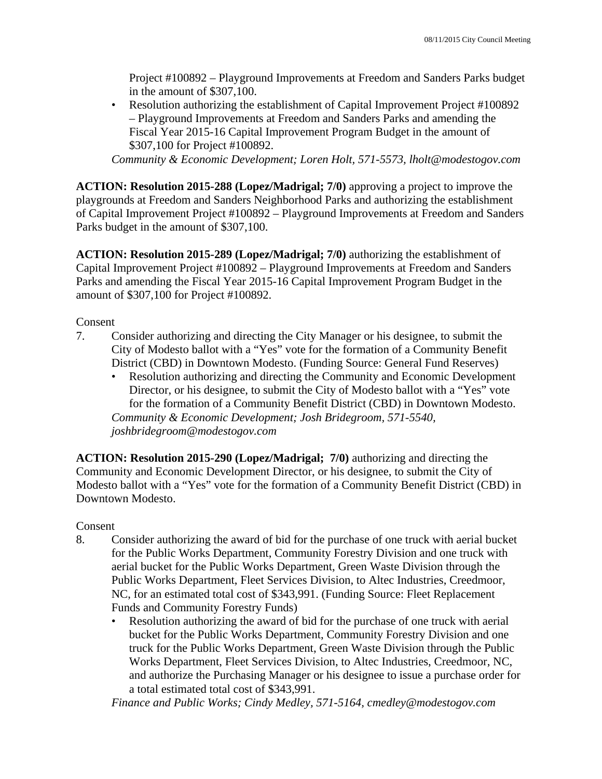Project #100892 – Playground Improvements at Freedom and Sanders Parks budget in the amount of \$307,100.

• Resolution authorizing the establishment of Capital Improvement Project #100892 – Playground Improvements at Freedom and Sanders Parks and amending the Fiscal Year 2015-16 Capital Improvement Program Budget in the amount of \$307,100 for Project #100892.

*Community & Economic Development; Loren Holt, 571-5573, lholt@modestogov.com* 

**ACTION: Resolution 2015-288 (Lopez/Madrigal; 7/0)** approving a project to improve the playgrounds at Freedom and Sanders Neighborhood Parks and authorizing the establishment of Capital Improvement Project #100892 – Playground Improvements at Freedom and Sanders Parks budget in the amount of \$307,100.

**ACTION: Resolution 2015-289 (Lopez/Madrigal; 7/0)** authorizing the establishment of Capital Improvement Project #100892 – Playground Improvements at Freedom and Sanders Parks and amending the Fiscal Year 2015-16 Capital Improvement Program Budget in the amount of \$307,100 for Project #100892.

Consent

- 7. Consider authorizing and directing the City Manager or his designee, to submit the City of Modesto ballot with a "Yes" vote for the formation of a Community Benefit District (CBD) in Downtown Modesto. (Funding Source: General Fund Reserves)
	- Resolution authorizing and directing the Community and Economic Development Director, or his designee, to submit the City of Modesto ballot with a "Yes" vote for the formation of a Community Benefit District (CBD) in Downtown Modesto. *Community & Economic Development; Josh Bridegroom, 571-5540, joshbridegroom@modestogov.com*

**ACTION: Resolution 2015-290 (Lopez/Madrigal; 7/0)** authorizing and directing the Community and Economic Development Director, or his designee, to submit the City of Modesto ballot with a "Yes" vote for the formation of a Community Benefit District (CBD) in Downtown Modesto.

Consent

- 8. Consider authorizing the award of bid for the purchase of one truck with aerial bucket for the Public Works Department, Community Forestry Division and one truck with aerial bucket for the Public Works Department, Green Waste Division through the Public Works Department, Fleet Services Division, to Altec Industries, Creedmoor, NC, for an estimated total cost of \$343,991. (Funding Source: Fleet Replacement Funds and Community Forestry Funds)
	- Resolution authorizing the award of bid for the purchase of one truck with aerial bucket for the Public Works Department, Community Forestry Division and one truck for the Public Works Department, Green Waste Division through the Public Works Department, Fleet Services Division, to Altec Industries, Creedmoor, NC, and authorize the Purchasing Manager or his designee to issue a purchase order for a total estimated total cost of \$343,991.

*Finance and Public Works; Cindy Medley, 571-5164, cmedley@modestogov.com*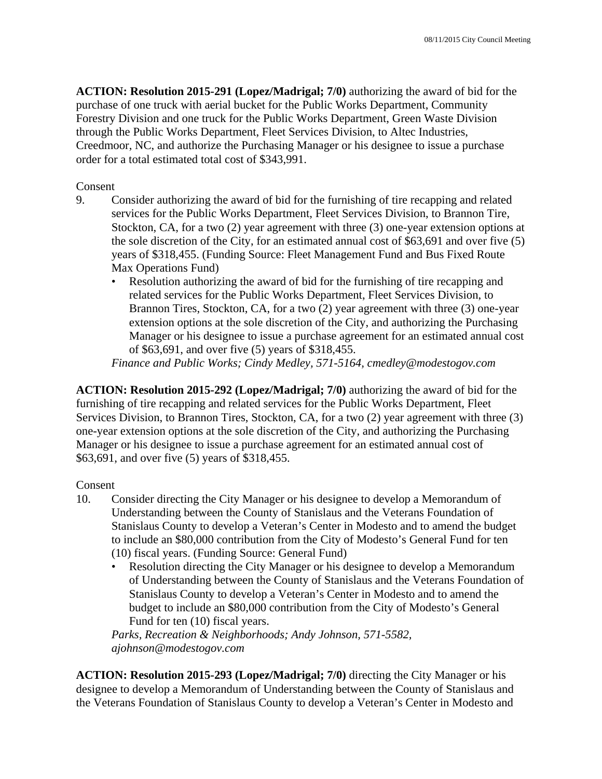**ACTION: Resolution 2015-291 (Lopez/Madrigal; 7/0)** authorizing the award of bid for the purchase of one truck with aerial bucket for the Public Works Department, Community Forestry Division and one truck for the Public Works Department, Green Waste Division through the Public Works Department, Fleet Services Division, to Altec Industries, Creedmoor, NC, and authorize the Purchasing Manager or his designee to issue a purchase order for a total estimated total cost of \$343,991.

Consent

- 9. Consider authorizing the award of bid for the furnishing of tire recapping and related services for the Public Works Department, Fleet Services Division, to Brannon Tire, Stockton, CA, for a two (2) year agreement with three (3) one-year extension options at the sole discretion of the City, for an estimated annual cost of \$63,691 and over five (5) years of \$318,455. (Funding Source: Fleet Management Fund and Bus Fixed Route Max Operations Fund)
	- Resolution authorizing the award of bid for the furnishing of tire recapping and related services for the Public Works Department, Fleet Services Division, to Brannon Tires, Stockton, CA, for a two (2) year agreement with three (3) one-year extension options at the sole discretion of the City, and authorizing the Purchasing Manager or his designee to issue a purchase agreement for an estimated annual cost of \$63,691, and over five (5) years of \$318,455.

*Finance and Public Works; Cindy Medley, 571-5164, cmedley@modestogov.com* 

**ACTION: Resolution 2015-292 (Lopez/Madrigal; 7/0)** authorizing the award of bid for the furnishing of tire recapping and related services for the Public Works Department, Fleet Services Division, to Brannon Tires, Stockton, CA, for a two (2) year agreement with three (3) one-year extension options at the sole discretion of the City, and authorizing the Purchasing Manager or his designee to issue a purchase agreement for an estimated annual cost of \$63,691, and over five (5) years of \$318,455.

### Consent

- 10. Consider directing the City Manager or his designee to develop a Memorandum of Understanding between the County of Stanislaus and the Veterans Foundation of Stanislaus County to develop a Veteran's Center in Modesto and to amend the budget to include an \$80,000 contribution from the City of Modesto's General Fund for ten (10) fiscal years. (Funding Source: General Fund)
	- Resolution directing the City Manager or his designee to develop a Memorandum of Understanding between the County of Stanislaus and the Veterans Foundation of Stanislaus County to develop a Veteran's Center in Modesto and to amend the budget to include an \$80,000 contribution from the City of Modesto's General Fund for ten (10) fiscal years.

*Parks, Recreation & Neighborhoods; Andy Johnson, 571-5582, ajohnson@modestogov.com* 

**ACTION: Resolution 2015-293 (Lopez/Madrigal; 7/0)** directing the City Manager or his designee to develop a Memorandum of Understanding between the County of Stanislaus and the Veterans Foundation of Stanislaus County to develop a Veteran's Center in Modesto and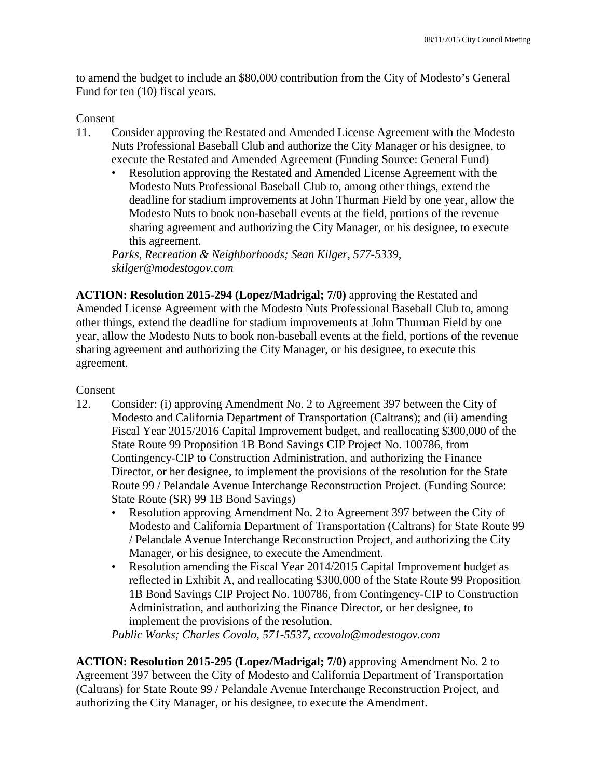to amend the budget to include an \$80,000 contribution from the City of Modesto's General Fund for ten (10) fiscal years.

### Consent

- 11. Consider approving the Restated and Amended License Agreement with the Modesto Nuts Professional Baseball Club and authorize the City Manager or his designee, to execute the Restated and Amended Agreement (Funding Source: General Fund)
	- Resolution approving the Restated and Amended License Agreement with the Modesto Nuts Professional Baseball Club to, among other things, extend the deadline for stadium improvements at John Thurman Field by one year, allow the Modesto Nuts to book non-baseball events at the field, portions of the revenue sharing agreement and authorizing the City Manager, or his designee, to execute this agreement.

*Parks, Recreation & Neighborhoods; Sean Kilger, 577-5339, skilger@modestogov.com* 

**ACTION: Resolution 2015-294 (Lopez/Madrigal; 7/0)** approving the Restated and Amended License Agreement with the Modesto Nuts Professional Baseball Club to, among other things, extend the deadline for stadium improvements at John Thurman Field by one year, allow the Modesto Nuts to book non-baseball events at the field, portions of the revenue sharing agreement and authorizing the City Manager, or his designee, to execute this agreement.

### Consent

- 12. Consider: (i) approving Amendment No. 2 to Agreement 397 between the City of Modesto and California Department of Transportation (Caltrans); and (ii) amending Fiscal Year 2015/2016 Capital Improvement budget, and reallocating \$300,000 of the State Route 99 Proposition 1B Bond Savings CIP Project No. 100786, from Contingency-CIP to Construction Administration, and authorizing the Finance Director, or her designee, to implement the provisions of the resolution for the State Route 99 / Pelandale Avenue Interchange Reconstruction Project. (Funding Source: State Route (SR) 99 1B Bond Savings)
	- Resolution approving Amendment No. 2 to Agreement 397 between the City of Modesto and California Department of Transportation (Caltrans) for State Route 99 / Pelandale Avenue Interchange Reconstruction Project, and authorizing the City Manager, or his designee, to execute the Amendment.
	- Resolution amending the Fiscal Year 2014/2015 Capital Improvement budget as reflected in Exhibit A, and reallocating \$300,000 of the State Route 99 Proposition 1B Bond Savings CIP Project No. 100786, from Contingency-CIP to Construction Administration, and authorizing the Finance Director, or her designee, to implement the provisions of the resolution.

*Public Works; Charles Covolo, 571-5537, ccovolo@modestogov.com* 

**ACTION: Resolution 2015-295 (Lopez/Madrigal; 7/0)** approving Amendment No. 2 to Agreement 397 between the City of Modesto and California Department of Transportation (Caltrans) for State Route 99 / Pelandale Avenue Interchange Reconstruction Project, and authorizing the City Manager, or his designee, to execute the Amendment.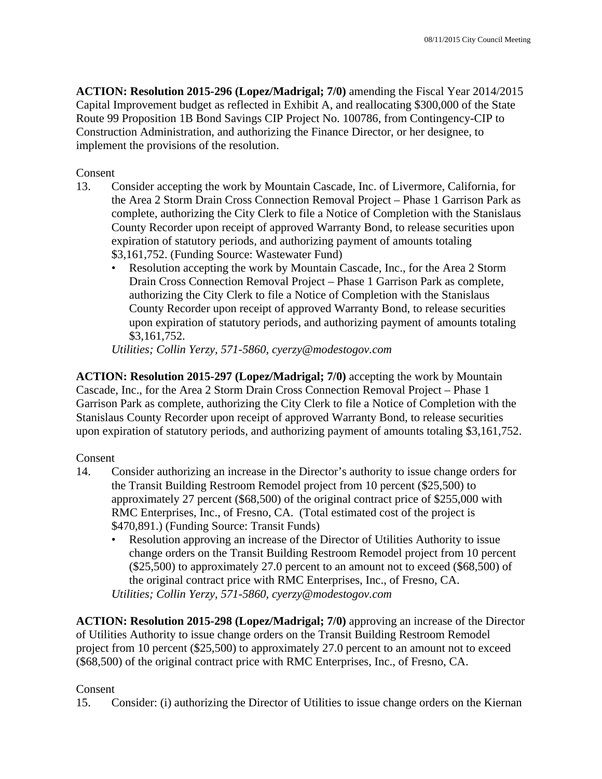**ACTION: Resolution 2015-296 (Lopez/Madrigal; 7/0)** amending the Fiscal Year 2014/2015 Capital Improvement budget as reflected in Exhibit A, and reallocating \$300,000 of the State Route 99 Proposition 1B Bond Savings CIP Project No. 100786, from Contingency-CIP to Construction Administration, and authorizing the Finance Director, or her designee, to implement the provisions of the resolution.

Consent

- 13. Consider accepting the work by Mountain Cascade, Inc. of Livermore, California, for the Area 2 Storm Drain Cross Connection Removal Project – Phase 1 Garrison Park as complete, authorizing the City Clerk to file a Notice of Completion with the Stanislaus County Recorder upon receipt of approved Warranty Bond, to release securities upon expiration of statutory periods, and authorizing payment of amounts totaling \$3,161,752. (Funding Source: Wastewater Fund)
	- Resolution accepting the work by Mountain Cascade, Inc., for the Area 2 Storm Drain Cross Connection Removal Project – Phase 1 Garrison Park as complete, authorizing the City Clerk to file a Notice of Completion with the Stanislaus County Recorder upon receipt of approved Warranty Bond, to release securities upon expiration of statutory periods, and authorizing payment of amounts totaling \$3,161,752.

*Utilities; Collin Yerzy, 571-5860, cyerzy@modestogov.com* 

**ACTION: Resolution 2015-297 (Lopez/Madrigal; 7/0)** accepting the work by Mountain Cascade, Inc., for the Area 2 Storm Drain Cross Connection Removal Project – Phase 1 Garrison Park as complete, authorizing the City Clerk to file a Notice of Completion with the Stanislaus County Recorder upon receipt of approved Warranty Bond, to release securities upon expiration of statutory periods, and authorizing payment of amounts totaling \$3,161,752.

Consent

- 14. Consider authorizing an increase in the Director's authority to issue change orders for the Transit Building Restroom Remodel project from 10 percent (\$25,500) to approximately 27 percent (\$68,500) of the original contract price of \$255,000 with RMC Enterprises, Inc., of Fresno, CA. (Total estimated cost of the project is \$470,891.) (Funding Source: Transit Funds)
	- Resolution approving an increase of the Director of Utilities Authority to issue change orders on the Transit Building Restroom Remodel project from 10 percent (\$25,500) to approximately 27.0 percent to an amount not to exceed (\$68,500) of the original contract price with RMC Enterprises, Inc., of Fresno, CA. *Utilities; Collin Yerzy, 571-5860, cyerzy@modestogov.com*

**ACTION: Resolution 2015-298 (Lopez/Madrigal; 7/0)** approving an increase of the Director of Utilities Authority to issue change orders on the Transit Building Restroom Remodel project from 10 percent (\$25,500) to approximately 27.0 percent to an amount not to exceed (\$68,500) of the original contract price with RMC Enterprises, Inc., of Fresno, CA.

# Consent

15. Consider: (i) authorizing the Director of Utilities to issue change orders on the Kiernan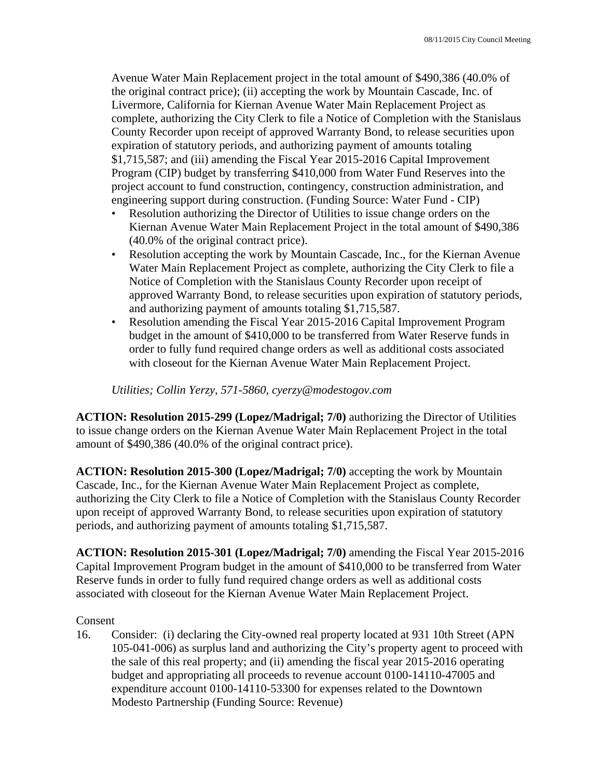Avenue Water Main Replacement project in the total amount of \$490,386 (40.0% of the original contract price); (ii) accepting the work by Mountain Cascade, Inc. of Livermore, California for Kiernan Avenue Water Main Replacement Project as complete, authorizing the City Clerk to file a Notice of Completion with the Stanislaus County Recorder upon receipt of approved Warranty Bond, to release securities upon expiration of statutory periods, and authorizing payment of amounts totaling \$1,715,587; and (iii) amending the Fiscal Year 2015-2016 Capital Improvement Program (CIP) budget by transferring \$410,000 from Water Fund Reserves into the project account to fund construction, contingency, construction administration, and engineering support during construction. (Funding Source: Water Fund - CIP)

- Resolution authorizing the Director of Utilities to issue change orders on the Kiernan Avenue Water Main Replacement Project in the total amount of \$490,386 (40.0% of the original contract price).
- Resolution accepting the work by Mountain Cascade, Inc., for the Kiernan Avenue Water Main Replacement Project as complete, authorizing the City Clerk to file a Notice of Completion with the Stanislaus County Recorder upon receipt of approved Warranty Bond, to release securities upon expiration of statutory periods, and authorizing payment of amounts totaling \$1,715,587.
- Resolution amending the Fiscal Year 2015-2016 Capital Improvement Program budget in the amount of \$410,000 to be transferred from Water Reserve funds in order to fully fund required change orders as well as additional costs associated with closeout for the Kiernan Avenue Water Main Replacement Project.

*Utilities; Collin Yerzy, 571-5860, cyerzy@modestogov.com* 

**ACTION: Resolution 2015-299 (Lopez/Madrigal; 7/0)** authorizing the Director of Utilities to issue change orders on the Kiernan Avenue Water Main Replacement Project in the total amount of \$490,386 (40.0% of the original contract price).

**ACTION: Resolution 2015-300 (Lopez/Madrigal; 7/0)** accepting the work by Mountain Cascade, Inc., for the Kiernan Avenue Water Main Replacement Project as complete, authorizing the City Clerk to file a Notice of Completion with the Stanislaus County Recorder upon receipt of approved Warranty Bond, to release securities upon expiration of statutory periods, and authorizing payment of amounts totaling \$1,715,587.

**ACTION: Resolution 2015-301 (Lopez/Madrigal; 7/0)** amending the Fiscal Year 2015-2016 Capital Improvement Program budget in the amount of \$410,000 to be transferred from Water Reserve funds in order to fully fund required change orders as well as additional costs associated with closeout for the Kiernan Avenue Water Main Replacement Project.

### Consent

16. Consider: (i) declaring the City-owned real property located at 931 10th Street (APN 105-041-006) as surplus land and authorizing the City's property agent to proceed with the sale of this real property; and (ii) amending the fiscal year 2015-2016 operating budget and appropriating all proceeds to revenue account 0100-14110-47005 and expenditure account 0100-14110-53300 for expenses related to the Downtown Modesto Partnership (Funding Source: Revenue)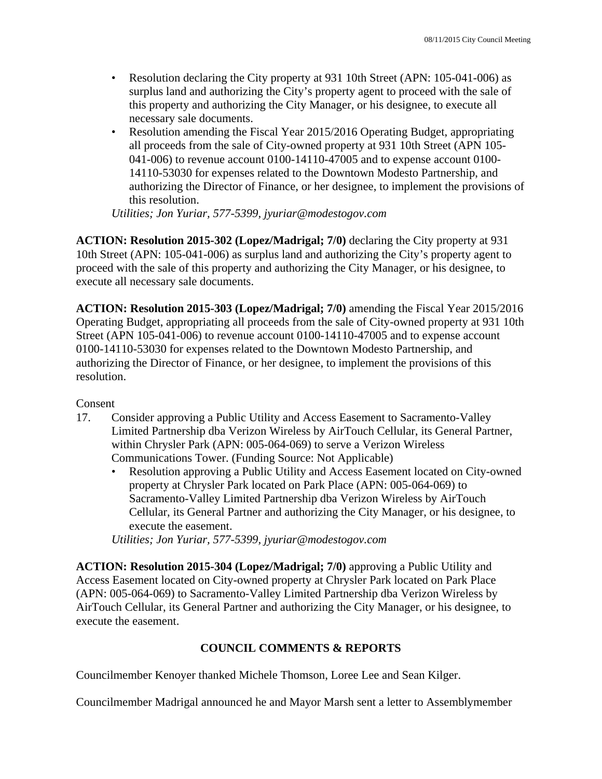- Resolution declaring the City property at 931 10th Street (APN: 105-041-006) as surplus land and authorizing the City's property agent to proceed with the sale of this property and authorizing the City Manager, or his designee, to execute all necessary sale documents.
- Resolution amending the Fiscal Year 2015/2016 Operating Budget, appropriating all proceeds from the sale of City-owned property at 931 10th Street (APN 105- 041-006) to revenue account 0100-14110-47005 and to expense account 0100- 14110-53030 for expenses related to the Downtown Modesto Partnership, and authorizing the Director of Finance, or her designee, to implement the provisions of this resolution.

*Utilities; Jon Yuriar, 577-5399, jyuriar@modestogov.com* 

**ACTION: Resolution 2015-302 (Lopez/Madrigal; 7/0)** declaring the City property at 931 10th Street (APN: 105-041-006) as surplus land and authorizing the City's property agent to proceed with the sale of this property and authorizing the City Manager, or his designee, to execute all necessary sale documents.

**ACTION: Resolution 2015-303 (Lopez/Madrigal; 7/0)** amending the Fiscal Year 2015/2016 Operating Budget, appropriating all proceeds from the sale of City-owned property at 931 10th Street (APN 105-041-006) to revenue account 0100-14110-47005 and to expense account 0100-14110-53030 for expenses related to the Downtown Modesto Partnership, and authorizing the Director of Finance, or her designee, to implement the provisions of this resolution.

Consent

- 17. Consider approving a Public Utility and Access Easement to Sacramento-Valley Limited Partnership dba Verizon Wireless by AirTouch Cellular, its General Partner, within Chrysler Park (APN: 005-064-069) to serve a Verizon Wireless Communications Tower. (Funding Source: Not Applicable)
	- Resolution approving a Public Utility and Access Easement located on City-owned property at Chrysler Park located on Park Place (APN: 005-064-069) to Sacramento-Valley Limited Partnership dba Verizon Wireless by AirTouch Cellular, its General Partner and authorizing the City Manager, or his designee, to execute the easement.

*Utilities; Jon Yuriar, 577-5399, jyuriar@modestogov.com* 

**ACTION: Resolution 2015-304 (Lopez/Madrigal; 7/0)** approving a Public Utility and Access Easement located on City-owned property at Chrysler Park located on Park Place (APN: 005-064-069) to Sacramento-Valley Limited Partnership dba Verizon Wireless by AirTouch Cellular, its General Partner and authorizing the City Manager, or his designee, to execute the easement.

# **COUNCIL COMMENTS & REPORTS**

Councilmember Kenoyer thanked Michele Thomson, Loree Lee and Sean Kilger.

Councilmember Madrigal announced he and Mayor Marsh sent a letter to Assemblymember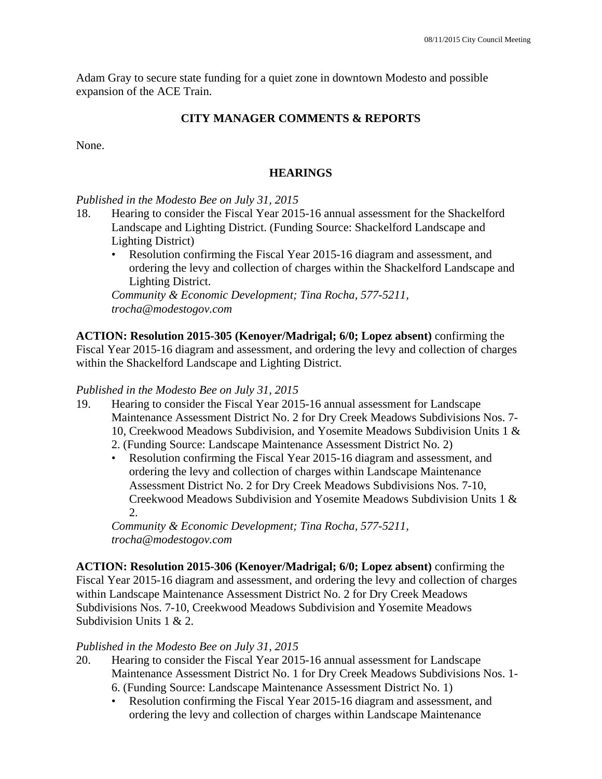Adam Gray to secure state funding for a quiet zone in downtown Modesto and possible expansion of the ACE Train.

# **CITY MANAGER COMMENTS & REPORTS**

None.

# **HEARINGS**

## *Published in the Modesto Bee on July 31, 2015*

- 18. Hearing to consider the Fiscal Year 2015-16 annual assessment for the Shackelford Landscape and Lighting District. (Funding Source: Shackelford Landscape and Lighting District)
	- Resolution confirming the Fiscal Year 2015-16 diagram and assessment, and ordering the levy and collection of charges within the Shackelford Landscape and Lighting District.

*Community & Economic Development; Tina Rocha, 577-5211, trocha@modestogov.com* 

**ACTION: Resolution 2015-305 (Kenoyer/Madrigal; 6/0; Lopez absent)** confirming the Fiscal Year 2015-16 diagram and assessment, and ordering the levy and collection of charges within the Shackelford Landscape and Lighting District.

### *Published in the Modesto Bee on July 31, 2015*

- 19. Hearing to consider the Fiscal Year 2015-16 annual assessment for Landscape Maintenance Assessment District No. 2 for Dry Creek Meadows Subdivisions Nos. 7- 10, Creekwood Meadows Subdivision, and Yosemite Meadows Subdivision Units 1 &
	- 2. (Funding Source: Landscape Maintenance Assessment District No. 2)
	- Resolution confirming the Fiscal Year 2015-16 diagram and assessment, and ordering the levy and collection of charges within Landscape Maintenance Assessment District No. 2 for Dry Creek Meadows Subdivisions Nos. 7-10, Creekwood Meadows Subdivision and Yosemite Meadows Subdivision Units 1 & 2.

*Community & Economic Development; Tina Rocha, 577-5211, trocha@modestogov.com* 

**ACTION: Resolution 2015-306 (Kenoyer/Madrigal; 6/0; Lopez absent)** confirming the Fiscal Year 2015-16 diagram and assessment, and ordering the levy and collection of charges within Landscape Maintenance Assessment District No. 2 for Dry Creek Meadows Subdivisions Nos. 7-10, Creekwood Meadows Subdivision and Yosemite Meadows Subdivision Units 1 & 2.

# *Published in the Modesto Bee on July 31, 2015*

- 20. Hearing to consider the Fiscal Year 2015-16 annual assessment for Landscape Maintenance Assessment District No. 1 for Dry Creek Meadows Subdivisions Nos. 1- 6. (Funding Source: Landscape Maintenance Assessment District No. 1)
	- Resolution confirming the Fiscal Year 2015-16 diagram and assessment, and ordering the levy and collection of charges within Landscape Maintenance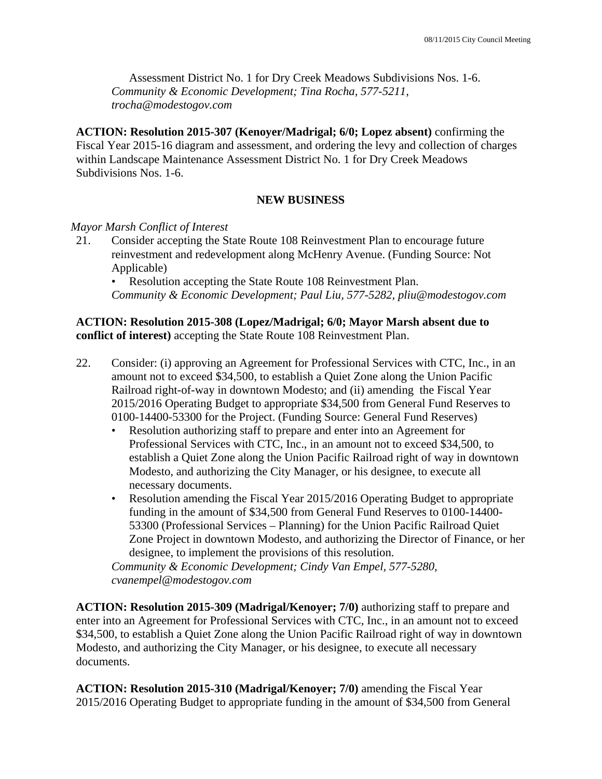Assessment District No. 1 for Dry Creek Meadows Subdivisions Nos. 1-6. *Community & Economic Development; Tina Rocha, 577-5211, trocha@modestogov.com* 

**ACTION: Resolution 2015-307 (Kenoyer/Madrigal; 6/0; Lopez absent)** confirming the Fiscal Year 2015-16 diagram and assessment, and ordering the levy and collection of charges within Landscape Maintenance Assessment District No. 1 for Dry Creek Meadows Subdivisions Nos. 1-6.

# **NEW BUSINESS**

### *Mayor Marsh Conflict of Interest*

21. Consider accepting the State Route 108 Reinvestment Plan to encourage future reinvestment and redevelopment along McHenry Avenue. (Funding Source: Not Applicable)

• Resolution accepting the State Route 108 Reinvestment Plan. *Community & Economic Development; Paul Liu, 577-5282, pliu@modestogov.com* 

### **ACTION: Resolution 2015-308 (Lopez/Madrigal; 6/0; Mayor Marsh absent due to conflict of interest)** accepting the State Route 108 Reinvestment Plan.

- 22. Consider: (i) approving an Agreement for Professional Services with CTC, Inc., in an amount not to exceed \$34,500, to establish a Quiet Zone along the Union Pacific Railroad right-of-way in downtown Modesto; and (ii) amending the Fiscal Year 2015/2016 Operating Budget to appropriate \$34,500 from General Fund Reserves to 0100-14400-53300 for the Project. (Funding Source: General Fund Reserves)
	- Resolution authorizing staff to prepare and enter into an Agreement for Professional Services with CTC, Inc., in an amount not to exceed \$34,500, to establish a Quiet Zone along the Union Pacific Railroad right of way in downtown Modesto, and authorizing the City Manager, or his designee, to execute all necessary documents.
	- Resolution amending the Fiscal Year 2015/2016 Operating Budget to appropriate funding in the amount of \$34,500 from General Fund Reserves to 0100-14400- 53300 (Professional Services – Planning) for the Union Pacific Railroad Quiet Zone Project in downtown Modesto, and authorizing the Director of Finance, or her designee, to implement the provisions of this resolution.

*Community & Economic Development; Cindy Van Empel, 577-5280, cvanempel@modestogov.com* 

**ACTION: Resolution 2015-309 (Madrigal/Kenoyer; 7/0)** authorizing staff to prepare and enter into an Agreement for Professional Services with CTC, Inc., in an amount not to exceed \$34,500, to establish a Quiet Zone along the Union Pacific Railroad right of way in downtown Modesto, and authorizing the City Manager, or his designee, to execute all necessary documents.

**ACTION: Resolution 2015-310 (Madrigal/Kenoyer; 7/0)** amending the Fiscal Year 2015/2016 Operating Budget to appropriate funding in the amount of \$34,500 from General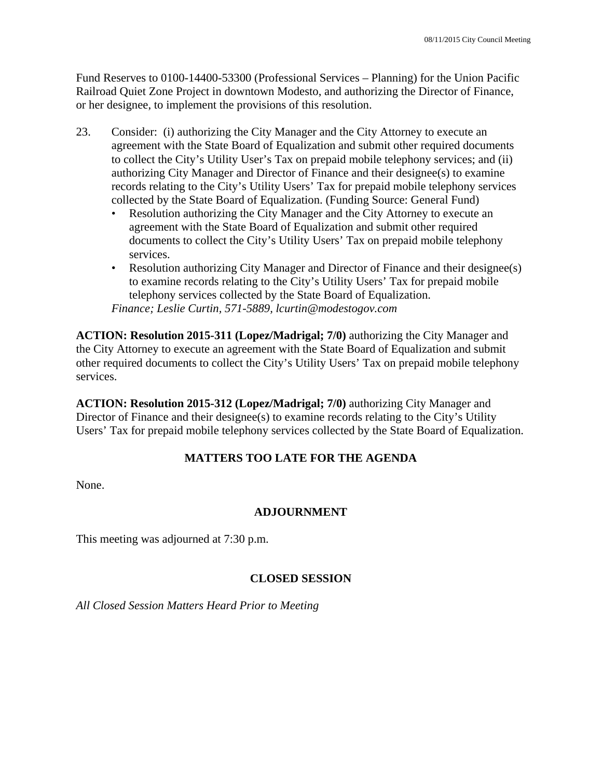Fund Reserves to 0100-14400-53300 (Professional Services – Planning) for the Union Pacific Railroad Quiet Zone Project in downtown Modesto, and authorizing the Director of Finance, or her designee, to implement the provisions of this resolution.

- 23. Consider: (i) authorizing the City Manager and the City Attorney to execute an agreement with the State Board of Equalization and submit other required documents to collect the City's Utility User's Tax on prepaid mobile telephony services; and (ii) authorizing City Manager and Director of Finance and their designee(s) to examine records relating to the City's Utility Users' Tax for prepaid mobile telephony services collected by the State Board of Equalization. (Funding Source: General Fund)
	- Resolution authorizing the City Manager and the City Attorney to execute an agreement with the State Board of Equalization and submit other required documents to collect the City's Utility Users' Tax on prepaid mobile telephony services.
	- Resolution authorizing City Manager and Director of Finance and their designee(s) to examine records relating to the City's Utility Users' Tax for prepaid mobile telephony services collected by the State Board of Equalization. *Finance; Leslie Curtin, 571-5889, lcurtin@modestogov.com*

**ACTION: Resolution 2015-311 (Lopez/Madrigal; 7/0)** authorizing the City Manager and the City Attorney to execute an agreement with the State Board of Equalization and submit other required documents to collect the City's Utility Users' Tax on prepaid mobile telephony services.

**ACTION: Resolution 2015-312 (Lopez/Madrigal; 7/0)** authorizing City Manager and Director of Finance and their designee(s) to examine records relating to the City's Utility Users' Tax for prepaid mobile telephony services collected by the State Board of Equalization.

# **MATTERS TOO LATE FOR THE AGENDA**

None.

# **ADJOURNMENT**

This meeting was adjourned at 7:30 p.m.

# **CLOSED SESSION**

*All Closed Session Matters Heard Prior to Meeting*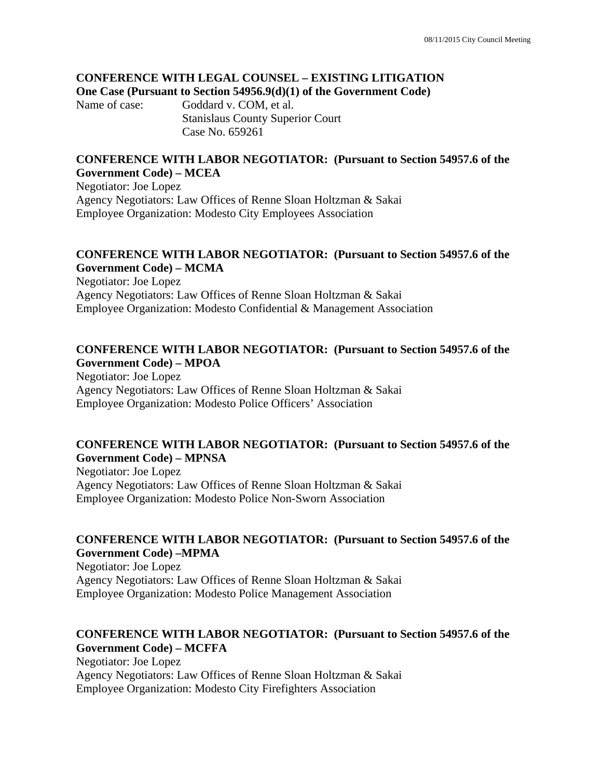#### **CONFERENCE WITH LEGAL COUNSEL – EXISTING LITIGATION One Case (Pursuant to Section 54956.9(d)(1) of the Government Code)**

Name of case: Goddard v. COM, et al. Stanislaus County Superior Court Case No. 659261

### **CONFERENCE WITH LABOR NEGOTIATOR: (Pursuant to Section 54957.6 of the Government Code) – MCEA**

Negotiator: Joe Lopez Agency Negotiators: Law Offices of Renne Sloan Holtzman & Sakai Employee Organization: Modesto City Employees Association

### **CONFERENCE WITH LABOR NEGOTIATOR: (Pursuant to Section 54957.6 of the Government Code) – MCMA**

Negotiator: Joe Lopez Agency Negotiators: Law Offices of Renne Sloan Holtzman & Sakai Employee Organization: Modesto Confidential & Management Association

### **CONFERENCE WITH LABOR NEGOTIATOR: (Pursuant to Section 54957.6 of the Government Code) – MPOA**

Negotiator: Joe Lopez Agency Negotiators: Law Offices of Renne Sloan Holtzman & Sakai Employee Organization: Modesto Police Officers' Association

### **CONFERENCE WITH LABOR NEGOTIATOR: (Pursuant to Section 54957.6 of the Government Code) – MPNSA**

Negotiator: Joe Lopez Agency Negotiators: Law Offices of Renne Sloan Holtzman & Sakai Employee Organization: Modesto Police Non-Sworn Association

# **CONFERENCE WITH LABOR NEGOTIATOR: (Pursuant to Section 54957.6 of the Government Code) –MPMA**

Negotiator: Joe Lopez Agency Negotiators: Law Offices of Renne Sloan Holtzman & Sakai Employee Organization: Modesto Police Management Association

# **CONFERENCE WITH LABOR NEGOTIATOR: (Pursuant to Section 54957.6 of the Government Code) – MCFFA**

Negotiator: Joe Lopez Agency Negotiators: Law Offices of Renne Sloan Holtzman & Sakai Employee Organization: Modesto City Firefighters Association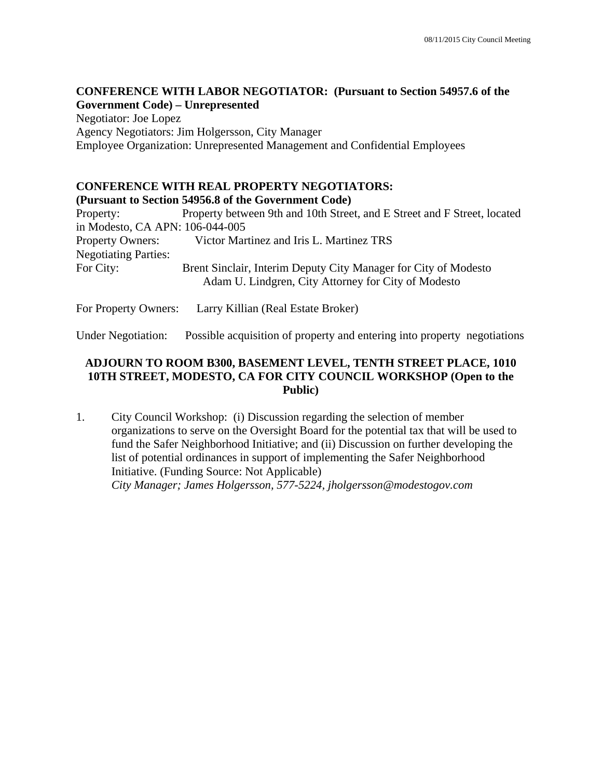### **CONFERENCE WITH LABOR NEGOTIATOR: (Pursuant to Section 54957.6 of the Government Code) – Unrepresented**

Negotiator: Joe Lopez Agency Negotiators: Jim Holgersson, City Manager Employee Organization: Unrepresented Management and Confidential Employees

# **CONFERENCE WITH REAL PROPERTY NEGOTIATORS:**

### **(Pursuant to Section 54956.8 of the Government Code)**

Property: Property between 9th and 10th Street, and E Street and F Street, located in Modesto, CA APN: 106-044-005 Property Owners: Victor Martinez and Iris L. Martinez TRS Negotiating Parties: For City: Brent Sinclair, Interim Deputy City Manager for City of Modesto Adam U. Lindgren, City Attorney for City of Modesto

For Property Owners: Larry Killian (Real Estate Broker)

Under Negotiation: Possible acquisition of property and entering into property negotiations

## **ADJOURN TO ROOM B300, BASEMENT LEVEL, TENTH STREET PLACE, 1010 10TH STREET, MODESTO, CA FOR CITY COUNCIL WORKSHOP (Open to the Public)**

1. City Council Workshop: (i) Discussion regarding the selection of member organizations to serve on the Oversight Board for the potential tax that will be used to fund the Safer Neighborhood Initiative; and (ii) Discussion on further developing the list of potential ordinances in support of implementing the Safer Neighborhood Initiative. (Funding Source: Not Applicable)  *City Manager; James Holgersson, 577-5224, jholgersson@modestogov.com*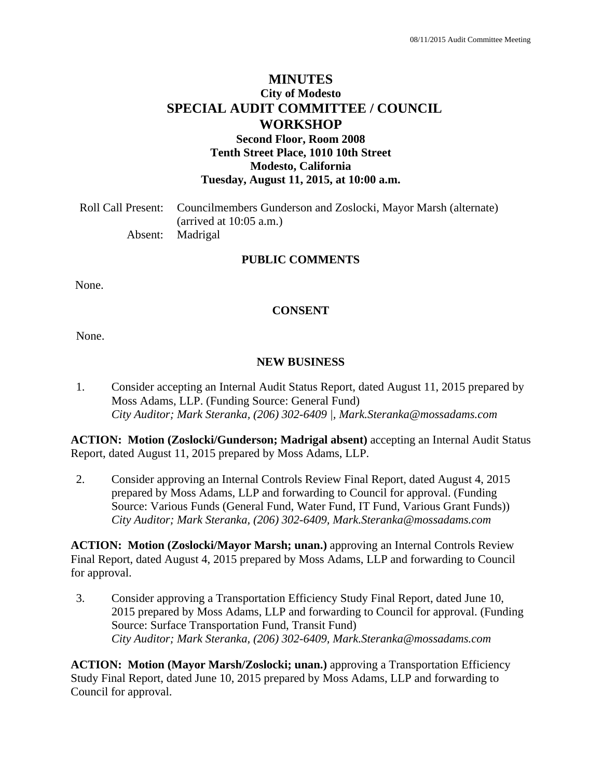# **MINUTES City of Modesto SPECIAL AUDIT COMMITTEE / COUNCIL WORKSHOP Second Floor, Room 2008 Tenth Street Place, 1010 10th Street**

**Modesto, California** 

**Tuesday, August 11, 2015, at 10:00 a.m.** 

Roll Call Present: Councilmembers Gunderson and Zoslocki, Mayor Marsh (alternate) (arrived at 10:05 a.m.) Absent: Madrigal

### **PUBLIC COMMENTS**

None.

### **CONSENT**

None.

### **NEW BUSINESS**

1. Consider accepting an Internal Audit Status Report, dated August 11, 2015 prepared by Moss Adams, LLP. (Funding Source: General Fund)  *City Auditor; Mark Steranka, (206) 302-6409 |, Mark.Steranka@mossadams.com* 

**ACTION: Motion (Zoslocki/Gunderson; Madrigal absent)** accepting an Internal Audit Status Report, dated August 11, 2015 prepared by Moss Adams, LLP.

2. Consider approving an Internal Controls Review Final Report, dated August 4, 2015 prepared by Moss Adams, LLP and forwarding to Council for approval. (Funding Source: Various Funds (General Fund, Water Fund, IT Fund, Various Grant Funds))  *City Auditor; Mark Steranka, (206) 302-6409, Mark.Steranka@mossadams.com* 

**ACTION: Motion (Zoslocki/Mayor Marsh; unan.)** approving an Internal Controls Review Final Report, dated August 4, 2015 prepared by Moss Adams, LLP and forwarding to Council for approval.

3. Consider approving a Transportation Efficiency Study Final Report, dated June 10, 2015 prepared by Moss Adams, LLP and forwarding to Council for approval. (Funding Source: Surface Transportation Fund, Transit Fund)  *City Auditor; Mark Steranka, (206) 302-6409, Mark.Steranka@mossadams.com* 

**ACTION: Motion (Mayor Marsh/Zoslocki; unan.)** approving a Transportation Efficiency Study Final Report, dated June 10, 2015 prepared by Moss Adams, LLP and forwarding to Council for approval.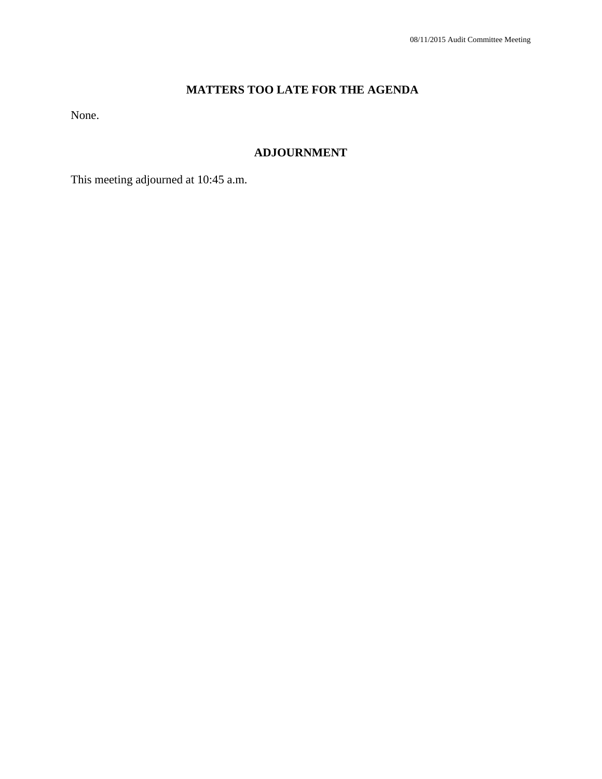# **MATTERS TOO LATE FOR THE AGENDA**

None.

# **ADJOURNMENT**

This meeting adjourned at 10:45 a.m.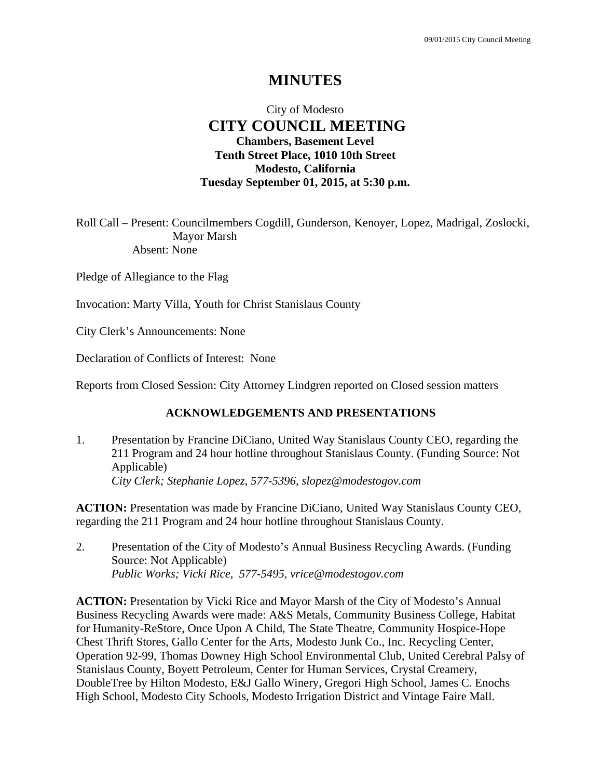# **MINUTES**

# City of Modesto  **CITY COUNCIL MEETING Chambers, Basement Level Tenth Street Place, 1010 10th Street Modesto, California Tuesday September 01, 2015, at 5:30 p.m.**

Roll Call – Present: Councilmembers Cogdill, Gunderson, Kenoyer, Lopez, Madrigal, Zoslocki, Mayor Marsh Absent: None

Pledge of Allegiance to the Flag

Invocation: Marty Villa, Youth for Christ Stanislaus County

City Clerk's Announcements: None

Declaration of Conflicts of Interest: None

Reports from Closed Session: City Attorney Lindgren reported on Closed session matters

### **ACKNOWLEDGEMENTS AND PRESENTATIONS**

1. Presentation by Francine DiCiano, United Way Stanislaus County CEO, regarding the 211 Program and 24 hour hotline throughout Stanislaus County. (Funding Source: Not Applicable)  *City Clerk; Stephanie Lopez, 577-5396, slopez@modestogov.com* 

**ACTION:** Presentation was made by Francine DiCiano, United Way Stanislaus County CEO, regarding the 211 Program and 24 hour hotline throughout Stanislaus County.

2. Presentation of the City of Modesto's Annual Business Recycling Awards. (Funding Source: Not Applicable)  *Public Works; Vicki Rice, 577-5495, vrice@modestogov.com* 

**ACTION:** Presentation by Vicki Rice and Mayor Marsh of the City of Modesto's Annual Business Recycling Awards were made: A&S Metals, Community Business College, Habitat for Humanity-ReStore, Once Upon A Child, The State Theatre, Community Hospice-Hope Chest Thrift Stores, Gallo Center for the Arts, Modesto Junk Co., Inc. Recycling Center, Operation 92-99, Thomas Downey High School Environmental Club, United Cerebral Palsy of Stanislaus County, Boyett Petroleum, Center for Human Services, Crystal Creamery, DoubleTree by Hilton Modesto, E&J Gallo Winery, Gregori High School, James C. Enochs High School, Modesto City Schools, Modesto Irrigation District and Vintage Faire Mall.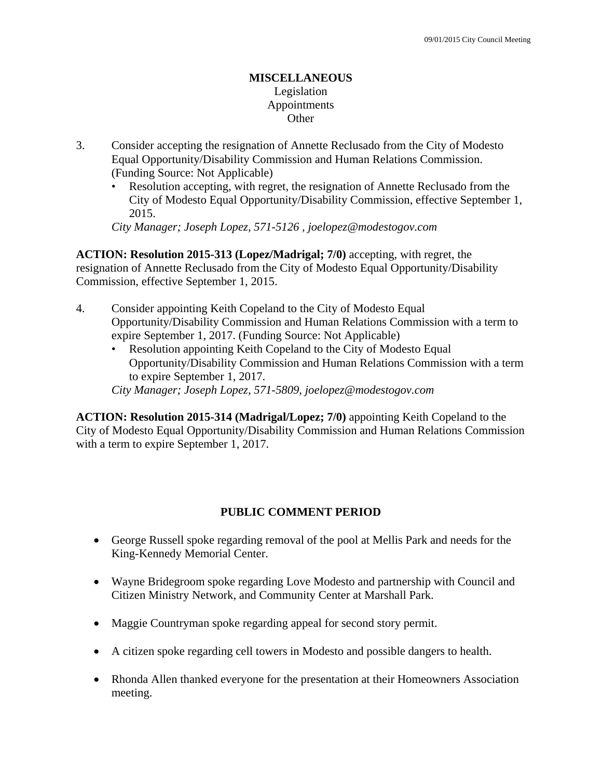### **MISCELLANEOUS**  Legislation Appointments **Other**

- 3. Consider accepting the resignation of Annette Reclusado from the City of Modesto Equal Opportunity/Disability Commission and Human Relations Commission. (Funding Source: Not Applicable)
	- Resolution accepting, with regret, the resignation of Annette Reclusado from the City of Modesto Equal Opportunity/Disability Commission, effective September 1, 2015.

*City Manager; Joseph Lopez, 571-5126 , joelopez@modestogov.com* 

**ACTION: Resolution 2015-313 (Lopez/Madrigal; 7/0)** accepting, with regret, the resignation of Annette Reclusado from the City of Modesto Equal Opportunity/Disability Commission, effective September 1, 2015.

- 4. Consider appointing Keith Copeland to the City of Modesto Equal Opportunity/Disability Commission and Human Relations Commission with a term to expire September 1, 2017. (Funding Source: Not Applicable)
	- Resolution appointing Keith Copeland to the City of Modesto Equal Opportunity/Disability Commission and Human Relations Commission with a term to expire September 1, 2017.

*City Manager; Joseph Lopez, 571-5809, joelopez@modestogov.com* 

**ACTION: Resolution 2015-314 (Madrigal/Lopez; 7/0)** appointing Keith Copeland to the City of Modesto Equal Opportunity/Disability Commission and Human Relations Commission with a term to expire September 1, 2017.

# **PUBLIC COMMENT PERIOD**

- George Russell spoke regarding removal of the pool at Mellis Park and needs for the King-Kennedy Memorial Center.
- Wayne Bridegroom spoke regarding Love Modesto and partnership with Council and Citizen Ministry Network, and Community Center at Marshall Park.
- Maggie Countryman spoke regarding appeal for second story permit.
- A citizen spoke regarding cell towers in Modesto and possible dangers to health.
- Rhonda Allen thanked everyone for the presentation at their Homeowners Association meeting.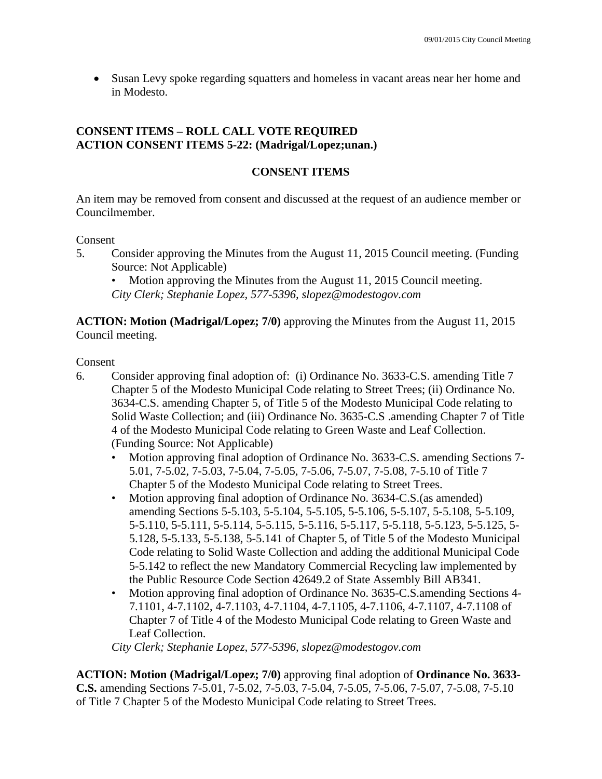Susan Levy spoke regarding squatters and homeless in vacant areas near her home and in Modesto.

# **CONSENT ITEMS – ROLL CALL VOTE REQUIRED ACTION CONSENT ITEMS 5-22: (Madrigal/Lopez;unan.)**

# **CONSENT ITEMS**

An item may be removed from consent and discussed at the request of an audience member or Councilmember.

Consent

5. Consider approving the Minutes from the August 11, 2015 Council meeting. (Funding Source: Not Applicable)

Motion approving the Minutes from the August 11, 2015 Council meeting. *City Clerk; Stephanie Lopez, 577-5396, slopez@modestogov.com* 

**ACTION: Motion (Madrigal/Lopez; 7/0)** approving the Minutes from the August 11, 2015 Council meeting.

Consent

- 6. Consider approving final adoption of: (i) Ordinance No. 3633-C.S. amending Title 7 Chapter 5 of the Modesto Municipal Code relating to Street Trees; (ii) Ordinance No. 3634-C.S. amending Chapter 5, of Title 5 of the Modesto Municipal Code relating to Solid Waste Collection; and (iii) Ordinance No. 3635-C.S .amending Chapter 7 of Title 4 of the Modesto Municipal Code relating to Green Waste and Leaf Collection. (Funding Source: Not Applicable)
	- Motion approving final adoption of Ordinance No. 3633-C.S. amending Sections 7- 5.01, 7-5.02, 7-5.03, 7-5.04, 7-5.05, 7-5.06, 7-5.07, 7-5.08, 7-5.10 of Title 7 Chapter 5 of the Modesto Municipal Code relating to Street Trees.
	- Motion approving final adoption of Ordinance No. 3634-C.S.(as amended) amending Sections 5-5.103, 5-5.104, 5-5.105, 5-5.106, 5-5.107, 5-5.108, 5-5.109, 5-5.110, 5-5.111, 5-5.114, 5-5.115, 5-5.116, 5-5.117, 5-5.118, 5-5.123, 5-5.125, 5- 5.128, 5-5.133, 5-5.138, 5-5.141 of Chapter 5, of Title 5 of the Modesto Municipal Code relating to Solid Waste Collection and adding the additional Municipal Code 5-5.142 to reflect the new Mandatory Commercial Recycling law implemented by the Public Resource Code Section 42649.2 of State Assembly Bill AB341.
	- Motion approving final adoption of Ordinance No. 3635-C.S.amending Sections 4- 7.1101, 4-7.1102, 4-7.1103, 4-7.1104, 4-7.1105, 4-7.1106, 4-7.1107, 4-7.1108 of Chapter 7 of Title 4 of the Modesto Municipal Code relating to Green Waste and Leaf Collection.

*City Clerk; Stephanie Lopez, 577-5396, slopez@modestogov.com* 

**ACTION: Motion (Madrigal/Lopez; 7/0)** approving final adoption of **Ordinance No. 3633- C.S.** amending Sections 7-5.01, 7-5.02, 7-5.03, 7-5.04, 7-5.05, 7-5.06, 7-5.07, 7-5.08, 7-5.10 of Title 7 Chapter 5 of the Modesto Municipal Code relating to Street Trees.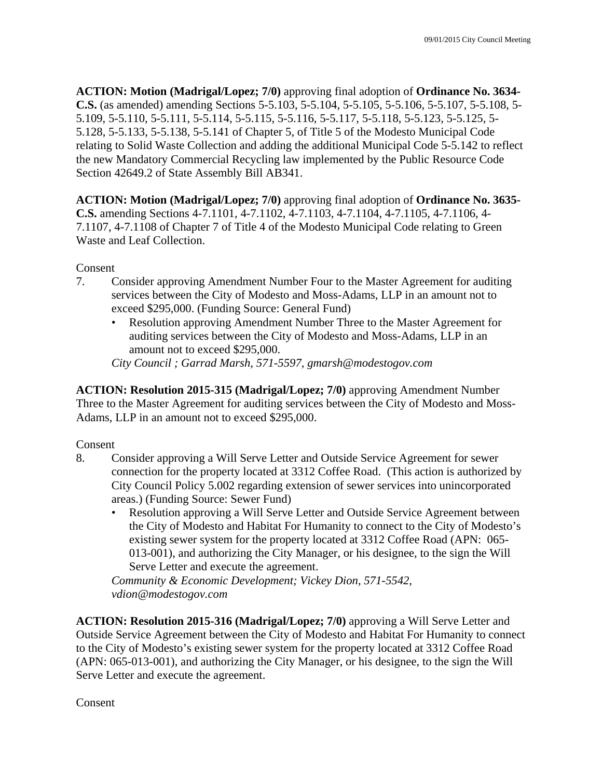**ACTION: Motion (Madrigal/Lopez; 7/0)** approving final adoption of **Ordinance No. 3634- C.S.** (as amended) amending Sections 5-5.103, 5-5.104, 5-5.105, 5-5.106, 5-5.107, 5-5.108, 5- 5.109, 5-5.110, 5-5.111, 5-5.114, 5-5.115, 5-5.116, 5-5.117, 5-5.118, 5-5.123, 5-5.125, 5- 5.128, 5-5.133, 5-5.138, 5-5.141 of Chapter 5, of Title 5 of the Modesto Municipal Code relating to Solid Waste Collection and adding the additional Municipal Code 5-5.142 to reflect the new Mandatory Commercial Recycling law implemented by the Public Resource Code Section 42649.2 of State Assembly Bill AB341.

**ACTION: Motion (Madrigal/Lopez; 7/0)** approving final adoption of **Ordinance No. 3635- C.S.** amending Sections 4-7.1101, 4-7.1102, 4-7.1103, 4-7.1104, 4-7.1105, 4-7.1106, 4- 7.1107, 4-7.1108 of Chapter 7 of Title 4 of the Modesto Municipal Code relating to Green Waste and Leaf Collection.

**Consent** 

- 7. Consider approving Amendment Number Four to the Master Agreement for auditing services between the City of Modesto and Moss-Adams, LLP in an amount not to exceed \$295,000. (Funding Source: General Fund)
	- Resolution approving Amendment Number Three to the Master Agreement for auditing services between the City of Modesto and Moss-Adams, LLP in an amount not to exceed \$295,000.

*City Council ; Garrad Marsh, 571-5597, gmarsh@modestogov.com* 

**ACTION: Resolution 2015-315 (Madrigal/Lopez; 7/0)** approving Amendment Number Three to the Master Agreement for auditing services between the City of Modesto and Moss-Adams, LLP in an amount not to exceed \$295,000.

Consent

- 8. Consider approving a Will Serve Letter and Outside Service Agreement for sewer connection for the property located at 3312 Coffee Road. (This action is authorized by City Council Policy 5.002 regarding extension of sewer services into unincorporated areas.) (Funding Source: Sewer Fund)
	- Resolution approving a Will Serve Letter and Outside Service Agreement between the City of Modesto and Habitat For Humanity to connect to the City of Modesto's existing sewer system for the property located at 3312 Coffee Road (APN: 065- 013-001), and authorizing the City Manager, or his designee, to the sign the Will Serve Letter and execute the agreement.

*Community & Economic Development; Vickey Dion, 571-5542, vdion@modestogov.com* 

**ACTION: Resolution 2015-316 (Madrigal/Lopez; 7/0)** approving a Will Serve Letter and Outside Service Agreement between the City of Modesto and Habitat For Humanity to connect to the City of Modesto's existing sewer system for the property located at 3312 Coffee Road (APN: 065-013-001), and authorizing the City Manager, or his designee, to the sign the Will Serve Letter and execute the agreement.

Consent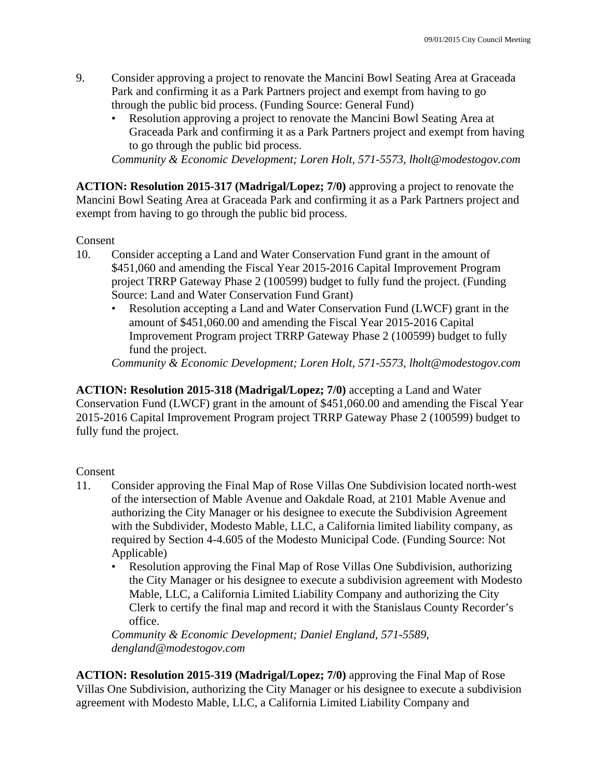- 9. Consider approving a project to renovate the Mancini Bowl Seating Area at Graceada Park and confirming it as a Park Partners project and exempt from having to go through the public bid process. (Funding Source: General Fund)
	- Resolution approving a project to renovate the Mancini Bowl Seating Area at Graceada Park and confirming it as a Park Partners project and exempt from having to go through the public bid process.

*Community & Economic Development; Loren Holt, 571-5573, lholt@modestogov.com* 

**ACTION: Resolution 2015-317 (Madrigal/Lopez; 7/0)** approving a project to renovate the Mancini Bowl Seating Area at Graceada Park and confirming it as a Park Partners project and exempt from having to go through the public bid process.

Consent

- 10. Consider accepting a Land and Water Conservation Fund grant in the amount of \$451,060 and amending the Fiscal Year 2015-2016 Capital Improvement Program project TRRP Gateway Phase 2 (100599) budget to fully fund the project. (Funding Source: Land and Water Conservation Fund Grant)
	- Resolution accepting a Land and Water Conservation Fund (LWCF) grant in the amount of \$451,060.00 and amending the Fiscal Year 2015-2016 Capital Improvement Program project TRRP Gateway Phase 2 (100599) budget to fully fund the project.

*Community & Economic Development; Loren Holt, 571-5573, lholt@modestogov.com* 

**ACTION: Resolution 2015-318 (Madrigal/Lopez; 7/0)** accepting a Land and Water Conservation Fund (LWCF) grant in the amount of \$451,060.00 and amending the Fiscal Year 2015-2016 Capital Improvement Program project TRRP Gateway Phase 2 (100599) budget to fully fund the project.

### Consent

- 11. Consider approving the Final Map of Rose Villas One Subdivision located north-west of the intersection of Mable Avenue and Oakdale Road, at 2101 Mable Avenue and authorizing the City Manager or his designee to execute the Subdivision Agreement with the Subdivider, Modesto Mable, LLC, a California limited liability company, as required by Section 4-4.605 of the Modesto Municipal Code. (Funding Source: Not Applicable)
	- Resolution approving the Final Map of Rose Villas One Subdivision, authorizing the City Manager or his designee to execute a subdivision agreement with Modesto Mable, LLC, a California Limited Liability Company and authorizing the City Clerk to certify the final map and record it with the Stanislaus County Recorder's office.

*Community & Economic Development; Daniel England, 571-5589, dengland@modestogov.com* 

**ACTION: Resolution 2015-319 (Madrigal/Lopez; 7/0)** approving the Final Map of Rose Villas One Subdivision, authorizing the City Manager or his designee to execute a subdivision agreement with Modesto Mable, LLC, a California Limited Liability Company and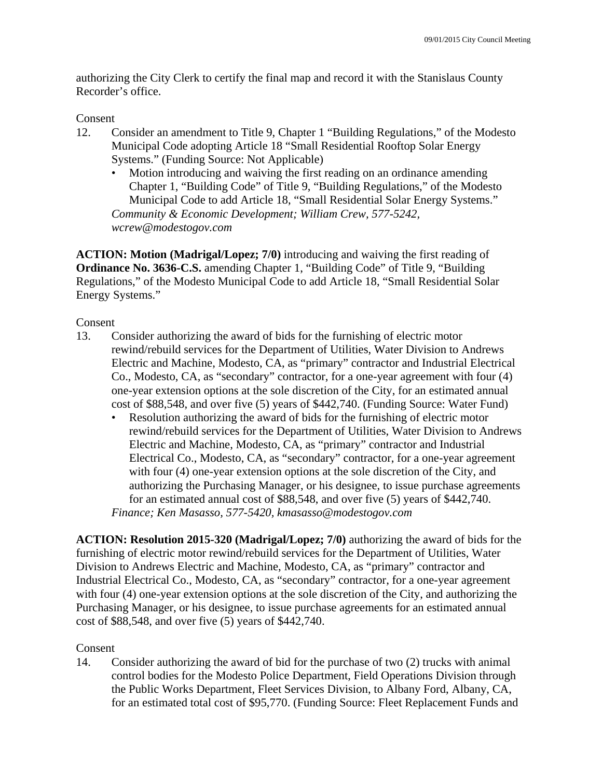authorizing the City Clerk to certify the final map and record it with the Stanislaus County Recorder's office.

### Consent

- 12. Consider an amendment to Title 9, Chapter 1 "Building Regulations," of the Modesto Municipal Code adopting Article 18 "Small Residential Rooftop Solar Energy Systems." (Funding Source: Not Applicable)
	- Motion introducing and waiving the first reading on an ordinance amending Chapter 1, "Building Code" of Title 9, "Building Regulations," of the Modesto Municipal Code to add Article 18, "Small Residential Solar Energy Systems." *Community & Economic Development; William Crew, 577-5242, wcrew@modestogov.com*

**ACTION: Motion (Madrigal/Lopez; 7/0)** introducing and waiving the first reading of **Ordinance No. 3636-C.S.** amending Chapter 1, "Building Code" of Title 9, "Building Regulations," of the Modesto Municipal Code to add Article 18, "Small Residential Solar Energy Systems."

Consent

- 13. Consider authorizing the award of bids for the furnishing of electric motor rewind/rebuild services for the Department of Utilities, Water Division to Andrews Electric and Machine, Modesto, CA, as "primary" contractor and Industrial Electrical Co., Modesto, CA, as "secondary" contractor, for a one-year agreement with four (4) one-year extension options at the sole discretion of the City, for an estimated annual cost of \$88,548, and over five (5) years of \$442,740. (Funding Source: Water Fund)
	- Resolution authorizing the award of bids for the furnishing of electric motor rewind/rebuild services for the Department of Utilities, Water Division to Andrews Electric and Machine, Modesto, CA, as "primary" contractor and Industrial Electrical Co., Modesto, CA, as "secondary" contractor, for a one-year agreement with four (4) one-year extension options at the sole discretion of the City, and authorizing the Purchasing Manager, or his designee, to issue purchase agreements for an estimated annual cost of \$88,548, and over five (5) years of \$442,740. *Finance; Ken Masasso, 577-5420, kmasasso@modestogov.com*

**ACTION: Resolution 2015-320 (Madrigal/Lopez; 7/0)** authorizing the award of bids for the furnishing of electric motor rewind/rebuild services for the Department of Utilities, Water Division to Andrews Electric and Machine, Modesto, CA, as "primary" contractor and Industrial Electrical Co., Modesto, CA, as "secondary" contractor, for a one-year agreement with four (4) one-year extension options at the sole discretion of the City, and authorizing the Purchasing Manager, or his designee, to issue purchase agreements for an estimated annual cost of \$88,548, and over five (5) years of \$442,740.

# Consent

14. Consider authorizing the award of bid for the purchase of two (2) trucks with animal control bodies for the Modesto Police Department, Field Operations Division through the Public Works Department, Fleet Services Division, to Albany Ford, Albany, CA, for an estimated total cost of \$95,770. (Funding Source: Fleet Replacement Funds and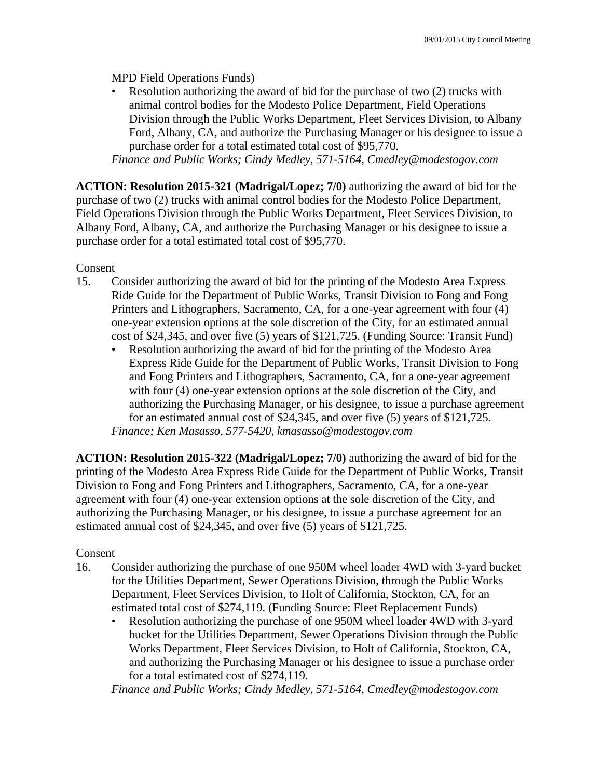MPD Field Operations Funds)

Resolution authorizing the award of bid for the purchase of two (2) trucks with animal control bodies for the Modesto Police Department, Field Operations Division through the Public Works Department, Fleet Services Division, to Albany Ford, Albany, CA, and authorize the Purchasing Manager or his designee to issue a purchase order for a total estimated total cost of \$95,770.

*Finance and Public Works; Cindy Medley, 571-5164, Cmedley@modestogov.com* 

**ACTION: Resolution 2015-321 (Madrigal/Lopez; 7/0)** authorizing the award of bid for the purchase of two (2) trucks with animal control bodies for the Modesto Police Department, Field Operations Division through the Public Works Department, Fleet Services Division, to Albany Ford, Albany, CA, and authorize the Purchasing Manager or his designee to issue a purchase order for a total estimated total cost of \$95,770.

Consent

- 15. Consider authorizing the award of bid for the printing of the Modesto Area Express Ride Guide for the Department of Public Works, Transit Division to Fong and Fong Printers and Lithographers, Sacramento, CA, for a one-year agreement with four (4) one-year extension options at the sole discretion of the City, for an estimated annual cost of \$24,345, and over five (5) years of \$121,725. (Funding Source: Transit Fund)
	- Resolution authorizing the award of bid for the printing of the Modesto Area Express Ride Guide for the Department of Public Works, Transit Division to Fong and Fong Printers and Lithographers, Sacramento, CA, for a one-year agreement with four (4) one-year extension options at the sole discretion of the City, and authorizing the Purchasing Manager, or his designee, to issue a purchase agreement for an estimated annual cost of \$24,345, and over five (5) years of \$121,725. *Finance; Ken Masasso, 577-5420, kmasasso@modestogov.com*

**ACTION: Resolution 2015-322 (Madrigal/Lopez; 7/0)** authorizing the award of bid for the printing of the Modesto Area Express Ride Guide for the Department of Public Works, Transit Division to Fong and Fong Printers and Lithographers, Sacramento, CA, for a one-year agreement with four (4) one-year extension options at the sole discretion of the City, and authorizing the Purchasing Manager, or his designee, to issue a purchase agreement for an estimated annual cost of \$24,345, and over five (5) years of \$121,725.

# Consent

- 16. Consider authorizing the purchase of one 950M wheel loader 4WD with 3-yard bucket for the Utilities Department, Sewer Operations Division, through the Public Works Department, Fleet Services Division, to Holt of California, Stockton, CA, for an estimated total cost of \$274,119. (Funding Source: Fleet Replacement Funds)
	- Resolution authorizing the purchase of one 950M wheel loader 4WD with 3-yard bucket for the Utilities Department, Sewer Operations Division through the Public Works Department, Fleet Services Division, to Holt of California, Stockton, CA, and authorizing the Purchasing Manager or his designee to issue a purchase order for a total estimated cost of \$274,119.

*Finance and Public Works; Cindy Medley, 571-5164, Cmedley@modestogov.com*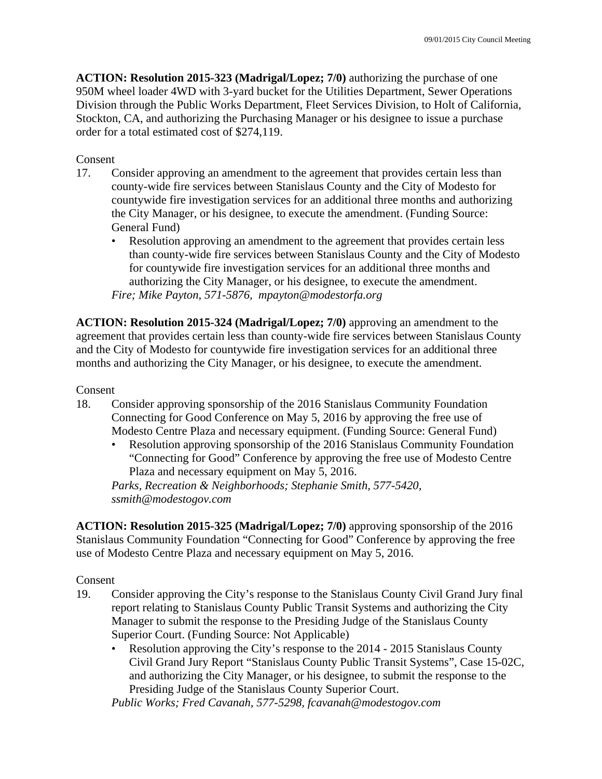**ACTION: Resolution 2015-323 (Madrigal/Lopez; 7/0)** authorizing the purchase of one 950M wheel loader 4WD with 3-yard bucket for the Utilities Department, Sewer Operations Division through the Public Works Department, Fleet Services Division, to Holt of California, Stockton, CA, and authorizing the Purchasing Manager or his designee to issue a purchase order for a total estimated cost of \$274,119.

## Consent

- 17. Consider approving an amendment to the agreement that provides certain less than county-wide fire services between Stanislaus County and the City of Modesto for countywide fire investigation services for an additional three months and authorizing the City Manager, or his designee, to execute the amendment. (Funding Source: General Fund)
	- Resolution approving an amendment to the agreement that provides certain less than county-wide fire services between Stanislaus County and the City of Modesto for countywide fire investigation services for an additional three months and authorizing the City Manager, or his designee, to execute the amendment. *Fire; Mike Payton, 571-5876, mpayton@modestorfa.org*

**ACTION: Resolution 2015-324 (Madrigal/Lopez; 7/0)** approving an amendment to the agreement that provides certain less than county-wide fire services between Stanislaus County and the City of Modesto for countywide fire investigation services for an additional three months and authorizing the City Manager, or his designee, to execute the amendment.

### Consent

- 18. Consider approving sponsorship of the 2016 Stanislaus Community Foundation Connecting for Good Conference on May 5, 2016 by approving the free use of Modesto Centre Plaza and necessary equipment. (Funding Source: General Fund)
	- Resolution approving sponsorship of the 2016 Stanislaus Community Foundation "Connecting for Good" Conference by approving the free use of Modesto Centre Plaza and necessary equipment on May 5, 2016.

*Parks, Recreation & Neighborhoods; Stephanie Smith, 577-5420, ssmith@modestogov.com* 

**ACTION: Resolution 2015-325 (Madrigal/Lopez; 7/0)** approving sponsorship of the 2016 Stanislaus Community Foundation "Connecting for Good" Conference by approving the free use of Modesto Centre Plaza and necessary equipment on May 5, 2016.

Consent

- 19. Consider approving the City's response to the Stanislaus County Civil Grand Jury final report relating to Stanislaus County Public Transit Systems and authorizing the City Manager to submit the response to the Presiding Judge of the Stanislaus County Superior Court. (Funding Source: Not Applicable)
	- Resolution approving the City's response to the 2014 2015 Stanislaus County Civil Grand Jury Report "Stanislaus County Public Transit Systems", Case 15-02C, and authorizing the City Manager, or his designee, to submit the response to the Presiding Judge of the Stanislaus County Superior Court.

*Public Works; Fred Cavanah, 577-5298, fcavanah@modestogov.com*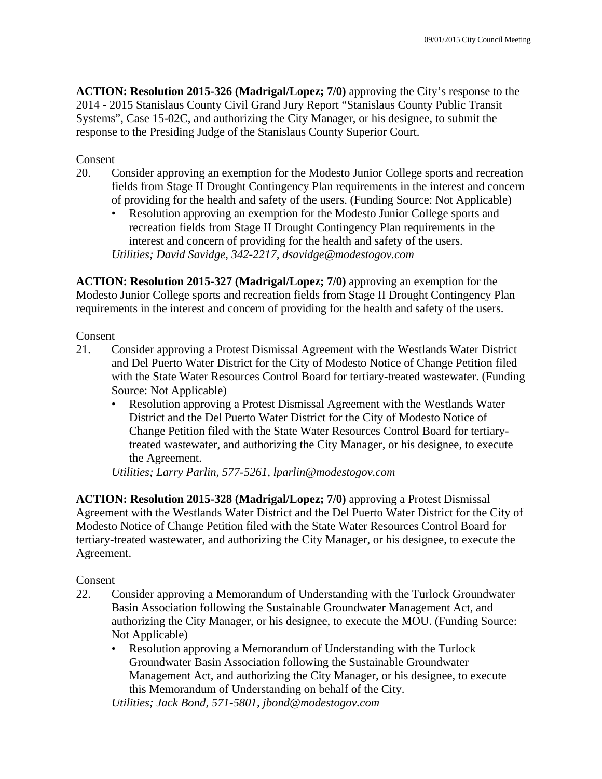**ACTION: Resolution 2015-326 (Madrigal/Lopez; 7/0)** approving the City's response to the 2014 - 2015 Stanislaus County Civil Grand Jury Report "Stanislaus County Public Transit Systems", Case 15-02C, and authorizing the City Manager, or his designee, to submit the response to the Presiding Judge of the Stanislaus County Superior Court.

Consent

- 20. Consider approving an exemption for the Modesto Junior College sports and recreation fields from Stage II Drought Contingency Plan requirements in the interest and concern of providing for the health and safety of the users. (Funding Source: Not Applicable)
	- Resolution approving an exemption for the Modesto Junior College sports and recreation fields from Stage II Drought Contingency Plan requirements in the interest and concern of providing for the health and safety of the users. *Utilities; David Savidge, 342-2217, dsavidge@modestogov.com*

**ACTION: Resolution 2015-327 (Madrigal/Lopez; 7/0)** approving an exemption for the Modesto Junior College sports and recreation fields from Stage II Drought Contingency Plan requirements in the interest and concern of providing for the health and safety of the users.

Consent

- 21. Consider approving a Protest Dismissal Agreement with the Westlands Water District and Del Puerto Water District for the City of Modesto Notice of Change Petition filed with the State Water Resources Control Board for tertiary-treated wastewater. (Funding Source: Not Applicable)
	- Resolution approving a Protest Dismissal Agreement with the Westlands Water District and the Del Puerto Water District for the City of Modesto Notice of Change Petition filed with the State Water Resources Control Board for tertiarytreated wastewater, and authorizing the City Manager, or his designee, to execute the Agreement.

*Utilities; Larry Parlin, 577-5261, lparlin@modestogov.com* 

**ACTION: Resolution 2015-328 (Madrigal/Lopez; 7/0)** approving a Protest Dismissal Agreement with the Westlands Water District and the Del Puerto Water District for the City of Modesto Notice of Change Petition filed with the State Water Resources Control Board for tertiary-treated wastewater, and authorizing the City Manager, or his designee, to execute the Agreement.

Consent

- 22. Consider approving a Memorandum of Understanding with the Turlock Groundwater Basin Association following the Sustainable Groundwater Management Act, and authorizing the City Manager, or his designee, to execute the MOU. (Funding Source: Not Applicable)
	- Resolution approving a Memorandum of Understanding with the Turlock Groundwater Basin Association following the Sustainable Groundwater Management Act, and authorizing the City Manager, or his designee, to execute this Memorandum of Understanding on behalf of the City.

*Utilities; Jack Bond, 571-5801, jbond@modestogov.com*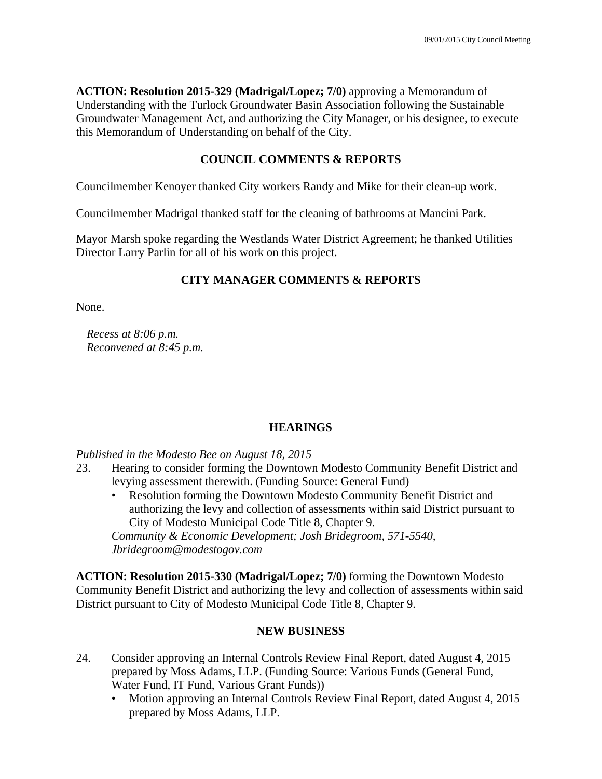**ACTION: Resolution 2015-329 (Madrigal/Lopez; 7/0)** approving a Memorandum of Understanding with the Turlock Groundwater Basin Association following the Sustainable Groundwater Management Act, and authorizing the City Manager, or his designee, to execute this Memorandum of Understanding on behalf of the City.

# **COUNCIL COMMENTS & REPORTS**

Councilmember Kenoyer thanked City workers Randy and Mike for their clean-up work.

Councilmember Madrigal thanked staff for the cleaning of bathrooms at Mancini Park.

Mayor Marsh spoke regarding the Westlands Water District Agreement; he thanked Utilities Director Larry Parlin for all of his work on this project.

# **CITY MANAGER COMMENTS & REPORTS**

None.

*Recess at 8:06 p.m. Reconvened at 8:45 p.m.* 

# **HEARINGS**

*Published in the Modesto Bee on August 18, 2015* 

- 23. Hearing to consider forming the Downtown Modesto Community Benefit District and levying assessment therewith. (Funding Source: General Fund)
	- Resolution forming the Downtown Modesto Community Benefit District and authorizing the levy and collection of assessments within said District pursuant to City of Modesto Municipal Code Title 8, Chapter 9.

*Community & Economic Development; Josh Bridegroom, 571-5540, Jbridegroom@modestogov.com* 

**ACTION: Resolution 2015-330 (Madrigal/Lopez; 7/0)** forming the Downtown Modesto Community Benefit District and authorizing the levy and collection of assessments within said District pursuant to City of Modesto Municipal Code Title 8, Chapter 9.

# **NEW BUSINESS**

- 24. Consider approving an Internal Controls Review Final Report, dated August 4, 2015 prepared by Moss Adams, LLP. (Funding Source: Various Funds (General Fund, Water Fund, IT Fund, Various Grant Funds))
	- Motion approving an Internal Controls Review Final Report, dated August 4, 2015 prepared by Moss Adams, LLP.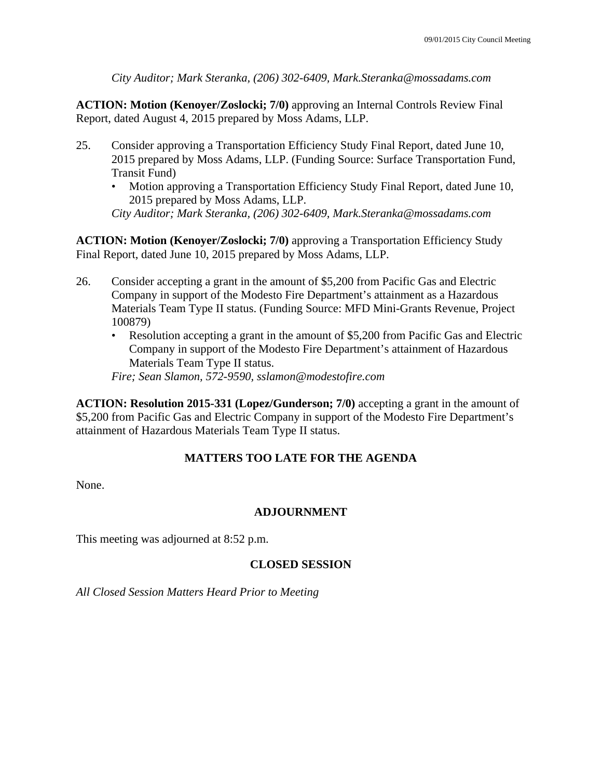*City Auditor; Mark Steranka, (206) 302-6409, Mark.Steranka@mossadams.com* 

**ACTION: Motion (Kenoyer/Zoslocki; 7/0)** approving an Internal Controls Review Final Report, dated August 4, 2015 prepared by Moss Adams, LLP.

- 25. Consider approving a Transportation Efficiency Study Final Report, dated June 10, 2015 prepared by Moss Adams, LLP. (Funding Source: Surface Transportation Fund, Transit Fund)
	- Motion approving a Transportation Efficiency Study Final Report, dated June 10, 2015 prepared by Moss Adams, LLP.

*City Auditor; Mark Steranka, (206) 302-6409, Mark.Steranka@mossadams.com* 

**ACTION: Motion (Kenoyer/Zoslocki; 7/0)** approving a Transportation Efficiency Study Final Report, dated June 10, 2015 prepared by Moss Adams, LLP.

- 26. Consider accepting a grant in the amount of \$5,200 from Pacific Gas and Electric Company in support of the Modesto Fire Department's attainment as a Hazardous Materials Team Type II status. (Funding Source: MFD Mini-Grants Revenue, Project 100879)
	- Resolution accepting a grant in the amount of \$5,200 from Pacific Gas and Electric Company in support of the Modesto Fire Department's attainment of Hazardous Materials Team Type II status.

*Fire; Sean Slamon, 572-9590, sslamon@modestofire.com* 

**ACTION: Resolution 2015-331 (Lopez/Gunderson; 7/0)** accepting a grant in the amount of \$5,200 from Pacific Gas and Electric Company in support of the Modesto Fire Department's attainment of Hazardous Materials Team Type II status.

# **MATTERS TOO LATE FOR THE AGENDA**

None.

### **ADJOURNMENT**

This meeting was adjourned at 8:52 p.m.

# **CLOSED SESSION**

*All Closed Session Matters Heard Prior to Meeting*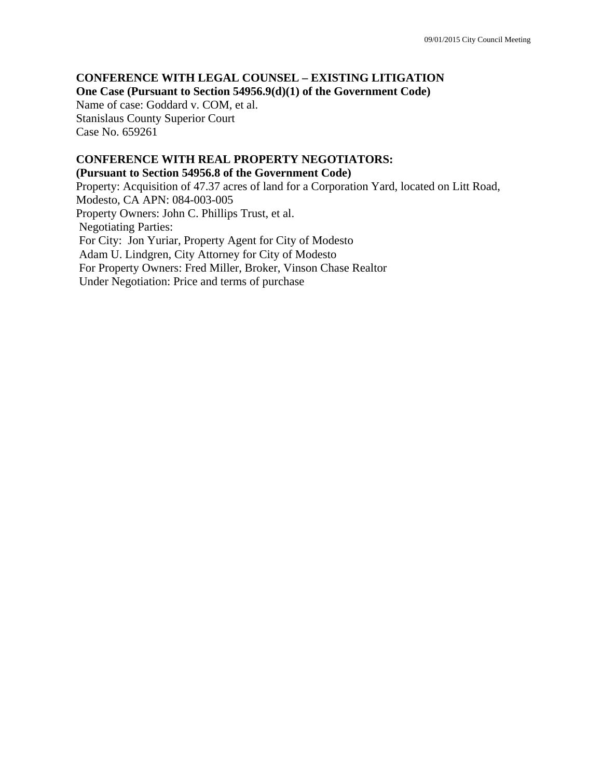### **CONFERENCE WITH LEGAL COUNSEL – EXISTING LITIGATION One Case (Pursuant to Section 54956.9(d)(1) of the Government Code)**

Name of case: Goddard v. COM, et al. Stanislaus County Superior Court Case No. 659261

### **CONFERENCE WITH REAL PROPERTY NEGOTIATORS: (Pursuant to Section 54956.8 of the Government Code)**

Property: Acquisition of 47.37 acres of land for a Corporation Yard, located on Litt Road, Modesto, CA APN: 084-003-005 Property Owners: John C. Phillips Trust, et al. Negotiating Parties: For City: Jon Yuriar, Property Agent for City of Modesto Adam U. Lindgren, City Attorney for City of Modesto For Property Owners: Fred Miller, Broker, Vinson Chase Realtor Under Negotiation: Price and terms of purchase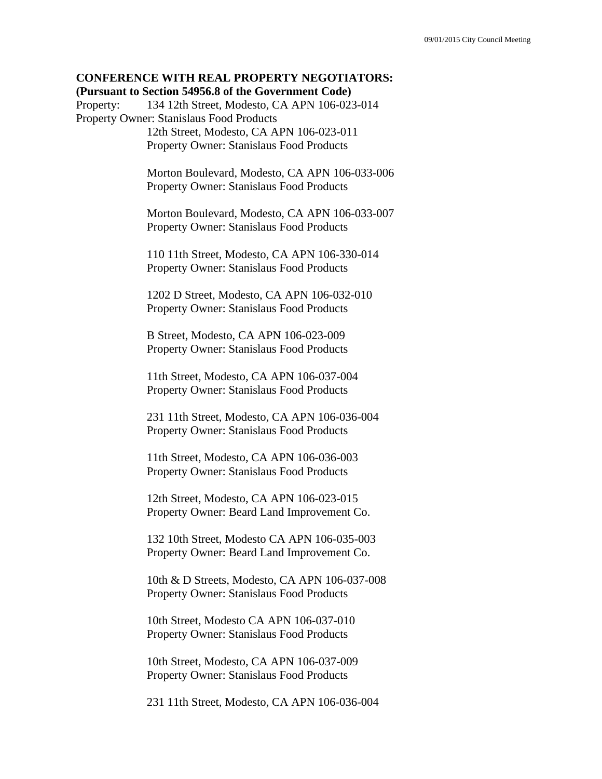### **CONFERENCE WITH REAL PROPERTY NEGOTIATORS: (Pursuant to Section 54956.8 of the Government Code)**

Property: 134 12th Street, Modesto, CA APN 106-023-014 Property Owner: Stanislaus Food Products

 12th Street, Modesto, CA APN 106-023-011 Property Owner: Stanislaus Food Products

 Morton Boulevard, Modesto, CA APN 106-033-006 Property Owner: Stanislaus Food Products

 Morton Boulevard, Modesto, CA APN 106-033-007 Property Owner: Stanislaus Food Products

 110 11th Street, Modesto, CA APN 106-330-014 Property Owner: Stanislaus Food Products

 1202 D Street, Modesto, CA APN 106-032-010 Property Owner: Stanislaus Food Products

 B Street, Modesto, CA APN 106-023-009 Property Owner: Stanislaus Food Products

 11th Street, Modesto, CA APN 106-037-004 Property Owner: Stanislaus Food Products

 231 11th Street, Modesto, CA APN 106-036-004 Property Owner: Stanislaus Food Products

 11th Street, Modesto, CA APN 106-036-003 Property Owner: Stanislaus Food Products

 12th Street, Modesto, CA APN 106-023-015 Property Owner: Beard Land Improvement Co.

 132 10th Street, Modesto CA APN 106-035-003 Property Owner: Beard Land Improvement Co.

 10th & D Streets, Modesto, CA APN 106-037-008 Property Owner: Stanislaus Food Products

 10th Street, Modesto CA APN 106-037-010 Property Owner: Stanislaus Food Products

 10th Street, Modesto, CA APN 106-037-009 Property Owner: Stanislaus Food Products

231 11th Street, Modesto, CA APN 106-036-004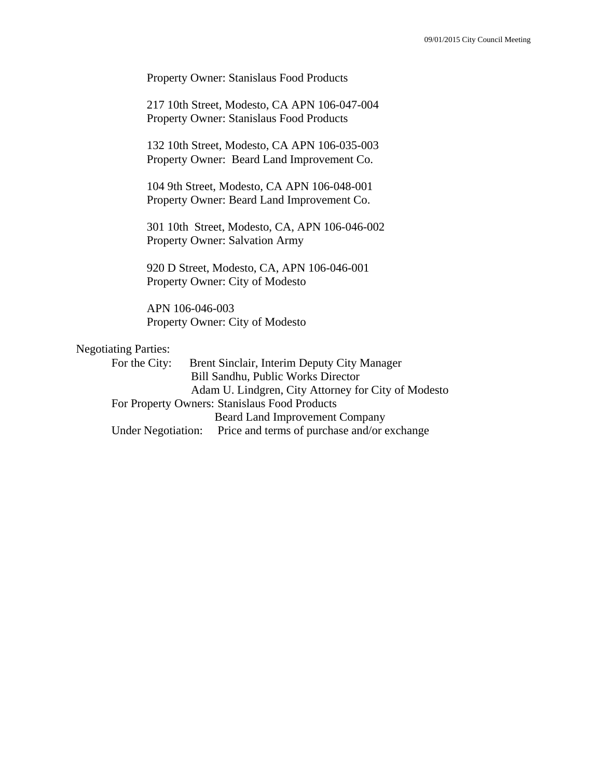Property Owner: Stanislaus Food Products

 217 10th Street, Modesto, CA APN 106-047-004 Property Owner: Stanislaus Food Products

 132 10th Street, Modesto, CA APN 106-035-003 Property Owner: Beard Land Improvement Co.

 104 9th Street, Modesto, CA APN 106-048-001 Property Owner: Beard Land Improvement Co.

 301 10th Street, Modesto, CA, APN 106-046-002 Property Owner: Salvation Army

 920 D Street, Modesto, CA, APN 106-046-001 Property Owner: City of Modesto

 APN 106-046-003 Property Owner: City of Modesto

### Negotiating Parties:

For the City: Brent Sinclair, Interim Deputy City Manager Bill Sandhu, Public Works Director Adam U. Lindgren, City Attorney for City of Modesto For Property Owners: Stanislaus Food Products Beard Land Improvement Company Under Negotiation: Price and terms of purchase and/or exchange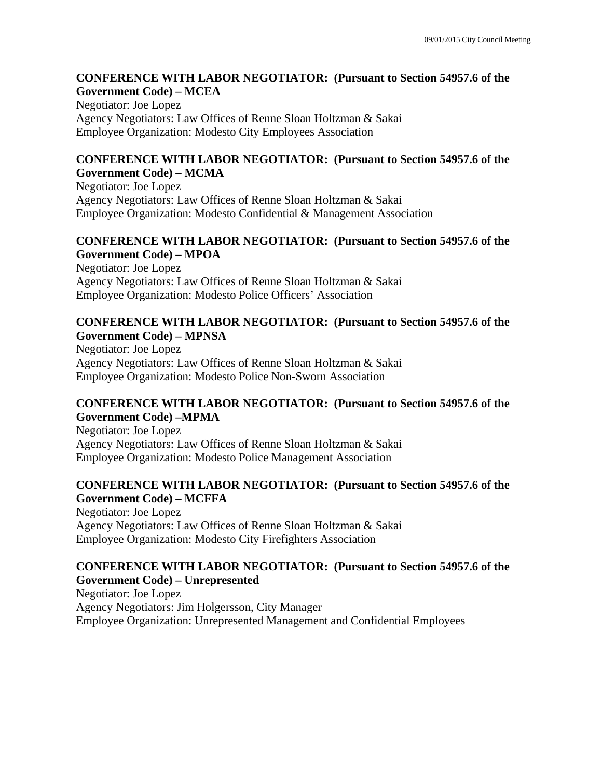### **CONFERENCE WITH LABOR NEGOTIATOR: (Pursuant to Section 54957.6 of the Government Code) – MCEA**

Negotiator: Joe Lopez Agency Negotiators: Law Offices of Renne Sloan Holtzman & Sakai Employee Organization: Modesto City Employees Association

### **CONFERENCE WITH LABOR NEGOTIATOR: (Pursuant to Section 54957.6 of the Government Code) – MCMA**

Negotiator: Joe Lopez Agency Negotiators: Law Offices of Renne Sloan Holtzman & Sakai Employee Organization: Modesto Confidential & Management Association

## **CONFERENCE WITH LABOR NEGOTIATOR: (Pursuant to Section 54957.6 of the Government Code) – MPOA**

Negotiator: Joe Lopez Agency Negotiators: Law Offices of Renne Sloan Holtzman & Sakai Employee Organization: Modesto Police Officers' Association

### **CONFERENCE WITH LABOR NEGOTIATOR: (Pursuant to Section 54957.6 of the Government Code) – MPNSA**

Negotiator: Joe Lopez Agency Negotiators: Law Offices of Renne Sloan Holtzman & Sakai Employee Organization: Modesto Police Non-Sworn Association

## **CONFERENCE WITH LABOR NEGOTIATOR: (Pursuant to Section 54957.6 of the Government Code) –MPMA**

Negotiator: Joe Lopez Agency Negotiators: Law Offices of Renne Sloan Holtzman & Sakai Employee Organization: Modesto Police Management Association

## **CONFERENCE WITH LABOR NEGOTIATOR: (Pursuant to Section 54957.6 of the Government Code) – MCFFA**

Negotiator: Joe Lopez Agency Negotiators: Law Offices of Renne Sloan Holtzman & Sakai Employee Organization: Modesto City Firefighters Association

### **CONFERENCE WITH LABOR NEGOTIATOR: (Pursuant to Section 54957.6 of the Government Code) – Unrepresented**  Negotiator: Joe Lopez

Agency Negotiators: Jim Holgersson, City Manager Employee Organization: Unrepresented Management and Confidential Employees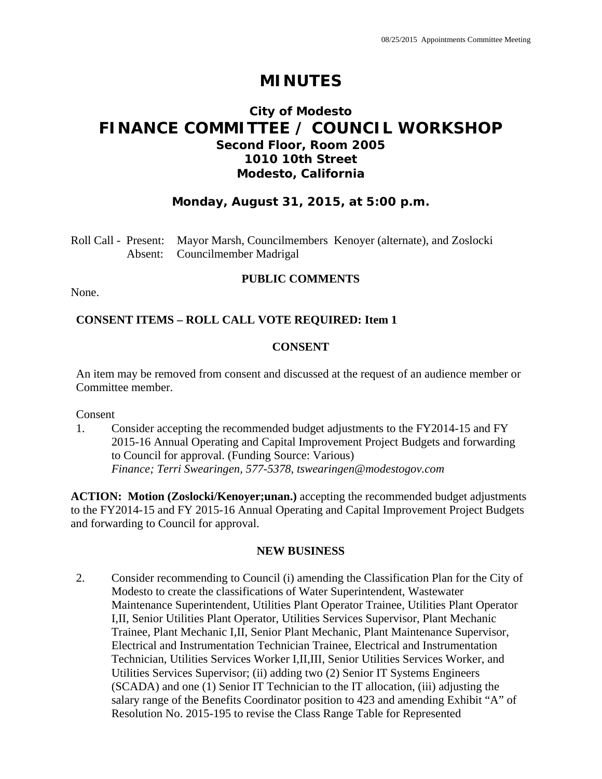## **City of Modesto FINANCE COMMITTEE / COUNCIL WORKSHOP Second Floor, Room 2005 1010 10th Street Modesto, California**

## **Monday, August 31, 2015, at 5:00 p.m.**

Roll Call - Present: Mayor Marsh, Councilmembers Kenoyer (alternate), and Zoslocki Absent: Councilmember Madrigal

### **PUBLIC COMMENTS**

None.

## **CONSENT ITEMS – ROLL CALL VOTE REQUIRED: Item 1**

## **CONSENT**

An item may be removed from consent and discussed at the request of an audience member or Committee member.

Consent

1. Consider accepting the recommended budget adjustments to the FY2014-15 and FY 2015-16 Annual Operating and Capital Improvement Project Budgets and forwarding to Council for approval. (Funding Source: Various)  *Finance; Terri Swearingen, 577-5378, tswearingen@modestogov.com* 

**ACTION: Motion (Zoslocki/Kenoyer;unan.)** accepting the recommended budget adjustments to the FY2014-15 and FY 2015-16 Annual Operating and Capital Improvement Project Budgets and forwarding to Council for approval.

### **NEW BUSINESS**

2. Consider recommending to Council (i) amending the Classification Plan for the City of Modesto to create the classifications of Water Superintendent, Wastewater Maintenance Superintendent, Utilities Plant Operator Trainee, Utilities Plant Operator I,II, Senior Utilities Plant Operator, Utilities Services Supervisor, Plant Mechanic Trainee, Plant Mechanic I,II, Senior Plant Mechanic, Plant Maintenance Supervisor, Electrical and Instrumentation Technician Trainee, Electrical and Instrumentation Technician, Utilities Services Worker I,II,III, Senior Utilities Services Worker, and Utilities Services Supervisor; (ii) adding two (2) Senior IT Systems Engineers (SCADA) and one (1) Senior IT Technician to the IT allocation, (iii) adjusting the salary range of the Benefits Coordinator position to 423 and amending Exhibit "A" of Resolution No. 2015-195 to revise the Class Range Table for Represented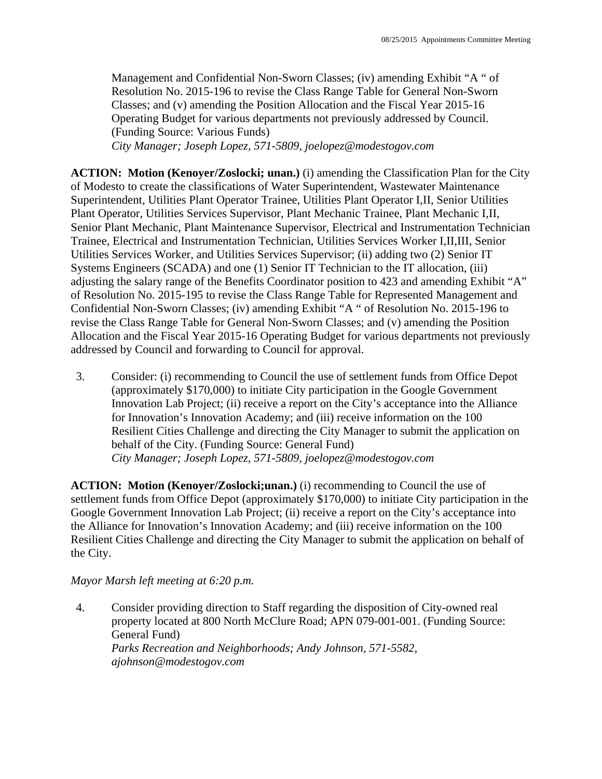Management and Confidential Non-Sworn Classes; (iv) amending Exhibit "A " of Resolution No. 2015-196 to revise the Class Range Table for General Non-Sworn Classes; and (v) amending the Position Allocation and the Fiscal Year 2015-16 Operating Budget for various departments not previously addressed by Council. (Funding Source: Various Funds)

 *City Manager; Joseph Lopez, 571-5809, joelopez@modestogov.com* 

**ACTION: Motion (Kenoyer/Zoslocki; unan.)** (i) amending the Classification Plan for the City of Modesto to create the classifications of Water Superintendent, Wastewater Maintenance Superintendent, Utilities Plant Operator Trainee, Utilities Plant Operator I,II, Senior Utilities Plant Operator, Utilities Services Supervisor, Plant Mechanic Trainee, Plant Mechanic I,II, Senior Plant Mechanic, Plant Maintenance Supervisor, Electrical and Instrumentation Technician Trainee, Electrical and Instrumentation Technician, Utilities Services Worker I,II,III, Senior Utilities Services Worker, and Utilities Services Supervisor; (ii) adding two (2) Senior IT Systems Engineers (SCADA) and one (1) Senior IT Technician to the IT allocation, (iii) adjusting the salary range of the Benefits Coordinator position to 423 and amending Exhibit "A" of Resolution No. 2015-195 to revise the Class Range Table for Represented Management and Confidential Non-Sworn Classes; (iv) amending Exhibit "A " of Resolution No. 2015-196 to revise the Class Range Table for General Non-Sworn Classes; and (v) amending the Position Allocation and the Fiscal Year 2015-16 Operating Budget for various departments not previously addressed by Council and forwarding to Council for approval.

3. Consider: (i) recommending to Council the use of settlement funds from Office Depot (approximately \$170,000) to initiate City participation in the Google Government Innovation Lab Project; (ii) receive a report on the City's acceptance into the Alliance for Innovation's Innovation Academy; and (iii) receive information on the 100 Resilient Cities Challenge and directing the City Manager to submit the application on behalf of the City. (Funding Source: General Fund)  *City Manager; Joseph Lopez, 571-5809, joelopez@modestogov.com* 

**ACTION: Motion (Kenoyer/Zoslocki;unan.)** (i) recommending to Council the use of settlement funds from Office Depot (approximately \$170,000) to initiate City participation in the Google Government Innovation Lab Project; (ii) receive a report on the City's acceptance into the Alliance for Innovation's Innovation Academy; and (iii) receive information on the 100 Resilient Cities Challenge and directing the City Manager to submit the application on behalf of the City.

## *Mayor Marsh left meeting at 6:20 p.m.*

4. Consider providing direction to Staff regarding the disposition of City-owned real property located at 800 North McClure Road; APN 079-001-001. (Funding Source: General Fund)  *Parks Recreation and Neighborhoods; Andy Johnson, 571-5582, ajohnson@modestogov.com*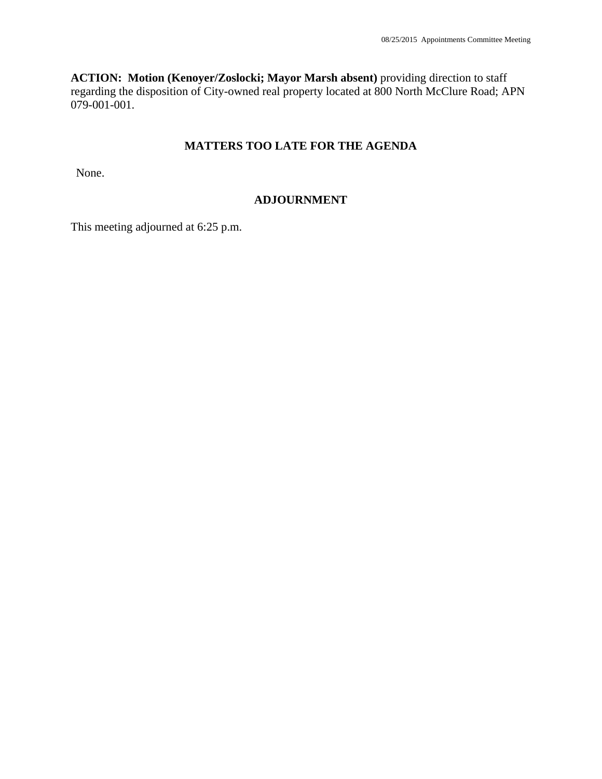**ACTION: Motion (Kenoyer/Zoslocki; Mayor Marsh absent)** providing direction to staff regarding the disposition of City-owned real property located at 800 North McClure Road; APN 079-001-001.

## **MATTERS TOO LATE FOR THE AGENDA**

None.

## **ADJOURNMENT**

This meeting adjourned at 6:25 p.m.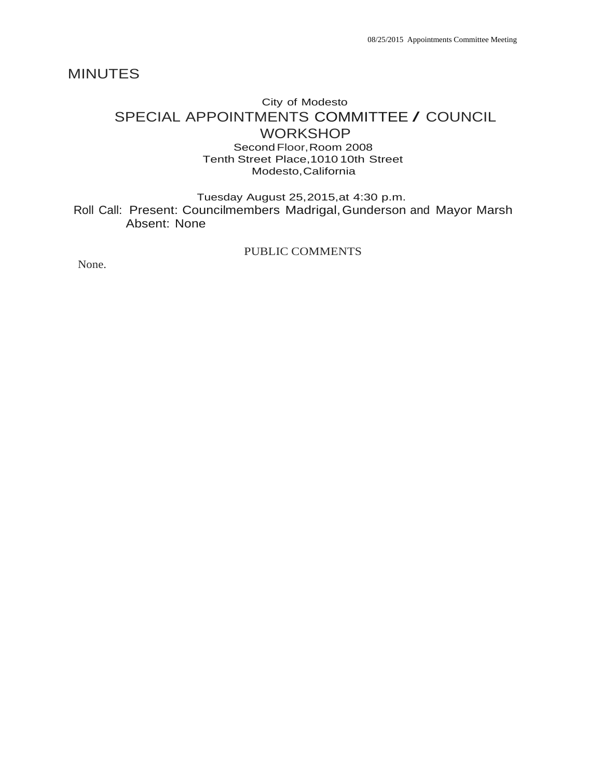# City of Modesto SPECIAL APPOINTMENTS COMMITTEE / COUNCIL **WORKSHOP**

Second Floor,Room 2008 Tenth Street Place,1010 10th Street Modesto,California

Tuesday August 25,2015,at 4:30 p.m. Roll Call: Present: Councilmembers Madrigal,Gunderson and Mayor Marsh Absent: None

PUBLIC COMMENTS

None.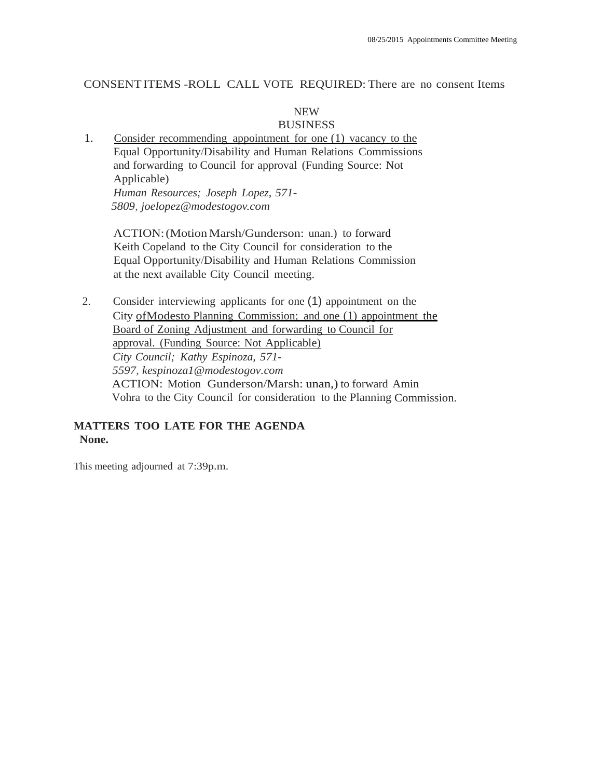### CONSENT ITEMS -ROLL CALL VOTE REQUIRED: There are no consent Items

### NEW BUSINESS

1. Consider recommending appointment for one (1) vacancy to the Equal Opportunity/Disability and Human Relations Commissions and forwarding to Council for approval (Funding Source: Not Applicable) *Human Resources; Joseph Lopez, 571- 5809, joelopez@modestogov.com*

ACTION:(Motion Marsh/Gunderson: unan.) to forward Keith Copeland to the City Council for consideration to the Equal Opportunity/Disability and Human Relations Commission at the next available City Council meeting.

2. Consider interviewing applicants for one (1) appointment on the City ofModesto Planning Commission; and one (1) appointment the Board of Zoning Adjustment and forwarding to Council for approval. (Funding Source: Not Applicable) *City Council; Kathy Espinoza, 571- 5597, kespinoza1@modestogov.com* ACTION: Motion Gunderson/Marsh: unan,) to forward Amin Vohra to the City Council for consideration to the Planning Commission.

### **MATTERS TOO LATE FOR THE AGENDA None.**

This meeting adjourned at 7:39p.m.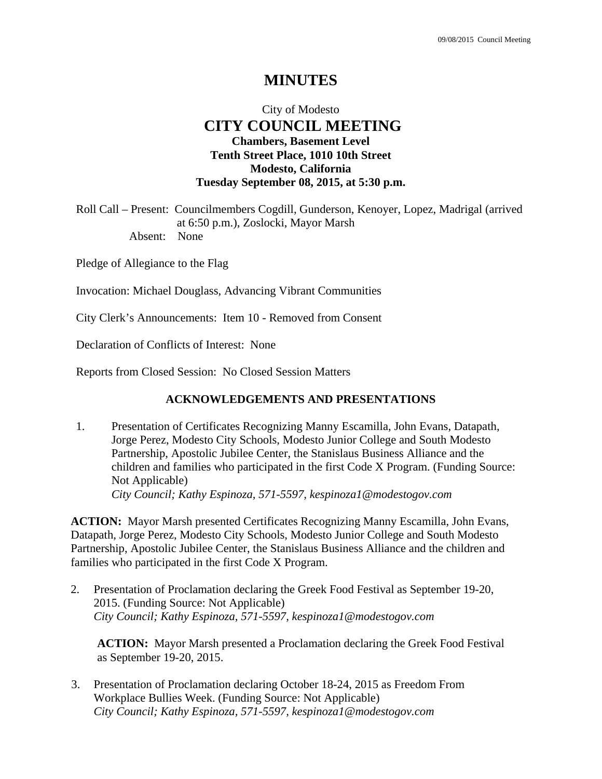## City of Modesto  **CITY COUNCIL MEETING Chambers, Basement Level Tenth Street Place, 1010 10th Street Modesto, California Tuesday September 08, 2015, at 5:30 p.m.**

Roll Call – Present: Councilmembers Cogdill, Gunderson, Kenoyer, Lopez, Madrigal (arrived at 6:50 p.m.), Zoslocki, Mayor Marsh Absent: None

Pledge of Allegiance to the Flag

Invocation: Michael Douglass, Advancing Vibrant Communities

City Clerk's Announcements: Item 10 - Removed from Consent

Declaration of Conflicts of Interest: None

Reports from Closed Session: No Closed Session Matters

### **ACKNOWLEDGEMENTS AND PRESENTATIONS**

1. Presentation of Certificates Recognizing Manny Escamilla, John Evans, Datapath, Jorge Perez, Modesto City Schools, Modesto Junior College and South Modesto Partnership, Apostolic Jubilee Center, the Stanislaus Business Alliance and the children and families who participated in the first Code X Program. (Funding Source: Not Applicable)  *City Council; Kathy Espinoza, 571-5597, kespinoza1@modestogov.com* 

**ACTION:** Mayor Marsh presented Certificates Recognizing Manny Escamilla, John Evans, Datapath, Jorge Perez, Modesto City Schools, Modesto Junior College and South Modesto Partnership, Apostolic Jubilee Center, the Stanislaus Business Alliance and the children and families who participated in the first Code X Program.

2. Presentation of Proclamation declaring the Greek Food Festival as September 19-20, 2015. (Funding Source: Not Applicable)  *City Council; Kathy Espinoza, 571-5597, kespinoza1@modestogov.com* 

**ACTION:** Mayor Marsh presented a Proclamation declaring the Greek Food Festival as September 19-20, 2015.

3. Presentation of Proclamation declaring October 18-24, 2015 as Freedom From Workplace Bullies Week. (Funding Source: Not Applicable)  *City Council; Kathy Espinoza, 571-5597, kespinoza1@modestogov.com*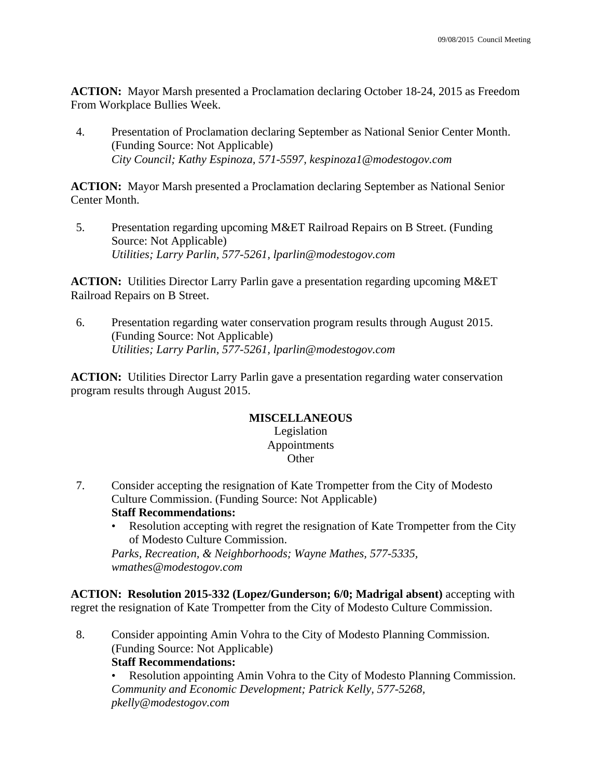**ACTION:** Mayor Marsh presented a Proclamation declaring October 18-24, 2015 as Freedom From Workplace Bullies Week.

4. Presentation of Proclamation declaring September as National Senior Center Month. (Funding Source: Not Applicable)  *City Council; Kathy Espinoza, 571-5597, kespinoza1@modestogov.com* 

**ACTION:** Mayor Marsh presented a Proclamation declaring September as National Senior Center Month.

5. Presentation regarding upcoming M&ET Railroad Repairs on B Street. (Funding Source: Not Applicable)  *Utilities; Larry Parlin, 577-5261, lparlin@modestogov.com* 

**ACTION:** Utilities Director Larry Parlin gave a presentation regarding upcoming M&ET Railroad Repairs on B Street.

6. Presentation regarding water conservation program results through August 2015. (Funding Source: Not Applicable)  *Utilities; Larry Parlin, 577-5261, lparlin@modestogov.com* 

**ACTION:** Utilities Director Larry Parlin gave a presentation regarding water conservation program results through August 2015.

## **MISCELLANEOUS**

## Legislation Appointments **Other**

- 7. Consider accepting the resignation of Kate Trompetter from the City of Modesto Culture Commission. (Funding Source: Not Applicable) **Staff Recommendations:** 
	- Resolution accepting with regret the resignation of Kate Trompetter from the City of Modesto Culture Commission.

*Parks, Recreation, & Neighborhoods; Wayne Mathes, 577-5335, wmathes@modestogov.com* 

**ACTION: Resolution 2015-332 (Lopez/Gunderson; 6/0; Madrigal absent)** accepting with regret the resignation of Kate Trompetter from the City of Modesto Culture Commission.

8. Consider appointing Amin Vohra to the City of Modesto Planning Commission. (Funding Source: Not Applicable)

### **Staff Recommendations:**

• Resolution appointing Amin Vohra to the City of Modesto Planning Commission. *Community and Economic Development; Patrick Kelly, 577-5268, pkelly@modestogov.com*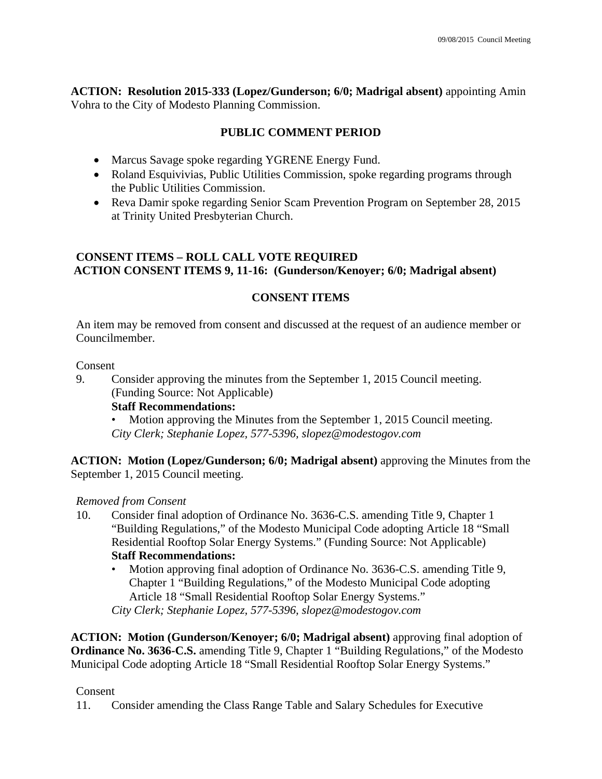**ACTION: Resolution 2015-333 (Lopez/Gunderson; 6/0; Madrigal absent)** appointing Amin Vohra to the City of Modesto Planning Commission.

## **PUBLIC COMMENT PERIOD**

- Marcus Savage spoke regarding YGRENE Energy Fund.
- Roland Esquivivias, Public Utilities Commission, spoke regarding programs through the Public Utilities Commission.
- Reva Damir spoke regarding Senior Scam Prevention Program on September 28, 2015 at Trinity United Presbyterian Church.

## **CONSENT ITEMS – ROLL CALL VOTE REQUIRED ACTION CONSENT ITEMS 9, 11-16: (Gunderson/Kenoyer; 6/0; Madrigal absent)**

## **CONSENT ITEMS**

An item may be removed from consent and discussed at the request of an audience member or Councilmember.

### Consent

9. Consider approving the minutes from the September 1, 2015 Council meeting. (Funding Source: Not Applicable)

**Staff Recommendations:** 

Motion approving the Minutes from the September 1, 2015 Council meeting. *City Clerk; Stephanie Lopez, 577-5396, slopez@modestogov.com* 

**ACTION: Motion (Lopez/Gunderson; 6/0; Madrigal absent)** approving the Minutes from the September 1, 2015 Council meeting.

## *Removed from Consent*

- 10. Consider final adoption of Ordinance No. 3636-C.S. amending Title 9, Chapter 1 "Building Regulations," of the Modesto Municipal Code adopting Article 18 "Small Residential Rooftop Solar Energy Systems." (Funding Source: Not Applicable) **Staff Recommendations:** 
	- Motion approving final adoption of Ordinance No. 3636-C.S. amending Title 9, Chapter 1 "Building Regulations," of the Modesto Municipal Code adopting Article 18 "Small Residential Rooftop Solar Energy Systems." *City Clerk; Stephanie Lopez, 577-5396, slopez@modestogov.com*

**ACTION: Motion (Gunderson/Kenoyer; 6/0; Madrigal absent)** approving final adoption of **Ordinance No. 3636-C.S.** amending Title 9, Chapter 1 "Building Regulations," of the Modesto Municipal Code adopting Article 18 "Small Residential Rooftop Solar Energy Systems."

## Consent

11. Consider amending the Class Range Table and Salary Schedules for Executive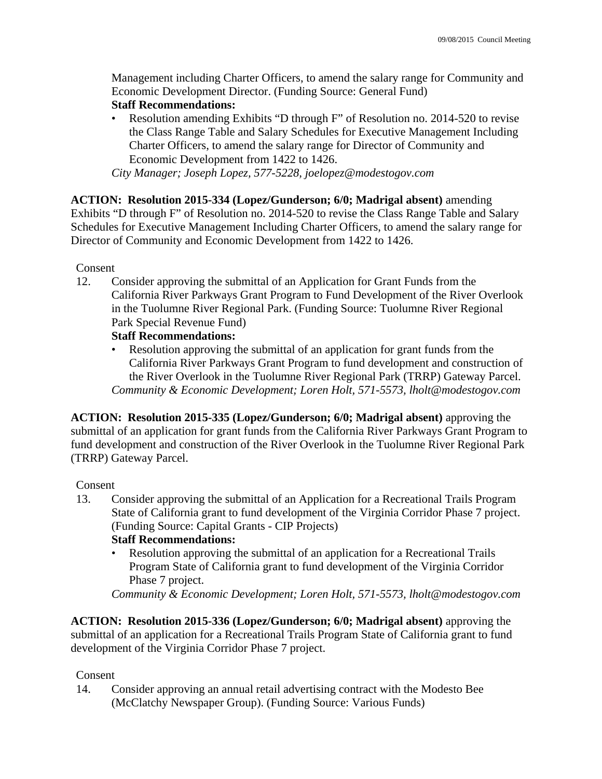Management including Charter Officers, to amend the salary range for Community and Economic Development Director. (Funding Source: General Fund)

## **Staff Recommendations:**

• Resolution amending Exhibits "D through F" of Resolution no. 2014-520 to revise the Class Range Table and Salary Schedules for Executive Management Including Charter Officers, to amend the salary range for Director of Community and Economic Development from 1422 to 1426.

*City Manager; Joseph Lopez, 577-5228, joelopez@modestogov.com* 

**ACTION: Resolution 2015-334 (Lopez/Gunderson; 6/0; Madrigal absent)** amending Exhibits "D through F" of Resolution no. 2014-520 to revise the Class Range Table and Salary Schedules for Executive Management Including Charter Officers, to amend the salary range for Director of Community and Economic Development from 1422 to 1426.

Consent

12. Consider approving the submittal of an Application for Grant Funds from the California River Parkways Grant Program to Fund Development of the River Overlook in the Tuolumne River Regional Park. (Funding Source: Tuolumne River Regional Park Special Revenue Fund)

## **Staff Recommendations:**

• Resolution approving the submittal of an application for grant funds from the California River Parkways Grant Program to fund development and construction of the River Overlook in the Tuolumne River Regional Park (TRRP) Gateway Parcel. *Community & Economic Development; Loren Holt, 571-5573, lholt@modestogov.com* 

**ACTION: Resolution 2015-335 (Lopez/Gunderson; 6/0; Madrigal absent)** approving the submittal of an application for grant funds from the California River Parkways Grant Program to fund development and construction of the River Overlook in the Tuolumne River Regional Park (TRRP) Gateway Parcel.

### Consent

13. Consider approving the submittal of an Application for a Recreational Trails Program State of California grant to fund development of the Virginia Corridor Phase 7 project. (Funding Source: Capital Grants - CIP Projects)

## **Staff Recommendations:**

• Resolution approving the submittal of an application for a Recreational Trails Program State of California grant to fund development of the Virginia Corridor Phase 7 project.

*Community & Economic Development; Loren Holt, 571-5573, lholt@modestogov.com* 

**ACTION: Resolution 2015-336 (Lopez/Gunderson; 6/0; Madrigal absent)** approving the submittal of an application for a Recreational Trails Program State of California grant to fund development of the Virginia Corridor Phase 7 project.

## Consent

14. Consider approving an annual retail advertising contract with the Modesto Bee (McClatchy Newspaper Group). (Funding Source: Various Funds)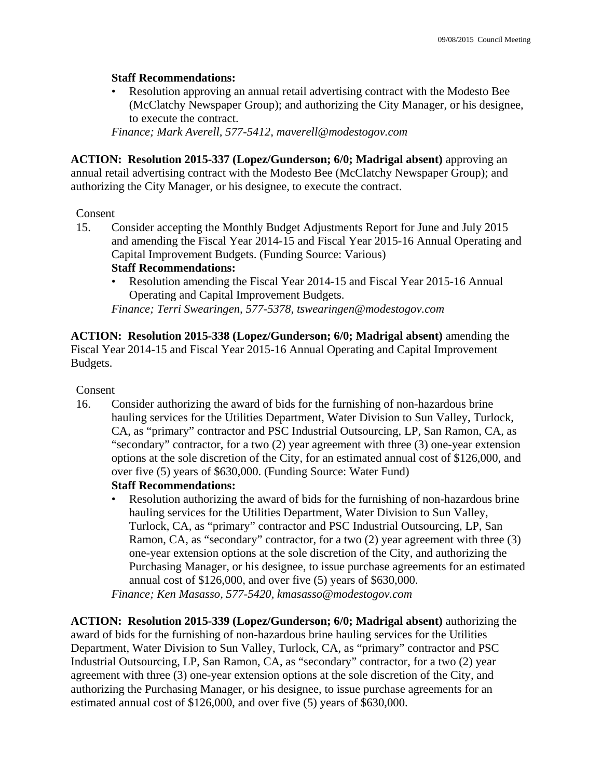## **Staff Recommendations:**

• Resolution approving an annual retail advertising contract with the Modesto Bee (McClatchy Newspaper Group); and authorizing the City Manager, or his designee, to execute the contract.

*Finance; Mark Averell, 577-5412, maverell@modestogov.com* 

**ACTION: Resolution 2015-337 (Lopez/Gunderson; 6/0; Madrigal absent)** approving an annual retail advertising contract with the Modesto Bee (McClatchy Newspaper Group); and authorizing the City Manager, or his designee, to execute the contract.

### Consent

15. Consider accepting the Monthly Budget Adjustments Report for June and July 2015 and amending the Fiscal Year 2014-15 and Fiscal Year 2015-16 Annual Operating and Capital Improvement Budgets. (Funding Source: Various)

### **Staff Recommendations:**

• Resolution amending the Fiscal Year 2014-15 and Fiscal Year 2015-16 Annual Operating and Capital Improvement Budgets.

*Finance; Terri Swearingen, 577-5378, tswearingen@modestogov.com* 

**ACTION: Resolution 2015-338 (Lopez/Gunderson; 6/0; Madrigal absent)** amending the Fiscal Year 2014-15 and Fiscal Year 2015-16 Annual Operating and Capital Improvement Budgets.

### Consent

16. Consider authorizing the award of bids for the furnishing of non-hazardous brine hauling services for the Utilities Department, Water Division to Sun Valley, Turlock, CA, as "primary" contractor and PSC Industrial Outsourcing, LP, San Ramon, CA, as "secondary" contractor, for a two (2) year agreement with three (3) one-year extension options at the sole discretion of the City, for an estimated annual cost of \$126,000, and over five (5) years of \$630,000. (Funding Source: Water Fund)

### **Staff Recommendations:**

• Resolution authorizing the award of bids for the furnishing of non-hazardous brine hauling services for the Utilities Department, Water Division to Sun Valley, Turlock, CA, as "primary" contractor and PSC Industrial Outsourcing, LP, San Ramon, CA, as "secondary" contractor, for a two (2) year agreement with three (3) one-year extension options at the sole discretion of the City, and authorizing the Purchasing Manager, or his designee, to issue purchase agreements for an estimated annual cost of \$126,000, and over five (5) years of \$630,000. *Finance; Ken Masasso, 577-5420, kmasasso@modestogov.com* 

**ACTION: Resolution 2015-339 (Lopez/Gunderson; 6/0; Madrigal absent)** authorizing the award of bids for the furnishing of non-hazardous brine hauling services for the Utilities Department, Water Division to Sun Valley, Turlock, CA, as "primary" contractor and PSC Industrial Outsourcing, LP, San Ramon, CA, as "secondary" contractor, for a two (2) year agreement with three (3) one-year extension options at the sole discretion of the City, and authorizing the Purchasing Manager, or his designee, to issue purchase agreements for an estimated annual cost of \$126,000, and over five (5) years of \$630,000.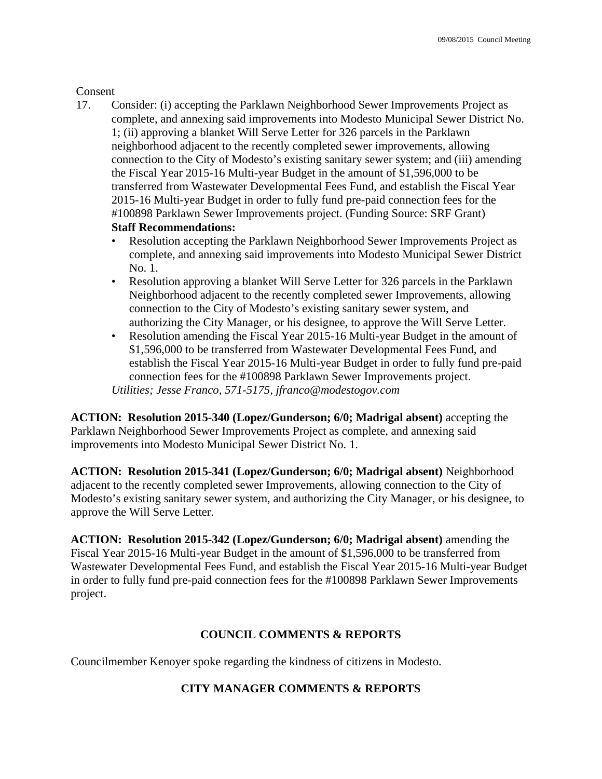### Consent

17. Consider: (i) accepting the Parklawn Neighborhood Sewer Improvements Project as complete, and annexing said improvements into Modesto Municipal Sewer District No. 1; (ii) approving a blanket Will Serve Letter for 326 parcels in the Parklawn neighborhood adjacent to the recently completed sewer improvements, allowing connection to the City of Modesto's existing sanitary sewer system; and (iii) amending the Fiscal Year 2015-16 Multi-year Budget in the amount of \$1,596,000 to be transferred from Wastewater Developmental Fees Fund, and establish the Fiscal Year 2015-16 Multi-year Budget in order to fully fund pre-paid connection fees for the #100898 Parklawn Sewer Improvements project. (Funding Source: SRF Grant)

## **Staff Recommendations:**

- Resolution accepting the Parklawn Neighborhood Sewer Improvements Project as complete, and annexing said improvements into Modesto Municipal Sewer District No. 1.
- Resolution approving a blanket Will Serve Letter for 326 parcels in the Parklawn Neighborhood adjacent to the recently completed sewer Improvements, allowing connection to the City of Modesto's existing sanitary sewer system, and authorizing the City Manager, or his designee, to approve the Will Serve Letter.
- Resolution amending the Fiscal Year 2015-16 Multi-year Budget in the amount of \$1,596,000 to be transferred from Wastewater Developmental Fees Fund, and establish the Fiscal Year 2015-16 Multi-year Budget in order to fully fund pre-paid connection fees for the #100898 Parklawn Sewer Improvements project. *Utilities; Jesse Franco, 571-5175, jfranco@modestogov.com*

**ACTION: Resolution 2015-340 (Lopez/Gunderson; 6/0; Madrigal absent)** accepting the Parklawn Neighborhood Sewer Improvements Project as complete, and annexing said improvements into Modesto Municipal Sewer District No. 1.

**ACTION: Resolution 2015-341 (Lopez/Gunderson; 6/0; Madrigal absent)** Neighborhood adjacent to the recently completed sewer Improvements, allowing connection to the City of Modesto's existing sanitary sewer system, and authorizing the City Manager, or his designee, to approve the Will Serve Letter.

**ACTION: Resolution 2015-342 (Lopez/Gunderson; 6/0; Madrigal absent)** amending the Fiscal Year 2015-16 Multi-year Budget in the amount of \$1,596,000 to be transferred from Wastewater Developmental Fees Fund, and establish the Fiscal Year 2015-16 Multi-year Budget in order to fully fund pre-paid connection fees for the #100898 Parklawn Sewer Improvements project.

## **COUNCIL COMMENTS & REPORTS**

Councilmember Kenoyer spoke regarding the kindness of citizens in Modesto.

## **CITY MANAGER COMMENTS & REPORTS**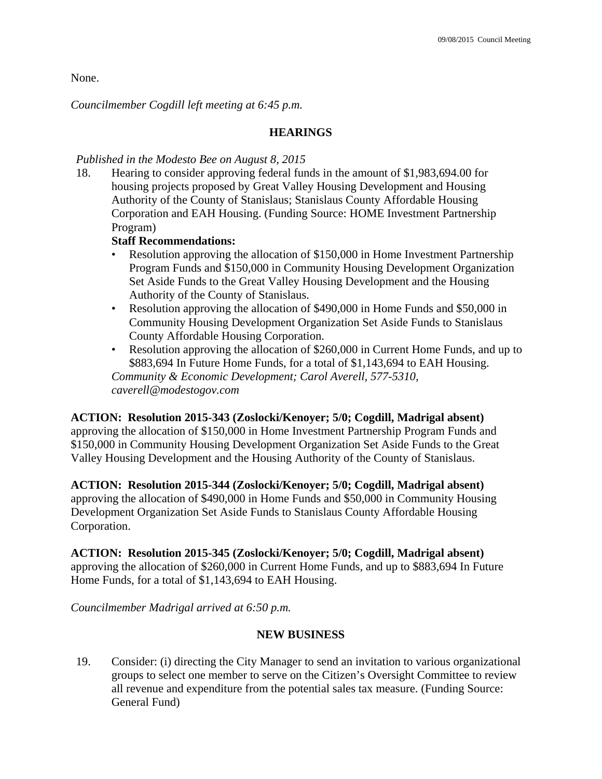None.

*Councilmember Cogdill left meeting at 6:45 p.m.* 

### **HEARINGS**

### *Published in the Modesto Bee on August 8, 2015*

18. Hearing to consider approving federal funds in the amount of \$1,983,694.00 for housing projects proposed by Great Valley Housing Development and Housing Authority of the County of Stanislaus; Stanislaus County Affordable Housing Corporation and EAH Housing. (Funding Source: HOME Investment Partnership Program)

### **Staff Recommendations:**

- Resolution approving the allocation of \$150,000 in Home Investment Partnership Program Funds and \$150,000 in Community Housing Development Organization Set Aside Funds to the Great Valley Housing Development and the Housing Authority of the County of Stanislaus.
- Resolution approving the allocation of \$490,000 in Home Funds and \$50,000 in Community Housing Development Organization Set Aside Funds to Stanislaus County Affordable Housing Corporation.
- Resolution approving the allocation of \$260,000 in Current Home Funds, and up to \$883,694 In Future Home Funds, for a total of \$1,143,694 to EAH Housing. *Community & Economic Development; Carol Averell, 577-5310, caverell@modestogov.com*

**ACTION: Resolution 2015-343 (Zoslocki/Kenoyer; 5/0; Cogdill, Madrigal absent)**  approving the allocation of \$150,000 in Home Investment Partnership Program Funds and \$150,000 in Community Housing Development Organization Set Aside Funds to the Great Valley Housing Development and the Housing Authority of the County of Stanislaus.

**ACTION: Resolution 2015-344 (Zoslocki/Kenoyer; 5/0; Cogdill, Madrigal absent)**  approving the allocation of \$490,000 in Home Funds and \$50,000 in Community Housing Development Organization Set Aside Funds to Stanislaus County Affordable Housing Corporation.

### **ACTION: Resolution 2015-345 (Zoslocki/Kenoyer; 5/0; Cogdill, Madrigal absent)**

approving the allocation of \$260,000 in Current Home Funds, and up to \$883,694 In Future Home Funds, for a total of \$1,143,694 to EAH Housing.

*Councilmember Madrigal arrived at 6:50 p.m.* 

### **NEW BUSINESS**

19. Consider: (i) directing the City Manager to send an invitation to various organizational groups to select one member to serve on the Citizen's Oversight Committee to review all revenue and expenditure from the potential sales tax measure. (Funding Source: General Fund)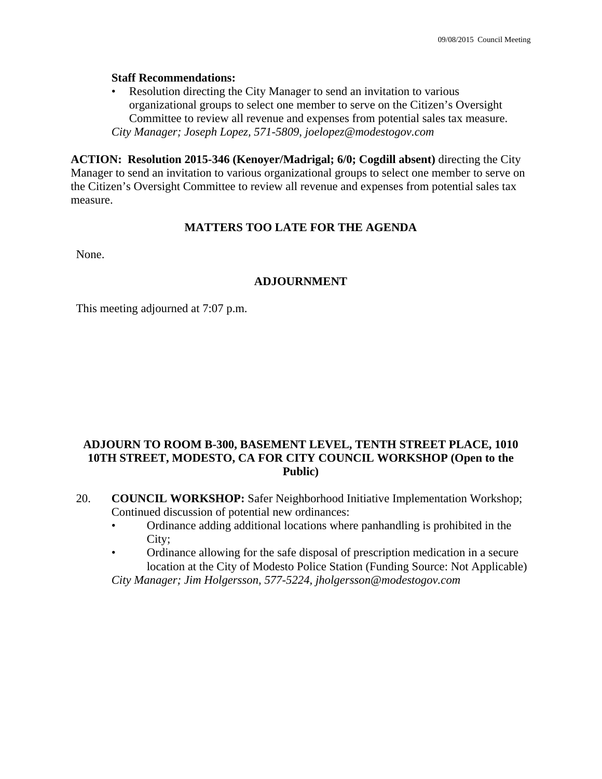### **Staff Recommendations:**

• Resolution directing the City Manager to send an invitation to various organizational groups to select one member to serve on the Citizen's Oversight Committee to review all revenue and expenses from potential sales tax measure. *City Manager; Joseph Lopez, 571-5809, joelopez@modestogov.com* 

**ACTION: Resolution 2015-346 (Kenoyer/Madrigal; 6/0; Cogdill absent)** directing the City Manager to send an invitation to various organizational groups to select one member to serve on the Citizen's Oversight Committee to review all revenue and expenses from potential sales tax measure.

### **MATTERS TOO LATE FOR THE AGENDA**

None.

### **ADJOURNMENT**

This meeting adjourned at 7:07 p.m.

### **ADJOURN TO ROOM B-300, BASEMENT LEVEL, TENTH STREET PLACE, 1010 10TH STREET, MODESTO, CA FOR CITY COUNCIL WORKSHOP (Open to the Public)**

- 20. **COUNCIL WORKSHOP:** Safer Neighborhood Initiative Implementation Workshop; Continued discussion of potential new ordinances:
	- Ordinance adding additional locations where panhandling is prohibited in the City;
	- Ordinance allowing for the safe disposal of prescription medication in a secure location at the City of Modesto Police Station (Funding Source: Not Applicable)

 *City Manager; Jim Holgersson, 577-5224, jholgersson@modestogov.com*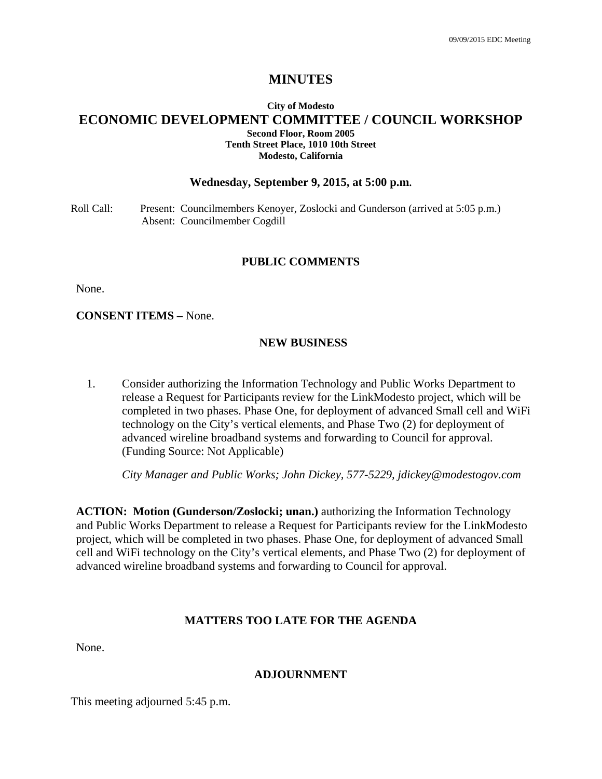### **City of Modesto ECONOMIC DEVELOPMENT COMMITTEE / COUNCIL WORKSHOP Second Floor, Room 2005 Tenth Street Place, 1010 10th Street Modesto, California**

### **Wednesday, September 9, 2015, at 5:00 p.m.**

Roll Call: Present: Councilmembers Kenoyer, Zoslocki and Gunderson (arrived at 5:05 p.m.) Absent: Councilmember Cogdill

### **PUBLIC COMMENTS**

None.

**CONSENT ITEMS –** None.

### **NEW BUSINESS**

1. Consider authorizing the Information Technology and Public Works Department to release a Request for Participants review for the LinkModesto project, which will be completed in two phases. Phase One, for deployment of advanced Small cell and WiFi technology on the City's vertical elements, and Phase Two (2) for deployment of advanced wireline broadband systems and forwarding to Council for approval. (Funding Source: Not Applicable)

 *City Manager and Public Works; John Dickey, 577-5229, jdickey@modestogov.com* 

**ACTION: Motion (Gunderson/Zoslocki; unan.)** authorizing the Information Technology and Public Works Department to release a Request for Participants review for the LinkModesto project, which will be completed in two phases. Phase One, for deployment of advanced Small cell and WiFi technology on the City's vertical elements, and Phase Two (2) for deployment of advanced wireline broadband systems and forwarding to Council for approval.

### **MATTERS TOO LATE FOR THE AGENDA**

None.

### **ADJOURNMENT**

This meeting adjourned 5:45 p.m.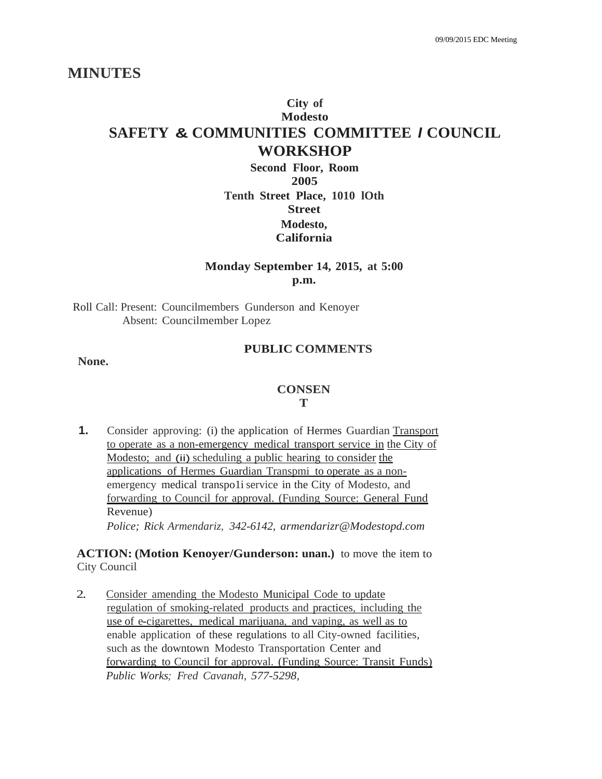# **City of Modesto SAFETY & COMMUNITIES COMMITTEE** *I* **COUNCIL WORKSHOP**

**Second Floor, Room 2005 Tenth Street Place, 1010 lOth Street Modesto, California**

## **Monday September 14, 2015, at 5:00 p.m.**

Roll Call: Present: Councilmembers Gunderson and Kenoyer Absent: Councilmember Lopez

### **PUBLIC COMMENTS**

**None.**

# **CONSEN**

### **T**

**1.** Consider approving: (i) the application of Hermes Guardian Transport to operate as a non-emergency medical transport service in the City of Modesto; and (ii) scheduling a public hearing to consider the applications of Hermes Guardian Transpmi to operate as a nonemergency medical transpo1i service in the City of Modesto, and forwarding to Council for approval. (Funding Source: General Fund Revenue) *Police; Rick Armendariz, 342-6142, armendarizr@Modestopd.com*

### **ACTION: (Motion Kenoyer/Gunderson: unan.)** to move the item to City Council

2. Consider amending the Modesto Municipal Code to update regulation of smoking-related products and practices, including the use of e-cigarettes, medical marijuana, and vaping, as well as to enable application of these regulations to all City-owned facilities, such as the downtown Modesto Transportation Center and forwarding to Council for approval. (Funding Source: Transit Funds) *Public Works; Fred Cavanah, 577-5298,*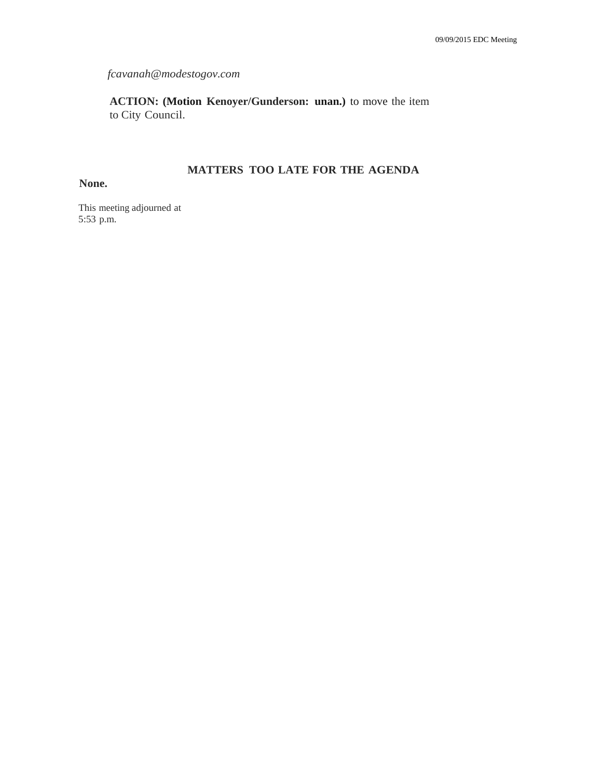*fcavanah@modestogov.com*

**ACTION: (Motion Kenoyer/Gunderson: unan.)** to move the item to City Council.

## **MATTERS TOO LATE FOR THE AGENDA**

### **None.**

This meeting adjourned at 5:53 p.m.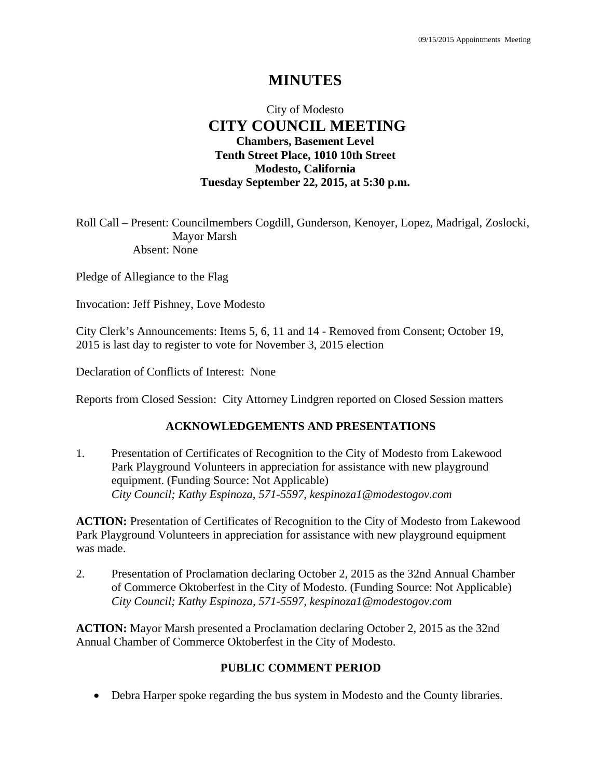## City of Modesto  **CITY COUNCIL MEETING Chambers, Basement Level Tenth Street Place, 1010 10th Street Modesto, California Tuesday September 22, 2015, at 5:30 p.m.**

Roll Call – Present: Councilmembers Cogdill, Gunderson, Kenoyer, Lopez, Madrigal, Zoslocki, Mayor Marsh Absent: None

Pledge of Allegiance to the Flag

Invocation: Jeff Pishney, Love Modesto

City Clerk's Announcements: Items 5, 6, 11 and 14 - Removed from Consent; October 19, 2015 is last day to register to vote for November 3, 2015 election

Declaration of Conflicts of Interest: None

Reports from Closed Session: City Attorney Lindgren reported on Closed Session matters

## **ACKNOWLEDGEMENTS AND PRESENTATIONS**

1. Presentation of Certificates of Recognition to the City of Modesto from Lakewood Park Playground Volunteers in appreciation for assistance with new playground equipment. (Funding Source: Not Applicable)  *City Council; Kathy Espinoza, 571-5597, kespinoza1@modestogov.com* 

**ACTION:** Presentation of Certificates of Recognition to the City of Modesto from Lakewood Park Playground Volunteers in appreciation for assistance with new playground equipment was made.

2. Presentation of Proclamation declaring October 2, 2015 as the 32nd Annual Chamber of Commerce Oktoberfest in the City of Modesto. (Funding Source: Not Applicable)  *City Council; Kathy Espinoza, 571-5597, kespinoza1@modestogov.com* 

**ACTION:** Mayor Marsh presented a Proclamation declaring October 2, 2015 as the 32nd Annual Chamber of Commerce Oktoberfest in the City of Modesto.

## **PUBLIC COMMENT PERIOD**

Debra Harper spoke regarding the bus system in Modesto and the County libraries.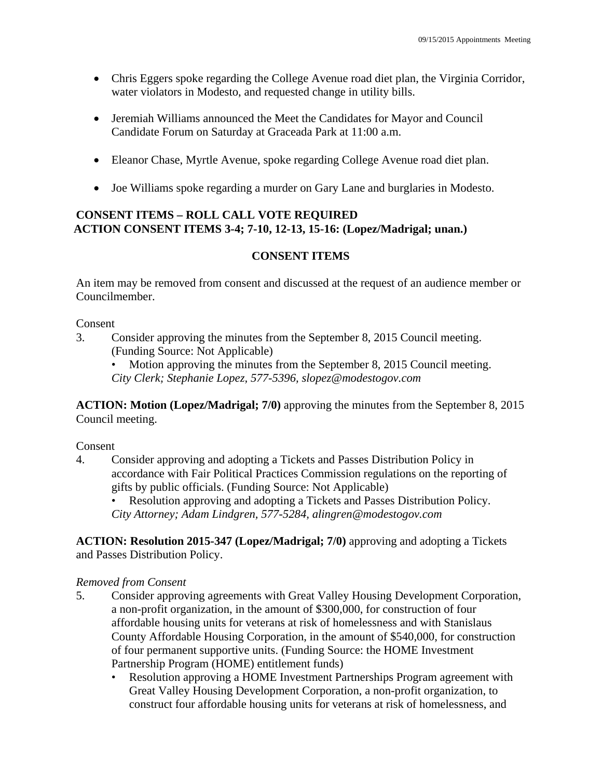- Chris Eggers spoke regarding the College Avenue road diet plan, the Virginia Corridor, water violators in Modesto, and requested change in utility bills.
- Jeremiah Williams announced the Meet the Candidates for Mayor and Council Candidate Forum on Saturday at Graceada Park at 11:00 a.m.
- Eleanor Chase, Myrtle Avenue, spoke regarding College Avenue road diet plan.
- Joe Williams spoke regarding a murder on Gary Lane and burglaries in Modesto.

## **CONSENT ITEMS – ROLL CALL VOTE REQUIRED ACTION CONSENT ITEMS 3-4; 7-10, 12-13, 15-16: (Lopez/Madrigal; unan.)**

## **CONSENT ITEMS**

An item may be removed from consent and discussed at the request of an audience member or Councilmember.

### Consent

- 3. Consider approving the minutes from the September 8, 2015 Council meeting. (Funding Source: Not Applicable)
	- Motion approving the minutes from the September 8, 2015 Council meeting. *City Clerk; Stephanie Lopez, 577-5396, slopez@modestogov.com*

**ACTION: Motion (Lopez/Madrigal; 7/0)** approving the minutes from the September 8, 2015 Council meeting.

### Consent

4. Consider approving and adopting a Tickets and Passes Distribution Policy in accordance with Fair Political Practices Commission regulations on the reporting of gifts by public officials. (Funding Source: Not Applicable)

• Resolution approving and adopting a Tickets and Passes Distribution Policy. *City Attorney; Adam Lindgren, 577-5284, alingren@modestogov.com* 

**ACTION: Resolution 2015-347 (Lopez/Madrigal; 7/0)** approving and adopting a Tickets and Passes Distribution Policy.

## *Removed from Consent*

- 5. Consider approving agreements with Great Valley Housing Development Corporation, a non-profit organization, in the amount of \$300,000, for construction of four affordable housing units for veterans at risk of homelessness and with Stanislaus County Affordable Housing Corporation, in the amount of \$540,000, for construction of four permanent supportive units. (Funding Source: the HOME Investment Partnership Program (HOME) entitlement funds)
	- Resolution approving a HOME Investment Partnerships Program agreement with Great Valley Housing Development Corporation, a non-profit organization, to construct four affordable housing units for veterans at risk of homelessness, and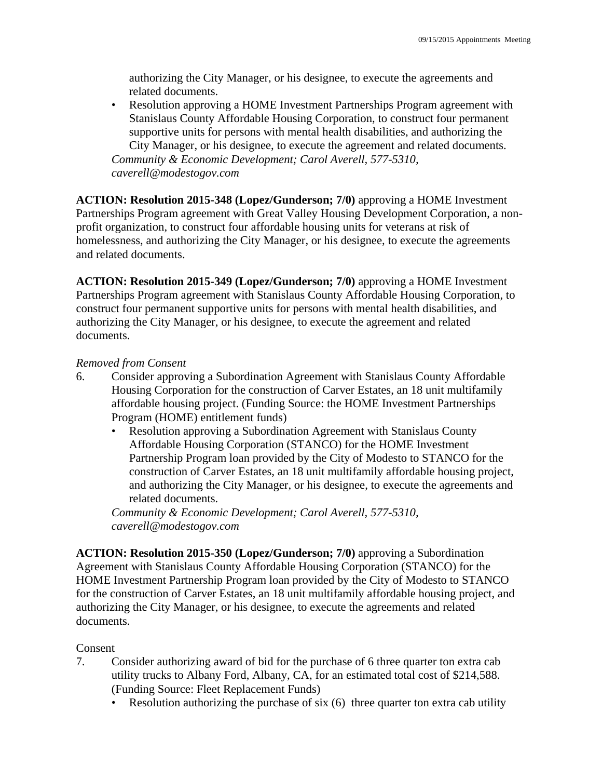authorizing the City Manager, or his designee, to execute the agreements and related documents.

• Resolution approving a HOME Investment Partnerships Program agreement with Stanislaus County Affordable Housing Corporation, to construct four permanent supportive units for persons with mental health disabilities, and authorizing the City Manager, or his designee, to execute the agreement and related documents. *Community & Economic Development; Carol Averell, 577-5310, caverell@modestogov.com* 

**ACTION: Resolution 2015-348 (Lopez/Gunderson; 7/0)** approving a HOME Investment Partnerships Program agreement with Great Valley Housing Development Corporation, a nonprofit organization, to construct four affordable housing units for veterans at risk of homelessness, and authorizing the City Manager, or his designee, to execute the agreements and related documents.

**ACTION: Resolution 2015-349 (Lopez/Gunderson; 7/0)** approving a HOME Investment Partnerships Program agreement with Stanislaus County Affordable Housing Corporation, to construct four permanent supportive units for persons with mental health disabilities, and authorizing the City Manager, or his designee, to execute the agreement and related documents.

## *Removed from Consent*

- 6. Consider approving a Subordination Agreement with Stanislaus County Affordable Housing Corporation for the construction of Carver Estates, an 18 unit multifamily affordable housing project. (Funding Source: the HOME Investment Partnerships Program (HOME) entitlement funds)
	- Resolution approving a Subordination Agreement with Stanislaus County Affordable Housing Corporation (STANCO) for the HOME Investment Partnership Program loan provided by the City of Modesto to STANCO for the construction of Carver Estates, an 18 unit multifamily affordable housing project, and authorizing the City Manager, or his designee, to execute the agreements and related documents.

*Community & Economic Development; Carol Averell, 577-5310, caverell@modestogov.com* 

**ACTION: Resolution 2015-350 (Lopez/Gunderson; 7/0)** approving a Subordination Agreement with Stanislaus County Affordable Housing Corporation (STANCO) for the HOME Investment Partnership Program loan provided by the City of Modesto to STANCO for the construction of Carver Estates, an 18 unit multifamily affordable housing project, and authorizing the City Manager, or his designee, to execute the agreements and related documents.

### Consent

- 7. Consider authorizing award of bid for the purchase of 6 three quarter ton extra cab utility trucks to Albany Ford, Albany, CA, for an estimated total cost of \$214,588. (Funding Source: Fleet Replacement Funds)
	- Resolution authorizing the purchase of six (6) three quarter ton extra cab utility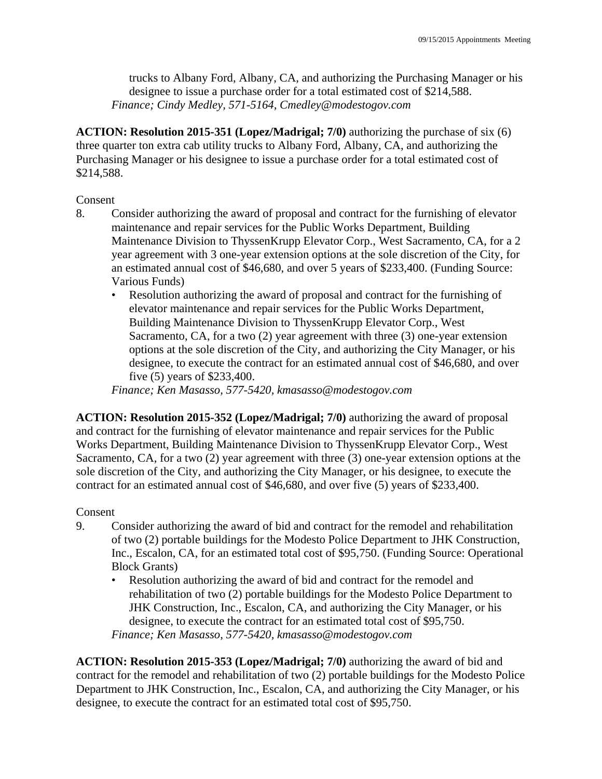trucks to Albany Ford, Albany, CA, and authorizing the Purchasing Manager or his designee to issue a purchase order for a total estimated cost of \$214,588. *Finance; Cindy Medley, 571-5164, Cmedley@modestogov.com* 

**ACTION: Resolution 2015-351 (Lopez/Madrigal; 7/0)** authorizing the purchase of six (6) three quarter ton extra cab utility trucks to Albany Ford, Albany, CA, and authorizing the Purchasing Manager or his designee to issue a purchase order for a total estimated cost of \$214,588.

### Consent

- 8. Consider authorizing the award of proposal and contract for the furnishing of elevator maintenance and repair services for the Public Works Department, Building Maintenance Division to ThyssenKrupp Elevator Corp., West Sacramento, CA, for a 2 year agreement with 3 one-year extension options at the sole discretion of the City, for an estimated annual cost of \$46,680, and over 5 years of \$233,400. (Funding Source: Various Funds)
	- Resolution authorizing the award of proposal and contract for the furnishing of elevator maintenance and repair services for the Public Works Department, Building Maintenance Division to ThyssenKrupp Elevator Corp., West Sacramento, CA, for a two (2) year agreement with three (3) one-year extension options at the sole discretion of the City, and authorizing the City Manager, or his designee, to execute the contract for an estimated annual cost of \$46,680, and over five (5) years of \$233,400.

*Finance; Ken Masasso, 577-5420, kmasasso@modestogov.com* 

**ACTION: Resolution 2015-352 (Lopez/Madrigal; 7/0)** authorizing the award of proposal and contract for the furnishing of elevator maintenance and repair services for the Public Works Department, Building Maintenance Division to ThyssenKrupp Elevator Corp., West Sacramento, CA, for a two (2) year agreement with three (3) one-year extension options at the sole discretion of the City, and authorizing the City Manager, or his designee, to execute the contract for an estimated annual cost of \$46,680, and over five (5) years of \$233,400.

### Consent

- 9. Consider authorizing the award of bid and contract for the remodel and rehabilitation of two (2) portable buildings for the Modesto Police Department to JHK Construction, Inc., Escalon, CA, for an estimated total cost of \$95,750. (Funding Source: Operational Block Grants)
	- Resolution authorizing the award of bid and contract for the remodel and rehabilitation of two (2) portable buildings for the Modesto Police Department to JHK Construction, Inc., Escalon, CA, and authorizing the City Manager, or his designee, to execute the contract for an estimated total cost of \$95,750. *Finance; Ken Masasso, 577-5420, kmasasso@modestogov.com*

**ACTION: Resolution 2015-353 (Lopez/Madrigal; 7/0)** authorizing the award of bid and contract for the remodel and rehabilitation of two (2) portable buildings for the Modesto Police Department to JHK Construction, Inc., Escalon, CA, and authorizing the City Manager, or his designee, to execute the contract for an estimated total cost of \$95,750.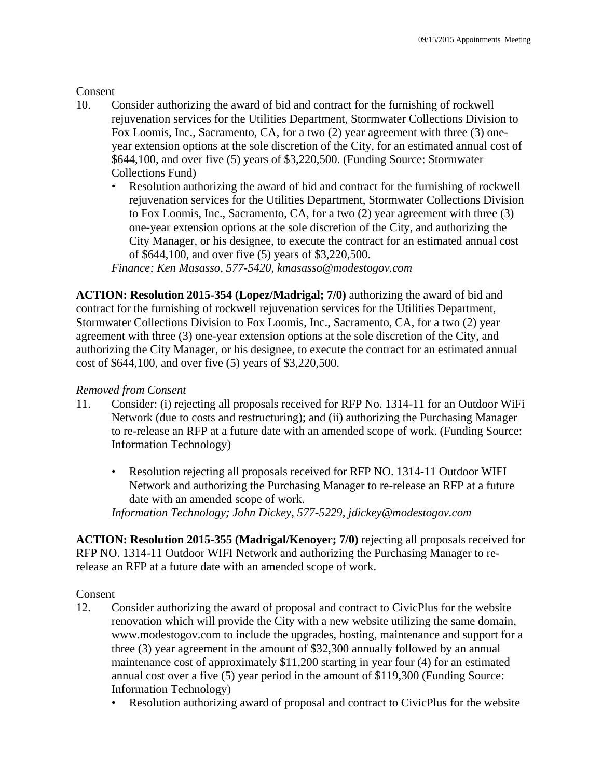## **Consent**

- 10. Consider authorizing the award of bid and contract for the furnishing of rockwell rejuvenation services for the Utilities Department, Stormwater Collections Division to Fox Loomis, Inc., Sacramento, CA, for a two (2) year agreement with three (3) oneyear extension options at the sole discretion of the City, for an estimated annual cost of \$644,100, and over five (5) years of \$3,220,500. (Funding Source: Stormwater Collections Fund)
	- Resolution authorizing the award of bid and contract for the furnishing of rockwell rejuvenation services for the Utilities Department, Stormwater Collections Division to Fox Loomis, Inc., Sacramento, CA, for a two (2) year agreement with three (3) one-year extension options at the sole discretion of the City, and authorizing the City Manager, or his designee, to execute the contract for an estimated annual cost of \$644,100, and over five (5) years of \$3,220,500.

*Finance; Ken Masasso, 577-5420, kmasasso@modestogov.com* 

**ACTION: Resolution 2015-354 (Lopez/Madrigal; 7/0)** authorizing the award of bid and contract for the furnishing of rockwell rejuvenation services for the Utilities Department, Stormwater Collections Division to Fox Loomis, Inc., Sacramento, CA, for a two (2) year agreement with three (3) one-year extension options at the sole discretion of the City, and authorizing the City Manager, or his designee, to execute the contract for an estimated annual cost of \$644,100, and over five (5) years of \$3,220,500.

### *Removed from Consent*

- 11. Consider: (i) rejecting all proposals received for RFP No. 1314-11 for an Outdoor WiFi Network (due to costs and restructuring); and (ii) authorizing the Purchasing Manager to re-release an RFP at a future date with an amended scope of work. (Funding Source: Information Technology)
	- Resolution rejecting all proposals received for RFP NO. 1314-11 Outdoor WIFI Network and authorizing the Purchasing Manager to re-release an RFP at a future date with an amended scope of work.

*Information Technology; John Dickey, 577-5229, jdickey@modestogov.com* 

**ACTION: Resolution 2015-355 (Madrigal/Kenoyer; 7/0)** rejecting all proposals received for RFP NO. 1314-11 Outdoor WIFI Network and authorizing the Purchasing Manager to rerelease an RFP at a future date with an amended scope of work.

**Consent** 

- 12. Consider authorizing the award of proposal and contract to CivicPlus for the website renovation which will provide the City with a new website utilizing the same domain, www.modestogov.com to include the upgrades, hosting, maintenance and support for a three (3) year agreement in the amount of \$32,300 annually followed by an annual maintenance cost of approximately \$11,200 starting in year four (4) for an estimated annual cost over a five (5) year period in the amount of \$119,300 (Funding Source: Information Technology)
	- Resolution authorizing award of proposal and contract to CivicPlus for the website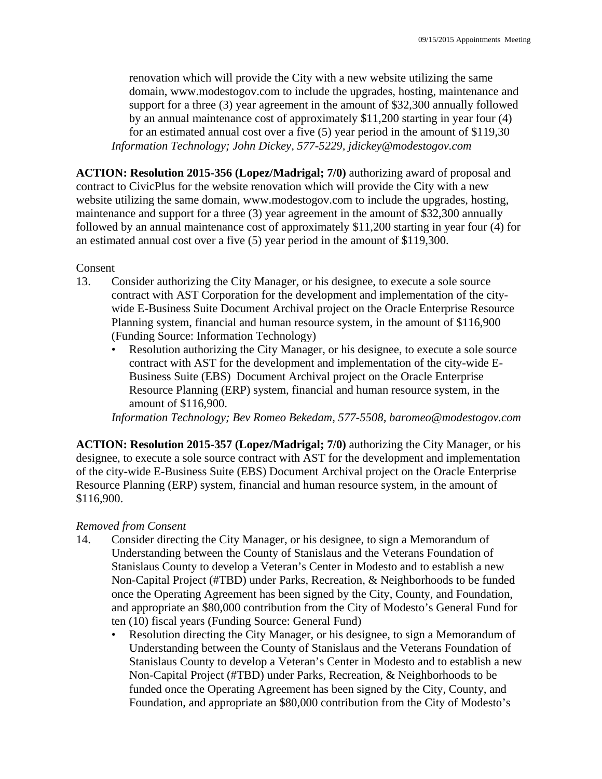renovation which will provide the City with a new website utilizing the same domain, www.modestogov.com to include the upgrades, hosting, maintenance and support for a three (3) year agreement in the amount of \$32,300 annually followed by an annual maintenance cost of approximately \$11,200 starting in year four (4) for an estimated annual cost over a five (5) year period in the amount of \$119,30 *Information Technology; John Dickey, 577-5229, jdickey@modestogov.com* 

**ACTION: Resolution 2015-356 (Lopez/Madrigal; 7/0)** authorizing award of proposal and contract to CivicPlus for the website renovation which will provide the City with a new website utilizing the same domain, www.modestogov.com to include the upgrades, hosting, maintenance and support for a three (3) year agreement in the amount of \$32,300 annually followed by an annual maintenance cost of approximately \$11,200 starting in year four (4) for an estimated annual cost over a five (5) year period in the amount of \$119,300.

Consent

- 13. Consider authorizing the City Manager, or his designee, to execute a sole source contract with AST Corporation for the development and implementation of the citywide E-Business Suite Document Archival project on the Oracle Enterprise Resource Planning system, financial and human resource system, in the amount of \$116,900 (Funding Source: Information Technology)
	- Resolution authorizing the City Manager, or his designee, to execute a sole source contract with AST for the development and implementation of the city-wide E-Business Suite (EBS) Document Archival project on the Oracle Enterprise Resource Planning (ERP) system, financial and human resource system, in the amount of \$116,900.

*Information Technology; Bev Romeo Bekedam, 577-5508, baromeo@modestogov.com* 

**ACTION: Resolution 2015-357 (Lopez/Madrigal; 7/0)** authorizing the City Manager, or his designee, to execute a sole source contract with AST for the development and implementation of the city-wide E-Business Suite (EBS) Document Archival project on the Oracle Enterprise Resource Planning (ERP) system, financial and human resource system, in the amount of \$116,900.

### *Removed from Consent*

- 14. Consider directing the City Manager, or his designee, to sign a Memorandum of Understanding between the County of Stanislaus and the Veterans Foundation of Stanislaus County to develop a Veteran's Center in Modesto and to establish a new Non-Capital Project (#TBD) under Parks, Recreation, & Neighborhoods to be funded once the Operating Agreement has been signed by the City, County, and Foundation, and appropriate an \$80,000 contribution from the City of Modesto's General Fund for ten (10) fiscal years (Funding Source: General Fund)
	- Resolution directing the City Manager, or his designee, to sign a Memorandum of Understanding between the County of Stanislaus and the Veterans Foundation of Stanislaus County to develop a Veteran's Center in Modesto and to establish a new Non-Capital Project (#TBD) under Parks, Recreation, & Neighborhoods to be funded once the Operating Agreement has been signed by the City, County, and Foundation, and appropriate an \$80,000 contribution from the City of Modesto's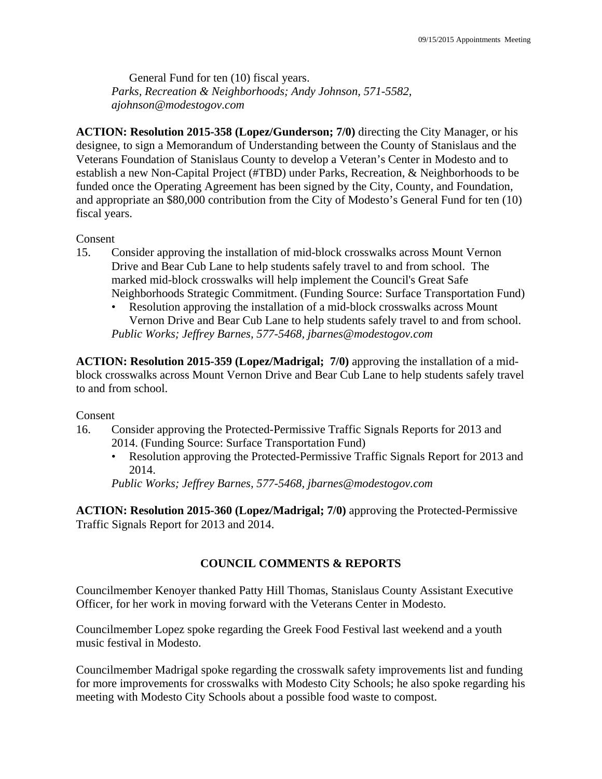General Fund for ten (10) fiscal years. *Parks, Recreation & Neighborhoods; Andy Johnson, 571-5582, ajohnson@modestogov.com* 

**ACTION: Resolution 2015-358 (Lopez/Gunderson; 7/0)** directing the City Manager, or his designee, to sign a Memorandum of Understanding between the County of Stanislaus and the Veterans Foundation of Stanislaus County to develop a Veteran's Center in Modesto and to establish a new Non-Capital Project (#TBD) under Parks, Recreation, & Neighborhoods to be funded once the Operating Agreement has been signed by the City, County, and Foundation, and appropriate an \$80,000 contribution from the City of Modesto's General Fund for ten (10) fiscal years.

### Consent

- 15. Consider approving the installation of mid-block crosswalks across Mount Vernon Drive and Bear Cub Lane to help students safely travel to and from school. The marked mid-block crosswalks will help implement the Council's Great Safe Neighborhoods Strategic Commitment. (Funding Source: Surface Transportation Fund)
	- Resolution approving the installation of a mid-block crosswalks across Mount Vernon Drive and Bear Cub Lane to help students safely travel to and from school. *Public Works; Jeffrey Barnes, 577-5468, jbarnes@modestogov.com*

**ACTION: Resolution 2015-359 (Lopez/Madrigal; 7/0)** approving the installation of a midblock crosswalks across Mount Vernon Drive and Bear Cub Lane to help students safely travel to and from school.

### Consent

- 16. Consider approving the Protected-Permissive Traffic Signals Reports for 2013 and 2014. (Funding Source: Surface Transportation Fund)
	- Resolution approving the Protected-Permissive Traffic Signals Report for 2013 and 2014.

*Public Works; Jeffrey Barnes, 577-5468, jbarnes@modestogov.com* 

**ACTION: Resolution 2015-360 (Lopez/Madrigal; 7/0)** approving the Protected-Permissive Traffic Signals Report for 2013 and 2014.

### **COUNCIL COMMENTS & REPORTS**

Councilmember Kenoyer thanked Patty Hill Thomas, Stanislaus County Assistant Executive Officer, for her work in moving forward with the Veterans Center in Modesto.

Councilmember Lopez spoke regarding the Greek Food Festival last weekend and a youth music festival in Modesto.

Councilmember Madrigal spoke regarding the crosswalk safety improvements list and funding for more improvements for crosswalks with Modesto City Schools; he also spoke regarding his meeting with Modesto City Schools about a possible food waste to compost.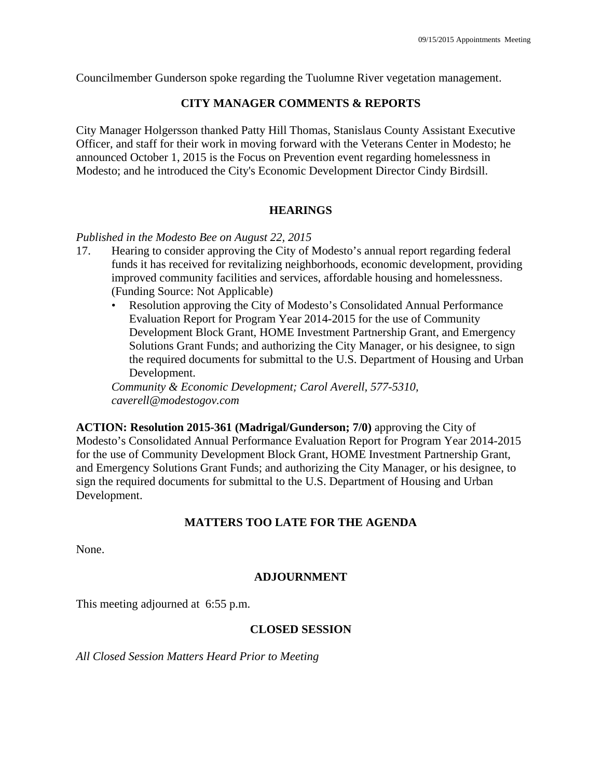Councilmember Gunderson spoke regarding the Tuolumne River vegetation management.

## **CITY MANAGER COMMENTS & REPORTS**

City Manager Holgersson thanked Patty Hill Thomas, Stanislaus County Assistant Executive Officer, and staff for their work in moving forward with the Veterans Center in Modesto; he announced October 1, 2015 is the Focus on Prevention event regarding homelessness in Modesto; and he introduced the City's Economic Development Director Cindy Birdsill.

### **HEARINGS**

### *Published in the Modesto Bee on August 22, 2015*

- 17. Hearing to consider approving the City of Modesto's annual report regarding federal funds it has received for revitalizing neighborhoods, economic development, providing improved community facilities and services, affordable housing and homelessness. (Funding Source: Not Applicable)
	- Resolution approving the City of Modesto's Consolidated Annual Performance Evaluation Report for Program Year 2014-2015 for the use of Community Development Block Grant, HOME Investment Partnership Grant, and Emergency Solutions Grant Funds; and authorizing the City Manager, or his designee, to sign the required documents for submittal to the U.S. Department of Housing and Urban Development.

*Community & Economic Development; Carol Averell, 577-5310, caverell@modestogov.com* 

**ACTION: Resolution 2015-361 (Madrigal/Gunderson; 7/0)** approving the City of Modesto's Consolidated Annual Performance Evaluation Report for Program Year 2014-2015 for the use of Community Development Block Grant, HOME Investment Partnership Grant, and Emergency Solutions Grant Funds; and authorizing the City Manager, or his designee, to sign the required documents for submittal to the U.S. Department of Housing and Urban Development.

### **MATTERS TOO LATE FOR THE AGENDA**

None.

### **ADJOURNMENT**

This meeting adjourned at 6:55 p.m.

### **CLOSED SESSION**

*All Closed Session Matters Heard Prior to Meeting*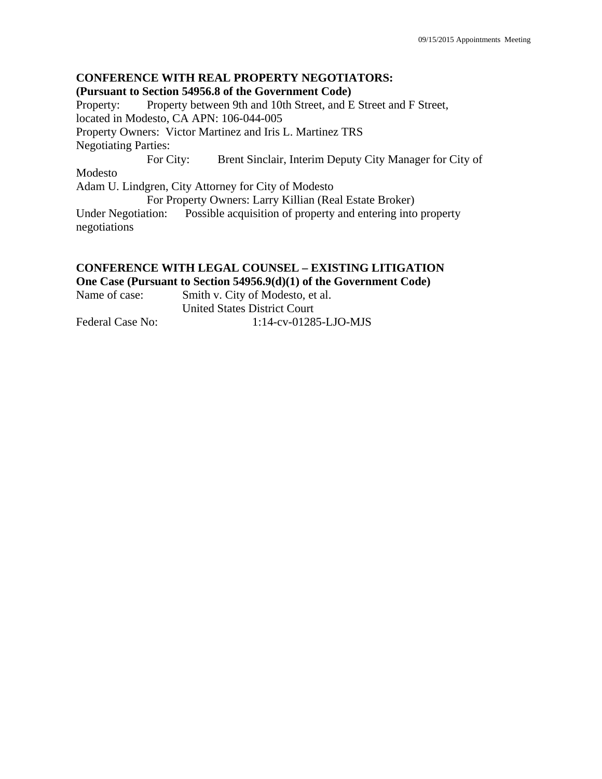## **CONFERENCE WITH REAL PROPERTY NEGOTIATORS: (Pursuant to Section 54956.8 of the Government Code)**  Property: Property between 9th and 10th Street, and E Street and F Street, located in Modesto, CA APN: 106-044-005 Property Owners: Victor Martinez and Iris L. Martinez TRS Negotiating Parties: For City: Brent Sinclair, Interim Deputy City Manager for City of Modesto Adam U. Lindgren, City Attorney for City of Modesto For Property Owners: Larry Killian (Real Estate Broker) Under Negotiation: Possible acquisition of property and entering into property negotiations

## **CONFERENCE WITH LEGAL COUNSEL – EXISTING LITIGATION**

**One Case (Pursuant to Section 54956.9(d)(1) of the Government Code)** 

| Name of case:    | Smith v. City of Modesto, et al.    |
|------------------|-------------------------------------|
|                  | <b>United States District Court</b> |
| Federal Case No: | $1:14$ -cv-01285-LJO-MJS            |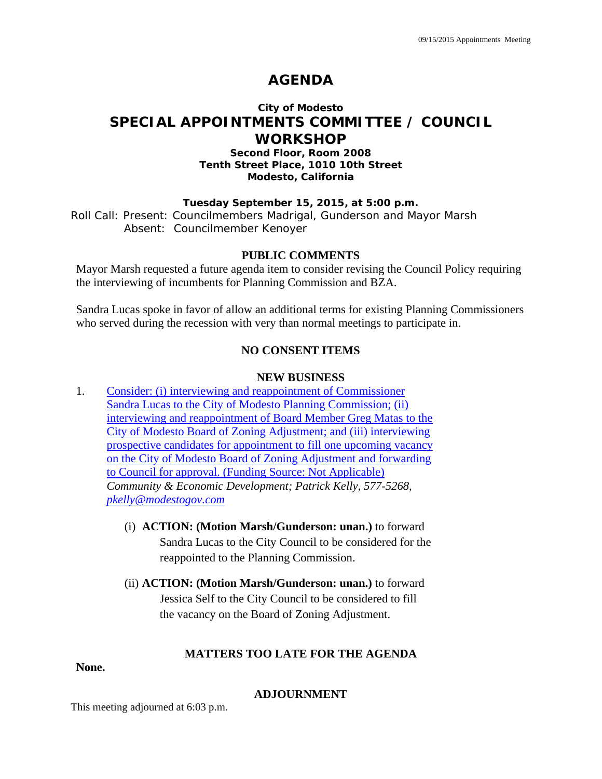## **AGENDA**

## **City of Modesto SPECIAL APPOINTMENTS COMMITTEE / COUNCIL WORKSHOP**

### **Second Floor, Room 2008 Tenth Street Place, 1010 10th Street Modesto, California**

### **Tuesday September 15, 2015, at 5:00 p.m.**

Roll Call: Present: Councilmembers Madrigal, Gunderson and Mayor Marsh Absent: Councilmember Kenoyer

### **PUBLIC COMMENTS**

Mayor Marsh requested a future agenda item to consider revising the Council Policy requiring the interviewing of incumbents for Planning Commission and BZA.

Sandra Lucas spoke in favor of allow an additional terms for existing Planning Commissioners who served during the recession with very than normal meetings to participate in.

### **NO CONSENT ITEMS**

### **NEW BUSINESS**

- 1. Consider: (i) interviewing and reappointment of Commissioner Sandra Lucas to the City of Modesto Planning Commission; (ii) interviewing and reappointment of Board Member Greg Matas to the City of Modesto Board of Zoning Adjustment; and (iii) interviewing prospective candidates for appointment to fill one upcoming vacancy on the City of Modesto Board of Zoning Adjustment and forwarding to Council for approval. (Funding Source: Not Applicable) *Community & Economic Development; Patrick Kelly, 577-5268, pkelly@modestogov.com* 
	- (i) **ACTION: (Motion Marsh/Gunderson: unan.)** to forward Sandra Lucas to the City Council to be considered for the reappointed to the Planning Commission.
	- (ii) **ACTION: (Motion Marsh/Gunderson: unan.)** to forward Jessica Self to the City Council to be considered to fill the vacancy on the Board of Zoning Adjustment.

### **MATTERS TOO LATE FOR THE AGENDA**

### **None.**

### **ADJOURNMENT**

This meeting adjourned at 6:03 p.m.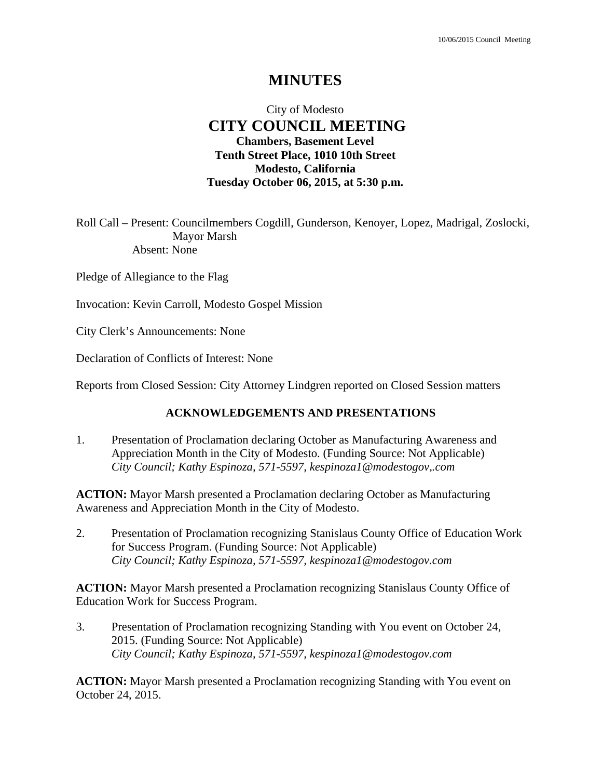## City of Modesto  **CITY COUNCIL MEETING Chambers, Basement Level Tenth Street Place, 1010 10th Street Modesto, California Tuesday October 06, 2015, at 5:30 p.m.**

Roll Call – Present: Councilmembers Cogdill, Gunderson, Kenoyer, Lopez, Madrigal, Zoslocki, Mayor Marsh Absent: None

Pledge of Allegiance to the Flag

Invocation: Kevin Carroll, Modesto Gospel Mission

City Clerk's Announcements: None

Declaration of Conflicts of Interest: None

Reports from Closed Session: City Attorney Lindgren reported on Closed Session matters

### **ACKNOWLEDGEMENTS AND PRESENTATIONS**

1. Presentation of Proclamation declaring October as Manufacturing Awareness and Appreciation Month in the City of Modesto. (Funding Source: Not Applicable)  *City Council; Kathy Espinoza, 571-5597, kespinoza1@modestogov,.com* 

**ACTION:** Mayor Marsh presented a Proclamation declaring October as Manufacturing Awareness and Appreciation Month in the City of Modesto.

2. Presentation of Proclamation recognizing Stanislaus County Office of Education Work for Success Program. (Funding Source: Not Applicable)  *City Council; Kathy Espinoza, 571-5597, kespinoza1@modestogov.com* 

**ACTION:** Mayor Marsh presented a Proclamation recognizing Stanislaus County Office of Education Work for Success Program.

3. Presentation of Proclamation recognizing Standing with You event on October 24, 2015. (Funding Source: Not Applicable)  *City Council; Kathy Espinoza, 571-5597, kespinoza1@modestogov.com* 

**ACTION:** Mayor Marsh presented a Proclamation recognizing Standing with You event on October 24, 2015.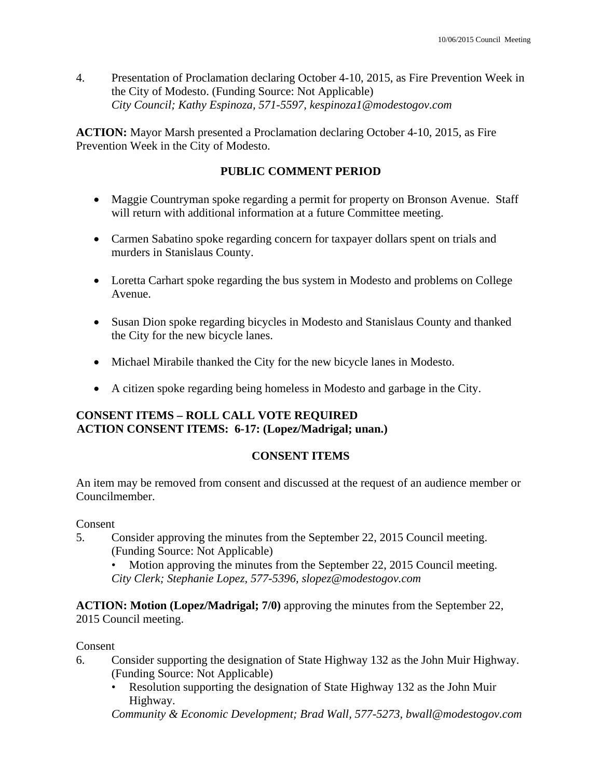4. Presentation of Proclamation declaring October 4-10, 2015, as Fire Prevention Week in the City of Modesto. (Funding Source: Not Applicable)  *City Council; Kathy Espinoza, 571-5597, kespinoza1@modestogov.com* 

**ACTION:** Mayor Marsh presented a Proclamation declaring October 4-10, 2015, as Fire Prevention Week in the City of Modesto.

## **PUBLIC COMMENT PERIOD**

- Maggie Countryman spoke regarding a permit for property on Bronson Avenue. Staff will return with additional information at a future Committee meeting.
- Carmen Sabatino spoke regarding concern for taxpayer dollars spent on trials and murders in Stanislaus County.
- Loretta Carhart spoke regarding the bus system in Modesto and problems on College Avenue.
- Susan Dion spoke regarding bicycles in Modesto and Stanislaus County and thanked the City for the new bicycle lanes.
- Michael Mirabile thanked the City for the new bicycle lanes in Modesto.
- A citizen spoke regarding being homeless in Modesto and garbage in the City.

## **CONSENT ITEMS – ROLL CALL VOTE REQUIRED ACTION CONSENT ITEMS: 6-17: (Lopez/Madrigal; unan.)**

## **CONSENT ITEMS**

An item may be removed from consent and discussed at the request of an audience member or Councilmember.

### Consent

5. Consider approving the minutes from the September 22, 2015 Council meeting. (Funding Source: Not Applicable)

Motion approving the minutes from the September 22, 2015 Council meeting. *City Clerk; Stephanie Lopez, 577-5396, slopez@modestogov.com* 

**ACTION: Motion (Lopez/Madrigal; 7/0)** approving the minutes from the September 22, 2015 Council meeting.

## Consent

- 6. Consider supporting the designation of State Highway 132 as the John Muir Highway. (Funding Source: Not Applicable)
	- Resolution supporting the designation of State Highway 132 as the John Muir Highway.

*Community & Economic Development; Brad Wall, 577-5273, bwall@modestogov.com*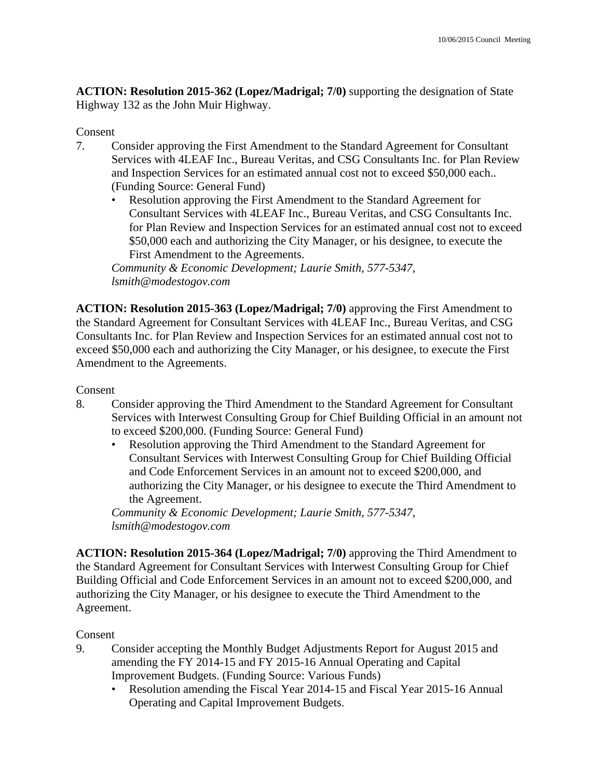**ACTION: Resolution 2015-362 (Lopez/Madrigal; 7/0)** supporting the designation of State Highway 132 as the John Muir Highway.

## Consent

- 7. Consider approving the First Amendment to the Standard Agreement for Consultant Services with 4LEAF Inc., Bureau Veritas, and CSG Consultants Inc. for Plan Review and Inspection Services for an estimated annual cost not to exceed \$50,000 each.. (Funding Source: General Fund)
	- Resolution approving the First Amendment to the Standard Agreement for Consultant Services with 4LEAF Inc., Bureau Veritas, and CSG Consultants Inc. for Plan Review and Inspection Services for an estimated annual cost not to exceed \$50,000 each and authorizing the City Manager, or his designee, to execute the First Amendment to the Agreements.

*Community & Economic Development; Laurie Smith, 577-5347, lsmith@modestogov.com* 

**ACTION: Resolution 2015-363 (Lopez/Madrigal; 7/0)** approving the First Amendment to the Standard Agreement for Consultant Services with 4LEAF Inc., Bureau Veritas, and CSG Consultants Inc. for Plan Review and Inspection Services for an estimated annual cost not to exceed \$50,000 each and authorizing the City Manager, or his designee, to execute the First Amendment to the Agreements.

### Consent

- 8. Consider approving the Third Amendment to the Standard Agreement for Consultant Services with Interwest Consulting Group for Chief Building Official in an amount not to exceed \$200,000. (Funding Source: General Fund)
	- Resolution approving the Third Amendment to the Standard Agreement for Consultant Services with Interwest Consulting Group for Chief Building Official and Code Enforcement Services in an amount not to exceed \$200,000, and authorizing the City Manager, or his designee to execute the Third Amendment to the Agreement.

*Community & Economic Development; Laurie Smith, 577-5347, lsmith@modestogov.com* 

**ACTION: Resolution 2015-364 (Lopez/Madrigal; 7/0)** approving the Third Amendment to the Standard Agreement for Consultant Services with Interwest Consulting Group for Chief Building Official and Code Enforcement Services in an amount not to exceed \$200,000, and authorizing the City Manager, or his designee to execute the Third Amendment to the Agreement.

### Consent

- 9. Consider accepting the Monthly Budget Adjustments Report for August 2015 and amending the FY 2014-15 and FY 2015-16 Annual Operating and Capital Improvement Budgets. (Funding Source: Various Funds)
	- Resolution amending the Fiscal Year 2014-15 and Fiscal Year 2015-16 Annual Operating and Capital Improvement Budgets.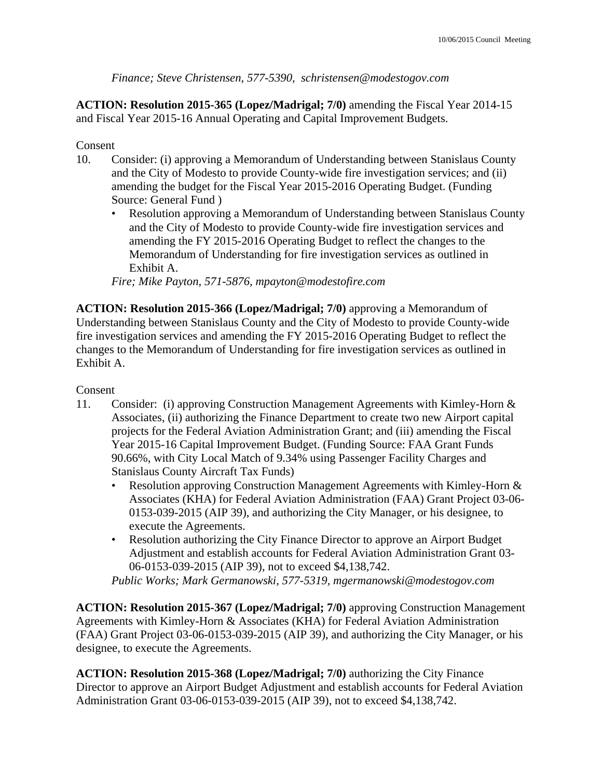*Finance; Steve Christensen, 577-5390, schristensen@modestogov.com* 

**ACTION: Resolution 2015-365 (Lopez/Madrigal; 7/0)** amending the Fiscal Year 2014-15 and Fiscal Year 2015-16 Annual Operating and Capital Improvement Budgets.

## Consent

- 10. Consider: (i) approving a Memorandum of Understanding between Stanislaus County and the City of Modesto to provide County-wide fire investigation services; and (ii) amending the budget for the Fiscal Year 2015-2016 Operating Budget. (Funding Source: General Fund )
	- Resolution approving a Memorandum of Understanding between Stanislaus County and the City of Modesto to provide County-wide fire investigation services and amending the FY 2015-2016 Operating Budget to reflect the changes to the Memorandum of Understanding for fire investigation services as outlined in Exhibit A.

*Fire; Mike Payton, 571-5876, mpayton@modestofire.com* 

**ACTION: Resolution 2015-366 (Lopez/Madrigal; 7/0)** approving a Memorandum of Understanding between Stanislaus County and the City of Modesto to provide County-wide fire investigation services and amending the FY 2015-2016 Operating Budget to reflect the changes to the Memorandum of Understanding for fire investigation services as outlined in Exhibit A.

### Consent

- 11. Consider: (i) approving Construction Management Agreements with Kimley-Horn & Associates, (ii) authorizing the Finance Department to create two new Airport capital projects for the Federal Aviation Administration Grant; and (iii) amending the Fiscal Year 2015-16 Capital Improvement Budget. (Funding Source: FAA Grant Funds 90.66%, with City Local Match of 9.34% using Passenger Facility Charges and Stanislaus County Aircraft Tax Funds)
	- Resolution approving Construction Management Agreements with Kimley-Horn & Associates (KHA) for Federal Aviation Administration (FAA) Grant Project 03-06- 0153-039-2015 (AIP 39), and authorizing the City Manager, or his designee, to execute the Agreements.
	- Resolution authorizing the City Finance Director to approve an Airport Budget Adjustment and establish accounts for Federal Aviation Administration Grant 03- 06-0153-039-2015 (AIP 39), not to exceed \$4,138,742.

*Public Works; Mark Germanowski, 577-5319, mgermanowski@modestogov.com* 

**ACTION: Resolution 2015-367 (Lopez/Madrigal; 7/0)** approving Construction Management Agreements with Kimley-Horn & Associates (KHA) for Federal Aviation Administration (FAA) Grant Project 03-06-0153-039-2015 (AIP 39), and authorizing the City Manager, or his designee, to execute the Agreements.

**ACTION: Resolution 2015-368 (Lopez/Madrigal; 7/0)** authorizing the City Finance Director to approve an Airport Budget Adjustment and establish accounts for Federal Aviation Administration Grant 03-06-0153-039-2015 (AIP 39), not to exceed \$4,138,742.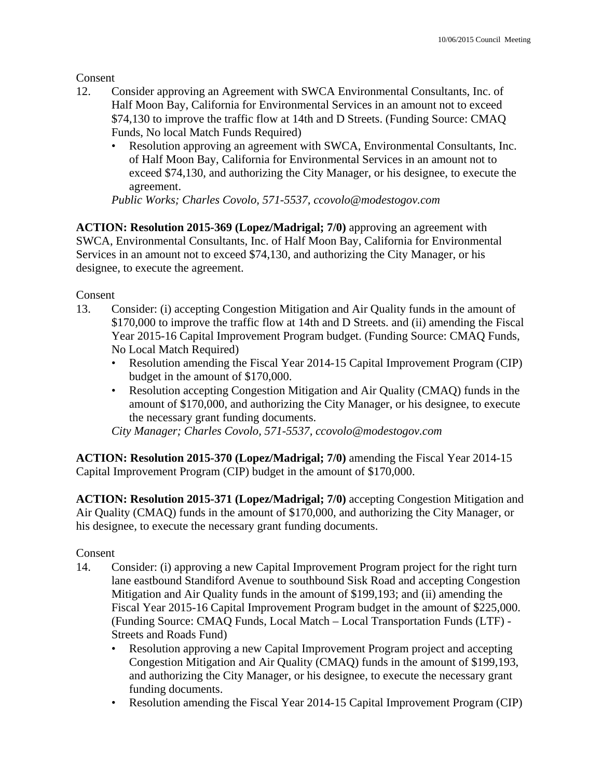Consent

- 12. Consider approving an Agreement with SWCA Environmental Consultants, Inc. of Half Moon Bay, California for Environmental Services in an amount not to exceed \$74,130 to improve the traffic flow at 14th and D Streets. (Funding Source: CMAQ Funds, No local Match Funds Required)
	- Resolution approving an agreement with SWCA, Environmental Consultants, Inc. of Half Moon Bay, California for Environmental Services in an amount not to exceed \$74,130, and authorizing the City Manager, or his designee, to execute the agreement.

*Public Works; Charles Covolo, 571-5537, ccovolo@modestogov.com* 

**ACTION: Resolution 2015-369 (Lopez/Madrigal; 7/0)** approving an agreement with SWCA, Environmental Consultants, Inc. of Half Moon Bay, California for Environmental Services in an amount not to exceed \$74,130, and authorizing the City Manager, or his designee, to execute the agreement.

Consent

- 13. Consider: (i) accepting Congestion Mitigation and Air Quality funds in the amount of \$170,000 to improve the traffic flow at 14th and D Streets. and (ii) amending the Fiscal Year 2015-16 Capital Improvement Program budget. (Funding Source: CMAQ Funds, No Local Match Required)
	- Resolution amending the Fiscal Year 2014-15 Capital Improvement Program (CIP) budget in the amount of \$170,000.
	- Resolution accepting Congestion Mitigation and Air Quality (CMAQ) funds in the amount of \$170,000, and authorizing the City Manager, or his designee, to execute the necessary grant funding documents.

*City Manager; Charles Covolo, 571-5537, ccovolo@modestogov.com* 

**ACTION: Resolution 2015-370 (Lopez/Madrigal; 7/0)** amending the Fiscal Year 2014-15 Capital Improvement Program (CIP) budget in the amount of \$170,000.

**ACTION: Resolution 2015-371 (Lopez/Madrigal; 7/0)** accepting Congestion Mitigation and Air Quality (CMAQ) funds in the amount of \$170,000, and authorizing the City Manager, or his designee, to execute the necessary grant funding documents.

### Consent

- 14. Consider: (i) approving a new Capital Improvement Program project for the right turn lane eastbound Standiford Avenue to southbound Sisk Road and accepting Congestion Mitigation and Air Quality funds in the amount of \$199,193; and (ii) amending the Fiscal Year 2015-16 Capital Improvement Program budget in the amount of \$225,000. (Funding Source: CMAQ Funds, Local Match – Local Transportation Funds (LTF) - Streets and Roads Fund)
	- Resolution approving a new Capital Improvement Program project and accepting Congestion Mitigation and Air Quality (CMAQ) funds in the amount of \$199,193, and authorizing the City Manager, or his designee, to execute the necessary grant funding documents.
	- Resolution amending the Fiscal Year 2014-15 Capital Improvement Program (CIP)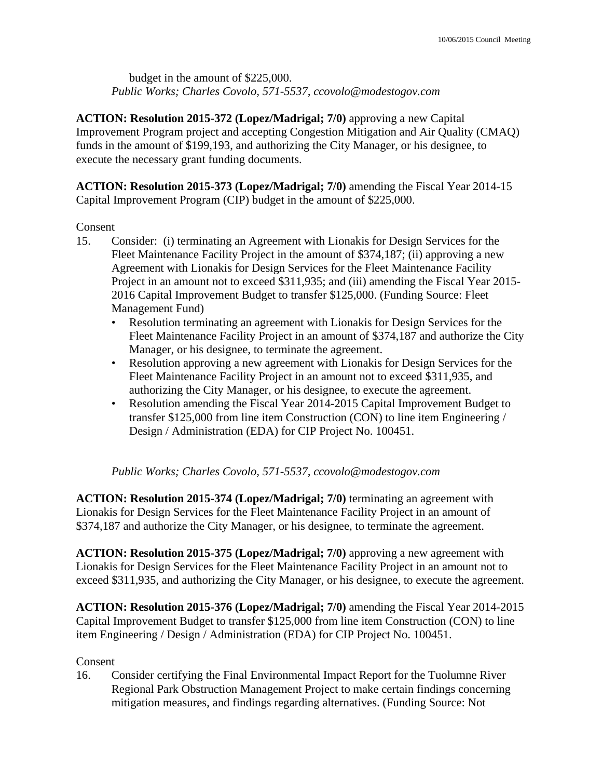budget in the amount of \$225,000. *Public Works; Charles Covolo, 571-5537, ccovolo@modestogov.com* 

**ACTION: Resolution 2015-372 (Lopez/Madrigal; 7/0)** approving a new Capital Improvement Program project and accepting Congestion Mitigation and Air Quality (CMAQ) funds in the amount of \$199,193, and authorizing the City Manager, or his designee, to execute the necessary grant funding documents.

**ACTION: Resolution 2015-373 (Lopez/Madrigal; 7/0)** amending the Fiscal Year 2014-15 Capital Improvement Program (CIP) budget in the amount of \$225,000.

## Consent

- 15. Consider: (i) terminating an Agreement with Lionakis for Design Services for the Fleet Maintenance Facility Project in the amount of \$374,187; (ii) approving a new Agreement with Lionakis for Design Services for the Fleet Maintenance Facility Project in an amount not to exceed \$311,935; and (iii) amending the Fiscal Year 2015- 2016 Capital Improvement Budget to transfer \$125,000. (Funding Source: Fleet Management Fund)
	- Resolution terminating an agreement with Lionakis for Design Services for the Fleet Maintenance Facility Project in an amount of \$374,187 and authorize the City Manager, or his designee, to terminate the agreement.
	- Resolution approving a new agreement with Lionakis for Design Services for the Fleet Maintenance Facility Project in an amount not to exceed \$311,935, and authorizing the City Manager, or his designee, to execute the agreement.
	- Resolution amending the Fiscal Year 2014-2015 Capital Improvement Budget to transfer \$125,000 from line item Construction (CON) to line item Engineering / Design / Administration (EDA) for CIP Project No. 100451.

*Public Works; Charles Covolo, 571-5537, ccovolo@modestogov.com* 

**ACTION: Resolution 2015-374 (Lopez/Madrigal; 7/0)** terminating an agreement with Lionakis for Design Services for the Fleet Maintenance Facility Project in an amount of \$374,187 and authorize the City Manager, or his designee, to terminate the agreement.

**ACTION: Resolution 2015-375 (Lopez/Madrigal; 7/0)** approving a new agreement with Lionakis for Design Services for the Fleet Maintenance Facility Project in an amount not to exceed \$311,935, and authorizing the City Manager, or his designee, to execute the agreement.

**ACTION: Resolution 2015-376 (Lopez/Madrigal; 7/0)** amending the Fiscal Year 2014-2015 Capital Improvement Budget to transfer \$125,000 from line item Construction (CON) to line item Engineering / Design / Administration (EDA) for CIP Project No. 100451.

## Consent

16. Consider certifying the Final Environmental Impact Report for the Tuolumne River Regional Park Obstruction Management Project to make certain findings concerning mitigation measures, and findings regarding alternatives. (Funding Source: Not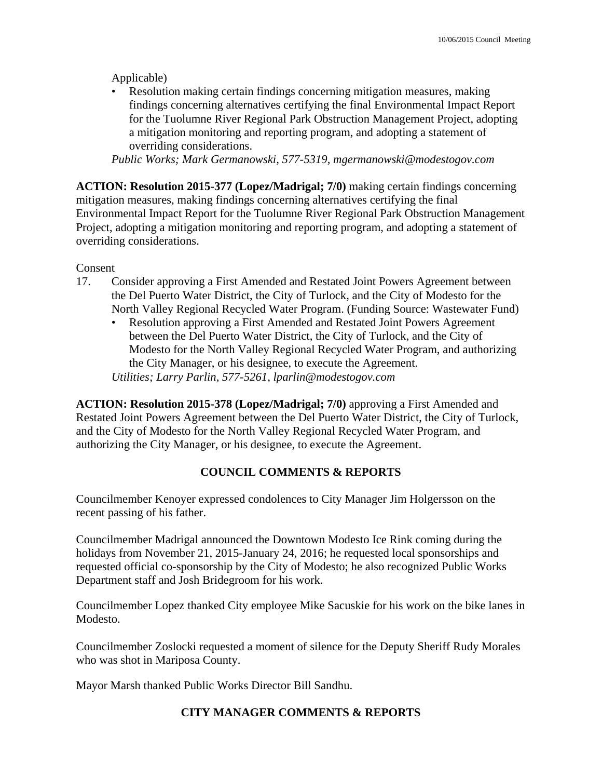Applicable)

• Resolution making certain findings concerning mitigation measures, making findings concerning alternatives certifying the final Environmental Impact Report for the Tuolumne River Regional Park Obstruction Management Project, adopting a mitigation monitoring and reporting program, and adopting a statement of overriding considerations.

*Public Works; Mark Germanowski, 577-5319, mgermanowski@modestogov.com* 

**ACTION: Resolution 2015-377 (Lopez/Madrigal; 7/0)** making certain findings concerning mitigation measures, making findings concerning alternatives certifying the final Environmental Impact Report for the Tuolumne River Regional Park Obstruction Management Project, adopting a mitigation monitoring and reporting program, and adopting a statement of overriding considerations.

Consent

- 17. Consider approving a First Amended and Restated Joint Powers Agreement between the Del Puerto Water District, the City of Turlock, and the City of Modesto for the North Valley Regional Recycled Water Program. (Funding Source: Wastewater Fund)
	- Resolution approving a First Amended and Restated Joint Powers Agreement between the Del Puerto Water District, the City of Turlock, and the City of Modesto for the North Valley Regional Recycled Water Program, and authorizing the City Manager, or his designee, to execute the Agreement. *Utilities; Larry Parlin, 577-5261, lparlin@modestogov.com*

**ACTION: Resolution 2015-378 (Lopez/Madrigal; 7/0)** approving a First Amended and Restated Joint Powers Agreement between the Del Puerto Water District, the City of Turlock, and the City of Modesto for the North Valley Regional Recycled Water Program, and authorizing the City Manager, or his designee, to execute the Agreement.

# **COUNCIL COMMENTS & REPORTS**

Councilmember Kenoyer expressed condolences to City Manager Jim Holgersson on the recent passing of his father.

Councilmember Madrigal announced the Downtown Modesto Ice Rink coming during the holidays from November 21, 2015-January 24, 2016; he requested local sponsorships and requested official co-sponsorship by the City of Modesto; he also recognized Public Works Department staff and Josh Bridegroom for his work.

Councilmember Lopez thanked City employee Mike Sacuskie for his work on the bike lanes in Modesto.

Councilmember Zoslocki requested a moment of silence for the Deputy Sheriff Rudy Morales who was shot in Mariposa County.

Mayor Marsh thanked Public Works Director Bill Sandhu.

# **CITY MANAGER COMMENTS & REPORTS**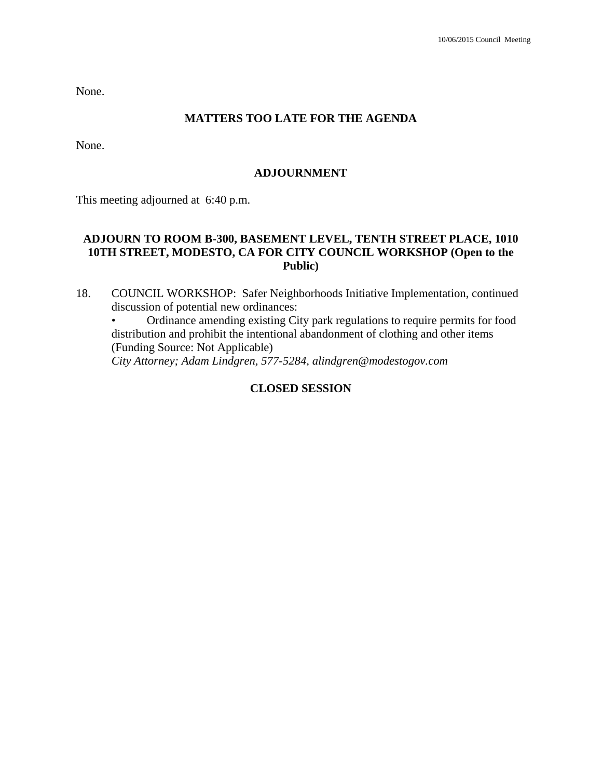None.

### **MATTERS TOO LATE FOR THE AGENDA**

None.

#### **ADJOURNMENT**

This meeting adjourned at 6:40 p.m.

## **ADJOURN TO ROOM B-300, BASEMENT LEVEL, TENTH STREET PLACE, 1010 10TH STREET, MODESTO, CA FOR CITY COUNCIL WORKSHOP (Open to the Public)**

18. COUNCIL WORKSHOP: Safer Neighborhoods Initiative Implementation, continued discussion of potential new ordinances:

• Ordinance amending existing City park regulations to require permits for food distribution and prohibit the intentional abandonment of clothing and other items (Funding Source: Not Applicable)

 *City Attorney; Adam Lindgren, 577-5284, alindgren@modestogov.com* 

### **CLOSED SESSION**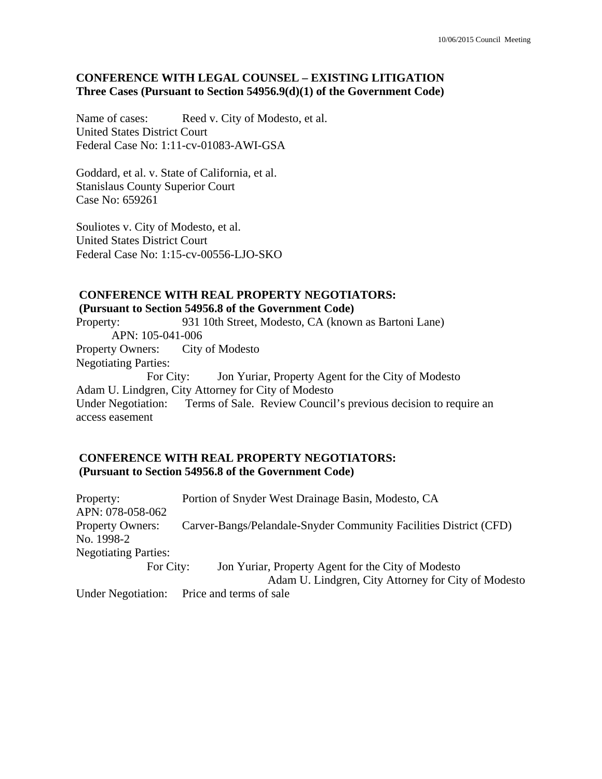# **CONFERENCE WITH LEGAL COUNSEL – EXISTING LITIGATION Three Cases (Pursuant to Section 54956.9(d)(1) of the Government Code)**

Name of cases: Reed v. City of Modesto, et al. United States District Court Federal Case No: 1:11-cv-01083-AWI-GSA

Goddard, et al. v. State of California, et al. Stanislaus County Superior Court Case No: 659261

Souliotes v. City of Modesto, et al. United States District Court Federal Case No: 1:15-cv-00556-LJO-SKO

# **CONFERENCE WITH REAL PROPERTY NEGOTIATORS:**

 **(Pursuant to Section 54956.8 of the Government Code)** 

Property: 931 10th Street, Modesto, CA (known as Bartoni Lane) APN: 105-041-006 Property Owners: City of Modesto Negotiating Parties: For City: Jon Yuriar, Property Agent for the City of Modesto Adam U. Lindgren, City Attorney for City of Modesto Under Negotiation: Terms of Sale. Review Council's previous decision to require an access easement

### **CONFERENCE WITH REAL PROPERTY NEGOTIATORS: (Pursuant to Section 54956.8 of the Government Code)**

Property: Portion of Snyder West Drainage Basin, Modesto, CA APN: 078-058-062 Property Owners: Carver-Bangs/Pelandale-Snyder Community Facilities District (CFD) No. 1998-2 Negotiating Parties: For City: Jon Yuriar, Property Agent for the City of Modesto Adam U. Lindgren, City Attorney for City of Modesto

Under Negotiation: Price and terms of sale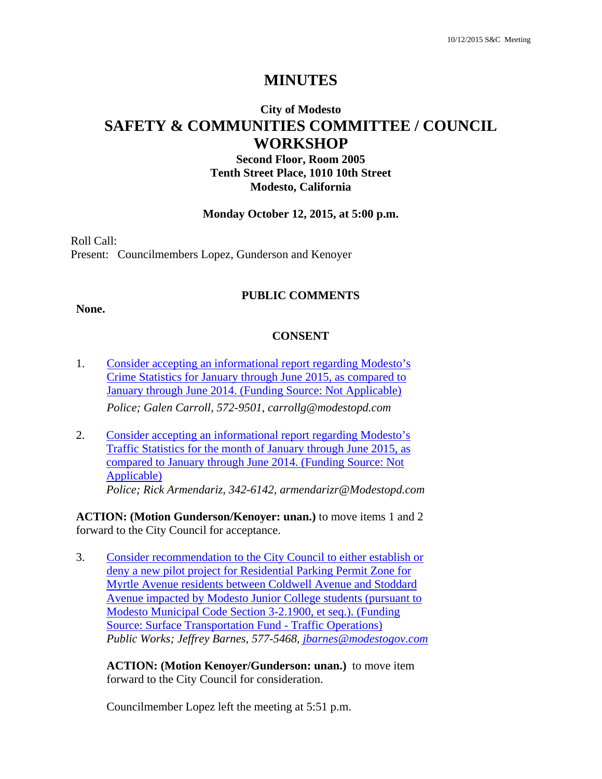# **MINUTES**

# **City of Modesto SAFETY & COMMUNITIES COMMITTEE / COUNCIL WORKSHOP**

**Second Floor, Room 2005 Tenth Street Place, 1010 10th Street Modesto, California**

#### **Monday October 12, 2015, at 5:00 p.m.**

Roll Call: Present: Councilmembers Lopez, Gunderson and Kenoyer

#### **PUBLIC COMMENTS**

#### **None.**

#### **CONSENT**

- 1. Consider accepting an informational report regarding Modesto's Crime Statistics for January through June 2015, as compared to January through June 2014. (Funding Source: Not Applicable) *Police; Galen Carroll, 572-9501, carrollg@modestopd.com*
- 2. Consider accepting an informational report regarding Modesto's Traffic Statistics for the month of January through June 2015, as compared to January through June 2014. (Funding Source: Not Applicable) *Police; Rick Armendariz, 342-6142, armendarizr@Modestopd.com*

**ACTION: (Motion Gunderson/Kenoyer: unan.)** to move items 1 and 2 forward to the City Council for acceptance.

3. Consider recommendation to the City Council to either establish or deny a new pilot project for Residential Parking Permit Zone for Myrtle Avenue residents between Coldwell Avenue and Stoddard Avenue impacted by Modesto Junior College students (pursuant to Modesto Municipal Code Section 3-2.1900, et seq.). (Funding Source: Surface Transportation Fund - Traffic Operations) *Public Works; Jeffrey Barnes, 577-5468, jbarnes@modestogov.com* 

**ACTION: (Motion Kenoyer/Gunderson: unan.)** to move item forward to the City Council for consideration.

Councilmember Lopez left the meeting at 5:51 p.m.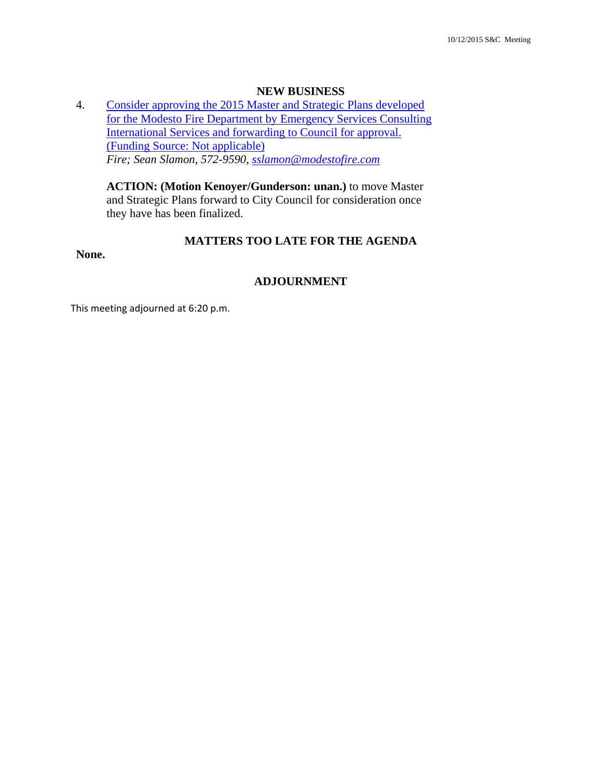#### **NEW BUSINESS**

4. Consider approving the 2015 Master and Strategic Plans developed for the Modesto Fire Department by Emergency Services Consulting International Services and forwarding to Council for approval. (Funding Source: Not applicable) *Fire; Sean Slamon, 572-9590, sslamon@modestofire.com* 

**ACTION: (Motion Kenoyer/Gunderson: unan.)** to move Master and Strategic Plans forward to City Council for consideration once they have has been finalized.

### **MATTERS TOO LATE FOR THE AGENDA**

**None.** 

#### **ADJOURNMENT**

This meeting adjourned at 6:20 p.m.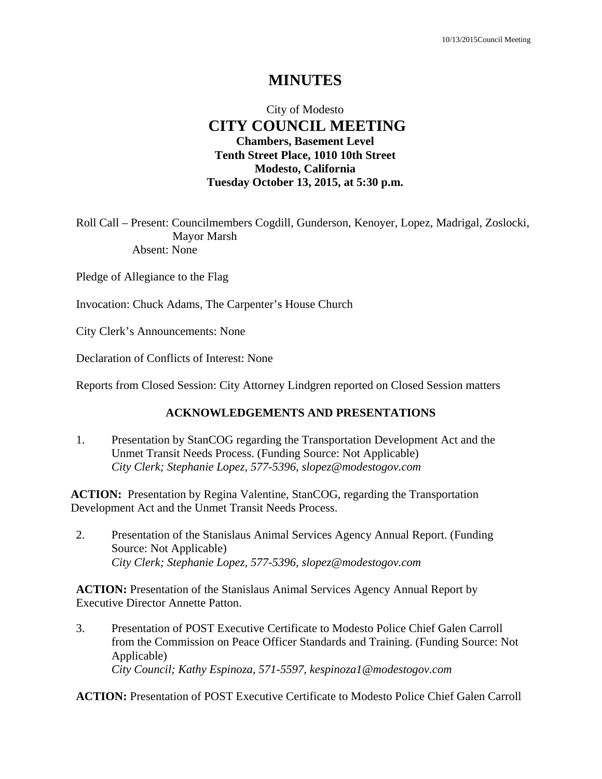# **MINUTES**

# City of Modesto  **CITY COUNCIL MEETING Chambers, Basement Level Tenth Street Place, 1010 10th Street Modesto, California Tuesday October 13, 2015, at 5:30 p.m.**

Roll Call – Present: Councilmembers Cogdill, Gunderson, Kenoyer, Lopez, Madrigal, Zoslocki, Mayor Marsh Absent: None

Pledge of Allegiance to the Flag

Invocation: Chuck Adams, The Carpenter's House Church

City Clerk's Announcements: None

Declaration of Conflicts of Interest: None

Reports from Closed Session: City Attorney Lindgren reported on Closed Session matters

#### **ACKNOWLEDGEMENTS AND PRESENTATIONS**

1. Presentation by StanCOG regarding the Transportation Development Act and the Unmet Transit Needs Process. (Funding Source: Not Applicable)  *City Clerk; Stephanie Lopez, 577-5396, slopez@modestogov.com* 

**ACTION:** Presentation by Regina Valentine, StanCOG, regarding the Transportation Development Act and the Unmet Transit Needs Process.

2. Presentation of the Stanislaus Animal Services Agency Annual Report. (Funding Source: Not Applicable)  *City Clerk; Stephanie Lopez, 577-5396, slopez@modestogov.com* 

**ACTION:** Presentation of the Stanislaus Animal Services Agency Annual Report by Executive Director Annette Patton.

3. Presentation of POST Executive Certificate to Modesto Police Chief Galen Carroll from the Commission on Peace Officer Standards and Training. (Funding Source: Not Applicable)  *City Council; Kathy Espinoza, 571-5597, kespinoza1@modestogov.com* 

**ACTION:** Presentation of POST Executive Certificate to Modesto Police Chief Galen Carroll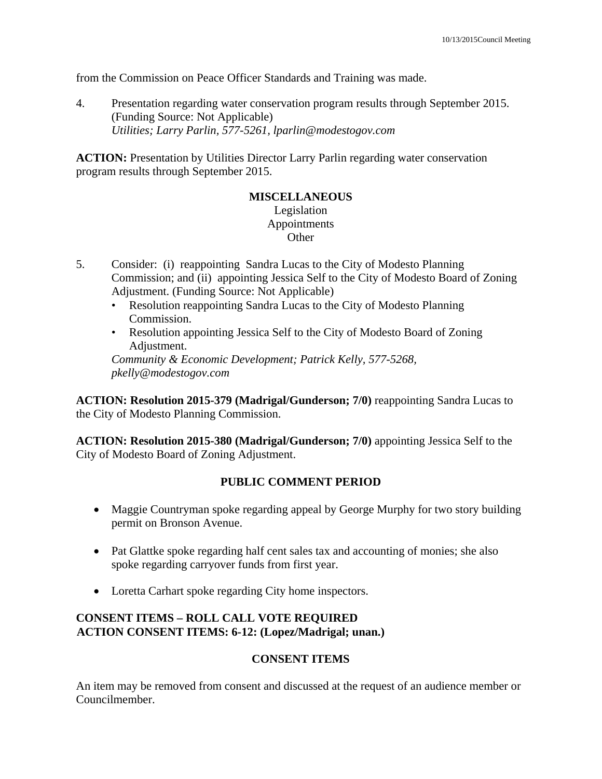from the Commission on Peace Officer Standards and Training was made.

4. Presentation regarding water conservation program results through September 2015. (Funding Source: Not Applicable)  *Utilities; Larry Parlin, 577-5261, lparlin@modestogov.com* 

**ACTION:** Presentation by Utilities Director Larry Parlin regarding water conservation program results through September 2015.

# **MISCELLANEOUS**

### Legislation Appointments **Other**

- 5. Consider: (i) reappointing Sandra Lucas to the City of Modesto Planning Commission; and (ii) appointing Jessica Self to the City of Modesto Board of Zoning Adjustment. (Funding Source: Not Applicable)
	- Resolution reappointing Sandra Lucas to the City of Modesto Planning Commission.
	- Resolution appointing Jessica Self to the City of Modesto Board of Zoning Adjustment.

*Community & Economic Development; Patrick Kelly, 577-5268, pkelly@modestogov.com* 

**ACTION: Resolution 2015-379 (Madrigal/Gunderson; 7/0)** reappointing Sandra Lucas to the City of Modesto Planning Commission.

**ACTION: Resolution 2015-380 (Madrigal/Gunderson; 7/0)** appointing Jessica Self to the City of Modesto Board of Zoning Adjustment.

# **PUBLIC COMMENT PERIOD**

- Maggie Countryman spoke regarding appeal by George Murphy for two story building permit on Bronson Avenue.
- Pat Glattke spoke regarding half cent sales tax and accounting of monies; she also spoke regarding carryover funds from first year.
- Loretta Carhart spoke regarding City home inspectors.

# **CONSENT ITEMS – ROLL CALL VOTE REQUIRED ACTION CONSENT ITEMS: 6-12: (Lopez/Madrigal; unan.)**

# **CONSENT ITEMS**

An item may be removed from consent and discussed at the request of an audience member or Councilmember.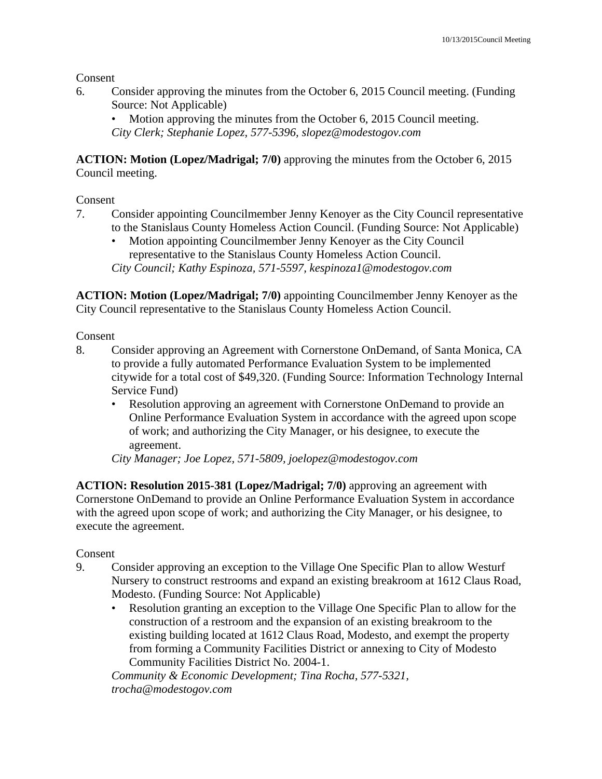Consent

6. Consider approving the minutes from the October 6, 2015 Council meeting. (Funding Source: Not Applicable)

Motion approving the minutes from the October 6, 2015 Council meeting. *City Clerk; Stephanie Lopez, 577-5396, slopez@modestogov.com* 

**ACTION: Motion (Lopez/Madrigal; 7/0)** approving the minutes from the October 6, 2015 Council meeting.

Consent

- 7. Consider appointing Councilmember Jenny Kenoyer as the City Council representative to the Stanislaus County Homeless Action Council. (Funding Source: Not Applicable)
	- Motion appointing Councilmember Jenny Kenoyer as the City Council representative to the Stanislaus County Homeless Action Council. *City Council; Kathy Espinoza, 571-5597, kespinoza1@modestogov.com*

**ACTION: Motion (Lopez/Madrigal; 7/0)** appointing Councilmember Jenny Kenoyer as the City Council representative to the Stanislaus County Homeless Action Council.

Consent

- 8. Consider approving an Agreement with Cornerstone OnDemand, of Santa Monica, CA to provide a fully automated Performance Evaluation System to be implemented citywide for a total cost of \$49,320. (Funding Source: Information Technology Internal Service Fund)
	- Resolution approving an agreement with Cornerstone OnDemand to provide an Online Performance Evaluation System in accordance with the agreed upon scope of work; and authorizing the City Manager, or his designee, to execute the agreement.

*City Manager; Joe Lopez, 571-5809, joelopez@modestogov.com* 

**ACTION: Resolution 2015-381 (Lopez/Madrigal; 7/0)** approving an agreement with Cornerstone OnDemand to provide an Online Performance Evaluation System in accordance with the agreed upon scope of work; and authorizing the City Manager, or his designee, to execute the agreement.

# Consent

- 9. Consider approving an exception to the Village One Specific Plan to allow Westurf Nursery to construct restrooms and expand an existing breakroom at 1612 Claus Road, Modesto. (Funding Source: Not Applicable)
	- Resolution granting an exception to the Village One Specific Plan to allow for the construction of a restroom and the expansion of an existing breakroom to the existing building located at 1612 Claus Road, Modesto, and exempt the property from forming a Community Facilities District or annexing to City of Modesto Community Facilities District No. 2004-1.

*Community & Economic Development; Tina Rocha, 577-5321, trocha@modestogov.com*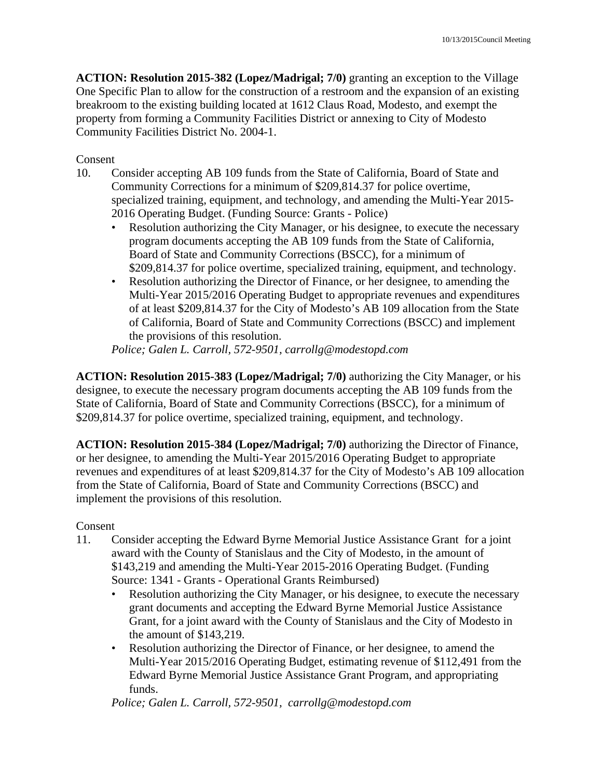**ACTION: Resolution 2015-382 (Lopez/Madrigal; 7/0)** granting an exception to the Village One Specific Plan to allow for the construction of a restroom and the expansion of an existing breakroom to the existing building located at 1612 Claus Road, Modesto, and exempt the property from forming a Community Facilities District or annexing to City of Modesto Community Facilities District No. 2004-1.

Consent

- 10. Consider accepting AB 109 funds from the State of California, Board of State and Community Corrections for a minimum of \$209,814.37 for police overtime, specialized training, equipment, and technology, and amending the Multi-Year 2015- 2016 Operating Budget. (Funding Source: Grants - Police)
	- Resolution authorizing the City Manager, or his designee, to execute the necessary program documents accepting the AB 109 funds from the State of California, Board of State and Community Corrections (BSCC), for a minimum of \$209,814.37 for police overtime, specialized training, equipment, and technology.
	- Resolution authorizing the Director of Finance, or her designee, to amending the Multi-Year 2015/2016 Operating Budget to appropriate revenues and expenditures of at least \$209,814.37 for the City of Modesto's AB 109 allocation from the State of California, Board of State and Community Corrections (BSCC) and implement the provisions of this resolution.

*Police; Galen L. Carroll, 572-9501, carrollg@modestopd.com* 

**ACTION: Resolution 2015-383 (Lopez/Madrigal; 7/0)** authorizing the City Manager, or his designee, to execute the necessary program documents accepting the AB 109 funds from the State of California, Board of State and Community Corrections (BSCC), for a minimum of \$209,814.37 for police overtime, specialized training, equipment, and technology.

**ACTION: Resolution 2015-384 (Lopez/Madrigal; 7/0)** authorizing the Director of Finance, or her designee, to amending the Multi-Year 2015/2016 Operating Budget to appropriate revenues and expenditures of at least \$209,814.37 for the City of Modesto's AB 109 allocation from the State of California, Board of State and Community Corrections (BSCC) and implement the provisions of this resolution.

Consent

- 11. Consider accepting the Edward Byrne Memorial Justice Assistance Grant for a joint award with the County of Stanislaus and the City of Modesto, in the amount of \$143,219 and amending the Multi-Year 2015-2016 Operating Budget. (Funding Source: 1341 - Grants - Operational Grants Reimbursed)
	- Resolution authorizing the City Manager, or his designee, to execute the necessary grant documents and accepting the Edward Byrne Memorial Justice Assistance Grant, for a joint award with the County of Stanislaus and the City of Modesto in the amount of \$143,219.
	- Resolution authorizing the Director of Finance, or her designee, to amend the Multi-Year 2015/2016 Operating Budget, estimating revenue of \$112,491 from the Edward Byrne Memorial Justice Assistance Grant Program, and appropriating funds.

*Police; Galen L. Carroll, 572-9501, carrollg@modestopd.com*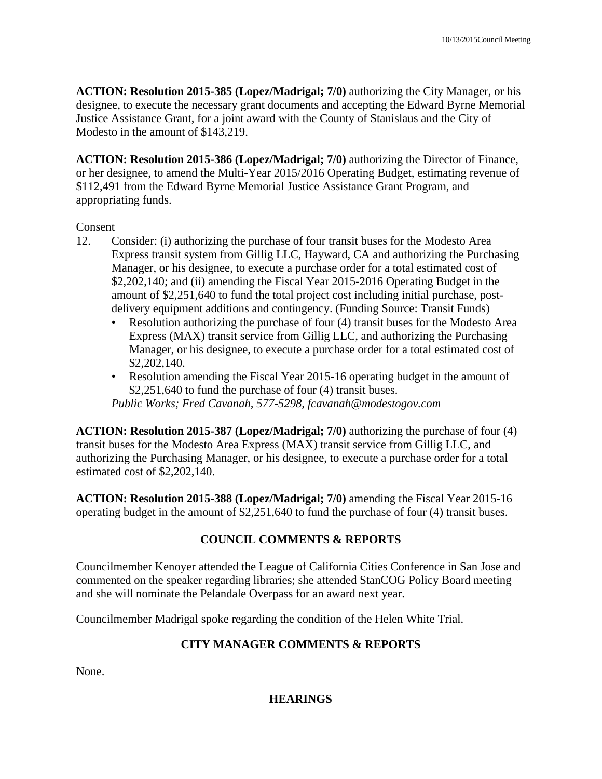**ACTION: Resolution 2015-385 (Lopez/Madrigal; 7/0)** authorizing the City Manager, or his designee, to execute the necessary grant documents and accepting the Edward Byrne Memorial Justice Assistance Grant, for a joint award with the County of Stanislaus and the City of Modesto in the amount of \$143,219.

**ACTION: Resolution 2015-386 (Lopez/Madrigal; 7/0)** authorizing the Director of Finance, or her designee, to amend the Multi-Year 2015/2016 Operating Budget, estimating revenue of \$112,491 from the Edward Byrne Memorial Justice Assistance Grant Program, and appropriating funds.

### Consent

- 12. Consider: (i) authorizing the purchase of four transit buses for the Modesto Area Express transit system from Gillig LLC, Hayward, CA and authorizing the Purchasing Manager, or his designee, to execute a purchase order for a total estimated cost of \$2,202,140; and (ii) amending the Fiscal Year 2015-2016 Operating Budget in the amount of \$2,251,640 to fund the total project cost including initial purchase, postdelivery equipment additions and contingency. (Funding Source: Transit Funds)
	- Resolution authorizing the purchase of four (4) transit buses for the Modesto Area Express (MAX) transit service from Gillig LLC, and authorizing the Purchasing Manager, or his designee, to execute a purchase order for a total estimated cost of \$2,202,140.
	- Resolution amending the Fiscal Year 2015-16 operating budget in the amount of \$2,251,640 to fund the purchase of four (4) transit buses.

*Public Works; Fred Cavanah, 577-5298, fcavanah@modestogov.com* 

**ACTION: Resolution 2015-387 (Lopez/Madrigal; 7/0)** authorizing the purchase of four (4) transit buses for the Modesto Area Express (MAX) transit service from Gillig LLC, and authorizing the Purchasing Manager, or his designee, to execute a purchase order for a total estimated cost of \$2,202,140.

**ACTION: Resolution 2015-388 (Lopez/Madrigal; 7/0)** amending the Fiscal Year 2015-16 operating budget in the amount of \$2,251,640 to fund the purchase of four (4) transit buses.

# **COUNCIL COMMENTS & REPORTS**

Councilmember Kenoyer attended the League of California Cities Conference in San Jose and commented on the speaker regarding libraries; she attended StanCOG Policy Board meeting and she will nominate the Pelandale Overpass for an award next year.

Councilmember Madrigal spoke regarding the condition of the Helen White Trial.

# **CITY MANAGER COMMENTS & REPORTS**

None.

# **HEARINGS**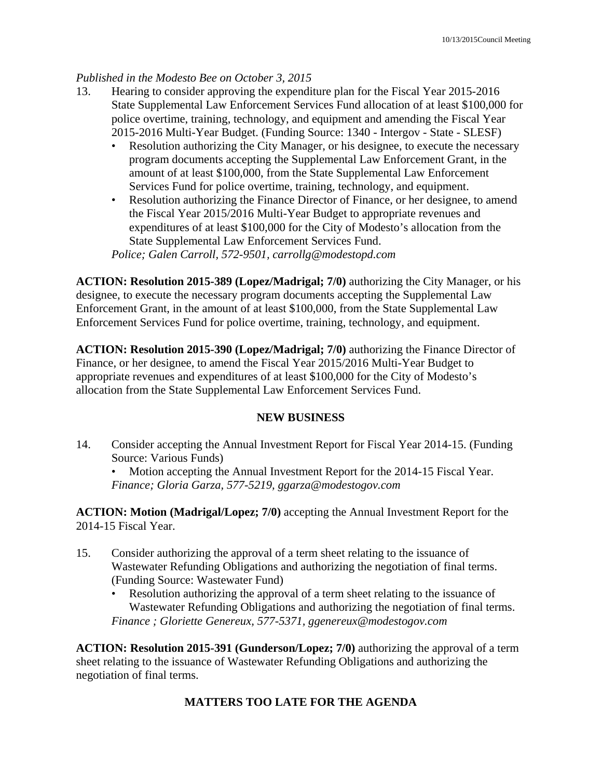## *Published in the Modesto Bee on October 3, 2015*

- 13. Hearing to consider approving the expenditure plan for the Fiscal Year 2015-2016 State Supplemental Law Enforcement Services Fund allocation of at least \$100,000 for police overtime, training, technology, and equipment and amending the Fiscal Year 2015-2016 Multi-Year Budget. (Funding Source: 1340 - Intergov - State - SLESF)
	- Resolution authorizing the City Manager, or his designee, to execute the necessary program documents accepting the Supplemental Law Enforcement Grant, in the amount of at least \$100,000, from the State Supplemental Law Enforcement Services Fund for police overtime, training, technology, and equipment.
	- Resolution authorizing the Finance Director of Finance, or her designee, to amend the Fiscal Year 2015/2016 Multi-Year Budget to appropriate revenues and expenditures of at least \$100,000 for the City of Modesto's allocation from the State Supplemental Law Enforcement Services Fund.

*Police; Galen Carroll, 572-9501, carrollg@modestopd.com* 

**ACTION: Resolution 2015-389 (Lopez/Madrigal; 7/0)** authorizing the City Manager, or his designee, to execute the necessary program documents accepting the Supplemental Law Enforcement Grant, in the amount of at least \$100,000, from the State Supplemental Law Enforcement Services Fund for police overtime, training, technology, and equipment.

**ACTION: Resolution 2015-390 (Lopez/Madrigal; 7/0)** authorizing the Finance Director of Finance, or her designee, to amend the Fiscal Year 2015/2016 Multi-Year Budget to appropriate revenues and expenditures of at least \$100,000 for the City of Modesto's allocation from the State Supplemental Law Enforcement Services Fund.

### **NEW BUSINESS**

14. Consider accepting the Annual Investment Report for Fiscal Year 2014-15. (Funding Source: Various Funds)

Motion accepting the Annual Investment Report for the 2014-15 Fiscal Year. *Finance; Gloria Garza, 577-5219, ggarza@modestogov.com* 

**ACTION: Motion (Madrigal/Lopez; 7/0)** accepting the Annual Investment Report for the 2014-15 Fiscal Year.

- 15. Consider authorizing the approval of a term sheet relating to the issuance of Wastewater Refunding Obligations and authorizing the negotiation of final terms. (Funding Source: Wastewater Fund)
	- Resolution authorizing the approval of a term sheet relating to the issuance of Wastewater Refunding Obligations and authorizing the negotiation of final terms. *Finance ; Gloriette Genereux, 577-5371, ggenereux@modestogov.com*

**ACTION: Resolution 2015-391 (Gunderson/Lopez; 7/0)** authorizing the approval of a term sheet relating to the issuance of Wastewater Refunding Obligations and authorizing the negotiation of final terms.

### **MATTERS TOO LATE FOR THE AGENDA**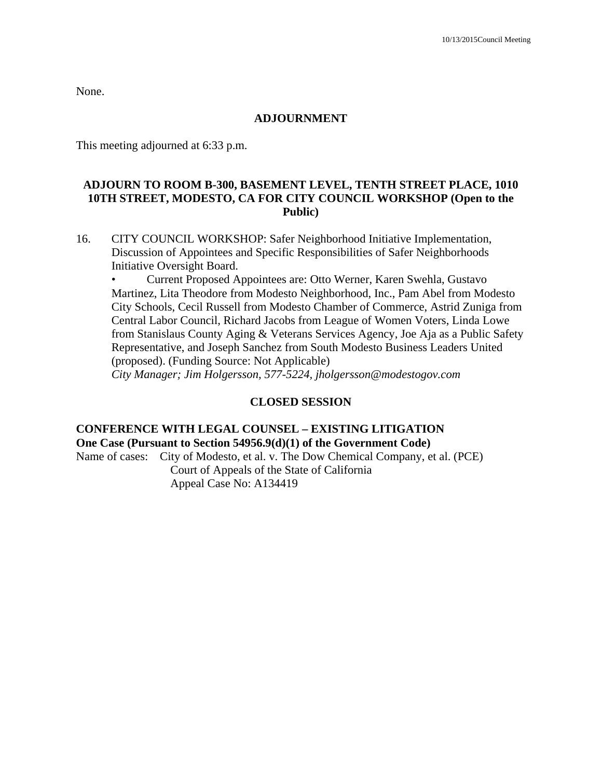None.

### **ADJOURNMENT**

This meeting adjourned at 6:33 p.m.

### **ADJOURN TO ROOM B-300, BASEMENT LEVEL, TENTH STREET PLACE, 1010 10TH STREET, MODESTO, CA FOR CITY COUNCIL WORKSHOP (Open to the Public)**

16. CITY COUNCIL WORKSHOP: Safer Neighborhood Initiative Implementation, Discussion of Appointees and Specific Responsibilities of Safer Neighborhoods Initiative Oversight Board.

• Current Proposed Appointees are: Otto Werner, Karen Swehla, Gustavo Martinez, Lita Theodore from Modesto Neighborhood, Inc., Pam Abel from Modesto City Schools, Cecil Russell from Modesto Chamber of Commerce, Astrid Zuniga from Central Labor Council, Richard Jacobs from League of Women Voters, Linda Lowe from Stanislaus County Aging & Veterans Services Agency, Joe Aja as a Public Safety Representative, and Joseph Sanchez from South Modesto Business Leaders United (proposed). (Funding Source: Not Applicable)  *City Manager; Jim Holgersson, 577-5224, jholgersson@modestogov.com* 

#### **CLOSED SESSION**

# **CONFERENCE WITH LEGAL COUNSEL – EXISTING LITIGATION One Case (Pursuant to Section 54956.9(d)(1) of the Government Code)**

Name of cases: City of Modesto, et al. v. The Dow Chemical Company, et al. (PCE) Court of Appeals of the State of California Appeal Case No: A134419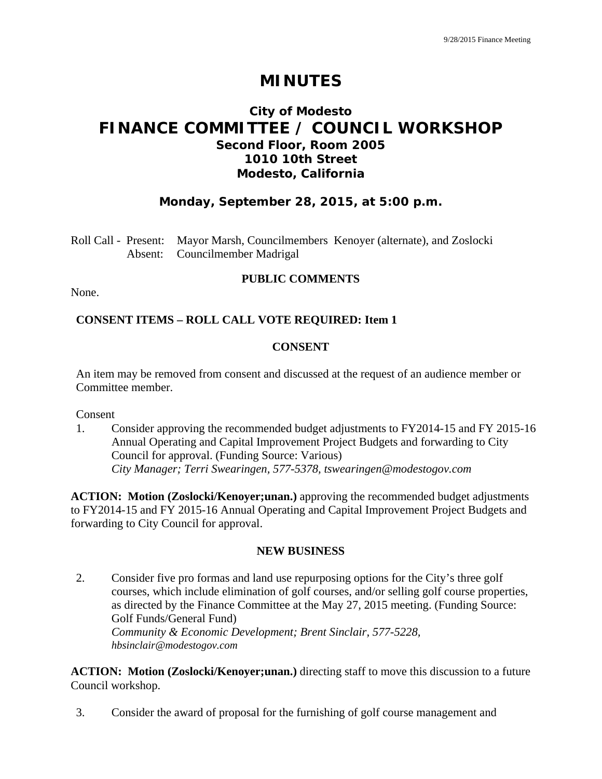# **MINUTES**

# **City of Modesto FINANCE COMMITTEE / COUNCIL WORKSHOP Second Floor, Room 2005 1010 10th Street Modesto, California**

# **Monday, September 28, 2015, at 5:00 p.m.**

Roll Call - Present: Mayor Marsh, Councilmembers Kenoyer (alternate), and Zoslocki Absent: Councilmember Madrigal

### **PUBLIC COMMENTS**

None.

### **CONSENT ITEMS – ROLL CALL VOTE REQUIRED: Item 1**

### **CONSENT**

An item may be removed from consent and discussed at the request of an audience member or Committee member.

Consent

1. Consider approving the recommended budget adjustments to FY2014-15 and FY 2015-16 Annual Operating and Capital Improvement Project Budgets and forwarding to City Council for approval. (Funding Source: Various)  *City Manager; Terri Swearingen, 577-5378, tswearingen@modestogov.com* 

**ACTION: Motion (Zoslocki/Kenoyer;unan.)** approving the recommended budget adjustments to FY2014-15 and FY 2015-16 Annual Operating and Capital Improvement Project Budgets and forwarding to City Council for approval.

### **NEW BUSINESS**

2. Consider five pro formas and land use repurposing options for the City's three golf courses, which include elimination of golf courses, and/or selling golf course properties, as directed by the Finance Committee at the May 27, 2015 meeting. (Funding Source: Golf Funds/General Fund)  *Community & Economic Development; Brent Sinclair, 577-5228, hbsinclair@modestogov.com* 

ACTION: Motion (Zoslocki/Kenoyer;unan.) directing staff to move this discussion to a future Council workshop.

3. Consider the award of proposal for the furnishing of golf course management and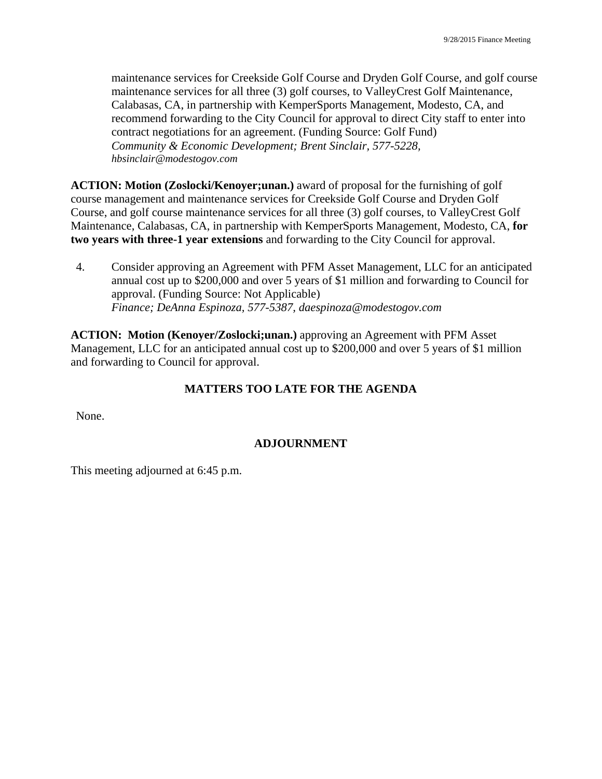maintenance services for Creekside Golf Course and Dryden Golf Course, and golf course maintenance services for all three (3) golf courses, to ValleyCrest Golf Maintenance, Calabasas, CA, in partnership with KemperSports Management, Modesto, CA, and recommend forwarding to the City Council for approval to direct City staff to enter into contract negotiations for an agreement. (Funding Source: Golf Fund)  *Community & Economic Development; Brent Sinclair, 577-5228, hbsinclair@modestogov.com* 

**ACTION: Motion (Zoslocki/Kenoyer;unan.)** award of proposal for the furnishing of golf course management and maintenance services for Creekside Golf Course and Dryden Golf Course, and golf course maintenance services for all three (3) golf courses, to ValleyCrest Golf Maintenance, Calabasas, CA, in partnership with KemperSports Management, Modesto, CA, **for two years with three-1 year extensions** and forwarding to the City Council for approval.

4. Consider approving an Agreement with PFM Asset Management, LLC for an anticipated annual cost up to \$200,000 and over 5 years of \$1 million and forwarding to Council for approval. (Funding Source: Not Applicable)  *Finance; DeAnna Espinoza, 577-5387, daespinoza@modestogov.com* 

**ACTION: Motion (Kenoyer/Zoslocki;unan.)** approving an Agreement with PFM Asset Management, LLC for an anticipated annual cost up to \$200,000 and over 5 years of \$1 million and forwarding to Council for approval.

# **MATTERS TOO LATE FOR THE AGENDA**

None.

# **ADJOURNMENT**

This meeting adjourned at 6:45 p.m.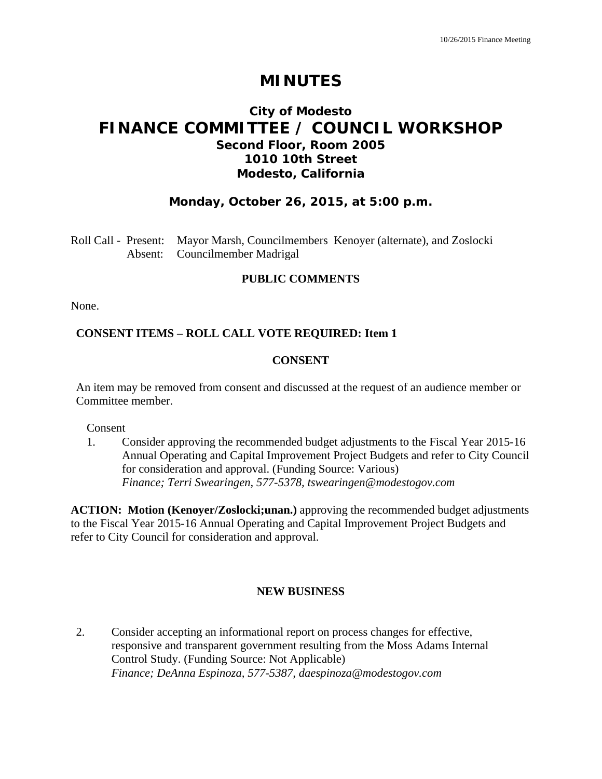# **MINUTES**

# **City of Modesto FINANCE COMMITTEE / COUNCIL WORKSHOP Second Floor, Room 2005 1010 10th Street Modesto, California**

# **Monday, October 26, 2015, at 5:00 p.m.**

Roll Call - Present: Mayor Marsh, Councilmembers Kenoyer (alternate), and Zoslocki Absent: Councilmember Madrigal

#### **PUBLIC COMMENTS**

None.

### **CONSENT ITEMS – ROLL CALL VOTE REQUIRED: Item 1**

#### **CONSENT**

An item may be removed from consent and discussed at the request of an audience member or Committee member.

Consent

1. Consider approving the recommended budget adjustments to the Fiscal Year 2015-16 Annual Operating and Capital Improvement Project Budgets and refer to City Council for consideration and approval. (Funding Source: Various)  *Finance; Terri Swearingen, 577-5378, tswearingen@modestogov.com* 

**ACTION: Motion (Kenoyer/Zoslocki;unan.)** approving the recommended budget adjustments to the Fiscal Year 2015-16 Annual Operating and Capital Improvement Project Budgets and refer to City Council for consideration and approval.

### **NEW BUSINESS**

2. Consider accepting an informational report on process changes for effective, responsive and transparent government resulting from the Moss Adams Internal Control Study. (Funding Source: Not Applicable)  *Finance; DeAnna Espinoza, 577-5387, daespinoza@modestogov.com*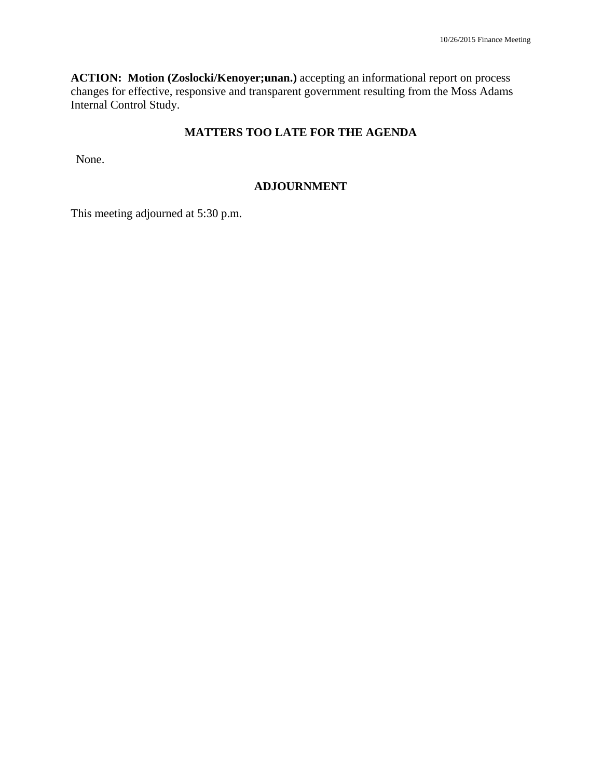**ACTION: Motion (Zoslocki/Kenoyer;unan.)** accepting an informational report on process changes for effective, responsive and transparent government resulting from the Moss Adams Internal Control Study.

# **MATTERS TOO LATE FOR THE AGENDA**

None.

## **ADJOURNMENT**

This meeting adjourned at 5:30 p.m.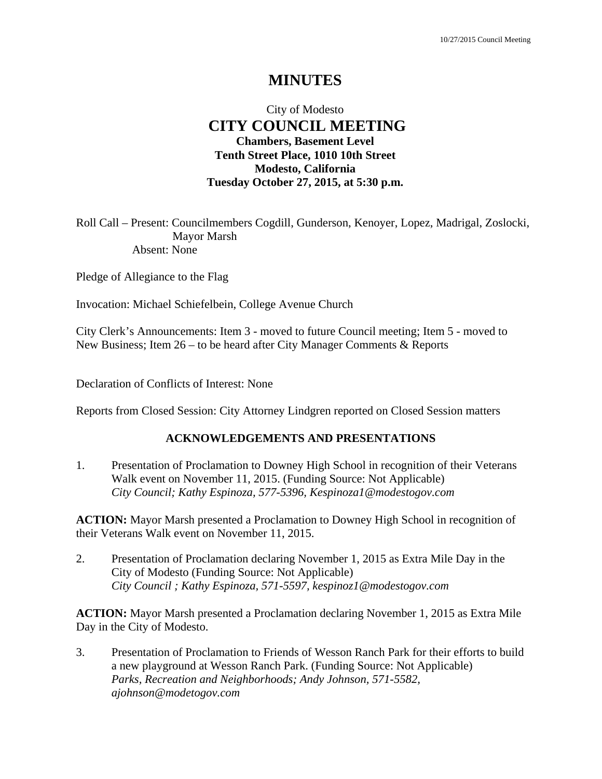# **MINUTES**

# City of Modesto  **CITY COUNCIL MEETING Chambers, Basement Level Tenth Street Place, 1010 10th Street Modesto, California Tuesday October 27, 2015, at 5:30 p.m.**

Roll Call – Present: Councilmembers Cogdill, Gunderson, Kenoyer, Lopez, Madrigal, Zoslocki, Mayor Marsh Absent: None

Pledge of Allegiance to the Flag

Invocation: Michael Schiefelbein, College Avenue Church

City Clerk's Announcements: Item 3 - moved to future Council meeting; Item 5 - moved to New Business; Item 26 – to be heard after City Manager Comments & Reports

Declaration of Conflicts of Interest: None

Reports from Closed Session: City Attorney Lindgren reported on Closed Session matters

### **ACKNOWLEDGEMENTS AND PRESENTATIONS**

1. Presentation of Proclamation to Downey High School in recognition of their Veterans Walk event on November 11, 2015. (Funding Source: Not Applicable)  *City Council; Kathy Espinoza, 577-5396, Kespinoza1@modestogov.com* 

**ACTION:** Mayor Marsh presented a Proclamation to Downey High School in recognition of their Veterans Walk event on November 11, 2015.

2. Presentation of Proclamation declaring November 1, 2015 as Extra Mile Day in the City of Modesto (Funding Source: Not Applicable)  *City Council ; Kathy Espinoza, 571-5597, kespinoz1@modestogov.com* 

**ACTION:** Mayor Marsh presented a Proclamation declaring November 1, 2015 as Extra Mile Day in the City of Modesto.

3. Presentation of Proclamation to Friends of Wesson Ranch Park for their efforts to build a new playground at Wesson Ranch Park. (Funding Source: Not Applicable)  *Parks, Recreation and Neighborhoods; Andy Johnson, 571-5582, ajohnson@modetogov.com*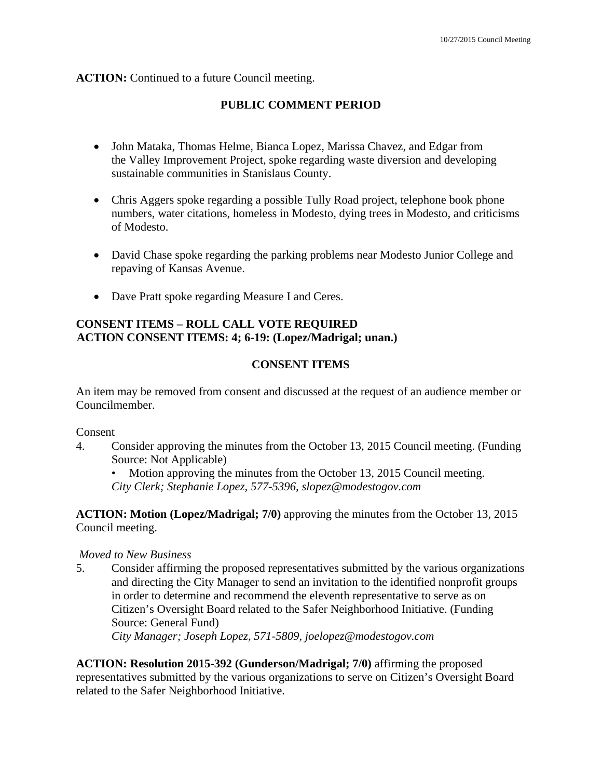### **ACTION:** Continued to a future Council meeting.

## **PUBLIC COMMENT PERIOD**

- John Mataka, Thomas Helme, Bianca Lopez, Marissa Chavez, and Edgar from the Valley Improvement Project, spoke regarding waste diversion and developing sustainable communities in Stanislaus County.
- Chris Aggers spoke regarding a possible Tully Road project, telephone book phone numbers, water citations, homeless in Modesto, dying trees in Modesto, and criticisms of Modesto.
- David Chase spoke regarding the parking problems near Modesto Junior College and repaving of Kansas Avenue.
- Dave Pratt spoke regarding Measure I and Ceres.

# **CONSENT ITEMS – ROLL CALL VOTE REQUIRED ACTION CONSENT ITEMS: 4; 6-19: (Lopez/Madrigal; unan.)**

### **CONSENT ITEMS**

An item may be removed from consent and discussed at the request of an audience member or Councilmember.

Consent

- 4. Consider approving the minutes from the October 13, 2015 Council meeting. (Funding Source: Not Applicable)
	- Motion approving the minutes from the October 13, 2015 Council meeting. *City Clerk; Stephanie Lopez, 577-5396, slopez@modestogov.com*

**ACTION: Motion (Lopez/Madrigal; 7/0)** approving the minutes from the October 13, 2015 Council meeting.

### *Moved to New Business*

5. Consider affirming the proposed representatives submitted by the various organizations and directing the City Manager to send an invitation to the identified nonprofit groups in order to determine and recommend the eleventh representative to serve as on Citizen's Oversight Board related to the Safer Neighborhood Initiative. (Funding Source: General Fund)  *City Manager; Joseph Lopez, 571-5809, joelopez@modestogov.com* 

**ACTION: Resolution 2015-392 (Gunderson/Madrigal; 7/0)** affirming the proposed representatives submitted by the various organizations to serve on Citizen's Oversight Board related to the Safer Neighborhood Initiative.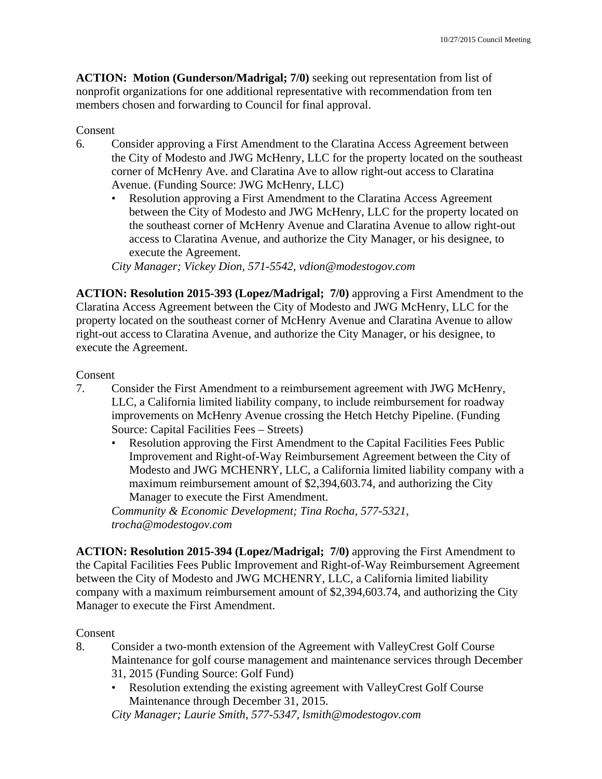**ACTION: Motion (Gunderson/Madrigal; 7/0)** seeking out representation from list of nonprofit organizations for one additional representative with recommendation from ten members chosen and forwarding to Council for final approval.

### Consent

- 6. Consider approving a First Amendment to the Claratina Access Agreement between the City of Modesto and JWG McHenry, LLC for the property located on the southeast corner of McHenry Ave. and Claratina Ave to allow right-out access to Claratina Avenue. (Funding Source: JWG McHenry, LLC)
	- Resolution approving a First Amendment to the Claratina Access Agreement between the City of Modesto and JWG McHenry, LLC for the property located on the southeast corner of McHenry Avenue and Claratina Avenue to allow right-out access to Claratina Avenue, and authorize the City Manager, or his designee, to execute the Agreement.

*City Manager; Vickey Dion, 571-5542, vdion@modestogov.com* 

**ACTION: Resolution 2015-393 (Lopez/Madrigal; 7/0)** approving a First Amendment to the Claratina Access Agreement between the City of Modesto and JWG McHenry, LLC for the property located on the southeast corner of McHenry Avenue and Claratina Avenue to allow right-out access to Claratina Avenue, and authorize the City Manager, or his designee, to execute the Agreement.

#### Consent

- 7. Consider the First Amendment to a reimbursement agreement with JWG McHenry, LLC, a California limited liability company, to include reimbursement for roadway improvements on McHenry Avenue crossing the Hetch Hetchy Pipeline. (Funding Source: Capital Facilities Fees – Streets)
	- Resolution approving the First Amendment to the Capital Facilities Fees Public Improvement and Right-of-Way Reimbursement Agreement between the City of Modesto and JWG MCHENRY, LLC, a California limited liability company with a maximum reimbursement amount of \$2,394,603.74, and authorizing the City Manager to execute the First Amendment.

*Community & Economic Development; Tina Rocha, 577-5321, trocha@modestogov.com* 

**ACTION: Resolution 2015-394 (Lopez/Madrigal; 7/0)** approving the First Amendment to the Capital Facilities Fees Public Improvement and Right-of-Way Reimbursement Agreement between the City of Modesto and JWG MCHENRY, LLC, a California limited liability company with a maximum reimbursement amount of \$2,394,603.74, and authorizing the City Manager to execute the First Amendment.

### Consent

- 8. Consider a two-month extension of the Agreement with ValleyCrest Golf Course Maintenance for golf course management and maintenance services through December 31, 2015 (Funding Source: Golf Fund)
	- Resolution extending the existing agreement with ValleyCrest Golf Course Maintenance through December 31, 2015.

*City Manager; Laurie Smith, 577-5347, lsmith@modestogov.com*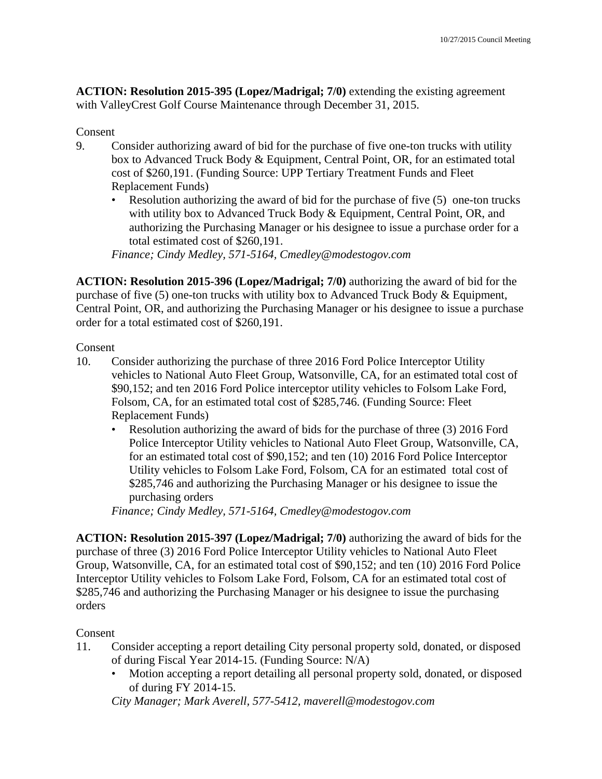**ACTION: Resolution 2015-395 (Lopez/Madrigal; 7/0)** extending the existing agreement with ValleyCrest Golf Course Maintenance through December 31, 2015.

## Consent

- 9. Consider authorizing award of bid for the purchase of five one-ton trucks with utility box to Advanced Truck Body & Equipment, Central Point, OR, for an estimated total cost of \$260,191. (Funding Source: UPP Tertiary Treatment Funds and Fleet Replacement Funds)
	- Resolution authorizing the award of bid for the purchase of five (5) one-ton trucks with utility box to Advanced Truck Body & Equipment, Central Point, OR, and authorizing the Purchasing Manager or his designee to issue a purchase order for a total estimated cost of \$260,191.

*Finance; Cindy Medley, 571-5164, Cmedley@modestogov.com* 

**ACTION: Resolution 2015-396 (Lopez/Madrigal; 7/0)** authorizing the award of bid for the purchase of five (5) one-ton trucks with utility box to Advanced Truck Body & Equipment, Central Point, OR, and authorizing the Purchasing Manager or his designee to issue a purchase order for a total estimated cost of \$260,191.

### Consent

- 10. Consider authorizing the purchase of three 2016 Ford Police Interceptor Utility vehicles to National Auto Fleet Group, Watsonville, CA, for an estimated total cost of \$90,152; and ten 2016 Ford Police interceptor utility vehicles to Folsom Lake Ford, Folsom, CA, for an estimated total cost of \$285,746. (Funding Source: Fleet Replacement Funds)
	- Resolution authorizing the award of bids for the purchase of three (3) 2016 Ford Police Interceptor Utility vehicles to National Auto Fleet Group, Watsonville, CA, for an estimated total cost of \$90,152; and ten (10) 2016 Ford Police Interceptor Utility vehicles to Folsom Lake Ford, Folsom, CA for an estimated total cost of \$285,746 and authorizing the Purchasing Manager or his designee to issue the purchasing orders

*Finance; Cindy Medley, 571-5164, Cmedley@modestogov.com* 

**ACTION: Resolution 2015-397 (Lopez/Madrigal; 7/0)** authorizing the award of bids for the purchase of three (3) 2016 Ford Police Interceptor Utility vehicles to National Auto Fleet Group, Watsonville, CA, for an estimated total cost of \$90,152; and ten (10) 2016 Ford Police Interceptor Utility vehicles to Folsom Lake Ford, Folsom, CA for an estimated total cost of \$285,746 and authorizing the Purchasing Manager or his designee to issue the purchasing orders

# Consent

- 11. Consider accepting a report detailing City personal property sold, donated, or disposed of during Fiscal Year 2014-15. (Funding Source: N/A)
	- Motion accepting a report detailing all personal property sold, donated, or disposed of during FY 2014-15.

*City Manager; Mark Averell, 577-5412, maverell@modestogov.com*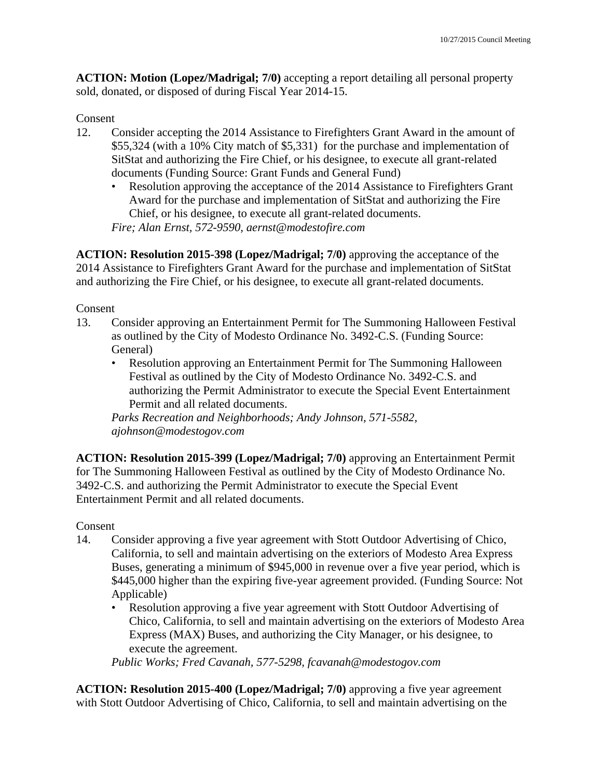**ACTION: Motion (Lopez/Madrigal; 7/0)** accepting a report detailing all personal property sold, donated, or disposed of during Fiscal Year 2014-15.

Consent

- 12. Consider accepting the 2014 Assistance to Firefighters Grant Award in the amount of \$55,324 (with a 10% City match of \$5,331) for the purchase and implementation of SitStat and authorizing the Fire Chief, or his designee, to execute all grant-related documents (Funding Source: Grant Funds and General Fund)
	- Resolution approving the acceptance of the 2014 Assistance to Firefighters Grant Award for the purchase and implementation of SitStat and authorizing the Fire Chief, or his designee, to execute all grant-related documents.

*Fire; Alan Ernst, 572-9590, aernst@modestofire.com* 

**ACTION: Resolution 2015-398 (Lopez/Madrigal; 7/0)** approving the acceptance of the 2014 Assistance to Firefighters Grant Award for the purchase and implementation of SitStat and authorizing the Fire Chief, or his designee, to execute all grant-related documents.

Consent

- 13. Consider approving an Entertainment Permit for The Summoning Halloween Festival as outlined by the City of Modesto Ordinance No. 3492-C.S. (Funding Source: General)
	- Resolution approving an Entertainment Permit for The Summoning Halloween Festival as outlined by the City of Modesto Ordinance No. 3492-C.S. and authorizing the Permit Administrator to execute the Special Event Entertainment Permit and all related documents.

*Parks Recreation and Neighborhoods; Andy Johnson, 571-5582, ajohnson@modestogov.com* 

**ACTION: Resolution 2015-399 (Lopez/Madrigal; 7/0)** approving an Entertainment Permit for The Summoning Halloween Festival as outlined by the City of Modesto Ordinance No. 3492-C.S. and authorizing the Permit Administrator to execute the Special Event Entertainment Permit and all related documents.

Consent

- 14. Consider approving a five year agreement with Stott Outdoor Advertising of Chico, California, to sell and maintain advertising on the exteriors of Modesto Area Express Buses, generating a minimum of \$945,000 in revenue over a five year period, which is \$445,000 higher than the expiring five-year agreement provided. (Funding Source: Not Applicable)
	- Resolution approving a five year agreement with Stott Outdoor Advertising of Chico, California, to sell and maintain advertising on the exteriors of Modesto Area Express (MAX) Buses, and authorizing the City Manager, or his designee, to execute the agreement.

*Public Works; Fred Cavanah, 577-5298, fcavanah@modestogov.com* 

**ACTION: Resolution 2015-400 (Lopez/Madrigal; 7/0)** approving a five year agreement with Stott Outdoor Advertising of Chico, California, to sell and maintain advertising on the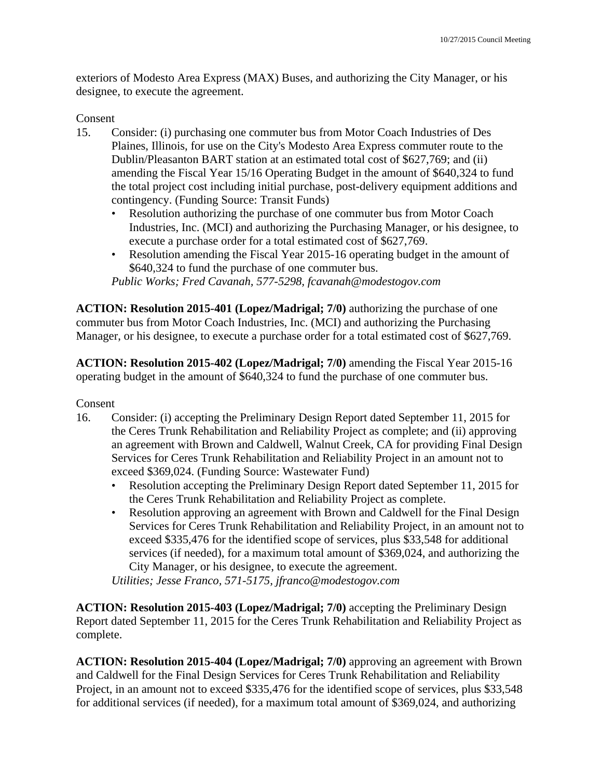exteriors of Modesto Area Express (MAX) Buses, and authorizing the City Manager, or his designee, to execute the agreement.

### Consent

- 15. Consider: (i) purchasing one commuter bus from Motor Coach Industries of Des Plaines, Illinois, for use on the City's Modesto Area Express commuter route to the Dublin/Pleasanton BART station at an estimated total cost of \$627,769; and (ii) amending the Fiscal Year 15/16 Operating Budget in the amount of \$640,324 to fund the total project cost including initial purchase, post-delivery equipment additions and contingency. (Funding Source: Transit Funds)
	- Resolution authorizing the purchase of one commuter bus from Motor Coach Industries, Inc. (MCI) and authorizing the Purchasing Manager, or his designee, to execute a purchase order for a total estimated cost of \$627,769.
	- Resolution amending the Fiscal Year 2015-16 operating budget in the amount of \$640,324 to fund the purchase of one commuter bus.

*Public Works; Fred Cavanah, 577-5298, fcavanah@modestogov.com* 

**ACTION: Resolution 2015-401 (Lopez/Madrigal; 7/0)** authorizing the purchase of one commuter bus from Motor Coach Industries, Inc. (MCI) and authorizing the Purchasing Manager, or his designee, to execute a purchase order for a total estimated cost of \$627,769.

**ACTION: Resolution 2015-402 (Lopez/Madrigal; 7/0)** amending the Fiscal Year 2015-16 operating budget in the amount of \$640,324 to fund the purchase of one commuter bus.

Consent

- 16. Consider: (i) accepting the Preliminary Design Report dated September 11, 2015 for the Ceres Trunk Rehabilitation and Reliability Project as complete; and (ii) approving an agreement with Brown and Caldwell, Walnut Creek, CA for providing Final Design Services for Ceres Trunk Rehabilitation and Reliability Project in an amount not to exceed \$369,024. (Funding Source: Wastewater Fund)
	- Resolution accepting the Preliminary Design Report dated September 11, 2015 for the Ceres Trunk Rehabilitation and Reliability Project as complete.
	- Resolution approving an agreement with Brown and Caldwell for the Final Design Services for Ceres Trunk Rehabilitation and Reliability Project, in an amount not to exceed \$335,476 for the identified scope of services, plus \$33,548 for additional services (if needed), for a maximum total amount of \$369,024, and authorizing the City Manager, or his designee, to execute the agreement.

*Utilities; Jesse Franco, 571-5175, jfranco@modestogov.com* 

**ACTION: Resolution 2015-403 (Lopez/Madrigal; 7/0)** accepting the Preliminary Design Report dated September 11, 2015 for the Ceres Trunk Rehabilitation and Reliability Project as complete.

**ACTION: Resolution 2015-404 (Lopez/Madrigal; 7/0)** approving an agreement with Brown and Caldwell for the Final Design Services for Ceres Trunk Rehabilitation and Reliability Project, in an amount not to exceed \$335,476 for the identified scope of services, plus \$33,548 for additional services (if needed), for a maximum total amount of \$369,024, and authorizing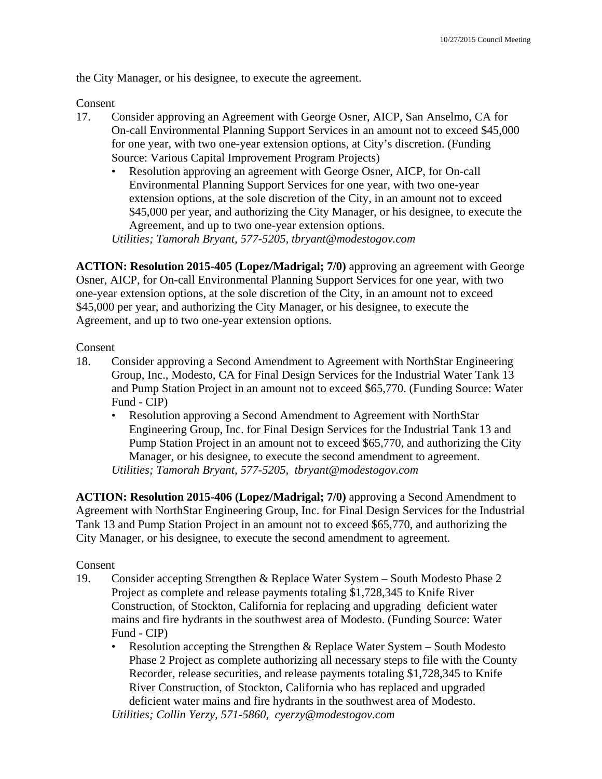the City Manager, or his designee, to execute the agreement.

Consent

- 17. Consider approving an Agreement with George Osner, AICP, San Anselmo, CA for On-call Environmental Planning Support Services in an amount not to exceed \$45,000 for one year, with two one-year extension options, at City's discretion. (Funding Source: Various Capital Improvement Program Projects)
	- Resolution approving an agreement with George Osner, AICP, for On-call Environmental Planning Support Services for one year, with two one-year extension options, at the sole discretion of the City, in an amount not to exceed \$45,000 per year, and authorizing the City Manager, or his designee, to execute the Agreement, and up to two one-year extension options. *Utilities; Tamorah Bryant, 577-5205, tbryant@modestogov.com*

**ACTION: Resolution 2015-405 (Lopez/Madrigal; 7/0)** approving an agreement with George Osner, AICP, for On-call Environmental Planning Support Services for one year, with two one-year extension options, at the sole discretion of the City, in an amount not to exceed \$45,000 per year, and authorizing the City Manager, or his designee, to execute the Agreement, and up to two one-year extension options.

Consent

- 18. Consider approving a Second Amendment to Agreement with NorthStar Engineering Group, Inc., Modesto, CA for Final Design Services for the Industrial Water Tank 13 and Pump Station Project in an amount not to exceed \$65,770. (Funding Source: Water Fund - CIP)
	- Resolution approving a Second Amendment to Agreement with NorthStar Engineering Group, Inc. for Final Design Services for the Industrial Tank 13 and Pump Station Project in an amount not to exceed \$65,770, and authorizing the City Manager, or his designee, to execute the second amendment to agreement. *Utilities; Tamorah Bryant, 577-5205, tbryant@modestogov.com*

**ACTION: Resolution 2015-406 (Lopez/Madrigal; 7/0)** approving a Second Amendment to Agreement with NorthStar Engineering Group, Inc. for Final Design Services for the Industrial Tank 13 and Pump Station Project in an amount not to exceed \$65,770, and authorizing the City Manager, or his designee, to execute the second amendment to agreement.

# Consent

- 19. Consider accepting Strengthen & Replace Water System South Modesto Phase 2 Project as complete and release payments totaling \$1,728,345 to Knife River Construction, of Stockton, California for replacing and upgrading deficient water mains and fire hydrants in the southwest area of Modesto. (Funding Source: Water Fund - CIP)
	- Resolution accepting the Strengthen & Replace Water System South Modesto Phase 2 Project as complete authorizing all necessary steps to file with the County Recorder, release securities, and release payments totaling \$1,728,345 to Knife River Construction, of Stockton, California who has replaced and upgraded deficient water mains and fire hydrants in the southwest area of Modesto.

*Utilities; Collin Yerzy, 571-5860, cyerzy@modestogov.com*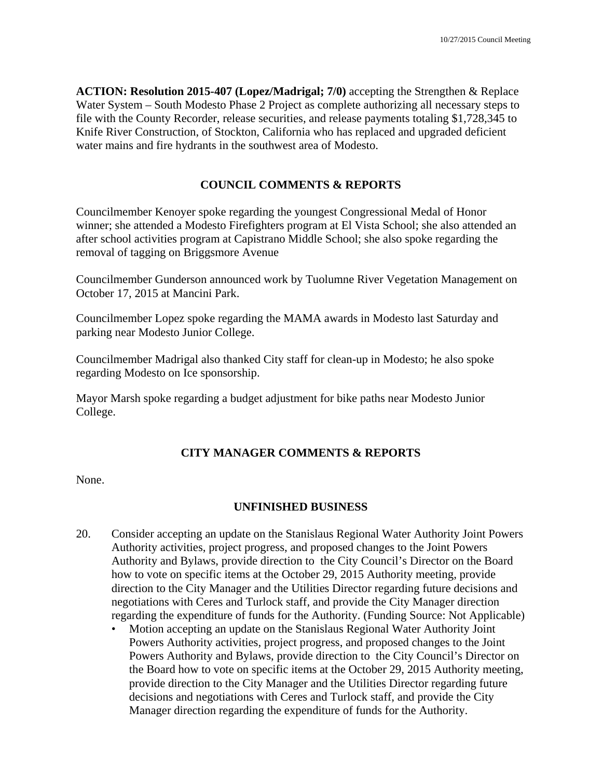**ACTION: Resolution 2015-407 (Lopez/Madrigal; 7/0)** accepting the Strengthen & Replace Water System – South Modesto Phase 2 Project as complete authorizing all necessary steps to file with the County Recorder, release securities, and release payments totaling \$1,728,345 to Knife River Construction, of Stockton, California who has replaced and upgraded deficient water mains and fire hydrants in the southwest area of Modesto.

### **COUNCIL COMMENTS & REPORTS**

Councilmember Kenoyer spoke regarding the youngest Congressional Medal of Honor winner; she attended a Modesto Firefighters program at El Vista School; she also attended an after school activities program at Capistrano Middle School; she also spoke regarding the removal of tagging on Briggsmore Avenue

Councilmember Gunderson announced work by Tuolumne River Vegetation Management on October 17, 2015 at Mancini Park.

Councilmember Lopez spoke regarding the MAMA awards in Modesto last Saturday and parking near Modesto Junior College.

Councilmember Madrigal also thanked City staff for clean-up in Modesto; he also spoke regarding Modesto on Ice sponsorship.

Mayor Marsh spoke regarding a budget adjustment for bike paths near Modesto Junior College.

# **CITY MANAGER COMMENTS & REPORTS**

None.

### **UNFINISHED BUSINESS**

- 20. Consider accepting an update on the Stanislaus Regional Water Authority Joint Powers Authority activities, project progress, and proposed changes to the Joint Powers Authority and Bylaws, provide direction to the City Council's Director on the Board how to vote on specific items at the October 29, 2015 Authority meeting, provide direction to the City Manager and the Utilities Director regarding future decisions and negotiations with Ceres and Turlock staff, and provide the City Manager direction regarding the expenditure of funds for the Authority. (Funding Source: Not Applicable)
	- Motion accepting an update on the Stanislaus Regional Water Authority Joint Powers Authority activities, project progress, and proposed changes to the Joint Powers Authority and Bylaws, provide direction to the City Council's Director on the Board how to vote on specific items at the October 29, 2015 Authority meeting, provide direction to the City Manager and the Utilities Director regarding future decisions and negotiations with Ceres and Turlock staff, and provide the City Manager direction regarding the expenditure of funds for the Authority.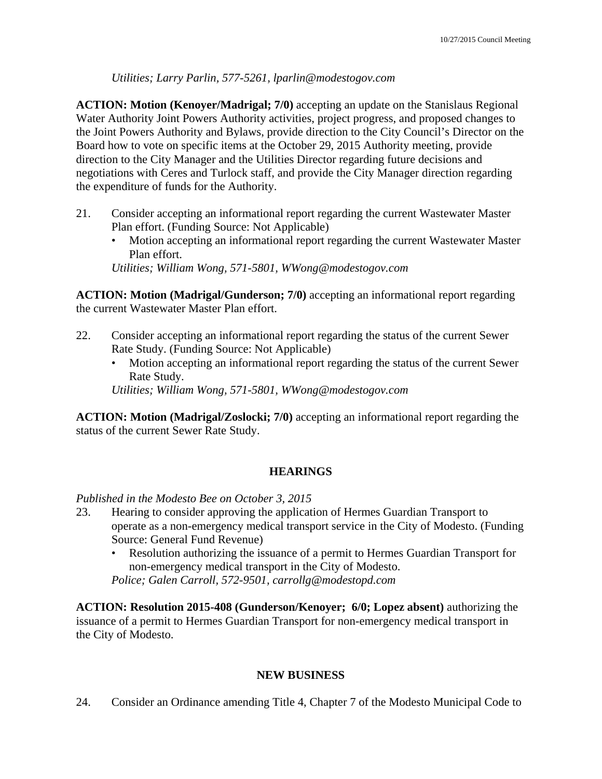*Utilities; Larry Parlin, 577-5261, lparlin@modestogov.com* 

**ACTION: Motion (Kenoyer/Madrigal; 7/0)** accepting an update on the Stanislaus Regional Water Authority Joint Powers Authority activities, project progress, and proposed changes to the Joint Powers Authority and Bylaws, provide direction to the City Council's Director on the Board how to vote on specific items at the October 29, 2015 Authority meeting, provide direction to the City Manager and the Utilities Director regarding future decisions and negotiations with Ceres and Turlock staff, and provide the City Manager direction regarding the expenditure of funds for the Authority.

- 21. Consider accepting an informational report regarding the current Wastewater Master Plan effort. (Funding Source: Not Applicable)
	- Motion accepting an informational report regarding the current Wastewater Master Plan effort.

*Utilities; William Wong, 571-5801, WWong@modestogov.com* 

**ACTION: Motion (Madrigal/Gunderson; 7/0)** accepting an informational report regarding the current Wastewater Master Plan effort.

- 22. Consider accepting an informational report regarding the status of the current Sewer Rate Study. (Funding Source: Not Applicable)
	- Motion accepting an informational report regarding the status of the current Sewer Rate Study.

*Utilities; William Wong, 571-5801, WWong@modestogov.com* 

**ACTION: Motion (Madrigal/Zoslocki; 7/0)** accepting an informational report regarding the status of the current Sewer Rate Study.

# **HEARINGS**

*Published in the Modesto Bee on October 3, 2015* 

- 23. Hearing to consider approving the application of Hermes Guardian Transport to operate as a non-emergency medical transport service in the City of Modesto. (Funding Source: General Fund Revenue)
	- Resolution authorizing the issuance of a permit to Hermes Guardian Transport for non-emergency medical transport in the City of Modesto.

*Police; Galen Carroll, 572-9501, carrollg@modestopd.com* 

**ACTION: Resolution 2015-408 (Gunderson/Kenoyer; 6/0; Lopez absent)** authorizing the issuance of a permit to Hermes Guardian Transport for non-emergency medical transport in the City of Modesto.

# **NEW BUSINESS**

24. Consider an Ordinance amending Title 4, Chapter 7 of the Modesto Municipal Code to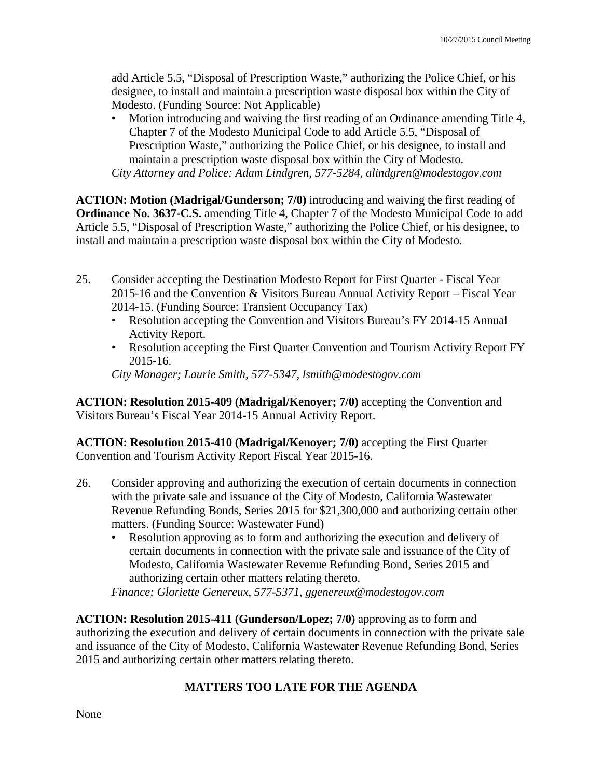add Article 5.5, "Disposal of Prescription Waste," authorizing the Police Chief, or his designee, to install and maintain a prescription waste disposal box within the City of Modesto. (Funding Source: Not Applicable)

• Motion introducing and waiving the first reading of an Ordinance amending Title 4, Chapter 7 of the Modesto Municipal Code to add Article 5.5, "Disposal of Prescription Waste," authorizing the Police Chief, or his designee, to install and maintain a prescription waste disposal box within the City of Modesto. *City Attorney and Police; Adam Lindgren, 577-5284, alindgren@modestogov.com* 

**ACTION: Motion (Madrigal/Gunderson; 7/0)** introducing and waiving the first reading of **Ordinance No. 3637-C.S.** amending Title 4, Chapter 7 of the Modesto Municipal Code to add Article 5.5, "Disposal of Prescription Waste," authorizing the Police Chief, or his designee, to install and maintain a prescription waste disposal box within the City of Modesto.

- 25. Consider accepting the Destination Modesto Report for First Quarter Fiscal Year 2015-16 and the Convention & Visitors Bureau Annual Activity Report – Fiscal Year 2014-15. (Funding Source: Transient Occupancy Tax)
	- Resolution accepting the Convention and Visitors Bureau's FY 2014-15 Annual Activity Report.
	- Resolution accepting the First Quarter Convention and Tourism Activity Report FY 2015-16.

*City Manager; Laurie Smith, 577-5347, lsmith@modestogov.com* 

**ACTION: Resolution 2015-409 (Madrigal/Kenoyer; 7/0)** accepting the Convention and Visitors Bureau's Fiscal Year 2014-15 Annual Activity Report.

**ACTION: Resolution 2015-410 (Madrigal/Kenoyer; 7/0)** accepting the First Quarter Convention and Tourism Activity Report Fiscal Year 2015-16.

- 26. Consider approving and authorizing the execution of certain documents in connection with the private sale and issuance of the City of Modesto, California Wastewater Revenue Refunding Bonds, Series 2015 for \$21,300,000 and authorizing certain other matters. (Funding Source: Wastewater Fund)
	- Resolution approving as to form and authorizing the execution and delivery of certain documents in connection with the private sale and issuance of the City of Modesto, California Wastewater Revenue Refunding Bond, Series 2015 and authorizing certain other matters relating thereto.

*Finance; Gloriette Genereux, 577-5371, ggenereux@modestogov.com* 

**ACTION: Resolution 2015-411 (Gunderson/Lopez; 7/0)** approving as to form and authorizing the execution and delivery of certain documents in connection with the private sale and issuance of the City of Modesto, California Wastewater Revenue Refunding Bond, Series 2015 and authorizing certain other matters relating thereto.

# **MATTERS TOO LATE FOR THE AGENDA**

None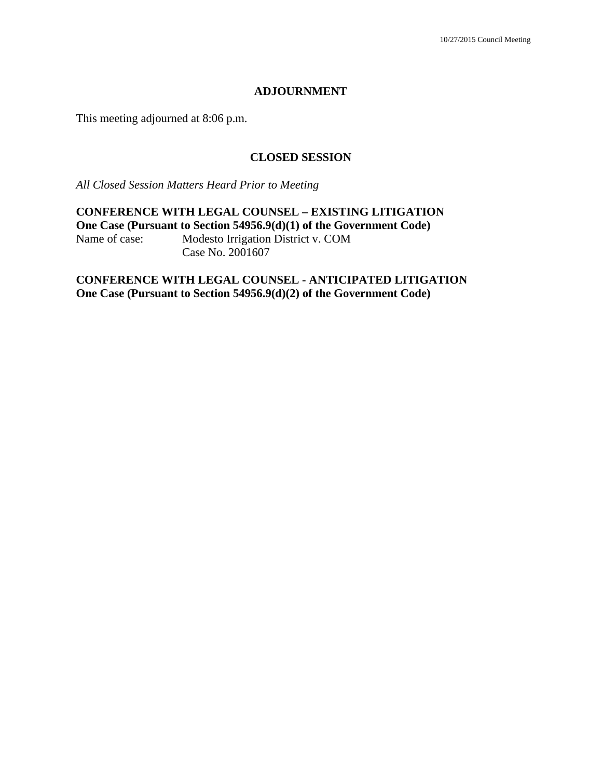#### **ADJOURNMENT**

This meeting adjourned at 8:06 p.m.

## **CLOSED SESSION**

*All Closed Session Matters Heard Prior to Meeting* 

**CONFERENCE WITH LEGAL COUNSEL – EXISTING LITIGATION One Case (Pursuant to Section 54956.9(d)(1) of the Government Code)**<br>Name of case: Modesto Irrigation District v. COM Modesto Irrigation District v. COM Case No. 2001607

**CONFERENCE WITH LEGAL COUNSEL - ANTICIPATED LITIGATION One Case (Pursuant to Section 54956.9(d)(2) of the Government Code)**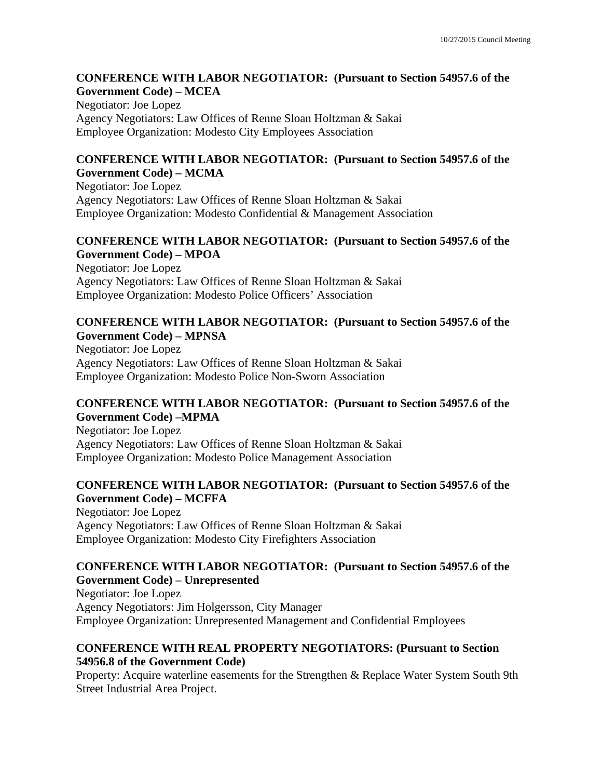### **CONFERENCE WITH LABOR NEGOTIATOR: (Pursuant to Section 54957.6 of the Government Code) – MCEA**

Negotiator: Joe Lopez Agency Negotiators: Law Offices of Renne Sloan Holtzman & Sakai Employee Organization: Modesto City Employees Association

### **CONFERENCE WITH LABOR NEGOTIATOR: (Pursuant to Section 54957.6 of the Government Code) – MCMA**

Negotiator: Joe Lopez Agency Negotiators: Law Offices of Renne Sloan Holtzman & Sakai Employee Organization: Modesto Confidential & Management Association

### **CONFERENCE WITH LABOR NEGOTIATOR: (Pursuant to Section 54957.6 of the Government Code) – MPOA**

Negotiator: Joe Lopez Agency Negotiators: Law Offices of Renne Sloan Holtzman & Sakai Employee Organization: Modesto Police Officers' Association

### **CONFERENCE WITH LABOR NEGOTIATOR: (Pursuant to Section 54957.6 of the Government Code) – MPNSA**

Negotiator: Joe Lopez Agency Negotiators: Law Offices of Renne Sloan Holtzman & Sakai Employee Organization: Modesto Police Non-Sworn Association

# **CONFERENCE WITH LABOR NEGOTIATOR: (Pursuant to Section 54957.6 of the Government Code) –MPMA**

Negotiator: Joe Lopez Agency Negotiators: Law Offices of Renne Sloan Holtzman & Sakai Employee Organization: Modesto Police Management Association

# **CONFERENCE WITH LABOR NEGOTIATOR: (Pursuant to Section 54957.6 of the Government Code) – MCFFA**

Negotiator: Joe Lopez Agency Negotiators: Law Offices of Renne Sloan Holtzman & Sakai Employee Organization: Modesto City Firefighters Association

# **CONFERENCE WITH LABOR NEGOTIATOR: (Pursuant to Section 54957.6 of the Government Code) – Unrepresented**

Negotiator: Joe Lopez Agency Negotiators: Jim Holgersson, City Manager Employee Organization: Unrepresented Management and Confidential Employees

# **CONFERENCE WITH REAL PROPERTY NEGOTIATORS: (Pursuant to Section 54956.8 of the Government Code)**

Property: Acquire waterline easements for the Strengthen & Replace Water System South 9th Street Industrial Area Project.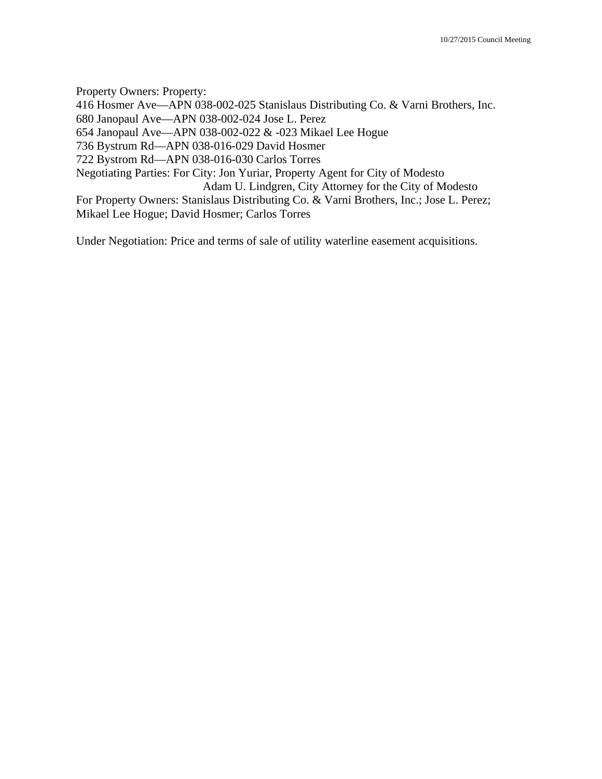Property Owners: Property:

416 Hosmer Ave—APN 038-002-025 Stanislaus Distributing Co. & Varni Brothers, Inc.

680 Janopaul Ave—APN 038-002-024 Jose L. Perez

654 Janopaul Ave—APN 038-002-022 & -023 Mikael Lee Hogue

736 Bystrum Rd—APN 038-016-029 David Hosmer

722 Bystrom Rd—APN 038-016-030 Carlos Torres

Negotiating Parties: For City: Jon Yuriar, Property Agent for City of Modesto

Adam U. Lindgren, City Attorney for the City of Modesto

For Property Owners: Stanislaus Distributing Co. & Varni Brothers, Inc.; Jose L. Perez; Mikael Lee Hogue; David Hosmer; Carlos Torres

Under Negotiation: Price and terms of sale of utility waterline easement acquisitions.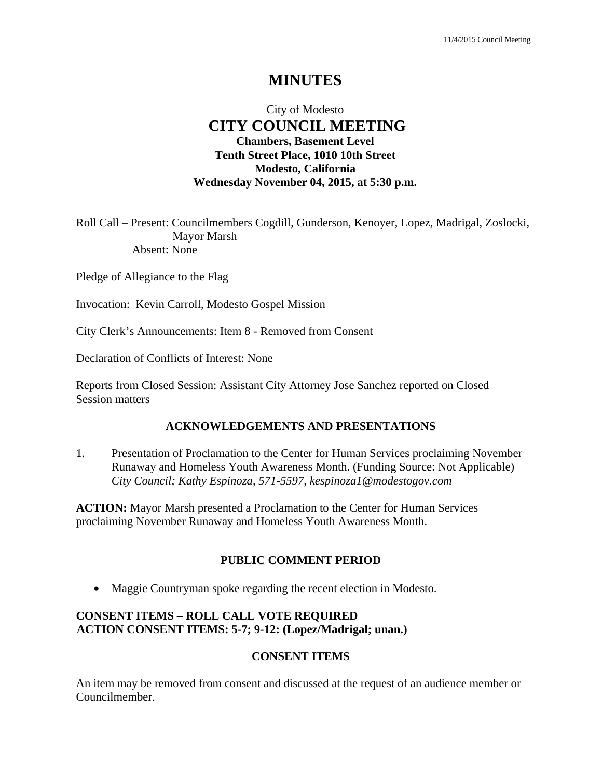# **MINUTES**

# City of Modesto  **CITY COUNCIL MEETING Chambers, Basement Level Tenth Street Place, 1010 10th Street Modesto, California Wednesday November 04, 2015, at 5:30 p.m.**

Roll Call – Present: Councilmembers Cogdill, Gunderson, Kenoyer, Lopez, Madrigal, Zoslocki, Mayor Marsh Absent: None

Pledge of Allegiance to the Flag

Invocation: Kevin Carroll, Modesto Gospel Mission

City Clerk's Announcements: Item 8 - Removed from Consent

Declaration of Conflicts of Interest: None

Reports from Closed Session: Assistant City Attorney Jose Sanchez reported on Closed Session matters

#### **ACKNOWLEDGEMENTS AND PRESENTATIONS**

1. Presentation of Proclamation to the Center for Human Services proclaiming November Runaway and Homeless Youth Awareness Month. (Funding Source: Not Applicable)  *City Council; Kathy Espinoza, 571-5597, kespinoza1@modestogov.com* 

**ACTION:** Mayor Marsh presented a Proclamation to the Center for Human Services proclaiming November Runaway and Homeless Youth Awareness Month.

### **PUBLIC COMMENT PERIOD**

• Maggie Countryman spoke regarding the recent election in Modesto.

## **CONSENT ITEMS – ROLL CALL VOTE REQUIRED ACTION CONSENT ITEMS: 5-7; 9-12: (Lopez/Madrigal; unan.)**

#### **CONSENT ITEMS**

An item may be removed from consent and discussed at the request of an audience member or Councilmember.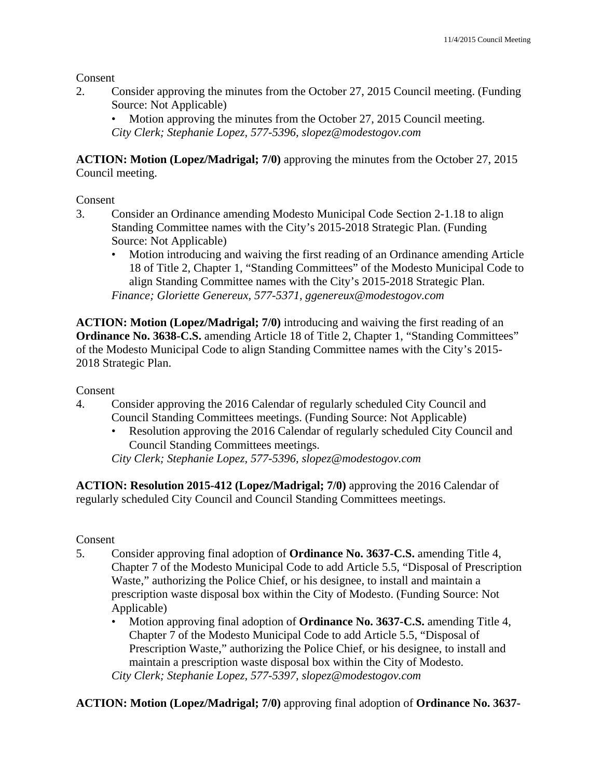Consent

2. Consider approving the minutes from the October 27, 2015 Council meeting. (Funding Source: Not Applicable)

Motion approving the minutes from the October 27, 2015 Council meeting. *City Clerk; Stephanie Lopez, 577-5396, slopez@modestogov.com* 

**ACTION: Motion (Lopez/Madrigal; 7/0)** approving the minutes from the October 27, 2015 Council meeting.

### Consent

- 3. Consider an Ordinance amending Modesto Municipal Code Section 2-1.18 to align Standing Committee names with the City's 2015-2018 Strategic Plan. (Funding Source: Not Applicable)
	- Motion introducing and waiving the first reading of an Ordinance amending Article 18 of Title 2, Chapter 1, "Standing Committees" of the Modesto Municipal Code to align Standing Committee names with the City's 2015-2018 Strategic Plan. *Finance; Gloriette Genereux, 577-5371, ggenereux@modestogov.com*

**ACTION: Motion (Lopez/Madrigal; 7/0)** introducing and waiving the first reading of an **Ordinance No. 3638-C.S.** amending Article 18 of Title 2, Chapter 1, "Standing Committees" of the Modesto Municipal Code to align Standing Committee names with the City's 2015- 2018 Strategic Plan.

Consent

- 4. Consider approving the 2016 Calendar of regularly scheduled City Council and Council Standing Committees meetings. (Funding Source: Not Applicable)
	- Resolution approving the 2016 Calendar of regularly scheduled City Council and Council Standing Committees meetings.

*City Clerk; Stephanie Lopez, 577-5396, slopez@modestogov.com* 

**ACTION: Resolution 2015-412 (Lopez/Madrigal; 7/0)** approving the 2016 Calendar of regularly scheduled City Council and Council Standing Committees meetings.

### Consent

- 5. Consider approving final adoption of **Ordinance No. 3637-C.S.** amending Title 4, Chapter 7 of the Modesto Municipal Code to add Article 5.5, "Disposal of Prescription Waste," authorizing the Police Chief, or his designee, to install and maintain a prescription waste disposal box within the City of Modesto. (Funding Source: Not Applicable)
	- Motion approving final adoption of **Ordinance No. 3637-C.S.** amending Title 4, Chapter 7 of the Modesto Municipal Code to add Article 5.5, "Disposal of Prescription Waste," authorizing the Police Chief, or his designee, to install and maintain a prescription waste disposal box within the City of Modesto. *City Clerk; Stephanie Lopez, 577-5397, slopez@modestogov.com*

**ACTION: Motion (Lopez/Madrigal; 7/0)** approving final adoption of **Ordinance No. 3637-**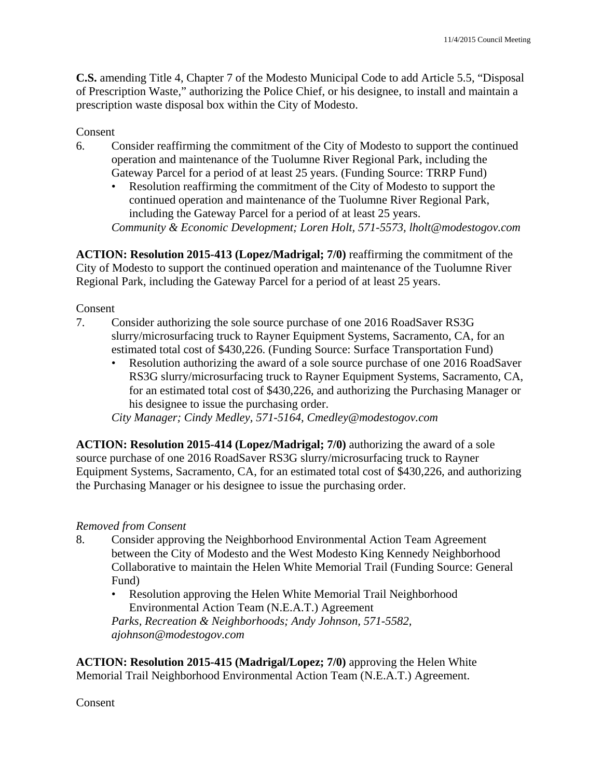**C.S.** amending Title 4, Chapter 7 of the Modesto Municipal Code to add Article 5.5, "Disposal of Prescription Waste," authorizing the Police Chief, or his designee, to install and maintain a prescription waste disposal box within the City of Modesto.

### Consent

- 6. Consider reaffirming the commitment of the City of Modesto to support the continued operation and maintenance of the Tuolumne River Regional Park, including the Gateway Parcel for a period of at least 25 years. (Funding Source: TRRP Fund)
	- Resolution reaffirming the commitment of the City of Modesto to support the continued operation and maintenance of the Tuolumne River Regional Park, including the Gateway Parcel for a period of at least 25 years.

*Community & Economic Development; Loren Holt, 571-5573, lholt@modestogov.com* 

**ACTION: Resolution 2015-413 (Lopez/Madrigal; 7/0)** reaffirming the commitment of the City of Modesto to support the continued operation and maintenance of the Tuolumne River Regional Park, including the Gateway Parcel for a period of at least 25 years.

### Consent

- 7. Consider authorizing the sole source purchase of one 2016 RoadSaver RS3G slurry/microsurfacing truck to Rayner Equipment Systems, Sacramento, CA, for an estimated total cost of \$430,226. (Funding Source: Surface Transportation Fund)
	- Resolution authorizing the award of a sole source purchase of one 2016 RoadSaver RS3G slurry/microsurfacing truck to Rayner Equipment Systems, Sacramento, CA, for an estimated total cost of \$430,226, and authorizing the Purchasing Manager or his designee to issue the purchasing order.

*City Manager; Cindy Medley, 571-5164, Cmedley@modestogov.com* 

**ACTION: Resolution 2015-414 (Lopez/Madrigal; 7/0)** authorizing the award of a sole source purchase of one 2016 RoadSaver RS3G slurry/microsurfacing truck to Rayner Equipment Systems, Sacramento, CA, for an estimated total cost of \$430,226, and authorizing the Purchasing Manager or his designee to issue the purchasing order.

### *Removed from Consent*

- 8. Consider approving the Neighborhood Environmental Action Team Agreement between the City of Modesto and the West Modesto King Kennedy Neighborhood Collaborative to maintain the Helen White Memorial Trail (Funding Source: General Fund)
	- Resolution approving the Helen White Memorial Trail Neighborhood Environmental Action Team (N.E.A.T.) Agreement *Parks, Recreation & Neighborhoods; Andy Johnson, 571-5582, ajohnson@modestogov.com*

**ACTION: Resolution 2015-415 (Madrigal/Lopez; 7/0)** approving the Helen White Memorial Trail Neighborhood Environmental Action Team (N.E.A.T.) Agreement.

Consent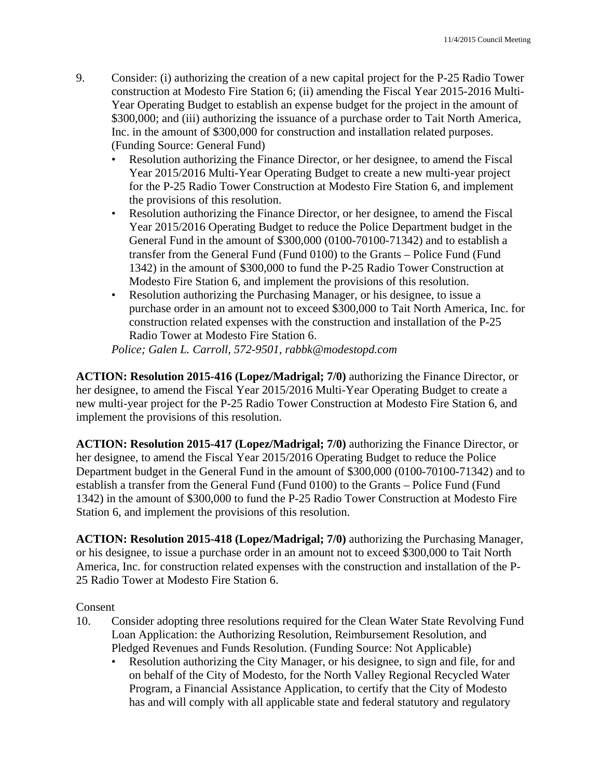- 9. Consider: (i) authorizing the creation of a new capital project for the P-25 Radio Tower construction at Modesto Fire Station 6; (ii) amending the Fiscal Year 2015-2016 Multi-Year Operating Budget to establish an expense budget for the project in the amount of \$300,000; and (iii) authorizing the issuance of a purchase order to Tait North America, Inc. in the amount of \$300,000 for construction and installation related purposes. (Funding Source: General Fund)
	- Resolution authorizing the Finance Director, or her designee, to amend the Fiscal Year 2015/2016 Multi-Year Operating Budget to create a new multi-year project for the P-25 Radio Tower Construction at Modesto Fire Station 6, and implement the provisions of this resolution.
	- Resolution authorizing the Finance Director, or her designee, to amend the Fiscal Year 2015/2016 Operating Budget to reduce the Police Department budget in the General Fund in the amount of \$300,000 (0100-70100-71342) and to establish a transfer from the General Fund (Fund 0100) to the Grants – Police Fund (Fund 1342) in the amount of \$300,000 to fund the P-25 Radio Tower Construction at Modesto Fire Station 6, and implement the provisions of this resolution.
	- Resolution authorizing the Purchasing Manager, or his designee, to issue a purchase order in an amount not to exceed \$300,000 to Tait North America, Inc. for construction related expenses with the construction and installation of the P-25 Radio Tower at Modesto Fire Station 6.

*Police; Galen L. Carroll, 572-9501, rabbk@modestopd.com* 

**ACTION: Resolution 2015-416 (Lopez/Madrigal; 7/0)** authorizing the Finance Director, or her designee, to amend the Fiscal Year 2015/2016 Multi-Year Operating Budget to create a new multi-year project for the P-25 Radio Tower Construction at Modesto Fire Station 6, and implement the provisions of this resolution.

**ACTION: Resolution 2015-417 (Lopez/Madrigal; 7/0)** authorizing the Finance Director, or her designee, to amend the Fiscal Year 2015/2016 Operating Budget to reduce the Police Department budget in the General Fund in the amount of \$300,000 (0100-70100-71342) and to establish a transfer from the General Fund (Fund 0100) to the Grants – Police Fund (Fund 1342) in the amount of \$300,000 to fund the P-25 Radio Tower Construction at Modesto Fire Station 6, and implement the provisions of this resolution.

**ACTION: Resolution 2015-418 (Lopez/Madrigal; 7/0)** authorizing the Purchasing Manager, or his designee, to issue a purchase order in an amount not to exceed \$300,000 to Tait North America, Inc. for construction related expenses with the construction and installation of the P-25 Radio Tower at Modesto Fire Station 6.

### Consent

- 10. Consider adopting three resolutions required for the Clean Water State Revolving Fund Loan Application: the Authorizing Resolution, Reimbursement Resolution, and Pledged Revenues and Funds Resolution. (Funding Source: Not Applicable)
	- Resolution authorizing the City Manager, or his designee, to sign and file, for and on behalf of the City of Modesto, for the North Valley Regional Recycled Water Program, a Financial Assistance Application, to certify that the City of Modesto has and will comply with all applicable state and federal statutory and regulatory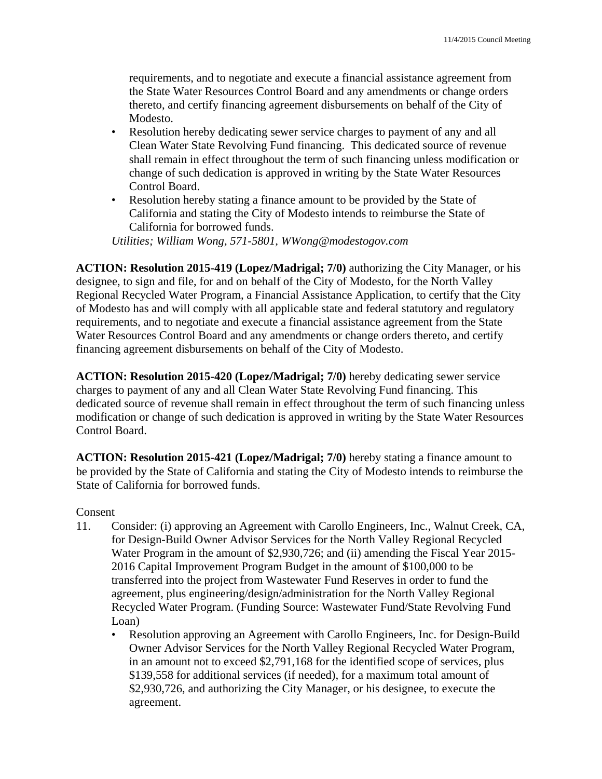requirements, and to negotiate and execute a financial assistance agreement from the State Water Resources Control Board and any amendments or change orders thereto, and certify financing agreement disbursements on behalf of the City of Modesto.

- Resolution hereby dedicating sewer service charges to payment of any and all Clean Water State Revolving Fund financing. This dedicated source of revenue shall remain in effect throughout the term of such financing unless modification or change of such dedication is approved in writing by the State Water Resources Control Board.
- Resolution hereby stating a finance amount to be provided by the State of California and stating the City of Modesto intends to reimburse the State of California for borrowed funds.

*Utilities; William Wong, 571-5801, WWong@modestogov.com* 

**ACTION: Resolution 2015-419 (Lopez/Madrigal; 7/0)** authorizing the City Manager, or his designee, to sign and file, for and on behalf of the City of Modesto, for the North Valley Regional Recycled Water Program, a Financial Assistance Application, to certify that the City of Modesto has and will comply with all applicable state and federal statutory and regulatory requirements, and to negotiate and execute a financial assistance agreement from the State Water Resources Control Board and any amendments or change orders thereto, and certify financing agreement disbursements on behalf of the City of Modesto.

**ACTION: Resolution 2015-420 (Lopez/Madrigal; 7/0)** hereby dedicating sewer service charges to payment of any and all Clean Water State Revolving Fund financing. This dedicated source of revenue shall remain in effect throughout the term of such financing unless modification or change of such dedication is approved in writing by the State Water Resources Control Board.

**ACTION: Resolution 2015-421 (Lopez/Madrigal; 7/0)** hereby stating a finance amount to be provided by the State of California and stating the City of Modesto intends to reimburse the State of California for borrowed funds.

Consent

- 11. Consider: (i) approving an Agreement with Carollo Engineers, Inc., Walnut Creek, CA, for Design-Build Owner Advisor Services for the North Valley Regional Recycled Water Program in the amount of \$2,930,726; and (ii) amending the Fiscal Year 2015- 2016 Capital Improvement Program Budget in the amount of \$100,000 to be transferred into the project from Wastewater Fund Reserves in order to fund the agreement, plus engineering/design/administration for the North Valley Regional Recycled Water Program. (Funding Source: Wastewater Fund/State Revolving Fund Loan)
	- Resolution approving an Agreement with Carollo Engineers, Inc. for Design-Build Owner Advisor Services for the North Valley Regional Recycled Water Program, in an amount not to exceed \$2,791,168 for the identified scope of services, plus \$139,558 for additional services (if needed), for a maximum total amount of \$2,930,726, and authorizing the City Manager, or his designee, to execute the agreement.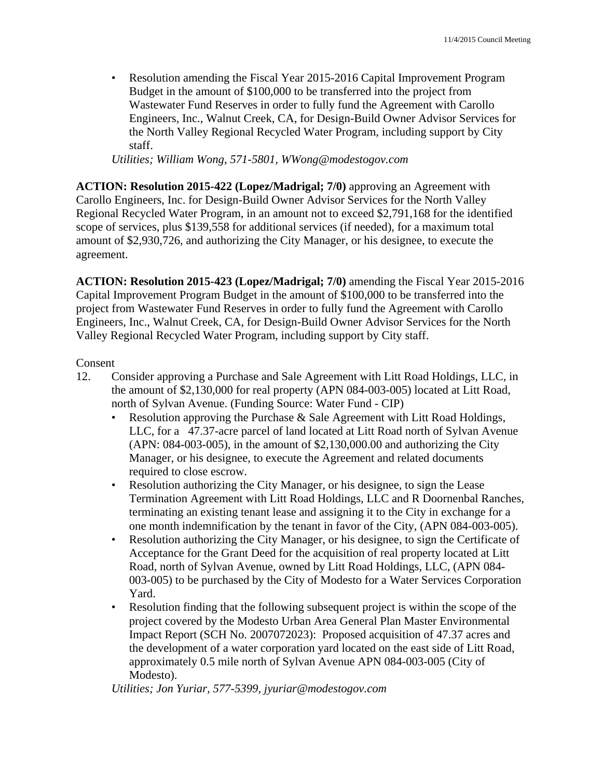• Resolution amending the Fiscal Year 2015-2016 Capital Improvement Program Budget in the amount of \$100,000 to be transferred into the project from Wastewater Fund Reserves in order to fully fund the Agreement with Carollo Engineers, Inc., Walnut Creek, CA, for Design-Build Owner Advisor Services for the North Valley Regional Recycled Water Program, including support by City staff.

*Utilities; William Wong, 571-5801, WWong@modestogov.com* 

**ACTION: Resolution 2015-422 (Lopez/Madrigal; 7/0)** approving an Agreement with Carollo Engineers, Inc. for Design-Build Owner Advisor Services for the North Valley Regional Recycled Water Program, in an amount not to exceed \$2,791,168 for the identified scope of services, plus \$139,558 for additional services (if needed), for a maximum total amount of \$2,930,726, and authorizing the City Manager, or his designee, to execute the agreement.

**ACTION: Resolution 2015-423 (Lopez/Madrigal; 7/0)** amending the Fiscal Year 2015-2016 Capital Improvement Program Budget in the amount of \$100,000 to be transferred into the project from Wastewater Fund Reserves in order to fully fund the Agreement with Carollo Engineers, Inc., Walnut Creek, CA, for Design-Build Owner Advisor Services for the North Valley Regional Recycled Water Program, including support by City staff.

#### Consent

- 12. Consider approving a Purchase and Sale Agreement with Litt Road Holdings, LLC, in the amount of \$2,130,000 for real property (APN 084-003-005) located at Litt Road, north of Sylvan Avenue. (Funding Source: Water Fund - CIP)
	- Resolution approving the Purchase & Sale Agreement with Litt Road Holdings, LLC, for a 47.37-acre parcel of land located at Litt Road north of Sylvan Avenue (APN: 084-003-005), in the amount of \$2,130,000.00 and authorizing the City Manager, or his designee, to execute the Agreement and related documents required to close escrow.
	- Resolution authorizing the City Manager, or his designee, to sign the Lease Termination Agreement with Litt Road Holdings, LLC and R Doornenbal Ranches, terminating an existing tenant lease and assigning it to the City in exchange for a one month indemnification by the tenant in favor of the City, (APN 084-003-005).
	- Resolution authorizing the City Manager, or his designee, to sign the Certificate of Acceptance for the Grant Deed for the acquisition of real property located at Litt Road, north of Sylvan Avenue, owned by Litt Road Holdings, LLC, (APN 084- 003-005) to be purchased by the City of Modesto for a Water Services Corporation Yard.
	- Resolution finding that the following subsequent project is within the scope of the project covered by the Modesto Urban Area General Plan Master Environmental Impact Report (SCH No. 2007072023): Proposed acquisition of 47.37 acres and the development of a water corporation yard located on the east side of Litt Road, approximately 0.5 mile north of Sylvan Avenue APN 084-003-005 (City of Modesto).

*Utilities; Jon Yuriar, 577-5399, jyuriar@modestogov.com*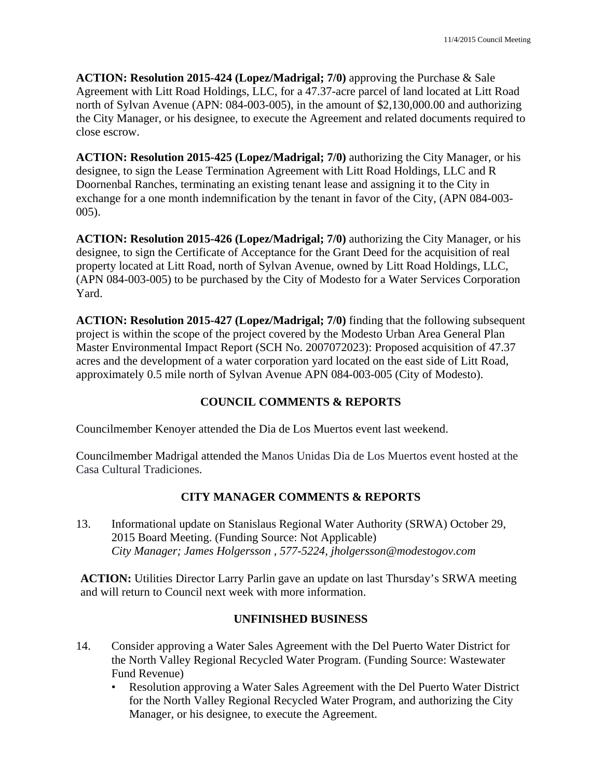**ACTION: Resolution 2015-424 (Lopez/Madrigal; 7/0)** approving the Purchase & Sale Agreement with Litt Road Holdings, LLC, for a 47.37-acre parcel of land located at Litt Road north of Sylvan Avenue (APN: 084-003-005), in the amount of \$2,130,000.00 and authorizing the City Manager, or his designee, to execute the Agreement and related documents required to close escrow.

**ACTION: Resolution 2015-425 (Lopez/Madrigal; 7/0)** authorizing the City Manager, or his designee, to sign the Lease Termination Agreement with Litt Road Holdings, LLC and R Doornenbal Ranches, terminating an existing tenant lease and assigning it to the City in exchange for a one month indemnification by the tenant in favor of the City, (APN 084-003- 005).

**ACTION: Resolution 2015-426 (Lopez/Madrigal; 7/0)** authorizing the City Manager, or his designee, to sign the Certificate of Acceptance for the Grant Deed for the acquisition of real property located at Litt Road, north of Sylvan Avenue, owned by Litt Road Holdings, LLC, (APN 084-003-005) to be purchased by the City of Modesto for a Water Services Corporation Yard.

**ACTION: Resolution 2015-427 (Lopez/Madrigal; 7/0)** finding that the following subsequent project is within the scope of the project covered by the Modesto Urban Area General Plan Master Environmental Impact Report (SCH No. 2007072023): Proposed acquisition of 47.37 acres and the development of a water corporation yard located on the east side of Litt Road, approximately 0.5 mile north of Sylvan Avenue APN 084-003-005 (City of Modesto).

# **COUNCIL COMMENTS & REPORTS**

Councilmember Kenoyer attended the Dia de Los Muertos event last weekend.

Councilmember Madrigal attended the Manos Unidas Dia de Los Muertos event hosted at the Casa Cultural Tradiciones.

# **CITY MANAGER COMMENTS & REPORTS**

13. Informational update on Stanislaus Regional Water Authority (SRWA) October 29, 2015 Board Meeting. (Funding Source: Not Applicable)  *City Manager; James Holgersson , 577-5224, jholgersson@modestogov.com* 

**ACTION:** Utilities Director Larry Parlin gave an update on last Thursday's SRWA meeting and will return to Council next week with more information.

### **UNFINISHED BUSINESS**

- 14. Consider approving a Water Sales Agreement with the Del Puerto Water District for the North Valley Regional Recycled Water Program. (Funding Source: Wastewater Fund Revenue)
	- Resolution approving a Water Sales Agreement with the Del Puerto Water District for the North Valley Regional Recycled Water Program, and authorizing the City Manager, or his designee, to execute the Agreement.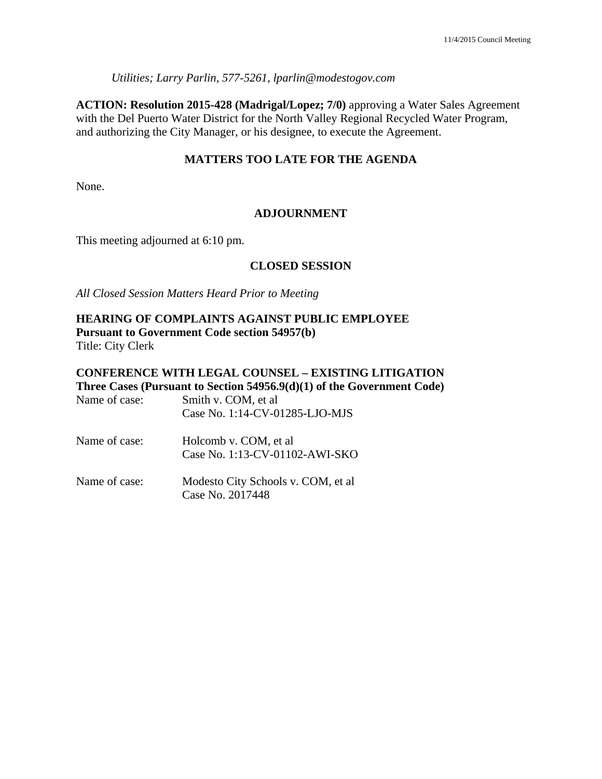*Utilities; Larry Parlin, 577-5261, lparlin@modestogov.com* 

**ACTION: Resolution 2015-428 (Madrigal/Lopez; 7/0)** approving a Water Sales Agreement with the Del Puerto Water District for the North Valley Regional Recycled Water Program, and authorizing the City Manager, or his designee, to execute the Agreement.

### **MATTERS TOO LATE FOR THE AGENDA**

None.

### **ADJOURNMENT**

This meeting adjourned at 6:10 pm.

#### **CLOSED SESSION**

*All Closed Session Matters Heard Prior to Meeting*

#### **HEARING OF COMPLAINTS AGAINST PUBLIC EMPLOYEE Pursuant to Government Code section 54957(b)**  Title: City Clerk

# **CONFERENCE WITH LEGAL COUNSEL – EXISTING LITIGATION Three Cases (Pursuant to Section 54956.9(d)(1) of the Government Code)**

| Name of case: | Smith v. COM, et al.<br>Case No. 1:14-CV-01285-LJO-MJS   |
|---------------|----------------------------------------------------------|
| Name of case: | Holcomb v. COM, et al.<br>Case No. 1:13-CV-01102-AWI-SKO |
| Name of case: | Modesto City Schools v. COM, et al.<br>Case No. 2017448  |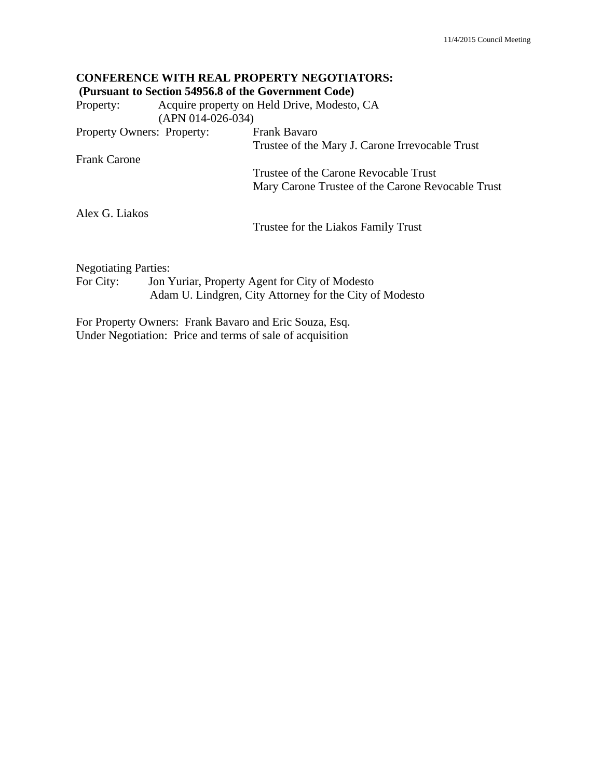# **CONFERENCE WITH REAL PROPERTY NEGOTIATORS: (Pursuant to Section 54956.8 of the Government Code)**  Property: Acquire property on Held Drive, Modesto, CA (APN 014-026-034) Property Owners: Property: Frank Bavaro Trustee of the Mary J. Carone Irrevocable Trust Frank Carone Trustee of the Carone Revocable Trust Mary Carone Trustee of the Carone Revocable Trust Alex G. Liakos Trustee for the Liakos Family Trust Negotiating Parties:

For City: Jon Yuriar, Property Agent for City of Modesto Adam U. Lindgren, City Attorney for the City of Modesto

For Property Owners: Frank Bavaro and Eric Souza, Esq. Under Negotiation: Price and terms of sale of acquisition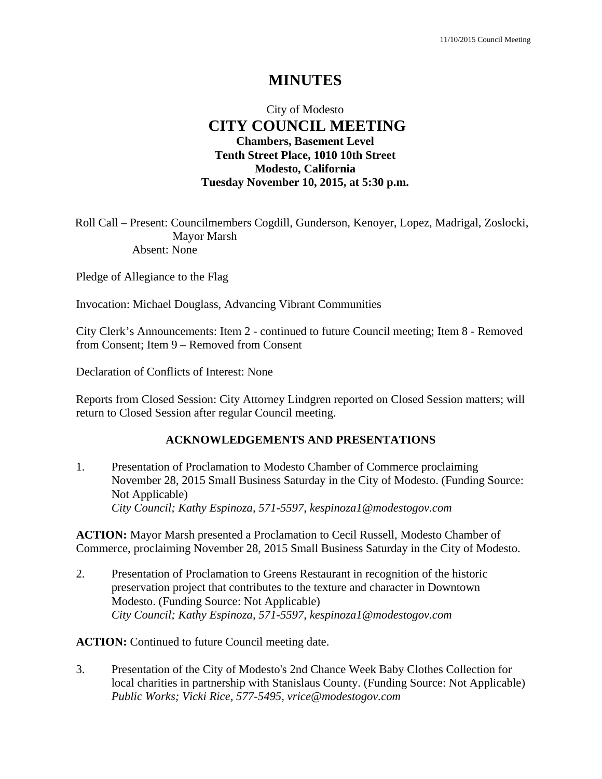# **MINUTES**

# City of Modesto  **CITY COUNCIL MEETING Chambers, Basement Level Tenth Street Place, 1010 10th Street Modesto, California Tuesday November 10, 2015, at 5:30 p.m.**

Roll Call – Present: Councilmembers Cogdill, Gunderson, Kenoyer, Lopez, Madrigal, Zoslocki, Mayor Marsh Absent: None

Pledge of Allegiance to the Flag

Invocation: Michael Douglass, Advancing Vibrant Communities

City Clerk's Announcements: Item 2 - continued to future Council meeting; Item 8 - Removed from Consent; Item 9 – Removed from Consent

Declaration of Conflicts of Interest: None

Reports from Closed Session: City Attorney Lindgren reported on Closed Session matters; will return to Closed Session after regular Council meeting.

#### **ACKNOWLEDGEMENTS AND PRESENTATIONS**

1. Presentation of Proclamation to Modesto Chamber of Commerce proclaiming November 28, 2015 Small Business Saturday in the City of Modesto. (Funding Source: Not Applicable)  *City Council; Kathy Espinoza, 571-5597, kespinoza1@modestogov.com* 

**ACTION:** Mayor Marsh presented a Proclamation to Cecil Russell, Modesto Chamber of Commerce, proclaiming November 28, 2015 Small Business Saturday in the City of Modesto.

2. Presentation of Proclamation to Greens Restaurant in recognition of the historic preservation project that contributes to the texture and character in Downtown Modesto. (Funding Source: Not Applicable)  *City Council; Kathy Espinoza, 571-5597, kespinoza1@modestogov.com* 

**ACTION:** Continued to future Council meeting date.

3. Presentation of the City of Modesto's 2nd Chance Week Baby Clothes Collection for local charities in partnership with Stanislaus County. (Funding Source: Not Applicable)  *Public Works; Vicki Rice, 577-5495, vrice@modestogov.com*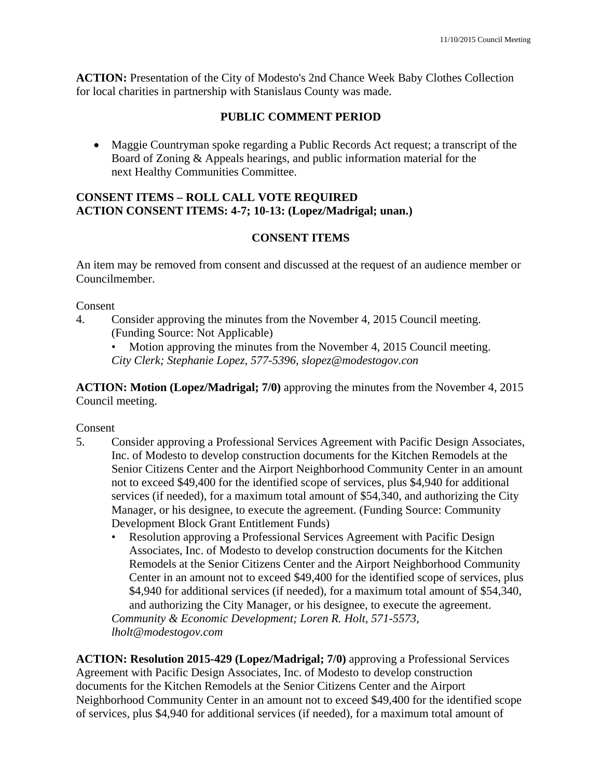**ACTION:** Presentation of the City of Modesto's 2nd Chance Week Baby Clothes Collection for local charities in partnership with Stanislaus County was made.

## **PUBLIC COMMENT PERIOD**

 Maggie Countryman spoke regarding a Public Records Act request; a transcript of the Board of Zoning & Appeals hearings, and public information material for the next Healthy Communities Committee.

### **CONSENT ITEMS – ROLL CALL VOTE REQUIRED ACTION CONSENT ITEMS: 4-7; 10-13: (Lopez/Madrigal; unan.)**

### **CONSENT ITEMS**

An item may be removed from consent and discussed at the request of an audience member or Councilmember.

Consent

- 4. Consider approving the minutes from the November 4, 2015 Council meeting. (Funding Source: Not Applicable)
	- Motion approving the minutes from the November 4, 2015 Council meeting.

*City Clerk; Stephanie Lopez, 577-5396, slopez@modestogov.con* 

**ACTION: Motion (Lopez/Madrigal; 7/0)** approving the minutes from the November 4, 2015 Council meeting.

Consent

- 5. Consider approving a Professional Services Agreement with Pacific Design Associates, Inc. of Modesto to develop construction documents for the Kitchen Remodels at the Senior Citizens Center and the Airport Neighborhood Community Center in an amount not to exceed \$49,400 for the identified scope of services, plus \$4,940 for additional services (if needed), for a maximum total amount of \$54,340, and authorizing the City Manager, or his designee, to execute the agreement. (Funding Source: Community Development Block Grant Entitlement Funds)
	- Resolution approving a Professional Services Agreement with Pacific Design Associates, Inc. of Modesto to develop construction documents for the Kitchen Remodels at the Senior Citizens Center and the Airport Neighborhood Community Center in an amount not to exceed \$49,400 for the identified scope of services, plus \$4,940 for additional services (if needed), for a maximum total amount of \$54,340, and authorizing the City Manager, or his designee, to execute the agreement.

*Community & Economic Development; Loren R. Holt, 571-5573, lholt@modestogov.com* 

**ACTION: Resolution 2015-429 (Lopez/Madrigal; 7/0)** approving a Professional Services Agreement with Pacific Design Associates, Inc. of Modesto to develop construction documents for the Kitchen Remodels at the Senior Citizens Center and the Airport Neighborhood Community Center in an amount not to exceed \$49,400 for the identified scope of services, plus \$4,940 for additional services (if needed), for a maximum total amount of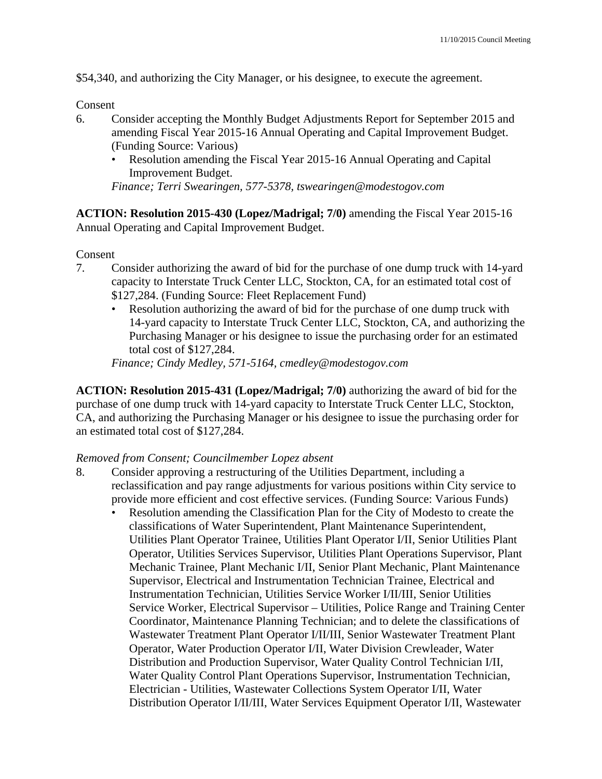\$54,340, and authorizing the City Manager, or his designee, to execute the agreement.

#### Consent

- 6. Consider accepting the Monthly Budget Adjustments Report for September 2015 and amending Fiscal Year 2015-16 Annual Operating and Capital Improvement Budget. (Funding Source: Various)
	- Resolution amending the Fiscal Year 2015-16 Annual Operating and Capital Improvement Budget.

*Finance; Terri Swearingen, 577-5378, tswearingen@modestogov.com* 

**ACTION: Resolution 2015-430 (Lopez/Madrigal; 7/0)** amending the Fiscal Year 2015-16 Annual Operating and Capital Improvement Budget.

Consent

- 7. Consider authorizing the award of bid for the purchase of one dump truck with 14-yard capacity to Interstate Truck Center LLC, Stockton, CA, for an estimated total cost of \$127,284. (Funding Source: Fleet Replacement Fund)
	- Resolution authorizing the award of bid for the purchase of one dump truck with 14-yard capacity to Interstate Truck Center LLC, Stockton, CA, and authorizing the Purchasing Manager or his designee to issue the purchasing order for an estimated total cost of \$127,284.

*Finance; Cindy Medley, 571-5164, cmedley@modestogov.com* 

**ACTION: Resolution 2015-431 (Lopez/Madrigal; 7/0)** authorizing the award of bid for the purchase of one dump truck with 14-yard capacity to Interstate Truck Center LLC, Stockton, CA, and authorizing the Purchasing Manager or his designee to issue the purchasing order for an estimated total cost of \$127,284.

#### *Removed from Consent; Councilmember Lopez absent*

- 8. Consider approving a restructuring of the Utilities Department, including a reclassification and pay range adjustments for various positions within City service to provide more efficient and cost effective services. (Funding Source: Various Funds)
	- Resolution amending the Classification Plan for the City of Modesto to create the classifications of Water Superintendent, Plant Maintenance Superintendent, Utilities Plant Operator Trainee, Utilities Plant Operator I/II, Senior Utilities Plant Operator, Utilities Services Supervisor, Utilities Plant Operations Supervisor, Plant Mechanic Trainee, Plant Mechanic I/II, Senior Plant Mechanic, Plant Maintenance Supervisor, Electrical and Instrumentation Technician Trainee, Electrical and Instrumentation Technician, Utilities Service Worker I/II/III, Senior Utilities Service Worker, Electrical Supervisor – Utilities, Police Range and Training Center Coordinator, Maintenance Planning Technician; and to delete the classifications of Wastewater Treatment Plant Operator I/II/III, Senior Wastewater Treatment Plant Operator, Water Production Operator I/II, Water Division Crewleader, Water Distribution and Production Supervisor, Water Quality Control Technician I/II, Water Quality Control Plant Operations Supervisor, Instrumentation Technician, Electrician - Utilities, Wastewater Collections System Operator I/II, Water Distribution Operator I/II/III, Water Services Equipment Operator I/II, Wastewater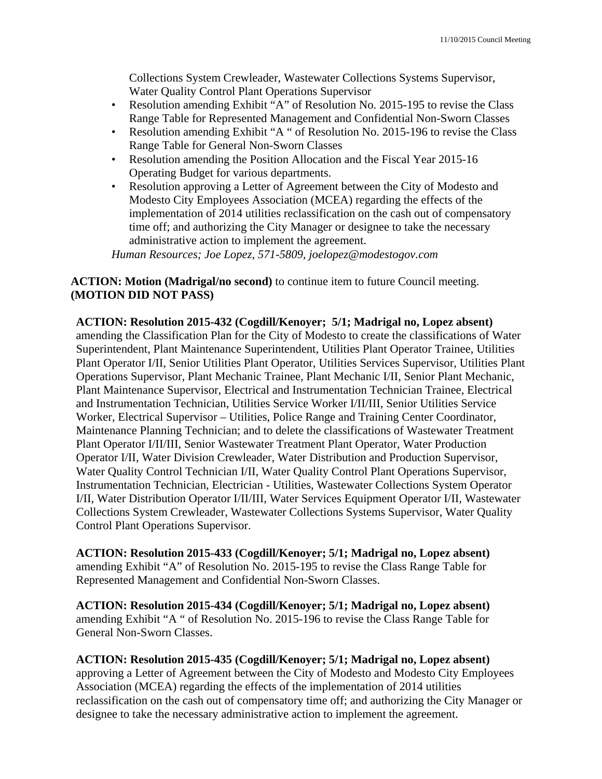Collections System Crewleader, Wastewater Collections Systems Supervisor, Water Quality Control Plant Operations Supervisor

- Resolution amending Exhibit "A" of Resolution No. 2015-195 to revise the Class Range Table for Represented Management and Confidential Non-Sworn Classes
- Resolution amending Exhibit "A " of Resolution No. 2015-196 to revise the Class Range Table for General Non-Sworn Classes
- Resolution amending the Position Allocation and the Fiscal Year 2015-16 Operating Budget for various departments.
- Resolution approving a Letter of Agreement between the City of Modesto and Modesto City Employees Association (MCEA) regarding the effects of the implementation of 2014 utilities reclassification on the cash out of compensatory time off; and authorizing the City Manager or designee to take the necessary administrative action to implement the agreement.

*Human Resources; Joe Lopez, 571-5809, joelopez@modestogov.com* 

**ACTION: Motion (Madrigal/no second)** to continue item to future Council meeting. **(MOTION DID NOT PASS)** 

**ACTION: Resolution 2015-432 (Cogdill/Kenoyer; 5/1; Madrigal no, Lopez absent)** 

amending the Classification Plan for the City of Modesto to create the classifications of Water Superintendent, Plant Maintenance Superintendent, Utilities Plant Operator Trainee, Utilities Plant Operator I/II, Senior Utilities Plant Operator, Utilities Services Supervisor, Utilities Plant Operations Supervisor, Plant Mechanic Trainee, Plant Mechanic I/II, Senior Plant Mechanic, Plant Maintenance Supervisor, Electrical and Instrumentation Technician Trainee, Electrical and Instrumentation Technician, Utilities Service Worker I/II/III, Senior Utilities Service Worker, Electrical Supervisor – Utilities, Police Range and Training Center Coordinator, Maintenance Planning Technician; and to delete the classifications of Wastewater Treatment Plant Operator I/II/III, Senior Wastewater Treatment Plant Operator, Water Production Operator I/II, Water Division Crewleader, Water Distribution and Production Supervisor, Water Quality Control Technician I/II, Water Quality Control Plant Operations Supervisor, Instrumentation Technician, Electrician - Utilities, Wastewater Collections System Operator I/II, Water Distribution Operator I/II/III, Water Services Equipment Operator I/II, Wastewater Collections System Crewleader, Wastewater Collections Systems Supervisor, Water Quality Control Plant Operations Supervisor.

**ACTION: Resolution 2015-433 (Cogdill/Kenoyer; 5/1; Madrigal no, Lopez absent)**  amending Exhibit "A" of Resolution No. 2015-195 to revise the Class Range Table for Represented Management and Confidential Non-Sworn Classes.

**ACTION: Resolution 2015-434 (Cogdill/Kenoyer; 5/1; Madrigal no, Lopez absent)**  amending Exhibit "A " of Resolution No. 2015-196 to revise the Class Range Table for General Non-Sworn Classes.

**ACTION: Resolution 2015-435 (Cogdill/Kenoyer; 5/1; Madrigal no, Lopez absent)** approving a Letter of Agreement between the City of Modesto and Modesto City Employees Association (MCEA) regarding the effects of the implementation of 2014 utilities reclassification on the cash out of compensatory time off; and authorizing the City Manager or designee to take the necessary administrative action to implement the agreement.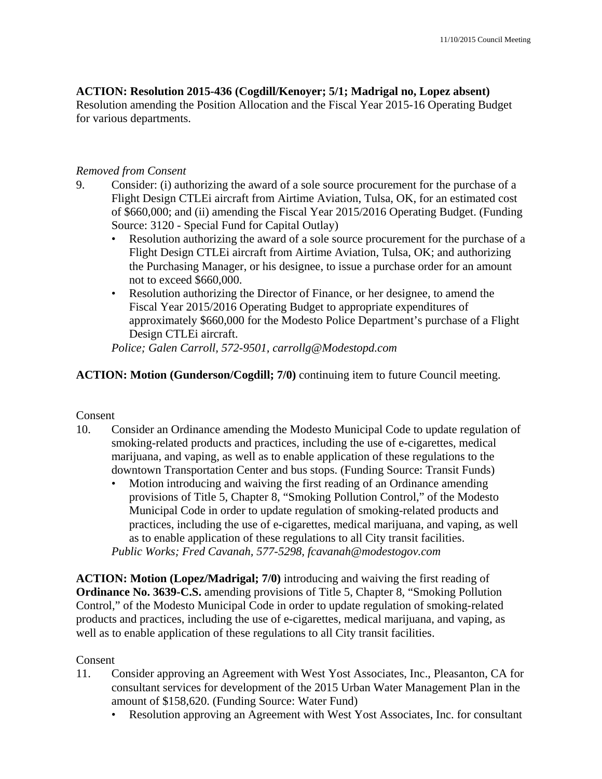# **ACTION: Resolution 2015-436 (Cogdill/Kenoyer; 5/1; Madrigal no, Lopez absent)**

Resolution amending the Position Allocation and the Fiscal Year 2015-16 Operating Budget for various departments.

## *Removed from Consent*

- 9. Consider: (i) authorizing the award of a sole source procurement for the purchase of a Flight Design CTLEi aircraft from Airtime Aviation, Tulsa, OK, for an estimated cost of \$660,000; and (ii) amending the Fiscal Year 2015/2016 Operating Budget. (Funding Source: 3120 - Special Fund for Capital Outlay)
	- Resolution authorizing the award of a sole source procurement for the purchase of a Flight Design CTLEi aircraft from Airtime Aviation, Tulsa, OK; and authorizing the Purchasing Manager, or his designee, to issue a purchase order for an amount not to exceed \$660,000.
	- Resolution authorizing the Director of Finance, or her designee, to amend the Fiscal Year 2015/2016 Operating Budget to appropriate expenditures of approximately \$660,000 for the Modesto Police Department's purchase of a Flight Design CTLEi aircraft.

*Police; Galen Carroll, 572-9501, carrollg@Modestopd.com* 

# **ACTION: Motion (Gunderson/Cogdill; 7/0)** continuing item to future Council meeting.

# Consent

- 10. Consider an Ordinance amending the Modesto Municipal Code to update regulation of smoking-related products and practices, including the use of e-cigarettes, medical marijuana, and vaping, as well as to enable application of these regulations to the downtown Transportation Center and bus stops. (Funding Source: Transit Funds)
	- Motion introducing and waiving the first reading of an Ordinance amending provisions of Title 5, Chapter 8, "Smoking Pollution Control," of the Modesto Municipal Code in order to update regulation of smoking-related products and practices, including the use of e-cigarettes, medical marijuana, and vaping, as well as to enable application of these regulations to all City transit facilities. *Public Works; Fred Cavanah, 577-5298, fcavanah@modestogov.com*

**ACTION: Motion (Lopez/Madrigal; 7/0)** introducing and waiving the first reading of **Ordinance No. 3639-C.S.** amending provisions of Title 5, Chapter 8, "Smoking Pollution Control," of the Modesto Municipal Code in order to update regulation of smoking-related products and practices, including the use of e-cigarettes, medical marijuana, and vaping, as well as to enable application of these regulations to all City transit facilities.

# Consent

- 11. Consider approving an Agreement with West Yost Associates, Inc., Pleasanton, CA for consultant services for development of the 2015 Urban Water Management Plan in the amount of \$158,620. (Funding Source: Water Fund)
	- Resolution approving an Agreement with West Yost Associates, Inc. for consultant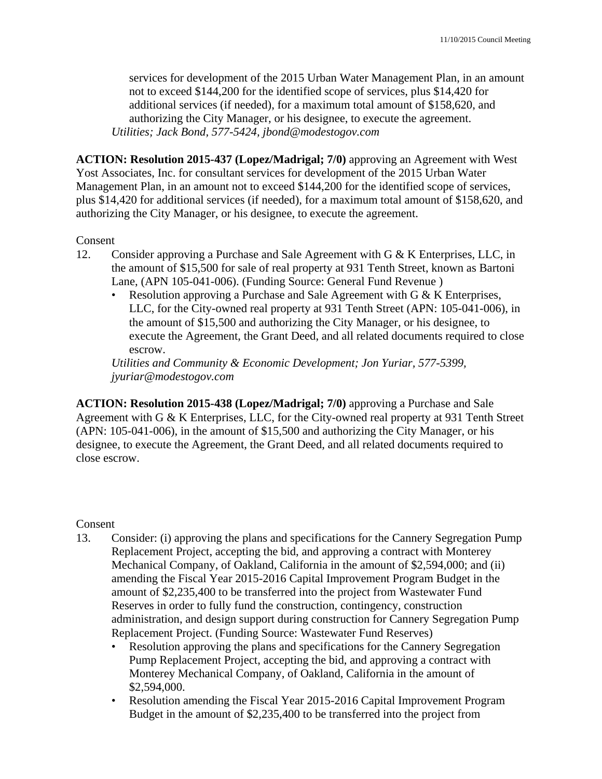services for development of the 2015 Urban Water Management Plan, in an amount not to exceed \$144,200 for the identified scope of services, plus \$14,420 for additional services (if needed), for a maximum total amount of \$158,620, and authorizing the City Manager, or his designee, to execute the agreement. *Utilities; Jack Bond, 577-5424, jbond@modestogov.com* 

**ACTION: Resolution 2015-437 (Lopez/Madrigal; 7/0)** approving an Agreement with West Yost Associates, Inc. for consultant services for development of the 2015 Urban Water Management Plan, in an amount not to exceed \$144,200 for the identified scope of services, plus \$14,420 for additional services (if needed), for a maximum total amount of \$158,620, and authorizing the City Manager, or his designee, to execute the agreement.

### Consent

- 12. Consider approving a Purchase and Sale Agreement with G & K Enterprises, LLC, in the amount of \$15,500 for sale of real property at 931 Tenth Street, known as Bartoni Lane, (APN 105-041-006). (Funding Source: General Fund Revenue )
	- Resolution approving a Purchase and Sale Agreement with G & K Enterprises, LLC, for the City-owned real property at 931 Tenth Street (APN: 105-041-006), in the amount of \$15,500 and authorizing the City Manager, or his designee, to execute the Agreement, the Grant Deed, and all related documents required to close escrow.

*Utilities and Community & Economic Development; Jon Yuriar, 577-5399, jyuriar@modestogov.com* 

**ACTION: Resolution 2015-438 (Lopez/Madrigal; 7/0)** approving a Purchase and Sale Agreement with G & K Enterprises, LLC, for the City-owned real property at 931 Tenth Street (APN: 105-041-006), in the amount of \$15,500 and authorizing the City Manager, or his designee, to execute the Agreement, the Grant Deed, and all related documents required to close escrow.

#### Consent

- 13. Consider: (i) approving the plans and specifications for the Cannery Segregation Pump Replacement Project, accepting the bid, and approving a contract with Monterey Mechanical Company, of Oakland, California in the amount of \$2,594,000; and (ii) amending the Fiscal Year 2015-2016 Capital Improvement Program Budget in the amount of \$2,235,400 to be transferred into the project from Wastewater Fund Reserves in order to fully fund the construction, contingency, construction administration, and design support during construction for Cannery Segregation Pump Replacement Project. (Funding Source: Wastewater Fund Reserves)
	- Resolution approving the plans and specifications for the Cannery Segregation Pump Replacement Project, accepting the bid, and approving a contract with Monterey Mechanical Company, of Oakland, California in the amount of \$2,594,000.
	- Resolution amending the Fiscal Year 2015-2016 Capital Improvement Program Budget in the amount of \$2,235,400 to be transferred into the project from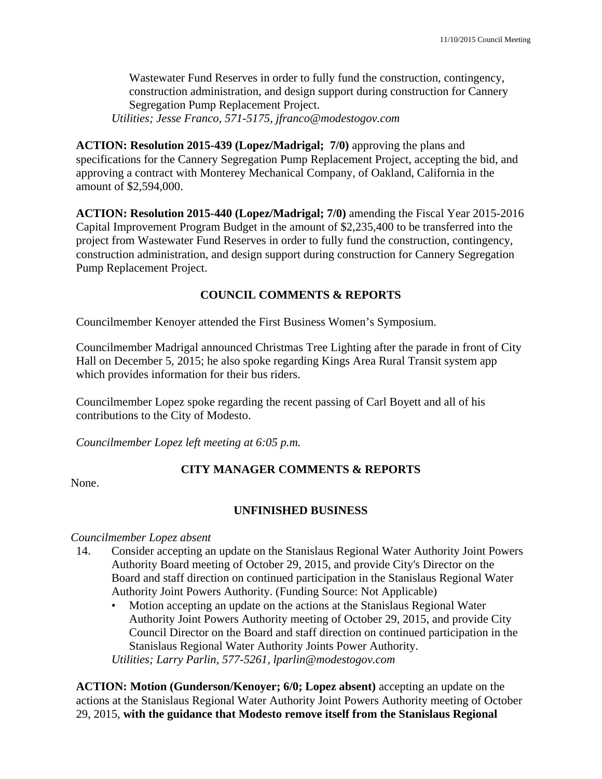Wastewater Fund Reserves in order to fully fund the construction, contingency, construction administration, and design support during construction for Cannery Segregation Pump Replacement Project. *Utilities; Jesse Franco, 571-5175, jfranco@modestogov.com* 

**ACTION: Resolution 2015-439 (Lopez/Madrigal; 7/0)** approving the plans and specifications for the Cannery Segregation Pump Replacement Project, accepting the bid, and approving a contract with Monterey Mechanical Company, of Oakland, California in the amount of \$2,594,000.

**ACTION: Resolution 2015-440 (Lopez/Madrigal; 7/0)** amending the Fiscal Year 2015-2016 Capital Improvement Program Budget in the amount of \$2,235,400 to be transferred into the project from Wastewater Fund Reserves in order to fully fund the construction, contingency, construction administration, and design support during construction for Cannery Segregation Pump Replacement Project.

# **COUNCIL COMMENTS & REPORTS**

Councilmember Kenoyer attended the First Business Women's Symposium.

Councilmember Madrigal announced Christmas Tree Lighting after the parade in front of City Hall on December 5, 2015; he also spoke regarding Kings Area Rural Transit system app which provides information for their bus riders.

Councilmember Lopez spoke regarding the recent passing of Carl Boyett and all of his contributions to the City of Modesto.

*Councilmember Lopez left meeting at 6:05 p.m.* 

# **CITY MANAGER COMMENTS & REPORTS**

None.

#### **UNFINISHED BUSINESS**

*Councilmember Lopez absent* 

- 14. Consider accepting an update on the Stanislaus Regional Water Authority Joint Powers Authority Board meeting of October 29, 2015, and provide City's Director on the Board and staff direction on continued participation in the Stanislaus Regional Water Authority Joint Powers Authority. (Funding Source: Not Applicable)
	- Motion accepting an update on the actions at the Stanislaus Regional Water Authority Joint Powers Authority meeting of October 29, 2015, and provide City Council Director on the Board and staff direction on continued participation in the Stanislaus Regional Water Authority Joints Power Authority. *Utilities; Larry Parlin, 577-5261, lparlin@modestogov.com*

**ACTION: Motion (Gunderson/Kenoyer; 6/0; Lopez absent)** accepting an update on the actions at the Stanislaus Regional Water Authority Joint Powers Authority meeting of October 29, 2015, **with the guidance that Modesto remove itself from the Stanislaus Regional**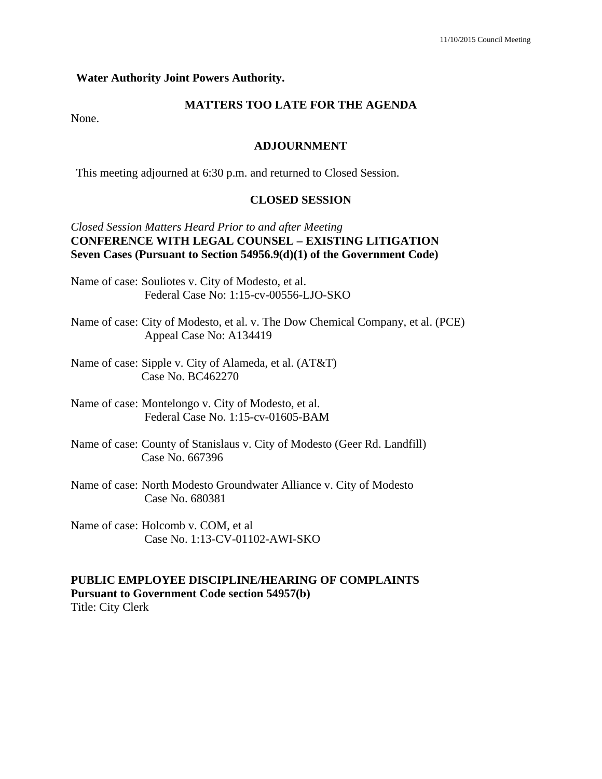#### **Water Authority Joint Powers Authority.**

### **MATTERS TOO LATE FOR THE AGENDA**

None.

#### **ADJOURNMENT**

This meeting adjourned at 6:30 p.m. and returned to Closed Session.

#### **CLOSED SESSION**

#### *Closed Session Matters Heard Prior to and after Meeting*  **CONFERENCE WITH LEGAL COUNSEL – EXISTING LITIGATION Seven Cases (Pursuant to Section 54956.9(d)(1) of the Government Code)**

- Name of case: Souliotes v. City of Modesto, et al. Federal Case No: 1:15-cv-00556-LJO-SKO
- Name of case: City of Modesto, et al. v. The Dow Chemical Company, et al. (PCE) Appeal Case No: A134419
- Name of case: Sipple v. City of Alameda, et al. (AT&T) Case No. BC462270
- Name of case: Montelongo v. City of Modesto, et al. Federal Case No. 1:15-cv-01605-BAM
- Name of case: County of Stanislaus v. City of Modesto (Geer Rd. Landfill) Case No. 667396
- Name of case: North Modesto Groundwater Alliance v. City of Modesto Case No. 680381
- Name of case: Holcomb v. COM, et al Case No. 1:13-CV-01102-AWI-SKO

#### **PUBLIC EMPLOYEE DISCIPLINE/HEARING OF COMPLAINTS Pursuant to Government Code section 54957(b)**

Title: City Clerk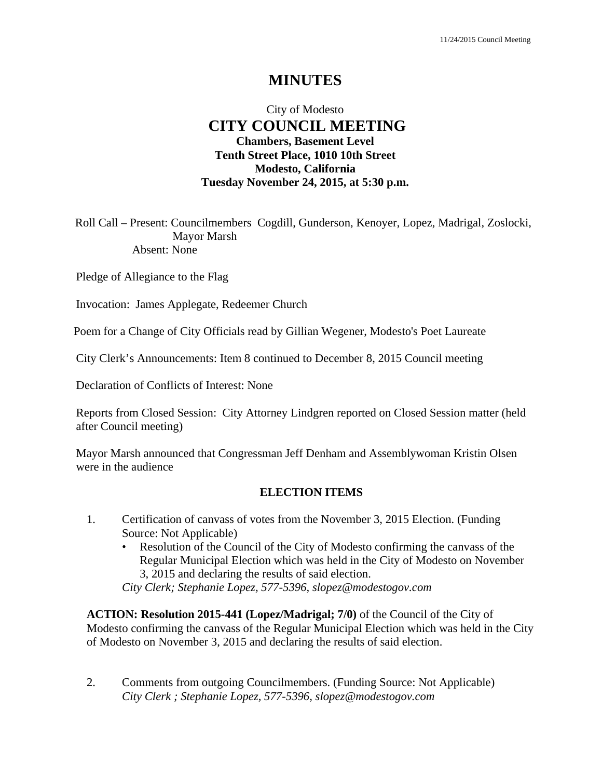# **MINUTES**

# City of Modesto  **CITY COUNCIL MEETING Chambers, Basement Level Tenth Street Place, 1010 10th Street Modesto, California Tuesday November 24, 2015, at 5:30 p.m.**

Roll Call – Present: Councilmembers Cogdill, Gunderson, Kenoyer, Lopez, Madrigal, Zoslocki, Mayor Marsh Absent: None

Pledge of Allegiance to the Flag

Invocation: James Applegate, Redeemer Church

Poem for a Change of City Officials read by Gillian Wegener, Modesto's Poet Laureate

City Clerk's Announcements: Item 8 continued to December 8, 2015 Council meeting

Declaration of Conflicts of Interest: None

Reports from Closed Session: City Attorney Lindgren reported on Closed Session matter (held after Council meeting)

Mayor Marsh announced that Congressman Jeff Denham and Assemblywoman Kristin Olsen were in the audience

#### **ELECTION ITEMS**

- 1. Certification of canvass of votes from the November 3, 2015 Election. (Funding Source: Not Applicable)
	- Resolution of the Council of the City of Modesto confirming the canvass of the Regular Municipal Election which was held in the City of Modesto on November 3, 2015 and declaring the results of said election.

*City Clerk; Stephanie Lopez, 577-5396, slopez@modestogov.com* 

**ACTION: Resolution 2015-441 (Lopez/Madrigal; 7/0)** of the Council of the City of Modesto confirming the canvass of the Regular Municipal Election which was held in the City of Modesto on November 3, 2015 and declaring the results of said election.

2. Comments from outgoing Councilmembers. (Funding Source: Not Applicable)  *City Clerk ; Stephanie Lopez, 577-5396, slopez@modestogov.com*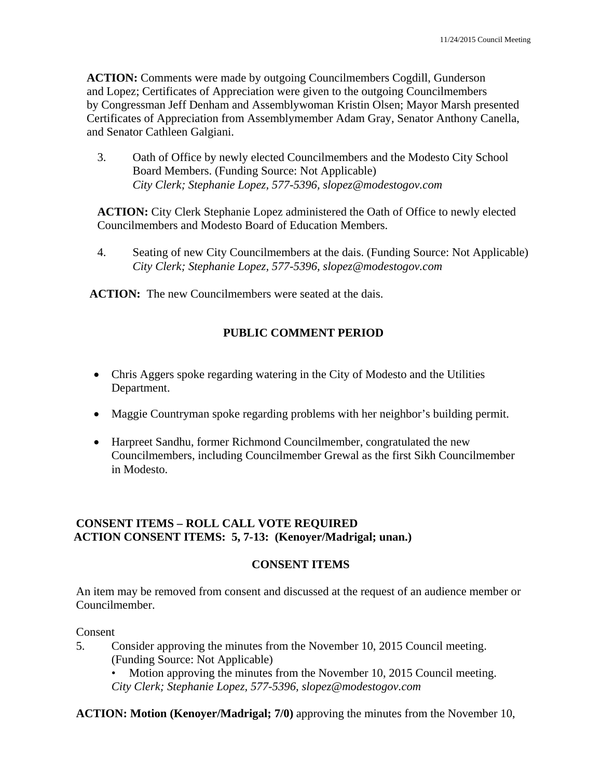**ACTION:** Comments were made by outgoing Councilmembers Cogdill, Gunderson and Lopez; Certificates of Appreciation were given to the outgoing Councilmembers by Congressman Jeff Denham and Assemblywoman Kristin Olsen; Mayor Marsh presented Certificates of Appreciation from Assemblymember Adam Gray, Senator Anthony Canella, and Senator Cathleen Galgiani.

3. Oath of Office by newly elected Councilmembers and the Modesto City School Board Members. (Funding Source: Not Applicable)  *City Clerk; Stephanie Lopez, 577-5396, slopez@modestogov.com* 

**ACTION:** City Clerk Stephanie Lopez administered the Oath of Office to newly elected Councilmembers and Modesto Board of Education Members.

4. Seating of new City Councilmembers at the dais. (Funding Source: Not Applicable)  *City Clerk; Stephanie Lopez, 577-5396, slopez@modestogov.com* 

**ACTION:** The new Councilmembers were seated at the dais.

# **PUBLIC COMMENT PERIOD**

- Chris Aggers spoke regarding watering in the City of Modesto and the Utilities Department.
- Maggie Countryman spoke regarding problems with her neighbor's building permit.
- Harpreet Sandhu, former Richmond Councilmember, congratulated the new Councilmembers, including Councilmember Grewal as the first Sikh Councilmember in Modesto.

# **CONSENT ITEMS – ROLL CALL VOTE REQUIRED ACTION CONSENT ITEMS: 5, 7-13: (Kenoyer/Madrigal; unan.)**

#### **CONSENT ITEMS**

An item may be removed from consent and discussed at the request of an audience member or Councilmember.

#### Consent

- 5. Consider approving the minutes from the November 10, 2015 Council meeting. (Funding Source: Not Applicable)
	- Motion approving the minutes from the November 10, 2015 Council meeting. *City Clerk; Stephanie Lopez, 577-5396, slopez@modestogov.com*

**ACTION: Motion (Kenoyer/Madrigal; 7/0)** approving the minutes from the November 10,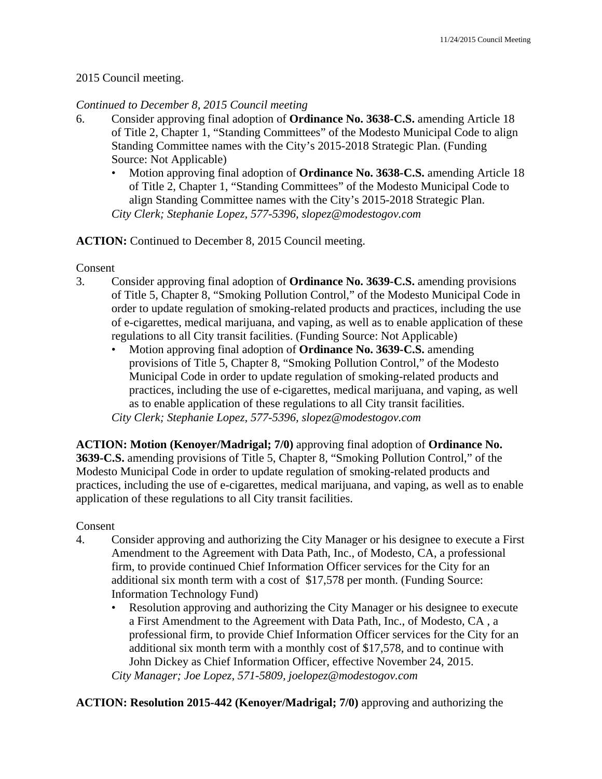#### 2015 Council meeting.

#### *Continued to December 8, 2015 Council meeting*

- 6. Consider approving final adoption of **Ordinance No. 3638-C.S.** amending Article 18 of Title 2, Chapter 1, "Standing Committees" of the Modesto Municipal Code to align Standing Committee names with the City's 2015-2018 Strategic Plan. (Funding Source: Not Applicable)
	- Motion approving final adoption of **Ordinance No. 3638-C.S.** amending Article 18 of Title 2, Chapter 1, "Standing Committees" of the Modesto Municipal Code to align Standing Committee names with the City's 2015-2018 Strategic Plan. *City Clerk; Stephanie Lopez, 577-5396, slopez@modestogov.com*

#### **ACTION:** Continued to December 8, 2015 Council meeting.

#### Consent

- 3. Consider approving final adoption of **Ordinance No. 3639-C.S.** amending provisions of Title 5, Chapter 8, "Smoking Pollution Control," of the Modesto Municipal Code in order to update regulation of smoking-related products and practices, including the use of e-cigarettes, medical marijuana, and vaping, as well as to enable application of these regulations to all City transit facilities. (Funding Source: Not Applicable)
	- Motion approving final adoption of **Ordinance No. 3639-C.S.** amending provisions of Title 5, Chapter 8, "Smoking Pollution Control," of the Modesto Municipal Code in order to update regulation of smoking-related products and practices, including the use of e-cigarettes, medical marijuana, and vaping, as well as to enable application of these regulations to all City transit facilities. *City Clerk; Stephanie Lopez, 577-5396, slopez@modestogov.com*

**ACTION: Motion (Kenoyer/Madrigal; 7/0)** approving final adoption of **Ordinance No. 3639-C.S.** amending provisions of Title 5, Chapter 8, "Smoking Pollution Control," of the Modesto Municipal Code in order to update regulation of smoking-related products and practices, including the use of e-cigarettes, medical marijuana, and vaping, as well as to enable application of these regulations to all City transit facilities.

#### Consent

- 4. Consider approving and authorizing the City Manager or his designee to execute a First Amendment to the Agreement with Data Path, Inc., of Modesto, CA, a professional firm, to provide continued Chief Information Officer services for the City for an additional six month term with a cost of \$17,578 per month. (Funding Source: Information Technology Fund)
	- Resolution approving and authorizing the City Manager or his designee to execute a First Amendment to the Agreement with Data Path, Inc., of Modesto, CA , a professional firm, to provide Chief Information Officer services for the City for an additional six month term with a monthly cost of \$17,578, and to continue with John Dickey as Chief Information Officer, effective November 24, 2015. *City Manager; Joe Lopez, 571-5809, joelopez@modestogov.com*

**ACTION: Resolution 2015-442 (Kenoyer/Madrigal; 7/0)** approving and authorizing the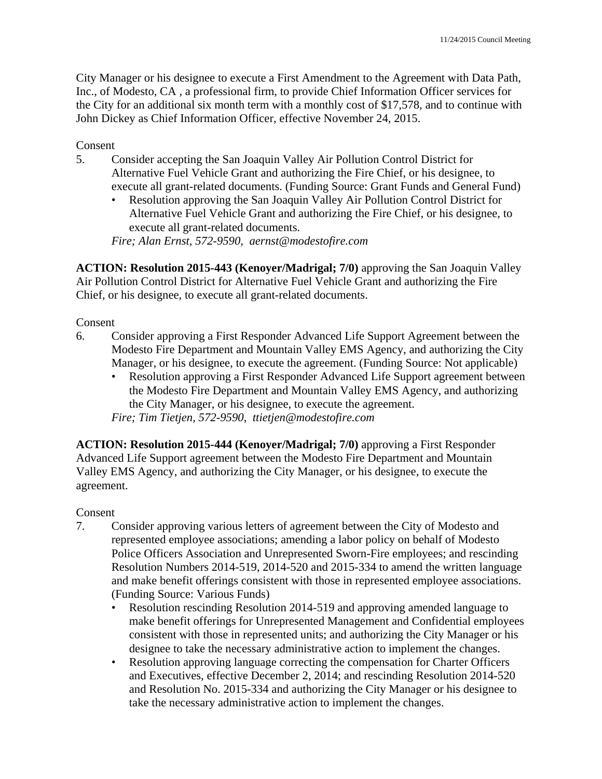City Manager or his designee to execute a First Amendment to the Agreement with Data Path, Inc., of Modesto, CA , a professional firm, to provide Chief Information Officer services for the City for an additional six month term with a monthly cost of \$17,578, and to continue with John Dickey as Chief Information Officer, effective November 24, 2015.

### Consent

- 5. Consider accepting the San Joaquin Valley Air Pollution Control District for Alternative Fuel Vehicle Grant and authorizing the Fire Chief, or his designee, to execute all grant-related documents. (Funding Source: Grant Funds and General Fund)
	- Resolution approving the San Joaquin Valley Air Pollution Control District for Alternative Fuel Vehicle Grant and authorizing the Fire Chief, or his designee, to execute all grant-related documents.

*Fire; Alan Ernst, 572-9590, aernst@modestofire.com* 

**ACTION: Resolution 2015-443 (Kenoyer/Madrigal; 7/0)** approving the San Joaquin Valley Air Pollution Control District for Alternative Fuel Vehicle Grant and authorizing the Fire Chief, or his designee, to execute all grant-related documents.

### Consent

- 6. Consider approving a First Responder Advanced Life Support Agreement between the Modesto Fire Department and Mountain Valley EMS Agency, and authorizing the City Manager, or his designee, to execute the agreement. (Funding Source: Not applicable)
	- Resolution approving a First Responder Advanced Life Support agreement between the Modesto Fire Department and Mountain Valley EMS Agency, and authorizing the City Manager, or his designee, to execute the agreement.

*Fire; Tim Tietjen, 572-9590, ttietjen@modestofire.com* 

**ACTION: Resolution 2015-444 (Kenoyer/Madrigal; 7/0)** approving a First Responder Advanced Life Support agreement between the Modesto Fire Department and Mountain Valley EMS Agency, and authorizing the City Manager, or his designee, to execute the agreement.

#### Consent

- 7. Consider approving various letters of agreement between the City of Modesto and represented employee associations; amending a labor policy on behalf of Modesto Police Officers Association and Unrepresented Sworn-Fire employees; and rescinding Resolution Numbers 2014-519, 2014-520 and 2015-334 to amend the written language and make benefit offerings consistent with those in represented employee associations. (Funding Source: Various Funds)
	- Resolution rescinding Resolution 2014-519 and approving amended language to make benefit offerings for Unrepresented Management and Confidential employees consistent with those in represented units; and authorizing the City Manager or his designee to take the necessary administrative action to implement the changes.
	- Resolution approving language correcting the compensation for Charter Officers and Executives, effective December 2, 2014; and rescinding Resolution 2014-520 and Resolution No. 2015-334 and authorizing the City Manager or his designee to take the necessary administrative action to implement the changes.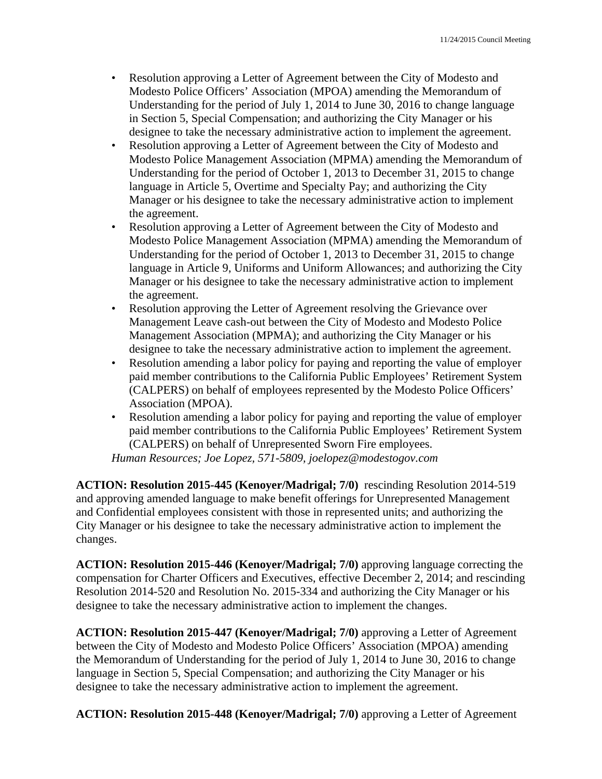- Resolution approving a Letter of Agreement between the City of Modesto and Modesto Police Officers' Association (MPOA) amending the Memorandum of Understanding for the period of July 1, 2014 to June 30, 2016 to change language in Section 5, Special Compensation; and authorizing the City Manager or his designee to take the necessary administrative action to implement the agreement.
- Resolution approving a Letter of Agreement between the City of Modesto and Modesto Police Management Association (MPMA) amending the Memorandum of Understanding for the period of October 1, 2013 to December 31, 2015 to change language in Article 5, Overtime and Specialty Pay; and authorizing the City Manager or his designee to take the necessary administrative action to implement the agreement.
- Resolution approving a Letter of Agreement between the City of Modesto and Modesto Police Management Association (MPMA) amending the Memorandum of Understanding for the period of October 1, 2013 to December 31, 2015 to change language in Article 9, Uniforms and Uniform Allowances; and authorizing the City Manager or his designee to take the necessary administrative action to implement the agreement.
- Resolution approving the Letter of Agreement resolving the Grievance over Management Leave cash-out between the City of Modesto and Modesto Police Management Association (MPMA); and authorizing the City Manager or his designee to take the necessary administrative action to implement the agreement.
- Resolution amending a labor policy for paying and reporting the value of employer paid member contributions to the California Public Employees' Retirement System (CALPERS) on behalf of employees represented by the Modesto Police Officers' Association (MPOA).
- Resolution amending a labor policy for paying and reporting the value of employer paid member contributions to the California Public Employees' Retirement System (CALPERS) on behalf of Unrepresented Sworn Fire employees.

*Human Resources; Joe Lopez, 571-5809, joelopez@modestogov.com* 

**ACTION: Resolution 2015-445 (Kenoyer/Madrigal; 7/0)** rescinding Resolution 2014-519 and approving amended language to make benefit offerings for Unrepresented Management and Confidential employees consistent with those in represented units; and authorizing the City Manager or his designee to take the necessary administrative action to implement the changes.

**ACTION: Resolution 2015-446 (Kenoyer/Madrigal; 7/0)** approving language correcting the compensation for Charter Officers and Executives, effective December 2, 2014; and rescinding Resolution 2014-520 and Resolution No. 2015-334 and authorizing the City Manager or his designee to take the necessary administrative action to implement the changes.

**ACTION: Resolution 2015-447 (Kenoyer/Madrigal; 7/0)** approving a Letter of Agreement between the City of Modesto and Modesto Police Officers' Association (MPOA) amending the Memorandum of Understanding for the period of July 1, 2014 to June 30, 2016 to change language in Section 5, Special Compensation; and authorizing the City Manager or his designee to take the necessary administrative action to implement the agreement.

**ACTION: Resolution 2015-448 (Kenoyer/Madrigal; 7/0)** approving a Letter of Agreement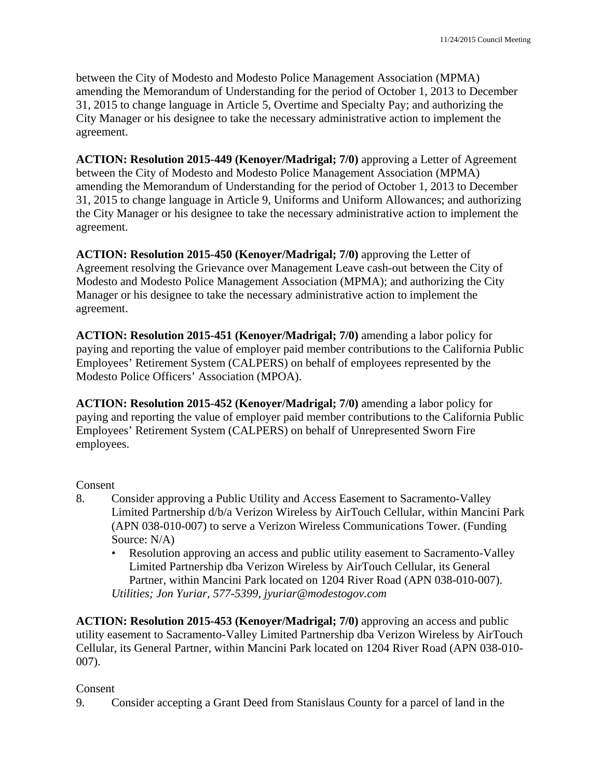between the City of Modesto and Modesto Police Management Association (MPMA) amending the Memorandum of Understanding for the period of October 1, 2013 to December 31, 2015 to change language in Article 5, Overtime and Specialty Pay; and authorizing the City Manager or his designee to take the necessary administrative action to implement the agreement.

**ACTION: Resolution 2015-449 (Kenoyer/Madrigal; 7/0)** approving a Letter of Agreement between the City of Modesto and Modesto Police Management Association (MPMA) amending the Memorandum of Understanding for the period of October 1, 2013 to December 31, 2015 to change language in Article 9, Uniforms and Uniform Allowances; and authorizing the City Manager or his designee to take the necessary administrative action to implement the agreement.

**ACTION: Resolution 2015-450 (Kenoyer/Madrigal; 7/0)** approving the Letter of Agreement resolving the Grievance over Management Leave cash-out between the City of Modesto and Modesto Police Management Association (MPMA); and authorizing the City Manager or his designee to take the necessary administrative action to implement the agreement.

**ACTION: Resolution 2015-451 (Kenoyer/Madrigal; 7/0)** amending a labor policy for paying and reporting the value of employer paid member contributions to the California Public Employees' Retirement System (CALPERS) on behalf of employees represented by the Modesto Police Officers' Association (MPOA).

**ACTION: Resolution 2015-452 (Kenoyer/Madrigal; 7/0)** amending a labor policy for paying and reporting the value of employer paid member contributions to the California Public Employees' Retirement System (CALPERS) on behalf of Unrepresented Sworn Fire employees.

#### Consent

- 8. Consider approving a Public Utility and Access Easement to Sacramento-Valley Limited Partnership d/b/a Verizon Wireless by AirTouch Cellular, within Mancini Park (APN 038-010-007) to serve a Verizon Wireless Communications Tower. (Funding Source: N/A)
	- Resolution approving an access and public utility easement to Sacramento-Valley Limited Partnership dba Verizon Wireless by AirTouch Cellular, its General Partner, within Mancini Park located on 1204 River Road (APN 038-010-007). *Utilities; Jon Yuriar, 577-5399, jyuriar@modestogov.com*

**ACTION: Resolution 2015-453 (Kenoyer/Madrigal; 7/0)** approving an access and public utility easement to Sacramento-Valley Limited Partnership dba Verizon Wireless by AirTouch Cellular, its General Partner, within Mancini Park located on 1204 River Road (APN 038-010- 007).

#### Consent

9. Consider accepting a Grant Deed from Stanislaus County for a parcel of land in the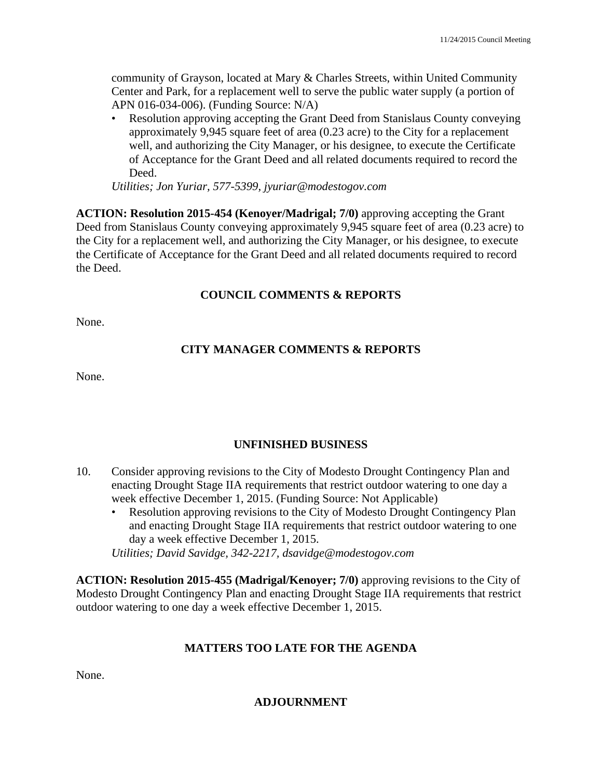community of Grayson, located at Mary & Charles Streets, within United Community Center and Park, for a replacement well to serve the public water supply (a portion of APN 016-034-006). (Funding Source: N/A)

• Resolution approving accepting the Grant Deed from Stanislaus County conveying approximately 9,945 square feet of area (0.23 acre) to the City for a replacement well, and authorizing the City Manager, or his designee, to execute the Certificate of Acceptance for the Grant Deed and all related documents required to record the Deed.

*Utilities; Jon Yuriar, 577-5399, jyuriar@modestogov.com* 

**ACTION: Resolution 2015-454 (Kenoyer/Madrigal; 7/0)** approving accepting the Grant Deed from Stanislaus County conveying approximately 9,945 square feet of area (0.23 acre) to the City for a replacement well, and authorizing the City Manager, or his designee, to execute the Certificate of Acceptance for the Grant Deed and all related documents required to record the Deed.

# **COUNCIL COMMENTS & REPORTS**

None.

# **CITY MANAGER COMMENTS & REPORTS**

None.

# **UNFINISHED BUSINESS**

- 10. Consider approving revisions to the City of Modesto Drought Contingency Plan and enacting Drought Stage IIA requirements that restrict outdoor watering to one day a week effective December 1, 2015. (Funding Source: Not Applicable)
	- Resolution approving revisions to the City of Modesto Drought Contingency Plan and enacting Drought Stage IIA requirements that restrict outdoor watering to one day a week effective December 1, 2015.

*Utilities; David Savidge, 342-2217, dsavidge@modestogov.com* 

**ACTION: Resolution 2015-455 (Madrigal/Kenoyer; 7/0)** approving revisions to the City of Modesto Drought Contingency Plan and enacting Drought Stage IIA requirements that restrict outdoor watering to one day a week effective December 1, 2015.

# **MATTERS TOO LATE FOR THE AGENDA**

None.

**ADJOURNMENT**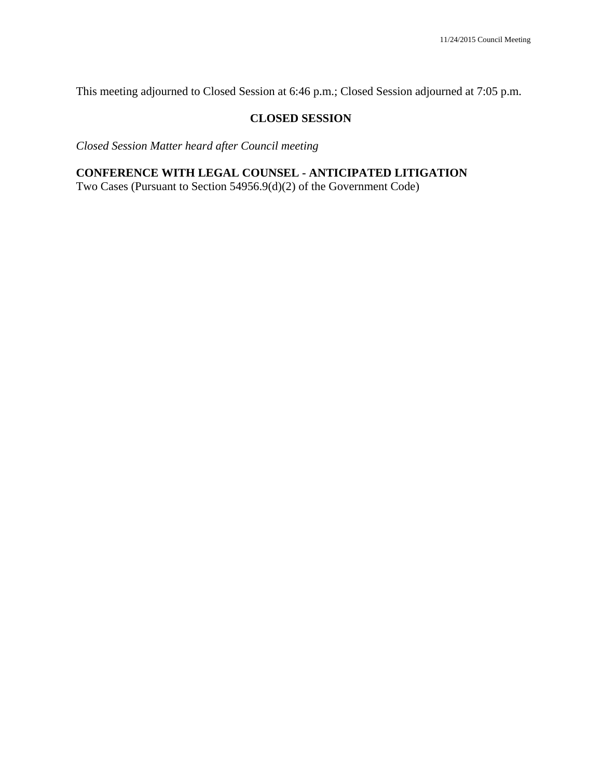This meeting adjourned to Closed Session at 6:46 p.m.; Closed Session adjourned at 7:05 p.m.

#### **CLOSED SESSION**

*Closed Session Matter heard after Council meeting* 

# **CONFERENCE WITH LEGAL COUNSEL - ANTICIPATED LITIGATION**

Two Cases (Pursuant to Section 54956.9(d)(2) of the Government Code)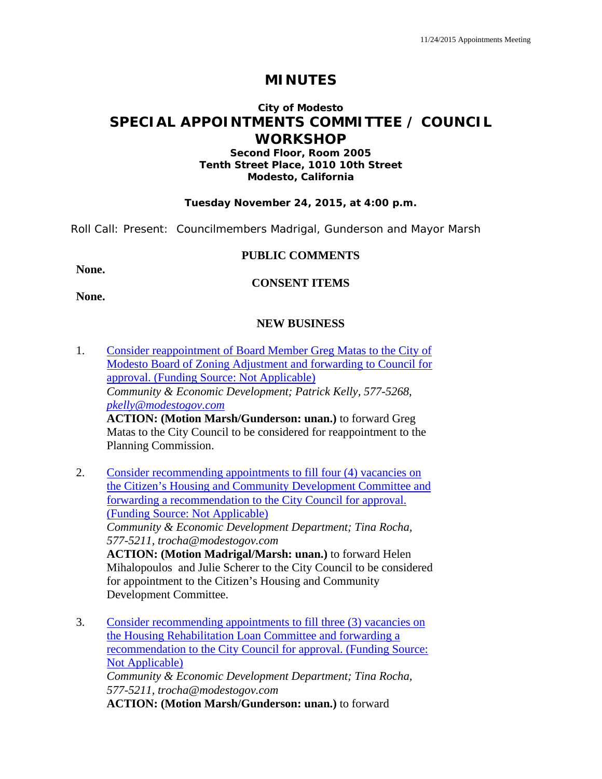# **MINUTES**

# **City of Modesto SPECIAL APPOINTMENTS COMMITTEE / COUNCIL WORKSHOP**

#### **Second Floor, Room 2005 Tenth Street Place, 1010 10th Street Modesto, California**

#### **Tuesday November 24, 2015, at 4:00 p.m.**

Roll Call: Present: Councilmembers Madrigal, Gunderson and Mayor Marsh

#### **PUBLIC COMMENTS**

**None.**

#### **CONSENT ITEMS**

**None.** 

#### **NEW BUSINESS**

- 1. Consider reappointment of Board Member Greg Matas to the City of Modesto Board of Zoning Adjustment and forwarding to Council for approval. (Funding Source: Not Applicable) *Community & Economic Development; Patrick Kelly, 577-5268, pkelly@modestogov.com*  **ACTION: (Motion Marsh/Gunderson: unan.)** to forward Greg Matas to the City Council to be considered for reappointment to the Planning Commission.
- 2. Consider recommending appointments to fill four (4) vacancies on the Citizen's Housing and Community Development Committee and forwarding a recommendation to the City Council for approval. (Funding Source: Not Applicable) *Community & Economic Development Department; Tina Rocha, 577-5211, trocha@modestogov.com*  **ACTION: (Motion Madrigal/Marsh: unan.)** to forward Helen Mihalopoulos and Julie Scherer to the City Council to be considered for appointment to the Citizen's Housing and Community Development Committee.
- 3. Consider recommending appointments to fill three (3) vacancies on the Housing Rehabilitation Loan Committee and forwarding a recommendation to the City Council for approval. (Funding Source: Not Applicable) *Community & Economic Development Department; Tina Rocha, 577-5211, trocha@modestogov.com*  **ACTION: (Motion Marsh/Gunderson: unan.)** to forward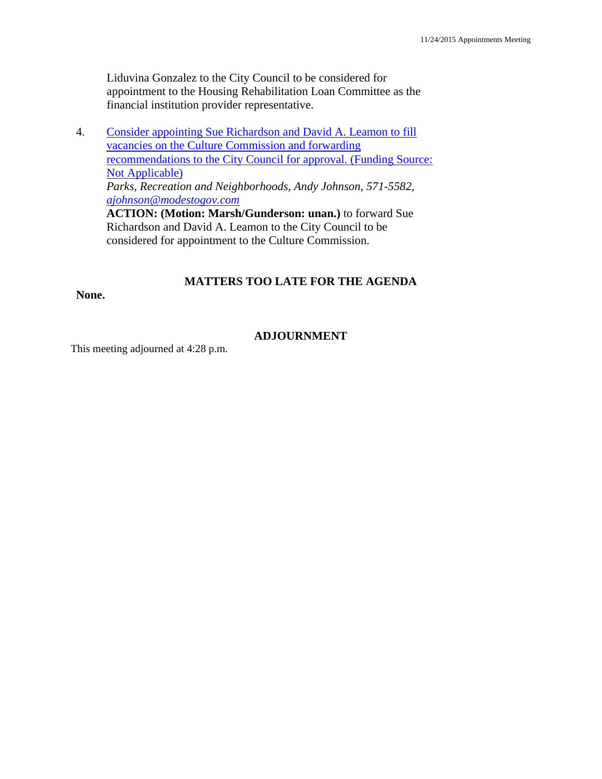Liduvina Gonzalez to the City Council to be considered for appointment to the Housing Rehabilitation Loan Committee as the financial institution provider representative.

4. Consider appointing Sue Richardson and David A. Leamon to fill vacancies on the Culture Commission and forwarding recommendations to the City Council for approval. (Funding Source: Not Applicable) *Parks, Recreation and Neighborhoods, Andy Johnson, 571-5582, ajohnson@modestogov.com* **ACTION: (Motion: Marsh/Gunderson: unan.)** to forward Sue Richardson and David A. Leamon to the City Council to be considered for appointment to the Culture Commission.

### **MATTERS TOO LATE FOR THE AGENDA**

#### **None.**

### **ADJOURNMENT**

This meeting adjourned at 4:28 p.m.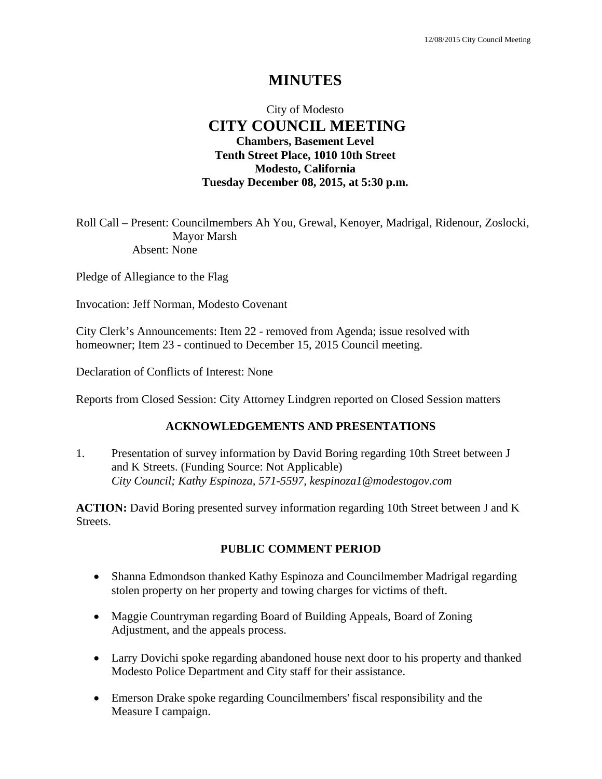# **MINUTES**

# City of Modesto  **CITY COUNCIL MEETING Chambers, Basement Level Tenth Street Place, 1010 10th Street Modesto, California Tuesday December 08, 2015, at 5:30 p.m.**

Roll Call – Present: Councilmembers Ah You, Grewal, Kenoyer, Madrigal, Ridenour, Zoslocki, Mayor Marsh Absent: None

Pledge of Allegiance to the Flag

Invocation: Jeff Norman, Modesto Covenant

City Clerk's Announcements: Item 22 - removed from Agenda; issue resolved with homeowner; Item 23 - continued to December 15, 2015 Council meeting.

Declaration of Conflicts of Interest: None

Reports from Closed Session: City Attorney Lindgren reported on Closed Session matters

#### **ACKNOWLEDGEMENTS AND PRESENTATIONS**

1. Presentation of survey information by David Boring regarding 10th Street between J and K Streets. (Funding Source: Not Applicable)  *City Council; Kathy Espinoza, 571-5597, kespinoza1@modestogov.com* 

**ACTION:** David Boring presented survey information regarding 10th Street between J and K Streets.

#### **PUBLIC COMMENT PERIOD**

- Shanna Edmondson thanked Kathy Espinoza and Councilmember Madrigal regarding stolen property on her property and towing charges for victims of theft.
- Maggie Countryman regarding Board of Building Appeals, Board of Zoning Adjustment, and the appeals process.
- Larry Dovichi spoke regarding abandoned house next door to his property and thanked Modesto Police Department and City staff for their assistance.
- Emerson Drake spoke regarding Councilmembers' fiscal responsibility and the Measure I campaign.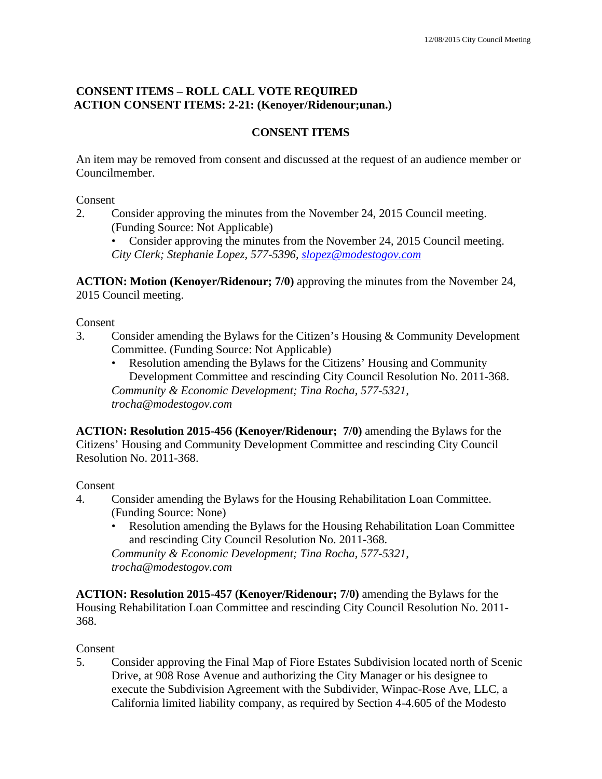# **CONSENT ITEMS – ROLL CALL VOTE REQUIRED ACTION CONSENT ITEMS: 2-21: (Kenoyer/Ridenour;unan.)**

# **CONSENT ITEMS**

An item may be removed from consent and discussed at the request of an audience member or Councilmember.

Consent

2. Consider approving the minutes from the November 24, 2015 Council meeting. (Funding Source: Not Applicable)

• Consider approving the minutes from the November 24, 2015 Council meeting. *City Clerk; Stephanie Lopez, 577-5396, slopez@modestogov.com*

**ACTION: Motion (Kenoyer/Ridenour; 7/0)** approving the minutes from the November 24, 2015 Council meeting.

Consent

- 3. Consider amending the Bylaws for the Citizen's Housing & Community Development Committee. (Funding Source: Not Applicable)
	- Resolution amending the Bylaws for the Citizens' Housing and Community Development Committee and rescinding City Council Resolution No. 2011-368. *Community & Economic Development; Tina Rocha, 577-5321, trocha@modestogov.com*

**ACTION: Resolution 2015-456 (Kenoyer/Ridenour; 7/0)** amending the Bylaws for the Citizens' Housing and Community Development Committee and rescinding City Council Resolution No. 2011-368.

Consent

- 4. Consider amending the Bylaws for the Housing Rehabilitation Loan Committee. (Funding Source: None)
	- Resolution amending the Bylaws for the Housing Rehabilitation Loan Committee and rescinding City Council Resolution No. 2011-368.

*Community & Economic Development; Tina Rocha, 577-5321, trocha@modestogov.com* 

**ACTION: Resolution 2015-457 (Kenoyer/Ridenour; 7/0)** amending the Bylaws for the Housing Rehabilitation Loan Committee and rescinding City Council Resolution No. 2011- 368.

Consent

5. Consider approving the Final Map of Fiore Estates Subdivision located north of Scenic Drive, at 908 Rose Avenue and authorizing the City Manager or his designee to execute the Subdivision Agreement with the Subdivider, Winpac-Rose Ave, LLC, a California limited liability company, as required by Section 4-4.605 of the Modesto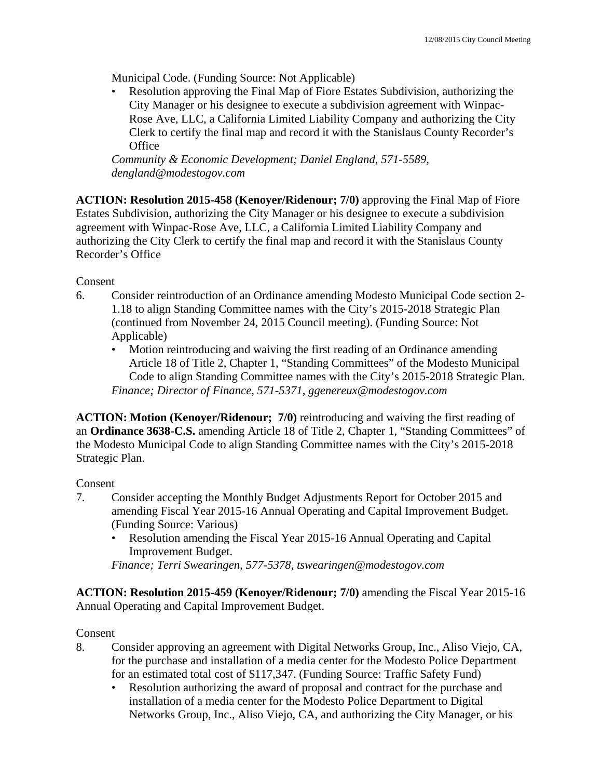Municipal Code. (Funding Source: Not Applicable)

• Resolution approving the Final Map of Fiore Estates Subdivision, authorizing the City Manager or his designee to execute a subdivision agreement with Winpac-Rose Ave, LLC, a California Limited Liability Company and authorizing the City Clerk to certify the final map and record it with the Stanislaus County Recorder's **Office** 

*Community & Economic Development; Daniel England, 571-5589, dengland@modestogov.com* 

**ACTION: Resolution 2015-458 (Kenoyer/Ridenour; 7/0)** approving the Final Map of Fiore Estates Subdivision, authorizing the City Manager or his designee to execute a subdivision agreement with Winpac-Rose Ave, LLC, a California Limited Liability Company and authorizing the City Clerk to certify the final map and record it with the Stanislaus County Recorder's Office

Consent

- 6. Consider reintroduction of an Ordinance amending Modesto Municipal Code section 2- 1.18 to align Standing Committee names with the City's 2015-2018 Strategic Plan (continued from November 24, 2015 Council meeting). (Funding Source: Not Applicable)
	- Motion reintroducing and waiving the first reading of an Ordinance amending Article 18 of Title 2, Chapter 1, "Standing Committees" of the Modesto Municipal Code to align Standing Committee names with the City's 2015-2018 Strategic Plan. *Finance; Director of Finance, 571-5371, ggenereux@modestogov.com*

**ACTION: Motion (Kenoyer/Ridenour; 7/0)** reintroducing and waiving the first reading of an **Ordinance 3638-C.S.** amending Article 18 of Title 2, Chapter 1, "Standing Committees" of the Modesto Municipal Code to align Standing Committee names with the City's 2015-2018 Strategic Plan.

Consent

- 7. Consider accepting the Monthly Budget Adjustments Report for October 2015 and amending Fiscal Year 2015-16 Annual Operating and Capital Improvement Budget. (Funding Source: Various)
	- Resolution amending the Fiscal Year 2015-16 Annual Operating and Capital Improvement Budget.

*Finance; Terri Swearingen, 577-5378, tswearingen@modestogov.com* 

**ACTION: Resolution 2015-459 (Kenoyer/Ridenour; 7/0)** amending the Fiscal Year 2015-16 Annual Operating and Capital Improvement Budget.

Consent

- 8. Consider approving an agreement with Digital Networks Group, Inc., Aliso Viejo, CA, for the purchase and installation of a media center for the Modesto Police Department for an estimated total cost of \$117,347. (Funding Source: Traffic Safety Fund)
	- Resolution authorizing the award of proposal and contract for the purchase and installation of a media center for the Modesto Police Department to Digital Networks Group, Inc., Aliso Viejo, CA, and authorizing the City Manager, or his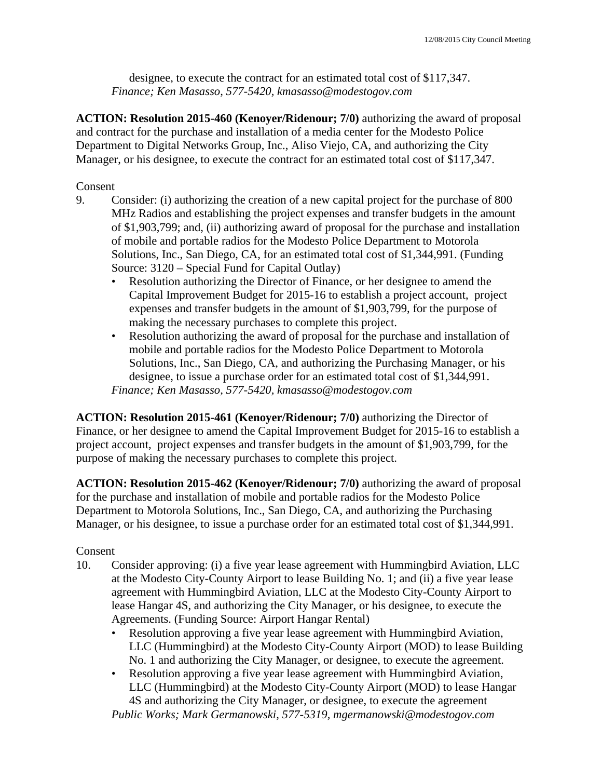designee, to execute the contract for an estimated total cost of \$117,347. *Finance; Ken Masasso, 577-5420, kmasasso@modestogov.com* 

**ACTION: Resolution 2015-460 (Kenoyer/Ridenour; 7/0)** authorizing the award of proposal and contract for the purchase and installation of a media center for the Modesto Police Department to Digital Networks Group, Inc., Aliso Viejo, CA, and authorizing the City Manager, or his designee, to execute the contract for an estimated total cost of \$117,347.

Consent

- 9. Consider: (i) authorizing the creation of a new capital project for the purchase of 800 MHz Radios and establishing the project expenses and transfer budgets in the amount of \$1,903,799; and, (ii) authorizing award of proposal for the purchase and installation of mobile and portable radios for the Modesto Police Department to Motorola Solutions, Inc., San Diego, CA, for an estimated total cost of \$1,344,991. (Funding Source: 3120 – Special Fund for Capital Outlay)
	- Resolution authorizing the Director of Finance, or her designee to amend the Capital Improvement Budget for 2015-16 to establish a project account, project expenses and transfer budgets in the amount of \$1,903,799, for the purpose of making the necessary purchases to complete this project.
	- Resolution authorizing the award of proposal for the purchase and installation of mobile and portable radios for the Modesto Police Department to Motorola Solutions, Inc., San Diego, CA, and authorizing the Purchasing Manager, or his designee, to issue a purchase order for an estimated total cost of \$1,344,991. *Finance; Ken Masasso, 577-5420, kmasasso@modestogov.com*

**ACTION: Resolution 2015-461 (Kenoyer/Ridenour; 7/0)** authorizing the Director of Finance, or her designee to amend the Capital Improvement Budget for 2015-16 to establish a project account, project expenses and transfer budgets in the amount of \$1,903,799, for the purpose of making the necessary purchases to complete this project.

**ACTION: Resolution 2015-462 (Kenoyer/Ridenour; 7/0)** authorizing the award of proposal for the purchase and installation of mobile and portable radios for the Modesto Police Department to Motorola Solutions, Inc., San Diego, CA, and authorizing the Purchasing Manager, or his designee, to issue a purchase order for an estimated total cost of \$1,344,991.

# Consent

- 10. Consider approving: (i) a five year lease agreement with Hummingbird Aviation, LLC at the Modesto City-County Airport to lease Building No. 1; and (ii) a five year lease agreement with Hummingbird Aviation, LLC at the Modesto City-County Airport to lease Hangar 4S, and authorizing the City Manager, or his designee, to execute the Agreements. (Funding Source: Airport Hangar Rental)
	- Resolution approving a five year lease agreement with Hummingbird Aviation, LLC (Hummingbird) at the Modesto City-County Airport (MOD) to lease Building No. 1 and authorizing the City Manager, or designee, to execute the agreement.
	- Resolution approving a five year lease agreement with Hummingbird Aviation, LLC (Hummingbird) at the Modesto City-County Airport (MOD) to lease Hangar 4S and authorizing the City Manager, or designee, to execute the agreement

*Public Works; Mark Germanowski, 577-5319, mgermanowski@modestogov.com*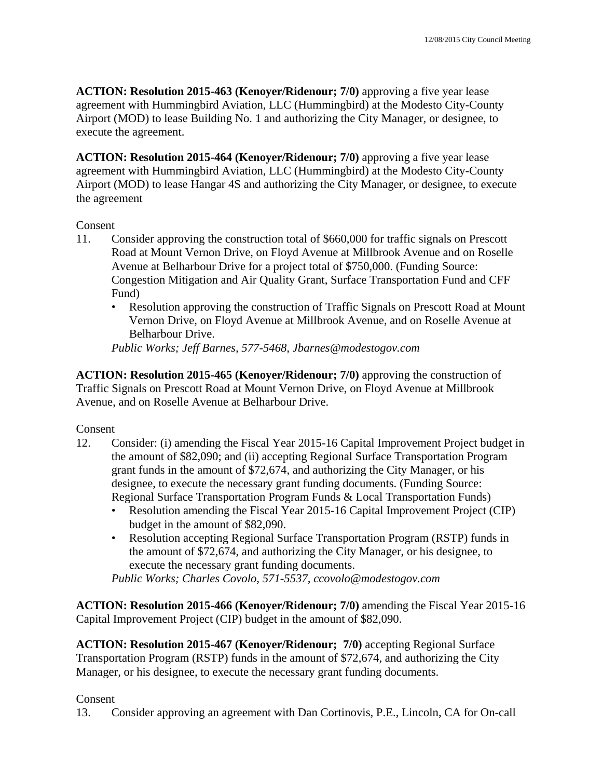**ACTION: Resolution 2015-463 (Kenoyer/Ridenour; 7/0)** approving a five year lease agreement with Hummingbird Aviation, LLC (Hummingbird) at the Modesto City-County Airport (MOD) to lease Building No. 1 and authorizing the City Manager, or designee, to execute the agreement.

**ACTION: Resolution 2015-464 (Kenoyer/Ridenour; 7/0)** approving a five year lease agreement with Hummingbird Aviation, LLC (Hummingbird) at the Modesto City-County Airport (MOD) to lease Hangar 4S and authorizing the City Manager, or designee, to execute the agreement

#### Consent

- 11. Consider approving the construction total of \$660,000 for traffic signals on Prescott Road at Mount Vernon Drive, on Floyd Avenue at Millbrook Avenue and on Roselle Avenue at Belharbour Drive for a project total of \$750,000. (Funding Source: Congestion Mitigation and Air Quality Grant, Surface Transportation Fund and CFF Fund)
	- Resolution approving the construction of Traffic Signals on Prescott Road at Mount Vernon Drive, on Floyd Avenue at Millbrook Avenue, and on Roselle Avenue at Belharbour Drive.

*Public Works; Jeff Barnes, 577-5468, Jbarnes@modestogov.com* 

**ACTION: Resolution 2015-465 (Kenoyer/Ridenour; 7/0)** approving the construction of Traffic Signals on Prescott Road at Mount Vernon Drive, on Floyd Avenue at Millbrook Avenue, and on Roselle Avenue at Belharbour Drive.

Consent

- 12. Consider: (i) amending the Fiscal Year 2015-16 Capital Improvement Project budget in the amount of \$82,090; and (ii) accepting Regional Surface Transportation Program grant funds in the amount of \$72,674, and authorizing the City Manager, or his designee, to execute the necessary grant funding documents. (Funding Source: Regional Surface Transportation Program Funds & Local Transportation Funds)
	- Resolution amending the Fiscal Year 2015-16 Capital Improvement Project (CIP) budget in the amount of \$82,090.
	- Resolution accepting Regional Surface Transportation Program (RSTP) funds in the amount of \$72,674, and authorizing the City Manager, or his designee, to execute the necessary grant funding documents.

*Public Works; Charles Covolo, 571-5537, ccovolo@modestogov.com* 

**ACTION: Resolution 2015-466 (Kenoyer/Ridenour; 7/0)** amending the Fiscal Year 2015-16 Capital Improvement Project (CIP) budget in the amount of \$82,090.

**ACTION: Resolution 2015-467 (Kenoyer/Ridenour; 7/0)** accepting Regional Surface Transportation Program (RSTP) funds in the amount of \$72,674, and authorizing the City Manager, or his designee, to execute the necessary grant funding documents.

Consent

13. Consider approving an agreement with Dan Cortinovis, P.E., Lincoln, CA for On-call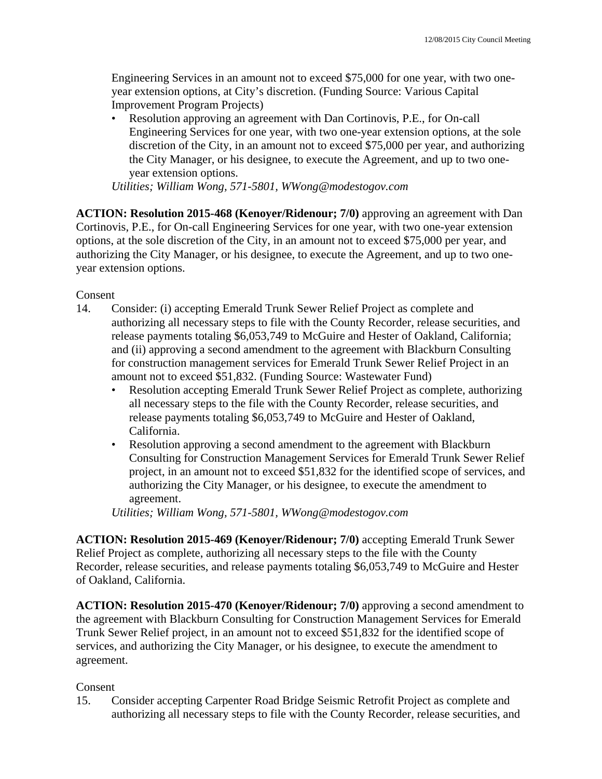Engineering Services in an amount not to exceed \$75,000 for one year, with two oneyear extension options, at City's discretion. (Funding Source: Various Capital Improvement Program Projects)

• Resolution approving an agreement with Dan Cortinovis, P.E., for On-call Engineering Services for one year, with two one-year extension options, at the sole discretion of the City, in an amount not to exceed \$75,000 per year, and authorizing the City Manager, or his designee, to execute the Agreement, and up to two oneyear extension options.

*Utilities; William Wong, 571-5801, WWong@modestogov.com* 

**ACTION: Resolution 2015-468 (Kenoyer/Ridenour; 7/0)** approving an agreement with Dan Cortinovis, P.E., for On-call Engineering Services for one year, with two one-year extension options, at the sole discretion of the City, in an amount not to exceed \$75,000 per year, and authorizing the City Manager, or his designee, to execute the Agreement, and up to two oneyear extension options.

#### Consent

- 14. Consider: (i) accepting Emerald Trunk Sewer Relief Project as complete and authorizing all necessary steps to file with the County Recorder, release securities, and release payments totaling \$6,053,749 to McGuire and Hester of Oakland, California; and (ii) approving a second amendment to the agreement with Blackburn Consulting for construction management services for Emerald Trunk Sewer Relief Project in an amount not to exceed \$51,832. (Funding Source: Wastewater Fund)
	- Resolution accepting Emerald Trunk Sewer Relief Project as complete, authorizing all necessary steps to the file with the County Recorder, release securities, and release payments totaling \$6,053,749 to McGuire and Hester of Oakland, California.
	- Resolution approving a second amendment to the agreement with Blackburn Consulting for Construction Management Services for Emerald Trunk Sewer Relief project, in an amount not to exceed \$51,832 for the identified scope of services, and authorizing the City Manager, or his designee, to execute the amendment to agreement.

*Utilities; William Wong, 571-5801, WWong@modestogov.com* 

**ACTION: Resolution 2015-469 (Kenoyer/Ridenour; 7/0)** accepting Emerald Trunk Sewer Relief Project as complete, authorizing all necessary steps to the file with the County Recorder, release securities, and release payments totaling \$6,053,749 to McGuire and Hester of Oakland, California.

**ACTION: Resolution 2015-470 (Kenoyer/Ridenour; 7/0)** approving a second amendment to the agreement with Blackburn Consulting for Construction Management Services for Emerald Trunk Sewer Relief project, in an amount not to exceed \$51,832 for the identified scope of services, and authorizing the City Manager, or his designee, to execute the amendment to agreement.

# Consent

15. Consider accepting Carpenter Road Bridge Seismic Retrofit Project as complete and authorizing all necessary steps to file with the County Recorder, release securities, and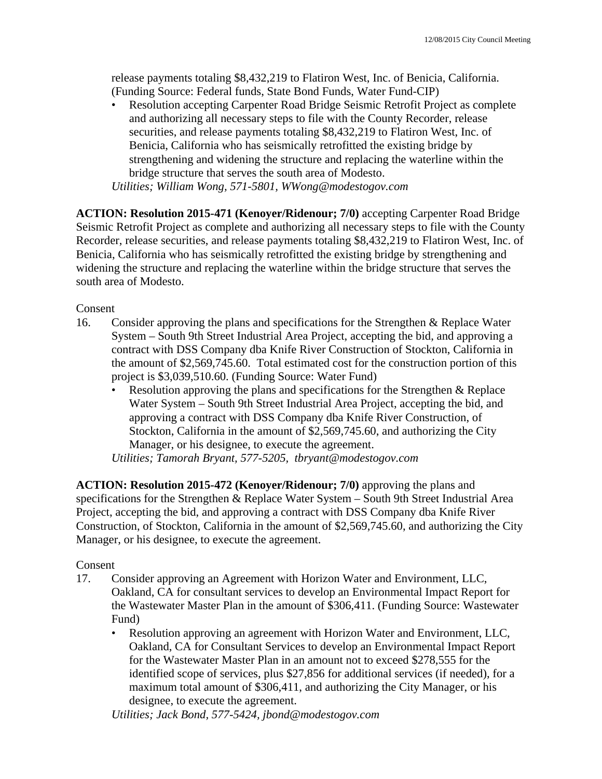release payments totaling \$8,432,219 to Flatiron West, Inc. of Benicia, California. (Funding Source: Federal funds, State Bond Funds, Water Fund-CIP)

• Resolution accepting Carpenter Road Bridge Seismic Retrofit Project as complete and authorizing all necessary steps to file with the County Recorder, release securities, and release payments totaling \$8,432,219 to Flatiron West, Inc. of Benicia, California who has seismically retrofitted the existing bridge by strengthening and widening the structure and replacing the waterline within the bridge structure that serves the south area of Modesto.

*Utilities; William Wong, 571-5801, WWong@modestogov.com* 

**ACTION: Resolution 2015-471 (Kenoyer/Ridenour; 7/0)** accepting Carpenter Road Bridge Seismic Retrofit Project as complete and authorizing all necessary steps to file with the County Recorder, release securities, and release payments totaling \$8,432,219 to Flatiron West, Inc. of Benicia, California who has seismically retrofitted the existing bridge by strengthening and widening the structure and replacing the waterline within the bridge structure that serves the south area of Modesto.

Consent

- 16. Consider approving the plans and specifications for the Strengthen & Replace Water System – South 9th Street Industrial Area Project, accepting the bid, and approving a contract with DSS Company dba Knife River Construction of Stockton, California in the amount of \$2,569,745.60. Total estimated cost for the construction portion of this project is \$3,039,510.60. (Funding Source: Water Fund)
	- Resolution approving the plans and specifications for the Strengthen & Replace Water System – South 9th Street Industrial Area Project, accepting the bid, and approving a contract with DSS Company dba Knife River Construction, of Stockton, California in the amount of \$2,569,745.60, and authorizing the City Manager, or his designee, to execute the agreement.

*Utilities; Tamorah Bryant, 577-5205, tbryant@modestogov.com* 

**ACTION: Resolution 2015-472 (Kenoyer/Ridenour; 7/0)** approving the plans and specifications for the Strengthen & Replace Water System – South 9th Street Industrial Area Project, accepting the bid, and approving a contract with DSS Company dba Knife River Construction, of Stockton, California in the amount of \$2,569,745.60, and authorizing the City Manager, or his designee, to execute the agreement.

# Consent

- 17. Consider approving an Agreement with Horizon Water and Environment, LLC, Oakland, CA for consultant services to develop an Environmental Impact Report for the Wastewater Master Plan in the amount of \$306,411. (Funding Source: Wastewater Fund)
	- Resolution approving an agreement with Horizon Water and Environment, LLC, Oakland, CA for Consultant Services to develop an Environmental Impact Report for the Wastewater Master Plan in an amount not to exceed \$278,555 for the identified scope of services, plus \$27,856 for additional services (if needed), for a maximum total amount of \$306,411, and authorizing the City Manager, or his designee, to execute the agreement.

*Utilities; Jack Bond, 577-5424, jbond@modestogov.com*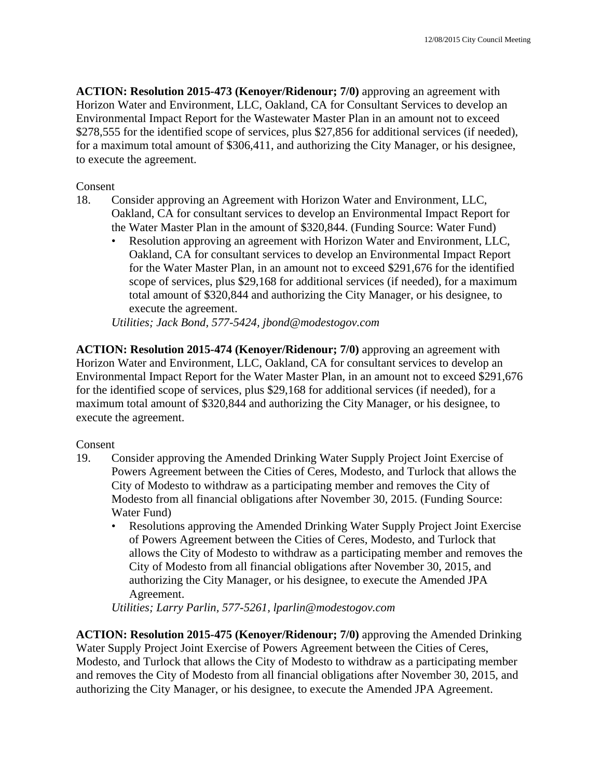**ACTION: Resolution 2015-473 (Kenoyer/Ridenour; 7/0)** approving an agreement with Horizon Water and Environment, LLC, Oakland, CA for Consultant Services to develop an Environmental Impact Report for the Wastewater Master Plan in an amount not to exceed \$278,555 for the identified scope of services, plus \$27,856 for additional services (if needed), for a maximum total amount of \$306,411, and authorizing the City Manager, or his designee, to execute the agreement.

#### Consent

- 18. Consider approving an Agreement with Horizon Water and Environment, LLC, Oakland, CA for consultant services to develop an Environmental Impact Report for the Water Master Plan in the amount of \$320,844. (Funding Source: Water Fund)
	- Resolution approving an agreement with Horizon Water and Environment, LLC, Oakland, CA for consultant services to develop an Environmental Impact Report for the Water Master Plan, in an amount not to exceed \$291,676 for the identified scope of services, plus \$29,168 for additional services (if needed), for a maximum total amount of \$320,844 and authorizing the City Manager, or his designee, to execute the agreement.

*Utilities; Jack Bond, 577-5424, jbond@modestogov.com* 

**ACTION: Resolution 2015-474 (Kenoyer/Ridenour; 7/0)** approving an agreement with Horizon Water and Environment, LLC, Oakland, CA for consultant services to develop an Environmental Impact Report for the Water Master Plan, in an amount not to exceed \$291,676 for the identified scope of services, plus \$29,168 for additional services (if needed), for a maximum total amount of \$320,844 and authorizing the City Manager, or his designee, to execute the agreement.

# Consent

- 19. Consider approving the Amended Drinking Water Supply Project Joint Exercise of Powers Agreement between the Cities of Ceres, Modesto, and Turlock that allows the City of Modesto to withdraw as a participating member and removes the City of Modesto from all financial obligations after November 30, 2015. (Funding Source: Water Fund)
	- Resolutions approving the Amended Drinking Water Supply Project Joint Exercise of Powers Agreement between the Cities of Ceres, Modesto, and Turlock that allows the City of Modesto to withdraw as a participating member and removes the City of Modesto from all financial obligations after November 30, 2015, and authorizing the City Manager, or his designee, to execute the Amended JPA Agreement.

*Utilities; Larry Parlin, 577-5261, lparlin@modestogov.com* 

**ACTION: Resolution 2015-475 (Kenoyer/Ridenour; 7/0)** approving the Amended Drinking Water Supply Project Joint Exercise of Powers Agreement between the Cities of Ceres, Modesto, and Turlock that allows the City of Modesto to withdraw as a participating member and removes the City of Modesto from all financial obligations after November 30, 2015, and authorizing the City Manager, or his designee, to execute the Amended JPA Agreement.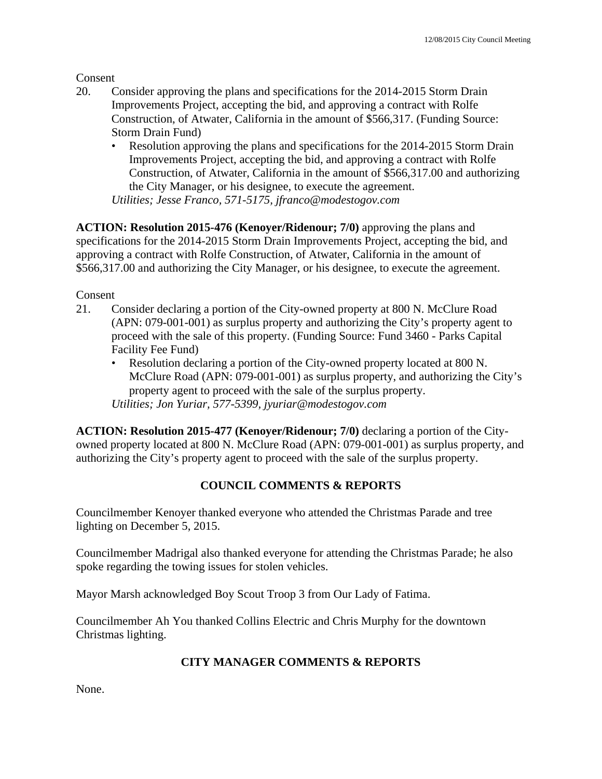Consent

- 20. Consider approving the plans and specifications for the 2014-2015 Storm Drain Improvements Project, accepting the bid, and approving a contract with Rolfe Construction, of Atwater, California in the amount of \$566,317. (Funding Source: Storm Drain Fund)
	- Resolution approving the plans and specifications for the 2014-2015 Storm Drain Improvements Project, accepting the bid, and approving a contract with Rolfe Construction, of Atwater, California in the amount of \$566,317.00 and authorizing the City Manager, or his designee, to execute the agreement. *Utilities; Jesse Franco, 571-5175, jfranco@modestogov.com*

**ACTION: Resolution 2015-476 (Kenoyer/Ridenour; 7/0)** approving the plans and specifications for the 2014-2015 Storm Drain Improvements Project, accepting the bid, and approving a contract with Rolfe Construction, of Atwater, California in the amount of \$566,317.00 and authorizing the City Manager, or his designee, to execute the agreement.

Consent

- 21. Consider declaring a portion of the City-owned property at 800 N. McClure Road (APN: 079-001-001) as surplus property and authorizing the City's property agent to proceed with the sale of this property. (Funding Source: Fund 3460 - Parks Capital Facility Fee Fund)
	- Resolution declaring a portion of the City-owned property located at 800 N. McClure Road (APN: 079-001-001) as surplus property, and authorizing the City's property agent to proceed with the sale of the surplus property. *Utilities; Jon Yuriar, 577-5399, jyuriar@modestogov.com*

**ACTION: Resolution 2015-477 (Kenoyer/Ridenour; 7/0)** declaring a portion of the Cityowned property located at 800 N. McClure Road (APN: 079-001-001) as surplus property, and authorizing the City's property agent to proceed with the sale of the surplus property.

# **COUNCIL COMMENTS & REPORTS**

Councilmember Kenoyer thanked everyone who attended the Christmas Parade and tree lighting on December 5, 2015.

Councilmember Madrigal also thanked everyone for attending the Christmas Parade; he also spoke regarding the towing issues for stolen vehicles.

Mayor Marsh acknowledged Boy Scout Troop 3 from Our Lady of Fatima.

Councilmember Ah You thanked Collins Electric and Chris Murphy for the downtown Christmas lighting.

# **CITY MANAGER COMMENTS & REPORTS**

None.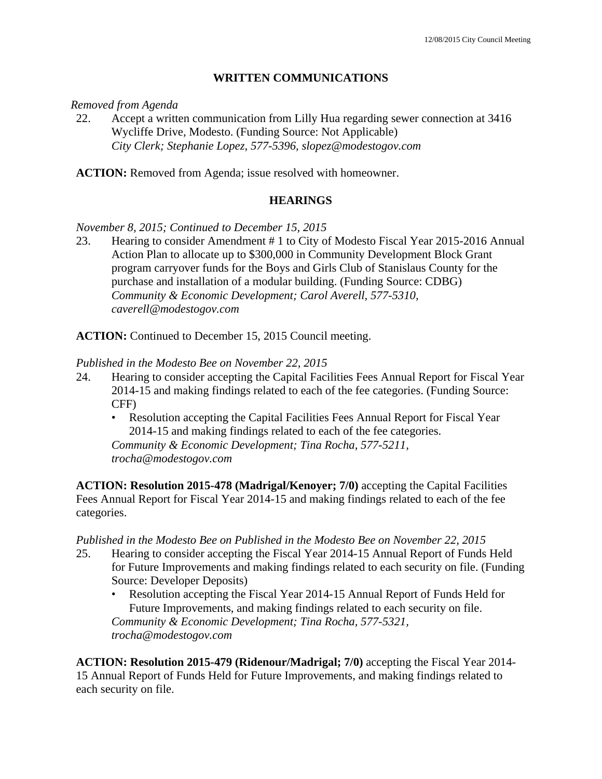### **WRITTEN COMMUNICATIONS**

#### *Removed from Agenda*

22. Accept a written communication from Lilly Hua regarding sewer connection at 3416 Wycliffe Drive, Modesto. (Funding Source: Not Applicable)  *City Clerk; Stephanie Lopez, 577-5396, slopez@modestogov.com* 

**ACTION:** Removed from Agenda; issue resolved with homeowner.

# **HEARINGS**

*November 8, 2015; Continued to December 15, 2015* 

23. Hearing to consider Amendment # 1 to City of Modesto Fiscal Year 2015-2016 Annual Action Plan to allocate up to \$300,000 in Community Development Block Grant program carryover funds for the Boys and Girls Club of Stanislaus County for the purchase and installation of a modular building. (Funding Source: CDBG)  *Community & Economic Development; Carol Averell, 577-5310, caverell@modestogov.com* 

**ACTION:** Continued to December 15, 2015 Council meeting.

#### *Published in the Modesto Bee on November 22, 2015*

- 24. Hearing to consider accepting the Capital Facilities Fees Annual Report for Fiscal Year 2014-15 and making findings related to each of the fee categories. (Funding Source: CFF)
	- Resolution accepting the Capital Facilities Fees Annual Report for Fiscal Year 2014-15 and making findings related to each of the fee categories. *Community & Economic Development; Tina Rocha, 577-5211, trocha@modestogov.com*

**ACTION: Resolution 2015-478 (Madrigal/Kenoyer; 7/0)** accepting the Capital Facilities Fees Annual Report for Fiscal Year 2014-15 and making findings related to each of the fee categories.

#### *Published in the Modesto Bee on Published in the Modesto Bee on November 22, 2015*

- 25. Hearing to consider accepting the Fiscal Year 2014-15 Annual Report of Funds Held for Future Improvements and making findings related to each security on file. (Funding Source: Developer Deposits)
	- Resolution accepting the Fiscal Year 2014-15 Annual Report of Funds Held for Future Improvements, and making findings related to each security on file. *Community & Economic Development; Tina Rocha, 577-5321, trocha@modestogov.com*

**ACTION: Resolution 2015-479 (Ridenour/Madrigal; 7/0)** accepting the Fiscal Year 2014- 15 Annual Report of Funds Held for Future Improvements, and making findings related to each security on file.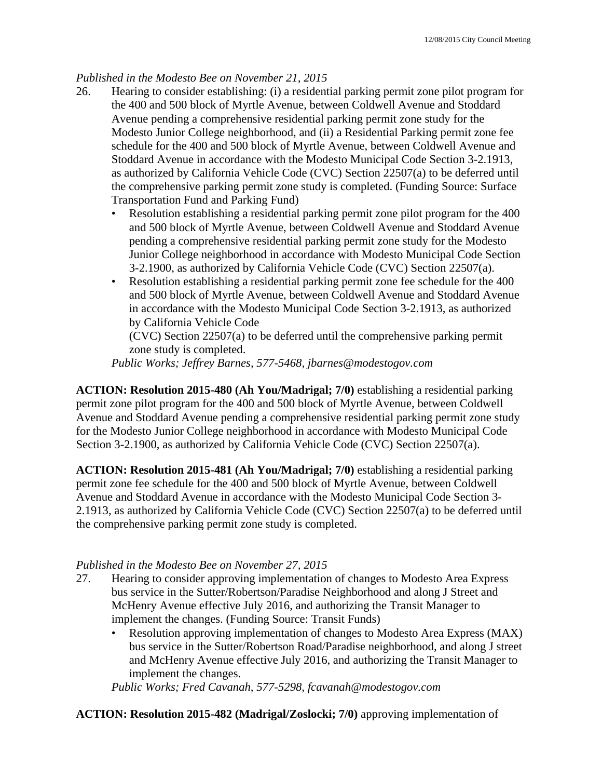# *Published in the Modesto Bee on November 21, 2015*

- 26. Hearing to consider establishing: (i) a residential parking permit zone pilot program for the 400 and 500 block of Myrtle Avenue, between Coldwell Avenue and Stoddard Avenue pending a comprehensive residential parking permit zone study for the Modesto Junior College neighborhood, and (ii) a Residential Parking permit zone fee schedule for the 400 and 500 block of Myrtle Avenue, between Coldwell Avenue and Stoddard Avenue in accordance with the Modesto Municipal Code Section 3-2.1913, as authorized by California Vehicle Code (CVC) Section 22507(a) to be deferred until the comprehensive parking permit zone study is completed. (Funding Source: Surface Transportation Fund and Parking Fund)
	- Resolution establishing a residential parking permit zone pilot program for the 400 and 500 block of Myrtle Avenue, between Coldwell Avenue and Stoddard Avenue pending a comprehensive residential parking permit zone study for the Modesto Junior College neighborhood in accordance with Modesto Municipal Code Section 3-2.1900, as authorized by California Vehicle Code (CVC) Section 22507(a).
	- Resolution establishing a residential parking permit zone fee schedule for the 400 and 500 block of Myrtle Avenue, between Coldwell Avenue and Stoddard Avenue in accordance with the Modesto Municipal Code Section 3-2.1913, as authorized by California Vehicle Code

(CVC) Section 22507(a) to be deferred until the comprehensive parking permit zone study is completed.

*Public Works; Jeffrey Barnes, 577-5468, jbarnes@modestogov.com* 

**ACTION: Resolution 2015-480 (Ah You/Madrigal; 7/0)** establishing a residential parking permit zone pilot program for the 400 and 500 block of Myrtle Avenue, between Coldwell Avenue and Stoddard Avenue pending a comprehensive residential parking permit zone study for the Modesto Junior College neighborhood in accordance with Modesto Municipal Code Section 3-2.1900, as authorized by California Vehicle Code (CVC) Section 22507(a).

**ACTION: Resolution 2015-481 (Ah You/Madrigal; 7/0)** establishing a residential parking permit zone fee schedule for the 400 and 500 block of Myrtle Avenue, between Coldwell Avenue and Stoddard Avenue in accordance with the Modesto Municipal Code Section 3- 2.1913, as authorized by California Vehicle Code (CVC) Section 22507(a) to be deferred until the comprehensive parking permit zone study is completed.

#### *Published in the Modesto Bee on November 27, 2015*

- 27. Hearing to consider approving implementation of changes to Modesto Area Express bus service in the Sutter/Robertson/Paradise Neighborhood and along J Street and McHenry Avenue effective July 2016, and authorizing the Transit Manager to implement the changes. (Funding Source: Transit Funds)
	- Resolution approving implementation of changes to Modesto Area Express (MAX) bus service in the Sutter/Robertson Road/Paradise neighborhood, and along J street and McHenry Avenue effective July 2016, and authorizing the Transit Manager to implement the changes.

*Public Works; Fred Cavanah, 577-5298, fcavanah@modestogov.com* 

# **ACTION: Resolution 2015-482 (Madrigal/Zoslocki; 7/0)** approving implementation of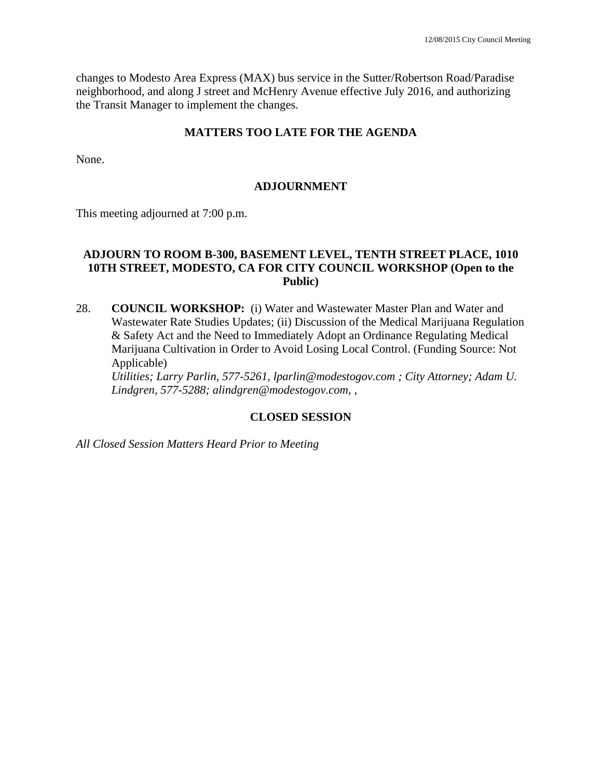changes to Modesto Area Express (MAX) bus service in the Sutter/Robertson Road/Paradise neighborhood, and along J street and McHenry Avenue effective July 2016, and authorizing the Transit Manager to implement the changes.

#### **MATTERS TOO LATE FOR THE AGENDA**

None.

#### **ADJOURNMENT**

This meeting adjourned at 7:00 p.m.

### **ADJOURN TO ROOM B-300, BASEMENT LEVEL, TENTH STREET PLACE, 1010 10TH STREET, MODESTO, CA FOR CITY COUNCIL WORKSHOP (Open to the Public)**

28. **COUNCIL WORKSHOP:** (i) Water and Wastewater Master Plan and Water and Wastewater Rate Studies Updates; (ii) Discussion of the Medical Marijuana Regulation & Safety Act and the Need to Immediately Adopt an Ordinance Regulating Medical Marijuana Cultivation in Order to Avoid Losing Local Control. (Funding Source: Not Applicable)

 *Utilities; Larry Parlin, 577-5261, lparlin@modestogov.com ; City Attorney; Adam U. Lindgren, 577-5288; alindgren@modestogov.com, ,* 

#### **CLOSED SESSION**

*All Closed Session Matters Heard Prior to Meeting*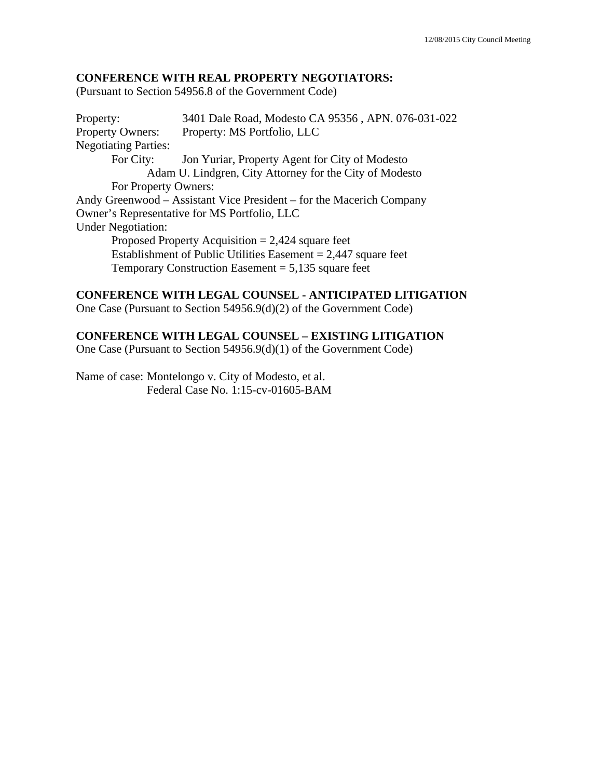#### **CONFERENCE WITH REAL PROPERTY NEGOTIATORS:**

(Pursuant to Section 54956.8 of the Government Code)

Property: 3401 Dale Road, Modesto CA 95356 , APN. 076-031-022 Property Owners: Property: MS Portfolio, LLC Negotiating Parties: For City: Jon Yuriar, Property Agent for City of Modesto Adam U. Lindgren, City Attorney for the City of Modesto For Property Owners: Andy Greenwood – Assistant Vice President – for the Macerich Company Owner's Representative for MS Portfolio, LLC Under Negotiation: Proposed Property Acquisition  $= 2,424$  square feet Establishment of Public Utilities Easement  $= 2,447$  square feet Temporary Construction Easement  $= 5,135$  square feet

#### **CONFERENCE WITH LEGAL COUNSEL - ANTICIPATED LITIGATION**

One Case (Pursuant to Section 54956.9(d)(2) of the Government Code)

#### **CONFERENCE WITH LEGAL COUNSEL – EXISTING LITIGATION**

One Case (Pursuant to Section 54956.9(d)(1) of the Government Code)

Name of case: Montelongo v. City of Modesto, et al. Federal Case No. 1:15-cv-01605-BAM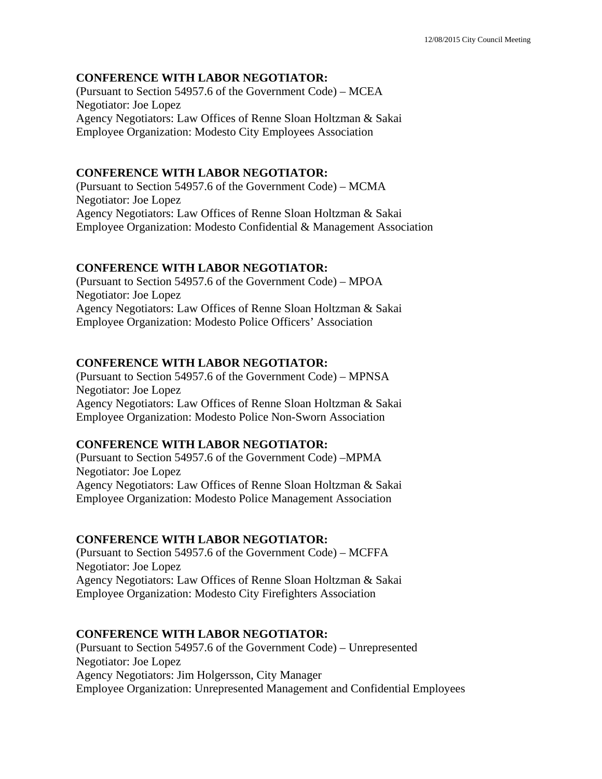#### **CONFERENCE WITH LABOR NEGOTIATOR:**

(Pursuant to Section 54957.6 of the Government Code) – MCEA Negotiator: Joe Lopez Agency Negotiators: Law Offices of Renne Sloan Holtzman & Sakai Employee Organization: Modesto City Employees Association

#### **CONFERENCE WITH LABOR NEGOTIATOR:**

(Pursuant to Section 54957.6 of the Government Code) – MCMA Negotiator: Joe Lopez Agency Negotiators: Law Offices of Renne Sloan Holtzman & Sakai Employee Organization: Modesto Confidential & Management Association

#### **CONFERENCE WITH LABOR NEGOTIATOR:**

(Pursuant to Section 54957.6 of the Government Code) – MPOA Negotiator: Joe Lopez Agency Negotiators: Law Offices of Renne Sloan Holtzman & Sakai Employee Organization: Modesto Police Officers' Association

#### **CONFERENCE WITH LABOR NEGOTIATOR:**

(Pursuant to Section 54957.6 of the Government Code) – MPNSA Negotiator: Joe Lopez Agency Negotiators: Law Offices of Renne Sloan Holtzman & Sakai Employee Organization: Modesto Police Non-Sworn Association

#### **CONFERENCE WITH LABOR NEGOTIATOR:**

(Pursuant to Section 54957.6 of the Government Code) –MPMA Negotiator: Joe Lopez Agency Negotiators: Law Offices of Renne Sloan Holtzman & Sakai Employee Organization: Modesto Police Management Association

#### **CONFERENCE WITH LABOR NEGOTIATOR:**

(Pursuant to Section 54957.6 of the Government Code) – MCFFA Negotiator: Joe Lopez Agency Negotiators: Law Offices of Renne Sloan Holtzman & Sakai Employee Organization: Modesto City Firefighters Association

#### **CONFERENCE WITH LABOR NEGOTIATOR:**

(Pursuant to Section 54957.6 of the Government Code) – Unrepresented Negotiator: Joe Lopez Agency Negotiators: Jim Holgersson, City Manager Employee Organization: Unrepresented Management and Confidential Employees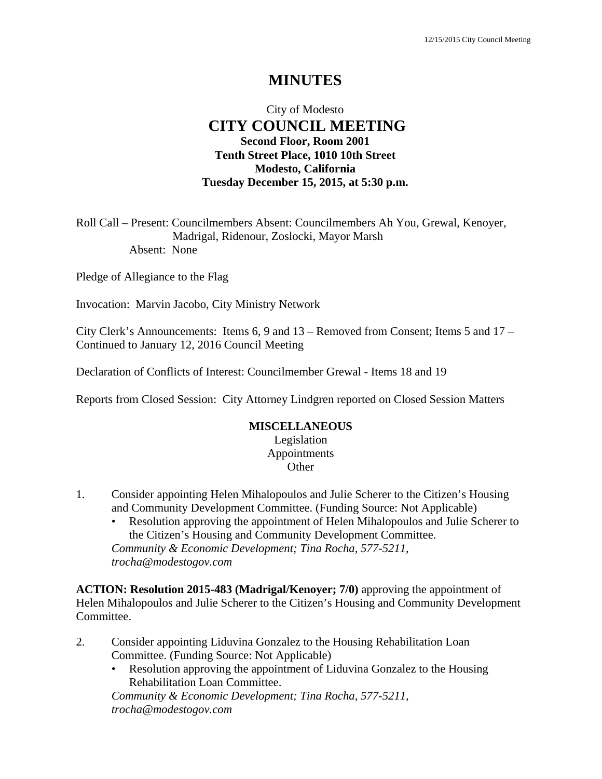# **MINUTES**

# City of Modesto  **CITY COUNCIL MEETING Second Floor, Room 2001 Tenth Street Place, 1010 10th Street Modesto, California Tuesday December 15, 2015, at 5:30 p.m.**

Roll Call – Present: Councilmembers Absent: Councilmembers Ah You, Grewal, Kenoyer, Madrigal, Ridenour, Zoslocki, Mayor Marsh Absent: None

Pledge of Allegiance to the Flag

Invocation: Marvin Jacobo, City Ministry Network

City Clerk's Announcements: Items 6, 9 and 13 – Removed from Consent; Items 5 and 17 – Continued to January 12, 2016 Council Meeting

Declaration of Conflicts of Interest: Councilmember Grewal - Items 18 and 19

Reports from Closed Session: City Attorney Lindgren reported on Closed Session Matters

#### **MISCELLANEOUS**

Legislation Appointments **Other** 

- 1. Consider appointing Helen Mihalopoulos and Julie Scherer to the Citizen's Housing and Community Development Committee. (Funding Source: Not Applicable)
	- Resolution approving the appointment of Helen Mihalopoulos and Julie Scherer to the Citizen's Housing and Community Development Committee. *Community & Economic Development; Tina Rocha, 577-5211, trocha@modestogov.com*

**ACTION: Resolution 2015-483 (Madrigal/Kenoyer; 7/0)** approving the appointment of Helen Mihalopoulos and Julie Scherer to the Citizen's Housing and Community Development Committee.

- 2. Consider appointing Liduvina Gonzalez to the Housing Rehabilitation Loan Committee. (Funding Source: Not Applicable)
	- Resolution approving the appointment of Liduvina Gonzalez to the Housing Rehabilitation Loan Committee.

*Community & Economic Development; Tina Rocha, 577-5211, trocha@modestogov.com*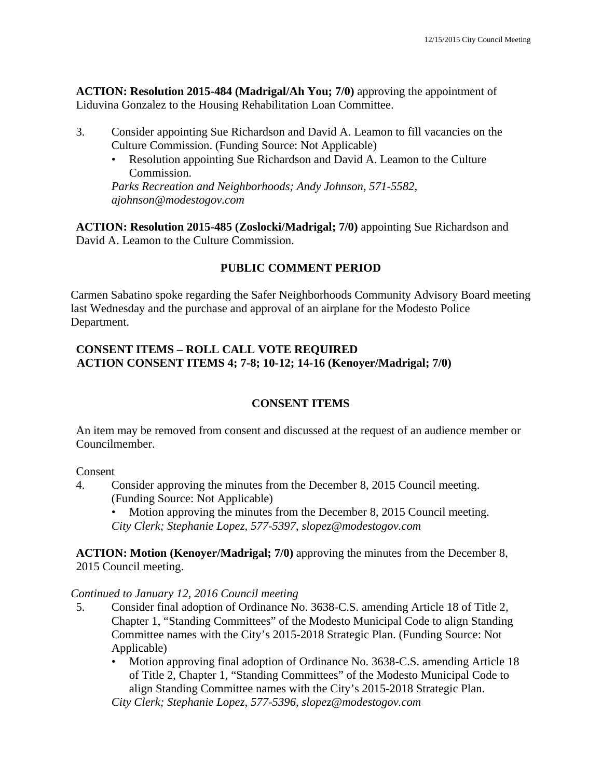**ACTION: Resolution 2015-484 (Madrigal/Ah You; 7/0)** approving the appointment of Liduvina Gonzalez to the Housing Rehabilitation Loan Committee.

- 3. Consider appointing Sue Richardson and David A. Leamon to fill vacancies on the Culture Commission. (Funding Source: Not Applicable)
	- Resolution appointing Sue Richardson and David A. Leamon to the Culture Commission.

*Parks Recreation and Neighborhoods; Andy Johnson, 571-5582, ajohnson@modestogov.com* 

**ACTION: Resolution 2015-485 (Zoslocki/Madrigal; 7/0)** appointing Sue Richardson and David A. Leamon to the Culture Commission.

# **PUBLIC COMMENT PERIOD**

Carmen Sabatino spoke regarding the Safer Neighborhoods Community Advisory Board meeting last Wednesday and the purchase and approval of an airplane for the Modesto Police Department.

# **CONSENT ITEMS – ROLL CALL VOTE REQUIRED ACTION CONSENT ITEMS 4; 7-8; 10-12; 14-16 (Kenoyer/Madrigal; 7/0)**

# **CONSENT ITEMS**

An item may be removed from consent and discussed at the request of an audience member or Councilmember.

# Consent

4. Consider approving the minutes from the December 8, 2015 Council meeting. (Funding Source: Not Applicable)

Motion approving the minutes from the December 8, 2015 Council meeting. *City Clerk; Stephanie Lopez, 577-5397, slopez@modestogov.com* 

**ACTION: Motion (Kenoyer/Madrigal; 7/0)** approving the minutes from the December 8, 2015 Council meeting.

# *Continued to January 12, 2016 Council meeting*

- 5. Consider final adoption of Ordinance No. 3638-C.S. amending Article 18 of Title 2, Chapter 1, "Standing Committees" of the Modesto Municipal Code to align Standing Committee names with the City's 2015-2018 Strategic Plan. (Funding Source: Not Applicable)
	- Motion approving final adoption of Ordinance No. 3638-C.S. amending Article 18 of Title 2, Chapter 1, "Standing Committees" of the Modesto Municipal Code to align Standing Committee names with the City's 2015-2018 Strategic Plan. *City Clerk; Stephanie Lopez, 577-5396, slopez@modestogov.com*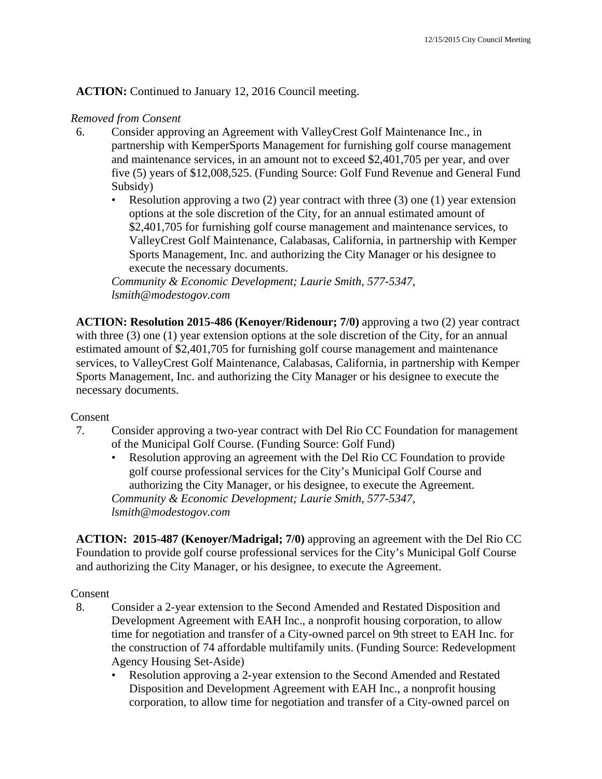**ACTION:** Continued to January 12, 2016 Council meeting.

## *Removed from Consent*

- 6. Consider approving an Agreement with ValleyCrest Golf Maintenance Inc., in partnership with KemperSports Management for furnishing golf course management and maintenance services, in an amount not to exceed \$2,401,705 per year, and over five (5) years of \$12,008,525. (Funding Source: Golf Fund Revenue and General Fund Subsidy)
	- Resolution approving a two  $(2)$  year contract with three  $(3)$  one  $(1)$  year extension options at the sole discretion of the City, for an annual estimated amount of \$2,401,705 for furnishing golf course management and maintenance services, to ValleyCrest Golf Maintenance, Calabasas, California, in partnership with Kemper Sports Management, Inc. and authorizing the City Manager or his designee to execute the necessary documents.

*Community & Economic Development; Laurie Smith, 577-5347, lsmith@modestogov.com* 

**ACTION: Resolution 2015-486 (Kenoyer/Ridenour; 7/0)** approving a two (2) year contract with three (3) one (1) year extension options at the sole discretion of the City, for an annual estimated amount of \$2,401,705 for furnishing golf course management and maintenance services, to ValleyCrest Golf Maintenance, Calabasas, California, in partnership with Kemper Sports Management, Inc. and authorizing the City Manager or his designee to execute the necessary documents.

## Consent

- 7. Consider approving a two-year contract with Del Rio CC Foundation for management of the Municipal Golf Course. (Funding Source: Golf Fund)
	- Resolution approving an agreement with the Del Rio CC Foundation to provide golf course professional services for the City's Municipal Golf Course and authorizing the City Manager, or his designee, to execute the Agreement. *Community & Economic Development; Laurie Smith, 577-5347, lsmith@modestogov.com*

**ACTION: 2015-487 (Kenoyer/Madrigal; 7/0)** approving an agreement with the Del Rio CC Foundation to provide golf course professional services for the City's Municipal Golf Course and authorizing the City Manager, or his designee, to execute the Agreement.

## Consent

- 8. Consider a 2-year extension to the Second Amended and Restated Disposition and Development Agreement with EAH Inc., a nonprofit housing corporation, to allow time for negotiation and transfer of a City-owned parcel on 9th street to EAH Inc. for the construction of 74 affordable multifamily units. (Funding Source: Redevelopment Agency Housing Set-Aside)
	- Resolution approving a 2-year extension to the Second Amended and Restated Disposition and Development Agreement with EAH Inc., a nonprofit housing corporation, to allow time for negotiation and transfer of a City-owned parcel on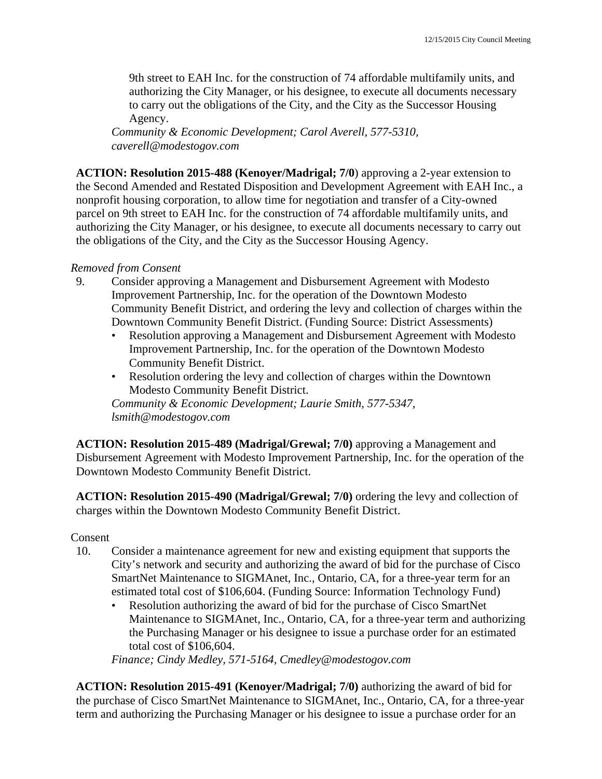9th street to EAH Inc. for the construction of 74 affordable multifamily units, and authorizing the City Manager, or his designee, to execute all documents necessary to carry out the obligations of the City, and the City as the Successor Housing Agency.

*Community & Economic Development; Carol Averell, 577-5310, caverell@modestogov.com* 

**ACTION: Resolution 2015-488 (Kenoyer/Madrigal; 7/0**) approving a 2-year extension to the Second Amended and Restated Disposition and Development Agreement with EAH Inc., a nonprofit housing corporation, to allow time for negotiation and transfer of a City-owned parcel on 9th street to EAH Inc. for the construction of 74 affordable multifamily units, and authorizing the City Manager, or his designee, to execute all documents necessary to carry out the obligations of the City, and the City as the Successor Housing Agency.

## *Removed from Consent*

- 9. Consider approving a Management and Disbursement Agreement with Modesto Improvement Partnership, Inc. for the operation of the Downtown Modesto Community Benefit District, and ordering the levy and collection of charges within the Downtown Community Benefit District. (Funding Source: District Assessments)
	- Resolution approving a Management and Disbursement Agreement with Modesto Improvement Partnership, Inc. for the operation of the Downtown Modesto Community Benefit District.
	- Resolution ordering the levy and collection of charges within the Downtown Modesto Community Benefit District.

*Community & Economic Development; Laurie Smith, 577-5347, lsmith@modestogov.com* 

**ACTION: Resolution 2015-489 (Madrigal/Grewal; 7/0)** approving a Management and Disbursement Agreement with Modesto Improvement Partnership, Inc. for the operation of the Downtown Modesto Community Benefit District.

**ACTION: Resolution 2015-490 (Madrigal/Grewal; 7/0)** ordering the levy and collection of charges within the Downtown Modesto Community Benefit District.

Consent

- 10. Consider a maintenance agreement for new and existing equipment that supports the City's network and security and authorizing the award of bid for the purchase of Cisco SmartNet Maintenance to SIGMAnet, Inc., Ontario, CA, for a three-year term for an estimated total cost of \$106,604. (Funding Source: Information Technology Fund)
	- Resolution authorizing the award of bid for the purchase of Cisco SmartNet Maintenance to SIGMAnet, Inc., Ontario, CA, for a three-year term and authorizing the Purchasing Manager or his designee to issue a purchase order for an estimated total cost of \$106,604.

*Finance; Cindy Medley, 571-5164, Cmedley@modestogov.com* 

**ACTION: Resolution 2015-491 (Kenoyer/Madrigal; 7/0)** authorizing the award of bid for the purchase of Cisco SmartNet Maintenance to SIGMAnet, Inc., Ontario, CA, for a three-year term and authorizing the Purchasing Manager or his designee to issue a purchase order for an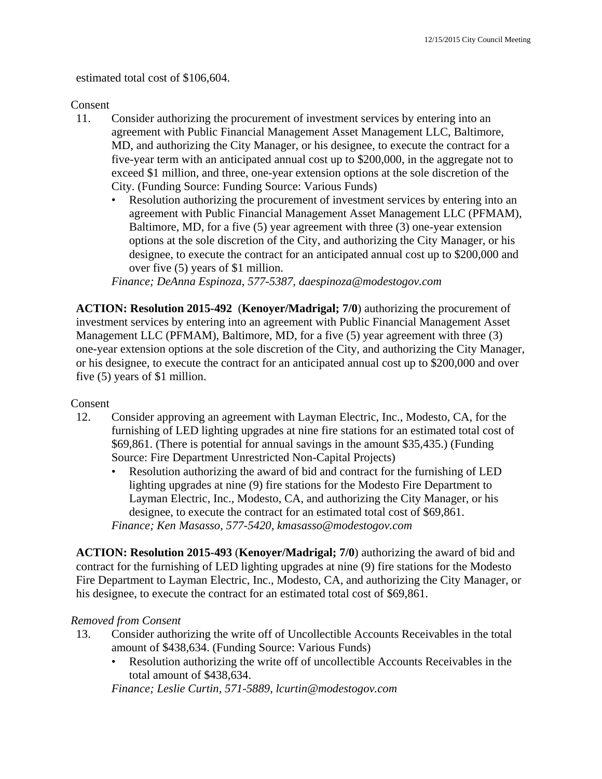estimated total cost of \$106,604.

## Consent

- 11. Consider authorizing the procurement of investment services by entering into an agreement with Public Financial Management Asset Management LLC, Baltimore, MD, and authorizing the City Manager, or his designee, to execute the contract for a five-year term with an anticipated annual cost up to \$200,000, in the aggregate not to exceed \$1 million, and three, one-year extension options at the sole discretion of the City. (Funding Source: Funding Source: Various Funds)
	- Resolution authorizing the procurement of investment services by entering into an agreement with Public Financial Management Asset Management LLC (PFMAM), Baltimore, MD, for a five (5) year agreement with three (3) one-year extension options at the sole discretion of the City, and authorizing the City Manager, or his designee, to execute the contract for an anticipated annual cost up to \$200,000 and over five (5) years of \$1 million.

*Finance; DeAnna Espinoza, 577-5387, daespinoza@modestogov.com* 

**ACTION: Resolution 2015-492** (**Kenoyer/Madrigal; 7/0**) authorizing the procurement of investment services by entering into an agreement with Public Financial Management Asset Management LLC (PFMAM), Baltimore, MD, for a five (5) year agreement with three (3) one-year extension options at the sole discretion of the City, and authorizing the City Manager, or his designee, to execute the contract for an anticipated annual cost up to \$200,000 and over five (5) years of \$1 million.

## Consent

- 12. Consider approving an agreement with Layman Electric, Inc., Modesto, CA, for the furnishing of LED lighting upgrades at nine fire stations for an estimated total cost of \$69,861. (There is potential for annual savings in the amount \$35,435.) (Funding Source: Fire Department Unrestricted Non-Capital Projects)
	- Resolution authorizing the award of bid and contract for the furnishing of LED lighting upgrades at nine (9) fire stations for the Modesto Fire Department to Layman Electric, Inc., Modesto, CA, and authorizing the City Manager, or his designee, to execute the contract for an estimated total cost of \$69,861. *Finance; Ken Masasso, 577-5420, kmasasso@modestogov.com*

**ACTION: Resolution 2015-493** (**Kenoyer/Madrigal; 7/0**) authorizing the award of bid and contract for the furnishing of LED lighting upgrades at nine (9) fire stations for the Modesto Fire Department to Layman Electric, Inc., Modesto, CA, and authorizing the City Manager, or his designee, to execute the contract for an estimated total cost of \$69,861.

## *Removed from Consent*

- 13. Consider authorizing the write off of Uncollectible Accounts Receivables in the total amount of \$438,634. (Funding Source: Various Funds)
	- Resolution authorizing the write off of uncollectible Accounts Receivables in the total amount of \$438,634.

*Finance; Leslie Curtin, 571-5889, lcurtin@modestogov.com*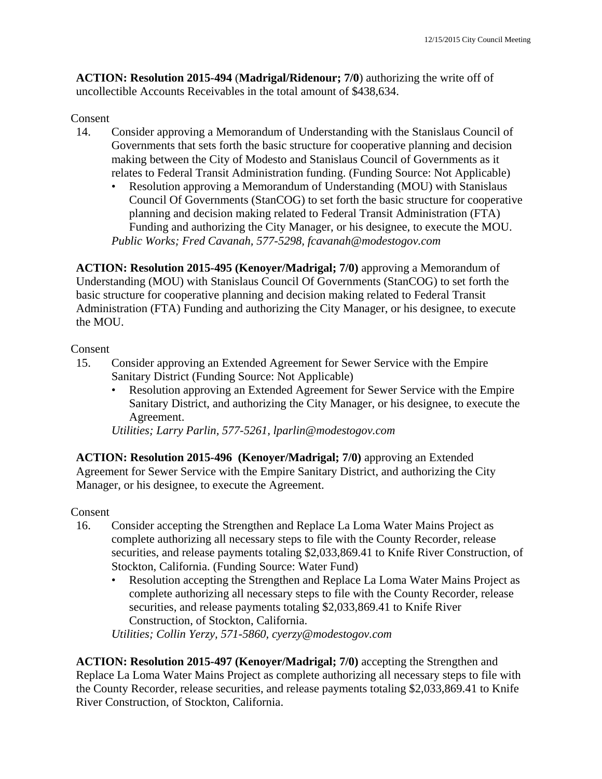**ACTION: Resolution 2015-494** (**Madrigal/Ridenour; 7/0**) authorizing the write off of uncollectible Accounts Receivables in the total amount of \$438,634.

## Consent

- 14. Consider approving a Memorandum of Understanding with the Stanislaus Council of Governments that sets forth the basic structure for cooperative planning and decision making between the City of Modesto and Stanislaus Council of Governments as it relates to Federal Transit Administration funding. (Funding Source: Not Applicable)
	- Resolution approving a Memorandum of Understanding (MOU) with Stanislaus Council Of Governments (StanCOG) to set forth the basic structure for cooperative planning and decision making related to Federal Transit Administration (FTA) Funding and authorizing the City Manager, or his designee, to execute the MOU. *Public Works; Fred Cavanah, 577-5298, fcavanah@modestogov.com*

**ACTION: Resolution 2015-495 (Kenoyer/Madrigal; 7/0)** approving a Memorandum of Understanding (MOU) with Stanislaus Council Of Governments (StanCOG) to set forth the basic structure for cooperative planning and decision making related to Federal Transit Administration (FTA) Funding and authorizing the City Manager, or his designee, to execute the MOU.

## Consent

- 15. Consider approving an Extended Agreement for Sewer Service with the Empire Sanitary District (Funding Source: Not Applicable)
	- Resolution approving an Extended Agreement for Sewer Service with the Empire Sanitary District, and authorizing the City Manager, or his designee, to execute the Agreement.

*Utilities; Larry Parlin, 577-5261, lparlin@modestogov.com* 

**ACTION: Resolution 2015-496 (Kenoyer/Madrigal; 7/0)** approving an Extended Agreement for Sewer Service with the Empire Sanitary District, and authorizing the City Manager, or his designee, to execute the Agreement.

## Consent

- 16. Consider accepting the Strengthen and Replace La Loma Water Mains Project as complete authorizing all necessary steps to file with the County Recorder, release securities, and release payments totaling \$2,033,869.41 to Knife River Construction, of Stockton, California. (Funding Source: Water Fund)
	- Resolution accepting the Strengthen and Replace La Loma Water Mains Project as complete authorizing all necessary steps to file with the County Recorder, release securities, and release payments totaling \$2,033,869.41 to Knife River Construction, of Stockton, California.

*Utilities; Collin Yerzy, 571-5860, cyerzy@modestogov.com* 

**ACTION: Resolution 2015-497 (Kenoyer/Madrigal; 7/0)** accepting the Strengthen and Replace La Loma Water Mains Project as complete authorizing all necessary steps to file with the County Recorder, release securities, and release payments totaling \$2,033,869.41 to Knife River Construction, of Stockton, California.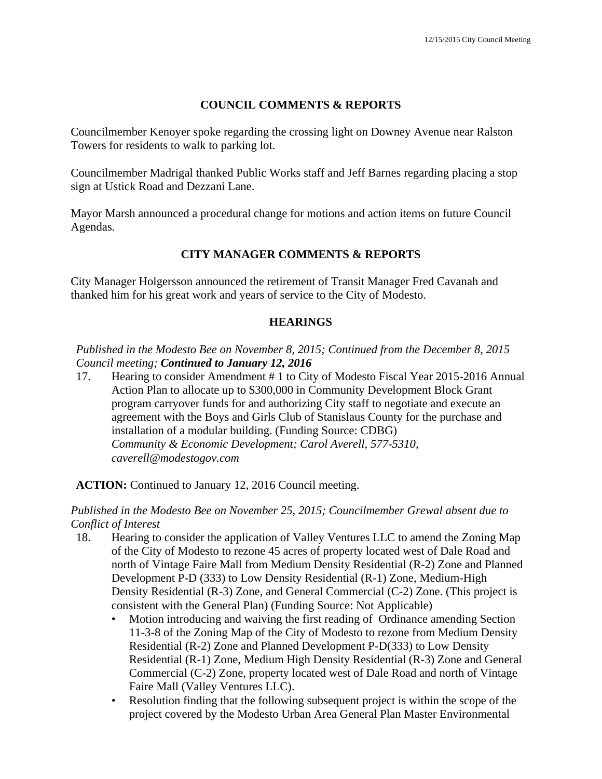## **COUNCIL COMMENTS & REPORTS**

Councilmember Kenoyer spoke regarding the crossing light on Downey Avenue near Ralston Towers for residents to walk to parking lot.

Councilmember Madrigal thanked Public Works staff and Jeff Barnes regarding placing a stop sign at Ustick Road and Dezzani Lane.

Mayor Marsh announced a procedural change for motions and action items on future Council Agendas.

## **CITY MANAGER COMMENTS & REPORTS**

City Manager Holgersson announced the retirement of Transit Manager Fred Cavanah and thanked him for his great work and years of service to the City of Modesto.

#### **HEARINGS**

*Published in the Modesto Bee on November 8, 2015; Continued from the December 8, 2015 Council meeting; Continued to January 12, 2016*

17. Hearing to consider Amendment # 1 to City of Modesto Fiscal Year 2015-2016 Annual Action Plan to allocate up to \$300,000 in Community Development Block Grant program carryover funds for and authorizing City staff to negotiate and execute an agreement with the Boys and Girls Club of Stanislaus County for the purchase and installation of a modular building. (Funding Source: CDBG)  *Community & Economic Development; Carol Averell, 577-5310, caverell@modestogov.com* 

**ACTION:** Continued to January 12, 2016 Council meeting.

*Published in the Modesto Bee on November 25, 2015; Councilmember Grewal absent due to Conflict of Interest* 

- 18. Hearing to consider the application of Valley Ventures LLC to amend the Zoning Map of the City of Modesto to rezone 45 acres of property located west of Dale Road and north of Vintage Faire Mall from Medium Density Residential (R-2) Zone and Planned Development P-D (333) to Low Density Residential (R-1) Zone, Medium-High Density Residential (R-3) Zone, and General Commercial (C-2) Zone. (This project is consistent with the General Plan) (Funding Source: Not Applicable)
	- Motion introducing and waiving the first reading of Ordinance amending Section 11-3-8 of the Zoning Map of the City of Modesto to rezone from Medium Density Residential (R-2) Zone and Planned Development P-D(333) to Low Density Residential (R-1) Zone, Medium High Density Residential (R-3) Zone and General Commercial (C-2) Zone, property located west of Dale Road and north of Vintage Faire Mall (Valley Ventures LLC).
	- Resolution finding that the following subsequent project is within the scope of the project covered by the Modesto Urban Area General Plan Master Environmental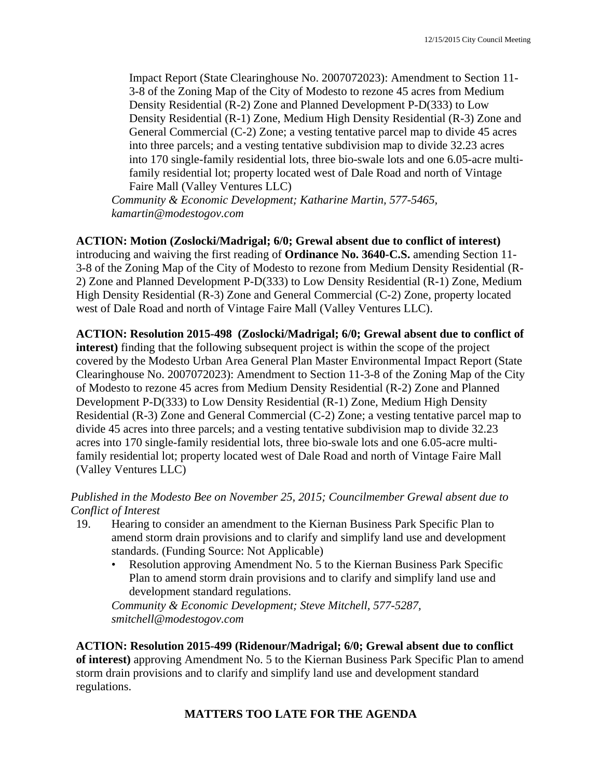Impact Report (State Clearinghouse No. 2007072023): Amendment to Section 11- 3-8 of the Zoning Map of the City of Modesto to rezone 45 acres from Medium Density Residential (R-2) Zone and Planned Development P-D(333) to Low Density Residential (R-1) Zone, Medium High Density Residential (R-3) Zone and General Commercial (C-2) Zone; a vesting tentative parcel map to divide 45 acres into three parcels; and a vesting tentative subdivision map to divide 32.23 acres into 170 single-family residential lots, three bio-swale lots and one 6.05-acre multifamily residential lot; property located west of Dale Road and north of Vintage Faire Mall (Valley Ventures LLC)

*Community & Economic Development; Katharine Martin, 577-5465, kamartin@modestogov.com* 

**ACTION: Motion (Zoslocki/Madrigal; 6/0; Grewal absent due to conflict of interest)**

introducing and waiving the first reading of **Ordinance No. 3640-C.S.** amending Section 11- 3-8 of the Zoning Map of the City of Modesto to rezone from Medium Density Residential (R-2) Zone and Planned Development P-D(333) to Low Density Residential (R-1) Zone, Medium High Density Residential (R-3) Zone and General Commercial (C-2) Zone, property located west of Dale Road and north of Vintage Faire Mall (Valley Ventures LLC).

**ACTION: Resolution 2015-498 (Zoslocki/Madrigal; 6/0; Grewal absent due to conflict of interest)** finding that the following subsequent project is within the scope of the project covered by the Modesto Urban Area General Plan Master Environmental Impact Report (State Clearinghouse No. 2007072023): Amendment to Section 11-3-8 of the Zoning Map of the City of Modesto to rezone 45 acres from Medium Density Residential (R-2) Zone and Planned Development P-D(333) to Low Density Residential (R-1) Zone, Medium High Density Residential (R-3) Zone and General Commercial (C-2) Zone; a vesting tentative parcel map to divide 45 acres into three parcels; and a vesting tentative subdivision map to divide 32.23 acres into 170 single-family residential lots, three bio-swale lots and one 6.05-acre multifamily residential lot; property located west of Dale Road and north of Vintage Faire Mall (Valley Ventures LLC)

## *Published in the Modesto Bee on November 25, 2015; Councilmember Grewal absent due to Conflict of Interest*

- 19. Hearing to consider an amendment to the Kiernan Business Park Specific Plan to amend storm drain provisions and to clarify and simplify land use and development standards. (Funding Source: Not Applicable)
	- Resolution approving Amendment No. 5 to the Kiernan Business Park Specific Plan to amend storm drain provisions and to clarify and simplify land use and development standard regulations.

*Community & Economic Development; Steve Mitchell, 577-5287, smitchell@modestogov.com* 

**ACTION: Resolution 2015-499 (Ridenour/Madrigal; 6/0; Grewal absent due to conflict of interest)** approving Amendment No. 5 to the Kiernan Business Park Specific Plan to amend storm drain provisions and to clarify and simplify land use and development standard regulations.

## **MATTERS TOO LATE FOR THE AGENDA**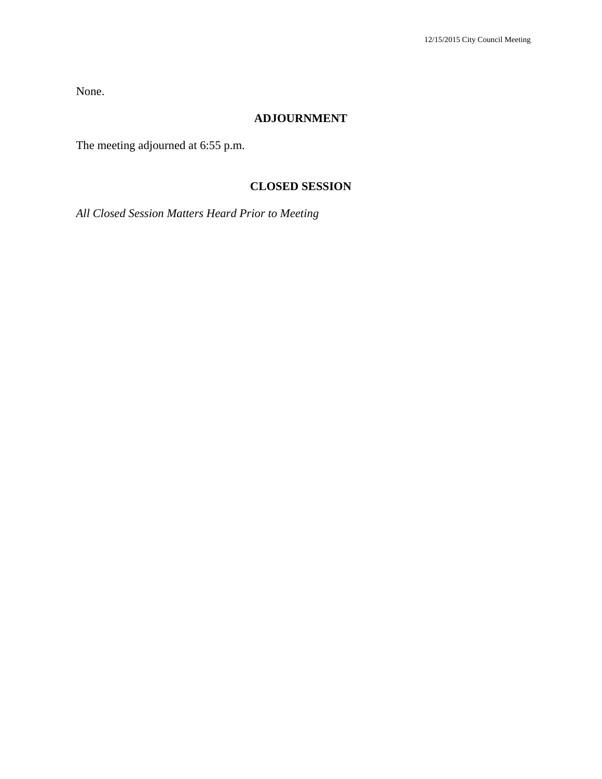None.

## **ADJOURNMENT**

The meeting adjourned at 6:55 p.m.

## **CLOSED SESSION**

*All Closed Session Matters Heard Prior to Meeting*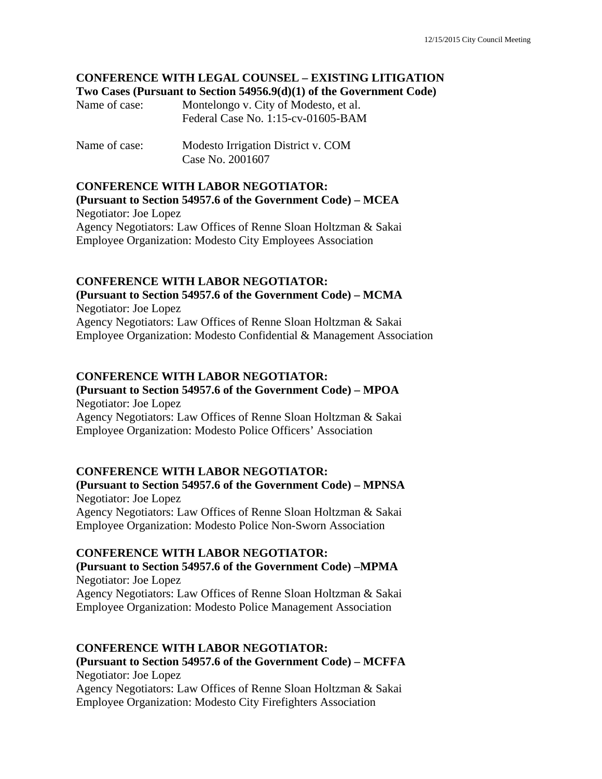## **CONFERENCE WITH LEGAL COUNSEL – EXISTING LITIGATION Two Cases (Pursuant to Section 54956.9(d)(1) of the Government Code)**

| Name of case: | Montelongo v. City of Modesto, et al. |
|---------------|---------------------------------------|
|               | Federal Case No. 1:15-cv-01605-BAM    |

Name of case: Modesto Irrigation District v. COM Case No. 2001607

## **CONFERENCE WITH LABOR NEGOTIATOR:**

**(Pursuant to Section 54957.6 of the Government Code) – MCEA**  Negotiator: Joe Lopez Agency Negotiators: Law Offices of Renne Sloan Holtzman & Sakai Employee Organization: Modesto City Employees Association

# **CONFERENCE WITH LABOR NEGOTIATOR:**

**(Pursuant to Section 54957.6 of the Government Code) – MCMA** 

Negotiator: Joe Lopez Agency Negotiators: Law Offices of Renne Sloan Holtzman & Sakai Employee Organization: Modesto Confidential & Management Association

## **CONFERENCE WITH LABOR NEGOTIATOR:**

#### **(Pursuant to Section 54957.6 of the Government Code) – MPOA**  Negotiator: Joe Lopez

Agency Negotiators: Law Offices of Renne Sloan Holtzman & Sakai Employee Organization: Modesto Police Officers' Association

## **CONFERENCE WITH LABOR NEGOTIATOR:**

**(Pursuant to Section 54957.6 of the Government Code) – MPNSA**  Negotiator: Joe Lopez Agency Negotiators: Law Offices of Renne Sloan Holtzman & Sakai Employee Organization: Modesto Police Non-Sworn Association

#### **CONFERENCE WITH LABOR NEGOTIATOR:**

## **(Pursuant to Section 54957.6 of the Government Code) –MPMA**  Negotiator: Joe Lopez Agency Negotiators: Law Offices of Renne Sloan Holtzman & Sakai

Employee Organization: Modesto Police Management Association

#### **CONFERENCE WITH LABOR NEGOTIATOR:**

## **(Pursuant to Section 54957.6 of the Government Code) – MCFFA**  Negotiator: Joe Lopez

Agency Negotiators: Law Offices of Renne Sloan Holtzman & Sakai Employee Organization: Modesto City Firefighters Association